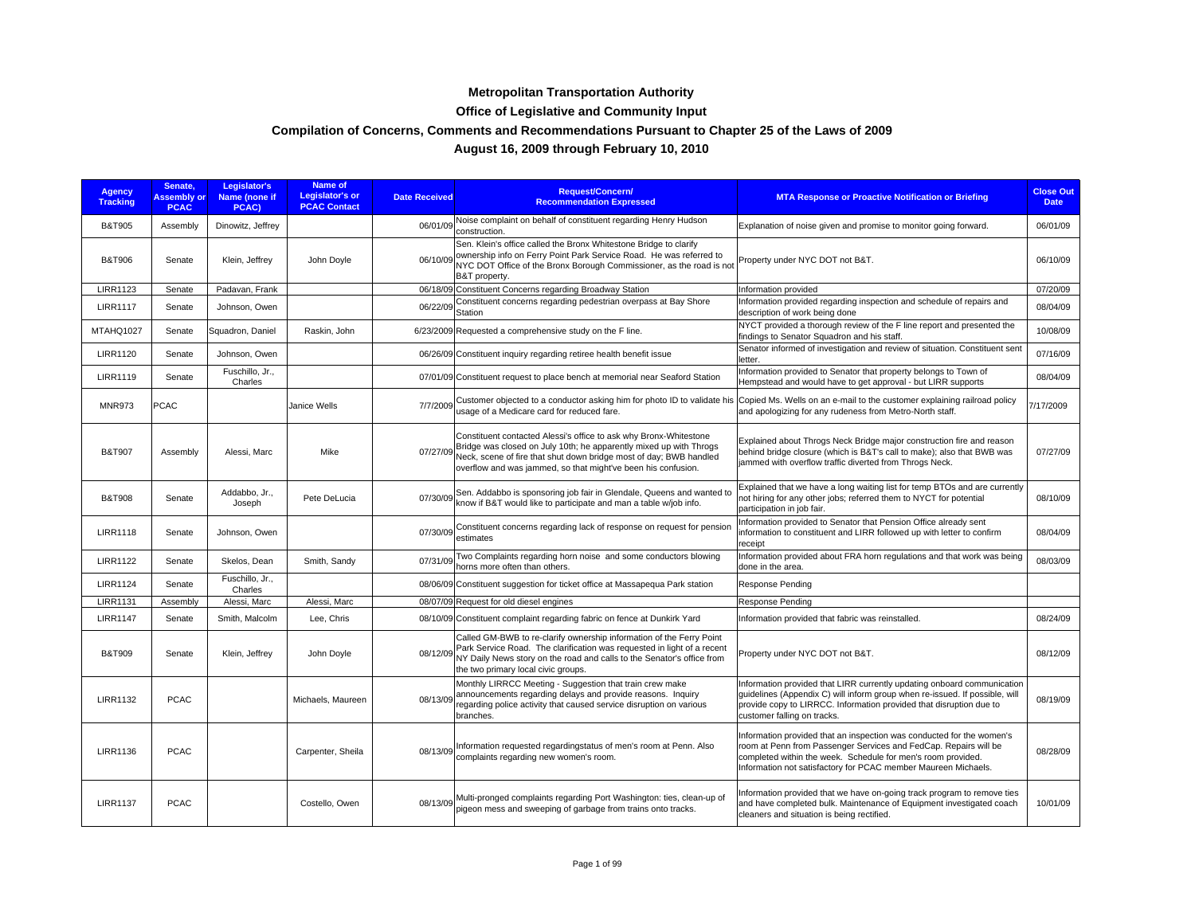## **Metropolitan Transportation Authority**

## **Office of Legislative and Community Input**

## **Compilation of Concerns, Comments and Recommendations Pursuant to Chapter 25 of the Laws of 2009**

## **August 16, 2009 through February 10, 2010**

| <b>Agency</b><br><b>Tracking</b> | Senate.<br><b>Assembly or</b><br><b>PCAC</b> | Legislator's<br>Name (none if<br>PCAC) | <b>Name of</b><br><b>Legislator's or</b><br><b>PCAC Contact</b> | <b>Date Received</b>  | <b>Request/Concern/</b><br><b>Recommendation Expressed</b>                                                                                                                                                                                                                              | <b>MTA Response or Proactive Notification or Briefing</b>                                                                                                                                                                                                                   | <b>Close Out</b><br><b>Date</b> |
|----------------------------------|----------------------------------------------|----------------------------------------|-----------------------------------------------------------------|-----------------------|-----------------------------------------------------------------------------------------------------------------------------------------------------------------------------------------------------------------------------------------------------------------------------------------|-----------------------------------------------------------------------------------------------------------------------------------------------------------------------------------------------------------------------------------------------------------------------------|---------------------------------|
| <b>B&amp;T905</b>                | Assembly                                     | Dinowitz, Jeffrey                      |                                                                 |                       | 06/01/09 Noise complaint on behalf of constituent regarding Henry Hudson<br>construction.                                                                                                                                                                                               | Explanation of noise given and promise to monitor going forward.                                                                                                                                                                                                            | 06/01/09                        |
| <b>B&amp;T906</b>                | Senate                                       | Klein, Jeffrey                         | John Doyle                                                      |                       | Sen. Klein's office called the Bronx Whitestone Bridge to clarify<br>06/10/09 ownership info on Ferry Point Park Service Road. He was referred to<br>06/10/09 NYC DOT Office of the Bronx Borough Commissioner, as the road is not<br>B&T property.                                     | Property under NYC DOT not B&T.                                                                                                                                                                                                                                             | 06/10/09                        |
| <b>LIRR1123</b>                  | Senate                                       | Padavan, Frank                         |                                                                 |                       | 06/18/09 Constituent Concerns regarding Broadway Station                                                                                                                                                                                                                                | Information provided                                                                                                                                                                                                                                                        | 07/20/09                        |
| <b>LIRR1117</b>                  | Senate                                       | Johnson, Owen                          |                                                                 | 06/22/09<br>Station   | Constituent concerns regarding pedestrian overpass at Bay Shore                                                                                                                                                                                                                         | Information provided regarding inspection and schedule of repairs and<br>description of work being done                                                                                                                                                                     | 08/04/09                        |
| MTAHQ1027                        | Senate                                       | Squadron, Daniel                       | Raskin, John                                                    |                       | 6/23/2009 Requested a comprehensive study on the F line.                                                                                                                                                                                                                                | NYCT provided a thorough review of the F line report and presented the<br>findings to Senator Squadron and his staff.                                                                                                                                                       | 10/08/09                        |
| <b>LIRR1120</b>                  | Senate                                       | Johnson, Owen                          |                                                                 |                       | 06/26/09 Constituent inquiry regarding retiree health benefit issue                                                                                                                                                                                                                     | Senator informed of investigation and review of situation. Constituent sent<br>letter.                                                                                                                                                                                      | 07/16/09                        |
| <b>LIRR1119</b>                  | Senate                                       | Fuschillo, Jr.,<br>Charles             |                                                                 |                       | 07/01/09 Constituent request to place bench at memorial near Seaford Station                                                                                                                                                                                                            | Information provided to Senator that property belongs to Town of<br>Hempstead and would have to get approval - but LIRR supports                                                                                                                                            | 08/04/09                        |
| <b>MNR973</b>                    | PCAC                                         |                                        | Janice Wells                                                    | 7/7/2009              | Customer objected to a conductor asking him for photo ID to validate his<br>usage of a Medicare card for reduced fare.                                                                                                                                                                  | Copied Ms. Wells on an e-mail to the customer explaining railroad policy<br>and apologizing for any rudeness from Metro-North staff.                                                                                                                                        | 7/17/2009                       |
| <b>B&amp;T907</b>                | Assembly                                     | Alessi, Marc                           | Mike                                                            |                       | Constituent contacted Alessi's office to ask why Bronx-Whitestone<br>07/27/09 Bridge was closed on July 10th; he apparently mixed up with Throgs<br>Neck, scene of fire that shut down bridge most of day; BWB handled<br>overflow and was jammed, so that might've been his confusion. | Explained about Throgs Neck Bridge major construction fire and reason<br>behind bridge closure (which is B&T's call to make); also that BWB was<br>jammed with overflow traffic diverted from Throgs Neck.                                                                  | 07/27/09                        |
| <b>B&amp;T908</b>                | Senate                                       | Addabbo, Jr.,<br>Joseph                | Pete DeLucia                                                    | 07/30/09              | Sen. Addabbo is sponsoring job fair in Glendale, Queens and wanted to<br>know if B&T would like to participate and man a table w/job info.                                                                                                                                              | Explained that we have a long waiting list for temp BTOs and are currently<br>not hiring for any other jobs; referred them to NYCT for potential<br>participation in job fair.                                                                                              | 08/10/09                        |
| <b>LIRR1118</b>                  | Senate                                       | Johnson, Owen                          |                                                                 | estimates             | 07/30/09 Constituent concerns regarding lack of response on request for pension                                                                                                                                                                                                         | Information provided to Senator that Pension Office already sent<br>information to constituent and LIRR followed up with letter to confirm<br>receipt                                                                                                                       | 08/04/09                        |
| <b>LIRR1122</b>                  | Senate                                       | Skelos, Dean                           | Smith, Sandy                                                    | 07/31/09              | Two Complaints regarding horn noise and some conductors blowing<br>horns more often than others.                                                                                                                                                                                        | Information provided about FRA horn regulations and that work was being<br>done in the area.                                                                                                                                                                                | 08/03/09                        |
| <b>LIRR1124</b>                  | Senate                                       | Fuschillo, Jr.,<br>Charles             |                                                                 |                       | 08/06/09 Constituent suggestion for ticket office at Massapequa Park station                                                                                                                                                                                                            | <b>Response Pending</b>                                                                                                                                                                                                                                                     |                                 |
| <b>LIRR1131</b>                  | Assembly                                     | Alessi, Marc                           | Alessi, Marc                                                    |                       | 08/07/09 Request for old diesel engines                                                                                                                                                                                                                                                 | <b>Response Pending</b>                                                                                                                                                                                                                                                     |                                 |
| <b>LIRR1147</b>                  | Senate                                       | Smith, Malcolm                         | Lee, Chris                                                      |                       | 08/10/09 Constituent complaint regarding fabric on fence at Dunkirk Yard                                                                                                                                                                                                                | Information provided that fabric was reinstalled.                                                                                                                                                                                                                           | 08/24/09                        |
| <b>B&amp;T909</b>                | Senate                                       | Klein, Jeffrey                         | John Doyle                                                      | 08/12/09              | Called GM-BWB to re-clarify ownership information of the Ferry Point<br>Park Service Road. The clarification was requested in light of a recent<br>NY Daily News story on the road and calls to the Senator's office from<br>the two primary local civic groups.                        | Property under NYC DOT not B&T.                                                                                                                                                                                                                                             | 08/12/09                        |
| <b>LIRR1132</b>                  | <b>PCAC</b>                                  |                                        | Michaels, Maureen                                               | 08/13/09<br>branches. | Monthly LIRRCC Meeting - Suggestion that train crew make<br>announcements regarding delays and provide reasons. Inquiry<br>regarding police activity that caused service disruption on various                                                                                          | Information provided that LIRR currently updating onboard communication<br>quidelines (Appendix C) will inform group when re-issued. If possible, will<br>provide copy to LIRRCC. Information provided that disruption due to<br>customer falling on tracks.                | 08/19/09                        |
| <b>LIRR1136</b>                  | <b>PCAC</b>                                  |                                        | Carpenter, Sheila                                               | 08/13/09              | Information requested regardingstatus of men's room at Penn. Also<br>complaints regarding new women's room.                                                                                                                                                                             | Information provided that an inspection was conducted for the women's<br>room at Penn from Passenger Services and FedCap. Repairs will be<br>completed within the week. Schedule for men's room provided.<br>Information not satisfactory for PCAC member Maureen Michaels. | 08/28/09                        |
| <b>LIRR1137</b>                  | <b>PCAC</b>                                  |                                        | Costello, Owen                                                  | 08/13/09              | Multi-pronged complaints regarding Port Washington: ties, clean-up of<br>pigeon mess and sweeping of garbage from trains onto tracks.                                                                                                                                                   | Information provided that we have on-going track program to remove ties<br>and have completed bulk. Maintenance of Equipment investigated coach<br>cleaners and situation is being rectified.                                                                               | 10/01/09                        |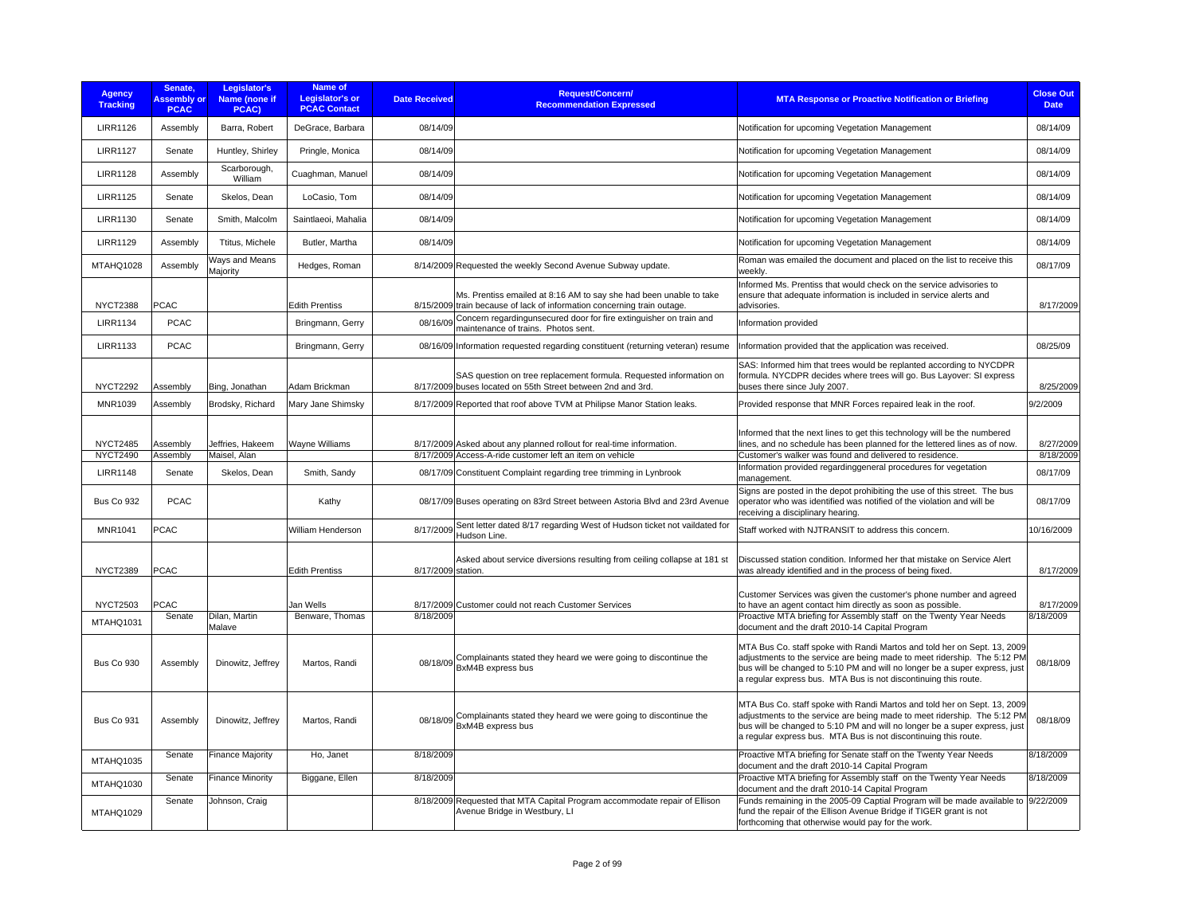| <b>Agency</b><br><b>Tracking</b>   | Senate,<br><b>Assembly or</b><br><b>PCAC</b> | Legislator's<br>Name (none if<br>PCAC) | Name of<br><b>Legislator's or</b><br><b>PCAC Contact</b> | <b>Date Received</b> | Request/Concern/<br><b>Recommendation Expressed</b>                                                                                           | <b>MTA Response or Proactive Notification or Briefing</b>                                                                                                                                                                                                                                                                                               | <b>Close Out</b><br><b>Date</b> |
|------------------------------------|----------------------------------------------|----------------------------------------|----------------------------------------------------------|----------------------|-----------------------------------------------------------------------------------------------------------------------------------------------|---------------------------------------------------------------------------------------------------------------------------------------------------------------------------------------------------------------------------------------------------------------------------------------------------------------------------------------------------------|---------------------------------|
| <b>LIRR1126</b>                    | Assembly                                     | Barra, Robert                          | DeGrace, Barbara                                         | 08/14/09             |                                                                                                                                               | Notification for upcoming Vegetation Management                                                                                                                                                                                                                                                                                                         | 08/14/09                        |
| <b>LIRR1127</b>                    | Senate                                       | Huntley, Shirley                       | Pringle, Monica                                          | 08/14/09             |                                                                                                                                               | Notification for upcoming Vegetation Management                                                                                                                                                                                                                                                                                                         | 08/14/09                        |
| <b>LIRR1128</b>                    | Assembly                                     | Scarborough,<br>William                | Cuaghman, Manuel                                         | 08/14/09             |                                                                                                                                               | Notification for upcoming Vegetation Management                                                                                                                                                                                                                                                                                                         | 08/14/09                        |
| <b>LIRR1125</b>                    | Senate                                       | Skelos, Dean                           | LoCasio, Tom                                             | 08/14/09             |                                                                                                                                               | Notification for upcoming Vegetation Management                                                                                                                                                                                                                                                                                                         | 08/14/09                        |
| <b>LIRR1130</b>                    | Senate                                       | Smith, Malcolm                         | Saintlaeoi, Mahalia                                      | 08/14/09             |                                                                                                                                               | Notification for upcoming Vegetation Management                                                                                                                                                                                                                                                                                                         | 08/14/09                        |
| <b>LIRR1129</b>                    | Assembly                                     | Ttitus, Michele                        | Butler, Martha                                           | 08/14/09             |                                                                                                                                               | Notification for upcoming Vegetation Management                                                                                                                                                                                                                                                                                                         | 08/14/09                        |
| MTAHQ1028                          | Assembly                                     | Ways and Means<br>Majority             | Hedges, Roman                                            |                      | 8/14/2009 Requested the weekly Second Avenue Subway update.                                                                                   | Roman was emailed the document and placed on the list to receive this<br>weekly.                                                                                                                                                                                                                                                                        | 08/17/09                        |
| <b>NYCT2388</b>                    | PCAC                                         |                                        | <b>Edith Prentiss</b>                                    |                      | Ms. Prentiss emailed at 8:16 AM to say she had been unable to take<br>8/15/2009 train because of lack of information concerning train outage. | Informed Ms. Prentiss that would check on the service advisories to<br>ensure that adequate information is included in service alerts and<br>advisories.                                                                                                                                                                                                | 8/17/2009                       |
| <b>LIRR1134</b>                    | <b>PCAC</b>                                  |                                        | Bringmann, Gerry                                         | 08/16/09             | Concern regardingunsecured door for fire extinguisher on train and<br>maintenance of trains. Photos sent.                                     | Information provided                                                                                                                                                                                                                                                                                                                                    |                                 |
| <b>LIRR1133</b>                    | <b>PCAC</b>                                  |                                        | Bringmann, Gerry                                         |                      | 08/16/09 Information requested regarding constituent (returning veteran) resume                                                               | Information provided that the application was received.                                                                                                                                                                                                                                                                                                 | 08/25/09                        |
| <b>NYCT2292</b>                    | Assembly                                     | Bing, Jonathan                         | Adam Brickman                                            |                      | SAS question on tree replacement formula. Requested information on<br>8/17/2009 buses located on 55th Street between 2nd and 3rd.             | SAS: Informed him that trees would be replanted according to NYCDPR<br>formula. NYCDPR decides where trees will go. Bus Layover: SI express<br>buses there since July 2007.                                                                                                                                                                             | 8/25/2009                       |
| MNR1039                            | Assembly                                     | Brodsky, Richard                       | Mary Jane Shimsky                                        |                      | 8/17/2009 Reported that roof above TVM at Philipse Manor Station leaks.                                                                       | Provided response that MNR Forces repaired leak in the roof.                                                                                                                                                                                                                                                                                            | 9/2/2009                        |
| <b>NYCT2485</b><br><b>NYCT2490</b> | Assembly<br>Assembly                         | Jeffries, Hakeem<br>Maisel, Alan       | Wayne Williams                                           |                      | 8/17/2009 Asked about any planned rollout for real-time information.<br>8/17/2009 Access-A-ride customer left an item on vehicle              | Informed that the next lines to get this technology will be the numbered<br>lines, and no schedule has been planned for the lettered lines as of now.<br>Customer's walker was found and delivered to residence.                                                                                                                                        | 8/27/2009<br>8/18/2009          |
| <b>LIRR1148</b>                    | Senate                                       | Skelos, Dean                           | Smith, Sandy                                             |                      | 08/17/09 Constituent Complaint regarding tree trimming in Lynbrook                                                                            | Information provided regarding general procedures for vegetation                                                                                                                                                                                                                                                                                        | 08/17/09                        |
| <b>Bus Co 932</b>                  | <b>PCAC</b>                                  |                                        | Kathy                                                    |                      | 08/17/09 Buses operating on 83rd Street between Astoria Blvd and 23rd Avenue                                                                  | management.<br>Signs are posted in the depot prohibiting the use of this street. The bus<br>operator who was identified was notified of the violation and will be<br>receiving a disciplinary hearing.                                                                                                                                                  | 08/17/09                        |
| MNR1041                            | <b>PCAC</b>                                  |                                        | William Henderson                                        | 8/17/2009            | Sent letter dated 8/17 regarding West of Hudson ticket not vaildated for<br>Hudson Line.                                                      | Staff worked with NJTRANSIT to address this concern.                                                                                                                                                                                                                                                                                                    | 10/16/2009                      |
| <b>NYCT2389</b>                    | <b>PCAC</b>                                  |                                        | <b>Edith Prentiss</b>                                    | 8/17/2009 station.   | Asked about service diversions resulting from ceiling collapse at 181 st                                                                      | Discussed station condition. Informed her that mistake on Service Alert<br>was already identified and in the process of being fixed.                                                                                                                                                                                                                    | 8/17/2009                       |
|                                    |                                              |                                        |                                                          |                      |                                                                                                                                               | Customer Services was given the customer's phone number and agreed                                                                                                                                                                                                                                                                                      |                                 |
| <b>NYCT2503</b><br>MTAHQ1031       | PCAC<br>Senate                               | Dilan, Martin                          | Jan Wells<br>Benware, Thomas                             | 8/18/2009            | 8/17/2009 Customer could not reach Customer Services                                                                                          | to have an agent contact him directly as soon as possible.<br>Proactive MTA briefing for Assembly staff on the Twenty Year Needs                                                                                                                                                                                                                        | 8/17/2009<br>8/18/2009          |
| <b>Bus Co 930</b>                  | Assembly                                     | Malave<br>Dinowitz, Jeffrey            | Martos, Randi                                            |                      | Complainants stated they heard we were going to discontinue the<br>08/18/09 BxM4B express bus                                                 | document and the draft 2010-14 Capital Program<br>MTA Bus Co. staff spoke with Randi Martos and told her on Sept. 13, 2009<br>adjustments to the service are being made to meet ridership. The 5:12 PM<br>bus will be changed to 5:10 PM and will no longer be a super express, just<br>a regular express bus. MTA Bus is not discontinuing this route. | 08/18/09                        |
| Bus Co 931                         | Assembly                                     | Dinowitz, Jeffrey                      | Martos, Randi                                            |                      | Complainants stated they heard we were going to discontinue the<br>08/18/09 BxM4B express bus                                                 | MTA Bus Co. staff spoke with Randi Martos and told her on Sept. 13, 2009<br>adjustments to the service are being made to meet ridership. The 5:12 PM<br>bus will be changed to 5:10 PM and will no longer be a super express, just<br>a regular express bus. MTA Bus is not discontinuing this route.                                                   | 08/18/09                        |
| <b>MTAHQ1035</b>                   | Senate                                       | <b>Finance Majority</b>                | Ho, Janet                                                | 8/18/2009            |                                                                                                                                               | Proactive MTA briefing for Senate staff on the Twenty Year Needs<br>document and the draft 2010-14 Capital Program                                                                                                                                                                                                                                      | 8/18/2009                       |
| MTAHQ1030                          | Senate                                       | <b>Finance Minority</b>                | Biggane, Ellen                                           | 8/18/2009            |                                                                                                                                               | Proactive MTA briefing for Assembly staff on the Twenty Year Needs<br>document and the draft 2010-14 Capital Program                                                                                                                                                                                                                                    | 8/18/2009                       |
| MTAHQ1029                          | Senate                                       | Johnson, Craig                         |                                                          |                      | 8/18/2009 Requested that MTA Capital Program accommodate repair of Ellison<br>Avenue Bridge in Westbury, LI                                   | Funds remaining in the 2005-09 Captial Program will be made available to 9/22/2009<br>fund the repair of the Ellison Avenue Bridge if TIGER grant is not<br>forthcoming that otherwise would pay for the work.                                                                                                                                          |                                 |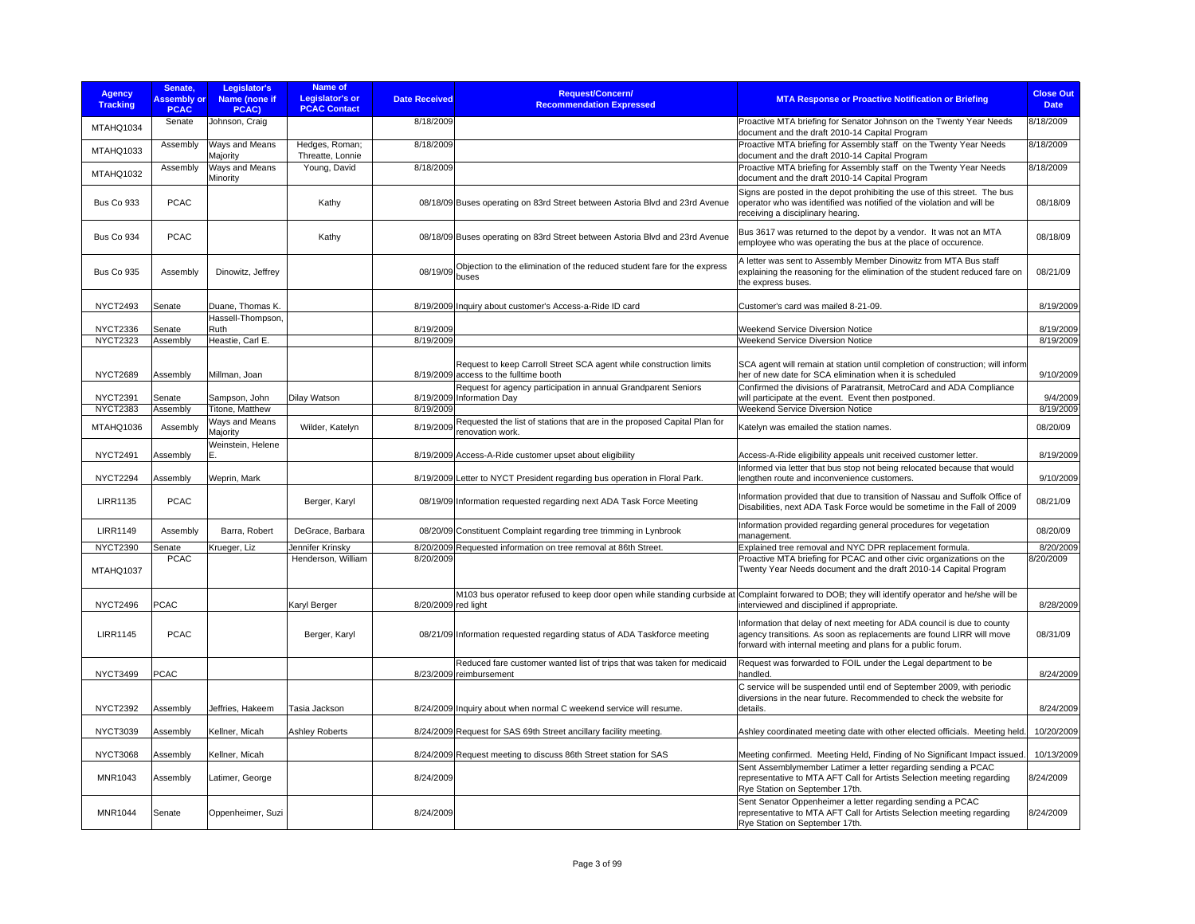| <b>Agency</b><br><b>Tracking</b>   | Senate.<br><b>Assembly or</b><br><b>PCAC</b> | Legislator's<br>Name (none if<br>PCAC) | Name of<br><b>Legislator's or</b><br><b>PCAC Contact</b> | <b>Date Received</b> | <b>Request/Concern/</b><br><b>Recommendation Expressed</b>                                                   | <b>MTA Response or Proactive Notification or Briefing</b>                                                                                                                                                      | <b>Close Out</b><br><b>Date</b> |
|------------------------------------|----------------------------------------------|----------------------------------------|----------------------------------------------------------|----------------------|--------------------------------------------------------------------------------------------------------------|----------------------------------------------------------------------------------------------------------------------------------------------------------------------------------------------------------------|---------------------------------|
| MTAHQ1034                          | Senate                                       | Johnson, Craig                         |                                                          | 8/18/2009            |                                                                                                              | Proactive MTA briefing for Senator Johnson on the Twenty Year Needs<br>document and the draft 2010-14 Capital Program                                                                                          | 8/18/2009                       |
| MTAHQ1033                          | Assembly                                     | Ways and Means<br>Majority             | Hedges, Roman;<br>Threatte, Lonnie                       | 8/18/2009            |                                                                                                              | Proactive MTA briefing for Assembly staff on the Twenty Year Needs<br>document and the draft 2010-14 Capital Program                                                                                           | 8/18/2009                       |
| MTAHQ1032                          | Assembly                                     | Ways and Means<br>Minority             | Young, David                                             | 8/18/2009            |                                                                                                              | Proactive MTA briefing for Assembly staff on the Twenty Year Needs<br>document and the draft 2010-14 Capital Program                                                                                           | 8/18/2009                       |
| <b>Bus Co 933</b>                  | <b>PCAC</b>                                  |                                        | Kathy                                                    |                      | 08/18/09 Buses operating on 83rd Street between Astoria Blvd and 23rd Avenue                                 | Signs are posted in the depot prohibiting the use of this street. The bus<br>operator who was identified was notified of the violation and will be<br>receiving a disciplinary hearing.                        | 08/18/09                        |
| Bus Co 934                         | <b>PCAC</b>                                  |                                        | Kathy                                                    |                      | 08/18/09 Buses operating on 83rd Street between Astoria Blvd and 23rd Avenue                                 | Bus 3617 was returned to the depot by a vendor. It was not an MTA<br>employee who was operating the bus at the place of occurence.                                                                             | 08/18/09                        |
| Bus Co 935                         | Assembly                                     | Dinowitz, Jeffrey                      |                                                          | 08/19/09             | Objection to the elimination of the reduced student fare for the express<br>buses                            | A letter was sent to Assembly Member Dinowitz from MTA Bus staff<br>explaining the reasoning for the elimination of the student reduced fare on<br>the express buses.                                          | 08/21/09                        |
| <b>NYCT2493</b>                    | Senate                                       | Duane, Thomas K.                       |                                                          |                      | 8/19/2009 Inquiry about customer's Access-a-Ride ID card                                                     | Customer's card was mailed 8-21-09.                                                                                                                                                                            | 8/19/2009                       |
| <b>NYCT2336</b>                    | Senate                                       | Hassell-Thompson,<br>Ruth              |                                                          | 8/19/2009            |                                                                                                              | <b>Weekend Service Diversion Notice</b>                                                                                                                                                                        | 8/19/2009                       |
| <b>NYCT2323</b>                    | Assembly                                     | Heastie, Carl E.                       |                                                          | 8/19/2009            |                                                                                                              | Weekend Service Diversion Notice                                                                                                                                                                               | 8/19/2009                       |
| <b>NYCT2689</b>                    | Assembly                                     | Millman, Joan                          |                                                          |                      | Request to keep Carroll Street SCA agent while construction limits<br>8/19/2009 access to the fulltime booth | SCA agent will remain at station until completion of construction; will inform<br>her of new date for SCA elimination when it is scheduled                                                                     | 9/10/2009                       |
|                                    |                                              |                                        |                                                          |                      | Request for agency participation in annual Grandparent Seniors                                               | Confirmed the divisions of Paratransit, MetroCard and ADA Compliance                                                                                                                                           |                                 |
| <b>NYCT2391</b><br><b>NYCT2383</b> | Senate<br>Assembly                           | Sampson, John<br>Titone, Matthew       | <b>Dilay Watson</b>                                      | 8/19/2009            | 8/19/2009 Information Day                                                                                    | will participate at the event. Event then postponed.<br>Weekend Service Diversion Notice                                                                                                                       | 9/4/2009<br>8/19/2009           |
|                                    |                                              |                                        |                                                          |                      |                                                                                                              |                                                                                                                                                                                                                |                                 |
| MTAHQ1036                          | Assembly                                     | Ways and Means<br>Majority             | Wilder, Katelyn                                          | 8/19/2009            | Requested the list of stations that are in the proposed Capital Plan for<br>renovation work.                 | Katelyn was emailed the station names.                                                                                                                                                                         | 08/20/09                        |
| <b>NYCT2491</b>                    | Assembly                                     | Weinstein, Helene<br>E.                |                                                          |                      | 8/19/2009 Access-A-Ride customer upset about eligibility                                                     | Access-A-Ride eligibility appeals unit received customer letter.                                                                                                                                               | 8/19/2009                       |
| <b>NYCT2294</b>                    | Assembly                                     | Weprin, Mark                           |                                                          |                      | 8/19/2009 Letter to NYCT President regarding bus operation in Floral Park.                                   | Informed via letter that bus stop not being relocated because that would<br>lengthen route and inconvenience customers.                                                                                        | 9/10/2009                       |
| <b>LIRR1135</b>                    | <b>PCAC</b>                                  |                                        | Berger, Karyl                                            |                      | 08/19/09 Information requested regarding next ADA Task Force Meeting                                         | Information provided that due to transition of Nassau and Suffolk Office of<br>Disabilities, next ADA Task Force would be sometime in the Fall of 2009                                                         | 08/21/09                        |
| <b>LIRR1149</b>                    | Assembly                                     | Barra, Robert                          | DeGrace, Barbara                                         |                      | 08/20/09 Constituent Complaint regarding tree trimming in Lynbrook                                           | Information provided regarding general procedures for vegetation<br>management.                                                                                                                                | 08/20/09                        |
| <b>NYCT2390</b>                    | Senate                                       | Krueger, Liz                           | Jennifer Krinsky                                         |                      | 8/20/2009 Requested information on tree removal at 86th Street.                                              | Explained tree removal and NYC DPR replacement formula.                                                                                                                                                        | 8/20/2009                       |
| MTAHQ1037                          | <b>PCAC</b>                                  |                                        | Henderson, William                                       | 8/20/2009            |                                                                                                              | Proactive MTA briefing for PCAC and other civic organizations on the<br>Twenty Year Needs document and the draft 2010-14 Capital Program                                                                       | 8/20/2009                       |
|                                    |                                              |                                        |                                                          |                      |                                                                                                              | M103 bus operator refused to keep door open while standing curbside at Complaint forwared to DOB; they will identify operator and he/she will be                                                               |                                 |
| <b>NYCT2496</b>                    | PCAC                                         |                                        | Karyl Berger                                             | 8/20/2009 red light  |                                                                                                              | interviewed and disciplined if appropriate.                                                                                                                                                                    | 8/28/2009                       |
| <b>LIRR1145</b>                    | <b>PCAC</b>                                  |                                        | Berger, Karyl                                            |                      | 08/21/09 Information requested regarding status of ADA Taskforce meeting                                     | Information that delay of next meeting for ADA council is due to county<br>agency transitions. As soon as replacements are found LIRR will move<br>forward with internal meeting and plans for a public forum. | 08/31/09                        |
| <b>NYCT3499</b>                    | <b>PCAC</b>                                  |                                        |                                                          |                      | Reduced fare customer wanted list of trips that was taken for medicaid<br>8/23/2009 reimbursement            | Request was forwarded to FOIL under the Legal department to be<br>handled.                                                                                                                                     | 8/24/2009                       |
| <b>NYCT2392</b>                    | Assembly                                     | Jeffries, Hakeem                       | Tasia Jackson                                            |                      | 8/24/2009 Inquiry about when normal C weekend service will resume.                                           | C service will be suspended until end of September 2009, with periodic<br>diversions in the near future. Recommended to check the website for<br>details.                                                      | 8/24/2009                       |
| <b>NYCT3039</b>                    | Assembly                                     | Kellner, Micah                         | <b>Ashley Roberts</b>                                    |                      | 8/24/2009 Request for SAS 69th Street ancillary facility meeting.                                            | Ashley coordinated meeting date with other elected officials. Meeting held.                                                                                                                                    | 10/20/2009                      |
| <b>NYCT3068</b>                    | Assembly                                     | Kellner, Micah                         |                                                          |                      | 8/24/2009 Request meeting to discuss 86th Street station for SAS                                             | Meeting confirmed. Meeting Held, Finding of No Significant Impact issued.                                                                                                                                      | 10/13/2009                      |
| MNR1043                            | Assembly                                     | Latimer, George                        |                                                          | 8/24/2009            |                                                                                                              | Sent Assemblymember Latimer a letter regarding sending a PCAC<br>representative to MTA AFT Call for Artists Selection meeting regarding<br>Rye Station on September 17th.                                      | 8/24/2009                       |
| MNR1044                            | Senate                                       | Oppenheimer, Suzi                      |                                                          | 8/24/2009            |                                                                                                              | Sent Senator Oppenheimer a letter regarding sending a PCAC<br>representative to MTA AFT Call for Artists Selection meeting regarding<br>Rye Station on September 17th.                                         | 8/24/2009                       |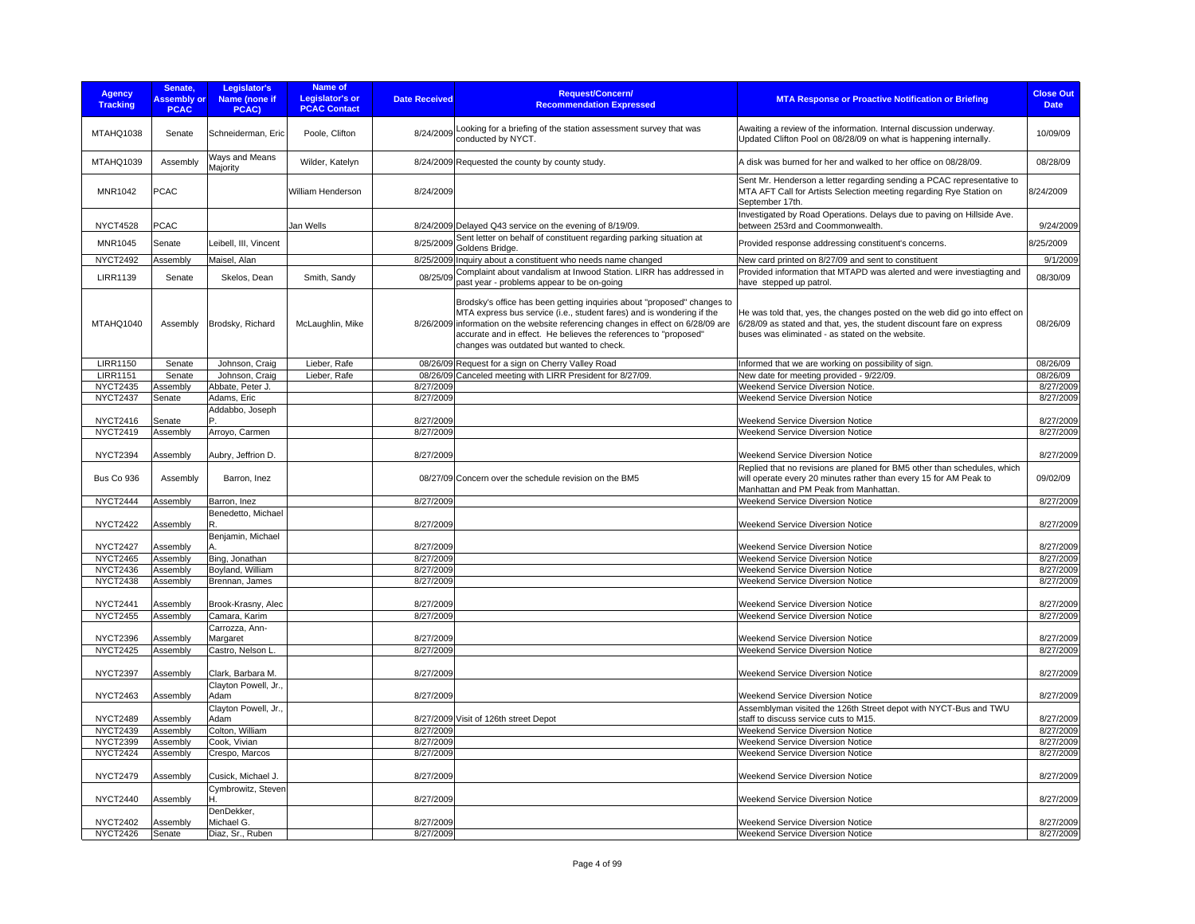| <b>Agency</b><br><b>Tracking</b>   | Senate,<br><b>Assembly or</b><br><b>PCAC</b> | Legislator's<br>Name (none if<br>PCAC)  | Name of<br><b>Legislator's or</b><br><b>PCAC Contact</b> | <b>Date Received</b>   | Request/Concern/<br><b>Recommendation Expressed</b>                                                                                                                                                                                                                                                                                                    | <b>MTA Response or Proactive Notification or Briefing</b>                                                                                                                                               | <b>Close Out</b><br><b>Date</b> |
|------------------------------------|----------------------------------------------|-----------------------------------------|----------------------------------------------------------|------------------------|--------------------------------------------------------------------------------------------------------------------------------------------------------------------------------------------------------------------------------------------------------------------------------------------------------------------------------------------------------|---------------------------------------------------------------------------------------------------------------------------------------------------------------------------------------------------------|---------------------------------|
| MTAHQ1038                          | Senate                                       | Schneiderman, Eric                      | Poole, Clifton                                           | 8/24/2009              | Looking for a briefing of the station assessment survey that was<br>conducted by NYCT.                                                                                                                                                                                                                                                                 | Awaiting a review of the information. Internal discussion underway.<br>Updated Clifton Pool on 08/28/09 on what is happening internally.                                                                | 10/09/09                        |
| MTAHQ1039                          | Assembly                                     | Ways and Means<br>Majority              | Wilder, Katelyn                                          |                        | 8/24/2009 Requested the county by county study.                                                                                                                                                                                                                                                                                                        | A disk was burned for her and walked to her office on 08/28/09.                                                                                                                                         | 08/28/09                        |
| MNR1042                            | <b>PCAC</b>                                  |                                         | William Henderson                                        | 8/24/2009              |                                                                                                                                                                                                                                                                                                                                                        | Sent Mr. Henderson a letter regarding sending a PCAC representative to<br>MTA AFT Call for Artists Selection meeting regarding Rye Station on<br>September 17th.                                        | 8/24/2009                       |
| <b>NYCT4528</b>                    | <b>PCAC</b>                                  |                                         | Jan Wells                                                |                        | 8/24/2009 Delayed Q43 service on the evening of 8/19/09.                                                                                                                                                                                                                                                                                               | Investigated by Road Operations. Delays due to paving on Hillside Ave.<br>between 253rd and Coommonwealth.                                                                                              | 9/24/2009                       |
| MNR1045                            | Senate                                       | Leibell, III, Vincent                   |                                                          | 8/25/2009              | Sent letter on behalf of constituent regarding parking situation at<br>Goldens Bridge                                                                                                                                                                                                                                                                  | Provided response addressing constituent's concerns.                                                                                                                                                    | 8/25/2009                       |
| <b>NYCT2492</b>                    | Assembly                                     | Maisel, Alan                            |                                                          |                        | 8/25/2009 Inquiry about a constituent who needs name changed                                                                                                                                                                                                                                                                                           | New card printed on 8/27/09 and sent to constituent                                                                                                                                                     | 9/1/2009                        |
|                                    |                                              |                                         |                                                          | 08/25/09               | Complaint about vandalism at Inwood Station. LIRR has addressed in                                                                                                                                                                                                                                                                                     | Provided information that MTAPD was alerted and were investiagting and                                                                                                                                  | 08/30/09                        |
| <b>LIRR1139</b>                    | Senate                                       | Skelos, Dean                            | Smith, Sandy                                             |                        | past year - problems appear to be on-going                                                                                                                                                                                                                                                                                                             | have stepped up patrol.                                                                                                                                                                                 |                                 |
| MTAHQ1040                          | Assembly                                     | Brodsky, Richard                        | McLaughlin, Mike                                         |                        | Brodsky's office has been getting inquiries about "proposed" changes to<br>MTA express bus service (i.e., student fares) and is wondering if the<br>8/26/2009 information on the website referencing changes in effect on 6/28/09 are<br>accurate and in effect. He believes the references to "proposed"<br>changes was outdated but wanted to check. | He was told that, yes, the changes posted on the web did go into effect on<br>6/28/09 as stated and that, yes, the student discount fare on express<br>buses was eliminated - as stated on the website. | 08/26/09                        |
| <b>LIRR1150</b>                    | Senate                                       | Johnson, Craig                          | Lieber, Rafe                                             |                        | 08/26/09 Request for a sign on Cherry Valley Road                                                                                                                                                                                                                                                                                                      | Informed that we are working on possibility of sign.                                                                                                                                                    | 08/26/09                        |
| <b>LIRR1151</b>                    | Senate                                       | Johnson, Craig                          | Lieber, Rafe                                             |                        | 08/26/09 Canceled meeting with LIRR President for 8/27/09.                                                                                                                                                                                                                                                                                             | New date for meeting provided - 9/22/09.                                                                                                                                                                | 08/26/09                        |
| <b>NYCT2435</b>                    | Assembly                                     | Abbate, Peter J.                        |                                                          | 8/27/2009              |                                                                                                                                                                                                                                                                                                                                                        | Weekend Service Diversion Notice.                                                                                                                                                                       | 8/27/2009                       |
| <b>NYCT2437</b>                    | Senate                                       | Adams, Eric                             |                                                          | 8/27/2009              |                                                                                                                                                                                                                                                                                                                                                        | Weekend Service Diversion Notice                                                                                                                                                                        | 8/27/2009                       |
| <b>NYCT2416</b>                    | Senate                                       | Addabbo, Joseph                         |                                                          | 8/27/2009              |                                                                                                                                                                                                                                                                                                                                                        | <b>Weekend Service Diversion Notice</b>                                                                                                                                                                 | 8/27/2009                       |
| <b>NYCT2419</b>                    | Assembly                                     | Arroyo, Carmen                          |                                                          | 8/27/2009              |                                                                                                                                                                                                                                                                                                                                                        | Weekend Service Diversion Notice                                                                                                                                                                        | 8/27/2009                       |
|                                    |                                              |                                         |                                                          |                        |                                                                                                                                                                                                                                                                                                                                                        |                                                                                                                                                                                                         |                                 |
| <b>NYCT2394</b>                    | Assembly                                     | Aubry, Jeffrion D.                      |                                                          | 8/27/2009              |                                                                                                                                                                                                                                                                                                                                                        | Weekend Service Diversion Notice                                                                                                                                                                        | 8/27/2009                       |
| Bus Co 936                         | Assembly                                     | Barron, Inez                            |                                                          |                        | 08/27/09 Concern over the schedule revision on the BM5                                                                                                                                                                                                                                                                                                 | Replied that no revisions are planed for BM5 other than schedules, which<br>will operate every 20 minutes rather than every 15 for AM Peak to<br>Manhattan and PM Peak from Manhattan.                  | 09/02/09                        |
| <b>NYCT2444</b>                    | Assembly                                     | Barron, Inez                            |                                                          | 8/27/2009              |                                                                                                                                                                                                                                                                                                                                                        | Weekend Service Diversion Notice                                                                                                                                                                        | 8/27/2009                       |
| <b>NYCT2422</b>                    | Assembly                                     | Benedetto, Michael<br>R.                |                                                          | 8/27/2009              |                                                                                                                                                                                                                                                                                                                                                        | Weekend Service Diversion Notice                                                                                                                                                                        | 8/27/2009                       |
|                                    |                                              | Benjamin, Michael                       |                                                          |                        |                                                                                                                                                                                                                                                                                                                                                        |                                                                                                                                                                                                         |                                 |
| <b>NYCT2427</b>                    | Assembly                                     |                                         |                                                          | 8/27/2009              |                                                                                                                                                                                                                                                                                                                                                        | <b>Weekend Service Diversion Notice</b>                                                                                                                                                                 | 8/27/2009                       |
| <b>NYCT2465</b><br><b>NYCT2436</b> | Assembly                                     | Bing, Jonathan<br>Boyland, William      |                                                          | 8/27/2009<br>8/27/2009 |                                                                                                                                                                                                                                                                                                                                                        | Weekend Service Diversion Notice<br>Weekend Service Diversion Notice                                                                                                                                    | 8/27/2009<br>8/27/2009          |
| <b>NYCT2438</b>                    | Assembly<br>Assembly                         | Brennan, James                          |                                                          | 8/27/2009              |                                                                                                                                                                                                                                                                                                                                                        | Weekend Service Diversion Notice                                                                                                                                                                        | 8/27/2009                       |
|                                    |                                              |                                         |                                                          |                        |                                                                                                                                                                                                                                                                                                                                                        |                                                                                                                                                                                                         |                                 |
| NYCT2441                           | Assembly                                     | Brook-Krasny, Alec                      |                                                          | 8/27/2009              |                                                                                                                                                                                                                                                                                                                                                        | <b>Weekend Service Diversion Notice</b>                                                                                                                                                                 | 8/27/2009                       |
| <b>NYCT2455</b>                    | Assembly                                     | Camara, Karim                           |                                                          | 8/27/2009              |                                                                                                                                                                                                                                                                                                                                                        | Weekend Service Diversion Notice                                                                                                                                                                        | 8/27/2009                       |
|                                    |                                              | Carrozza, Ann-                          |                                                          |                        |                                                                                                                                                                                                                                                                                                                                                        |                                                                                                                                                                                                         |                                 |
| <b>NYCT2396</b>                    | Assembly                                     | Margaret                                |                                                          | 8/27/2009              |                                                                                                                                                                                                                                                                                                                                                        | Weekend Service Diversion Notice                                                                                                                                                                        | 8/27/2009                       |
| <b>NYCT2425</b>                    | Assembly                                     | Castro, Nelson L.                       |                                                          | 8/27/2009              |                                                                                                                                                                                                                                                                                                                                                        | Weekend Service Diversion Notice                                                                                                                                                                        | 8/27/2009                       |
| <b>NYCT2397</b>                    | Assembly                                     | Clark, Barbara M.<br>Clayton Powell, Jr |                                                          | 8/27/2009              |                                                                                                                                                                                                                                                                                                                                                        | Weekend Service Diversion Notice                                                                                                                                                                        | 8/27/2009                       |
| <b>NYCT2463</b>                    | Assembly                                     | Adam                                    |                                                          | 8/27/2009              |                                                                                                                                                                                                                                                                                                                                                        | Weekend Service Diversion Notice                                                                                                                                                                        | 8/27/2009                       |
|                                    |                                              | Clayton Powell, Jr.                     |                                                          |                        |                                                                                                                                                                                                                                                                                                                                                        | Assemblyman visited the 126th Street depot with NYCT-Bus and TWU                                                                                                                                        |                                 |
| <b>NYCT2489</b>                    | Assembly                                     | Adam                                    |                                                          |                        | 8/27/2009 Visit of 126th street Depot                                                                                                                                                                                                                                                                                                                  | staff to discuss service cuts to M15.                                                                                                                                                                   | 8/27/2009                       |
| <b>NYCT2439</b>                    | Assembly                                     | Colton, William                         |                                                          | 8/27/2009              |                                                                                                                                                                                                                                                                                                                                                        | Weekend Service Diversion Notice                                                                                                                                                                        | 8/27/2009                       |
| <b>NYCT2399</b>                    | Assembly                                     | Cook, Vivian                            |                                                          | 8/27/2009              |                                                                                                                                                                                                                                                                                                                                                        | <b>Weekend Service Diversion Notice</b>                                                                                                                                                                 | 8/27/2009                       |
| <b>NYCT2424</b>                    | Assembly                                     | Crespo, Marcos                          |                                                          | 8/27/2009              |                                                                                                                                                                                                                                                                                                                                                        | Weekend Service Diversion Notice                                                                                                                                                                        | 8/27/2009                       |
| <b>NYCT2479</b>                    | Assembly                                     | Cusick, Michael J.                      |                                                          | 8/27/2009              |                                                                                                                                                                                                                                                                                                                                                        | <b>Weekend Service Diversion Notice</b>                                                                                                                                                                 | 8/27/2009                       |
| <b>NYCT2440</b>                    | Assembly                                     | Cymbrowitz, Steven<br>н                 |                                                          | 8/27/2009              |                                                                                                                                                                                                                                                                                                                                                        | Weekend Service Diversion Notice                                                                                                                                                                        | 8/27/2009                       |
| <b>NYCT2402</b>                    |                                              | DenDekker,<br>Michael G.                |                                                          |                        |                                                                                                                                                                                                                                                                                                                                                        | <b>Weekend Service Diversion Notice</b>                                                                                                                                                                 | 8/27/2009                       |
| <b>NYCT2426</b>                    | Assembly<br>Senate                           | Diaz, Sr., Ruben                        |                                                          | 8/27/2009<br>8/27/2009 |                                                                                                                                                                                                                                                                                                                                                        | <b>Weekend Service Diversion Notice</b>                                                                                                                                                                 | 8/27/2009                       |
|                                    |                                              |                                         |                                                          |                        |                                                                                                                                                                                                                                                                                                                                                        |                                                                                                                                                                                                         |                                 |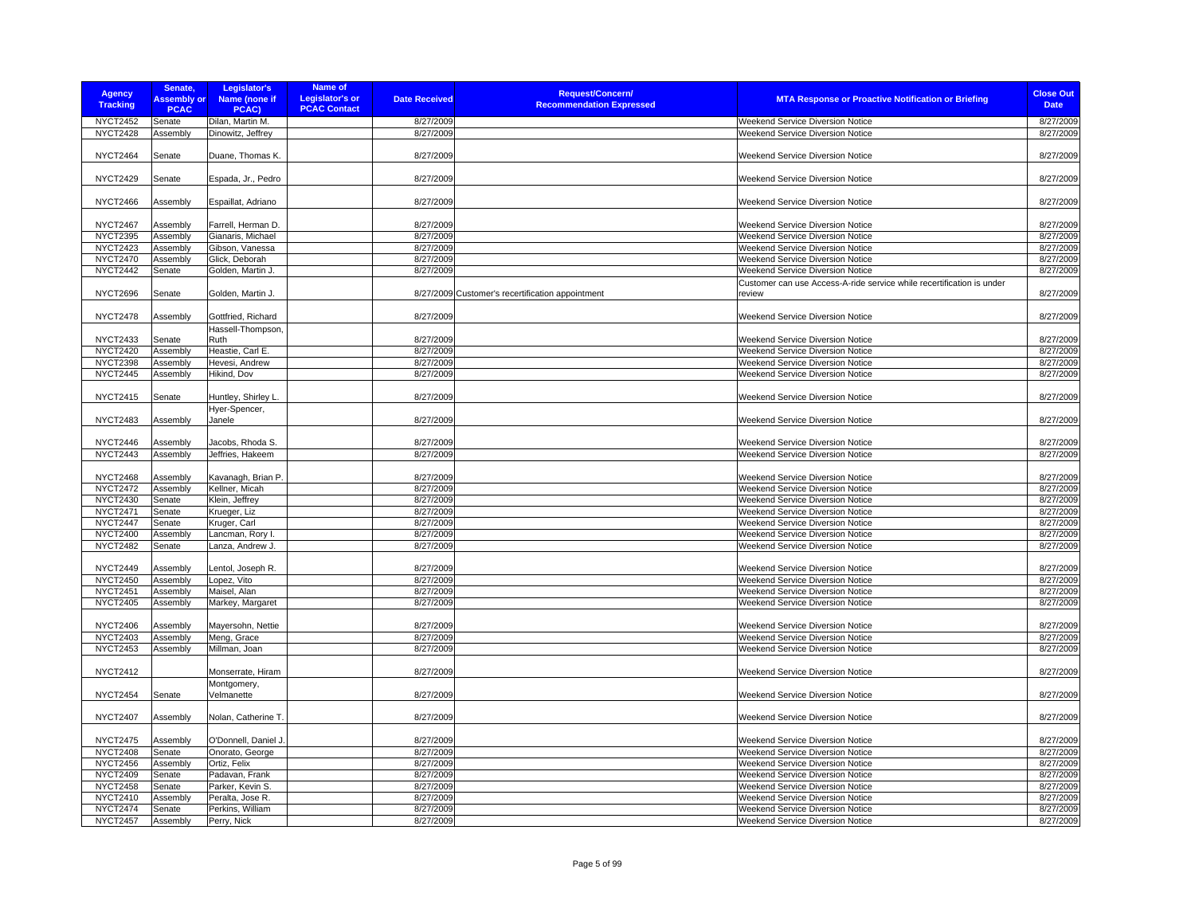| <b>Agency</b><br><b>Tracking</b>   | Senate,<br><b>Assembly or</b><br><b>PCAC</b> | Legislator's<br>Name (none if<br>PCAC)  | <b>Name of</b><br><b>Legislator's or</b><br><b>PCAC Contact</b> | <b>Date Received</b>   | <b>Request/Concern/</b><br><b>MTA Response or Proactive Notification or Briefing</b><br><b>Recommendation Expressed</b>             | <b>Close Out</b><br><b>Date</b> |
|------------------------------------|----------------------------------------------|-----------------------------------------|-----------------------------------------------------------------|------------------------|-------------------------------------------------------------------------------------------------------------------------------------|---------------------------------|
| NYCT2452                           | Senate                                       | Dilan, Martin M.                        |                                                                 | 8/27/2009              | Weekend Service Diversion Notice                                                                                                    | 8/27/2009                       |
| <b>NYCT2428</b>                    | Assembly                                     | Dinowitz, Jeffrey                       |                                                                 | 8/27/2009              | <b>Weekend Service Diversion Notice</b>                                                                                             | 8/27/2009                       |
| <b>NYCT2464</b>                    | Senate                                       | Duane, Thomas K.                        |                                                                 | 8/27/2009              | Weekend Service Diversion Notice                                                                                                    | 8/27/2009                       |
| <b>NYCT2429</b>                    | Senate                                       | Espada, Jr., Pedro                      |                                                                 | 8/27/2009              | Weekend Service Diversion Notice                                                                                                    | 8/27/2009                       |
| <b>NYCT2466</b>                    | Assembly                                     | Espaillat, Adriano                      |                                                                 | 8/27/2009              | Weekend Service Diversion Notice                                                                                                    | 8/27/2009                       |
| <b>NYCT2467</b>                    | Assembly                                     | Farrell, Herman D.                      |                                                                 | 8/27/2009              | <b>Weekend Service Diversion Notice</b>                                                                                             | 8/27/2009                       |
| <b>NYCT2395</b>                    | Assembly                                     | Gianaris, Michael                       |                                                                 | 8/27/2009              | Weekend Service Diversion Notice                                                                                                    | 8/27/2009                       |
| <b>NYCT2423</b><br><b>NYCT2470</b> | Assembly<br>Assembly                         | Gibson, Vanessa<br>Glick, Deborah       |                                                                 | 8/27/2009<br>8/27/2009 | Weekend Service Diversion Notice<br>Weekend Service Diversion Notice                                                                | 8/27/2009<br>8/27/2009          |
| <b>NYCT2442</b>                    | Senate                                       | Golden, Martin J.                       |                                                                 | 8/27/2009              | Weekend Service Diversion Notice                                                                                                    | 8/27/2009                       |
|                                    |                                              |                                         |                                                                 |                        |                                                                                                                                     |                                 |
| <b>NYCT2696</b>                    | Senate                                       | Golden, Martin J.                       |                                                                 |                        | Customer can use Access-A-ride service while recertification is under<br>8/27/2009 Customer's recertification appointment<br>review | 8/27/2009                       |
| <b>NYCT2478</b>                    | Assembly                                     | Gottfried, Richard<br>Hassell-Thompson, |                                                                 | 8/27/2009              | Weekend Service Diversion Notice                                                                                                    | 8/27/2009                       |
| <b>NYCT2433</b>                    | Senate                                       | Ruth                                    |                                                                 | 8/27/2009              | <b>Weekend Service Diversion Notice</b>                                                                                             | 8/27/2009                       |
| <b>NYCT2420</b>                    | Assembly                                     | Heastie, Carl E.                        |                                                                 | 8/27/2009              | Weekend Service Diversion Notice                                                                                                    | 8/27/2009                       |
| <b>NYCT2398</b>                    | Assembly                                     | Hevesi, Andrew                          |                                                                 | 8/27/2009              | Weekend Service Diversion Notice                                                                                                    | 8/27/2009                       |
| <b>NYCT2445</b>                    | Assembly                                     | Hikind, Dov                             |                                                                 | 8/27/2009              | Weekend Service Diversion Notice                                                                                                    | 8/27/2009                       |
|                                    |                                              |                                         |                                                                 |                        |                                                                                                                                     |                                 |
| <b>NYCT2415</b>                    | Senate                                       | Huntley, Shirley L<br>Hyer-Spencer,     |                                                                 | 8/27/2009              | Weekend Service Diversion Notice                                                                                                    | 8/27/2009                       |
| <b>NYCT2483</b>                    | Assembly                                     | Janele                                  |                                                                 | 8/27/2009              | <b>Weekend Service Diversion Notice</b>                                                                                             | 8/27/2009                       |
| NYCT2446                           | Assembly                                     | Jacobs, Rhoda S.                        |                                                                 | 8/27/2009              | Weekend Service Diversion Notice                                                                                                    | 8/27/2009                       |
| <b>NYCT2443</b>                    | Assembly                                     | Jeffries, Hakeem                        |                                                                 | 8/27/2009              | Weekend Service Diversion Notice                                                                                                    | 8/27/2009                       |
|                                    |                                              |                                         |                                                                 |                        |                                                                                                                                     |                                 |
| <b>NYCT2468</b>                    | Assembly                                     | Kavanagh, Brian P.                      |                                                                 | 8/27/2009              | <b>Weekend Service Diversion Notice</b>                                                                                             | 8/27/2009                       |
| <b>NYCT2472</b>                    | Assembly                                     | Kellner, Micah                          |                                                                 | 8/27/2009              | Weekend Service Diversion Notice                                                                                                    | 8/27/2009                       |
| <b>NYCT2430</b>                    | Senate                                       | Klein, Jeffrey                          |                                                                 | 8/27/2009              | Weekend Service Diversion Notice                                                                                                    | 8/27/2009                       |
| <b>NYCT2471</b>                    | Senate                                       | Krueger, Liz                            |                                                                 | 8/27/2009              | Weekend Service Diversion Notice                                                                                                    | 8/27/2009                       |
| NYCT2447                           | Senate                                       | Kruger, Carl                            |                                                                 | 8/27/2009              | Weekend Service Diversion Notice                                                                                                    | 8/27/2009                       |
| <b>NYCT2400</b>                    | Assembly                                     | Lancman, Rory I.                        |                                                                 | 8/27/2009              | Weekend Service Diversion Notice                                                                                                    | 8/27/2009                       |
| <b>NYCT2482</b>                    | Senate                                       | Lanza, Andrew J.                        |                                                                 | 8/27/2009              | Weekend Service Diversion Notice                                                                                                    | 8/27/2009                       |
| <b>NYCT2449</b>                    | Assembly                                     | Lentol, Joseph R.                       |                                                                 | 8/27/2009              | Weekend Service Diversion Notice                                                                                                    | 8/27/2009                       |
| <b>NYCT2450</b>                    | Assembly                                     | Lopez, Vito                             |                                                                 | 8/27/2009              | Weekend Service Diversion Notice                                                                                                    | 8/27/2009                       |
| <b>NYCT2451</b>                    | Assembly                                     | Maisel, Alan                            |                                                                 | 8/27/2009              | <b>Weekend Service Diversion Notice</b>                                                                                             | 8/27/2009                       |
| <b>NYCT2405</b>                    | Assembly                                     | Markey, Margaret                        |                                                                 | 8/27/2009              | Weekend Service Diversion Notice                                                                                                    | 8/27/2009                       |
| <b>NYCT2406</b>                    | Assembly                                     | Mayersohn, Nettie                       |                                                                 | 8/27/2009              | Weekend Service Diversion Notice                                                                                                    | 8/27/2009                       |
| <b>NYCT2403</b>                    | Assembly                                     | Meng, Grace                             |                                                                 | 8/27/2009              | Weekend Service Diversion Notice                                                                                                    | 8/27/2009                       |
| <b>NYCT2453</b>                    | Assembly                                     | Millman, Joan                           |                                                                 | 8/27/2009              | <b>Weekend Service Diversion Notice</b>                                                                                             | 8/27/2009                       |
| <b>NYCT2412</b>                    |                                              | Monserrate, Hiram                       |                                                                 | 8/27/2009              | <b>Weekend Service Diversion Notice</b>                                                                                             | 8/27/2009                       |
| <b>NYCT2454</b>                    | Senate                                       | Montgomery,<br>Velmanette               |                                                                 | 8/27/2009              | <b>Weekend Service Diversion Notice</b>                                                                                             | 8/27/2009                       |
| <b>NYCT2407</b>                    | Assembly                                     | Nolan, Catherine T.                     |                                                                 | 8/27/2009              | Weekend Service Diversion Notice                                                                                                    | 8/27/2009                       |
| <b>NYCT2475</b>                    | Assembly                                     | O'Donnell, Daniel J.                    |                                                                 | 8/27/2009              | Weekend Service Diversion Notice                                                                                                    | 8/27/2009                       |
| <b>NYCT2408</b>                    | Senate                                       | Onorato, George                         |                                                                 | 8/27/2009              | Weekend Service Diversion Notice                                                                                                    | 8/27/2009                       |
| <b>NYCT2456</b>                    | Assembly                                     | Ortiz, Felix                            |                                                                 | 8/27/2009              | Weekend Service Diversion Notice                                                                                                    | 8/27/2009                       |
| <b>NYCT2409</b>                    | Senate                                       | Padavan, Frank                          |                                                                 | 8/27/2009              | Weekend Service Diversion Notice                                                                                                    | 8/27/2009                       |
| <b>NYCT2458</b>                    | Senate                                       | Parker, Kevin S.                        |                                                                 | 8/27/2009              | Weekend Service Diversion Notice                                                                                                    | 8/27/2009                       |
| <b>NYCT2410</b>                    | Assembly                                     | Peralta, Jose R.                        |                                                                 | 8/27/2009              | Weekend Service Diversion Notice                                                                                                    | 8/27/2009                       |
| <b>NYCT2474</b>                    | Senate                                       | Perkins, William                        |                                                                 | 8/27/2009              | Weekend Service Diversion Notice                                                                                                    | 8/27/2009                       |
| <b>NYCT2457</b>                    | Assembly                                     | Perry, Nick                             |                                                                 | 8/27/2009              | Weekend Service Diversion Notice                                                                                                    | 8/27/2009                       |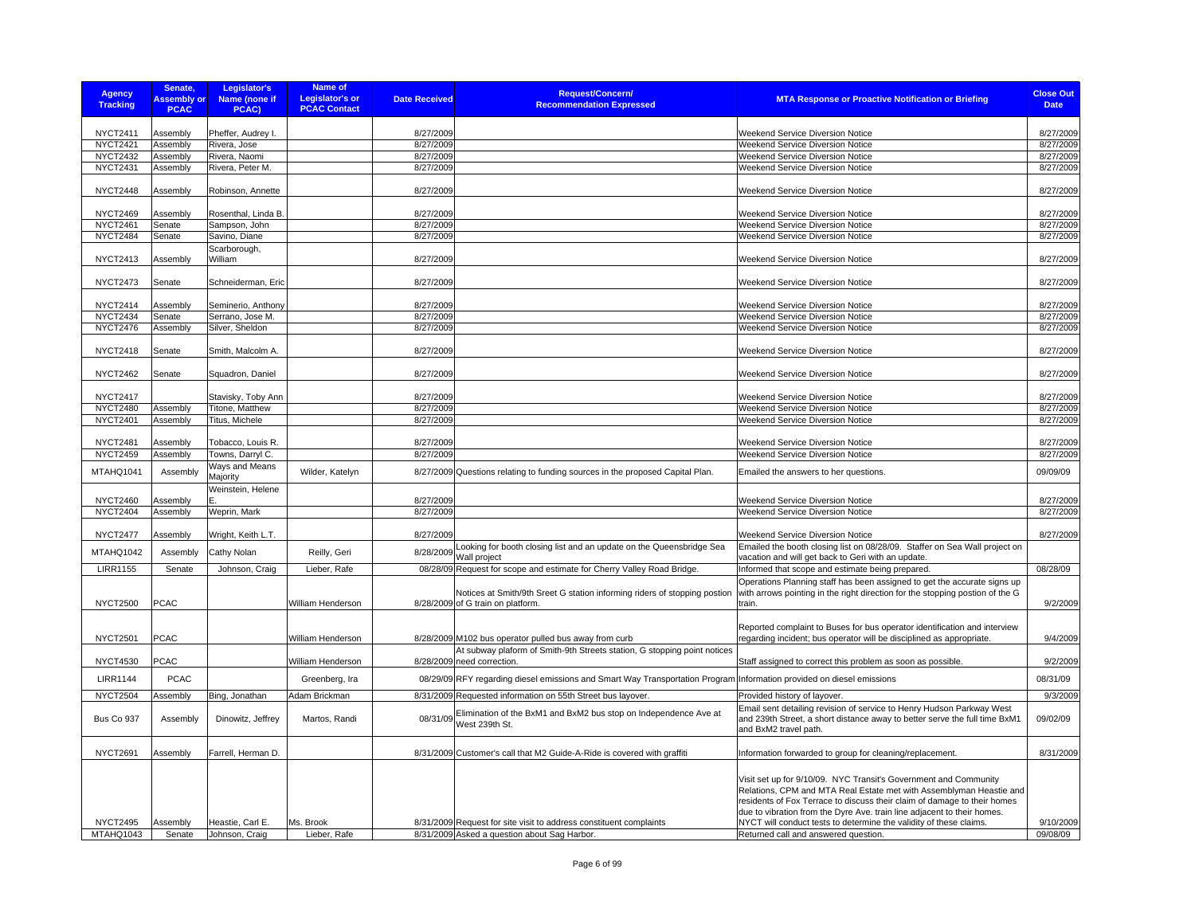| <b>Agency</b><br><b>Tracking</b>   | Senate,<br><b>Assembly or</b><br><b>PCAC</b> | Legislator's<br>Name (none if<br>PCAC) | Name of<br><b>Legislator's or</b><br><b>PCAC Contact</b> | <b>Date Received</b>   | <b>Request/Concern/</b><br><b>Recommendation Expressed</b>                                                            | <b>MTA Response or Proactive Notification or Briefing</b>                                                                                                                                                                                                                                                                                                            | <b>Close Out</b><br><b>Date</b> |
|------------------------------------|----------------------------------------------|----------------------------------------|----------------------------------------------------------|------------------------|-----------------------------------------------------------------------------------------------------------------------|----------------------------------------------------------------------------------------------------------------------------------------------------------------------------------------------------------------------------------------------------------------------------------------------------------------------------------------------------------------------|---------------------------------|
|                                    |                                              |                                        |                                                          |                        |                                                                                                                       |                                                                                                                                                                                                                                                                                                                                                                      |                                 |
| <b>NYCT2411</b><br><b>NYCT2421</b> | Assembly<br>Assembly                         | Pheffer, Audrey I.<br>Rivera, Jose     |                                                          | 8/27/2009<br>8/27/2009 |                                                                                                                       | <b>Weekend Service Diversion Notice</b><br>Weekend Service Diversion Notice                                                                                                                                                                                                                                                                                          | 8/27/2009<br>8/27/2009          |
| <b>NYCT2432</b>                    | Assembly                                     | Rivera, Naomi                          |                                                          | 8/27/2009              |                                                                                                                       | Weekend Service Diversion Notice                                                                                                                                                                                                                                                                                                                                     | 8/27/2009                       |
| <b>NYCT2431</b>                    | Assembly                                     | Rivera, Peter M.                       |                                                          | 8/27/2009              |                                                                                                                       | Weekend Service Diversion Notice                                                                                                                                                                                                                                                                                                                                     | 8/27/2009                       |
|                                    |                                              |                                        |                                                          |                        |                                                                                                                       |                                                                                                                                                                                                                                                                                                                                                                      |                                 |
| <b>NYCT2448</b>                    | Assembly                                     | Robinson, Annette                      |                                                          | 8/27/2009              |                                                                                                                       | Weekend Service Diversion Notice                                                                                                                                                                                                                                                                                                                                     | 8/27/2009                       |
| <b>NYCT2469</b>                    | Assembly                                     | Rosenthal, Linda B                     |                                                          | 8/27/2009              |                                                                                                                       | Weekend Service Diversion Notice                                                                                                                                                                                                                                                                                                                                     | 8/27/2009                       |
| <b>NYCT2461</b>                    | Senate                                       | Sampson, John                          |                                                          | 8/27/2009              |                                                                                                                       | Weekend Service Diversion Notice                                                                                                                                                                                                                                                                                                                                     | 8/27/2009                       |
| <b>NYCT2484</b>                    | Senate                                       | Savino, Diane                          |                                                          | 8/27/2009              |                                                                                                                       | Weekend Service Diversion Notice                                                                                                                                                                                                                                                                                                                                     | 8/27/2009                       |
| <b>NYCT2413</b>                    | Assembly                                     | Scarborough,<br>William                |                                                          | 8/27/2009              |                                                                                                                       | Weekend Service Diversion Notice                                                                                                                                                                                                                                                                                                                                     | 8/27/2009                       |
| <b>NYCT2473</b>                    | Senate                                       | Schneiderman, Eric                     |                                                          | 8/27/2009              |                                                                                                                       | Weekend Service Diversion Notice                                                                                                                                                                                                                                                                                                                                     | 8/27/2009                       |
| <b>NYCT2414</b>                    | Assembly                                     | Seminerio, Anthony                     |                                                          | 8/27/2009              |                                                                                                                       | Weekend Service Diversion Notice                                                                                                                                                                                                                                                                                                                                     | 8/27/2009                       |
| <b>NYCT2434</b>                    | Senate                                       | Serrano, Jose M.                       |                                                          | 8/27/2009              |                                                                                                                       | Weekend Service Diversion Notice                                                                                                                                                                                                                                                                                                                                     | 8/27/2009                       |
| <b>NYCT2476</b>                    | Assembly                                     | Silver, Sheldon                        |                                                          | 8/27/2009              |                                                                                                                       | Weekend Service Diversion Notice                                                                                                                                                                                                                                                                                                                                     | 8/27/2009                       |
| <b>NYCT2418</b>                    | Senate                                       | Smith, Malcolm A.                      |                                                          | 8/27/2009              |                                                                                                                       | Weekend Service Diversion Notice                                                                                                                                                                                                                                                                                                                                     | 8/27/2009                       |
|                                    |                                              |                                        |                                                          |                        |                                                                                                                       |                                                                                                                                                                                                                                                                                                                                                                      |                                 |
| <b>NYCT2462</b>                    | Senate                                       | Squadron, Daniel                       |                                                          | 8/27/2009              |                                                                                                                       | Weekend Service Diversion Notice                                                                                                                                                                                                                                                                                                                                     | 8/27/2009                       |
| <b>NYCT2417</b>                    |                                              | Stavisky, Toby Ann                     |                                                          | 8/27/2009              |                                                                                                                       | <b>Weekend Service Diversion Notice</b>                                                                                                                                                                                                                                                                                                                              | 8/27/2009                       |
| <b>NYCT2480</b>                    | Assembly                                     | Titone, Matthew                        |                                                          | 8/27/2009              |                                                                                                                       | Weekend Service Diversion Notice                                                                                                                                                                                                                                                                                                                                     | 8/27/2009                       |
| <b>NYCT2401</b>                    | Assembly                                     | Titus, Michele                         |                                                          | 8/27/2009              |                                                                                                                       | Weekend Service Diversion Notice                                                                                                                                                                                                                                                                                                                                     | 8/27/2009                       |
| <b>NYCT2481</b>                    | Assembly                                     | Tobacco, Louis R.                      |                                                          | 8/27/2009              |                                                                                                                       | Weekend Service Diversion Notice                                                                                                                                                                                                                                                                                                                                     | 8/27/2009                       |
| <b>NYCT2459</b>                    | Assembly                                     | Towns, Darryl C.                       |                                                          | 8/27/2009              |                                                                                                                       | Weekend Service Diversion Notice                                                                                                                                                                                                                                                                                                                                     | 8/27/2009                       |
| MTAHQ1041                          | Assembly                                     | Ways and Means<br>Majority             | Wilder, Katelyn                                          |                        | 8/27/2009 Questions relating to funding sources in the proposed Capital Plan.                                         | Emailed the answers to her questions.                                                                                                                                                                                                                                                                                                                                | 09/09/09                        |
|                                    |                                              | Weinstein, Helene                      |                                                          |                        |                                                                                                                       |                                                                                                                                                                                                                                                                                                                                                                      |                                 |
| <b>NYCT2460</b><br><b>NYCT2404</b> | Assembly<br>Assembly                         | Weprin, Mark                           |                                                          | 8/27/2009<br>8/27/2009 |                                                                                                                       | Weekend Service Diversion Notice<br>Weekend Service Diversion Notice                                                                                                                                                                                                                                                                                                 | 8/27/2009<br>8/27/2009          |
|                                    |                                              |                                        |                                                          |                        |                                                                                                                       |                                                                                                                                                                                                                                                                                                                                                                      |                                 |
| <b>NYCT2477</b>                    | Assembly                                     | Wright, Keith L.T.                     |                                                          | 8/27/2009              |                                                                                                                       | Weekend Service Diversion Notice                                                                                                                                                                                                                                                                                                                                     | 8/27/2009                       |
| MTAHQ1042                          | Assembly                                     | Cathy Nolan                            | Reilly, Geri                                             |                        | 8/28/2009 Looking for booth closing list and an update on the Queensbridge Sea<br>Wall project                        | Emailed the booth closing list on 08/28/09. Staffer on Sea Wall project on<br>vacation and will get back to Geri with an update.                                                                                                                                                                                                                                     |                                 |
| <b>LIRR1155</b>                    | Senate                                       | Johnson, Craig                         | Lieber, Rafe                                             |                        | 08/28/09 Request for scope and estimate for Cherry Valley Road Bridge                                                 | Informed that scope and estimate being prepared                                                                                                                                                                                                                                                                                                                      | 08/28/09                        |
| <b>NYCT2500</b>                    | <b>PCAC</b>                                  |                                        | William Henderson                                        |                        | Notices at Smith/9th Sreet G station informing riders of stopping postion<br>8/28/2009 of G train on platform.        | Operations Planning staff has been assigned to get the accurate signs up<br>with arrows pointing in the right direction for the stopping postion of the G<br>train.                                                                                                                                                                                                  | 9/2/2009                        |
|                                    |                                              |                                        |                                                          |                        |                                                                                                                       |                                                                                                                                                                                                                                                                                                                                                                      |                                 |
| <b>NYCT2501</b>                    | <b>PCAC</b>                                  |                                        | William Henderson                                        |                        | 8/28/2009 M102 bus operator pulled bus away from curb                                                                 | Reported complaint to Buses for bus operator identification and interview<br>regarding incident; bus operator will be disciplined as appropriate.                                                                                                                                                                                                                    | 9/4/2009                        |
| <b>NYCT4530</b>                    | PCAC                                         |                                        | William Henderson                                        |                        | At subway plaform of Smith-9th Streets station, G stopping point notices<br>8/28/2009 need correction.                | Staff assigned to correct this problem as soon as possible.                                                                                                                                                                                                                                                                                                          | 9/2/2009                        |
| <b>LIRR1144</b>                    | <b>PCAC</b>                                  |                                        | Greenberg, Ira                                           |                        | 08/29/09 RFY regarding diesel emissions and Smart Way Transportation Program Information provided on diesel emissions |                                                                                                                                                                                                                                                                                                                                                                      | 08/31/09                        |
| <b>NYCT2504</b>                    | Assembly                                     | Bing, Jonathan                         | Adam Brickman                                            |                        | 8/31/2009 Requested information on 55th Street bus layover.                                                           | Provided history of layover.                                                                                                                                                                                                                                                                                                                                         | 9/3/2009                        |
|                                    |                                              |                                        |                                                          |                        |                                                                                                                       | Email sent detailing revision of service to Henry Hudson Parkway West                                                                                                                                                                                                                                                                                                |                                 |
| <b>Bus Co 937</b>                  | Assembly                                     | Dinowitz, Jeffrey                      | Martos, Randi                                            | 08/31/09               | Elimination of the BxM1 and BxM2 bus stop on Independence Ave at<br>West 239th St.                                    | and 239th Street, a short distance away to better serve the full time BxM1<br>and BxM2 travel path.                                                                                                                                                                                                                                                                  | 09/02/09                        |
| <b>NYCT2691</b>                    | Assembly                                     | Farrell, Herman D.                     |                                                          |                        | 8/31/2009 Customer's call that M2 Guide-A-Ride is covered with graffiti                                               | Information forwarded to group for cleaning/replacement.                                                                                                                                                                                                                                                                                                             | 8/31/2009                       |
| <b>NYCT2495</b>                    | Assembly                                     | Heastie, Carl E.                       | Ms. Brook                                                |                        | 8/31/2009 Request for site visit to address constituent complaints                                                    | Visit set up for 9/10/09. NYC Transit's Government and Community<br>Relations, CPM and MTA Real Estate met with Assemblyman Heastie and<br>residents of Fox Terrace to discuss their claim of damage to their homes<br>due to vibration from the Dyre Ave. train line adjacent to their homes.<br>NYCT will conduct tests to determine the validity of these claims. | 9/10/2009                       |
| MTAHQ1043                          | Senate                                       | Johnson, Craig                         | Lieber, Rafe                                             |                        | 8/31/2009 Asked a question about Sag Harbor.                                                                          | Returned call and answered question.                                                                                                                                                                                                                                                                                                                                 | 09/08/09                        |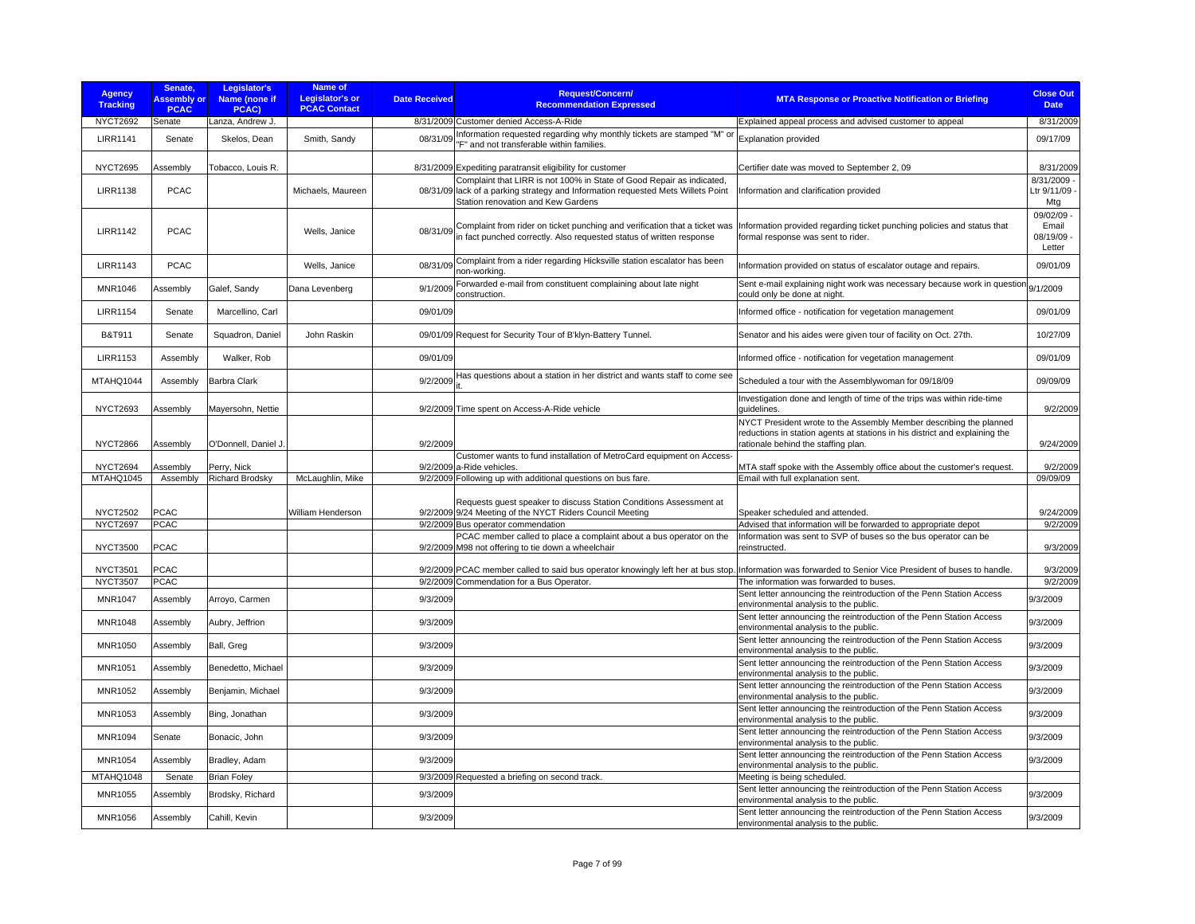| <b>Agency</b><br><b>Tracking</b> | Senate,<br><b>Assembly or</b><br><b>PCAC</b> | Legislator's<br>Name (none if<br>PCAC) | Name of<br><b>Legislator's or</b><br><b>PCAC Contact</b> | <b>Date Received</b> | <b>Request/Concern/</b><br><b>Recommendation Expressed</b>                                                                                                                                      | <b>MTA Response or Proactive Notification or Briefing</b>                                                          | <b>Close Out</b><br><b>Date</b>             |
|----------------------------------|----------------------------------------------|----------------------------------------|----------------------------------------------------------|----------------------|-------------------------------------------------------------------------------------------------------------------------------------------------------------------------------------------------|--------------------------------------------------------------------------------------------------------------------|---------------------------------------------|
| NYCT2692                         | Senate                                       | Lanza, Andrew J.                       |                                                          |                      | 8/31/2009 Customer denied Access-A-Ride                                                                                                                                                         | Explained appeal process and advised customer to appeal                                                            | 8/31/2009                                   |
| <b>LIRR1141</b>                  | Senate                                       | Skelos, Dean                           | Smith, Sandy                                             | 08/31/09             | Information requested regarding why monthly tickets are stamped "M" or<br>'F" and not transferable within families.                                                                             | <b>Explanation provided</b>                                                                                        | 09/17/09                                    |
| NYCT2695                         | Assembly                                     | Tobacco, Louis R.                      |                                                          |                      | 8/31/2009 Expediting paratransit eligibility for customer                                                                                                                                       | Certifier date was moved to September 2, 09                                                                        | 8/31/2009                                   |
| <b>LIRR1138</b>                  | <b>PCAC</b>                                  |                                        | Michaels, Maureen                                        |                      | Complaint that LIRR is not 100% in State of Good Repair as indicated,<br>08/31/09 lack of a parking strategy and Information requested Mets Willets Point<br>Station renovation and Kew Gardens | Information and clarification provided                                                                             | 8/31/2009<br>Ltr 9/11/09<br>Mtg             |
| <b>LIRR1142</b>                  | <b>PCAC</b>                                  |                                        | Wells, Janice                                            | 08/31/09             | Complaint from rider on ticket punching and verification that a ticket was<br>in fact punched correctly. Also requested status of written response                                              | Information provided regarding ticket punching policies and status that<br>formal response was sent to rider.      | 09/02/09 -<br>Email<br>08/19/09 -<br>Letter |
| <b>LIRR1143</b>                  | <b>PCAC</b>                                  |                                        | Wells, Janice                                            | 08/31/09             | Complaint from a rider regarding Hicksville station escalator has been<br>non-working.                                                                                                          | Information provided on status of escalator outage and repairs.                                                    | 09/01/09                                    |
| <b>MNR1046</b>                   | Assembly                                     | Galef, Sandy                           | Dana Levenberg                                           | 9/1/2009             | Forwarded e-mail from constituent complaining about late night<br>construction.                                                                                                                 | Sent e-mail explaining night work was necessary because work in question<br>could only be done at night.           | 9/1/2009                                    |
| <b>LIRR1154</b>                  | Senate                                       | Marcellino, Carl                       |                                                          | 09/01/09             |                                                                                                                                                                                                 | Informed office - notification for vegetation management                                                           | 09/01/09                                    |
| B&T911                           | Senate                                       | Squadron, Daniel                       | John Raskin                                              |                      | 09/01/09 Request for Security Tour of B'klyn-Battery Tunnel.                                                                                                                                    | Senator and his aides were given tour of facility on Oct. 27th.                                                    | 10/27/09                                    |
| <b>LIRR1153</b>                  | Assembly                                     | Walker, Rob                            |                                                          | 09/01/09             |                                                                                                                                                                                                 | Informed office - notification for vegetation management                                                           | 09/01/09                                    |
| MTAHQ1044                        | Assembly                                     | <b>Barbra Clark</b>                    |                                                          | 9/2/2009             | Has questions about a station in her district and wants staff to come see                                                                                                                       | Scheduled a tour with the Assemblywoman for 09/18/09                                                               | 09/09/09                                    |
| <b>NYCT2693</b>                  | Assembly                                     | Mayersohn, Nettie                      |                                                          |                      | 9/2/2009 Time spent on Access-A-Ride vehicle                                                                                                                                                    | Investigation done and length of time of the trips was within ride-time<br>quidelines.                             | 9/2/2009                                    |
|                                  |                                              |                                        |                                                          |                      |                                                                                                                                                                                                 | NYCT President wrote to the Assembly Member describing the planned                                                 |                                             |
| <b>NYCT2866</b>                  | Assembly                                     | O'Donnell, Daniel J                    |                                                          | 9/2/2009             |                                                                                                                                                                                                 | reductions in station agents at stations in his district and explaining the<br>rationale behind the staffing plan. | 9/24/2009                                   |
| <b>NYCT2694</b>                  | Assembly                                     | Perry, Nick                            |                                                          |                      | Customer wants to fund installation of MetroCard equipment on Access-<br>9/2/2009 a-Ride vehicles.                                                                                              | MTA staff spoke with the Assembly office about the customer's request.                                             | 9/2/2009                                    |
| MTAHQ1045                        | Assembly                                     | <b>Richard Brodsky</b>                 | McLaughlin, Mike                                         |                      | 9/2/2009 Following up with additional questions on bus fare.                                                                                                                                    | Email with full explanation sent.                                                                                  | 09/09/09                                    |
| <b>NYCT2502</b>                  | <b>PCAC</b>                                  |                                        | William Henderson                                        |                      | Requests quest speaker to discuss Station Conditions Assessment at<br>9/2/2009 9/24 Meeting of the NYCT Riders Council Meeting                                                                  | Speaker scheduled and attended.                                                                                    | 9/24/2009                                   |
| <b>NYCT2697</b>                  | <b>PCAC</b>                                  |                                        |                                                          |                      | 9/2/2009 Bus operator commendation                                                                                                                                                              | Advised that information will be forwarded to appropriate depot                                                    | 9/2/2009                                    |
| <b>NYCT3500</b>                  | <b>PCAC</b>                                  |                                        |                                                          |                      | PCAC member called to place a complaint about a bus operator on the<br>9/2/2009 M98 not offering to tie down a wheelchair                                                                       | Information was sent to SVP of buses so the bus operator can be<br>reinstructed.                                   | 9/3/2009                                    |
| <b>NYCT3501</b>                  | <b>PCAC</b>                                  |                                        |                                                          |                      | 9/2/2009 PCAC member called to said bus operator knowingly left her at bus stop. Information was forwarded to Senior Vice President of buses to handle.                                         |                                                                                                                    | 9/3/2009                                    |
| <b>NYCT3507</b>                  | <b>PCAC</b>                                  |                                        |                                                          |                      | 9/2/2009 Commendation for a Bus Operator.                                                                                                                                                       | The information was forwarded to buses.                                                                            | 9/2/2009                                    |
| <b>MNR1047</b>                   | Assembly                                     | Arroyo, Carmen                         |                                                          | 9/3/2009             |                                                                                                                                                                                                 | Sent letter announcing the reintroduction of the Penn Station Access<br>environmental analysis to the public.      | 9/3/2009                                    |
| <b>MNR1048</b>                   | Assembly                                     | Aubry, Jeffrion                        |                                                          | 9/3/2009             |                                                                                                                                                                                                 | Sent letter announcing the reintroduction of the Penn Station Access<br>environmental analysis to the public.      | 9/3/2009                                    |
| <b>MNR1050</b>                   | Assembly                                     | Ball, Greg                             |                                                          | 9/3/2009             |                                                                                                                                                                                                 | Sent letter announcing the reintroduction of the Penn Station Access<br>environmental analysis to the public.      | 9/3/2009                                    |
| MNR1051                          | Assembly                                     | Benedetto, Michael                     |                                                          | 9/3/2009             |                                                                                                                                                                                                 | Sent letter announcing the reintroduction of the Penn Station Access<br>environmental analysis to the public.      | 9/3/2009                                    |
| MNR1052                          | Assembly                                     | Benjamin, Michael                      |                                                          | 9/3/2009             |                                                                                                                                                                                                 | Sent letter announcing the reintroduction of the Penn Station Access<br>environmental analysis to the public.      | 9/3/2009                                    |
| MNR1053                          | Assembly                                     | Bing, Jonathan                         |                                                          | 9/3/2009             |                                                                                                                                                                                                 | Sent letter announcing the reintroduction of the Penn Station Access<br>environmental analysis to the public.      | 9/3/2009                                    |
| <b>MNR1094</b>                   | Senate                                       | Bonacic, John                          |                                                          | 9/3/2009             |                                                                                                                                                                                                 | Sent letter announcing the reintroduction of the Penn Station Access<br>environmental analysis to the public.      | 9/3/2009                                    |
| <b>MNR1054</b>                   | Assembly                                     | Bradley, Adam                          |                                                          | 9/3/2009             |                                                                                                                                                                                                 | Sent letter announcing the reintroduction of the Penn Station Access<br>environmental analysis to the public.      | 9/3/2009                                    |
| MTAHQ1048                        | Senate                                       | <b>Brian Foley</b>                     |                                                          |                      | 9/3/2009 Requested a briefing on second track.                                                                                                                                                  | Meeting is being scheduled.                                                                                        |                                             |
| <b>MNR1055</b>                   | Assembly                                     | Brodsky, Richard                       |                                                          | 9/3/2009             |                                                                                                                                                                                                 | Sent letter announcing the reintroduction of the Penn Station Access<br>environmental analysis to the public.      | 9/3/2009                                    |
| <b>MNR1056</b>                   | Assembly                                     | Cahill, Kevin                          |                                                          | 9/3/2009             |                                                                                                                                                                                                 | Sent letter announcing the reintroduction of the Penn Station Access<br>environmental analysis to the public.      | 9/3/2009                                    |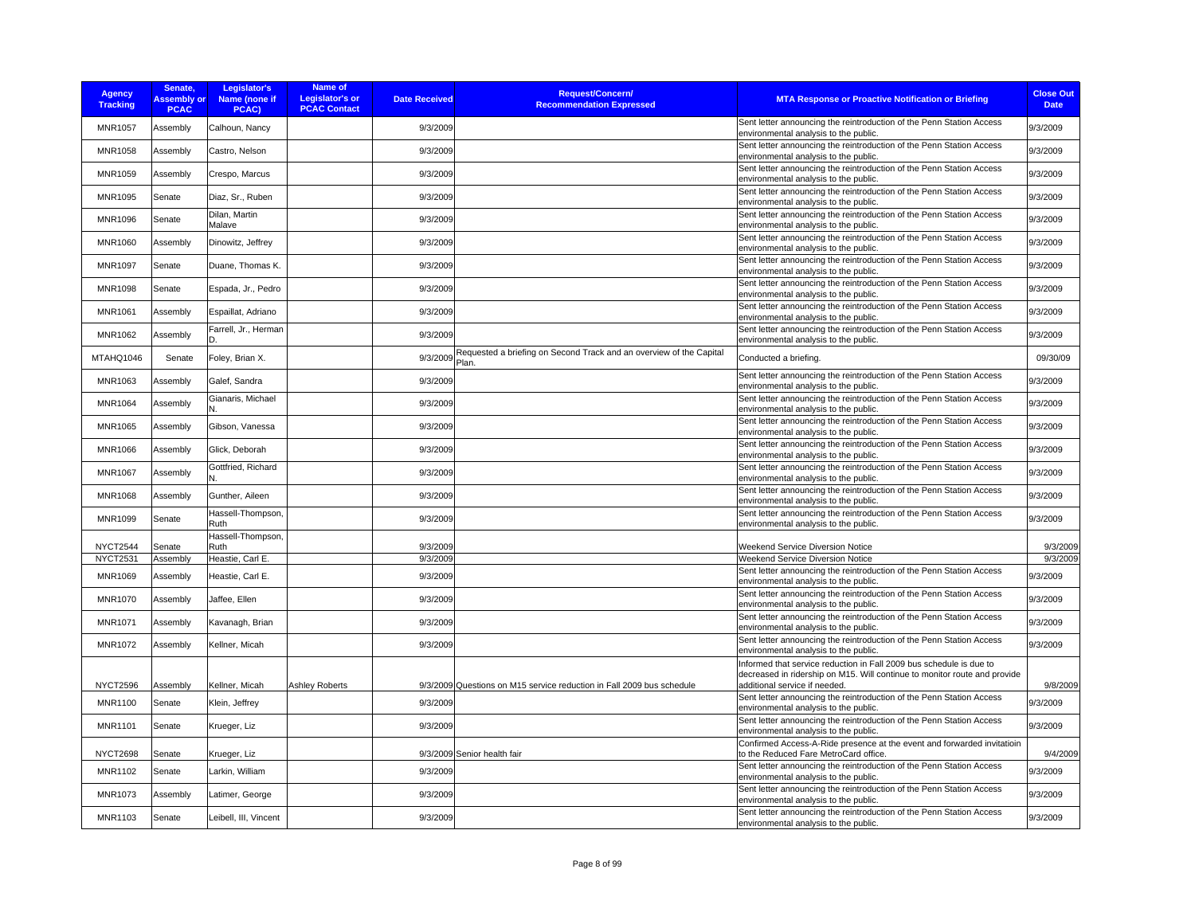| <b>Agency</b><br><b>Tracking</b> | Senate,<br><b>Assembly or</b><br><b>PCAC</b> | Legislator's<br>Name (none if<br>PCAC) | Name of<br><b>Legislator's or</b><br><b>PCAC Contact</b> | <b>Date Received</b> | <b>Request/Concern/</b><br><b>Recommendation Expressed</b>            | <b>MTA Response or Proactive Notification or Briefing</b>                                                                                        | <b>Close Out</b><br><b>Date</b> |
|----------------------------------|----------------------------------------------|----------------------------------------|----------------------------------------------------------|----------------------|-----------------------------------------------------------------------|--------------------------------------------------------------------------------------------------------------------------------------------------|---------------------------------|
| <b>MNR1057</b>                   | Assembly                                     | Calhoun, Nancy                         |                                                          | 9/3/2009             |                                                                       | Sent letter announcing the reintroduction of the Penn Station Access<br>environmental analysis to the public.                                    | 9/3/2009                        |
| <b>MNR1058</b>                   | Assembly                                     | Castro, Nelson                         |                                                          | 9/3/2009             |                                                                       | Sent letter announcing the reintroduction of the Penn Station Access<br>environmental analysis to the public.                                    | 9/3/2009                        |
| MNR1059                          | Assembly                                     | Crespo, Marcus                         |                                                          | 9/3/2009             |                                                                       | Sent letter announcing the reintroduction of the Penn Station Access<br>environmental analysis to the public.                                    | 9/3/2009                        |
| MNR1095                          | Senate                                       | Diaz, Sr., Ruben                       |                                                          | 9/3/2009             |                                                                       | Sent letter announcing the reintroduction of the Penn Station Access<br>environmental analysis to the public.                                    | 9/3/2009                        |
| <b>MNR1096</b>                   | Senate                                       | Dilan, Martin<br>Malave                |                                                          | 9/3/2009             |                                                                       | Sent letter announcing the reintroduction of the Penn Station Access<br>environmental analysis to the public.                                    | 9/3/2009                        |
| <b>MNR1060</b>                   | Assembly                                     | Dinowitz, Jeffrey                      |                                                          | 9/3/2009             |                                                                       | Sent letter announcing the reintroduction of the Penn Station Access<br>environmental analysis to the public.                                    | 9/3/2009                        |
| <b>MNR1097</b>                   | Senate                                       | Duane, Thomas K.                       |                                                          | 9/3/2009             |                                                                       | Sent letter announcing the reintroduction of the Penn Station Access<br>environmental analysis to the public.                                    | 9/3/2009                        |
| <b>MNR1098</b>                   | Senate                                       | Espada, Jr., Pedro                     |                                                          | 9/3/2009             |                                                                       | Sent letter announcing the reintroduction of the Penn Station Access<br>environmental analysis to the public.                                    | 9/3/2009                        |
| <b>MNR1061</b>                   | Assembly                                     | Espaillat, Adriano                     |                                                          | 9/3/2009             |                                                                       | Sent letter announcing the reintroduction of the Penn Station Access<br>environmental analysis to the public.                                    | 9/3/2009                        |
| MNR1062                          | Assembly                                     | Farrell, Jr., Herman                   |                                                          | 9/3/2009             |                                                                       | Sent letter announcing the reintroduction of the Penn Station Access<br>environmental analysis to the public.                                    | 9/3/2009                        |
| MTAHQ1046                        | Senate                                       | Foley, Brian X.                        |                                                          | $9/3/2009$ Plan.     | Requested a briefing on Second Track and an overview of the Capital   | Conducted a briefing.                                                                                                                            | 09/30/09                        |
| MNR1063                          | Assembly                                     | Galef, Sandra                          |                                                          | 9/3/2009             |                                                                       | Sent letter announcing the reintroduction of the Penn Station Access<br>environmental analysis to the public.                                    | 9/3/2009                        |
| <b>MNR1064</b>                   | Assembly                                     | Gianaris, Michael                      |                                                          | 9/3/2009             |                                                                       | Sent letter announcing the reintroduction of the Penn Station Access<br>environmental analysis to the public.                                    | 9/3/2009                        |
| <b>MNR1065</b>                   | Assembly                                     | Gibson, Vanessa                        |                                                          | 9/3/2009             |                                                                       | Sent letter announcing the reintroduction of the Penn Station Access<br>environmental analysis to the public.                                    | 9/3/2009                        |
| <b>MNR1066</b>                   | Assembly                                     | Glick, Deborah                         |                                                          | 9/3/2009             |                                                                       | Sent letter announcing the reintroduction of the Penn Station Access<br>environmental analysis to the public.                                    | 9/3/2009                        |
| <b>MNR1067</b>                   | Assembly                                     | Gottfried, Richard                     |                                                          | 9/3/2009             |                                                                       | Sent letter announcing the reintroduction of the Penn Station Access<br>environmental analysis to the public.                                    | 9/3/2009                        |
| <b>MNR1068</b>                   | Assembly                                     | Gunther, Aileen                        |                                                          | 9/3/2009             |                                                                       | Sent letter announcing the reintroduction of the Penn Station Access<br>environmental analysis to the public.                                    | 9/3/2009                        |
| MNR1099                          | Senate                                       | Hassell-Thompson,<br>Ruth              |                                                          | 9/3/2009             |                                                                       | Sent letter announcing the reintroduction of the Penn Station Access<br>environmental analysis to the public.                                    | 9/3/2009                        |
| NYCT2544                         | Senate                                       | Hassell-Thompson,<br>Ruth              |                                                          | 9/3/2009             |                                                                       | Weekend Service Diversion Notice                                                                                                                 | 9/3/2009                        |
| NYCT2531                         | Assembly                                     | Heastie, Carl E.                       |                                                          | 9/3/2009             |                                                                       | Weekend Service Diversion Notice                                                                                                                 | 9/3/2009                        |
| MNR1069                          | Assembly                                     | Heastie, Carl E.                       |                                                          | 9/3/2009             |                                                                       | Sent letter announcing the reintroduction of the Penn Station Access<br>environmental analysis to the public.                                    | 9/3/2009                        |
| MNR1070                          | Assembly                                     | Jaffee, Ellen                          |                                                          | 9/3/2009             |                                                                       | Sent letter announcing the reintroduction of the Penn Station Access<br>environmental analysis to the public.                                    | 9/3/2009                        |
| MNR1071                          | Assembly                                     | Kavanagh, Brian                        |                                                          | 9/3/2009             |                                                                       | Sent letter announcing the reintroduction of the Penn Station Access<br>environmental analysis to the public.                                    | 9/3/2009                        |
| <b>MNR1072</b>                   | Assembly                                     | Kellner, Micah                         |                                                          | 9/3/2009             |                                                                       | Sent letter announcing the reintroduction of the Penn Station Access<br>environmental analysis to the public.                                    | 9/3/2009                        |
|                                  |                                              |                                        |                                                          |                      |                                                                       | Informed that service reduction in Fall 2009 bus schedule is due to<br>decreased in ridership on M15. Will continue to monitor route and provide |                                 |
| <b>NYCT2596</b>                  | Assembly                                     | Kellner, Micah                         | Ashley Roberts                                           |                      | 9/3/2009 Questions on M15 service reduction in Fall 2009 bus schedule | additional service if needed.                                                                                                                    | 9/8/2009                        |
| <b>MNR1100</b>                   | Senate                                       | Klein, Jeffrey                         |                                                          | 9/3/2009             |                                                                       | Sent letter announcing the reintroduction of the Penn Station Access<br>environmental analysis to the public.                                    | 9/3/2009                        |
| <b>MNR1101</b>                   | Senate                                       | Krueger, Liz                           |                                                          | 9/3/2009             |                                                                       | Sent letter announcing the reintroduction of the Penn Station Access<br>environmental analysis to the public.                                    | 9/3/2009                        |
| <b>NYCT2698</b>                  | Senate                                       | Krueger, Liz                           |                                                          |                      | 9/3/2009 Senior health fair                                           | Confirmed Access-A-Ride presence at the event and forwarded invitatioin<br>to the Reduced Fare MetroCard office.                                 | 9/4/2009                        |
| MNR1102                          | Senate                                       | Larkin, William                        |                                                          | 9/3/2009             |                                                                       | Sent letter announcing the reintroduction of the Penn Station Access<br>environmental analysis to the public.                                    | 9/3/2009                        |
| <b>MNR1073</b>                   | Assembly                                     | Latimer, George                        |                                                          | 9/3/2009             |                                                                       | Sent letter announcing the reintroduction of the Penn Station Access<br>environmental analysis to the public.                                    | 9/3/2009                        |
| <b>MNR1103</b>                   | Senate                                       | Leibell, III, Vincent                  |                                                          | 9/3/2009             |                                                                       | Sent letter announcing the reintroduction of the Penn Station Access<br>environmental analysis to the public.                                    | 9/3/2009                        |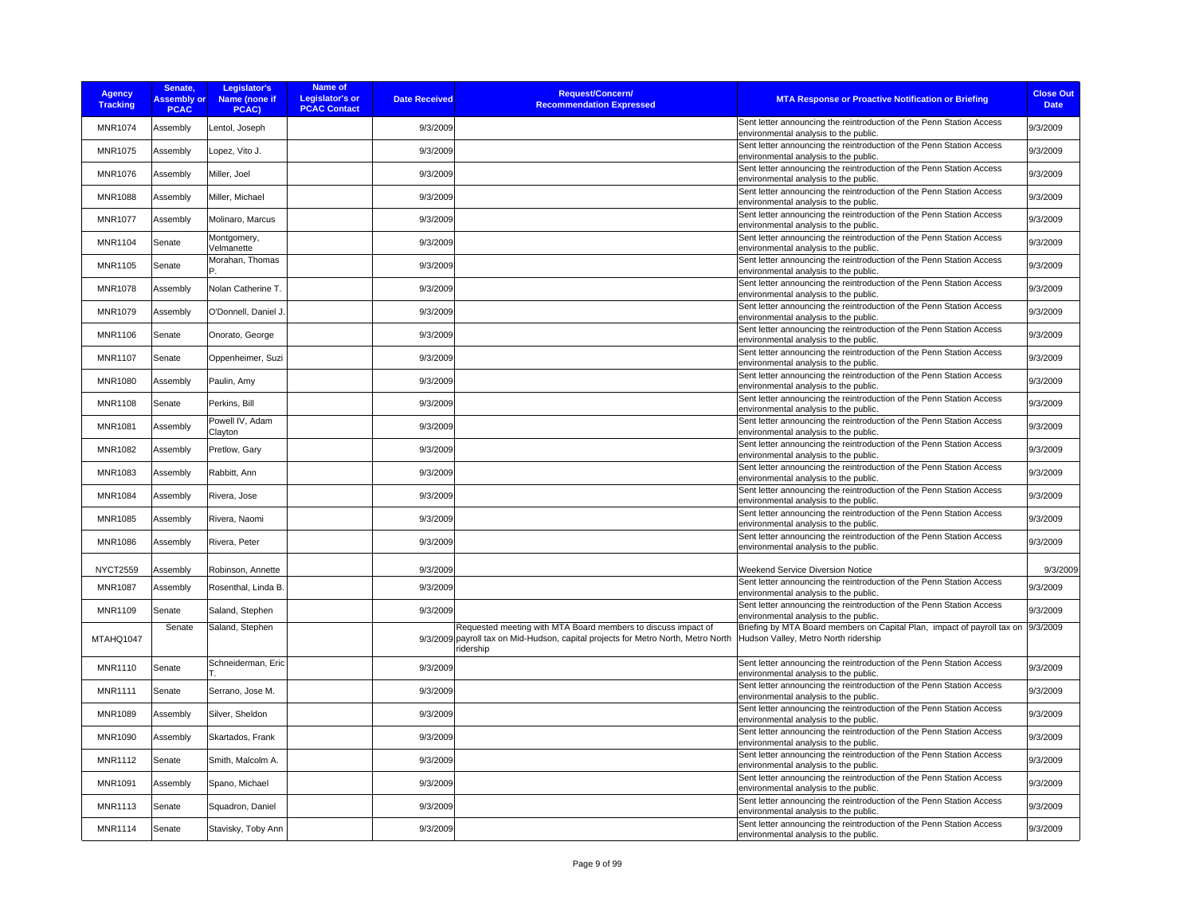| <b>Agency</b><br><b>Tracking</b> | Senate,<br><b>Assembly or</b><br><b>PCAC</b> | Legislator's<br>Name (none if<br>PCAC) | <b>Name of</b><br><b>Legislator's or</b><br><b>PCAC Contact</b> | <b>Date Received</b> | <b>Request/Concern/</b><br><b>Recommendation Expressed</b>                                                                                                      | <b>MTA Response or Proactive Notification or Briefing</b>                                                                | <b>Close Out</b><br><b>Date</b> |
|----------------------------------|----------------------------------------------|----------------------------------------|-----------------------------------------------------------------|----------------------|-----------------------------------------------------------------------------------------------------------------------------------------------------------------|--------------------------------------------------------------------------------------------------------------------------|---------------------------------|
| <b>MNR1074</b>                   | Assembly                                     | Lentol, Joseph                         |                                                                 | 9/3/2009             |                                                                                                                                                                 | Sent letter announcing the reintroduction of the Penn Station Access<br>environmental analysis to the public.            | 9/3/2009                        |
| <b>MNR1075</b>                   | Assembly                                     | Lopez, Vito J.                         |                                                                 | 9/3/2009             |                                                                                                                                                                 | Sent letter announcing the reintroduction of the Penn Station Access<br>environmental analysis to the public.            | 9/3/2009                        |
| <b>MNR1076</b>                   | Assembly                                     | Miller, Joel                           |                                                                 | 9/3/2009             |                                                                                                                                                                 | Sent letter announcing the reintroduction of the Penn Station Access<br>environmental analysis to the public.            | 9/3/2009                        |
| <b>MNR1088</b>                   | Assembly                                     | Miller, Michael                        |                                                                 | 9/3/2009             |                                                                                                                                                                 | Sent letter announcing the reintroduction of the Penn Station Access<br>environmental analysis to the public.            | 9/3/2009                        |
| <b>MNR1077</b>                   | Assembly                                     | Molinaro, Marcus                       |                                                                 | 9/3/2009             |                                                                                                                                                                 | Sent letter announcing the reintroduction of the Penn Station Access<br>environmental analysis to the public.            | 9/3/2009                        |
| <b>MNR1104</b>                   | Senate                                       | Montgomery,<br>Velmanette              |                                                                 | 9/3/2009             |                                                                                                                                                                 | Sent letter announcing the reintroduction of the Penn Station Access<br>environmental analysis to the public.            | 9/3/2009                        |
| <b>MNR1105</b>                   | Senate                                       | Morahan, Thomas                        |                                                                 | 9/3/2009             |                                                                                                                                                                 | Sent letter announcing the reintroduction of the Penn Station Access<br>environmental analysis to the public.            | 9/3/2009                        |
| <b>MNR1078</b>                   | Assembly                                     | Nolan Catherine T.                     |                                                                 | 9/3/2009             |                                                                                                                                                                 | Sent letter announcing the reintroduction of the Penn Station Access<br>environmental analysis to the public.            | 9/3/2009                        |
| MNR1079                          | Assembly                                     | O'Donnell, Daniel J.                   |                                                                 | 9/3/2009             |                                                                                                                                                                 | Sent letter announcing the reintroduction of the Penn Station Access<br>environmental analysis to the public.            | 9/3/2009                        |
| <b>MNR1106</b>                   | Senate                                       | Onorato, George                        |                                                                 | 9/3/2009             |                                                                                                                                                                 | Sent letter announcing the reintroduction of the Penn Station Access<br>environmental analysis to the public.            | 9/3/2009                        |
| <b>MNR1107</b>                   | Senate                                       | Oppenheimer, Suzi                      |                                                                 | 9/3/2009             |                                                                                                                                                                 | Sent letter announcing the reintroduction of the Penn Station Access<br>environmental analysis to the public.            | 9/3/2009                        |
| <b>MNR1080</b>                   | Assembly                                     | Paulin, Amy                            |                                                                 | 9/3/2009             |                                                                                                                                                                 | Sent letter announcing the reintroduction of the Penn Station Access<br>environmental analysis to the public.            | 9/3/2009                        |
| <b>MNR1108</b>                   | Senate                                       | Perkins, Bill                          |                                                                 | 9/3/2009             |                                                                                                                                                                 | Sent letter announcing the reintroduction of the Penn Station Access<br>environmental analysis to the public.            | 9/3/2009                        |
| <b>MNR1081</b>                   | Assembly                                     | Powell IV, Adam<br>Clayton             |                                                                 | 9/3/2009             |                                                                                                                                                                 | Sent letter announcing the reintroduction of the Penn Station Access<br>environmental analysis to the public.            | 9/3/2009                        |
| <b>MNR1082</b>                   | Assembly                                     | Pretlow, Gary                          |                                                                 | 9/3/2009             |                                                                                                                                                                 | Sent letter announcing the reintroduction of the Penn Station Access<br>environmental analysis to the public.            | 9/3/2009                        |
| MNR1083                          | Assembly                                     | Rabbitt, Ann                           |                                                                 | 9/3/2009             |                                                                                                                                                                 | Sent letter announcing the reintroduction of the Penn Station Access<br>environmental analysis to the public.            | 9/3/2009                        |
| <b>MNR1084</b>                   | Assembly                                     | Rivera, Jose                           |                                                                 | 9/3/2009             |                                                                                                                                                                 | Sent letter announcing the reintroduction of the Penn Station Access<br>environmental analysis to the public.            | 9/3/2009                        |
| <b>MNR1085</b>                   | Assembly                                     | Rivera, Naomi                          |                                                                 | 9/3/2009             |                                                                                                                                                                 | Sent letter announcing the reintroduction of the Penn Station Access<br>environmental analysis to the public.            | 9/3/2009                        |
| <b>MNR1086</b>                   | Assembly                                     | Rivera, Peter                          |                                                                 | 9/3/2009             |                                                                                                                                                                 | Sent letter announcing the reintroduction of the Penn Station Access<br>environmental analysis to the public.            | 9/3/2009                        |
| <b>NYCT2559</b>                  | Assembly                                     | Robinson, Annette                      |                                                                 | 9/3/2009             |                                                                                                                                                                 | Weekend Service Diversion Notice                                                                                         | 9/3/2009                        |
| <b>MNR1087</b>                   | Assembly                                     | Rosenthal, Linda B.                    |                                                                 | 9/3/2009             |                                                                                                                                                                 | Sent letter announcing the reintroduction of the Penn Station Access<br>environmental analysis to the public.            | 9/3/2009                        |
| <b>MNR1109</b>                   | Senate                                       | Saland, Stephen                        |                                                                 | 9/3/2009             |                                                                                                                                                                 | Sent letter announcing the reintroduction of the Penn Station Access<br>environmental analysis to the public.            | 9/3/2009                        |
| MTAHQ1047                        | Senate                                       | Saland, Stephen                        |                                                                 |                      | Requested meeting with MTA Board members to discuss impact of<br>9/3/2009 payroll tax on Mid-Hudson, capital projects for Metro North, Metro North<br>ridership | Briefing by MTA Board members on Capital Plan, impact of payroll tax on 9/3/2009<br>Hudson Valley, Metro North ridership |                                 |
| <b>MNR1110</b>                   | Senate                                       | Schneiderman, Eric                     |                                                                 | 9/3/2009             |                                                                                                                                                                 | Sent letter announcing the reintroduction of the Penn Station Access<br>environmental analysis to the public.            | 9/3/2009                        |
| <b>MNR1111</b>                   | Senate                                       | Serrano, Jose M.                       |                                                                 | 9/3/2009             |                                                                                                                                                                 | Sent letter announcing the reintroduction of the Penn Station Access<br>environmental analysis to the public.            | 9/3/2009                        |
| <b>MNR1089</b>                   | Assembly                                     | Silver, Sheldon                        |                                                                 | 9/3/2009             |                                                                                                                                                                 | Sent letter announcing the reintroduction of the Penn Station Access<br>environmental analysis to the public.            | 9/3/2009                        |
| <b>MNR1090</b>                   | Assembly                                     | Skartados, Frank                       |                                                                 | 9/3/2009             |                                                                                                                                                                 | Sent letter announcing the reintroduction of the Penn Station Access<br>environmental analysis to the public.            | 9/3/2009                        |
| <b>MNR1112</b>                   | Senate                                       | Smith, Malcolm A.                      |                                                                 | 9/3/2009             |                                                                                                                                                                 | Sent letter announcing the reintroduction of the Penn Station Access<br>environmental analysis to the public.            | 9/3/2009                        |
| MNR1091                          | Assembly                                     | Spano, Michael                         |                                                                 | 9/3/2009             |                                                                                                                                                                 | Sent letter announcing the reintroduction of the Penn Station Access<br>environmental analysis to the public.            | 9/3/2009                        |
| <b>MNR1113</b>                   | Senate                                       | Squadron, Daniel                       |                                                                 | 9/3/2009             |                                                                                                                                                                 | Sent letter announcing the reintroduction of the Penn Station Access<br>environmental analysis to the public.            | 9/3/2009                        |
| <b>MNR1114</b>                   | Senate                                       | Stavisky, Toby Ann                     |                                                                 | 9/3/2009             |                                                                                                                                                                 | Sent letter announcing the reintroduction of the Penn Station Access<br>environmental analysis to the public.            | 9/3/2009                        |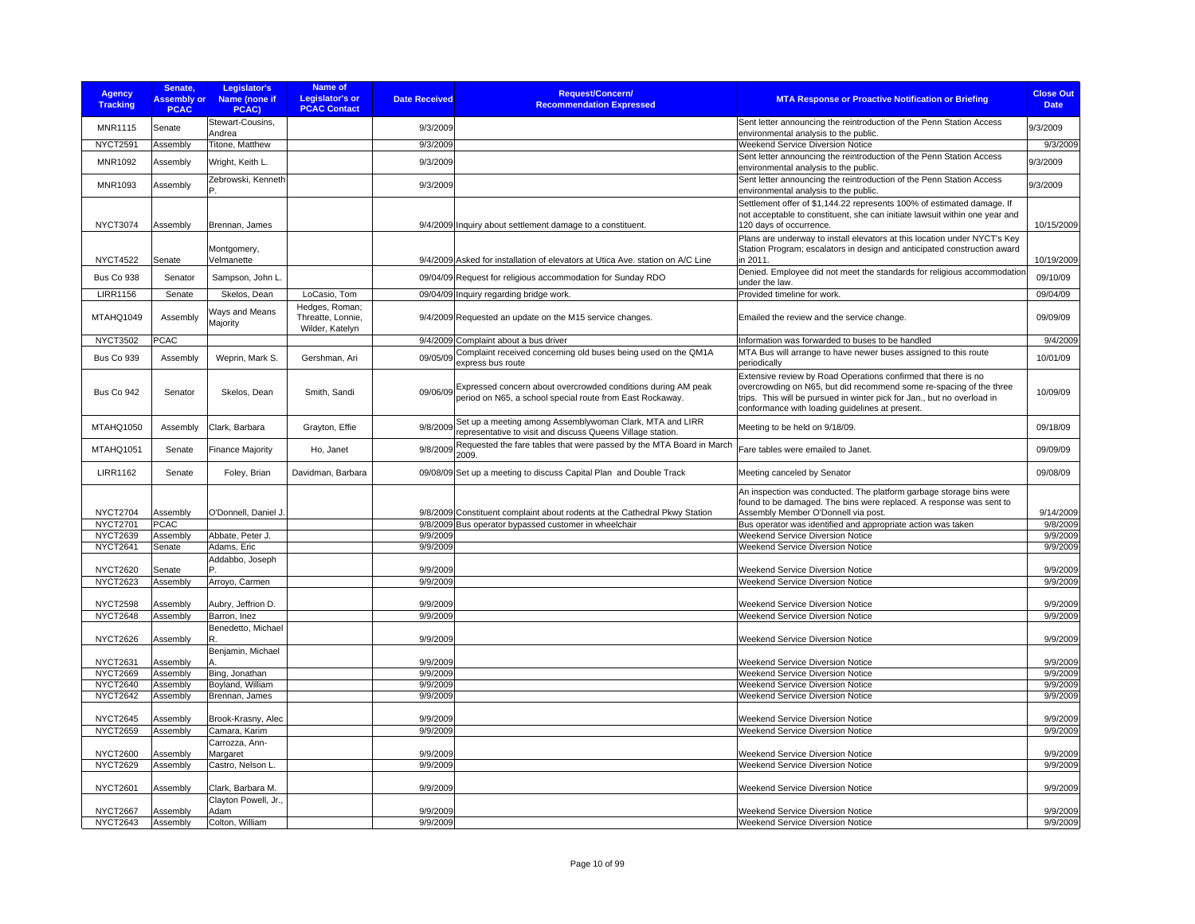| <b>Agency</b><br><b>Tracking</b>   | Senate.<br><b>Assembly or</b><br><b>PCAC</b> | Legislator's<br>Name (none if<br>PCAC) | <b>Name of</b><br><b>Legislator's or</b><br><b>PCAC Contact</b> | <b>Date Received</b> | <b>Request/Concern/</b><br><b>Recommendation Expressed</b>                                                                          | <b>MTA Response or Proactive Notification or Briefing</b>                                                                                                                                                                                                           | <b>Close Out</b><br><b>Date</b> |
|------------------------------------|----------------------------------------------|----------------------------------------|-----------------------------------------------------------------|----------------------|-------------------------------------------------------------------------------------------------------------------------------------|---------------------------------------------------------------------------------------------------------------------------------------------------------------------------------------------------------------------------------------------------------------------|---------------------------------|
| <b>MNR1115</b>                     | Senate                                       | Stewart-Cousins,<br>Andrea             |                                                                 | 9/3/2009             |                                                                                                                                     | Sent letter announcing the reintroduction of the Penn Station Access<br>environmental analysis to the public.                                                                                                                                                       | 9/3/2009                        |
| <b>NYCT2591</b>                    | Assembly                                     | Titone, Matthew                        |                                                                 | 9/3/2009             |                                                                                                                                     | <b>Weekend Service Diversion Notice</b>                                                                                                                                                                                                                             | 9/3/2009                        |
| MNR1092                            | Assembly                                     | Wright, Keith L.                       |                                                                 | 9/3/2009             |                                                                                                                                     | Sent letter announcing the reintroduction of the Penn Station Access<br>environmental analysis to the public.                                                                                                                                                       | 9/3/2009                        |
| <b>MNR1093</b>                     | Assembly                                     | Zebrowski, Kenneth                     |                                                                 | 9/3/2009             |                                                                                                                                     | Sent letter announcing the reintroduction of the Penn Station Access<br>environmental analysis to the public.                                                                                                                                                       | 9/3/2009                        |
| <b>NYCT3074</b>                    | Assembly                                     | Brennan, James                         |                                                                 |                      | 9/4/2009 Inquiry about settlement damage to a constituent.                                                                          | Settlement offer of \$1,144.22 represents 100% of estimated damage. If<br>not acceptable to constituent, she can initiate lawsuit within one year and<br>120 days of occurrence.                                                                                    | 10/15/2009                      |
| <b>NYCT4522</b>                    | Senate                                       | Montgomery,<br>Velmanette              |                                                                 |                      | 9/4/2009 Asked for installation of elevators at Utica Ave. station on A/C Line                                                      | Plans are underway to install elevators at this location under NYCT's Key<br>Station Program; escalators in design and anticipated construction award<br>in 2011.                                                                                                   |                                 |
|                                    |                                              |                                        |                                                                 |                      |                                                                                                                                     | Denied. Employee did not meet the standards for religious accommodation                                                                                                                                                                                             | 10/19/2009                      |
| Bus Co 938<br><b>LIRR1156</b>      | Senator<br>Senate                            | Sampson, John L.<br>Skelos, Dean       | LoCasio, Tom                                                    |                      | 09/04/09 Request for religious accommodation for Sunday RDO<br>09/04/09 Inquiry regarding bridge work.                              | under the law.<br>Provided timeline for work.                                                                                                                                                                                                                       | 09/10/09<br>09/04/09            |
|                                    |                                              |                                        | Hedges, Roman;                                                  |                      |                                                                                                                                     |                                                                                                                                                                                                                                                                     |                                 |
| MTAHQ1049                          | Assembly                                     | Ways and Means<br>Majority             | Threatte, Lonnie,<br>Wilder, Katelyn                            |                      | 9/4/2009 Requested an update on the M15 service changes.                                                                            | Emailed the review and the service change.                                                                                                                                                                                                                          | 09/09/09                        |
| <b>NYCT3502</b>                    | <b>PCAC</b>                                  |                                        |                                                                 |                      | 9/4/2009 Complaint about a bus driver                                                                                               | Information was forwarded to buses to be handled                                                                                                                                                                                                                    | 9/4/2009                        |
| <b>Bus Co 939</b>                  | Assembly                                     | Weprin, Mark S.                        | Gershman, Ari                                                   | 09/05/09             | Complaint received concerning old buses being used on the QM1A<br>express bus route                                                 | MTA Bus will arrange to have newer buses assigned to this route<br>periodically                                                                                                                                                                                     | 10/01/09                        |
| <b>Bus Co 942</b>                  | Senator                                      | Skelos, Dean                           | Smith, Sandi                                                    |                      | 09/06/09 Expressed concern about overcrowded conditions during AM peak<br>period on N65, a school special route from East Rockaway. | Extensive review by Road Operations confirmed that there is no<br>overcrowding on N65, but did recommend some re-spacing of the three<br>trips. This will be pursued in winter pick for Jan., but no overload in<br>conformance with loading guidelines at present. | 10/09/09                        |
| MTAHQ1050                          | Assembly                                     | Clark, Barbara                         | Grayton, Effie                                                  | 9/8/2009             | Set up a meeting among Assemblywoman Clark, MTA and LIRR<br>representative to visit and discuss Queens Village station.             | Meeting to be held on 9/18/09.                                                                                                                                                                                                                                      | 09/18/09                        |
| MTAHQ1051                          | Senate                                       | <b>Finance Majority</b>                | Ho, Janet                                                       | 9/8/2009             | Requested the fare tables that were passed by the MTA Board in March<br>2009.                                                       | Fare tables were emailed to Janet.                                                                                                                                                                                                                                  | 09/09/09                        |
| <b>LIRR1162</b>                    | Senate                                       | Foley, Brian                           | Davidman, Barbara                                               |                      | 09/08/09 Set up a meeting to discuss Capital Plan and Double Track                                                                  | Meeting canceled by Senator                                                                                                                                                                                                                                         | 09/08/09                        |
| <b>NYCT2704</b><br><b>NYCT2701</b> | Assembly<br><b>PCAC</b>                      | O'Donnell, Daniel J                    |                                                                 |                      | 9/8/2009 Constituent complaint about rodents at the Cathedral Pkwy Station<br>9/8/2009 Bus operator bypassed customer in wheelchair | An inspection was conducted. The platform garbage storage bins were<br>found to be damaged. The bins were replaced. A response was sent to<br>Assembly Member O'Donnell via post.<br>Bus operator was identified and appropriate action was taken                   | 9/14/2009<br>9/8/2009           |
| <b>NYCT2639</b>                    | Assembly                                     | Abbate, Peter J.                       |                                                                 | 9/9/2009             |                                                                                                                                     | Weekend Service Diversion Notice                                                                                                                                                                                                                                    | 9/9/2009                        |
| <b>NYCT2641</b>                    | Senate                                       | Adams, Eric                            |                                                                 | 9/9/2009             |                                                                                                                                     | <b>Weekend Service Diversion Notice</b>                                                                                                                                                                                                                             | 9/9/2009                        |
| <b>NYCT2620</b>                    | Senate                                       | Addabbo, Joseph                        |                                                                 | 9/9/2009             |                                                                                                                                     | <b>Weekend Service Diversion Notice</b>                                                                                                                                                                                                                             | 9/9/2009                        |
| <b>NYCT2623</b>                    | Assembly                                     | Arroyo, Carmen                         |                                                                 | 9/9/2009             |                                                                                                                                     | Weekend Service Diversion Notice                                                                                                                                                                                                                                    | 9/9/2009                        |
| <b>NYCT2598</b>                    | Assembly                                     | Aubry, Jeffrion D.                     |                                                                 | 9/9/2009             |                                                                                                                                     | <b>Weekend Service Diversion Notice</b>                                                                                                                                                                                                                             | 9/9/2009                        |
| <b>NYCT2648</b>                    | Assembly                                     | Barron, Inez                           |                                                                 | 9/9/2009             |                                                                                                                                     | Weekend Service Diversion Notice                                                                                                                                                                                                                                    | 9/9/2009                        |
| <b>NYCT2626</b>                    | Assembly                                     | Benedetto, Michael                     |                                                                 | 9/9/2009             |                                                                                                                                     | Weekend Service Diversion Notice                                                                                                                                                                                                                                    | 9/9/2009                        |
| <b>NYCT2631</b>                    | Assembly                                     | Benjamin, Michael                      |                                                                 | 9/9/2009             |                                                                                                                                     | Weekend Service Diversion Notice                                                                                                                                                                                                                                    | 9/9/2009                        |
| <b>NYCT2669</b>                    | Assembly                                     | Bing, Jonathan                         |                                                                 | 9/9/2009             |                                                                                                                                     | Weekend Service Diversion Notice                                                                                                                                                                                                                                    | 9/9/2009                        |
| <b>NYCT2640</b>                    | Assembly                                     | Boyland, William                       |                                                                 | 9/9/2009             |                                                                                                                                     | <b>Weekend Service Diversion Notice</b>                                                                                                                                                                                                                             | 9/9/2009                        |
| <b>NYCT2642</b>                    | Assembly                                     | Brennan, James                         |                                                                 | 9/9/2009             |                                                                                                                                     | Weekend Service Diversion Notice                                                                                                                                                                                                                                    | 9/9/2009                        |
| <b>NYCT2645</b>                    | Assembly                                     | Brook-Krasny, Alec                     |                                                                 | 9/9/2009             |                                                                                                                                     | Weekend Service Diversion Notice                                                                                                                                                                                                                                    | 9/9/2009                        |
| <b>NYCT2659</b>                    | Assembly                                     | Camara, Karim                          |                                                                 | 9/9/2009             |                                                                                                                                     | Weekend Service Diversion Notice                                                                                                                                                                                                                                    | 9/9/2009                        |
| <b>NYCT2600</b>                    | Assembly                                     | Carrozza, Ann-<br>Margaret             |                                                                 | 9/9/2009             |                                                                                                                                     | Weekend Service Diversion Notice                                                                                                                                                                                                                                    | 9/9/2009                        |
| <b>NYCT2629</b>                    | Assembly                                     | Castro, Nelson L.                      |                                                                 | 9/9/2009             |                                                                                                                                     | Weekend Service Diversion Notice                                                                                                                                                                                                                                    | 9/9/2009                        |
| <b>NYCT2601</b>                    | Assembly                                     | Clark, Barbara M.                      |                                                                 | 9/9/2009             |                                                                                                                                     | Weekend Service Diversion Notice                                                                                                                                                                                                                                    | 9/9/2009                        |
|                                    |                                              | Clayton Powell, Jr.,                   |                                                                 |                      |                                                                                                                                     |                                                                                                                                                                                                                                                                     |                                 |
| <b>NYCT2667</b>                    | Assembly                                     | Adam                                   |                                                                 | 9/9/2009             |                                                                                                                                     | Weekend Service Diversion Notice                                                                                                                                                                                                                                    | 9/9/2009                        |
| <b>NYCT2643</b>                    | Assembly                                     | Colton, William                        |                                                                 | 9/9/2009             |                                                                                                                                     | <b>Weekend Service Diversion Notice</b>                                                                                                                                                                                                                             | 9/9/2009                        |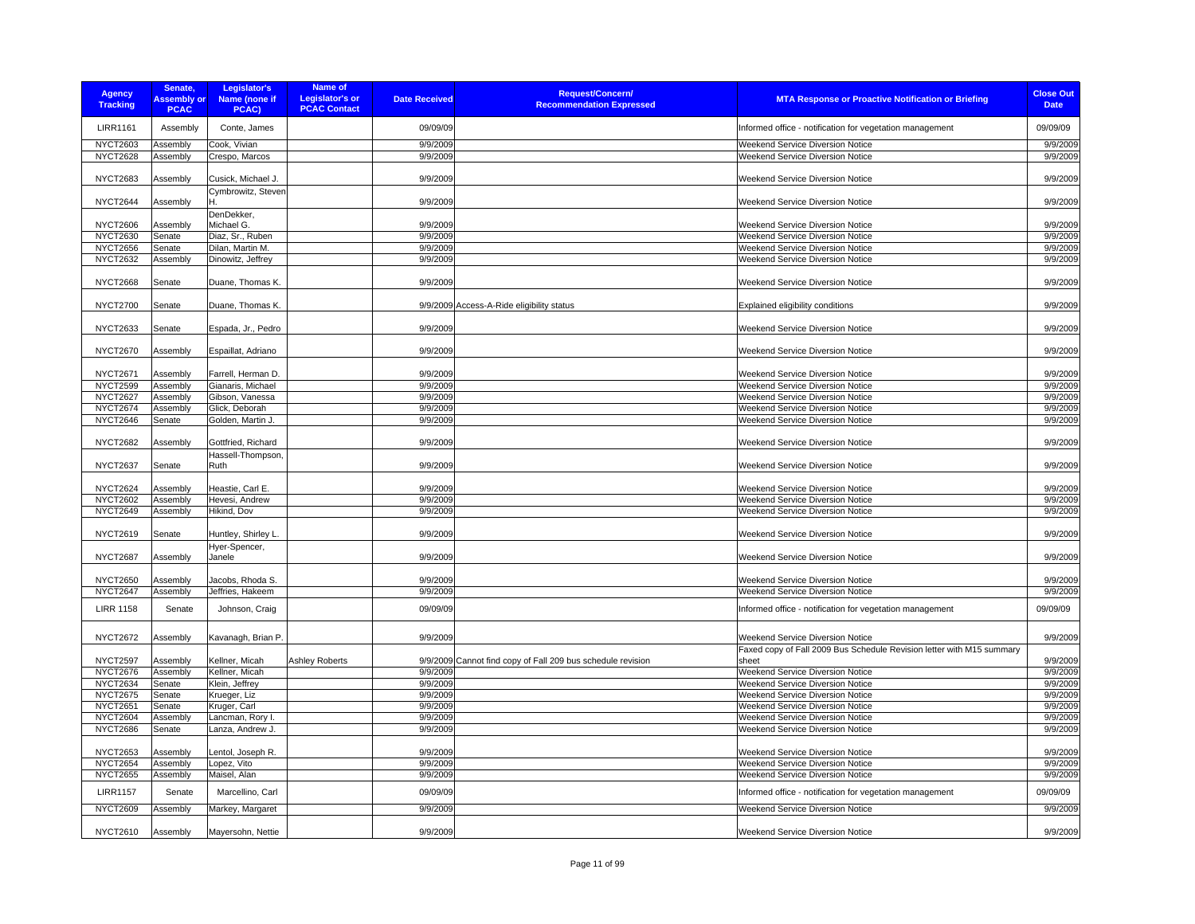| <b>Agency</b><br><b>Tracking</b>   | Senate,<br><b>Assembly or</b><br><b>PCAC</b> | Legislator's<br>Name (none if<br>PCAC) | <b>Name of</b><br><b>Legislator's or</b><br><b>PCAC Contact</b> | <b>Date Received</b> | <b>Request/Concern/</b><br><b>MTA Response or Proactive Notification or Briefing</b><br><b>Recommendation Expressed</b>                       | <b>Close Out</b><br><b>Date</b> |
|------------------------------------|----------------------------------------------|----------------------------------------|-----------------------------------------------------------------|----------------------|-----------------------------------------------------------------------------------------------------------------------------------------------|---------------------------------|
| <b>LIRR1161</b>                    | Assembly                                     | Conte, James                           |                                                                 | 09/09/09             | Informed office - notification for vegetation management                                                                                      | 09/09/09                        |
| <b>NYCT2603</b>                    | Assembly                                     | Cook, Vivian                           |                                                                 | 9/9/2009             | Weekend Service Diversion Notice                                                                                                              | 9/9/2009                        |
| <b>NYCT2628</b>                    | Assembly                                     | Crespo, Marcos                         |                                                                 | 9/9/2009             | <b>Weekend Service Diversion Notice</b>                                                                                                       | 9/9/2009                        |
| <b>NYCT2683</b>                    | Assembly                                     | Cusick, Michael J.                     |                                                                 | 9/9/2009             | <b>Weekend Service Diversion Notice</b>                                                                                                       | 9/9/2009                        |
| NYCT2644                           | Assembly                                     | Cymbrowitz, Steven                     |                                                                 | 9/9/2009             | Weekend Service Diversion Notice                                                                                                              | 9/9/2009                        |
| <b>NYCT2606</b>                    | Assembly                                     | DenDekker,<br>Michael G.               |                                                                 | 9/9/2009             | <b>Weekend Service Diversion Notice</b>                                                                                                       | 9/9/2009                        |
| <b>NYCT2630</b>                    | Senate                                       | Diaz, Sr., Ruben                       |                                                                 | 9/9/2009             | Weekend Service Diversion Notice                                                                                                              | 9/9/2009                        |
| <b>NYCT2656</b>                    | Senate                                       | Dilan, Martin M.                       |                                                                 | 9/9/2009             | Weekend Service Diversion Notice                                                                                                              | 9/9/2009                        |
| <b>NYCT2632</b>                    | Assembly                                     | Dinowitz, Jeffrey                      |                                                                 | 9/9/2009             | Weekend Service Diversion Notice                                                                                                              | 9/9/2009                        |
| <b>NYCT2668</b>                    | Senate                                       | Duane, Thomas K.                       |                                                                 | 9/9/2009             | <b>Weekend Service Diversion Notice</b>                                                                                                       | 9/9/2009                        |
| <b>NYCT2700</b>                    | Senate                                       | Duane, Thomas K.                       |                                                                 |                      | 9/9/2009 Access-A-Ride eligibility status<br>Explained eligibility conditions                                                                 | 9/9/2009                        |
| <b>NYCT2633</b>                    | Senate                                       | Espada, Jr., Pedro                     |                                                                 | 9/9/2009             | <b>Weekend Service Diversion Notice</b>                                                                                                       | 9/9/2009                        |
| <b>NYCT2670</b>                    | Assembly                                     | Espaillat, Adriano                     |                                                                 | 9/9/2009             | Weekend Service Diversion Notice                                                                                                              | 9/9/2009                        |
| <b>NYCT2671</b>                    | Assembly                                     | Farrell, Herman D.                     |                                                                 | 9/9/2009             | Weekend Service Diversion Notice                                                                                                              | 9/9/2009                        |
| <b>NYCT2599</b>                    | Assembly                                     | Gianaris, Michael                      |                                                                 | 9/9/2009             | Weekend Service Diversion Notice                                                                                                              | 9/9/2009                        |
| NYCT2627                           | Assembly                                     | Gibson, Vanessa                        |                                                                 | 9/9/2009             | <b>Weekend Service Diversion Notice</b>                                                                                                       | 9/9/2009                        |
| <b>NYCT2674</b>                    | Assembly                                     | Glick, Deborah                         |                                                                 | 9/9/2009             | Weekend Service Diversion Notice                                                                                                              | 9/9/2009                        |
| <b>NYCT2646</b>                    | Senate                                       | Golden, Martin J.                      |                                                                 | 9/9/2009             | Weekend Service Diversion Notice                                                                                                              | 9/9/2009                        |
| <b>NYCT2682</b>                    | Assembly                                     | Gottfried, Richard                     |                                                                 | 9/9/2009             | <b>Weekend Service Diversion Notice</b>                                                                                                       | 9/9/2009                        |
|                                    |                                              | Hassell-Thompson,                      |                                                                 |                      |                                                                                                                                               |                                 |
| <b>NYCT2637</b><br><b>NYCT2624</b> | Senate                                       | Ruth<br>Heastie, Carl E.               |                                                                 | 9/9/2009<br>9/9/2009 | Weekend Service Diversion Notice<br><b>Weekend Service Diversion Notice</b>                                                                   | 9/9/2009<br>9/9/2009            |
| <b>NYCT2602</b>                    | Assembly<br>Assembly                         | Hevesi, Andrew                         |                                                                 | 9/9/2009             | Weekend Service Diversion Notice                                                                                                              | 9/9/2009                        |
| <b>NYCT2649</b>                    | Assembly                                     | Hikind, Dov                            |                                                                 | 9/9/2009             | Weekend Service Diversion Notice                                                                                                              | 9/9/2009                        |
|                                    |                                              |                                        |                                                                 |                      |                                                                                                                                               |                                 |
| <b>NYCT2619</b>                    | Senate                                       | Huntley, Shirley L.<br>Hyer-Spencer,   |                                                                 | 9/9/2009             | Weekend Service Diversion Notice                                                                                                              | 9/9/2009                        |
| <b>NYCT2687</b>                    | Assembly                                     | Janele                                 |                                                                 | 9/9/2009             | <b>Weekend Service Diversion Notice</b>                                                                                                       | 9/9/2009                        |
| <b>NYCT2650</b>                    | Assembly                                     | Jacobs, Rhoda S.                       |                                                                 | 9/9/2009             | Weekend Service Diversion Notice                                                                                                              | 9/9/2009                        |
| NYCT2647                           | Assembly                                     | Jeffries, Hakeem                       |                                                                 | 9/9/2009             | Weekend Service Diversion Notice                                                                                                              | 9/9/2009                        |
| <b>LIRR 1158</b>                   | Senate                                       | Johnson, Craig                         |                                                                 | 09/09/09             | Informed office - notification for vegetation management                                                                                      | 09/09/09                        |
| <b>NYCT2672</b>                    | Assembly                                     | Kavanagh, Brian P                      |                                                                 | 9/9/2009             | <b>Weekend Service Diversion Notice</b>                                                                                                       | 9/9/2009                        |
| <b>NYCT2597</b>                    | Assembly                                     | Kellner, Micah                         | Ashley Roberts                                                  |                      | Faxed copy of Fall 2009 Bus Schedule Revision letter with M15 summary<br>9/9/2009 Cannot find copy of Fall 209 bus schedule revision<br>sheet | 9/9/2009                        |
| <b>NYCT2676</b>                    | Assembly                                     | Kellner, Micah                         |                                                                 | 9/9/2009             | Weekend Service Diversion Notice                                                                                                              | 9/9/2009                        |
| <b>NYCT2634</b>                    | Senate                                       | Klein, Jeffrey                         |                                                                 | 9/9/2009             | Weekend Service Diversion Notice                                                                                                              | 9/9/2009                        |
| <b>NYCT2675</b>                    | Senate                                       | Krueger, Liz                           |                                                                 | 9/9/2009             | Weekend Service Diversion Notice                                                                                                              | 9/9/2009                        |
| <b>NYCT2651</b>                    | Senate                                       | Kruger, Carl                           |                                                                 | 9/9/2009             | Weekend Service Diversion Notice                                                                                                              | 9/9/2009                        |
| <b>NYCT2604</b>                    | Assembly                                     | Lancman, Rory I.                       |                                                                 | 9/9/2009             | <b>Weekend Service Diversion Notice</b>                                                                                                       | 9/9/2009                        |
| <b>NYCT2686</b>                    | Senate                                       | Lanza, Andrew J.                       |                                                                 | 9/9/2009             | Weekend Service Diversion Notice                                                                                                              | 9/9/2009                        |
| <b>NYCT2653</b>                    | Assembly                                     | Lentol, Joseph R.                      |                                                                 | 9/9/2009             | <b>Weekend Service Diversion Notice</b>                                                                                                       | 9/9/2009                        |
| <b>NYCT2654</b>                    | Assembly                                     | Lopez, Vito                            |                                                                 | 9/9/2009             | Weekend Service Diversion Notice                                                                                                              | 9/9/2009                        |
| <b>NYCT2655</b>                    | Assembly                                     | Maisel, Alan                           |                                                                 | 9/9/2009             | Weekend Service Diversion Notice                                                                                                              | 9/9/2009                        |
| <b>LIRR1157</b>                    | Senate                                       | Marcellino, Carl                       |                                                                 | 09/09/09             | Informed office - notification for vegetation management                                                                                      | 09/09/09                        |
| <b>NYCT2609</b>                    | Assembly                                     | Markey, Margaret                       |                                                                 | 9/9/2009             | <b>Weekend Service Diversion Notice</b>                                                                                                       | 9/9/2009                        |
| NYCT2610                           | Assembly                                     | Mayersohn, Nettie                      |                                                                 | 9/9/2009             | Weekend Service Diversion Notice                                                                                                              | 9/9/2009                        |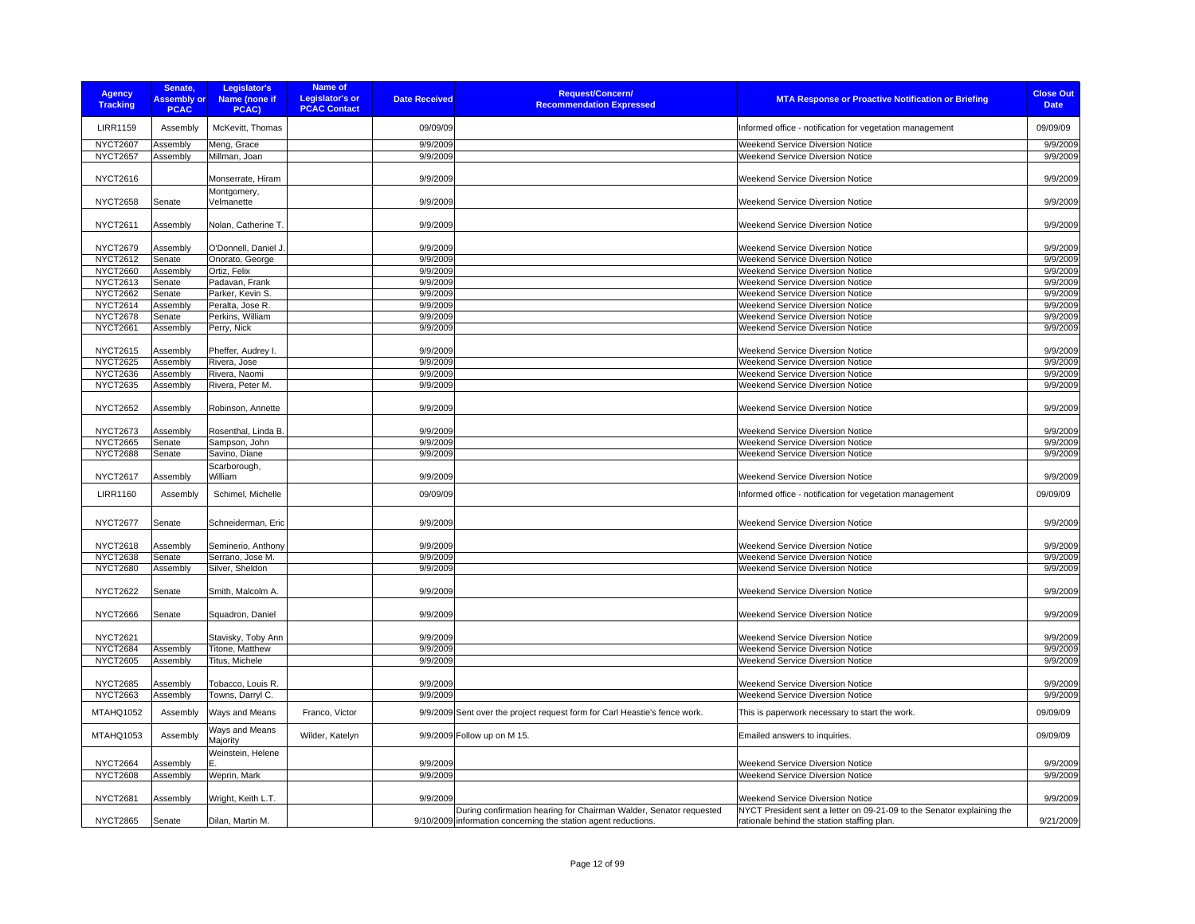| <b>Agency</b><br><b>Tracking</b> | Senate,<br><b>Assembly or</b><br><b>PCAC</b> | Legislator's<br>Name (none if<br>PCAC) | <b>Name of</b><br><b>Legislator's or</b><br><b>PCAC Contact</b> | <b>Date Received</b> | <b>Request/Concern/</b><br><b>Recommendation Expressed</b>                 | <b>MTA Response or Proactive Notification or Briefing</b>              | <b>Close Out</b><br><b>Date</b> |
|----------------------------------|----------------------------------------------|----------------------------------------|-----------------------------------------------------------------|----------------------|----------------------------------------------------------------------------|------------------------------------------------------------------------|---------------------------------|
| <b>LIRR1159</b>                  | Assembly                                     | McKevitt, Thomas                       |                                                                 | 09/09/09             |                                                                            | Informed office - notification for vegetation management               | 09/09/09                        |
| <b>NYCT2607</b>                  | Assembly                                     | Meng, Grace                            |                                                                 | 9/9/2009             |                                                                            | Weekend Service Diversion Notice                                       | 9/9/2009                        |
| <b>NYCT2657</b>                  | Assembly                                     | Millman, Joan                          |                                                                 | 9/9/2009             |                                                                            | Weekend Service Diversion Notice                                       | 9/9/2009                        |
| <b>NYCT2616</b>                  |                                              | Monserrate, Hiram                      |                                                                 | 9/9/2009             |                                                                            | Weekend Service Diversion Notice                                       | 9/9/2009                        |
| <b>NYCT2658</b>                  | Senate                                       | Montgomery,<br>Velmanette              |                                                                 | 9/9/2009             |                                                                            | Weekend Service Diversion Notice                                       | 9/9/2009                        |
| <b>NYCT2611</b>                  | Assembly                                     | Nolan, Catherine T.                    |                                                                 | 9/9/2009             |                                                                            | <b>Weekend Service Diversion Notice</b>                                | 9/9/2009                        |
| <b>NYCT2679</b>                  | Assembly                                     | O'Donnell, Daniel J.                   |                                                                 | 9/9/2009             |                                                                            | <b>Weekend Service Diversion Notice</b>                                | 9/9/2009                        |
| <b>NYCT2612</b>                  | Senate                                       | Onorato, George                        |                                                                 | 9/9/2009             |                                                                            | <b>Weekend Service Diversion Notice</b>                                | 9/9/2009                        |
| <b>NYCT2660</b>                  | Assembly                                     | Ortiz, Felix                           |                                                                 | 9/9/2009             |                                                                            | <b>Weekend Service Diversion Notice</b>                                | 9/9/2009                        |
| <b>NYCT2613</b>                  | Senate                                       | Padavan, Frank                         |                                                                 | 9/9/2009             |                                                                            | <b>Weekend Service Diversion Notice</b>                                | 9/9/2009                        |
| <b>NYCT2662</b>                  | Senate                                       | Parker, Kevin S.                       |                                                                 | 9/9/2009             |                                                                            | Weekend Service Diversion Notice                                       | 9/9/2009                        |
| <b>NYCT2614</b>                  | Assembly                                     | Peralta, Jose R.                       |                                                                 | 9/9/2009             |                                                                            | Weekend Service Diversion Notice                                       | 9/9/2009                        |
| <b>NYCT2678</b>                  | Senate                                       | Perkins, William                       |                                                                 | 9/9/2009             |                                                                            | Weekend Service Diversion Notice                                       | 9/9/2009                        |
| <b>NYCT2661</b>                  | Assembly                                     | Perry, Nick                            |                                                                 | 9/9/2009             |                                                                            | Weekend Service Diversion Notice                                       | 9/9/2009                        |
|                                  |                                              |                                        |                                                                 |                      |                                                                            |                                                                        |                                 |
| <b>NYCT2615</b>                  | Assembly                                     | Pheffer, Audrey I.                     |                                                                 | 9/9/2009             |                                                                            | <b>Weekend Service Diversion Notice</b>                                | 9/9/2009                        |
| <b>NYCT2625</b>                  | Assembly                                     | Rivera, Jose                           |                                                                 | 9/9/2009             |                                                                            | <b>Weekend Service Diversion Notice</b>                                | 9/9/2009                        |
| <b>NYCT2636</b>                  | Assembly                                     | Rivera, Naomi                          |                                                                 | 9/9/2009             |                                                                            | Weekend Service Diversion Notice                                       | 9/9/2009                        |
| <b>NYCT2635</b>                  | Assembly                                     | Rivera, Peter M.                       |                                                                 | 9/9/2009             |                                                                            | Weekend Service Diversion Notice                                       | 9/9/2009                        |
| <b>NYCT2652</b>                  | Assembly                                     | Robinson, Annette                      |                                                                 | 9/9/2009             |                                                                            | <b>Weekend Service Diversion Notice</b>                                | 9/9/2009                        |
| <b>NYCT2673</b>                  | Assembly                                     | Rosenthal, Linda B                     |                                                                 | 9/9/2009             |                                                                            | <b>Weekend Service Diversion Notice</b>                                | 9/9/2009                        |
| <b>NYCT2665</b>                  | Senate                                       | Sampson, John                          |                                                                 | 9/9/2009             |                                                                            | Weekend Service Diversion Notice                                       | 9/9/2009                        |
| <b>NYCT2688</b>                  | Senate                                       | Savino, Diane                          |                                                                 | 9/9/2009             |                                                                            | Weekend Service Diversion Notice                                       | 9/9/2009                        |
| <b>NYCT2617</b>                  |                                              | Scarborough,<br>William                |                                                                 | 9/9/2009             |                                                                            | <b>Weekend Service Diversion Notice</b>                                | 9/9/2009                        |
| <b>LIRR1160</b>                  | Assembly<br>Assembly                         | Schimel, Michelle                      |                                                                 | 09/09/09             |                                                                            | Informed office - notification for vegetation management               | 09/09/09                        |
|                                  |                                              |                                        |                                                                 |                      |                                                                            |                                                                        |                                 |
| <b>NYCT2677</b>                  | Senate                                       | Schneiderman, Eric                     |                                                                 | 9/9/2009             |                                                                            | <b>Weekend Service Diversion Notice</b>                                | 9/9/2009                        |
| <b>NYCT2618</b>                  | Assembly                                     | Seminerio, Anthony                     |                                                                 | 9/9/2009             |                                                                            | Weekend Service Diversion Notice                                       | 9/9/2009                        |
| <b>NYCT2638</b>                  | Senate                                       | Serrano, Jose M.                       |                                                                 | 9/9/2009             |                                                                            | Weekend Service Diversion Notice                                       | 9/9/2009                        |
| <b>NYCT2680</b>                  | Assembly                                     | Silver, Sheldon                        |                                                                 | 9/9/2009             |                                                                            | <b>Weekend Service Diversion Notice</b>                                | 9/9/2009                        |
| <b>NYCT2622</b>                  | Senate                                       | Smith, Malcolm A.                      |                                                                 | 9/9/2009             |                                                                            | <b>Weekend Service Diversion Notice</b>                                | 9/9/2009                        |
| <b>NYCT2666</b>                  | Senate                                       | Squadron, Daniel                       |                                                                 | 9/9/2009             |                                                                            | Weekend Service Diversion Notice                                       | 9/9/2009                        |
| <b>NYCT2621</b>                  |                                              | Stavisky, Toby Ann                     |                                                                 | 9/9/2009             |                                                                            | Weekend Service Diversion Notice                                       | 9/9/2009                        |
| <b>NYCT2684</b>                  | Assembly                                     | Titone, Matthew                        |                                                                 | 9/9/2009             |                                                                            | Weekend Service Diversion Notice                                       | 9/9/2009                        |
| <b>NYCT2605</b>                  | Assembly                                     | Titus, Michele                         |                                                                 | 9/9/2009             |                                                                            | Weekend Service Diversion Notice                                       | 9/9/2009                        |
| <b>NYCT2685</b>                  | Assembly                                     | Tobacco, Louis R.                      |                                                                 | 9/9/2009             |                                                                            | <b>Weekend Service Diversion Notice</b>                                | 9/9/2009                        |
| <b>NYCT2663</b>                  | Assembly                                     | Towns, Darryl C.                       |                                                                 | 9/9/2009             |                                                                            | Weekend Service Diversion Notice                                       | 9/9/2009                        |
| MTAHQ1052                        | Assembly                                     | Ways and Means                         | Franco, Victor                                                  |                      | 9/9/2009 Sent over the project request form for Carl Heastie's fence work. | This is paperwork necessary to start the work.                         | 09/09/09                        |
| MTAHQ1053                        | Assembly                                     | Ways and Means<br>Majority             | Wilder, Katelyn                                                 |                      | 9/9/2009 Follow up on M 15.                                                | Emailed answers to inquiries.                                          | 09/09/09                        |
| <b>NYCT2664</b>                  | Assembly                                     | Weinstein, Helene                      |                                                                 | 9/9/2009             |                                                                            | Weekend Service Diversion Notice                                       | 9/9/2009                        |
| <b>NYCT2608</b>                  | Assembly                                     | Weprin, Mark                           |                                                                 | 9/9/2009             |                                                                            | Weekend Service Diversion Notice                                       | 9/9/2009                        |
| <b>NYCT2681</b>                  | Assembly                                     | Wright, Keith L.T.                     |                                                                 | 9/9/2009             |                                                                            | Weekend Service Diversion Notice                                       | 9/9/2009                        |
|                                  |                                              |                                        |                                                                 |                      | During confirmation hearing for Chairman Walder, Senator requested         | NYCT President sent a letter on 09-21-09 to the Senator explaining the |                                 |
| <b>NYCT2865</b>                  | Senate                                       | Dilan, Martin M.                       |                                                                 |                      | 9/10/2009 information concerning the station agent reductions.             | rationale behind the station staffing plan.                            | 9/21/2009                       |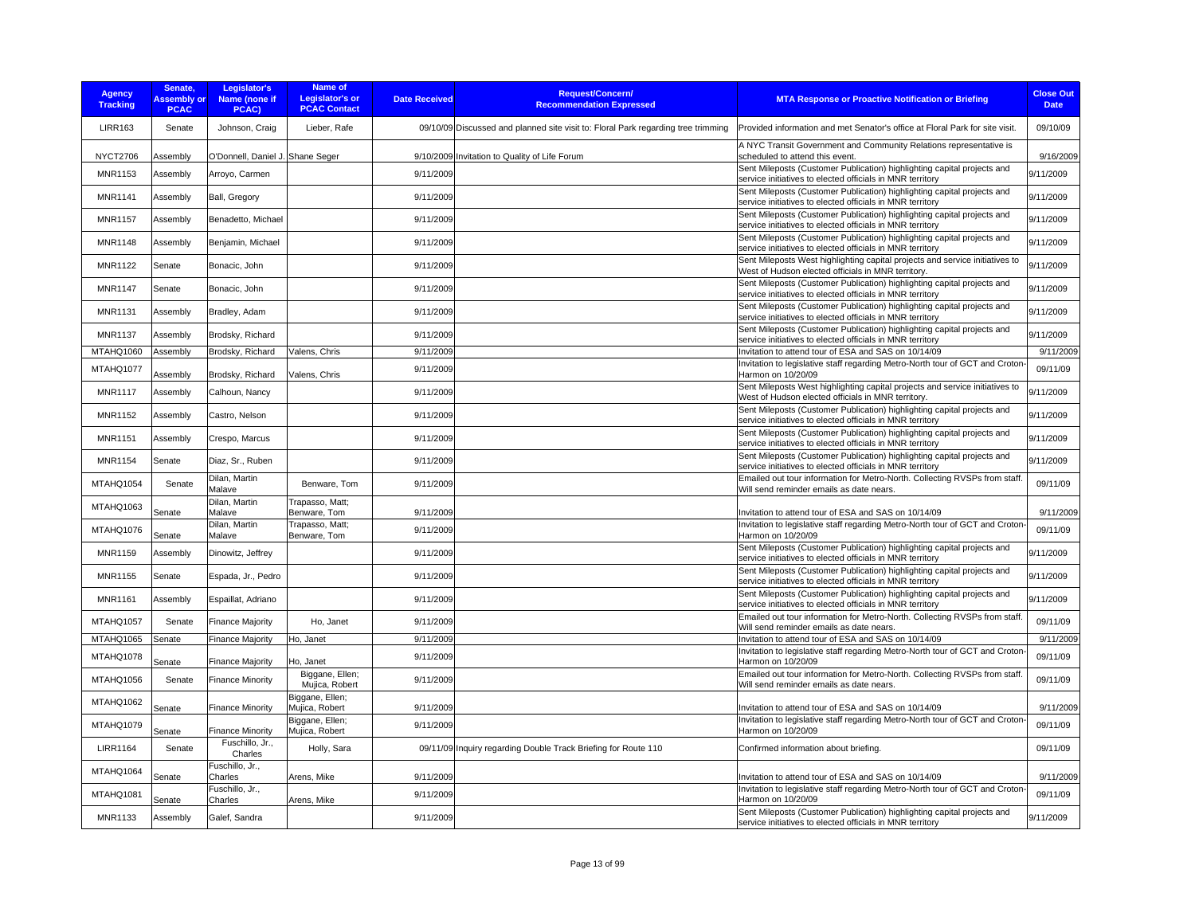| <b>Agency</b><br><b>Tracking</b> | Senate,<br><b>Assembly or</b><br><b>PCAC</b> | Legislator's<br>Name (none if<br>PCAC) | <b>Name of</b><br><b>Legislator's or</b><br><b>PCAC Contact</b> | <b>Date Received</b> | <b>Request/Concern/</b><br><b>Recommendation Expressed</b>                        | <b>MTA Response or Proactive Notification or Briefing</b>                                                                            | <b>Close Out</b><br><b>Date</b> |
|----------------------------------|----------------------------------------------|----------------------------------------|-----------------------------------------------------------------|----------------------|-----------------------------------------------------------------------------------|--------------------------------------------------------------------------------------------------------------------------------------|---------------------------------|
| <b>LIRR163</b>                   | Senate                                       | Johnson, Craig                         | Lieber, Rafe                                                    |                      | 09/10/09 Discussed and planned site visit to: Floral Park regarding tree trimming | Provided information and met Senator's office at Floral Park for site visit.                                                         | 09/10/09                        |
| <b>NYCT2706</b>                  | Assembly                                     | O'Donnell, Daniel J. Shane Seger       |                                                                 |                      | 9/10/2009 Invitation to Quality of Life Forum                                     | A NYC Transit Government and Community Relations representative is<br>scheduled to attend this event.                                | 9/16/2009                       |
| <b>MNR1153</b>                   | Assembly                                     | Arroyo, Carmen                         |                                                                 | 9/11/2009            |                                                                                   | Sent Mileposts (Customer Publication) highlighting capital projects and<br>service initiatives to elected officials in MNR territory | 9/11/2009                       |
| MNR1141                          | Assembly                                     | Ball, Gregory                          |                                                                 | 9/11/2009            |                                                                                   | Sent Mileposts (Customer Publication) highlighting capital projects and<br>service initiatives to elected officials in MNR territory | 9/11/2009                       |
| <b>MNR1157</b>                   | Assembly                                     | Benadetto, Michael                     |                                                                 | 9/11/2009            |                                                                                   | Sent Mileposts (Customer Publication) highlighting capital projects and<br>service initiatives to elected officials in MNR territory | 9/11/2009                       |
| MNR1148                          | Assembly                                     | Benjamin, Michael                      |                                                                 | 9/11/2009            |                                                                                   | Sent Mileposts (Customer Publication) highlighting capital projects and<br>service initiatives to elected officials in MNR territory | 9/11/2009                       |
| <b>MNR1122</b>                   | Senate                                       | Bonacic, John                          |                                                                 | 9/11/2009            |                                                                                   | Sent Mileposts West highlighting capital projects and service initiatives to<br>West of Hudson elected officials in MNR territory.   | 9/11/2009                       |
| <b>MNR1147</b>                   | Senate                                       | Bonacic, John                          |                                                                 | 9/11/2009            |                                                                                   | Sent Mileposts (Customer Publication) highlighting capital projects and<br>service initiatives to elected officials in MNR territory | 9/11/2009                       |
| MNR1131                          | Assembly                                     | Bradley, Adam                          |                                                                 | 9/11/2009            |                                                                                   | Sent Mileposts (Customer Publication) highlighting capital projects and<br>service initiatives to elected officials in MNR territory | 9/11/2009                       |
| <b>MNR1137</b>                   | Assembly                                     | Brodsky, Richard                       |                                                                 | 9/11/2009            |                                                                                   | Sent Mileposts (Customer Publication) highlighting capital projects and<br>service initiatives to elected officials in MNR territory | 9/11/2009                       |
| MTAHQ1060                        | Assembly                                     | Brodsky, Richard                       | Valens, Chris                                                   | 9/11/2009            |                                                                                   | Invitation to attend tour of ESA and SAS on 10/14/09                                                                                 | 9/11/2009                       |
| MTAHQ1077                        | Assembly                                     | Brodsky, Richard                       | Valens, Chris                                                   | 9/11/2009            |                                                                                   | Invitation to legislative staff regarding Metro-North tour of GCT and Croton-<br>Harmon on 10/20/09                                  | 09/11/09                        |
| <b>MNR1117</b>                   | Assembly                                     | Calhoun, Nancy                         |                                                                 | 9/11/2009            |                                                                                   | Sent Mileposts West highlighting capital projects and service initiatives to<br>West of Hudson elected officials in MNR territory.   | 9/11/2009                       |
| <b>MNR1152</b>                   | Assembly                                     | Castro, Nelson                         |                                                                 | 9/11/2009            |                                                                                   | Sent Mileposts (Customer Publication) highlighting capital projects and<br>service initiatives to elected officials in MNR territory | 9/11/2009                       |
| MNR1151                          | Assembly                                     | Crespo, Marcus                         |                                                                 | 9/11/2009            |                                                                                   | Sent Mileposts (Customer Publication) highlighting capital projects and<br>service initiatives to elected officials in MNR territory | 9/11/2009                       |
| MNR1154                          | Senate                                       | Diaz, Sr., Ruben                       |                                                                 | 9/11/2009            |                                                                                   | Sent Mileposts (Customer Publication) highlighting capital projects and<br>service initiatives to elected officials in MNR territory | 9/11/2009                       |
| MTAHQ1054                        | Senate                                       | Dilan, Martin<br>Malave                | Benware, Tom                                                    | 9/11/2009            |                                                                                   | Emailed out tour information for Metro-North. Collecting RVSPs from staff<br>Will send reminder emails as date nears.                | 09/11/09                        |
| MTAHQ1063                        | Senate                                       | Dilan, Martin<br>Malave                | Trapasso, Matt;<br>Benware, Tom                                 | 9/11/2009            |                                                                                   | Invitation to attend tour of ESA and SAS on 10/14/09                                                                                 | 9/11/2009                       |
| MTAHQ1076                        | Senate                                       | Dilan, Martin<br>Malave                | Trapasso, Matt;<br>Benware, Tom                                 | 9/11/2009            |                                                                                   | Invitation to legislative staff regarding Metro-North tour of GCT and Croton-<br>Harmon on 10/20/09                                  | 09/11/09                        |
| <b>MNR1159</b>                   | Assembly                                     | Dinowitz, Jeffrey                      |                                                                 | 9/11/2009            |                                                                                   | Sent Mileposts (Customer Publication) highlighting capital projects and<br>service initiatives to elected officials in MNR territory | 9/11/2009                       |
| MNR1155                          | Senate                                       | Espada, Jr., Pedro                     |                                                                 | 9/11/2009            |                                                                                   | Sent Mileposts (Customer Publication) highlighting capital projects and<br>service initiatives to elected officials in MNR territory | 9/11/2009                       |
| <b>MNR1161</b>                   | Assembly                                     | Espaillat, Adriano                     |                                                                 | 9/11/2009            |                                                                                   | Sent Mileposts (Customer Publication) highlighting capital projects and<br>service initiatives to elected officials in MNR territory | 9/11/2009                       |
| MTAHQ1057                        | Senate                                       | <b>Finance Majority</b>                | Ho, Janet                                                       | 9/11/2009            |                                                                                   | Emailed out tour information for Metro-North. Collecting RVSPs from staff<br>Will send reminder emails as date nears.                | 09/11/09                        |
| MTAHQ1065                        | Senate                                       | <b>Finance Majority</b>                | Ho, Janet                                                       | 9/11/2009            |                                                                                   | Invitation to attend tour of ESA and SAS on 10/14/09                                                                                 | 9/11/2009                       |
| MTAHQ1078                        | Senate                                       | <b>Finance Majority</b>                | Ho, Janet                                                       | 9/11/2009            |                                                                                   | Invitation to legislative staff regarding Metro-North tour of GCT and Croton-<br>Harmon on 10/20/09                                  | 09/11/09                        |
| MTAHQ1056                        | Senate                                       | <b>Finance Minority</b>                | Biggane, Ellen;<br>Mujica, Robert                               | 9/11/2009            |                                                                                   | Emailed out tour information for Metro-North. Collecting RVSPs from staff<br>Will send reminder emails as date nears.                | 09/11/09                        |
| MTAHQ1062                        | Senate                                       | <b>Finance Minority</b>                | Biggane, Ellen;<br>Mujica, Robert                               | 9/11/2009            |                                                                                   | Invitation to attend tour of ESA and SAS on 10/14/09                                                                                 | 9/11/2009                       |
| MTAHQ1079                        | Senate                                       | <b>Finance Minority</b>                | Biggane, Ellen;<br>Mujica, Robert                               | 9/11/2009            |                                                                                   | Invitation to legislative staff regarding Metro-North tour of GCT and Croton-<br>Harmon on 10/20/09                                  | 09/11/09                        |
| <b>LIRR1164</b>                  | Senate                                       | Fuschillo, Jr.,<br>Charles             | Holly, Sara                                                     |                      | 09/11/09 Inquiry regarding Double Track Briefing for Route 110                    | Confirmed information about briefing.                                                                                                | 09/11/09                        |
| MTAHQ1064                        | Senate                                       | Fuschillo, Jr.,<br>Charles             | Arens, Mike                                                     | 9/11/2009            |                                                                                   | Invitation to attend tour of ESA and SAS on 10/14/09                                                                                 | 9/11/2009                       |
| MTAHQ1081                        | Senate                                       | Fuschillo, Jr.,<br>Charles             | Arens, Mike                                                     | 9/11/2009            |                                                                                   | Invitation to legislative staff regarding Metro-North tour of GCT and Croton-<br>Harmon on 10/20/09                                  | 09/11/09                        |
| <b>MNR1133</b>                   | Assembly                                     | Galef, Sandra                          |                                                                 | 9/11/2009            |                                                                                   | Sent Mileposts (Customer Publication) highlighting capital projects and<br>service initiatives to elected officials in MNR territory | 9/11/2009                       |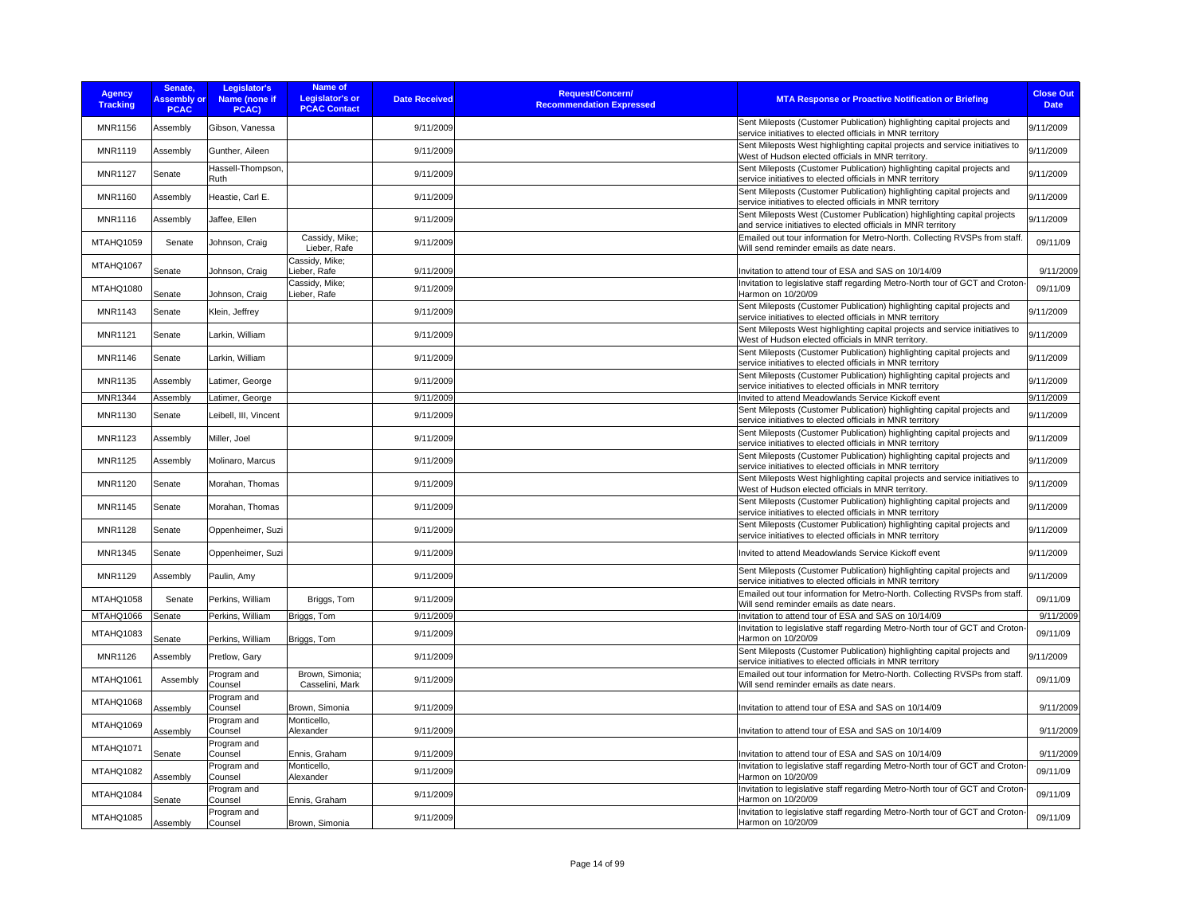| <b>Agency</b><br><b>Tracking</b> | Senate,<br><b>Assembly or</b><br><b>PCAC</b> | Legislator's<br>Name (none if<br>PCAC) | Name of<br><b>Legislator's or</b><br><b>PCAC Contact</b> | <b>Date Received</b> | <b>Request/Concern/</b><br><b>Recommendation Expressed</b> | <b>MTA Response or Proactive Notification or Briefing</b>                                                                                 | <b>Close Out</b><br><b>Date</b> |
|----------------------------------|----------------------------------------------|----------------------------------------|----------------------------------------------------------|----------------------|------------------------------------------------------------|-------------------------------------------------------------------------------------------------------------------------------------------|---------------------------------|
| <b>MNR1156</b>                   | Assembly                                     | Gibson, Vanessa                        |                                                          | 9/11/2009            |                                                            | Sent Mileposts (Customer Publication) highlighting capital projects and<br>service initiatives to elected officials in MNR territory      | 9/11/2009                       |
| <b>MNR1119</b>                   | Assembly                                     | Gunther, Aileen                        |                                                          | 9/11/2009            |                                                            | Sent Mileposts West highlighting capital projects and service initiatives to<br>West of Hudson elected officials in MNR territory.        | 9/11/2009                       |
| <b>MNR1127</b>                   | Senate                                       | Hassell-Thompson,<br>Ruth              |                                                          | 9/11/2009            |                                                            | Sent Mileposts (Customer Publication) highlighting capital projects and<br>service initiatives to elected officials in MNR territory      | 9/11/2009                       |
| MNR1160                          | Assembly                                     | Heastie, Carl E.                       |                                                          | 9/11/2009            |                                                            | Sent Mileposts (Customer Publication) highlighting capital projects and<br>service initiatives to elected officials in MNR territory      | 9/11/2009                       |
| <b>MNR1116</b>                   | Assembly                                     | Jaffee, Ellen                          |                                                          | 9/11/2009            |                                                            | Sent Mileposts West (Customer Publication) highlighting capital projects<br>and service initiatives to elected officials in MNR territory | 9/11/2009                       |
| MTAHQ1059                        | Senate                                       | Johnson, Craig                         | Cassidy, Mike;<br>Lieber, Rafe                           | 9/11/2009            |                                                            | Emailed out tour information for Metro-North. Collecting RVSPs from staff.<br>Will send reminder emails as date nears.                    | 09/11/09                        |
| MTAHQ1067                        | Senate                                       | Johnson, Craig                         | Cassidy, Mike;<br>Lieber, Rafe                           | 9/11/2009            |                                                            | Invitation to attend tour of ESA and SAS on 10/14/09                                                                                      | 9/11/2009                       |
| MTAHQ1080                        | Senate                                       | Johnson, Craig                         | Cassidy, Mike;<br>Lieber, Rafe                           | 9/11/2009            |                                                            | Invitation to legislative staff regarding Metro-North tour of GCT and Croton-<br>Harmon on 10/20/09                                       | 09/11/09                        |
| MNR1143                          | Senate                                       | Klein, Jeffrey                         |                                                          | 9/11/2009            |                                                            | Sent Mileposts (Customer Publication) highlighting capital projects and<br>service initiatives to elected officials in MNR territory      | 9/11/2009                       |
| <b>MNR1121</b>                   | Senate                                       | Larkin, William                        |                                                          | 9/11/2009            |                                                            | Sent Mileposts West highlighting capital projects and service initiatives to<br>West of Hudson elected officials in MNR territory.        | 9/11/2009                       |
| <b>MNR1146</b>                   | Senate                                       | Larkin, William                        |                                                          | 9/11/2009            |                                                            | Sent Mileposts (Customer Publication) highlighting capital projects and<br>service initiatives to elected officials in MNR territory      | 9/11/2009                       |
| <b>MNR1135</b>                   | Assembly                                     | Latimer, George                        |                                                          | 9/11/2009            |                                                            | Sent Mileposts (Customer Publication) highlighting capital projects and<br>service initiatives to elected officials in MNR territory      | 9/11/2009                       |
| MNR1344                          | Assembly                                     | Latimer, George                        |                                                          | 9/11/2009            |                                                            | Invited to attend Meadowlands Service Kickoff event                                                                                       | 9/11/2009                       |
| MNR1130                          | Senate                                       | Leibell, III, Vincent                  |                                                          | 9/11/2009            |                                                            | Sent Mileposts (Customer Publication) highlighting capital projects and<br>service initiatives to elected officials in MNR territory      | 9/11/2009                       |
| <b>MNR1123</b>                   | Assembly                                     | Miller, Joel                           |                                                          | 9/11/2009            |                                                            | Sent Mileposts (Customer Publication) highlighting capital projects and<br>service initiatives to elected officials in MNR territory      | 9/11/2009                       |
| MNR1125                          | Assembly                                     | Molinaro, Marcus                       |                                                          | 9/11/2009            |                                                            | Sent Mileposts (Customer Publication) highlighting capital projects and<br>service initiatives to elected officials in MNR territory      | 9/11/2009                       |
| <b>MNR1120</b>                   | Senate                                       | Morahan, Thomas                        |                                                          | 9/11/2009            |                                                            | Sent Mileposts West highlighting capital projects and service initiatives to<br>West of Hudson elected officials in MNR territory.        | 9/11/2009                       |
| MNR1145                          | Senate                                       | Morahan, Thomas                        |                                                          | 9/11/2009            |                                                            | Sent Mileposts (Customer Publication) highlighting capital projects and<br>service initiatives to elected officials in MNR territory      | 9/11/2009                       |
| <b>MNR1128</b>                   | Senate                                       | Oppenheimer, Suzi                      |                                                          | 9/11/2009            |                                                            | Sent Mileposts (Customer Publication) highlighting capital projects and<br>service initiatives to elected officials in MNR territory      | 9/11/2009                       |
| MNR1345                          | Senate                                       | Oppenheimer, Suzi                      |                                                          | 9/11/2009            |                                                            | Invited to attend Meadowlands Service Kickoff event                                                                                       | 9/11/2009                       |
| MNR1129                          | Assembly                                     | Paulin, Amy                            |                                                          | 9/11/2009            |                                                            | Sent Mileposts (Customer Publication) highlighting capital projects and<br>service initiatives to elected officials in MNR territory      | 9/11/2009                       |
| MTAHQ1058                        | Senate                                       | Perkins, William                       | Briggs, Tom                                              | 9/11/2009            |                                                            | Emailed out tour information for Metro-North. Collecting RVSPs from staff<br>Will send reminder emails as date nears.                     | 09/11/09                        |
| MTAHQ1066                        | Senate                                       | Perkins, William                       | Briggs, Tom                                              | 9/11/2009            |                                                            | Invitation to attend tour of ESA and SAS on 10/14/09                                                                                      | 9/11/2009                       |
| MTAHQ1083                        | Senate                                       | Perkins, William                       | Briggs, Tom                                              | 9/11/2009            |                                                            | Invitation to legislative staff regarding Metro-North tour of GCT and Croton-<br>Harmon on 10/20/09                                       | 09/11/09                        |
| <b>MNR1126</b>                   | Assembly                                     | Pretlow, Gary                          |                                                          | 9/11/2009            |                                                            | Sent Mileposts (Customer Publication) highlighting capital projects and<br>service initiatives to elected officials in MNR territory      | 9/11/2009                       |
| MTAHQ1061                        | Assembly                                     | Program and<br>Counsel                 | Brown, Simonia;<br>Casselini, Mark                       | 9/11/2009            |                                                            | Emailed out tour information for Metro-North. Collecting RVSPs from staff.<br>Will send reminder emails as date nears.                    | 09/11/09                        |
| MTAHQ1068                        | Assembly                                     | Program and<br>Counsel                 | Brown, Simonia                                           | 9/11/2009            |                                                            | Invitation to attend tour of ESA and SAS on 10/14/09                                                                                      | 9/11/2009                       |
| MTAHQ1069                        | Assembly                                     | Program and<br>Counsel                 | Monticello,<br>Alexander                                 | 9/11/2009            |                                                            | Invitation to attend tour of ESA and SAS on 10/14/09                                                                                      | 9/11/2009                       |
| MTAHQ1071                        | Senate                                       | Program and<br>Counsel                 | Ennis, Graham                                            | 9/11/2009            |                                                            | Invitation to attend tour of ESA and SAS on 10/14/09                                                                                      | 9/11/2009                       |
| <b>MTAHQ1082</b>                 | Assembly                                     | Program and<br>Counsel                 | Monticello.<br>Alexander                                 | 9/11/2009            |                                                            | Invitation to legislative staff regarding Metro-North tour of GCT and Croton-<br>Harmon on 10/20/09                                       | 09/11/09                        |
| MTAHQ1084                        | Senate                                       | Program and<br>Counsel                 | Ennis, Graham                                            | 9/11/2009            |                                                            | Invitation to legislative staff regarding Metro-North tour of GCT and Croton-<br>Harmon on 10/20/09                                       | 09/11/09                        |
| MTAHQ1085                        | Assembly                                     | Program and<br>Counsel                 | Brown, Simonia                                           | 9/11/2009            |                                                            | Invitation to legislative staff regarding Metro-North tour of GCT and Croton-<br>Harmon on 10/20/09                                       | 09/11/09                        |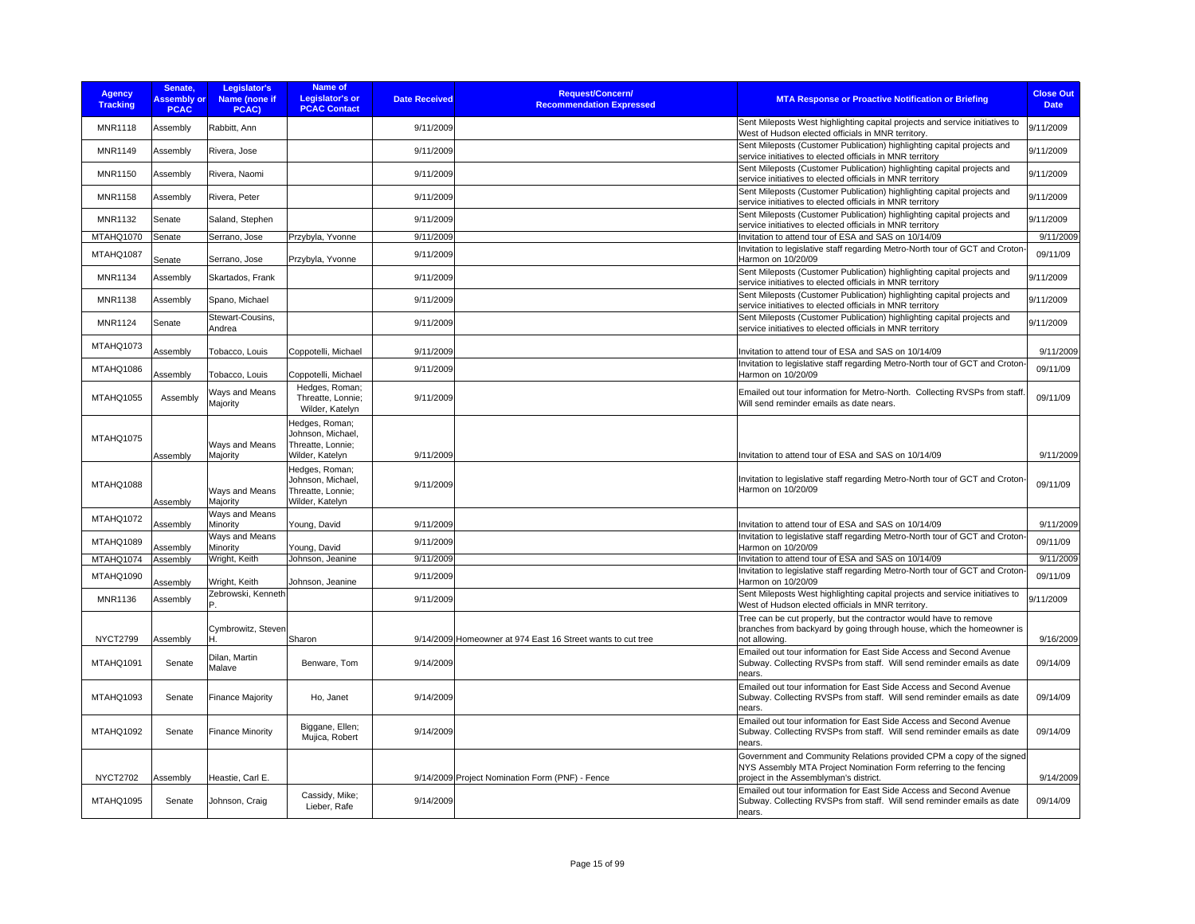| <b>Agency</b><br><b>Tracking</b> | Senate.<br><b>Assembly or</b><br><b>PCAC</b> | Legislator's<br>Name (none if<br>PCAC) | Name of<br><b>Legislator's or</b><br><b>PCAC Contact</b>                    | <b>Date Received</b> | <b>Request/Concern/</b><br><b>Recommendation Expressed</b>  | <b>MTA Response or Proactive Notification or Briefing</b>                                                                                                                           | <b>Close Out</b><br><b>Date</b> |
|----------------------------------|----------------------------------------------|----------------------------------------|-----------------------------------------------------------------------------|----------------------|-------------------------------------------------------------|-------------------------------------------------------------------------------------------------------------------------------------------------------------------------------------|---------------------------------|
| <b>MNR1118</b>                   | Assembly                                     | Rabbitt, Ann                           |                                                                             | 9/11/2009            |                                                             | Sent Mileposts West highlighting capital projects and service initiatives to<br>West of Hudson elected officials in MNR territory.                                                  | 9/11/2009                       |
| MNR1149                          | Assembly                                     | Rivera, Jose                           |                                                                             | 9/11/2009            |                                                             | Sent Mileposts (Customer Publication) highlighting capital projects and<br>service initiatives to elected officials in MNR territory                                                | 9/11/2009                       |
| <b>MNR1150</b>                   | Assembly                                     | Rivera, Naomi                          |                                                                             | 9/11/2009            |                                                             | Sent Mileposts (Customer Publication) highlighting capital projects and<br>service initiatives to elected officials in MNR territory                                                | 9/11/2009                       |
| <b>MNR1158</b>                   | Assembly                                     | Rivera, Peter                          |                                                                             | 9/11/2009            |                                                             | Sent Mileposts (Customer Publication) highlighting capital projects and<br>service initiatives to elected officials in MNR territory                                                | 9/11/2009                       |
| <b>MNR1132</b>                   | Senate                                       | Saland, Stephen                        |                                                                             | 9/11/2009            |                                                             | Sent Mileposts (Customer Publication) highlighting capital projects and<br>service initiatives to elected officials in MNR territory                                                | 9/11/2009                       |
| MTAHQ1070                        | Senate                                       | Serrano, Jose                          | Przybyla, Yvonne                                                            | 9/11/2009            |                                                             | Invitation to attend tour of ESA and SAS on 10/14/09                                                                                                                                | 9/11/2009                       |
| MTAHQ1087                        | Senate                                       | Serrano, Jose                          | Przybyla, Yvonne                                                            | 9/11/2009            |                                                             | Invitation to legislative staff regarding Metro-North tour of GCT and Croton-<br>Harmon on 10/20/09                                                                                 | 09/11/09                        |
| <b>MNR1134</b>                   | Assembly                                     | Skartados, Frank                       |                                                                             | 9/11/2009            |                                                             | Sent Mileposts (Customer Publication) highlighting capital projects and<br>service initiatives to elected officials in MNR territory                                                | 9/11/2009                       |
| <b>MNR1138</b>                   | Assembly                                     | Spano, Michael                         |                                                                             | 9/11/2009            |                                                             | Sent Mileposts (Customer Publication) highlighting capital projects and<br>service initiatives to elected officials in MNR territory                                                | 9/11/2009                       |
| MNR1124                          | Senate                                       | Stewart-Cousins,<br>Andrea             |                                                                             | 9/11/2009            |                                                             | Sent Mileposts (Customer Publication) highlighting capital projects and<br>service initiatives to elected officials in MNR territory                                                | 9/11/2009                       |
| MTAHQ1073                        | Assembly                                     | Tobacco, Louis                         | Coppotelli, Michael                                                         | 9/11/2009            |                                                             | Invitation to attend tour of ESA and SAS on 10/14/09                                                                                                                                | 9/11/2009                       |
| MTAHQ1086                        | Assembly                                     | Tobacco, Louis                         | Coppotelli, Michael                                                         | 9/11/2009            |                                                             | Invitation to legislative staff regarding Metro-North tour of GCT and Croton-<br>Harmon on 10/20/09                                                                                 | 09/11/09                        |
| MTAHQ1055                        | Assembly                                     | Ways and Means<br>Majority             | Hedges, Roman;<br>Threatte, Lonnie;<br>Wilder, Katelyn                      | 9/11/2009            |                                                             | Emailed out tour information for Metro-North. Collecting RVSPs from staff.<br>Will send reminder emails as date nears.                                                              | 09/11/09                        |
| MTAHQ1075                        | Assembly                                     | Ways and Means<br>Majority             | Hedges, Roman;<br>Johnson, Michael,<br>Threatte, Lonnie;<br>Wilder, Katelyn | 9/11/2009            |                                                             | Invitation to attend tour of ESA and SAS on 10/14/09                                                                                                                                | 9/11/2009                       |
| MTAHQ1088                        | Assembly                                     | Ways and Means<br>Majority             | Hedges, Roman:<br>Johnson, Michael,<br>Threatte, Lonnie;<br>Wilder, Katelyn | 9/11/2009            |                                                             | Invitation to legislative staff regarding Metro-North tour of GCT and Croton-<br>Harmon on 10/20/09                                                                                 | 09/11/09                        |
| MTAHQ1072                        | Assembly                                     | Ways and Means<br>Minority             | Young, David                                                                | 9/11/2009            |                                                             | Invitation to attend tour of ESA and SAS on 10/14/09                                                                                                                                | 9/11/2009                       |
| MTAHQ1089                        | <b>Assembly</b>                              | Ways and Means<br>Minority             | Young, David                                                                | 9/11/2009            |                                                             | Invitation to legislative staff regarding Metro-North tour of GCT and Croton-<br>Harmon on 10/20/09                                                                                 | 09/11/09                        |
| MTAHQ1074                        | Assembly                                     | Wright, Keith                          | Johnson, Jeanine                                                            | 9/11/2009            |                                                             | Invitation to attend tour of ESA and SAS on 10/14/09                                                                                                                                | 9/11/2009                       |
| MTAHQ1090                        | Assembly                                     | Wright, Keith                          | Johnson, Jeanine                                                            | 9/11/2009            |                                                             | Invitation to legislative staff regarding Metro-North tour of GCT and Croton-<br>Harmon on 10/20/09                                                                                 | 09/11/09                        |
| <b>MNR1136</b>                   | Assembly                                     | Zebrowski, Kenneth                     |                                                                             | 9/11/2009            |                                                             | Sent Mileposts West highlighting capital projects and service initiatives to<br>West of Hudson elected officials in MNR territory.                                                  | 9/11/2009                       |
| <b>NYCT2799</b>                  | Assembly                                     | Cymbrowitz, Steven                     | Sharon                                                                      |                      | 9/14/2009 Homeowner at 974 East 16 Street wants to cut tree | Tree can be cut properly, but the contractor would have to remove<br>branches from backyard by going through house, which the homeowner is<br>not allowing.                         | 9/16/2009                       |
| MTAHQ1091                        | Senate                                       | Dilan, Martin<br>Malave                | Benware, Tom                                                                | 9/14/2009            |                                                             | Emailed out tour information for East Side Access and Second Avenue<br>Subway. Collecting RVSPs from staff. Will send reminder emails as date<br>nears.                             | 09/14/09                        |
| MTAHQ1093                        | Senate                                       | <b>Finance Majority</b>                | Ho, Janet                                                                   | 9/14/2009            |                                                             | Emailed out tour information for East Side Access and Second Avenue<br>Subway. Collecting RVSPs from staff. Will send reminder emails as date<br>nears.                             | 09/14/09                        |
| MTAHQ1092                        | Senate                                       | <b>Finance Minority</b>                | Biggane, Ellen;<br>Mujica, Robert                                           | 9/14/2009            |                                                             | Emailed out tour information for East Side Access and Second Avenue<br>Subway. Collecting RVSPs from staff. Will send reminder emails as date<br>nears.                             | 09/14/09                        |
| <b>NYCT2702</b>                  | Assembly                                     | Heastie, Carl E.                       |                                                                             |                      | 9/14/2009 Project Nomination Form (PNF) - Fence             | Government and Community Relations provided CPM a copy of the signed<br>NYS Assembly MTA Project Nomination Form referring to the fencing<br>project in the Assemblyman's district. | 9/14/2009                       |
| <b>MTAHQ1095</b>                 | Senate                                       | Johnson, Craig                         | Cassidy, Mike;<br>Lieber, Rafe                                              | 9/14/2009            |                                                             | Emailed out tour information for East Side Access and Second Avenue<br>Subway. Collecting RVSPs from staff. Will send reminder emails as date<br>nears.                             | 09/14/09                        |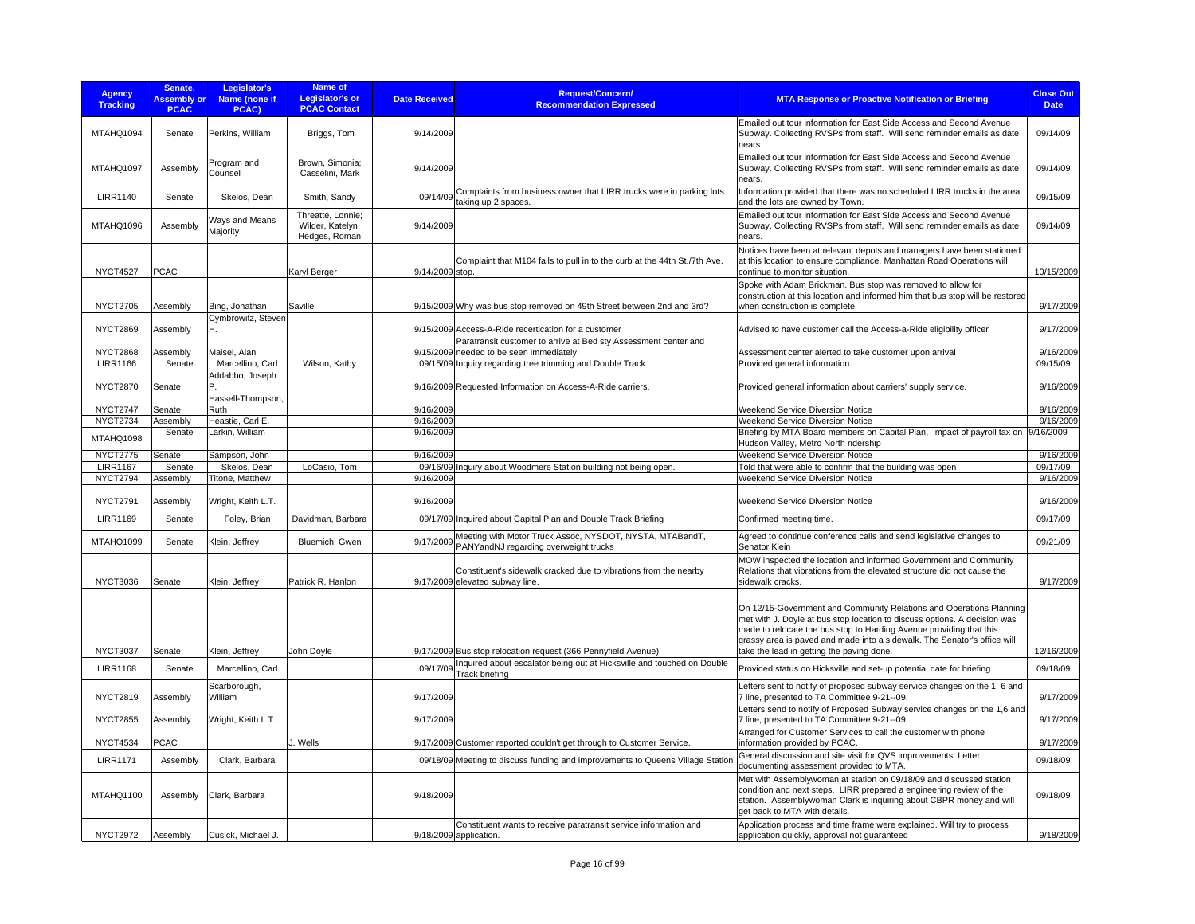| <b>Agency</b><br><b>Tracking</b>   | Senate,<br><b>Assembly or</b><br><b>PCAC</b> | Legislator's<br>Name (none if<br>PCAC) | Name of<br><b>Legislator's or</b><br><b>PCAC Contact</b> | <b>Date Received</b> | Request/Concern/<br><b>Recommendation Expressed</b>                                                         | <b>MTA Response or Proactive Notification or Briefing</b>                                                                                                                                                                                                                                                                                        | <b>Close Out</b><br><b>Date</b> |
|------------------------------------|----------------------------------------------|----------------------------------------|----------------------------------------------------------|----------------------|-------------------------------------------------------------------------------------------------------------|--------------------------------------------------------------------------------------------------------------------------------------------------------------------------------------------------------------------------------------------------------------------------------------------------------------------------------------------------|---------------------------------|
| MTAHQ1094                          | Senate                                       | Perkins, William                       | Briggs, Tom                                              | 9/14/2009            |                                                                                                             | Emailed out tour information for East Side Access and Second Avenue<br>Subway. Collecting RVSPs from staff. Will send reminder emails as date<br>nears.                                                                                                                                                                                          | 09/14/09                        |
| MTAHQ1097                          | Assembly                                     | Program and<br>Counsel                 | Brown, Simonia;<br>Casselini, Mark                       | 9/14/2009            |                                                                                                             | Emailed out tour information for East Side Access and Second Avenue<br>Subway. Collecting RVSPs from staff. Will send reminder emails as date<br>nears.                                                                                                                                                                                          | 09/14/09                        |
| <b>LIRR1140</b>                    | Senate                                       | Skelos, Dean                           | Smith, Sandy                                             |                      | 09/14/09 Complaints from business owner that LIRR trucks were in parking lots<br>taking up 2 spaces.        | Information provided that there was no scheduled LIRR trucks in the area<br>and the lots are owned by Town.                                                                                                                                                                                                                                      | 09/15/09                        |
| MTAHQ1096                          | Assembly                                     | Ways and Means<br>Majority             | Threatte, Lonnie;<br>Wilder, Katelyn;<br>Hedges, Roman   | 9/14/2009            |                                                                                                             | Emailed out tour information for East Side Access and Second Avenue<br>Subway. Collecting RVSPs from staff. Will send reminder emails as date<br>nears.                                                                                                                                                                                          | 09/14/09                        |
| <b>NYCT4527</b>                    | <b>PCAC</b>                                  |                                        | Karyl Berger                                             | 9/14/2009 stop.      | Complaint that M104 fails to pull in to the curb at the 44th St./7th Ave.                                   | Notices have been at relevant depots and managers have been stationed<br>at this location to ensure compliance. Manhattan Road Operations will<br>continue to monitor situation.                                                                                                                                                                 | 10/15/2009                      |
| <b>NYCT2705</b>                    | Assembly                                     | Bing, Jonathan                         | Saville                                                  |                      | 9/15/2009 Why was bus stop removed on 49th Street between 2nd and 3rd?                                      | Spoke with Adam Brickman. Bus stop was removed to allow for<br>construction at this location and informed him that bus stop will be restored<br>when construction is complete.                                                                                                                                                                   | 9/17/2009                       |
|                                    |                                              | Cymbrowitz, Steven                     |                                                          |                      |                                                                                                             |                                                                                                                                                                                                                                                                                                                                                  |                                 |
| <b>NYCT2869</b>                    | Assembly                                     | н                                      |                                                          |                      | 9/15/2009 Access-A-Ride recertication for a customer                                                        | Advised to have customer call the Access-a-Ride eligibility officer                                                                                                                                                                                                                                                                              | 9/17/2009                       |
| <b>NYCT2868</b>                    | Assembly                                     | Maisel, Alan                           |                                                          |                      | Paratransit customer to arrive at Bed sty Assessment center and<br>9/15/2009 needed to be seen immediately. | Assessment center alerted to take customer upon arrival                                                                                                                                                                                                                                                                                          | 9/16/2009                       |
| <b>LIRR1166</b>                    | Senate                                       | Marcellino, Carl                       | Wilson, Kathy                                            |                      | 09/15/09 Inquiry regarding tree trimming and Double Track.                                                  | Provided general information.                                                                                                                                                                                                                                                                                                                    | 09/15/09                        |
|                                    |                                              | Addabbo, Joseph                        |                                                          |                      |                                                                                                             |                                                                                                                                                                                                                                                                                                                                                  |                                 |
| <b>NYCT2870</b>                    | Senate                                       |                                        |                                                          |                      | 9/16/2009 Requested Information on Access-A-Ride carriers.                                                  | Provided general information about carriers' supply service.                                                                                                                                                                                                                                                                                     | 9/16/2009                       |
| <b>NYCT2747</b>                    |                                              | Hassell-Thompson,<br>Ruth              |                                                          | 9/16/2009            |                                                                                                             | Weekend Service Diversion Notice                                                                                                                                                                                                                                                                                                                 | 9/16/2009                       |
| <b>NYCT2734</b>                    | Senate<br>Assembly                           | Heastie, Carl E.                       |                                                          | 9/16/2009            |                                                                                                             | Weekend Service Diversion Notice                                                                                                                                                                                                                                                                                                                 | 9/16/2009                       |
| MTAHQ1098                          | Senate                                       | Larkin, William                        |                                                          | 9/16/2009            |                                                                                                             | Briefing by MTA Board members on Capital Plan, impact of payroll tax on 9/16/2009<br>Hudson Valley, Metro North ridership                                                                                                                                                                                                                        |                                 |
| <b>NYCT2775</b>                    | Senate                                       | Sampson, John                          |                                                          | 9/16/2009            |                                                                                                             | Weekend Service Diversion Notice                                                                                                                                                                                                                                                                                                                 | 9/16/2009                       |
| <b>LIRR1167</b><br><b>NYCT2794</b> | Senate<br>Assembly                           | Skelos, Dean<br>Titone, Matthew        | LoCasio, Tom                                             | 9/16/2009            | 09/16/09 Inquiry about Woodmere Station building not being open.                                            | Told that were able to confirm that the building was open<br>Weekend Service Diversion Notice                                                                                                                                                                                                                                                    | 09/17/09<br>9/16/2009           |
|                                    |                                              |                                        |                                                          |                      |                                                                                                             |                                                                                                                                                                                                                                                                                                                                                  |                                 |
| <b>NYCT2791</b>                    | Assembly                                     | Wright, Keith L.T.                     |                                                          | 9/16/2009            |                                                                                                             | Weekend Service Diversion Notice                                                                                                                                                                                                                                                                                                                 | 9/16/2009                       |
| <b>LIRR1169</b>                    | Senate                                       | Foley, Brian                           | Davidman, Barbara                                        |                      | 09/17/09 Inquired about Capital Plan and Double Track Briefing                                              | Confirmed meeting time.                                                                                                                                                                                                                                                                                                                          | 09/17/09                        |
| MTAHQ1099                          | Senate                                       | Klein, Jeffrey                         | Bluemich, Gwen                                           | 9/17/2009            | Meeting with Motor Truck Assoc, NYSDOT, NYSTA, MTABandT,<br>PANYandNJ regarding overweight trucks           | Agreed to continue conference calls and send legislative changes to<br>Senator Klein                                                                                                                                                                                                                                                             | 09/21/09                        |
|                                    |                                              |                                        |                                                          |                      | Constituent's sidewalk cracked due to vibrations from the nearby                                            | MOW inspected the location and informed Government and Community<br>Relations that vibrations from the elevated structure did not cause the                                                                                                                                                                                                      |                                 |
| <b>NYCT3036</b>                    | Senate                                       | Klein, Jeffrey                         | Patrick R. Hanlon                                        |                      | 9/17/2009 elevated subway line.                                                                             | sidewalk cracks.                                                                                                                                                                                                                                                                                                                                 | 9/17/2009                       |
| <b>NYCT3037</b>                    | Senate                                       | Klein, Jeffrey                         | John Doyle                                               |                      | 9/17/2009 Bus stop relocation request (366 Pennyfield Avenue)                                               | On 12/15-Government and Community Relations and Operations Planning<br>met with J. Doyle at bus stop location to discuss options. A decision was<br>made to relocate the bus stop to Harding Avenue providing that this<br>grassy area is paved and made into a sidewalk. The Senator's office will<br>take the lead in getting the paving done. | 12/16/2009                      |
| <b>LIRR1168</b>                    | Senate                                       | Marcellino, Carl                       |                                                          | 09/17/09             | Inquired about escalator being out at Hicksville and touched on Double                                      | Provided status on Hicksville and set-up potential date for briefing.                                                                                                                                                                                                                                                                            | 09/18/09                        |
|                                    |                                              |                                        |                                                          |                      | <b>Track briefing</b>                                                                                       |                                                                                                                                                                                                                                                                                                                                                  |                                 |
| <b>NYCT2819</b>                    | Assembly                                     | Scarborough,<br>William                |                                                          | 9/17/2009            |                                                                                                             | Letters sent to notify of proposed subway service changes on the 1, 6 and<br>7 line, presented to TA Committee 9-21--09.<br>Letters send to notify of Proposed Subway service changes on the 1,6 and                                                                                                                                             | 9/17/2009                       |
| <b>NYCT2855</b>                    | Assembly                                     | Wright, Keith L.T.                     |                                                          | 9/17/2009            |                                                                                                             | 7 line, presented to TA Committee 9-21--09.                                                                                                                                                                                                                                                                                                      | 9/17/2009                       |
| <b>NYCT4534</b>                    | <b>PCAC</b>                                  |                                        | J. Wells                                                 |                      | 9/17/2009 Customer reported couldn't get through to Customer Service.                                       | Arranged for Customer Services to call the customer with phone<br>information provided by PCAC.                                                                                                                                                                                                                                                  | 9/17/2009                       |
| <b>LIRR1171</b>                    | Assembly                                     | Clark, Barbara                         |                                                          |                      | 09/18/09 Meeting to discuss funding and improvements to Queens Village Station                              | General discussion and site visit for QVS improvements. Letter<br>documenting assessment provided to MTA.                                                                                                                                                                                                                                        | 09/18/09                        |
| MTAHQ1100                          | Assembly                                     | Clark, Barbara                         |                                                          | 9/18/2009            |                                                                                                             | Met with Assemblywoman at station on 09/18/09 and discussed station<br>condition and next steps. LIRR prepared a engineering review of the<br>station. Assemblywoman Clark is inquiring about CBPR money and will<br>get back to MTA with details.                                                                                               | 09/18/09                        |
| <b>NYCT2972</b>                    | Assembly                                     | Cusick, Michael J.                     |                                                          |                      | Constituent wants to receive paratransit service information and                                            | Application process and time frame were explained. Will try to process                                                                                                                                                                                                                                                                           | 9/18/2009                       |
|                                    |                                              |                                        |                                                          |                      | 9/18/2009 application.                                                                                      | application quickly, approval not guaranteed                                                                                                                                                                                                                                                                                                     |                                 |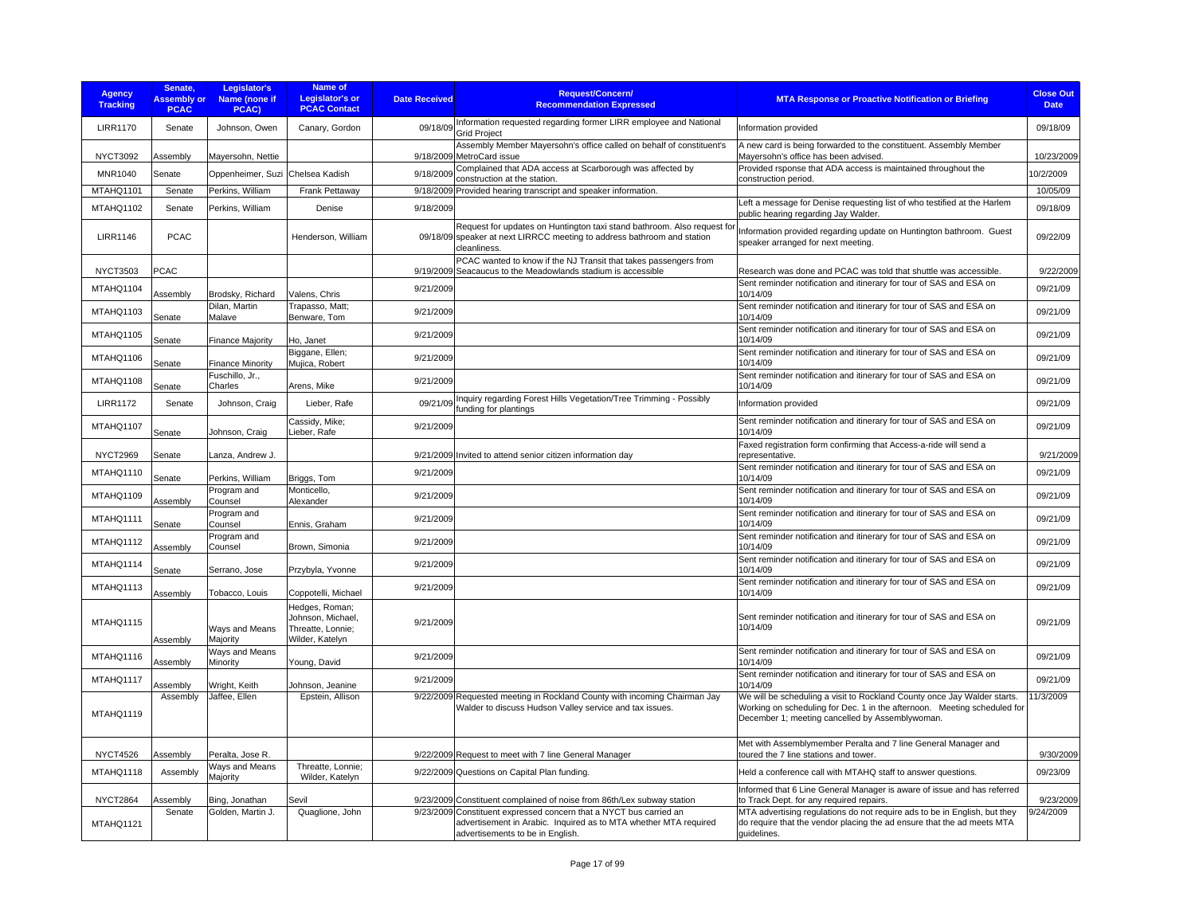| <b>Agency</b><br><b>Tracking</b> | Senate,<br><b>Assembly or</b><br><b>PCAC</b> | Legislator's<br><b>Name (none if</b><br>PCAC) | Name of<br><b>Legislator's or</b><br><b>PCAC Contact</b>                    | <b>Date Received</b> | <b>Request/Concern/</b><br><b>Recommendation Expressed</b>                                                                                                                 | <b>MTA Response or Proactive Notification or Briefing</b>                                                                                                                                               | <b>Close Out</b><br><b>Date</b> |
|----------------------------------|----------------------------------------------|-----------------------------------------------|-----------------------------------------------------------------------------|----------------------|----------------------------------------------------------------------------------------------------------------------------------------------------------------------------|---------------------------------------------------------------------------------------------------------------------------------------------------------------------------------------------------------|---------------------------------|
| <b>LIRR1170</b>                  | Senate                                       | Johnson, Owen                                 | Canary, Gordon                                                              | 09/18/09             | Information requested regarding former LIRR employee and National<br><b>Grid Project</b>                                                                                   | Information provided                                                                                                                                                                                    | 09/18/09                        |
| <b>NYCT3092</b>                  | Assembly                                     | Mayersohn, Nettie                             |                                                                             |                      | Assembly Member Mayersohn's office called on behalf of constituent's<br>9/18/2009 MetroCard issue                                                                          | A new card is being forwarded to the constituent. Assembly Member<br>Mayersohn's office has been advised.                                                                                               | 10/23/2009                      |
| MNR1040                          | Senate                                       | Oppenheimer, Suzi                             | Chelsea Kadish                                                              | 9/18/2009            | Complained that ADA access at Scarborough was affected by<br>construction at the station.                                                                                  | Provided rsponse that ADA access is maintained throughout the<br>construction period.                                                                                                                   | 0/2/2009                        |
| MTAHQ1101                        | Senate                                       | Perkins, William                              | Frank Pettaway                                                              |                      | 9/18/2009 Provided hearing transcript and speaker information.                                                                                                             |                                                                                                                                                                                                         | 10/05/09                        |
| MTAHQ1102                        | Senate                                       | Perkins, William                              | Denise                                                                      | 9/18/2009            |                                                                                                                                                                            | Left a message for Denise requesting list of who testified at the Harlem<br>public hearing regarding Jay Walder.                                                                                        | 09/18/09                        |
| <b>LIRR1146</b>                  | <b>PCAC</b>                                  |                                               | Henderson, William                                                          |                      | Request for updates on Huntington taxi stand bathroom. Also request for<br>09/18/09 speaker at next LIRRCC meeting to address bathroom and station<br>cleanliness.         | Information provided regarding update on Huntington bathroom. Guest<br>speaker arranged for next meeting.                                                                                               | 09/22/09                        |
| <b>NYCT3503</b>                  | <b>PCAC</b>                                  |                                               |                                                                             |                      | PCAC wanted to know if the NJ Transit that takes passengers from<br>9/19/2009 Seacaucus to the Meadowlands stadium is accessible                                           | Research was done and PCAC was told that shuttle was accessible.                                                                                                                                        | 9/22/2009                       |
| MTAHQ1104                        | Assembly                                     | Brodsky, Richard                              | Valens, Chris                                                               | 9/21/2009            |                                                                                                                                                                            | Sent reminder notification and itinerary for tour of SAS and ESA on<br>10/14/09                                                                                                                         | 09/21/09                        |
| MTAHQ1103                        | Senate                                       | Dilan, Martin<br>Malave                       | Trapasso, Matt;<br>Benware, Tom                                             | 9/21/2009            |                                                                                                                                                                            | Sent reminder notification and itinerary for tour of SAS and ESA on<br>10/14/09                                                                                                                         | 09/21/09                        |
| MTAHQ1105                        | Senate                                       | <b>Finance Majority</b>                       | Ho, Janet                                                                   | 9/21/2009            |                                                                                                                                                                            | Sent reminder notification and itinerary for tour of SAS and ESA on<br>10/14/09                                                                                                                         | 09/21/09                        |
| MTAHQ1106                        | Senate                                       | <b>Finance Minority</b>                       | Biggane, Ellen;<br>Mujica, Robert                                           | 9/21/2009            |                                                                                                                                                                            | Sent reminder notification and itinerary for tour of SAS and ESA on<br>10/14/09                                                                                                                         | 09/21/09                        |
| MTAHQ1108                        | Senate                                       | Fuschillo, Jr.,<br>Charles                    | Arens, Mike                                                                 | 9/21/2009            |                                                                                                                                                                            | Sent reminder notification and itinerary for tour of SAS and ESA on<br>10/14/09                                                                                                                         | 09/21/09                        |
| <b>LIRR1172</b>                  | Senate                                       | Johnson, Craig                                | Lieber, Rafe                                                                | 09/21/09             | Inquiry regarding Forest Hills Vegetation/Tree Trimming - Possibly<br>funding for plantings                                                                                | Information provided                                                                                                                                                                                    | 09/21/09                        |
| MTAHQ1107                        | Senate                                       | Johnson, Craig                                | Cassidy, Mike;<br>Lieber, Rafe                                              | 9/21/2009            |                                                                                                                                                                            | Sent reminder notification and itinerary for tour of SAS and ESA on<br>10/14/09                                                                                                                         | 09/21/09                        |
| <b>NYCT2969</b>                  | Senate                                       | Lanza, Andrew J.                              |                                                                             |                      | 9/21/2009 Invited to attend senior citizen information day                                                                                                                 | Faxed registration form confirming that Access-a-ride will send a<br>representative.                                                                                                                    | 9/21/2009                       |
| MTAHQ1110                        | Senate                                       | Perkins, William                              | Briggs, Tom                                                                 | 9/21/2009            |                                                                                                                                                                            | Sent reminder notification and itinerary for tour of SAS and ESA on<br>10/14/09                                                                                                                         | 09/21/09                        |
| MTAHQ1109                        | Assembly                                     | Program and<br>Counsel                        | Monticello,<br>Alexander                                                    | 9/21/2009            |                                                                                                                                                                            | Sent reminder notification and itinerary for tour of SAS and ESA on<br>10/14/09                                                                                                                         | 09/21/09                        |
| MTAHQ1111                        | Senate                                       | Program and<br>Counsel                        | Ennis, Graham                                                               | 9/21/2009            |                                                                                                                                                                            | Sent reminder notification and itinerary for tour of SAS and ESA on<br>10/14/09                                                                                                                         | 09/21/09                        |
| MTAHQ1112                        | Assembly                                     | Program and<br>Counsel                        | Brown, Simonia                                                              | 9/21/2009            |                                                                                                                                                                            | Sent reminder notification and itinerary for tour of SAS and ESA on<br>10/14/09                                                                                                                         | 09/21/09                        |
| MTAHQ1114                        | Senate                                       | Serrano, Jose                                 | Przybyla, Yvonne                                                            | 9/21/2009            |                                                                                                                                                                            | Sent reminder notification and itinerary for tour of SAS and ESA on<br>10/14/09                                                                                                                         | 09/21/09                        |
| MTAHQ1113                        | Assembly                                     | Tobacco, Louis                                | Coppotelli, Michael                                                         | 9/21/2009            |                                                                                                                                                                            | Sent reminder notification and itinerary for tour of SAS and ESA on<br>10/14/09                                                                                                                         | 09/21/09                        |
| MTAHQ1115                        | Assembly                                     | Ways and Means<br>Majority                    | Hedges, Roman;<br>Johnson, Michael,<br>Threatte, Lonnie;<br>Wilder, Katelyn | 9/21/2009            |                                                                                                                                                                            | Sent reminder notification and itinerary for tour of SAS and ESA on<br>10/14/09                                                                                                                         | 09/21/09                        |
| MTAHQ1116                        | Assembly                                     | Ways and Means<br>Minority                    | Young, David                                                                | 9/21/2009            |                                                                                                                                                                            | Sent reminder notification and itinerary for tour of SAS and ESA on<br>10/14/09                                                                                                                         | 09/21/09                        |
| MTAHQ1117                        | <b>Assembly</b>                              | Wright, Keith                                 | Johnson, Jeanine                                                            | 9/21/2009            |                                                                                                                                                                            | Sent reminder notification and itinerary for tour of SAS and ESA on<br>10/14/09                                                                                                                         | 09/21/09                        |
| MTAHQ1119                        | Assembly                                     | Jaffee, Ellen                                 | Epstein, Allison                                                            |                      | 9/22/2009 Requested meeting in Rockland County with incoming Chairman Jay<br>Walder to discuss Hudson Valley service and tax issues.                                       | We will be scheduling a visit to Rockland County once Jay Walder starts.<br>Working on scheduling for Dec. 1 in the afternoon. Meeting scheduled for<br>December 1; meeting cancelled by Assemblywoman. | 11/3/2009                       |
| <b>NYCT4526</b>                  | Assembly                                     | Peralta, Jose R.                              |                                                                             |                      | 9/22/2009 Request to meet with 7 line General Manager                                                                                                                      | Met with Assemblymember Peralta and 7 line General Manager and<br>toured the 7 line stations and tower.                                                                                                 | 9/30/2009                       |
| MTAHQ1118                        | Assembly                                     | Ways and Means<br>Majority                    | Threatte, Lonnie;<br>Wilder, Katelyn                                        |                      | 9/22/2009 Questions on Capital Plan funding.                                                                                                                               | Held a conference call with MTAHQ staff to answer questions.                                                                                                                                            | 09/23/09                        |
| <b>NYCT2864</b>                  | Assembly                                     | Bing, Jonathan                                | Sevil                                                                       |                      | 9/23/2009 Constituent complained of noise from 86th/Lex subway station                                                                                                     | Informed that 6 Line General Manager is aware of issue and has referred<br>to Track Dept. for any required repairs.                                                                                     | 9/23/2009                       |
| MTAHQ1121                        | Senate                                       | Golden, Martin J.                             | Quaglione, John                                                             |                      | 9/23/2009 Constituent expressed concern that a NYCT bus carried an<br>advertisement in Arabic. Inquired as to MTA whether MTA required<br>advertisements to be in English. | MTA advertising regulations do not require ads to be in English, but they<br>do require that the vendor placing the ad ensure that the ad meets MTA<br>guidelines.                                      | 9/24/2009                       |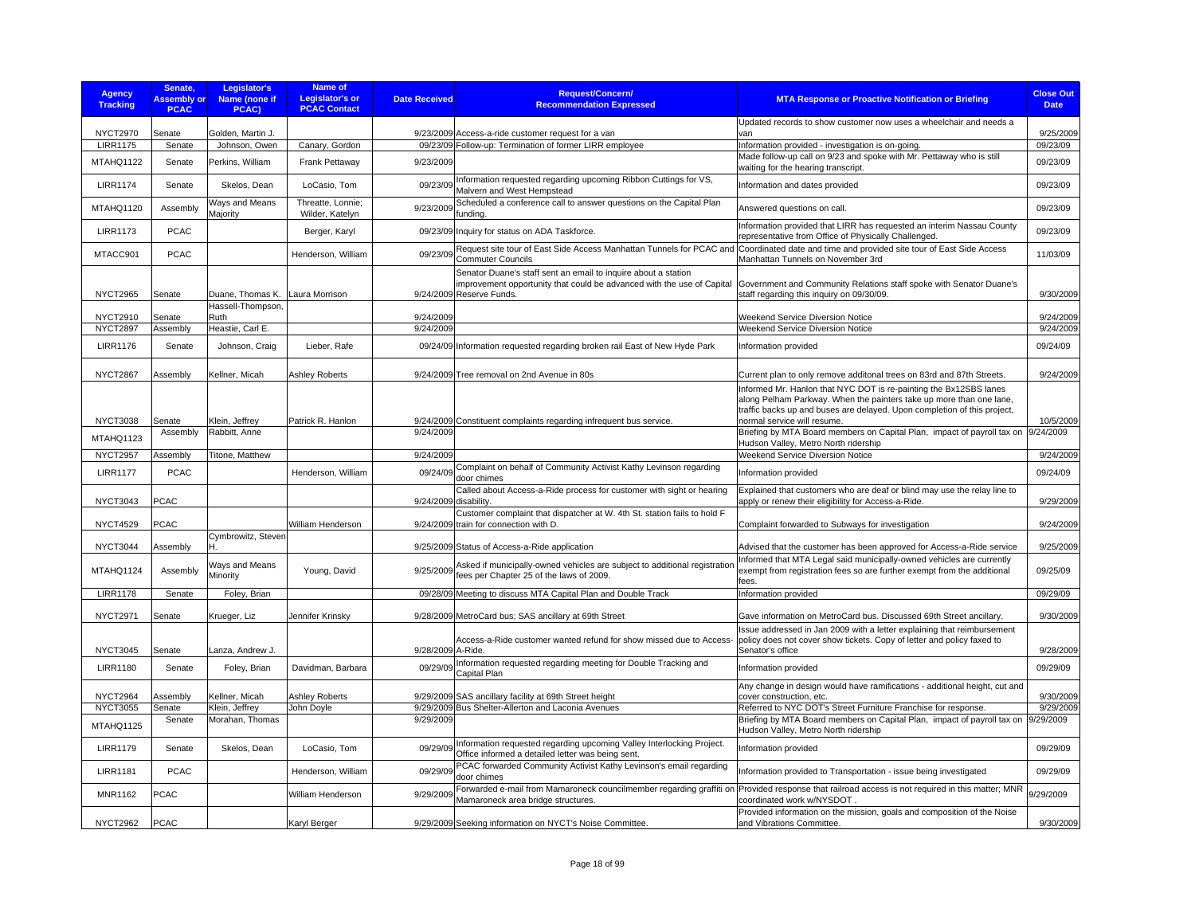| <b>Agency</b><br><b>Tracking</b> | Senate.<br><b>Assembly or</b><br><b>PCAC</b> | Legislator's<br>Name (none if<br>PCAC) | Name of<br>Legislator's or<br><b>PCAC Contact</b> | <b>Date Received</b> | <b>Request/Concern/</b><br><b>Recommendation Expressed</b>                                                                                                           | <b>MTA Response or Proactive Notification or Briefing</b>                                                                                                                                                                                           | <b>Close Out</b><br><b>Date</b> |
|----------------------------------|----------------------------------------------|----------------------------------------|---------------------------------------------------|----------------------|----------------------------------------------------------------------------------------------------------------------------------------------------------------------|-----------------------------------------------------------------------------------------------------------------------------------------------------------------------------------------------------------------------------------------------------|---------------------------------|
| <b>NYCT2970</b>                  | Senate                                       | Golden, Martin J.                      |                                                   |                      | 9/23/2009 Access-a-ride customer request for a van                                                                                                                   | Updated records to show customer now uses a wheelchair and needs a<br>van                                                                                                                                                                           | 9/25/2009                       |
| <b>LIRR1175</b>                  | Senate                                       | Johnson, Owen                          | Canary, Gordon                                    |                      | 09/23/09 Follow-up: Termination of former LIRR employee                                                                                                              | Information provided - investigation is on-going.                                                                                                                                                                                                   | 09/23/09                        |
| MTAHQ1122                        | Senate                                       | Perkins, William                       | Frank Pettaway                                    | 9/23/2009            |                                                                                                                                                                      | Made follow-up call on 9/23 and spoke with Mr. Pettaway who is still<br>waiting for the hearing transcript.                                                                                                                                         | 09/23/09                        |
| <b>LIRR1174</b>                  | Senate                                       | Skelos, Dean                           | LoCasio, Tom                                      | 09/23/09             | Information requested regarding upcoming Ribbon Cuttings for VS,<br>Malvern and West Hempstead                                                                       | Information and dates provided                                                                                                                                                                                                                      | 09/23/09                        |
| MTAHQ1120                        | Assembly                                     | Ways and Means<br>Majority             | Threatte, Lonnie:<br>Wilder, Katelyn              | 9/23/2009            | Scheduled a conference call to answer questions on the Capital Plan<br>funding.                                                                                      | Answered questions on call.                                                                                                                                                                                                                         | 09/23/09                        |
| <b>LIRR1173</b>                  | <b>PCAC</b>                                  |                                        | Berger, Karyl                                     |                      | 09/23/09 Inquiry for status on ADA Taskforce.                                                                                                                        | Information provided that LIRR has requested an interim Nassau County<br>representative from Office of Physically Challenged.                                                                                                                       | 09/23/09                        |
| MTACC901                         | <b>PCAC</b>                                  |                                        | Henderson, William                                | 09/23/09             | Request site tour of East Side Access Manhattan Tunnels for PCAC and<br>Commuter Councils                                                                            | Coordinated date and time and provided site tour of East Side Access<br>Manhattan Tunnels on November 3rd                                                                                                                                           | 11/03/09                        |
| <b>NYCT2965</b>                  | Senate                                       | Duane, Thomas K.                       | Laura Morrison                                    |                      | Senator Duane's staff sent an email to inquire about a station<br>improvement opportunity that could be advanced with the use of Capital<br>9/24/2009 Reserve Funds. | Government and Community Relations staff spoke with Senator Duane's<br>staff regarding this inquiry on 09/30/09.                                                                                                                                    | 9/30/2009                       |
| <b>NYCT2910</b>                  | Senate                                       | Hassell-Thompson,<br>Ruth              |                                                   | 9/24/2009            |                                                                                                                                                                      | <b>Weekend Service Diversion Notice</b>                                                                                                                                                                                                             | 9/24/2009                       |
| <b>NYCT2897</b>                  | Assembly                                     | Heastie, Carl E.                       |                                                   | 9/24/2009            |                                                                                                                                                                      | <b>Weekend Service Diversion Notice</b>                                                                                                                                                                                                             | 9/24/2009                       |
| <b>LIRR1176</b>                  | Senate                                       | Johnson, Craig                         | Lieber, Rafe                                      |                      | 09/24/09 Information requested regarding broken rail East of New Hyde Park                                                                                           | Information provided                                                                                                                                                                                                                                | 09/24/09                        |
| NYCT2867                         | Assembly                                     | Kellner, Micah                         | Ashley Roberts                                    |                      | 9/24/2009 Tree removal on 2nd Avenue in 80s                                                                                                                          | Current plan to only remove additonal trees on 83rd and 87th Streets.                                                                                                                                                                               | 9/24/2009                       |
| <b>NYCT3038</b>                  | Senate                                       | Klein, Jeffrey                         | Patrick R. Hanlon                                 |                      | 9/24/2009 Constituent complaints regarding infrequent bus service.                                                                                                   | Informed Mr. Hanlon that NYC DOT is re-painting the Bx12SBS lanes<br>along Pelham Parkway. When the painters take up more than one lane,<br>traffic backs up and buses are delayed. Upon completion of this project,<br>normal service will resume. | 10/5/2009                       |
| MTAHQ1123                        | Assembly                                     | Rabbitt, Anne                          |                                                   | 9/24/2009            |                                                                                                                                                                      | Briefing by MTA Board members on Capital Plan, impact of payroll tax on                                                                                                                                                                             | 9/24/2009                       |
| <b>NYCT2957</b>                  | Assembly                                     | Titone, Matthew                        |                                                   | 9/24/2009            |                                                                                                                                                                      | Hudson Valley, Metro North ridership<br>Weekend Service Diversion Notice                                                                                                                                                                            | 9/24/2009                       |
| <b>LIRR1177</b>                  | <b>PCAC</b>                                  |                                        | Henderson, William                                |                      | 09/24/09 Complaint on behalf of Community Activist Kathy Levinson regarding<br>door chimes                                                                           | Information provided                                                                                                                                                                                                                                | 09/24/09                        |
| <b>NYCT3043</b>                  | <b>PCAC</b>                                  |                                        |                                                   | 9/24/2009 disability | Called about Access-a-Ride process for customer with sight or hearing                                                                                                | Explained that customers who are deaf or blind may use the relay line to<br>apply or renew their eligibility for Access-a-Ride.                                                                                                                     | 9/29/2009                       |
|                                  |                                              |                                        |                                                   |                      | Customer complaint that dispatcher at W. 4th St. station fails to hold F                                                                                             |                                                                                                                                                                                                                                                     |                                 |
| <b>NYCT4529</b>                  | <b>PCAC</b>                                  |                                        | William Henderson                                 |                      | 9/24/2009 train for connection with D.                                                                                                                               | Complaint forwarded to Subways for investigation                                                                                                                                                                                                    | 9/24/2009                       |
| <b>NYCT3044</b>                  | Assembly                                     | Cymbrowitz, Steven<br>н                |                                                   |                      | 9/25/2009 Status of Access-a-Ride application                                                                                                                        | Advised that the customer has been approved for Access-a-Ride service                                                                                                                                                                               | 9/25/2009                       |
| MTAHQ1124                        | Assembly                                     | Ways and Means<br>Minority             | Young, David                                      | 9/25/2009            | Asked if municipally-owned vehicles are subject to additional registration<br>fees per Chapter 25 of the laws of 2009.                                               | Informed that MTA Legal said municipally-owned vehicles are currently<br>exempt from registration fees so are further exempt from the additional<br>fees.                                                                                           | 09/25/09                        |
| <b>LIRR1178</b>                  | Senate                                       | Foley, Brian                           |                                                   |                      | 09/28/09 Meeting to discuss MTA Capital Plan and Double Track                                                                                                        | Information provided                                                                                                                                                                                                                                | 09/29/09                        |
|                                  |                                              |                                        |                                                   |                      |                                                                                                                                                                      |                                                                                                                                                                                                                                                     |                                 |
| <b>NYCT2971</b>                  | Senate                                       | Krueger, Liz                           | Jennifer Krinsky                                  |                      | 9/28/2009 MetroCard bus; SAS ancillary at 69th Street                                                                                                                | Gave information on MetroCard bus. Discussed 69th Street ancillary.                                                                                                                                                                                 | 9/30/2009                       |
| <b>NYCT3045</b>                  | Senate                                       | Lanza, Andrew J.                       |                                                   | 9/28/2009 A-Ride.    | Access-a-Ride customer wanted refund for show missed due to Access-                                                                                                  | Issue addressed in Jan 2009 with a letter explaining that reimbursement<br>policy does not cover show tickets. Copy of letter and policy faxed to<br>Senator's office                                                                               | 9/28/2009                       |
| <b>LIRR1180</b>                  | Senate                                       | Foley, Brian                           | Davidman, Barbara                                 | 09/29/09             | Information requested regarding meeting for Double Tracking and<br>Capital Plan                                                                                      | Information provided                                                                                                                                                                                                                                | 09/29/09                        |
| <b>NYCT2964</b>                  | Assembly                                     | Kellner, Micah                         |                                                   |                      |                                                                                                                                                                      | Any change in design would have ramifications - additional height, cut and<br>cover construction, etc.                                                                                                                                              | 9/30/2009                       |
| <b>NYCT3055</b>                  | Senate                                       | Klein, Jeffrey                         | Ashley Roberts<br>John Doyle                      |                      | 9/29/2009 SAS ancillary facility at 69th Street height<br>9/29/2009 Bus Shelter-Allerton and Laconia Avenues                                                         | Referred to NYC DOT's Street Furniture Franchise for response.                                                                                                                                                                                      | 9/29/2009                       |
| MTAHQ1125                        | Senate                                       | Morahan, Thomas                        |                                                   | 9/29/2009            |                                                                                                                                                                      | Briefing by MTA Board members on Capital Plan, impact of payroll tax on<br>Hudson Valley, Metro North ridership                                                                                                                                     | 9/29/2009                       |
| <b>LIRR1179</b>                  | Senate                                       | Skelos, Dean                           | LoCasio, Tom                                      | 09/29/09             | Information requested regarding upcoming Valley Interlocking Project.<br>Office informed a detailed letter was being sent.                                           | Information provided                                                                                                                                                                                                                                | 09/29/09                        |
| <b>LIRR1181</b>                  | <b>PCAC</b>                                  |                                        | Henderson, William                                | 09/29/09             | PCAC forwarded Community Activist Kathy Levinson's email regarding<br>door chimes                                                                                    | nformation provided to Transportation - issue being investigated                                                                                                                                                                                    | 09/29/09                        |
| <b>MNR1162</b>                   | <b>PCAC</b>                                  |                                        | William Henderson                                 | 9/29/2009            | Forwarded e-mail from Mamaroneck councilmember regarding graffiti on<br>Mamaroneck area bridge structures.                                                           | Provided response that railroad access is not required in this matter; MNR<br>coordinated work w/NYSDOT.                                                                                                                                            | 9/29/2009                       |
| <b>NYCT2962</b>                  | PCAC                                         |                                        | Karyl Berger                                      |                      | 9/29/2009 Seeking information on NYCT's Noise Committee.                                                                                                             | Provided information on the mission, goals and composition of the Noise<br>and Vibrations Committee.                                                                                                                                                | 9/30/2009                       |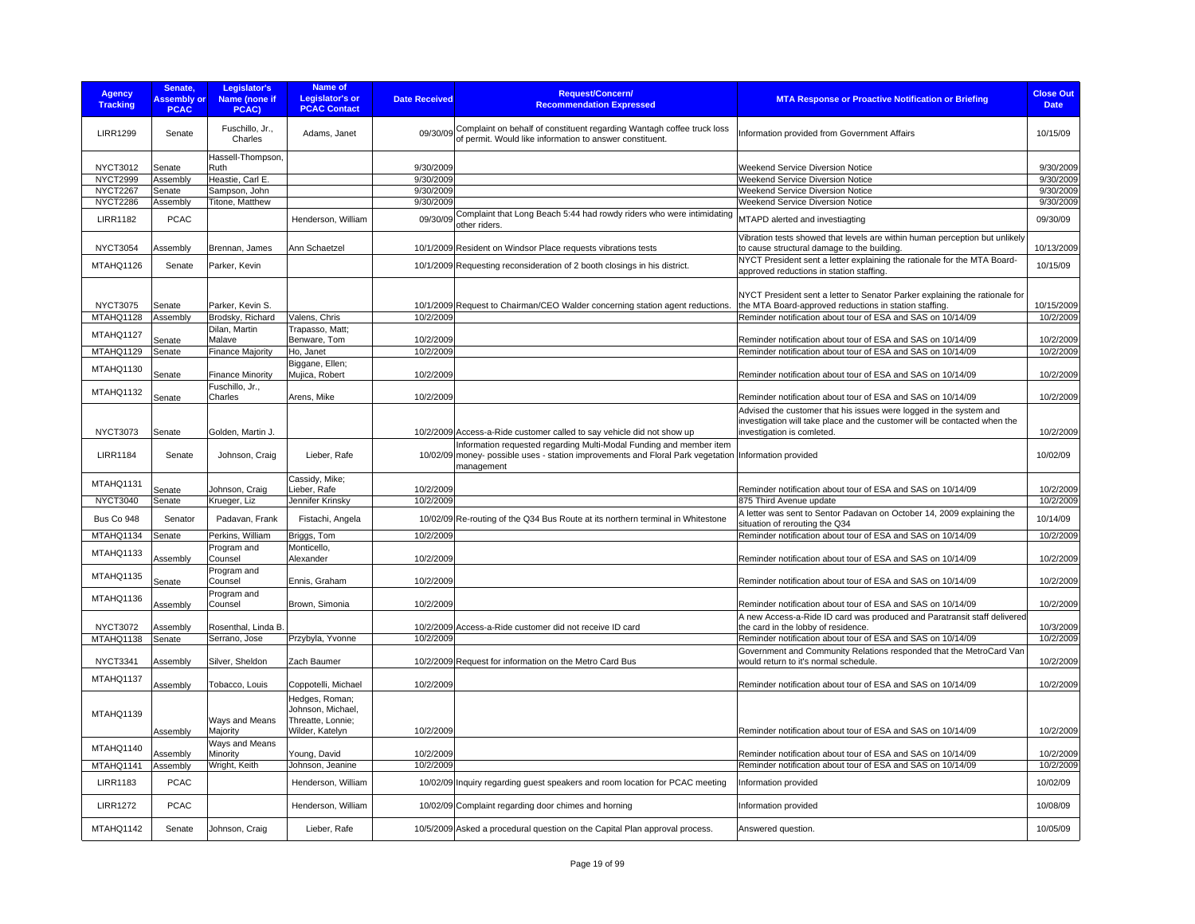| <b>Agency</b><br><b>Tracking</b> | Senate,<br><b>Assembly or</b><br><b>PCAC</b> | Legislator's<br>Name (none if<br>PCAC)     | <b>Name of</b><br><b>Legislator's or</b><br><b>PCAC Contact</b> | <b>Date Received</b> | <b>Request/Concern/</b><br><b>Recommendation Expressed</b>                                                                                                                                | <b>MTA Response or Proactive Notification or Briefing</b>                                                                                       | <b>Close Out</b><br><b>Date</b> |
|----------------------------------|----------------------------------------------|--------------------------------------------|-----------------------------------------------------------------|----------------------|-------------------------------------------------------------------------------------------------------------------------------------------------------------------------------------------|-------------------------------------------------------------------------------------------------------------------------------------------------|---------------------------------|
| <b>LIRR1299</b>                  | Senate                                       | Fuschillo, Jr.,<br>Charles                 | Adams, Janet                                                    |                      | Complaint on behalf of constituent regarding Wantagh coffee truck loss<br>09/30/09 of permit. Would like information to answer constituent.                                               | Information provided from Government Affairs                                                                                                    | 10/15/09                        |
| <b>NYCT3012</b>                  | Senate                                       | Hassell-Thompson,<br>Ruth                  |                                                                 | 9/30/2009            |                                                                                                                                                                                           | Weekend Service Diversion Notice                                                                                                                | 9/30/2009                       |
| <b>NYCT2999</b>                  | Assembly                                     | Heastie, Carl E.                           |                                                                 | 9/30/2009            |                                                                                                                                                                                           | Weekend Service Diversion Notice                                                                                                                | 9/30/2009                       |
| <b>NYCT2267</b>                  | Senate                                       | Sampson, John                              |                                                                 | 9/30/2009            |                                                                                                                                                                                           | Weekend Service Diversion Notice                                                                                                                | 9/30/2009                       |
| <b>NYCT2286</b>                  | Assembly                                     | Titone, Matthew                            |                                                                 | 9/30/2009            |                                                                                                                                                                                           | Weekend Service Diversion Notice                                                                                                                | 9/30/2009                       |
| <b>LIRR1182</b>                  | <b>PCAC</b>                                  |                                            | Henderson, William                                              | 09/30/09             | Complaint that Long Beach 5:44 had rowdy riders who were intimidating<br>other riders.                                                                                                    | MTAPD alerted and investiagting                                                                                                                 | 09/30/09                        |
| <b>NYCT3054</b>                  | Assembly                                     | Brennan, James                             | Ann Schaetzel                                                   |                      | 10/1/2009 Resident on Windsor Place requests vibrations tests                                                                                                                             | Vibration tests showed that levels are within human perception but unlikely<br>to cause structural damage to the building.                      | 10/13/2009                      |
| MTAHQ1126                        | Senate                                       | Parker, Kevin                              |                                                                 |                      | 10/1/2009 Requesting reconsideration of 2 booth closings in his district.                                                                                                                 | NYCT President sent a letter explaining the rationale for the MTA Board-<br>approved reductions in station staffing.                            | 10/15/09                        |
| <b>NYCT3075</b>                  | Senate                                       | Parker, Kevin S.                           |                                                                 |                      | 10/1/2009 Request to Chairman/CEO Walder concerning station agent reductions.                                                                                                             | NYCT President sent a letter to Senator Parker explaining the rationale for<br>the MTA Board-approved reductions in station staffing.           | 10/15/2009<br>10/2/2009         |
| MTAHQ1128                        | Assembly                                     | Brodsky, Richard                           | Valens, Chris                                                   | 10/2/2009            |                                                                                                                                                                                           | Reminder notification about tour of ESA and SAS on 10/14/09                                                                                     |                                 |
| MTAHQ1127                        | Senate                                       | Dilan, Martin<br>Malave                    | Trapasso, Matt;<br>Benware, Tom                                 | 10/2/2009            |                                                                                                                                                                                           | Reminder notification about tour of ESA and SAS on 10/14/09                                                                                     | 10/2/2009                       |
| MTAHQ1129                        | Senate                                       | <b>Finance Majority</b>                    | Ho, Janet                                                       | 10/2/2009            |                                                                                                                                                                                           | Reminder notification about tour of ESA and SAS on 10/14/09                                                                                     | 10/2/2009                       |
|                                  |                                              |                                            | Biggane, Ellen;                                                 |                      |                                                                                                                                                                                           |                                                                                                                                                 |                                 |
| MTAHQ1130                        | Senate                                       | <b>Finance Minority</b><br>Fuschillo, Jr., | Mujica, Robert                                                  | 10/2/2009            |                                                                                                                                                                                           | Reminder notification about tour of ESA and SAS on 10/14/09                                                                                     | 10/2/2009                       |
| MTAHQ1132                        | Senate                                       | Charles                                    | Arens, Mike                                                     | 10/2/2009            |                                                                                                                                                                                           | Reminder notification about tour of ESA and SAS on 10/14/09                                                                                     | 10/2/2009                       |
|                                  |                                              |                                            |                                                                 |                      |                                                                                                                                                                                           | Advised the customer that his issues were logged in the system and<br>investigation will take place and the customer will be contacted when the |                                 |
| <b>NYCT3073</b>                  | Senate                                       | Golden, Martin J.                          |                                                                 |                      | 10/2/2009 Access-a-Ride customer called to say vehicle did not show up                                                                                                                    | investigation is comleted.                                                                                                                      | 10/2/2009                       |
| <b>LIRR1184</b>                  | Senate                                       | Johnson, Craig                             | Lieber, Rafe                                                    |                      | Information requested regarding Multi-Modal Funding and member item<br>10/02/09 money- possible uses - station improvements and Floral Park vegetation Information provided<br>management |                                                                                                                                                 | 10/02/09                        |
| MTAHQ1131                        | Senate                                       | Johnson, Craig                             | Cassidy, Mike;<br>Lieber, Rafe                                  | 10/2/2009            |                                                                                                                                                                                           | Reminder notification about tour of ESA and SAS on 10/14/09                                                                                     | 10/2/2009                       |
| <b>NYCT3040</b>                  | Senate                                       | Krueger, Liz                               | Jennifer Krinsky                                                | 10/2/2009            |                                                                                                                                                                                           | 875 Third Avenue update                                                                                                                         | 10/2/2009                       |
| Bus Co 948                       | Senator                                      | Padavan, Frank                             | Fistachi, Angela                                                |                      | 10/02/09 Re-routing of the Q34 Bus Route at its northern terminal in Whitestone                                                                                                           | A letter was sent to Sentor Padavan on October 14, 2009 explaining the<br>situation of rerouting the Q34                                        | 10/14/09                        |
| MTAHQ1134                        | Senate                                       | Perkins, William                           | Briggs, Tom                                                     | 10/2/2009            |                                                                                                                                                                                           | Reminder notification about tour of ESA and SAS on 10/14/09                                                                                     | 10/2/2009                       |
| MTAHQ1133                        | Assembly                                     | Program and<br>Counsel                     | Monticello,<br>Alexander                                        | 10/2/2009            |                                                                                                                                                                                           | Reminder notification about tour of ESA and SAS on 10/14/09                                                                                     | 10/2/2009                       |
| MTAHQ1135                        |                                              | Program and                                |                                                                 |                      |                                                                                                                                                                                           |                                                                                                                                                 |                                 |
|                                  | Senate                                       | Counsel                                    | Ennis, Graham                                                   | 10/2/2009            |                                                                                                                                                                                           | Reminder notification about tour of ESA and SAS on 10/14/09                                                                                     | 10/2/2009                       |
| MTAHQ1136                        | Assembly                                     | Program and<br>Counsel                     | Brown, Simonia                                                  | 10/2/2009            |                                                                                                                                                                                           | Reminder notification about tour of ESA and SAS on 10/14/09<br>A new Access-a-Ride ID card was produced and Paratransit staff delivered         | 10/2/2009                       |
| <b>NYCT3072</b><br>MTAHQ1138     | Assembly<br>Senate                           | Rosenthal, Linda B<br>Serrano, Jose        | Przybyla, Yvonne                                                | 10/2/2009            | 10/2/2009 Access-a-Ride customer did not receive ID card                                                                                                                                  | the card in the lobby of residence.<br>Reminder notification about tour of ESA and SAS on 10/14/09                                              | 10/3/2009<br>10/2/2009          |
|                                  |                                              |                                            |                                                                 |                      |                                                                                                                                                                                           | Government and Community Relations responded that the MetroCard Van                                                                             |                                 |
| <b>NYCT3341</b>                  | Assembly                                     | Silver, Sheldon                            | Zach Baumer                                                     |                      | 10/2/2009 Request for information on the Metro Card Bus                                                                                                                                   | would return to it's normal schedule.                                                                                                           | 10/2/2009                       |
| MTAHQ1137                        | Assembly                                     | Tobacco, Louis                             | Coppotelli, Michael                                             | 10/2/2009            |                                                                                                                                                                                           | Reminder notification about tour of ESA and SAS on 10/14/09                                                                                     | 10/2/2009                       |
| MTAHQ1139                        |                                              | Ways and Means                             | Hedges, Roman;<br>Johnson, Michael.<br>Threatte, Lonnie;        |                      |                                                                                                                                                                                           |                                                                                                                                                 |                                 |
|                                  | Assembly                                     | Majority                                   | Wilder, Katelyn                                                 | 10/2/2009            |                                                                                                                                                                                           | Reminder notification about tour of ESA and SAS on 10/14/09                                                                                     | 10/2/2009                       |
| MTAHQ1140                        | Assembly                                     | Ways and Means<br>Minority                 | Young, David                                                    | 10/2/2009            |                                                                                                                                                                                           | Reminder notification about tour of ESA and SAS on 10/14/09                                                                                     | 10/2/2009                       |
| MTAHQ1141                        | Assembly                                     | Wright, Keith                              | Johnson, Jeanine                                                | 10/2/2009            |                                                                                                                                                                                           | Reminder notification about tour of ESA and SAS on 10/14/09                                                                                     | 10/2/2009                       |
| <b>LIRR1183</b>                  | <b>PCAC</b>                                  |                                            | Henderson, William                                              |                      | 10/02/09 Inquiry regarding guest speakers and room location for PCAC meeting                                                                                                              | Information provided                                                                                                                            | 10/02/09                        |
| <b>LIRR1272</b>                  | <b>PCAC</b>                                  |                                            | Henderson, William                                              |                      | 10/02/09 Complaint regarding door chimes and horning                                                                                                                                      | Information provided                                                                                                                            | 10/08/09                        |
| MTAHQ1142                        | Senate                                       | Johnson, Craig                             | Lieber, Rafe                                                    |                      | 10/5/2009 Asked a procedural question on the Capital Plan approval process.                                                                                                               | Answered question.                                                                                                                              | 10/05/09                        |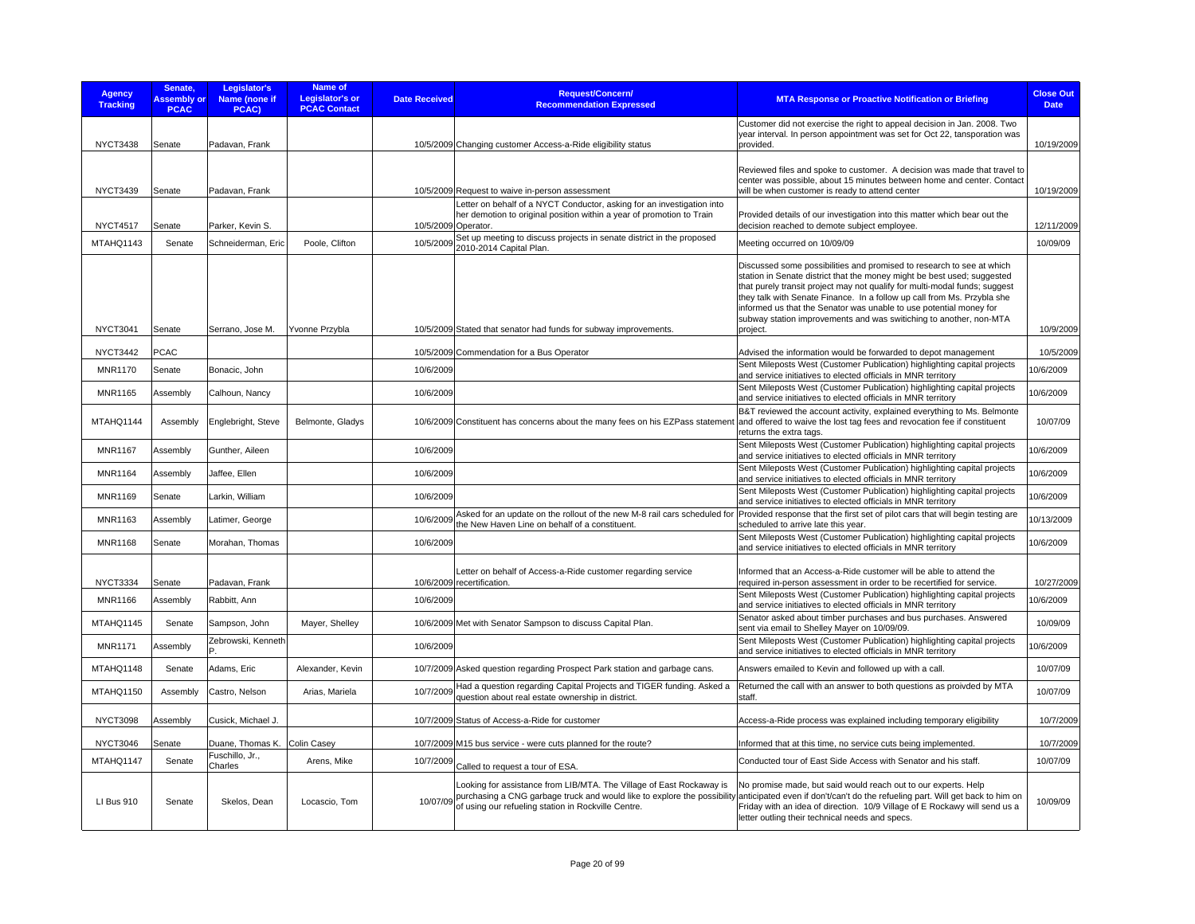| <b>Agency</b><br><b>Tracking</b>  | Senate.<br><b>Assembly or</b><br><b>PCAC</b> | Legislator's<br>Name (none if<br>PCAC) | Name of<br>Legislator's or<br><b>PCAC Contact</b> | <b>Date Received</b> | <b>Request/Concern/</b><br><b>Recommendation Expressed</b>                                                                                      | <b>MTA Response or Proactive Notification or Briefing</b>                                                                                                                                                                                                                                                                                                                                                                                                         | <b>Close Out</b><br><b>Date</b> |
|-----------------------------------|----------------------------------------------|----------------------------------------|---------------------------------------------------|----------------------|-------------------------------------------------------------------------------------------------------------------------------------------------|-------------------------------------------------------------------------------------------------------------------------------------------------------------------------------------------------------------------------------------------------------------------------------------------------------------------------------------------------------------------------------------------------------------------------------------------------------------------|---------------------------------|
| <b>NYCT3438</b>                   | Senate                                       | Padavan, Frank                         |                                                   |                      | 10/5/2009 Changing customer Access-a-Ride eligibility status                                                                                    | Customer did not exercise the right to appeal decision in Jan. 2008. Two<br>year interval. In person appointment was set for Oct 22, tansporation was<br>provided.                                                                                                                                                                                                                                                                                                | 10/19/2009                      |
| <b>NYCT3439</b>                   | Senate                                       | Padavan, Frank                         |                                                   |                      | 10/5/2009 Request to waive in-person assessment                                                                                                 | Reviewed files and spoke to customer. A decision was made that travel to<br>center was possible, about 15 minutes between home and center. Contact<br>will be when customer is ready to attend center                                                                                                                                                                                                                                                             | 10/19/2009                      |
| <b>NYCT4517</b>                   | Senate                                       | Parker, Kevin S.                       |                                                   | 10/5/2009 Operator.  | Letter on behalf of a NYCT Conductor, asking for an investigation into<br>her demotion to original position within a year of promotion to Train | Provided details of our investigation into this matter which bear out the<br>decision reached to demote subject employee.                                                                                                                                                                                                                                                                                                                                         | 12/11/2009                      |
| MTAHQ1143                         | Senate                                       | Schneiderman, Eric                     | Poole, Clifton                                    | 10/5/2009            | Set up meeting to discuss projects in senate district in the proposed<br>2010-2014 Capital Plan.                                                | Meeting occurred on 10/09/09                                                                                                                                                                                                                                                                                                                                                                                                                                      | 10/09/09                        |
| <b>NYCT3041</b>                   | Senate                                       | Serrano, Jose M.                       | Yvonne Przybla                                    |                      | 10/5/2009 Stated that senator had funds for subway improvements.                                                                                | Discussed some possibilities and promised to research to see at which<br>station in Senate district that the money might be best used; suggested<br>that purely transit project may not qualify for multi-modal funds; suggest<br>they talk with Senate Finance. In a follow up call from Ms. Przybla she<br>informed us that the Senator was unable to use potential money for<br>subway station improvements and was switiching to another, non-MTA<br>project. | 10/9/2009                       |
|                                   | <b>PCAC</b>                                  |                                        |                                                   |                      |                                                                                                                                                 |                                                                                                                                                                                                                                                                                                                                                                                                                                                                   | 10/5/2009                       |
| <b>NYCT3442</b><br><b>MNR1170</b> | Senate                                       | Bonacic, John                          |                                                   | 10/6/2009            | 10/5/2009 Commendation for a Bus Operator                                                                                                       | Advised the information would be forwarded to depot management<br>Sent Mileposts West (Customer Publication) highlighting capital projects                                                                                                                                                                                                                                                                                                                        | 10/6/2009                       |
| <b>MNR1165</b>                    | Assembly                                     | Calhoun, Nancy                         |                                                   | 10/6/2009            |                                                                                                                                                 | and service initiatives to elected officials in MNR territory<br>Sent Mileposts West (Customer Publication) highlighting capital projects                                                                                                                                                                                                                                                                                                                         | 10/6/2009                       |
| MTAHQ1144                         | Assembly                                     | Englebright, Steve                     | Belmonte, Gladys                                  |                      | 10/6/2009 Constituent has concerns about the many fees on his EZPass statement                                                                  | and service initiatives to elected officials in MNR territory<br>B&T reviewed the account activity, explained everything to Ms. Belmonte<br>and offered to waive the lost tag fees and revocation fee if constituent                                                                                                                                                                                                                                              | 10/07/09                        |
| <b>MNR1167</b>                    | Assembly                                     | Gunther, Aileen                        |                                                   | 10/6/2009            |                                                                                                                                                 | returns the extra tags.<br>Sent Mileposts West (Customer Publication) highlighting capital projects<br>and service initiatives to elected officials in MNR territory                                                                                                                                                                                                                                                                                              | 0/6/2009                        |
| <b>MNR1164</b>                    | Assembly                                     | Jaffee, Ellen                          |                                                   | 10/6/2009            |                                                                                                                                                 | Sent Mileposts West (Customer Publication) highlighting capital projects<br>and service initiatives to elected officials in MNR territory                                                                                                                                                                                                                                                                                                                         | 10/6/2009                       |
| <b>MNR1169</b>                    | Senate                                       | Larkin, William                        |                                                   | 10/6/2009            |                                                                                                                                                 | Sent Mileposts West (Customer Publication) highlighting capital projects<br>and service initiatives to elected officials in MNR territory                                                                                                                                                                                                                                                                                                                         | 10/6/2009                       |
| <b>MNR1163</b>                    | Assembly                                     | Latimer, George                        |                                                   | 10/6/2009            | the New Haven Line on behalf of a constituent.                                                                                                  | Asked for an update on the rollout of the new M-8 rail cars scheduled for Provided response that the first set of pilot cars that will begin testing are<br>scheduled to arrive late this year.                                                                                                                                                                                                                                                                   | 10/13/2009                      |
| <b>MNR1168</b>                    | Senate                                       | Morahan, Thomas                        |                                                   | 10/6/2009            |                                                                                                                                                 | Sent Mileposts West (Customer Publication) highlighting capital projects<br>and service initiatives to elected officials in MNR territory                                                                                                                                                                                                                                                                                                                         | 10/6/2009                       |
| <b>NYCT3334</b>                   | Senate                                       | Padavan, Frank                         |                                                   |                      | Letter on behalf of Access-a-Ride customer regarding service<br>10/6/2009 recertification.                                                      | Informed that an Access-a-Ride customer will be able to attend the<br>required in-person assessment in order to be recertified for service.                                                                                                                                                                                                                                                                                                                       | 10/27/2009                      |
| <b>MNR1166</b>                    | Assembly                                     | Rabbitt, Ann                           |                                                   | 10/6/2009            |                                                                                                                                                 | Sent Mileposts West (Customer Publication) highlighting capital projects<br>and service initiatives to elected officials in MNR territory                                                                                                                                                                                                                                                                                                                         | 0/6/2009                        |
| MTAHQ1145                         | Senate                                       | Sampson, John                          | Mayer, Shelley                                    |                      | 10/6/2009 Met with Senator Sampson to discuss Capital Plan.                                                                                     | Senator asked about timber purchases and bus purchases. Answered<br>sent via email to Shelley Mayer on 10/09/09.                                                                                                                                                                                                                                                                                                                                                  | 10/09/09                        |
| <b>MNR1171</b>                    | Assembly                                     | Zebrowski, Kenneth                     |                                                   | 10/6/2009            |                                                                                                                                                 | Sent Mileposts West (Customer Publication) highlighting capital projects<br>and service initiatives to elected officials in MNR territory                                                                                                                                                                                                                                                                                                                         | 0/6/2009                        |
| MTAHQ1148                         | Senate                                       | Adams, Eric                            | Alexander, Kevin                                  |                      | 10/7/2009 Asked question regarding Prospect Park station and garbage cans.                                                                      | Answers emailed to Kevin and followed up with a call.                                                                                                                                                                                                                                                                                                                                                                                                             | 10/07/09                        |
| MTAHQ1150                         | Assembly                                     | Castro, Nelson                         | Arias, Mariela                                    | 10/7/2009            | Had a question regarding Capital Projects and TIGER funding. Asked a<br>question about real estate ownership in district.                       | Returned the call with an answer to both questions as proivded by MTA<br>staff.                                                                                                                                                                                                                                                                                                                                                                                   | 10/07/09                        |
| <b>NYCT3098</b>                   | Assembly                                     | Cusick, Michael J.                     |                                                   |                      | 10/7/2009 Status of Access-a-Ride for customer                                                                                                  | Access-a-Ride process was explained including temporary eligibility                                                                                                                                                                                                                                                                                                                                                                                               | 10/7/2009                       |
| <b>NYCT3046</b>                   | Senate                                       | Duane, Thomas K.                       | <b>Colin Casey</b>                                |                      | 10/7/2009 M15 bus service - were cuts planned for the route?                                                                                    | Informed that at this time, no service cuts being implemented.                                                                                                                                                                                                                                                                                                                                                                                                    | 10/7/2009                       |
| MTAHQ1147                         | Senate                                       | Fuschillo, Jr.,<br>Charles             | Arens, Mike                                       | 10/7/2009            | Called to request a tour of ESA.                                                                                                                | Conducted tour of East Side Access with Senator and his staff.                                                                                                                                                                                                                                                                                                                                                                                                    | 10/07/09                        |
| LI Bus 910                        | Senate                                       | Skelos, Dean                           | Locascio, Tom                                     | 10/07/09             | Looking for assistance from LIB/MTA. The Village of East Rockaway is<br>of using our refueling station in Rockville Centre.                     | No promise made, but said would reach out to our experts. Help<br>purchasing a CNG garbage truck and would like to explore the possibility anticipated even if don't/can't do the refueling part. Will get back to him on<br>Friday with an idea of direction. 10/9 Village of E Rockawy will send us a<br>letter outling their technical needs and specs.                                                                                                        | 10/09/09                        |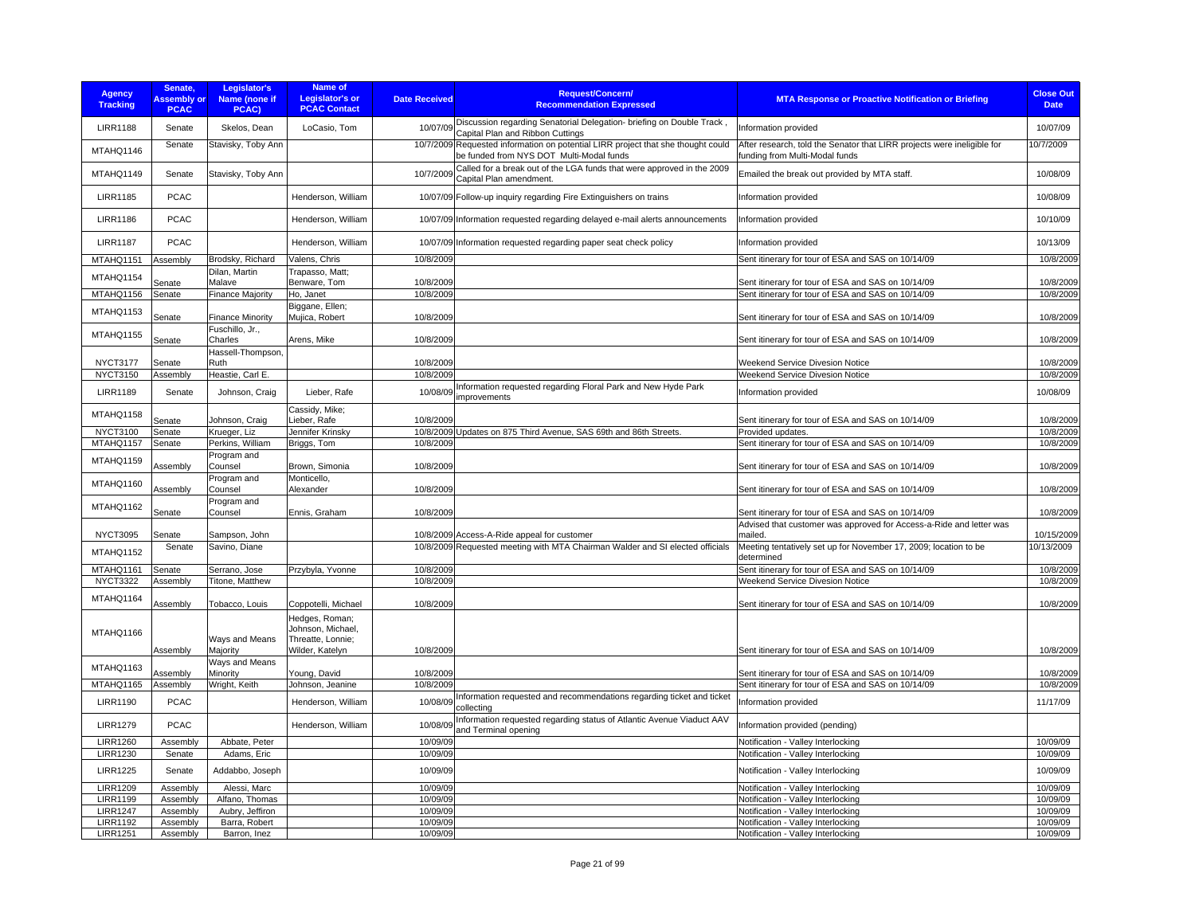| <b>Agency</b><br><b>Tracking</b>   | Senate,<br><b>Assembly or</b><br><b>PCAC</b> | Legislator's<br><b>Name (none if</b><br>PCAC) | Name of<br>Legislator's or<br><b>PCAC Contact</b>                           | <b>Date Received</b> | <b>Request/Concern/</b><br><b>Recommendation Expressed</b>                                                                   | <b>MTA Response or Proactive Notification or Briefing</b>                                                 | <b>Close Out</b><br><b>Date</b> |
|------------------------------------|----------------------------------------------|-----------------------------------------------|-----------------------------------------------------------------------------|----------------------|------------------------------------------------------------------------------------------------------------------------------|-----------------------------------------------------------------------------------------------------------|---------------------------------|
| <b>LIRR1188</b>                    | Senate                                       | Skelos, Dean                                  | LoCasio, Tom                                                                | 10/07/09             | Discussion regarding Senatorial Delegation- briefing on Double Track<br>Capital Plan and Ribbon Cuttings                     | Information provided                                                                                      | 10/07/09                        |
| MTAHQ1146                          | Senate                                       | Stavisky, Toby Ann                            |                                                                             |                      | 10/7/2009 Requested information on potential LIRR project that she thought could<br>be funded from NYS DOT Multi-Modal funds | After research, told the Senator that LIRR projects were ineligible for<br>funding from Multi-Modal funds | 10/7/2009                       |
| MTAHQ1149                          | Senate                                       | Stavisky, Toby Ann                            |                                                                             | 10/7/2009            | Called for a break out of the LGA funds that were approved in the 2009<br>Capital Plan amendment.                            | Emailed the break out provided by MTA staff.                                                              | 10/08/09                        |
| <b>LIRR1185</b>                    | <b>PCAC</b>                                  |                                               | Henderson, William                                                          |                      | 10/07/09 Follow-up inquiry regarding Fire Extinguishers on trains                                                            | Information provided                                                                                      | 10/08/09                        |
| <b>LIRR1186</b>                    | <b>PCAC</b>                                  |                                               | Henderson, William                                                          |                      | 10/07/09 Information requested regarding delayed e-mail alerts announcements                                                 | Information provided                                                                                      | 10/10/09                        |
| <b>LIRR1187</b>                    | <b>PCAC</b>                                  |                                               | Henderson, William                                                          |                      | 10/07/09 Information requested regarding paper seat check policy                                                             | Information provided                                                                                      | 10/13/09                        |
| MTAHQ1151                          | Assembly                                     | Brodsky, Richard                              | Valens, Chris                                                               | 10/8/2009            |                                                                                                                              | Sent itinerary for tour of ESA and SAS on 10/14/09                                                        | 10/8/2009                       |
| MTAHQ1154                          |                                              | Dilan, Martin                                 | Trapasso, Matt;                                                             |                      |                                                                                                                              |                                                                                                           |                                 |
|                                    | Senate                                       | Malave                                        | Benware, Tom                                                                | 10/8/2009            |                                                                                                                              | Sent itinerary for tour of ESA and SAS on 10/14/09                                                        | 10/8/2009                       |
| MTAHQ1156                          | Senate                                       | <b>Finance Majority</b>                       | Ho, Janet                                                                   | 10/8/2009            |                                                                                                                              | Sent itinerary for tour of ESA and SAS on 10/14/09                                                        | 10/8/2009                       |
| MTAHQ1153                          | Senate                                       | <b>Finance Minority</b>                       | Biggane, Ellen;<br>Mujica, Robert                                           | 10/8/2009            |                                                                                                                              | Sent itinerary for tour of ESA and SAS on 10/14/09                                                        | 10/8/2009                       |
| MTAHQ1155                          | Senate                                       | Fuschillo, Jr.,<br>Charles                    | Arens, Mike                                                                 | 10/8/2009            |                                                                                                                              | Sent itinerary for tour of ESA and SAS on 10/14/09                                                        | 10/8/2009                       |
|                                    |                                              | Hassell-Thompson,                             |                                                                             |                      |                                                                                                                              |                                                                                                           |                                 |
| <b>NYCT3177</b>                    | Senate                                       | Ruth                                          |                                                                             | 10/8/2009            |                                                                                                                              | Weekend Service Divesion Notice                                                                           | 10/8/2009                       |
| <b>NYCT3150</b>                    | Assembly                                     | Heastie, Carl E.                              |                                                                             | 10/8/2009            |                                                                                                                              | Weekend Service Divesion Notice                                                                           | 10/8/2009                       |
| <b>LIRR1189</b>                    | Senate                                       | Johnson, Craig                                | Lieber, Rafe                                                                | 10/08/09             | Information requested regarding Floral Park and New Hyde Park<br>improvements                                                | Information provided                                                                                      | 10/08/09                        |
| MTAHQ1158                          | Senate                                       | Johnson, Craig                                | Cassidy, Mike;<br>Lieber, Rafe                                              | 10/8/2009            |                                                                                                                              | Sent itinerary for tour of ESA and SAS on 10/14/09                                                        | 10/8/2009                       |
| <b>NYCT3100</b>                    | Senate                                       | Krueger, Liz                                  | Jennifer Krinsky                                                            |                      | 10/8/2009 Updates on 875 Third Avenue, SAS 69th and 86th Streets.                                                            | Provided updates.                                                                                         | 10/8/2009                       |
| MTAHQ1157                          | Senate                                       | Perkins, William                              | Briggs, Tom                                                                 | 10/8/2009            |                                                                                                                              | Sent itinerary for tour of ESA and SAS on 10/14/09                                                        | 10/8/2009                       |
| MTAHQ1159                          |                                              | Program and                                   |                                                                             |                      |                                                                                                                              |                                                                                                           |                                 |
| MTAHQ1160                          | Assembly                                     | Counsel<br>Program and                        | Brown, Simonia<br>Monticello,                                               | 10/8/2009            |                                                                                                                              | Sent itinerary for tour of ESA and SAS on 10/14/09                                                        | 10/8/2009                       |
|                                    | Assembly                                     | Counsel<br>Program and                        | Alexander                                                                   | 10/8/2009            |                                                                                                                              | Sent itinerary for tour of ESA and SAS on 10/14/09                                                        | 10/8/2009                       |
| MTAHQ1162                          | Senate                                       | Counsel                                       | Ennis, Graham                                                               | 10/8/2009            |                                                                                                                              | Sent itinerary for tour of ESA and SAS on 10/14/09                                                        | 10/8/2009                       |
|                                    |                                              |                                               |                                                                             |                      |                                                                                                                              | Advised that customer was approved for Access-a-Ride and letter was                                       |                                 |
| <b>NYCT3095</b>                    | Senate                                       | Sampson, John                                 |                                                                             |                      | 10/8/2009 Access-A-Ride appeal for customer                                                                                  | mailed.                                                                                                   | 10/15/2009                      |
| MTAHQ1152                          | Senate                                       | Savino, Diane                                 |                                                                             |                      | 10/8/2009 Requested meeting with MTA Chairman Walder and SI elected officials                                                | Meeting tentatively set up for November 17, 2009; location to be<br>determined                            | 10/13/2009                      |
| MTAHQ1161                          | Senate                                       | Serrano, Jose                                 | Przybyla, Yvonne                                                            | 10/8/2009            |                                                                                                                              | Sent itinerary for tour of ESA and SAS on 10/14/09                                                        | 10/8/2009                       |
| <b>NYCT3322</b>                    | Assembly                                     | Titone, Matthew                               |                                                                             | 10/8/2009            |                                                                                                                              | Weekend Service Divesion Notice                                                                           | 10/8/2009                       |
| MTAHQ1164                          |                                              | Tobacco, Louis                                | Coppotelli, Michael                                                         | 10/8/2009            |                                                                                                                              | Sent itinerary for tour of ESA and SAS on 10/14/09                                                        | 10/8/2009                       |
|                                    | Assembly                                     |                                               |                                                                             |                      |                                                                                                                              |                                                                                                           |                                 |
| MTAHQ1166                          | Assembly                                     | Ways and Means<br>Majority                    | Hedges, Roman;<br>Johnson, Michael,<br>Threatte, Lonnie:<br>Wilder, Katelyn | 10/8/2009            |                                                                                                                              | Sent itinerary for tour of ESA and SAS on 10/14/09                                                        | 10/8/2009                       |
| MTAHQ1163                          |                                              | Ways and Means                                |                                                                             |                      |                                                                                                                              |                                                                                                           |                                 |
|                                    | Assembly                                     | Minority                                      | Young, David                                                                | 10/8/2009            |                                                                                                                              | Sent itinerary for tour of ESA and SAS on 10/14/09                                                        | 10/8/2009                       |
| MTAHQ1165                          | Assembly                                     | Wright, Keith                                 | Johnson, Jeanine                                                            | 10/8/2009            |                                                                                                                              | Sent itinerary for tour of ESA and SAS on 10/14/09                                                        | 10/8/2009                       |
| <b>LIRR1190</b>                    | <b>PCAC</b>                                  |                                               | Henderson, William                                                          | 10/08/09             | Information requested and recommendations regarding ticket and ticket<br>collecting                                          | Information provided                                                                                      | 11/17/09                        |
| <b>LIRR1279</b>                    | <b>PCAC</b>                                  |                                               | Henderson, William                                                          | 10/08/09             | Information requested regarding status of Atlantic Avenue Viaduct AAV<br>and Terminal opening                                | Information provided (pending)                                                                            |                                 |
| <b>LIRR1260</b>                    | Assembly                                     | Abbate, Peter                                 |                                                                             | 10/09/09             |                                                                                                                              | Notification - Valley Interlocking                                                                        | 10/09/09                        |
| <b>LIRR1230</b>                    | Senate                                       | Adams, Eric                                   |                                                                             | 10/09/09             |                                                                                                                              | Notification - Valley Interlocking                                                                        | 10/09/09                        |
| <b>LIRR1225</b>                    | Senate                                       | Addabbo, Joseph                               |                                                                             | 10/09/09             |                                                                                                                              | Notification - Valley Interlocking                                                                        | 10/09/09                        |
| <b>LIRR1209</b><br><b>LIRR1199</b> | Assembly                                     | Alessi, Marc                                  |                                                                             | 10/09/09<br>10/09/09 |                                                                                                                              | Notification - Valley Interlocking<br>Notification - Valley Interlocking                                  | 10/09/09<br>10/09/09            |
| <b>LIRR1247</b>                    | Assembly<br>Assembly                         | Alfano, Thomas<br>Aubry, Jeffiron             |                                                                             | 10/09/09             |                                                                                                                              | Notification - Valley Interlocking                                                                        | 10/09/09                        |
| <b>LIRR1192</b>                    | Assembly                                     | Barra, Robert                                 |                                                                             | 10/09/09             |                                                                                                                              | Notification - Valley Interlocking                                                                        | 10/09/09                        |
| <b>LIRR1251</b>                    | Assembly                                     | Barron, Inez                                  |                                                                             | 10/09/09             |                                                                                                                              | Notification - Valley Interlocking                                                                        | 10/09/09                        |
|                                    |                                              |                                               |                                                                             |                      |                                                                                                                              |                                                                                                           |                                 |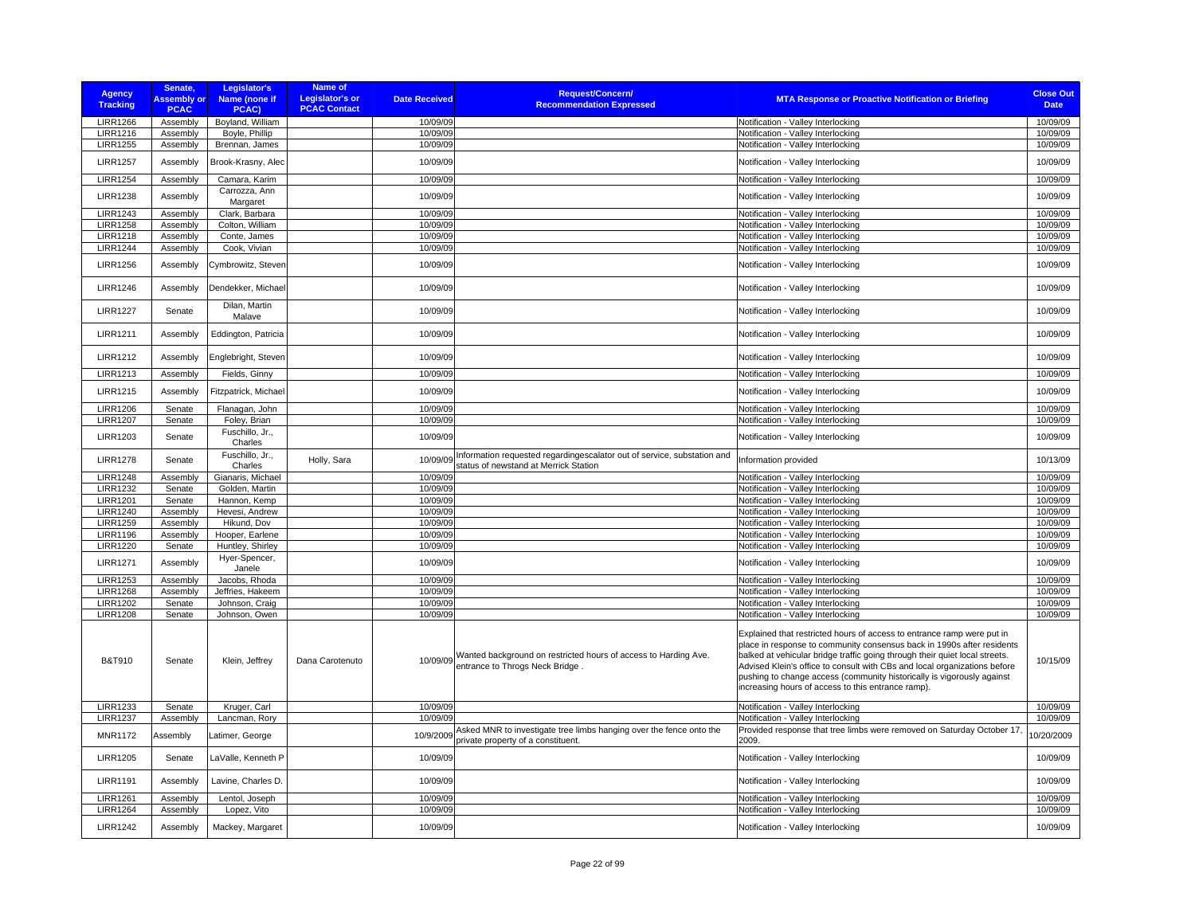| <b>Agency</b><br><b>Tracking</b>   | Senate,<br><b>Assembly or</b><br><b>PCAC</b> | Legislator's<br>Name (none if<br>PCAC) | <b>Name of</b><br><b>Legislator's or</b><br><b>PCAC Contact</b> | <b>Date Received</b>  | <b>Request/Concern/</b><br><b>Recommendation Expressed</b>                                                       | <b>MTA Response or Proactive Notification or Briefing</b>                                                                                                                                                                                                                                                                                                                                                                                    | <b>Close Out</b><br><b>Date</b> |
|------------------------------------|----------------------------------------------|----------------------------------------|-----------------------------------------------------------------|-----------------------|------------------------------------------------------------------------------------------------------------------|----------------------------------------------------------------------------------------------------------------------------------------------------------------------------------------------------------------------------------------------------------------------------------------------------------------------------------------------------------------------------------------------------------------------------------------------|---------------------------------|
| <b>LIRR1266</b>                    | Assembly                                     | Boyland, William                       |                                                                 | 10/09/09              |                                                                                                                  | Notification - Valley Interlocking                                                                                                                                                                                                                                                                                                                                                                                                           | 10/09/09                        |
| <b>LIRR1216</b>                    | Assembly                                     | Boyle, Phillip                         |                                                                 | 10/09/09              |                                                                                                                  | Notification - Valley Interlocking                                                                                                                                                                                                                                                                                                                                                                                                           | 10/09/09                        |
| <b>LIRR1255</b>                    | Assembly                                     | Brennan, James                         |                                                                 | 10/09/09              |                                                                                                                  | Notification - Valley Interlocking                                                                                                                                                                                                                                                                                                                                                                                                           | 10/09/09                        |
| <b>LIRR1257</b>                    | Assembly                                     | Brook-Krasny, Alec                     |                                                                 | 10/09/09              |                                                                                                                  | Notification - Valley Interlocking                                                                                                                                                                                                                                                                                                                                                                                                           | 10/09/09                        |
| <b>LIRR1254</b>                    | Assembly                                     | Camara, Karim                          |                                                                 | 10/09/09              |                                                                                                                  | Notification - Valley Interlocking                                                                                                                                                                                                                                                                                                                                                                                                           | 10/09/09                        |
| <b>LIRR1238</b>                    | Assembly                                     | Carrozza, Ann<br>Margaret              |                                                                 | 10/09/09              |                                                                                                                  | Notification - Valley Interlocking                                                                                                                                                                                                                                                                                                                                                                                                           | 10/09/09                        |
| <b>LIRR1243</b>                    | Assembly                                     | Clark, Barbara                         |                                                                 | 10/09/09              |                                                                                                                  | Notification - Valley Interlocking                                                                                                                                                                                                                                                                                                                                                                                                           | 10/09/09                        |
| <b>LIRR1258</b>                    | Assembly                                     | Colton, William                        |                                                                 | 10/09/09              |                                                                                                                  | Notification - Valley Interlocking                                                                                                                                                                                                                                                                                                                                                                                                           | 10/09/09                        |
| <b>LIRR1218</b>                    | Assembly                                     | Conte, James                           |                                                                 | 10/09/09              |                                                                                                                  | Notification - Valley Interlocking                                                                                                                                                                                                                                                                                                                                                                                                           | 10/09/09                        |
| <b>LIRR1244</b>                    | Assembly                                     | Cook, Vivian                           |                                                                 | 10/09/09              |                                                                                                                  | Notification - Valley Interlocking                                                                                                                                                                                                                                                                                                                                                                                                           | 10/09/09                        |
| <b>LIRR1256</b>                    | Assembly                                     | Cymbrowitz, Steven                     |                                                                 | 10/09/09              |                                                                                                                  | Notification - Valley Interlocking                                                                                                                                                                                                                                                                                                                                                                                                           | 10/09/09                        |
| <b>LIRR1246</b>                    | Assembly                                     | Dendekker, Michael                     |                                                                 | 10/09/09              |                                                                                                                  | Notification - Valley Interlocking                                                                                                                                                                                                                                                                                                                                                                                                           | 10/09/09                        |
| <b>LIRR1227</b>                    | Senate                                       | Dilan, Martin<br>Malave                |                                                                 | 10/09/09              |                                                                                                                  | Notification - Valley Interlocking                                                                                                                                                                                                                                                                                                                                                                                                           | 10/09/09                        |
| <b>LIRR1211</b>                    | Assembly                                     | Eddington, Patricia                    |                                                                 | 10/09/09              |                                                                                                                  | Notification - Valley Interlocking                                                                                                                                                                                                                                                                                                                                                                                                           | 10/09/09                        |
| <b>LIRR1212</b>                    | Assembly                                     | Englebright, Steven                    |                                                                 | 10/09/09              |                                                                                                                  | Notification - Valley Interlocking                                                                                                                                                                                                                                                                                                                                                                                                           | 10/09/09                        |
| <b>LIRR1213</b>                    | Assembly                                     | Fields, Ginny                          |                                                                 | 10/09/09              |                                                                                                                  | Notification - Valley Interlocking                                                                                                                                                                                                                                                                                                                                                                                                           | 10/09/09                        |
| <b>LIRR1215</b>                    | Assembly                                     | Fitzpatrick, Michael                   |                                                                 | 10/09/09              |                                                                                                                  | Notification - Valley Interlocking                                                                                                                                                                                                                                                                                                                                                                                                           | 10/09/09                        |
| <b>LIRR1206</b>                    | Senate                                       | Flanagan, John                         |                                                                 | 10/09/09              |                                                                                                                  | Notification - Valley Interlocking                                                                                                                                                                                                                                                                                                                                                                                                           | 10/09/09                        |
| <b>LIRR1207</b>                    | Senate                                       | Foley, Brian                           |                                                                 | 10/09/09              |                                                                                                                  | Notification - Valley Interlocking                                                                                                                                                                                                                                                                                                                                                                                                           | 10/09/09                        |
| <b>LIRR1203</b>                    | Senate                                       | Fuschillo, Jr.,<br>Charles             |                                                                 | 10/09/09              |                                                                                                                  | Notification - Valley Interlocking                                                                                                                                                                                                                                                                                                                                                                                                           | 10/09/09                        |
| <b>LIRR1278</b>                    | Senate                                       | Fuschillo, Jr.,<br>Charles             | Holly, Sara                                                     | 10/09/09              | Information requested regardingescalator out of service, substation and<br>status of newstand at Merrick Station | Information provided                                                                                                                                                                                                                                                                                                                                                                                                                         | 10/13/09                        |
| <b>LIRR1248</b>                    | Assembly                                     | Gianaris, Michael                      |                                                                 | 10/09/09              |                                                                                                                  | Notification - Valley Interlocking                                                                                                                                                                                                                                                                                                                                                                                                           | 10/09/09                        |
| <b>LIRR1232</b>                    | Senate                                       | Golden, Martin                         |                                                                 | 10/09/09              |                                                                                                                  | Notification - Valley Interlocking                                                                                                                                                                                                                                                                                                                                                                                                           | 10/09/09                        |
| <b>LIRR1201</b>                    | Senate                                       | Hannon, Kemp                           |                                                                 | 10/09/09              |                                                                                                                  | Notification - Valley Interlocking                                                                                                                                                                                                                                                                                                                                                                                                           | 10/09/09                        |
| <b>LIRR1240</b>                    | Assembly                                     | Hevesi, Andrew                         |                                                                 | 10/09/09              |                                                                                                                  | Notification - Valley Interlocking                                                                                                                                                                                                                                                                                                                                                                                                           | 10/09/09                        |
| <b>LIRR1259</b><br><b>LIRR1196</b> | Assembly                                     | Hikund, Dov                            |                                                                 | 10/09/09<br>10/09/09  |                                                                                                                  | Notification - Valley Interlocking                                                                                                                                                                                                                                                                                                                                                                                                           | 10/09/09<br>10/09/09            |
| <b>LIRR1220</b>                    | Assembly<br>Senate                           | Hooper, Earlene<br>Huntley, Shirley    |                                                                 | 10/09/09              |                                                                                                                  | Notification - Valley Interlocking<br>Notification - Valley Interlocking                                                                                                                                                                                                                                                                                                                                                                     | 10/09/09                        |
|                                    |                                              | Hyer-Spencer,                          |                                                                 |                       |                                                                                                                  |                                                                                                                                                                                                                                                                                                                                                                                                                                              |                                 |
| <b>LIRR1271</b><br><b>LIRR1253</b> | Assembly                                     | Janele                                 |                                                                 | 10/09/09<br>10/09/09  |                                                                                                                  | Notification - Valley Interlocking                                                                                                                                                                                                                                                                                                                                                                                                           | 10/09/09<br>10/09/09            |
| <b>LIRR1268</b>                    | Assembly                                     | Jacobs, Rhoda                          |                                                                 | 10/09/09              |                                                                                                                  | Notification - Valley Interlocking<br>Notification - Valley Interlocking                                                                                                                                                                                                                                                                                                                                                                     | 10/09/09                        |
| <b>LIRR1202</b>                    | Assembly<br>Senate                           | Jeffries, Hakeem                       |                                                                 | 10/09/09              |                                                                                                                  | Notification - Valley Interlocking                                                                                                                                                                                                                                                                                                                                                                                                           | 10/09/09                        |
| <b>LIRR1208</b>                    | Senate                                       | Johnson, Craig<br>Johnson, Owen        |                                                                 | 10/09/09              |                                                                                                                  | Notification - Valley Interlocking                                                                                                                                                                                                                                                                                                                                                                                                           | 10/09/09                        |
| <b>B&amp;T910</b>                  | Senate                                       | Klein, Jeffrey                         | Dana Carotenuto                                                 |                       | 10/09/09 Wanted background on restricted hours of access to Harding Ave.<br>entrance to Throgs Neck Bridge       | Explained that restricted hours of access to entrance ramp were put in<br>place in response to community consensus back in 1990s after residents<br>balked at vehicular bridge traffic going through their quiet local streets.<br>Advised Klein's office to consult with CBs and local organizations before<br>pushing to change access (community historically is vigorously against<br>increasing hours of access to this entrance ramp). | 10/15/09                        |
| <b>LIRR1233</b>                    | Senate                                       | Kruger, Carl                           |                                                                 | 10/09/09              |                                                                                                                  | Notification - Valley Interlocking                                                                                                                                                                                                                                                                                                                                                                                                           | 10/09/09                        |
| <b>LIRR1237</b><br><b>MNR1172</b>  | Assembly<br>Assembly                         | Lancman, Rory<br>atimer, George        |                                                                 | 10/09/09<br>10/9/2009 | Asked MNR to investigate tree limbs hanging over the fence onto the                                              | Notification - Valley Interlocking<br>Provided response that tree limbs were removed on Saturday October 17                                                                                                                                                                                                                                                                                                                                  | 10/09/09<br>0/20/2009           |
| <b>LIRR1205</b>                    | Senate                                       | LaValle, Kenneth P                     |                                                                 | 10/09/09              | private property of a constituent.                                                                               | 2009.<br>Notification - Valley Interlocking                                                                                                                                                                                                                                                                                                                                                                                                  | 10/09/09                        |
| <b>LIRR1191</b>                    | Assembly                                     | Lavine, Charles D.                     |                                                                 | 10/09/09              |                                                                                                                  | Notification - Valley Interlocking                                                                                                                                                                                                                                                                                                                                                                                                           | 10/09/09                        |
|                                    |                                              |                                        |                                                                 |                       |                                                                                                                  |                                                                                                                                                                                                                                                                                                                                                                                                                                              |                                 |
| <b>LIRR1261</b>                    | Assembly                                     | Lentol, Joseph                         |                                                                 | 10/09/09              |                                                                                                                  | Notification - Valley Interlocking                                                                                                                                                                                                                                                                                                                                                                                                           | 10/09/09                        |
| <b>LIRR1264</b>                    | Assembly                                     | Lopez, Vito                            |                                                                 | 10/09/09              |                                                                                                                  | Notification - Valley Interlocking                                                                                                                                                                                                                                                                                                                                                                                                           | 10/09/09                        |
| <b>LIRR1242</b>                    | Assembly                                     | Mackey, Margaret                       |                                                                 | 10/09/09              |                                                                                                                  | Notification - Valley Interlocking                                                                                                                                                                                                                                                                                                                                                                                                           | 10/09/09                        |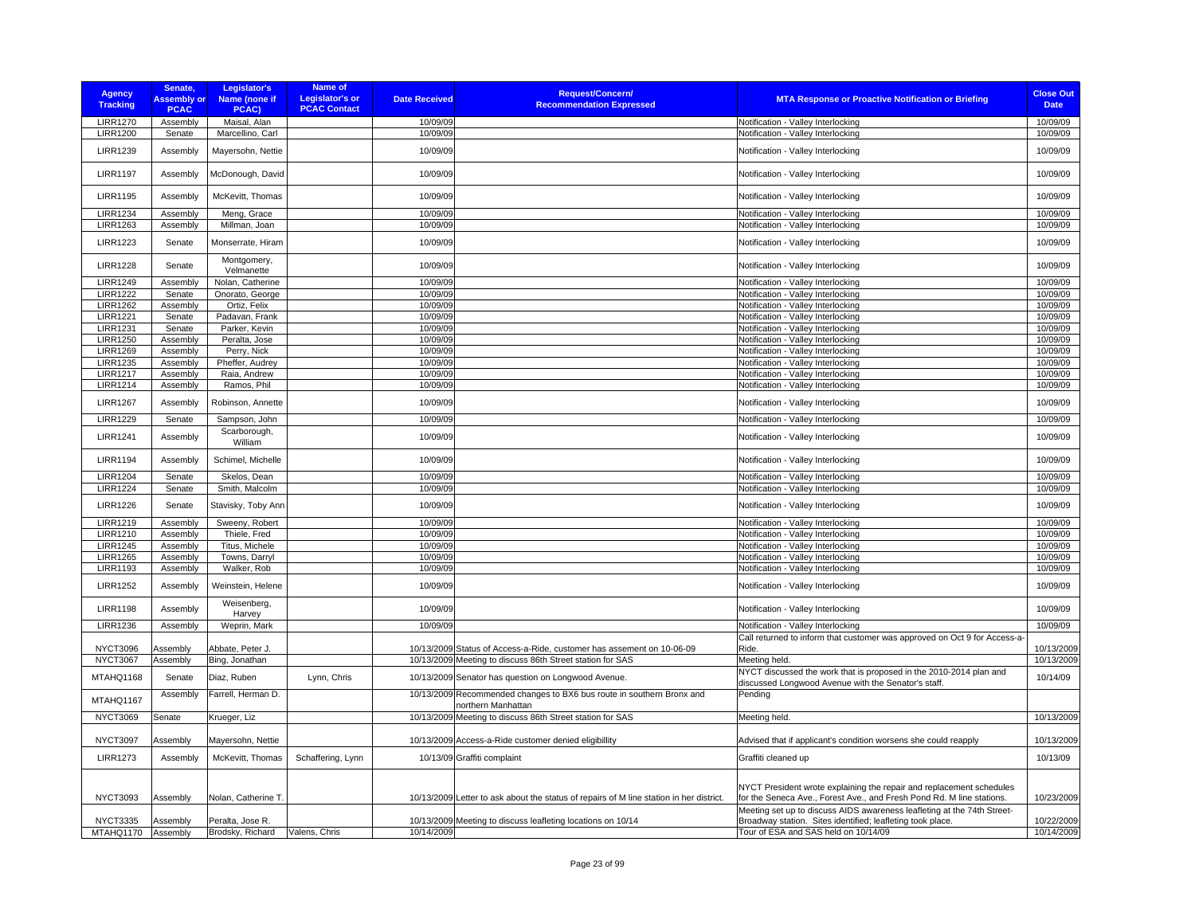| <b>Agency</b><br><b>Tracking</b> | Senate,<br><b>Assembly or</b><br><b>PCAC</b> | Legislator's<br>Name (none if<br>PCAC) | <b>Name of</b><br>Legislator's or<br><b>PCAC Contact</b> | <b>Date Received</b> | <b>Request/Concern/</b><br><b>Recommendation Expressed</b>                                  | <b>MTA Response or Proactive Notification or Briefing</b>                                                                                     | <b>Close Out</b><br><b>Date</b> |
|----------------------------------|----------------------------------------------|----------------------------------------|----------------------------------------------------------|----------------------|---------------------------------------------------------------------------------------------|-----------------------------------------------------------------------------------------------------------------------------------------------|---------------------------------|
| <b>LIRR1270</b>                  | Assembly                                     | Maisal, Alan                           |                                                          | 10/09/09             |                                                                                             | Notification - Valley Interlocking                                                                                                            | 10/09/09                        |
| <b>LIRR1200</b>                  | Senate                                       | Marcellino, Carl                       |                                                          | 10/09/09             |                                                                                             | Notification - Valley Interlocking                                                                                                            | 10/09/09                        |
| <b>LIRR1239</b>                  | Assembly                                     | Mayersohn, Nettie                      |                                                          | 10/09/09             |                                                                                             | Notification - Valley Interlocking                                                                                                            | 10/09/09                        |
| <b>LIRR1197</b>                  | Assembly                                     | McDonough, David                       |                                                          | 10/09/09             |                                                                                             | Notification - Valley Interlocking                                                                                                            | 10/09/09                        |
| <b>LIRR1195</b>                  | Assembly                                     | McKevitt, Thomas                       |                                                          | 10/09/09             |                                                                                             | Notification - Valley Interlocking                                                                                                            | 10/09/09                        |
| <b>LIRR1234</b>                  | Assembly                                     | Meng, Grace                            |                                                          | 10/09/09             |                                                                                             | Notification - Valley Interlocking                                                                                                            | 10/09/09                        |
| <b>LIRR1263</b>                  | Assembly                                     | Millman, Joan                          |                                                          | 10/09/09             |                                                                                             | Notification - Valley Interlocking                                                                                                            | 10/09/09                        |
| <b>LIRR1223</b>                  | Senate                                       | Monserrate, Hiram                      |                                                          | 10/09/09             |                                                                                             | Notification - Valley Interlocking                                                                                                            | 10/09/09                        |
| <b>LIRR1228</b>                  | Senate                                       | Montgomery,<br>Velmanette              |                                                          | 10/09/09             |                                                                                             | Notification - Valley Interlocking                                                                                                            | 10/09/09                        |
| <b>LIRR1249</b>                  | Assembly                                     | Nolan, Catherine                       |                                                          | 10/09/09             |                                                                                             | Notification - Valley Interlocking                                                                                                            | 10/09/09                        |
| <b>LIRR1222</b>                  | Senate                                       | Onorato, George                        |                                                          | 10/09/09             |                                                                                             | Notification - Valley Interlocking                                                                                                            | 10/09/09                        |
| <b>LIRR1262</b>                  | Assembly                                     | Ortiz, Felix                           |                                                          | 10/09/09             |                                                                                             | Notification - Valley Interlocking                                                                                                            | 10/09/09                        |
| <b>LIRR1221</b>                  | Senate                                       | Padavan, Frank                         |                                                          | 10/09/09             |                                                                                             | Notification - Valley Interlocking                                                                                                            | 10/09/09                        |
| <b>LIRR1231</b>                  | Senate                                       | Parker, Kevin                          |                                                          | 10/09/09             |                                                                                             | Notification - Valley Interlocking                                                                                                            | 10/09/09                        |
| <b>LIRR1250</b>                  | Assembly                                     | Peralta, Jose                          |                                                          | 10/09/09             |                                                                                             | Notification - Valley Interlocking                                                                                                            | 10/09/09                        |
| <b>LIRR1269</b>                  | Assembly                                     | Perry, Nick                            |                                                          | 10/09/09             |                                                                                             | Notification - Valley Interlocking                                                                                                            | 10/09/09                        |
| <b>LIRR1235</b>                  | Assembly                                     | Pheffer, Audrey                        |                                                          | 10/09/09             |                                                                                             | Notification - Valley Interlocking                                                                                                            | 10/09/09                        |
| <b>LIRR1217</b>                  | Assembly                                     | Raia, Andrew                           |                                                          | 10/09/09             |                                                                                             | Notification - Valley Interlocking                                                                                                            | 10/09/09                        |
| <b>LIRR1214</b>                  | Assembly                                     | Ramos, Phil                            |                                                          | 10/09/09             |                                                                                             | Notification - Valley Interlocking                                                                                                            | 10/09/09                        |
| <b>LIRR1267</b>                  | Assembly                                     | Robinson, Annette                      |                                                          | 10/09/09             |                                                                                             | Notification - Valley Interlocking                                                                                                            | 10/09/09                        |
| <b>LIRR1229</b>                  | Senate                                       | Sampson, John                          |                                                          | 10/09/09             |                                                                                             | Notification - Valley Interlocking                                                                                                            | 10/09/09                        |
| <b>LIRR1241</b>                  | Assembly                                     | Scarborough,<br>William                |                                                          | 10/09/09             |                                                                                             | Notification - Valley Interlocking                                                                                                            | 10/09/09                        |
| <b>LIRR1194</b>                  | Assembly                                     | Schimel, Michelle                      |                                                          | 10/09/09             |                                                                                             | Notification - Valley Interlocking                                                                                                            | 10/09/09                        |
| <b>LIRR1204</b>                  | Senate                                       | Skelos, Dean                           |                                                          | 10/09/09             |                                                                                             | Notification - Valley Interlocking                                                                                                            | 10/09/09                        |
| <b>LIRR1224</b>                  | Senate                                       | Smith, Malcolm                         |                                                          | 10/09/09             |                                                                                             | Notification - Valley Interlocking                                                                                                            | 10/09/09                        |
| <b>LIRR1226</b>                  | Senate                                       | Stavisky, Toby Ann                     |                                                          | 10/09/09             |                                                                                             | Notification - Valley Interlocking                                                                                                            | 10/09/09                        |
| <b>LIRR1219</b>                  | Assembly                                     | Sweeny, Robert                         |                                                          | 10/09/09             |                                                                                             | Notification - Valley Interlocking                                                                                                            | 10/09/09                        |
| <b>LIRR1210</b>                  | Assembly                                     | Thiele, Fred                           |                                                          | 10/09/09             |                                                                                             | Notification - Valley Interlocking                                                                                                            | 10/09/09                        |
| <b>LIRR1245</b>                  | Assembly                                     | Titus, Michele                         |                                                          | 10/09/09             |                                                                                             | Notification - Valley Interlocking                                                                                                            | 10/09/09                        |
| <b>LIRR1265</b>                  | Assembly                                     | Towns, Darryl                          |                                                          | 10/09/09             |                                                                                             | Notification - Valley Interlocking                                                                                                            | 10/09/09                        |
| <b>LIRR1193</b>                  | Assembly                                     | Walker, Rob                            |                                                          | 10/09/09             |                                                                                             | Notification - Valley Interlocking                                                                                                            | 10/09/09                        |
| <b>LIRR1252</b>                  | Assembly                                     | Weinstein, Helene                      |                                                          | 10/09/09             |                                                                                             | Notification - Valley Interlocking                                                                                                            | 10/09/09                        |
| <b>LIRR1198</b>                  | Assembly                                     | Weisenberg,<br>Harvey                  |                                                          | 10/09/09             |                                                                                             | Notification - Valley Interlocking                                                                                                            | 10/09/09                        |
| <b>LIRR1236</b>                  | Assembly                                     | Weprin, Mark                           |                                                          | 10/09/09             |                                                                                             | Notification - Valley Interlocking                                                                                                            | 10/09/09                        |
|                                  |                                              |                                        |                                                          |                      |                                                                                             | Call returned to inform that customer was approved on Oct 9 for Access-a                                                                      |                                 |
| <b>NYCT3096</b>                  | Assembly                                     | Abbate, Peter J.                       |                                                          |                      | 10/13/2009 Status of Access-a-Ride, customer has assement on 10-06-09                       | Ride.                                                                                                                                         | 10/13/2009                      |
| <b>NYCT3067</b>                  | Assembly                                     | Bing, Jonathan                         |                                                          |                      | 10/13/2009 Meeting to discuss 86th Street station for SAS                                   | Meeting held.                                                                                                                                 | 10/13/2009                      |
| MTAHQ1168                        | Senate                                       | Diaz, Ruben                            | Lynn, Chris                                              |                      | 10/13/2009 Senator has question on Longwood Avenue.                                         | NYCT discussed the work that is proposed in the 2010-2014 plan and<br>discussed Longwood Avenue with the Senator's staff.                     | 10/14/09                        |
| MTAHQ1167                        | Assembly                                     | Farrell, Herman D.                     |                                                          |                      | 10/13/2009 Recommended changes to BX6 bus route in southern Bronx and<br>northern Manhattan | Pending                                                                                                                                       |                                 |
| <b>NYCT3069</b>                  | Senate                                       | Krueger, Liz                           |                                                          |                      | 10/13/2009 Meeting to discuss 86th Street station for SAS                                   | Meeting held.                                                                                                                                 | 10/13/2009                      |
| <b>NYCT3097</b>                  | Assembly                                     | Mayersohn, Nettie                      |                                                          |                      | 10/13/2009 Access-a-Ride customer denied eligibillity                                       |                                                                                                                                               | 10/13/2009                      |
|                                  |                                              |                                        |                                                          |                      |                                                                                             | Advised that if applicant's condition worsens she could reapply                                                                               |                                 |
| <b>LIRR1273</b>                  | Assembly                                     | McKevitt, Thomas                       | Schaffering, Lynn                                        |                      | 10/13/09 Graffiti complaint                                                                 | Graffiti cleaned up                                                                                                                           | 10/13/09                        |
|                                  |                                              |                                        |                                                          |                      |                                                                                             |                                                                                                                                               |                                 |
| <b>NYCT3093</b>                  |                                              | Nolan, Catherine T.                    |                                                          |                      |                                                                                             | NYCT President wrote explaining the repair and replacement schedules<br>for the Seneca Ave., Forest Ave., and Fresh Pond Rd. M line stations. | 10/23/2009                      |
|                                  | Assembly                                     |                                        |                                                          |                      | 10/13/2009 Letter to ask about the status of repairs of M line station in her district.     |                                                                                                                                               |                                 |
| <b>NYCT3335</b>                  | Assembly                                     | Peralta, Jose R.                       |                                                          |                      | 10/13/2009 Meeting to discuss leafleting locations on 10/14                                 | Meeting set up to discuss AIDS awareness leafleting at the 74th Street-<br>Broadway station. Sites identified; leafleting took place.         | 10/22/2009                      |
| MTAHQ1170                        | Assembly                                     | Brodsky, Richard                       | Valens, Chris                                            | 10/14/2009           |                                                                                             | Tour of ESA and SAS held on 10/14/09                                                                                                          | 10/14/2009                      |
|                                  |                                              |                                        |                                                          |                      |                                                                                             |                                                                                                                                               |                                 |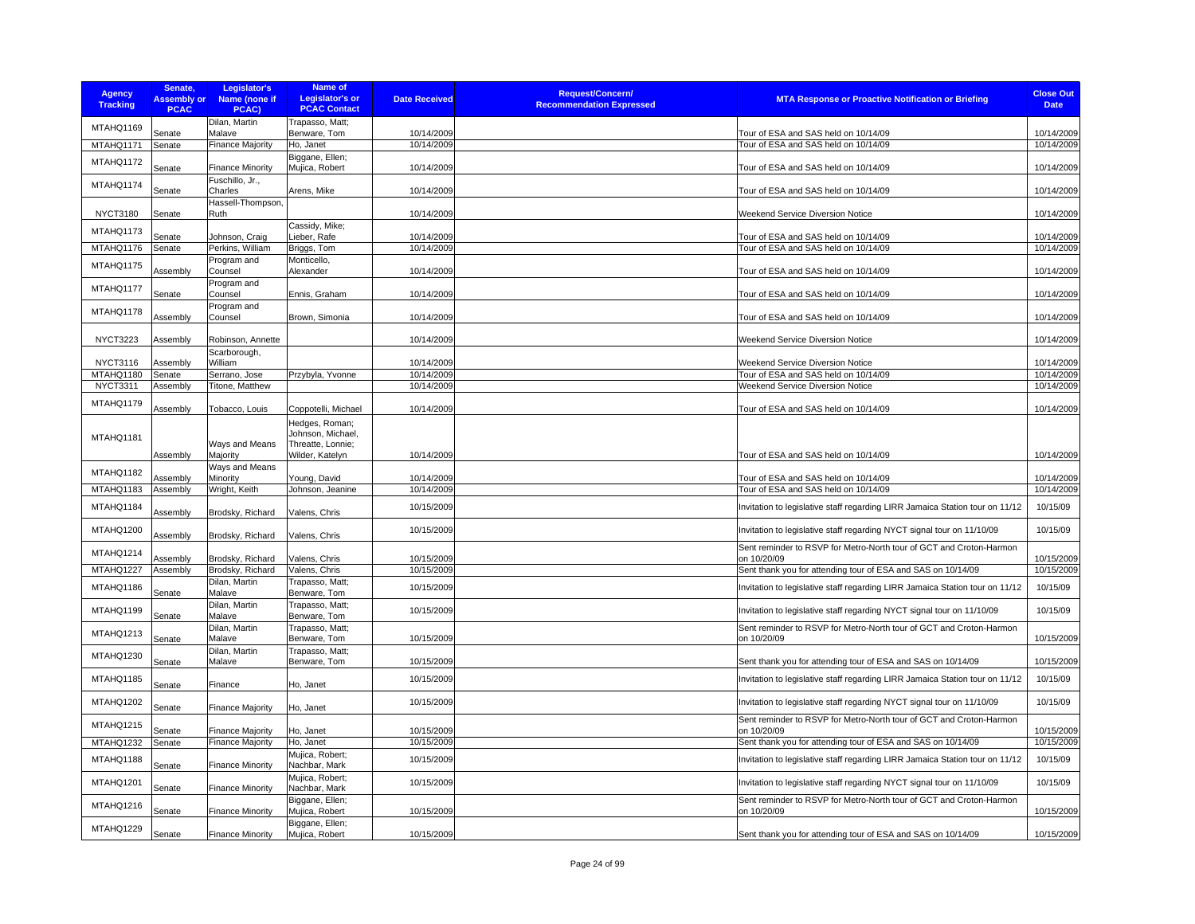| <b>Agency</b><br><b>Tracking</b> | Senate,<br><b>Assembly or</b><br><b>PCAC</b> | Legislator's<br>Name (none if<br>PCAC) | <b>Name of</b><br><b>Legislator's or</b><br><b>PCAC Contact</b>             | <b>Date Received</b>     | <b>Request/Concern/</b><br><b>Recommendation Expressed</b> | <b>MTA Response or Proactive Notification or Briefing</b>                          | <b>Close Out</b><br><b>Date</b> |
|----------------------------------|----------------------------------------------|----------------------------------------|-----------------------------------------------------------------------------|--------------------------|------------------------------------------------------------|------------------------------------------------------------------------------------|---------------------------------|
| MTAHQ1169                        |                                              | Dilan, Martin                          | Trapasso, Matt;                                                             |                          |                                                            |                                                                                    |                                 |
| MTAHQ1171                        | Senate<br>Senate                             | Malave<br><b>Finance Majority</b>      | Benware, Tom<br>Ho, Janet                                                   | 10/14/2009<br>10/14/2009 |                                                            | Tour of ESA and SAS held on 10/14/09<br>Tour of ESA and SAS held on 10/14/09       | 10/14/2009<br>10/14/2009        |
| MTAHQ1172                        | Senate                                       | <b>Finance Minority</b>                | Biggane, Ellen;<br>Mujica, Robert                                           | 10/14/2009               |                                                            | Tour of ESA and SAS held on 10/14/09                                               | 10/14/2009                      |
| MTAHQ1174                        | Senate                                       | Fuschillo, Jr.,<br>Charles             | Arens, Mike                                                                 | 10/14/2009               |                                                            | Tour of ESA and SAS held on 10/14/09                                               | 10/14/2009                      |
|                                  |                                              | Hassell-Thompson,                      |                                                                             |                          |                                                            |                                                                                    |                                 |
| <b>NYCT3180</b>                  | Senate                                       | Ruth                                   |                                                                             | 10/14/2009               |                                                            | Weekend Service Diversion Notice                                                   | 10/14/2009                      |
| MTAHQ1173                        | Senate                                       | Johnson, Craig                         | Cassidy, Mike;<br>Lieber, Rafe                                              | 10/14/2009               |                                                            | Tour of ESA and SAS held on 10/14/09                                               | 10/14/2009                      |
| MTAHQ1176                        | Senate                                       | Perkins, William                       | Briggs, Tom                                                                 | 10/14/2009               |                                                            | Tour of ESA and SAS held on 10/14/09                                               | 10/14/2009                      |
| MTAHQ1175                        | Assembly                                     | Program and<br>Counsel                 | Monticello,<br>Alexander                                                    | 10/14/2009               |                                                            | Tour of ESA and SAS held on 10/14/09                                               | 10/14/2009                      |
| MTAHQ1177                        | Senate                                       | Program and<br>Counsel                 | Ennis, Graham                                                               | 10/14/2009               |                                                            | Tour of ESA and SAS held on 10/14/09                                               | 10/14/2009                      |
| MTAHQ1178                        | Assembly                                     | Program and<br>Counsel                 | Brown, Simonia                                                              | 10/14/2009               |                                                            | Tour of ESA and SAS held on 10/14/09                                               | 10/14/2009                      |
| <b>NYCT3223</b>                  | Assembly                                     | Robinson, Annette                      |                                                                             | 10/14/2009               |                                                            | Weekend Service Diversion Notice                                                   | 10/14/2009                      |
|                                  |                                              | Scarborough,                           |                                                                             |                          |                                                            |                                                                                    |                                 |
| <b>NYCT3116</b><br>MTAHQ1180     | Assembly<br>Senate                           | William<br>Serrano, Jose               | Przybyla, Yvonne                                                            | 10/14/2009<br>10/14/2009 |                                                            | Weekend Service Diversion Notice<br>Tour of ESA and SAS held on 10/14/09           | 10/14/2009<br>10/14/2009        |
| <b>NYCT3311</b>                  | Assembly                                     | Titone, Matthew                        |                                                                             | 10/14/2009               |                                                            | Weekend Service Diversion Notice                                                   | 10/14/2009                      |
| MTAHQ1179                        | Assembly                                     | Tobacco, Louis                         | Coppotelli, Michael                                                         | 10/14/2009               |                                                            | Tour of ESA and SAS held on 10/14/09                                               | 10/14/2009                      |
| MTAHQ1181                        | Assembly                                     | Ways and Means<br>Majority             | Hedges, Roman;<br>Johnson, Michael,<br>Threatte, Lonnie;<br>Wilder, Katelyn | 10/14/2009               |                                                            | Tour of ESA and SAS held on 10/14/09                                               | 10/14/2009                      |
| MTAHQ1182                        | Assembly                                     | Ways and Means<br>Minority             | Young, David                                                                | 10/14/2009               |                                                            | Tour of ESA and SAS held on 10/14/09                                               | 10/14/2009                      |
| MTAHQ1183                        | Assembly                                     | Wright, Keith                          | Johnson, Jeanine                                                            | 10/14/2009               |                                                            | Tour of ESA and SAS held on 10/14/09                                               | 10/14/2009                      |
| MTAHQ1184                        | Assembly                                     | Brodsky, Richard                       | Valens, Chris                                                               | 10/15/2009               |                                                            | Invitation to legislative staff regarding LIRR Jamaica Station tour on 11/12       | 10/15/09                        |
| MTAHQ1200                        | Assembly                                     | Brodsky, Richard                       | Valens, Chris                                                               | 10/15/2009               |                                                            | Invitation to legislative staff regarding NYCT signal tour on 11/10/09             | 10/15/09                        |
| MTAHQ1214                        | Assembly                                     | Brodsky, Richard                       | Valens, Chris                                                               | 10/15/2009               |                                                            | Sent reminder to RSVP for Metro-North tour of GCT and Croton-Harmon<br>on 10/20/09 | 10/15/2009                      |
| MTAHQ1227                        | Assembly                                     | Brodsky, Richard                       | Valens, Chris                                                               | 10/15/2009               |                                                            | Sent thank you for attending tour of ESA and SAS on 10/14/09                       | 10/15/2009                      |
| MTAHQ1186                        | Senate                                       | Dilan, Martin<br>Malave                | Trapasso, Matt:<br>Benware, Tom                                             | 10/15/2009               |                                                            | Invitation to legislative staff regarding LIRR Jamaica Station tour on 11/12       | 10/15/09                        |
| MTAHQ1199                        | Senate                                       | Dilan, Martin<br>Malave                | Trapasso, Matt;<br>Benware, Tom                                             | 10/15/2009               |                                                            | Invitation to legislative staff regarding NYCT signal tour on 11/10/09             | 10/15/09                        |
| MTAHQ1213                        | Senate                                       | Dilan, Martin<br>Malave                | Trapasso, Matt;<br>Benware, Tom                                             | 10/15/2009               |                                                            | Sent reminder to RSVP for Metro-North tour of GCT and Croton-Harmon<br>on 10/20/09 | 10/15/2009                      |
| MTAHQ1230                        | Senate                                       | Dilan, Martin<br>Malave                | Trapasso, Matt:<br>Benware, Tom                                             | 10/15/2009               |                                                            | Sent thank you for attending tour of ESA and SAS on 10/14/09                       | 10/15/2009                      |
| MTAHQ1185                        | Senate                                       | Finance                                | Ho, Janet                                                                   | 10/15/2009               |                                                            | Invitation to legislative staff regarding LIRR Jamaica Station tour on 11/12       | 10/15/09                        |
| MTAHQ1202                        | Senate                                       | <b>Finance Majority</b>                | Ho, Janet                                                                   | 10/15/2009               |                                                            | Invitation to legislative staff regarding NYCT signal tour on 11/10/09             | 10/15/09                        |
| MTAHQ1215                        | Senate                                       | <b>Finance Majority</b>                | Ho, Janet                                                                   | 10/15/2009               |                                                            | Sent reminder to RSVP for Metro-North tour of GCT and Croton-Harmon<br>on 10/20/09 | 10/15/2009                      |
| MTAHQ1232                        | Senate                                       | <b>Finance Majority</b>                | Ho, Janet                                                                   | 10/15/2009               |                                                            | Sent thank you for attending tour of ESA and SAS on 10/14/09                       | 10/15/2009                      |
| MTAHQ1188                        | Senate                                       | <b>Finance Minority</b>                | Mujica, Robert;<br>Nachbar, Mark                                            | 10/15/2009               |                                                            | Invitation to legislative staff regarding LIRR Jamaica Station tour on 11/12       | 10/15/09                        |
| MTAHQ1201                        | Senate                                       | <b>Finance Minority</b>                | Mujica, Robert;<br>Nachbar, Mark                                            | 10/15/2009               |                                                            | Invitation to legislative staff regarding NYCT signal tour on 11/10/09             | 10/15/09                        |
| MTAHQ1216                        | Senate                                       | <b>Finance Minority</b>                | Biggane, Ellen;<br>Mujica, Robert                                           | 10/15/2009               |                                                            | Sent reminder to RSVP for Metro-North tour of GCT and Croton-Harmon<br>on 10/20/09 | 10/15/2009                      |
| MTAHQ1229                        | Senate                                       | <b>Finance Minority</b>                | Biggane, Ellen;<br>Mujica, Robert                                           | 10/15/2009               |                                                            | Sent thank you for attending tour of ESA and SAS on 10/14/09                       | 10/15/2009                      |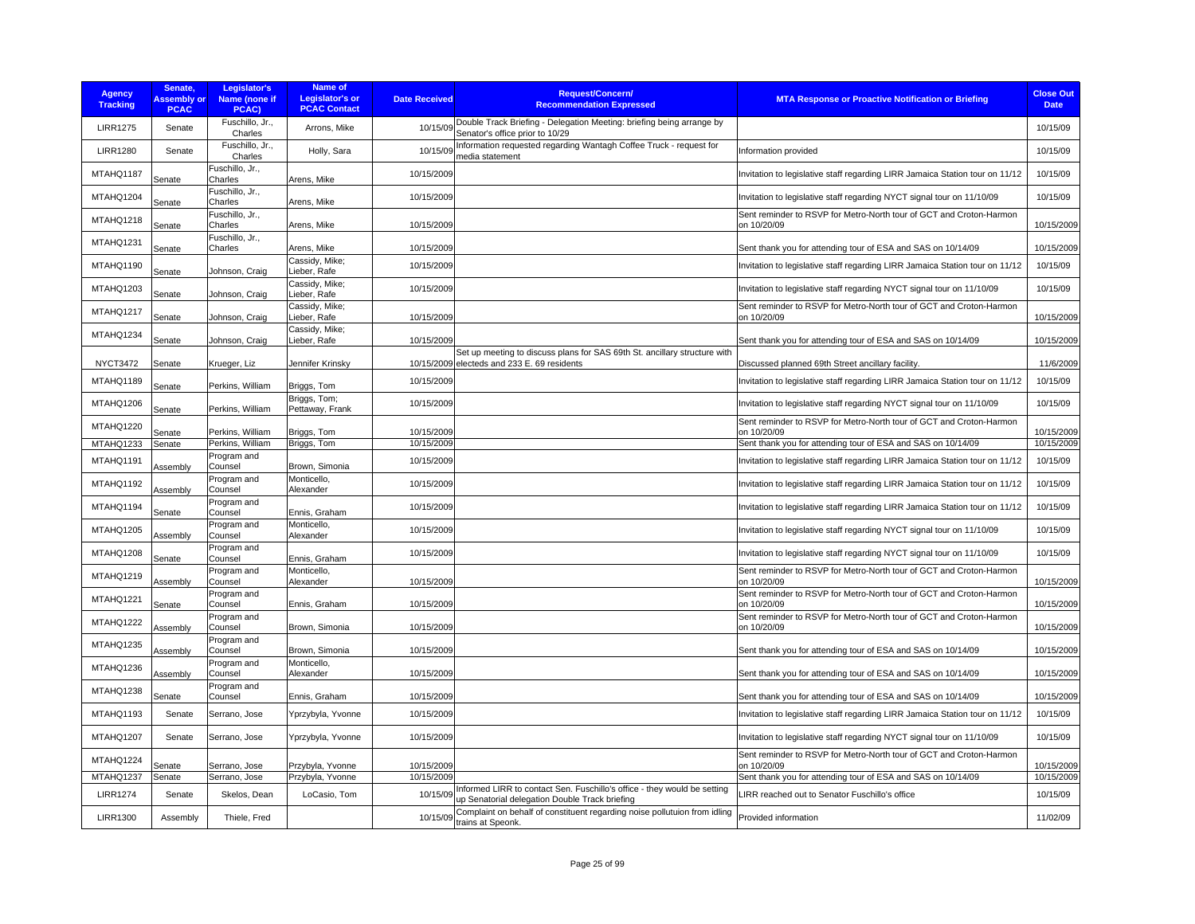| <b>Agency</b><br><b>Tracking</b> | Senate.<br><b>Assembly or</b><br><b>PCAC</b> | Legislator's<br>Name (none if<br>PCAC) | <b>Name of</b><br><b>Legislator's or</b><br><b>PCAC Contact</b> | <b>Date Received</b> | <b>Request/Concern/</b><br><b>Recommendation Expressed</b>                                                                 | <b>MTA Response or Proactive Notification or Briefing</b>                          | <b>Close Out</b><br><b>Date</b> |
|----------------------------------|----------------------------------------------|----------------------------------------|-----------------------------------------------------------------|----------------------|----------------------------------------------------------------------------------------------------------------------------|------------------------------------------------------------------------------------|---------------------------------|
| <b>LIRR1275</b>                  | Senate                                       | Fuschillo, Jr.,<br>Charles             | Arrons, Mike                                                    | 10/15/09             | Double Track Briefing - Delegation Meeting: briefing being arrange by<br>Senator's office prior to 10/29                   |                                                                                    | 10/15/09                        |
| <b>LIRR1280</b>                  | Senate                                       | Fuschillo, Jr.,<br>Charles             | Holly, Sara                                                     | 10/15/09             | Information requested regarding Wantagh Coffee Truck - request for<br>media statement                                      | Information provided                                                               | 10/15/09                        |
| MTAHQ1187                        | Senate                                       | Fuschillo, Jr.,<br>Charles             | Arens, Mike                                                     | 10/15/2009           |                                                                                                                            | Invitation to legislative staff regarding LIRR Jamaica Station tour on 11/12       | 10/15/09                        |
| MTAHQ1204                        | Senate                                       | Fuschillo, Jr.,<br>Charles             | Arens, Mike                                                     | 10/15/2009           |                                                                                                                            | Invitation to legislative staff regarding NYCT signal tour on 11/10/09             | 10/15/09                        |
| MTAHQ1218                        | Senate                                       | Fuschillo, Jr.,<br>Charles             | Arens, Mike                                                     | 10/15/2009           |                                                                                                                            | Sent reminder to RSVP for Metro-North tour of GCT and Croton-Harmon<br>on 10/20/09 | 10/15/2009                      |
| MTAHQ1231                        | Senate                                       | Fuschillo, Jr.,<br>Charles             | Arens, Mike                                                     | 10/15/2009           |                                                                                                                            | Sent thank you for attending tour of ESA and SAS on 10/14/09                       | 10/15/2009                      |
| MTAHQ1190                        | Senate                                       | Johnson, Craig                         | Cassidy, Mike;<br>Lieber, Rafe                                  | 10/15/2009           |                                                                                                                            | Invitation to legislative staff regarding LIRR Jamaica Station tour on 11/12       | 10/15/09                        |
| MTAHQ1203                        | Senate                                       | Johnson, Craig                         | Cassidy, Mike;<br>Lieber, Rafe                                  | 10/15/2009           |                                                                                                                            | Invitation to legislative staff regarding NYCT signal tour on 11/10/09             | 10/15/09                        |
| MTAHQ1217                        | Senate                                       | Johnson, Craig                         | Cassidy, Mike;<br>Lieber, Rafe                                  | 10/15/2009           |                                                                                                                            | Sent reminder to RSVP for Metro-North tour of GCT and Croton-Harmon<br>on 10/20/09 | 10/15/2009                      |
| MTAHQ1234                        | Senate                                       | Johnson, Craig                         | Cassidv. Mike:<br>Lieber, Rafe                                  | 10/15/2009           |                                                                                                                            | Sent thank you for attending tour of ESA and SAS on 10/14/09                       | 10/15/2009                      |
| <b>NYCT3472</b>                  | Senate                                       | Krueger, Liz                           | Jennifer Krinsky                                                |                      | Set up meeting to discuss plans for SAS 69th St. ancillary structure with<br>10/15/2009 electeds and 233 E. 69 residents   | Discussed planned 69th Street ancillary facility.                                  | 11/6/2009                       |
| MTAHQ1189                        | Senate                                       | Perkins, William                       | Briggs, Tom                                                     | 10/15/2009           |                                                                                                                            | Invitation to legislative staff regarding LIRR Jamaica Station tour on 11/12       | 10/15/09                        |
| MTAHQ1206                        | Senate                                       | Perkins, William                       | Briggs, Tom;<br>Pettaway, Frank                                 | 10/15/2009           |                                                                                                                            | Invitation to legislative staff regarding NYCT signal tour on 11/10/09             | 10/15/09                        |
| MTAHQ1220                        | Senate                                       | Perkins, William                       | Briggs, Tom                                                     | 10/15/2009           |                                                                                                                            | Sent reminder to RSVP for Metro-North tour of GCT and Croton-Harmon<br>on 10/20/09 | 10/15/2009                      |
| MTAHQ1233                        | Senate                                       | Perkins, William                       | Briggs, Tom                                                     | 10/15/2009           |                                                                                                                            | Sent thank you for attending tour of ESA and SAS on 10/14/09                       | 10/15/2009                      |
| MTAHQ1191                        | Assembly                                     | Program and<br>Counsel                 | Brown, Simonia                                                  | 10/15/2009           |                                                                                                                            | Invitation to legislative staff regarding LIRR Jamaica Station tour on 11/12       | 10/15/09                        |
| MTAHQ1192                        | Assembly                                     | Program and<br>Counsel                 | Monticello,<br>Alexander                                        | 10/15/2009           |                                                                                                                            | Invitation to legislative staff regarding LIRR Jamaica Station tour on 11/12       | 10/15/09                        |
| MTAHQ1194                        | Senate                                       | Program and<br>Counsel                 | Ennis, Graham                                                   | 10/15/2009           |                                                                                                                            | Invitation to legislative staff regarding LIRR Jamaica Station tour on 11/12       | 10/15/09                        |
| MTAHQ1205                        | Assembly                                     | Program and<br>Counsel                 | Monticello,<br>Alexander                                        | 10/15/2009           |                                                                                                                            | Invitation to legislative staff regarding NYCT signal tour on 11/10/09             | 10/15/09                        |
| MTAHQ1208                        | Senate                                       | Program and<br>Counsel                 | Ennis, Graham                                                   | 10/15/2009           |                                                                                                                            | Invitation to legislative staff regarding NYCT signal tour on 11/10/09             | 10/15/09                        |
| MTAHQ1219                        | Assembly                                     | Program and<br>Counsel                 | Monticello.<br>Alexander                                        | 10/15/2009           |                                                                                                                            | Sent reminder to RSVP for Metro-North tour of GCT and Croton-Harmon<br>on 10/20/09 | 10/15/2009                      |
| MTAHQ1221                        | Senate                                       | Program and<br>Counsel                 | Ennis, Graham                                                   | 10/15/2009           |                                                                                                                            | Sent reminder to RSVP for Metro-North tour of GCT and Croton-Harmon<br>on 10/20/09 | 10/15/2009                      |
| MTAHQ1222                        | Assembly                                     | Program and<br>Counsel                 | Brown, Simonia                                                  | 10/15/2009           |                                                                                                                            | Sent reminder to RSVP for Metro-North tour of GCT and Croton-Harmon<br>on 10/20/09 | 10/15/2009                      |
| MTAHQ1235                        | Assembly                                     | Program and<br>Counsel                 | Brown, Simonia                                                  | 10/15/2009           |                                                                                                                            | Sent thank you for attending tour of ESA and SAS on 10/14/09                       | 10/15/2009                      |
| MTAHQ1236                        | Assembly                                     | Program and<br>Counsel                 | Monticello,<br>Alexander                                        | 10/15/2009           |                                                                                                                            | Sent thank you for attending tour of ESA and SAS on 10/14/09                       | 10/15/2009                      |
| MTAHQ1238                        | Senate                                       | Program and<br>Counsel                 | Ennis, Graham                                                   | 10/15/2009           |                                                                                                                            | Sent thank you for attending tour of ESA and SAS on 10/14/09                       | 10/15/2009                      |
| MTAHQ1193                        | Senate                                       | Serrano, Jose                          | Yprzybyla, Yvonne                                               | 10/15/2009           |                                                                                                                            | Invitation to legislative staff regarding LIRR Jamaica Station tour on 11/12       | 10/15/09                        |
| MTAHQ1207                        | Senate                                       | Serrano, Jose                          | Yprzybyla, Yvonne                                               | 10/15/2009           |                                                                                                                            | Invitation to legislative staff regarding NYCT signal tour on 11/10/09             | 10/15/09                        |
| MTAHQ1224                        | Senate                                       | Serrano, Jose                          | Przybyla, Yvonne                                                | 10/15/2009           |                                                                                                                            | Sent reminder to RSVP for Metro-North tour of GCT and Croton-Harmon<br>on 10/20/09 | 10/15/2009                      |
| MTAHQ1237                        | Senate                                       | Serrano, Jose                          | Przybyla, Yvonne                                                | 10/15/2009           |                                                                                                                            | Sent thank you for attending tour of ESA and SAS on 10/14/09                       | 10/15/2009                      |
| <b>LIRR1274</b>                  | Senate                                       | Skelos, Dean                           | LoCasio. Tom                                                    | 10/15/09             | Informed LIRR to contact Sen. Fuschillo's office - they would be setting<br>up Senatorial delegation Double Track briefing | LIRR reached out to Senator Fuschillo's office                                     | 10/15/09                        |
| <b>LIRR1300</b>                  | Assembly                                     | Thiele, Fred                           |                                                                 |                      | 10/15/09 Complaint on behalf of constituent regarding noise pollutuion from idling<br>trains at Speonk.                    | Provided information                                                               | 11/02/09                        |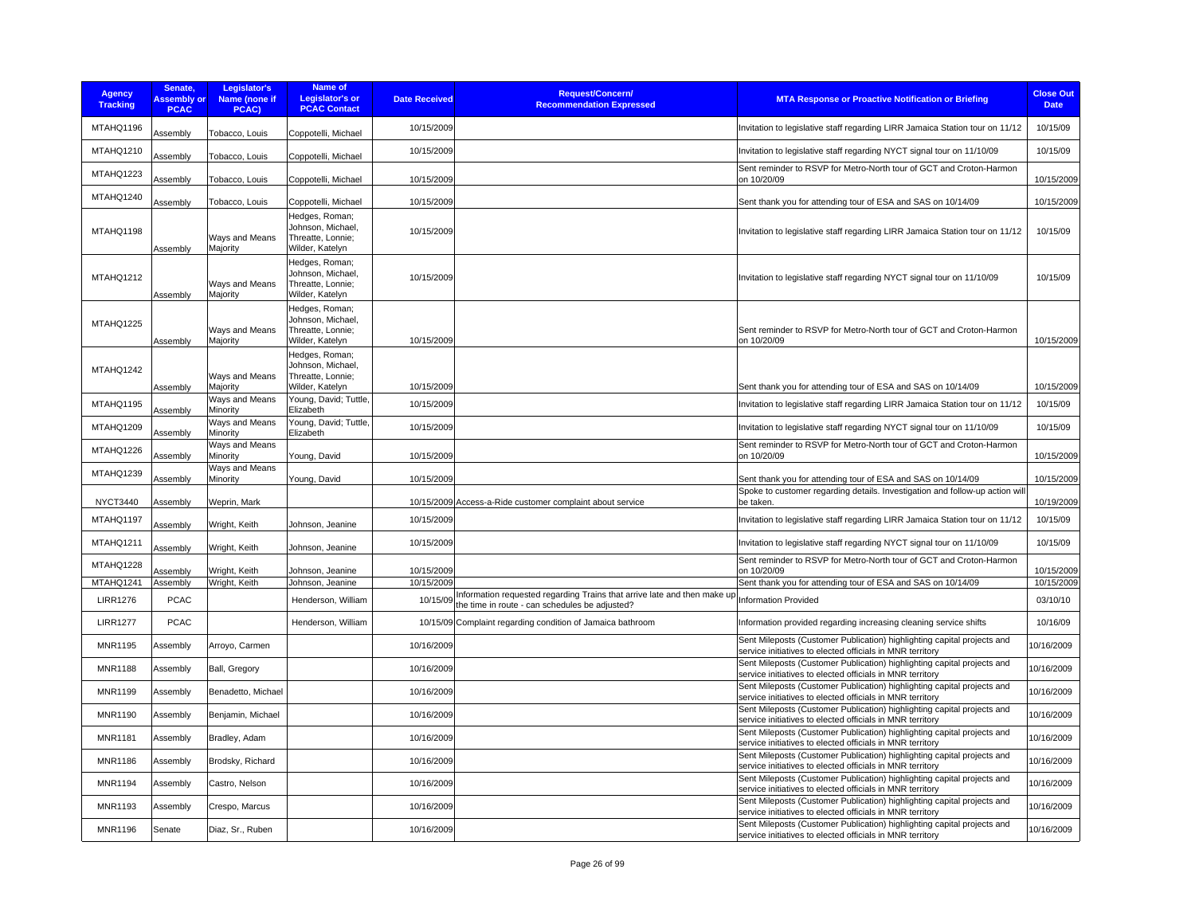| <b>Agency</b><br><b>Tracking</b> | Senate,<br><b>Assembly or</b><br><b>PCAC</b> | Legislator's<br>Name (none if<br>PCAC) | Name of<br><b>Legislator's or</b><br><b>PCAC Contact</b>                    | <b>Date Received</b>     | Request/Concern/<br><b>Recommendation Expressed</b>                                                          | <b>MTA Response or Proactive Notification or Briefing</b>                                                                            | <b>Close Out</b><br><b>Date</b> |
|----------------------------------|----------------------------------------------|----------------------------------------|-----------------------------------------------------------------------------|--------------------------|--------------------------------------------------------------------------------------------------------------|--------------------------------------------------------------------------------------------------------------------------------------|---------------------------------|
| MTAHQ1196                        | Assembly                                     | Tobacco, Louis                         | Coppotelli, Michael                                                         | 10/15/2009               |                                                                                                              | Invitation to legislative staff regarding LIRR Jamaica Station tour on 11/12                                                         | 10/15/09                        |
| MTAHQ1210                        | Assembly                                     | Tobacco, Louis                         | Coppotelli, Michael                                                         | 10/15/2009               |                                                                                                              | Invitation to legislative staff regarding NYCT signal tour on 11/10/09                                                               | 10/15/09                        |
| MTAHQ1223                        | Assembly                                     | Tobacco, Louis                         | Coppotelli, Michael                                                         | 10/15/2009               |                                                                                                              | Sent reminder to RSVP for Metro-North tour of GCT and Croton-Harmon<br>on 10/20/09                                                   | 10/15/2009                      |
| MTAHQ1240                        | Assembly                                     | Tobacco, Louis                         | Coppotelli, Michael                                                         | 10/15/2009               |                                                                                                              | Sent thank you for attending tour of ESA and SAS on 10/14/09                                                                         | 10/15/2009                      |
| MTAHQ1198                        | Assembly                                     | Ways and Means<br>Majority             | Hedges, Roman;<br>Johnson, Michael,<br>Threatte, Lonnie:<br>Wilder, Katelyn | 10/15/2009               |                                                                                                              | Invitation to legislative staff regarding LIRR Jamaica Station tour on 11/12                                                         | 10/15/09                        |
| MTAHQ1212                        | Assembly                                     | Ways and Means<br>Majority             | Hedges, Roman;<br>Johnson, Michael.<br>Threatte, Lonnie;<br>Wilder, Katelyn | 10/15/2009               |                                                                                                              | Invitation to legislative staff regarding NYCT signal tour on 11/10/09                                                               | 10/15/09                        |
| MTAHQ1225                        | Assembly                                     | Ways and Means<br>Majority             | Hedges, Roman;<br>Johnson, Michael,<br>Threatte, Lonnie;<br>Wilder, Katelyn | 10/15/2009               |                                                                                                              | Sent reminder to RSVP for Metro-North tour of GCT and Croton-Harmon<br>on 10/20/09                                                   | 10/15/2009                      |
| MTAHQ1242                        | Assembly                                     | Ways and Means<br>Majority             | Hedges, Roman;<br>Johnson, Michael<br>Threatte, Lonnie;<br>Wilder, Katelyn  | 10/15/2009               |                                                                                                              | Sent thank you for attending tour of ESA and SAS on 10/14/09                                                                         | 10/15/2009                      |
| MTAHQ1195                        | Assembly                                     | Ways and Means<br>Minority             | Young, David; Tuttle,<br>Elizabeth                                          | 10/15/2009               |                                                                                                              | Invitation to legislative staff regarding LIRR Jamaica Station tour on 11/12                                                         | 10/15/09                        |
| MTAHQ1209                        | Assembly                                     | Ways and Means<br>Minority             | Young, David; Tuttle,<br>Elizabeth                                          | 10/15/2009               |                                                                                                              | Invitation to legislative staff regarding NYCT signal tour on 11/10/09                                                               | 10/15/09                        |
| MTAHQ1226                        | Assembly                                     | Ways and Means<br>Minority             | Young, David                                                                | 10/15/2009               |                                                                                                              | Sent reminder to RSVP for Metro-North tour of GCT and Croton-Harmon<br>on 10/20/09                                                   | 10/15/2009                      |
| MTAHQ1239                        | Assembly                                     | Ways and Means<br>Minority             | Young, David                                                                | 10/15/2009               |                                                                                                              | Sent thank you for attending tour of ESA and SAS on 10/14/09                                                                         | 10/15/2009                      |
| <b>NYCT3440</b>                  | Assembly                                     | Weprin, Mark                           |                                                                             |                          | 10/15/2009 Access-a-Ride customer complaint about service                                                    | Spoke to customer regarding details. Investigation and follow-up action will<br>be taken.                                            | 10/19/2009                      |
| MTAHQ1197                        | Assembly                                     | Wright, Keith                          | Johnson, Jeanine                                                            | 10/15/2009               |                                                                                                              | Invitation to legislative staff regarding LIRR Jamaica Station tour on 11/12                                                         | 10/15/09                        |
| MTAHQ1211                        | Assembly                                     | Wright, Keith                          | Johnson, Jeanine                                                            | 10/15/2009               |                                                                                                              | Invitation to legislative staff regarding NYCT signal tour on 11/10/09                                                               | 10/15/09                        |
| MTAHQ1228                        | Assembly                                     | Wright, Keith                          | Johnson, Jeanine                                                            | 10/15/2009               |                                                                                                              | Sent reminder to RSVP for Metro-North tour of GCT and Croton-Harmon<br>on 10/20/09                                                   | 10/15/2009                      |
| MTAHQ1241<br><b>LIRR1276</b>     | Assembly<br><b>PCAC</b>                      | Wright, Keith                          | Johnson, Jeanine<br>Henderson, William                                      | 10/15/2009<br>10/15/09   | Information requested regarding Trains that arrive late and then make up                                     | Sent thank you for attending tour of ESA and SAS on 10/14/09<br><b>Information Provided</b>                                          | 10/15/2009<br>03/10/10          |
| <b>LIRR1277</b>                  | <b>PCAC</b>                                  |                                        | Henderson, William                                                          |                          | the time in route - can schedules be adjusted?<br>10/15/09 Complaint regarding condition of Jamaica bathroom | Information provided regarding increasing cleaning service shifts                                                                    | 10/16/09                        |
|                                  |                                              |                                        |                                                                             |                          |                                                                                                              | Sent Mileposts (Customer Publication) highlighting capital projects and                                                              |                                 |
| MNR1195<br><b>MNR1188</b>        | Assembly<br>Assembly                         | Arroyo, Carmen<br>Ball, Gregory        |                                                                             | 10/16/2009<br>10/16/2009 |                                                                                                              | service initiatives to elected officials in MNR territory<br>Sent Mileposts (Customer Publication) highlighting capital projects and | 10/16/2009<br>10/16/2009        |
| MNR1199                          | Assembly                                     | Benadetto, Michael                     |                                                                             | 10/16/2009               |                                                                                                              | service initiatives to elected officials in MNR territory<br>Sent Mileposts (Customer Publication) highlighting capital projects and | 10/16/2009                      |
| MNR1190                          | Assembly                                     | Benjamin, Michael                      |                                                                             | 10/16/2009               |                                                                                                              | service initiatives to elected officials in MNR territory<br>Sent Mileposts (Customer Publication) highlighting capital projects and | 10/16/2009                      |
| <b>MNR1181</b>                   |                                              |                                        |                                                                             | 10/16/2009               |                                                                                                              | service initiatives to elected officials in MNR territory<br>Sent Mileposts (Customer Publication) highlighting capital projects and | 10/16/2009                      |
|                                  | Assembly                                     | Bradley, Adam                          |                                                                             |                          |                                                                                                              | service initiatives to elected officials in MNR territory<br>Sent Mileposts (Customer Publication) highlighting capital projects and |                                 |
| <b>MNR1186</b>                   | Assembly                                     | Brodsky, Richard                       |                                                                             | 10/16/2009               |                                                                                                              | service initiatives to elected officials in MNR territory<br>Sent Mileposts (Customer Publication) highlighting capital projects and | 10/16/2009                      |
| MNR1194                          | Assembly                                     | Castro, Nelson                         |                                                                             | 10/16/2009               |                                                                                                              | service initiatives to elected officials in MNR territory<br>Sent Mileposts (Customer Publication) highlighting capital projects and | 10/16/2009                      |
| MNR1193                          | Assembly                                     | Crespo, Marcus                         |                                                                             | 10/16/2009               |                                                                                                              | service initiatives to elected officials in MNR territory<br>Sent Mileposts (Customer Publication) highlighting capital projects and | 10/16/2009                      |
| <b>MNR1196</b>                   | Senate                                       | Diaz, Sr., Ruben                       |                                                                             | 10/16/2009               |                                                                                                              | service initiatives to elected officials in MNR territory                                                                            | 10/16/2009                      |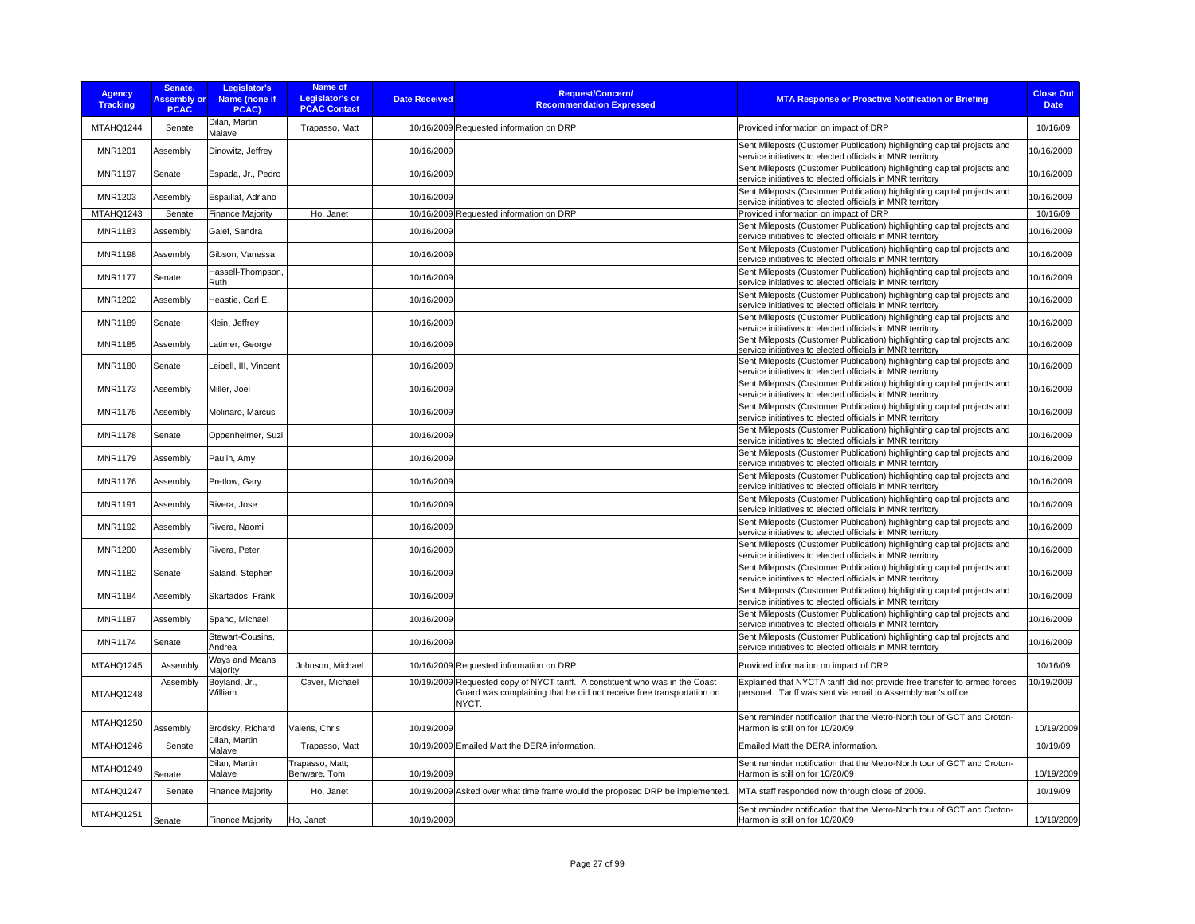| <b>Agency</b><br><b>Tracking</b> | Senate,<br><b>Assembly or</b><br><b>PCAC</b> | Legislator's<br>Name (none if<br>PCAC) | <b>Name of</b><br><b>Legislator's or</b><br><b>PCAC Contact</b> | <b>Date Received</b> | <b>Request/Concern/</b><br><b>Recommendation Expressed</b>                                                                                                    | <b>MTA Response or Proactive Notification or Briefing</b>                                                                                 | <b>Close Out</b><br><b>Date</b> |
|----------------------------------|----------------------------------------------|----------------------------------------|-----------------------------------------------------------------|----------------------|---------------------------------------------------------------------------------------------------------------------------------------------------------------|-------------------------------------------------------------------------------------------------------------------------------------------|---------------------------------|
| MTAHQ1244                        | Senate                                       | Dilan, Martin<br>Malave                | Trapasso, Matt                                                  |                      | 10/16/2009 Requested information on DRP                                                                                                                       | Provided information on impact of DRP                                                                                                     | 10/16/09                        |
| <b>MNR1201</b>                   | Assembly                                     | Dinowitz, Jeffrey                      |                                                                 | 10/16/2009           |                                                                                                                                                               | Sent Mileposts (Customer Publication) highlighting capital projects and<br>service initiatives to elected officials in MNR territory      | 10/16/2009                      |
| <b>MNR1197</b>                   | Senate                                       | Espada, Jr., Pedro                     |                                                                 | 10/16/2009           |                                                                                                                                                               | Sent Mileposts (Customer Publication) highlighting capital projects and<br>service initiatives to elected officials in MNR territory      | 10/16/2009                      |
| MNR1203                          | <b>Assembly</b>                              | Espaillat, Adriano                     |                                                                 | 10/16/2009           |                                                                                                                                                               | Sent Mileposts (Customer Publication) highlighting capital projects and<br>service initiatives to elected officials in MNR territory      | 10/16/2009                      |
| MTAHQ1243                        | Senate                                       | <b>Finance Majority</b>                | Ho, Janet                                                       |                      | 10/16/2009 Requested information on DRP                                                                                                                       | Provided information on impact of DRP                                                                                                     | 10/16/09                        |
| MNR1183                          | Assembly                                     | Galef, Sandra                          |                                                                 | 10/16/2009           |                                                                                                                                                               | Sent Mileposts (Customer Publication) highlighting capital projects and<br>service initiatives to elected officials in MNR territory      | 10/16/2009                      |
| <b>MNR1198</b>                   | Assembly                                     | Gibson, Vanessa                        |                                                                 | 10/16/2009           |                                                                                                                                                               | Sent Mileposts (Customer Publication) highlighting capital projects and<br>service initiatives to elected officials in MNR territory      | 10/16/2009                      |
| <b>MNR1177</b>                   | Senate                                       | Hassell-Thompson,<br>Ruth              |                                                                 | 10/16/2009           |                                                                                                                                                               | Sent Mileposts (Customer Publication) highlighting capital projects and<br>service initiatives to elected officials in MNR territory      | 10/16/2009                      |
| <b>MNR1202</b>                   | Assembly                                     | Heastie, Carl E.                       |                                                                 | 10/16/2009           |                                                                                                                                                               | Sent Mileposts (Customer Publication) highlighting capital projects and<br>service initiatives to elected officials in MNR territory      | 10/16/2009                      |
| <b>MNR1189</b>                   | Senate                                       | Klein, Jeffrey                         |                                                                 | 10/16/2009           |                                                                                                                                                               | Sent Mileposts (Customer Publication) highlighting capital projects and<br>service initiatives to elected officials in MNR territory      | 10/16/2009                      |
| <b>MNR1185</b>                   | Assembly                                     | Latimer, George                        |                                                                 | 10/16/2009           |                                                                                                                                                               | Sent Mileposts (Customer Publication) highlighting capital projects and<br>service initiatives to elected officials in MNR territory      | 10/16/2009                      |
| <b>MNR1180</b>                   | Senate                                       | Leibell, III, Vincent                  |                                                                 | 10/16/2009           |                                                                                                                                                               | Sent Mileposts (Customer Publication) highlighting capital projects and<br>service initiatives to elected officials in MNR territory      | 10/16/2009                      |
| <b>MNR1173</b>                   | Assembly                                     | Miller, Joel                           |                                                                 | 10/16/2009           |                                                                                                                                                               | Sent Mileposts (Customer Publication) highlighting capital projects and<br>service initiatives to elected officials in MNR territory      | 10/16/2009                      |
| <b>MNR1175</b>                   | Assembly                                     | Molinaro, Marcus                       |                                                                 | 10/16/2009           |                                                                                                                                                               | Sent Mileposts (Customer Publication) highlighting capital projects and<br>service initiatives to elected officials in MNR territory      | 10/16/2009                      |
| <b>MNR1178</b>                   | Senate                                       | Oppenheimer, Suzi                      |                                                                 | 10/16/2009           |                                                                                                                                                               | Sent Mileposts (Customer Publication) highlighting capital projects and<br>service initiatives to elected officials in MNR territory      | 10/16/2009                      |
| <b>MNR1179</b>                   | Assembly                                     | Paulin, Amy                            |                                                                 | 10/16/2009           |                                                                                                                                                               | Sent Mileposts (Customer Publication) highlighting capital projects and<br>service initiatives to elected officials in MNR territory      | 10/16/2009                      |
| <b>MNR1176</b>                   | Assemblv                                     | Pretlow, Garv                          |                                                                 | 10/16/2009           |                                                                                                                                                               | Sent Mileposts (Customer Publication) highlighting capital projects and<br>service initiatives to elected officials in MNR territory      | 10/16/2009                      |
| <b>MNR1191</b>                   | Assembly                                     | Rivera, Jose                           |                                                                 | 10/16/2009           |                                                                                                                                                               | Sent Mileposts (Customer Publication) highlighting capital projects and<br>service initiatives to elected officials in MNR territory      | 10/16/2009                      |
| <b>MNR1192</b>                   | Assembly                                     | Rivera, Naomi                          |                                                                 | 10/16/2009           |                                                                                                                                                               | Sent Mileposts (Customer Publication) highlighting capital projects and<br>service initiatives to elected officials in MNR territory      | 10/16/2009                      |
| <b>MNR1200</b>                   | Assembly                                     | Rivera, Peter                          |                                                                 | 10/16/2009           |                                                                                                                                                               | Sent Mileposts (Customer Publication) highlighting capital projects and<br>service initiatives to elected officials in MNR territory      | 10/16/2009                      |
| <b>MNR1182</b>                   | Senate                                       | Saland, Stephen                        |                                                                 | 10/16/2009           |                                                                                                                                                               | Sent Mileposts (Customer Publication) highlighting capital projects and<br>service initiatives to elected officials in MNR territory      | 10/16/2009                      |
| MNR1184                          | Assembly                                     | Skartados, Frank                       |                                                                 | 10/16/2009           |                                                                                                                                                               | Sent Mileposts (Customer Publication) highlighting capital projects and<br>service initiatives to elected officials in MNR territory      | 10/16/2009                      |
| <b>MNR1187</b>                   | Assembly                                     | Spano, Michael                         |                                                                 | 10/16/2009           |                                                                                                                                                               | Sent Mileposts (Customer Publication) highlighting capital projects and<br>service initiatives to elected officials in MNR territory      | 10/16/2009                      |
| <b>MNR1174</b>                   | Senate                                       | Stewart-Cousins,<br>Andrea             |                                                                 | 10/16/2009           |                                                                                                                                                               | Sent Mileposts (Customer Publication) highlighting capital projects and<br>service initiatives to elected officials in MNR territory      | 10/16/2009                      |
| MTAHQ1245                        | Assembly                                     | Ways and Means<br>Majority             | Johnson, Michael                                                |                      | 10/16/2009 Requested information on DRP                                                                                                                       | Provided information on impact of DRP                                                                                                     | 10/16/09                        |
| MTAHQ1248                        | Assembly                                     | Boyland, Jr.,<br>William               | Caver, Michael                                                  |                      | 10/19/2009 Requested copy of NYCT tariff. A constituent who was in the Coast<br>Guard was complaining that he did not receive free transportation on<br>NYCT. | Explained that NYCTA tariff did not provide free transfer to armed forces<br>personel. Tariff was sent via email to Assemblyman's office. | 10/19/2009                      |
| MTAHQ1250                        | Assembly                                     | Brodsky, Richard                       | Valens, Chris                                                   | 10/19/2009           |                                                                                                                                                               | Sent reminder notification that the Metro-North tour of GCT and Croton-<br>Harmon is still on for 10/20/09                                | 10/19/2009                      |
| MTAHQ1246                        | Senate                                       | Dilan, Martin<br>Malave                | Trapasso, Matt                                                  |                      | 10/19/2009 Emailed Matt the DERA information.                                                                                                                 | Emailed Matt the DERA information.                                                                                                        | 10/19/09                        |
| MTAHQ1249                        | Senate                                       | Dilan, Martin<br>Malave                | Trapasso, Matt;<br>Benware, Tom                                 | 10/19/2009           |                                                                                                                                                               | Sent reminder notification that the Metro-North tour of GCT and Croton-<br>Harmon is still on for 10/20/09                                | 10/19/2009                      |
| MTAHQ1247                        | Senate                                       | <b>Finance Majority</b>                | Ho, Janet                                                       |                      | 10/19/2009 Asked over what time frame would the proposed DRP be implemented.                                                                                  | MTA staff responded now through close of 2009.                                                                                            | 10/19/09                        |
| MTAHQ1251                        | Senate                                       | <b>Finance Majority</b>                | Ho, Janet                                                       | 10/19/2009           |                                                                                                                                                               | Sent reminder notification that the Metro-North tour of GCT and Croton-<br>Harmon is still on for 10/20/09                                | 10/19/2009                      |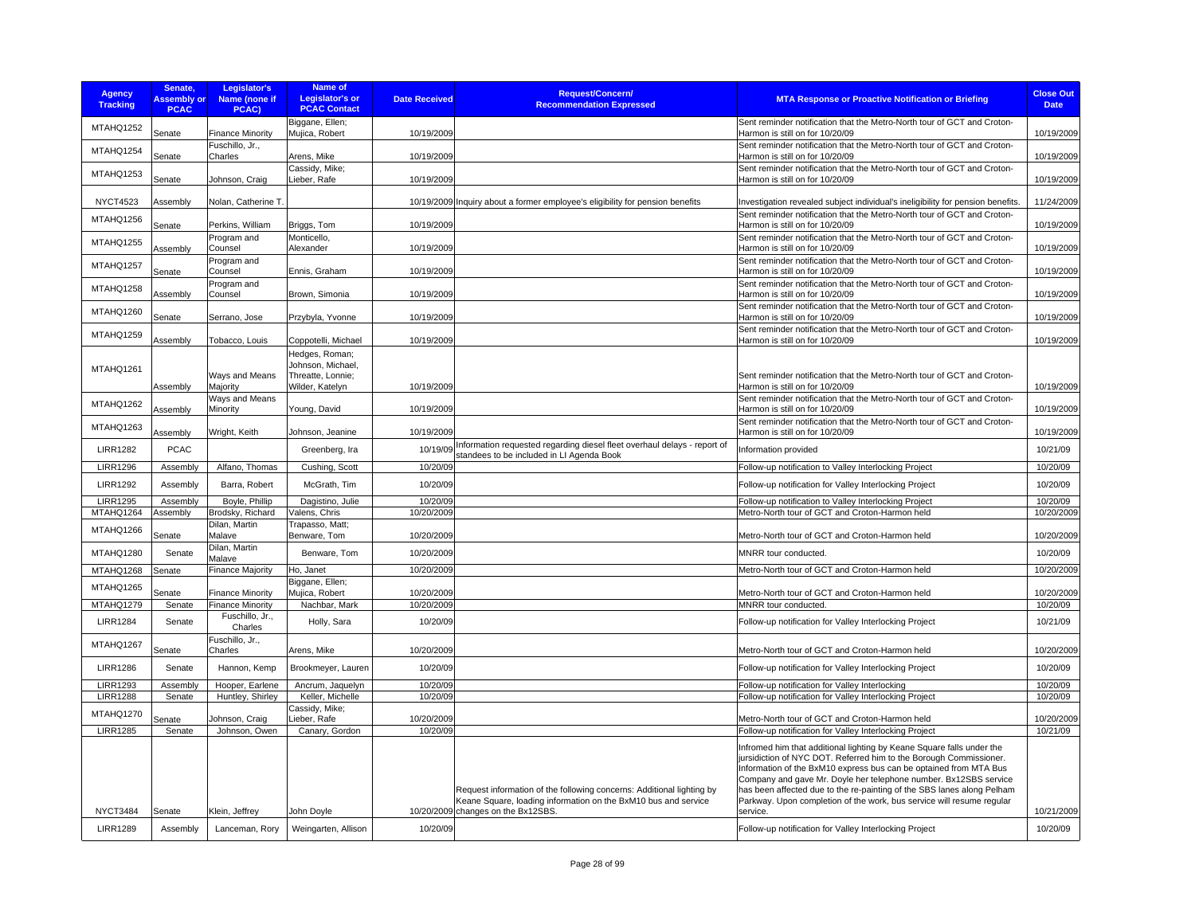| <b>Agency</b><br><b>Tracking</b>   | Senate,<br><b>Assembly or</b><br><b>PCAC</b> | Legislator's<br>Name (none if<br>PCAC)             | <b>Name of</b><br><b>Legislator's or</b><br><b>PCAC Contact</b> | <b>Date Received</b>     | <b>Request/Concern/</b><br><b>Recommendation Expressed</b>                                                                              | <b>MTA Response or Proactive Notification or Briefing</b>                                                                                                                                                                                                                                                                                                                                                                                                                                         | <b>Close Out</b><br><b>Date</b> |
|------------------------------------|----------------------------------------------|----------------------------------------------------|-----------------------------------------------------------------|--------------------------|-----------------------------------------------------------------------------------------------------------------------------------------|---------------------------------------------------------------------------------------------------------------------------------------------------------------------------------------------------------------------------------------------------------------------------------------------------------------------------------------------------------------------------------------------------------------------------------------------------------------------------------------------------|---------------------------------|
| MTAHQ1252                          | Senate                                       | <b>Finance Minority</b>                            | Biggane, Ellen;<br>Mujica, Robert                               | 10/19/2009               |                                                                                                                                         | Sent reminder notification that the Metro-North tour of GCT and Croton-<br>Harmon is still on for 10/20/09                                                                                                                                                                                                                                                                                                                                                                                        | 10/19/2009                      |
| MTAHQ1254                          | Senate                                       | Fuschillo, Jr.,<br>Charles                         | Arens, Mike                                                     | 10/19/2009               |                                                                                                                                         | Sent reminder notification that the Metro-North tour of GCT and Croton-<br>Harmon is still on for 10/20/09                                                                                                                                                                                                                                                                                                                                                                                        | 10/19/2009                      |
| MTAHQ1253                          | Senate                                       | Johnson, Craig                                     | Cassidy, Mike;<br>Lieber, Rafe                                  | 10/19/2009               |                                                                                                                                         | Sent reminder notification that the Metro-North tour of GCT and Croton-<br>Harmon is still on for 10/20/09                                                                                                                                                                                                                                                                                                                                                                                        | 10/19/2009                      |
| <b>NYCT4523</b>                    | Assembly                                     | Nolan, Catherine T.                                |                                                                 |                          | 10/19/2009 Inquiry about a former employee's eligibility for pension benefits                                                           | Investigation revealed subject individual's ineligibility for pension benefits.                                                                                                                                                                                                                                                                                                                                                                                                                   | 11/24/2009                      |
| MTAHQ1256                          | Senate                                       | Perkins, William                                   | Briggs, Tom                                                     | 10/19/2009               |                                                                                                                                         | Sent reminder notification that the Metro-North tour of GCT and Croton-<br>Harmon is still on for 10/20/09                                                                                                                                                                                                                                                                                                                                                                                        | 10/19/2009                      |
| MTAHQ1255                          | Assembly                                     | Program and<br>Counsel                             | Monticello.<br>Alexander                                        | 10/19/2009               |                                                                                                                                         | Sent reminder notification that the Metro-North tour of GCT and Croton-<br>Harmon is still on for 10/20/09                                                                                                                                                                                                                                                                                                                                                                                        | 10/19/2009                      |
| MTAHQ1257                          | <b>Senate</b>                                | Program and<br>Counsel                             | Ennis, Graham                                                   | 10/19/2009               |                                                                                                                                         | Sent reminder notification that the Metro-North tour of GCT and Croton-<br>Harmon is still on for 10/20/09                                                                                                                                                                                                                                                                                                                                                                                        | 10/19/2009                      |
| MTAHQ1258                          | Assembly                                     | Program and<br>Counsel                             | Brown, Simonia                                                  | 10/19/2009               |                                                                                                                                         | Sent reminder notification that the Metro-North tour of GCT and Croton-<br>Harmon is still on for 10/20/09                                                                                                                                                                                                                                                                                                                                                                                        | 10/19/2009                      |
| MTAHQ1260                          | Senate                                       | Serrano, Jose                                      | Przybyla, Yvonne                                                | 10/19/2009               |                                                                                                                                         | Sent reminder notification that the Metro-North tour of GCT and Croton-<br>Harmon is still on for 10/20/09                                                                                                                                                                                                                                                                                                                                                                                        | 10/19/2009                      |
| MTAHQ1259                          | Assembly                                     | Tobacco, Louis                                     | Coppotelli, Michael                                             | 10/19/2009               |                                                                                                                                         | Sent reminder notification that the Metro-North tour of GCT and Croton-<br>Harmon is still on for 10/20/09                                                                                                                                                                                                                                                                                                                                                                                        | 10/19/2009                      |
| MTAHQ1261                          |                                              | Ways and Means                                     | Hedges, Roman;<br>Johnson, Michael,<br>Threatte, Lonnie;        |                          |                                                                                                                                         | Sent reminder notification that the Metro-North tour of GCT and Croton-                                                                                                                                                                                                                                                                                                                                                                                                                           |                                 |
| MTAHQ1262                          | Assembly<br>Assembly                         | Majority<br>Ways and Means<br>Minority             | Wilder, Katelyn<br>Young, David                                 | 10/19/2009<br>10/19/2009 |                                                                                                                                         | Harmon is still on for 10/20/09<br>Sent reminder notification that the Metro-North tour of GCT and Croton-<br>Harmon is still on for 10/20/09                                                                                                                                                                                                                                                                                                                                                     | 10/19/2009<br>10/19/2009        |
| MTAHQ1263                          | Assembly                                     | Wright, Keith                                      | Johnson, Jeanine                                                | 10/19/2009               |                                                                                                                                         | Sent reminder notification that the Metro-North tour of GCT and Croton-<br>Harmon is still on for 10/20/09                                                                                                                                                                                                                                                                                                                                                                                        | 10/19/2009                      |
| <b>LIRR1282</b>                    | <b>PCAC</b>                                  |                                                    | Greenberg, Ira                                                  |                          | 10/19/09 Information requested regarding diesel fleet overhaul delays - report of<br>standees to be included in LI Agenda Book          | Information provided                                                                                                                                                                                                                                                                                                                                                                                                                                                                              | 10/21/09                        |
| <b>LIRR1296</b>                    | Assembly                                     | Alfano, Thomas                                     | Cushing, Scott                                                  | 10/20/09                 |                                                                                                                                         | Follow-up notification to Valley Interlocking Project                                                                                                                                                                                                                                                                                                                                                                                                                                             | 10/20/09                        |
| <b>LIRR1292</b>                    | Assembly                                     | Barra, Robert                                      | McGrath, Tim                                                    | 10/20/09                 |                                                                                                                                         | Follow-up notification for Valley Interlocking Project                                                                                                                                                                                                                                                                                                                                                                                                                                            | 10/20/09                        |
| <b>LIRR1295</b><br>MTAHQ1264       | Assembly<br>Assembly                         | Boyle, Phillip<br>Brodsky, Richard                 | Dagistino, Julie<br>Valens, Chris                               | 10/20/09<br>10/20/2009   |                                                                                                                                         | Follow-up notification to Valley Interlocking Project<br>Metro-North tour of GCT and Croton-Harmon held                                                                                                                                                                                                                                                                                                                                                                                           | 10/20/09<br>10/20/2009          |
| MTAHQ1266                          | Senate                                       | Dilan, Martin<br>Malave                            | Trapasso, Matt;<br>Benware, Tom                                 | 10/20/2009               |                                                                                                                                         | Metro-North tour of GCT and Croton-Harmon held                                                                                                                                                                                                                                                                                                                                                                                                                                                    | 10/20/2009                      |
| MTAHQ1280                          | Senate                                       | Dilan, Martin<br>Malave                            | Benware, Tom                                                    | 10/20/2009               |                                                                                                                                         | MNRR tour conducted.                                                                                                                                                                                                                                                                                                                                                                                                                                                                              | 10/20/09                        |
| MTAHQ1268                          | Senate                                       | <b>Finance Majority</b>                            | Ho, Janet                                                       | 10/20/2009               |                                                                                                                                         | Metro-North tour of GCT and Croton-Harmon held                                                                                                                                                                                                                                                                                                                                                                                                                                                    | 10/20/2009                      |
| MTAHQ1265                          |                                              |                                                    | Biggane, Ellen;                                                 |                          |                                                                                                                                         |                                                                                                                                                                                                                                                                                                                                                                                                                                                                                                   |                                 |
| MTAHQ1279                          | Senate                                       | <b>Finance Minority</b><br><b>Finance Minority</b> | Mujica, Robert                                                  | 10/20/2009<br>10/20/2009 |                                                                                                                                         | Metro-North tour of GCT and Croton-Harmon held                                                                                                                                                                                                                                                                                                                                                                                                                                                    | 10/20/2009<br>10/20/09          |
|                                    | Senate                                       | Fuschillo, Jr.,                                    | Nachbar, Mark                                                   |                          |                                                                                                                                         | MNRR tour conducted.                                                                                                                                                                                                                                                                                                                                                                                                                                                                              |                                 |
| <b>LIRR1284</b>                    | Senate                                       | Charles<br>Fuschillo, Jr.,                         | Holly, Sara                                                     | 10/20/09                 |                                                                                                                                         | Follow-up notification for Valley Interlocking Project                                                                                                                                                                                                                                                                                                                                                                                                                                            | 10/21/09                        |
| MTAHQ1267                          | Senate                                       | Charles                                            | Arens, Mike                                                     | 10/20/2009               |                                                                                                                                         | Metro-North tour of GCT and Croton-Harmon held                                                                                                                                                                                                                                                                                                                                                                                                                                                    | 10/20/2009                      |
| <b>LIRR1286</b>                    | Senate                                       | Hannon, Kemp                                       | Brookmeyer, Lauren                                              | 10/20/09                 |                                                                                                                                         | Follow-up notification for Valley Interlocking Project                                                                                                                                                                                                                                                                                                                                                                                                                                            | 10/20/09                        |
| <b>LIRR1293</b><br><b>LIRR1288</b> | Assembly                                     | Hooper, Earlene                                    | Ancrum, Jaquelyn<br>Keller, Michelle                            | 10/20/09<br>10/20/09     |                                                                                                                                         | Follow-up notification for Valley Interlocking                                                                                                                                                                                                                                                                                                                                                                                                                                                    | 10/20/09                        |
| MTAHQ1270                          | Senate                                       | Huntley, Shirley                                   | Cassidy, Mike;                                                  |                          |                                                                                                                                         | Follow-up notification for Valley Interlocking Project                                                                                                                                                                                                                                                                                                                                                                                                                                            | 10/20/09                        |
|                                    | Senate                                       | Johnson, Craig                                     | Lieber, Rafe                                                    | 10/20/2009               |                                                                                                                                         | Metro-North tour of GCT and Croton-Harmon held                                                                                                                                                                                                                                                                                                                                                                                                                                                    | 10/20/2009                      |
| <b>LIRR1285</b>                    | Senate                                       | Johnson, Owen                                      | Canary, Gordon                                                  | 10/20/09                 | Request information of the following concerns: Additional lighting by<br>Keane Square, loading information on the BxM10 bus and service | Follow-up notification for Valley Interlocking Project<br>Infromed him that additional lighting by Keane Square falls under the<br>jursidiction of NYC DOT. Referred him to the Borough Commissioner.<br>Information of the BxM10 express bus can be optained from MTA Bus<br>Company and gave Mr. Doyle her telephone number. Bx12SBS service<br>has been affected due to the re-painting of the SBS lanes along Pelham<br>Parkway. Upon completion of the work, bus service will resume regular | 10/21/09                        |
| <b>NYCT3484</b>                    | Senate                                       | Klein, Jeffrey                                     | John Doyle                                                      |                          | 10/20/2009 changes on the Bx12SBS.                                                                                                      | service.                                                                                                                                                                                                                                                                                                                                                                                                                                                                                          | 10/21/2009                      |
| <b>LIRR1289</b>                    | Assembly                                     | Lanceman, Rory                                     | Weingarten, Allison                                             | 10/20/09                 |                                                                                                                                         | Follow-up notification for Valley Interlocking Project                                                                                                                                                                                                                                                                                                                                                                                                                                            | 10/20/09                        |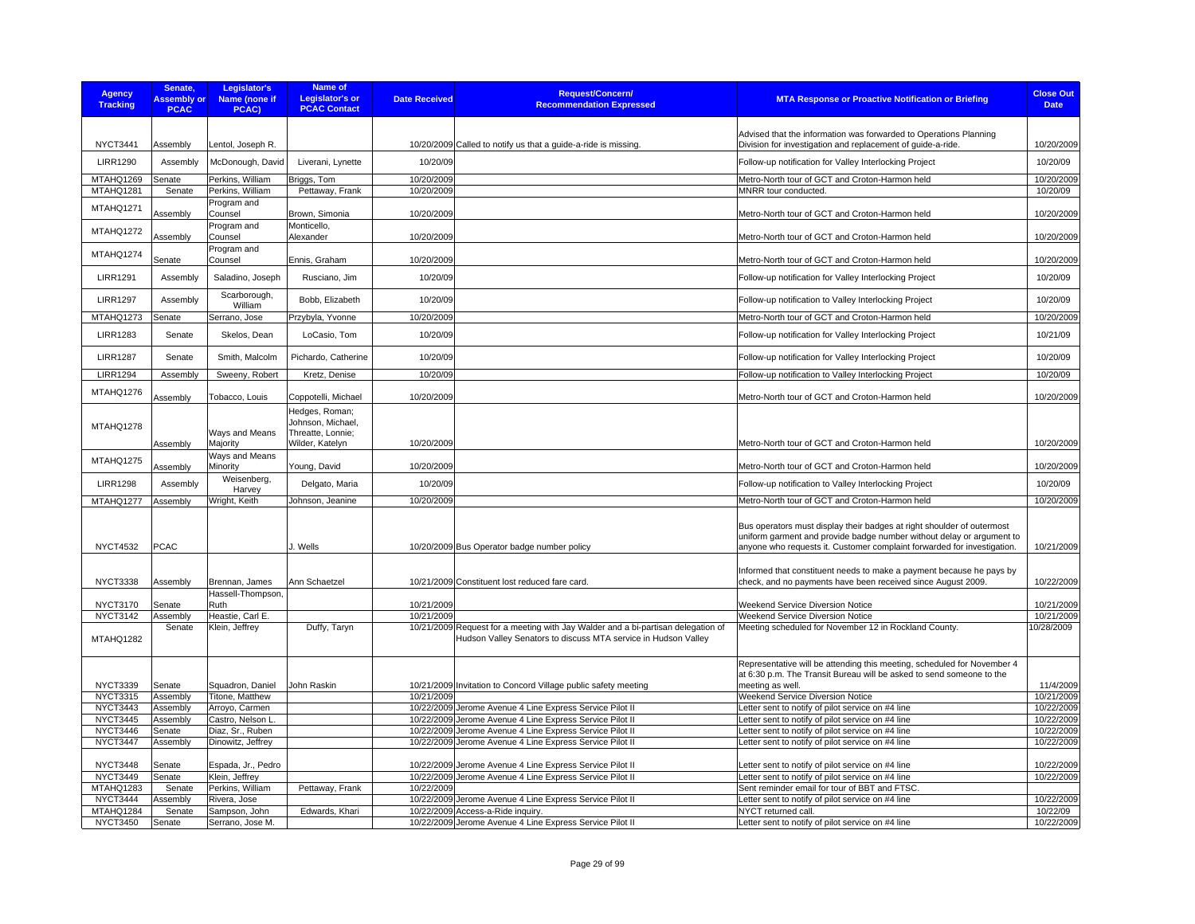| <b>Agency</b><br><b>Tracking</b> | Senate,<br><b>Assembly or</b><br><b>PCAC</b> | Legislator's<br>Name (none if<br>PCAC) | <b>Name of</b><br><b>Legislator's or</b><br><b>PCAC Contact</b> | <b>Date Received</b> | <b>Request/Concern/</b><br><b>Recommendation Expressed</b>                                                                                         | <b>MTA Response or Proactive Notification or Briefing</b>                                                                                                                                                                  | <b>Close Out</b><br><b>Date</b> |
|----------------------------------|----------------------------------------------|----------------------------------------|-----------------------------------------------------------------|----------------------|----------------------------------------------------------------------------------------------------------------------------------------------------|----------------------------------------------------------------------------------------------------------------------------------------------------------------------------------------------------------------------------|---------------------------------|
|                                  |                                              |                                        |                                                                 |                      |                                                                                                                                                    |                                                                                                                                                                                                                            |                                 |
| NYCT3441                         | Assembly                                     | Lentol, Joseph R.                      |                                                                 |                      | 10/20/2009 Called to notify us that a guide-a-ride is missing                                                                                      | Advised that the information was forwarded to Operations Planning<br>Division for investigation and replacement of guide-a-ride.                                                                                           | 10/20/2009                      |
| <b>LIRR1290</b>                  | Assembly                                     | McDonough, David                       | Liverani, Lynette                                               | 10/20/09             |                                                                                                                                                    | Follow-up notification for Valley Interlocking Project                                                                                                                                                                     | 10/20/09                        |
| MTAHQ1269                        | Senate                                       | Perkins, William                       | Briggs, Tom                                                     | 10/20/2009           |                                                                                                                                                    | Metro-North tour of GCT and Croton-Harmon held                                                                                                                                                                             | 10/20/2009                      |
| MTAHQ1281                        | Senate                                       | Perkins, William                       | Pettaway, Frank                                                 | 10/20/2009           |                                                                                                                                                    | MNRR tour conducted.                                                                                                                                                                                                       | 10/20/09                        |
| MTAHQ1271                        | Assembly                                     | Program and<br>Counsel                 | Brown, Simonia                                                  | 10/20/2009           |                                                                                                                                                    | Metro-North tour of GCT and Croton-Harmon held                                                                                                                                                                             | 10/20/2009                      |
| MTAHQ1272                        | Assembly                                     | Program and<br>Counsel                 | Monticello,<br>Alexander                                        | 10/20/2009           |                                                                                                                                                    | Metro-North tour of GCT and Croton-Harmon held                                                                                                                                                                             | 10/20/2009                      |
| MTAHQ1274                        | Senate                                       | Program and<br>Counsel                 | Ennis, Graham                                                   | 10/20/2009           |                                                                                                                                                    | Metro-North tour of GCT and Croton-Harmon held                                                                                                                                                                             | 10/20/2009                      |
| <b>LIRR1291</b>                  | Assembly                                     | Saladino, Joseph                       | Rusciano, Jim                                                   | 10/20/09             |                                                                                                                                                    | Follow-up notification for Valley Interlocking Project                                                                                                                                                                     | 10/20/09                        |
| <b>LIRR1297</b>                  | Assembly                                     | Scarborough,<br>William                | Bobb, Elizabeth                                                 | 10/20/09             |                                                                                                                                                    | Follow-up notification to Valley Interlocking Project                                                                                                                                                                      | 10/20/09                        |
| MTAHQ1273                        | Senate                                       | Serrano, Jose                          | Przybyla, Yvonne                                                | 10/20/2009           |                                                                                                                                                    | Metro-North tour of GCT and Croton-Harmon held                                                                                                                                                                             | 10/20/2009                      |
| <b>LIRR1283</b>                  | Senate                                       | Skelos, Dean                           | LoCasio, Tom                                                    | 10/20/09             |                                                                                                                                                    | Follow-up notification for Valley Interlocking Project                                                                                                                                                                     | 10/21/09                        |
|                                  |                                              |                                        |                                                                 |                      |                                                                                                                                                    |                                                                                                                                                                                                                            |                                 |
| <b>LIRR1287</b>                  | Senate                                       | Smith, Malcolm                         | Pichardo, Catherine                                             | 10/20/09             |                                                                                                                                                    | Follow-up notification for Valley Interlocking Project                                                                                                                                                                     | 10/20/09                        |
| <b>LIRR1294</b>                  | Assembly                                     | Sweeny, Robert                         | Kretz, Denise                                                   | 10/20/09             |                                                                                                                                                    | Follow-up notification to Valley Interlocking Project                                                                                                                                                                      | 10/20/09                        |
| MTAHQ1276                        | Assembly                                     | Tobacco, Louis                         | Coppotelli, Michael                                             | 10/20/2009           |                                                                                                                                                    | Metro-North tour of GCT and Croton-Harmon held                                                                                                                                                                             | 10/20/2009                      |
| MTAHQ1278                        |                                              | Ways and Means                         | Hedges, Roman;<br>Johnson, Michael,<br>Threatte, Lonnie;        |                      |                                                                                                                                                    |                                                                                                                                                                                                                            |                                 |
|                                  | Assembly                                     | Majority                               | Wilder, Katelyn                                                 | 10/20/2009           |                                                                                                                                                    | Metro-North tour of GCT and Croton-Harmon held                                                                                                                                                                             | 10/20/2009                      |
| MTAHQ1275                        | Assembly                                     | Ways and Means<br>Minority             | Young, David                                                    | 10/20/2009           |                                                                                                                                                    | Metro-North tour of GCT and Croton-Harmon held                                                                                                                                                                             | 10/20/2009                      |
| <b>LIRR1298</b>                  | Assembly                                     | Weisenberg,<br>Harvey                  | Delgato, Maria                                                  | 10/20/09             |                                                                                                                                                    | Follow-up notification to Valley Interlocking Project                                                                                                                                                                      | 10/20/09                        |
| MTAHQ1277                        | Assembly                                     | Wright, Keith                          | Johnson, Jeanine                                                | 10/20/2009           |                                                                                                                                                    | Metro-North tour of GCT and Croton-Harmon held                                                                                                                                                                             | 10/20/2009                      |
| <b>NYCT4532</b>                  | <b>PCAC</b>                                  |                                        | I. Wells                                                        |                      | 10/20/2009 Bus Operator badge number policy                                                                                                        | Bus operators must display their badges at right shoulder of outermost<br>uniform garment and provide badge number without delay or argument to<br>anyone who requests it. Customer complaint forwarded for investigation. | 10/21/2009                      |
| <b>NYCT3338</b>                  | Assembly                                     | Brennan, James                         | Ann Schaetzel                                                   |                      | 10/21/2009 Constituent lost reduced fare card.                                                                                                     | Informed that constituent needs to make a payment because he pays by<br>check, and no payments have been received since August 2009.                                                                                       | 10/22/2009                      |
|                                  |                                              | Hassell-Thompson,                      |                                                                 |                      |                                                                                                                                                    |                                                                                                                                                                                                                            |                                 |
| <b>NYCT3170</b>                  | Senate                                       | Ruth                                   |                                                                 | 10/21/2009           |                                                                                                                                                    | <b>Weekend Service Diversion Notice</b>                                                                                                                                                                                    | 10/21/2009                      |
| <b>NYCT3142</b>                  | Assembly                                     | Heastie, Carl E.                       |                                                                 | 10/21/2009           |                                                                                                                                                    | Weekend Service Diversion Notice                                                                                                                                                                                           | 10/21/2009                      |
| MTAHQ1282                        | Senate                                       | Klein, Jeffrey                         | Duffy, Taryn                                                    |                      | 10/21/2009 Request for a meeting with Jay Walder and a bi-partisan delegation of<br>Hudson Valley Senators to discuss MTA service in Hudson Valley | Meeting scheduled for November 12 in Rockland County.                                                                                                                                                                      | 10/28/2009                      |
|                                  |                                              |                                        |                                                                 |                      |                                                                                                                                                    | Representative will be attending this meeting, scheduled for November 4<br>at 6:30 p.m. The Transit Bureau will be asked to send someone to the                                                                            |                                 |
| <b>NYCT3339</b>                  | Senate                                       | Squadron, Daniel                       | John Raskin                                                     |                      | 10/21/2009 Invitation to Concord Village public safety meeting                                                                                     | meeting as well.                                                                                                                                                                                                           | 11/4/2009                       |
| <b>NYCT3315</b>                  | Assembly                                     | Titone, Matthew                        |                                                                 | 10/21/2009           |                                                                                                                                                    | Weekend Service Diversion Notice                                                                                                                                                                                           | 10/21/2009                      |
| NYCT3443                         | Assembly                                     | Arroyo, Carmen                         |                                                                 |                      | 10/22/2009 Jerome Avenue 4 Line Express Service Pilot II                                                                                           | Letter sent to notify of pilot service on #4 line                                                                                                                                                                          | 10/22/2009                      |
| <b>NYCT3445</b><br>NYCT3446      | Assembly<br>Senate                           | Castro, Nelson L.<br>Diaz, Sr., Ruben  |                                                                 |                      | 10/22/2009 Jerome Avenue 4 Line Express Service Pilot II<br>10/22/2009 Jerome Avenue 4 Line Express Service Pilot II                               | Letter sent to notify of pilot service on #4 line<br>etter sent to notify of pilot service on #4 line                                                                                                                      | 10/22/2009<br>10/22/2009        |
| NYCT3447                         | Assembly                                     | Dinowitz, Jeffrey                      |                                                                 |                      | 10/22/2009 Jerome Avenue 4 Line Express Service Pilot II                                                                                           | Letter sent to notify of pilot service on #4 line                                                                                                                                                                          | 10/22/2009                      |
| NYCT3448                         | Senate                                       | Espada, Jr., Pedro                     |                                                                 |                      | 10/22/2009 Jerome Avenue 4 Line Express Service Pilot II                                                                                           | Letter sent to notify of pilot service on #4 line                                                                                                                                                                          | 10/22/2009                      |
| <b>NYCT3449</b>                  | Senate                                       | Klein, Jeffrey                         |                                                                 |                      | 10/22/2009 Jerome Avenue 4 Line Express Service Pilot II                                                                                           | Letter sent to notify of pilot service on #4 line                                                                                                                                                                          | 10/22/2009                      |
| MTAHQ1283                        | Senate                                       | Perkins, William                       | Pettaway, Frank                                                 | 10/22/2009           |                                                                                                                                                    | Sent reminder email for tour of BBT and FTSC                                                                                                                                                                               |                                 |
| NYCT3444                         | Assembly                                     | Rivera, Jose                           |                                                                 |                      | 10/22/2009 Jerome Avenue 4 Line Express Service Pilot II                                                                                           | Letter sent to notify of pilot service on #4 line                                                                                                                                                                          | 10/22/2009                      |
| MTAHQ1284                        | Senate                                       | Sampson, John                          | Edwards, Khari                                                  |                      | 10/22/2009 Access-a-Ride inquiry.                                                                                                                  | NYCT returned call.                                                                                                                                                                                                        | 10/22/09                        |
| <b>NYCT3450</b>                  | Senate                                       | Serrano, Jose M.                       |                                                                 |                      | 10/22/2009 Jerome Avenue 4 Line Express Service Pilot II                                                                                           | Letter sent to notify of pilot service on #4 line                                                                                                                                                                          | 10/22/2009                      |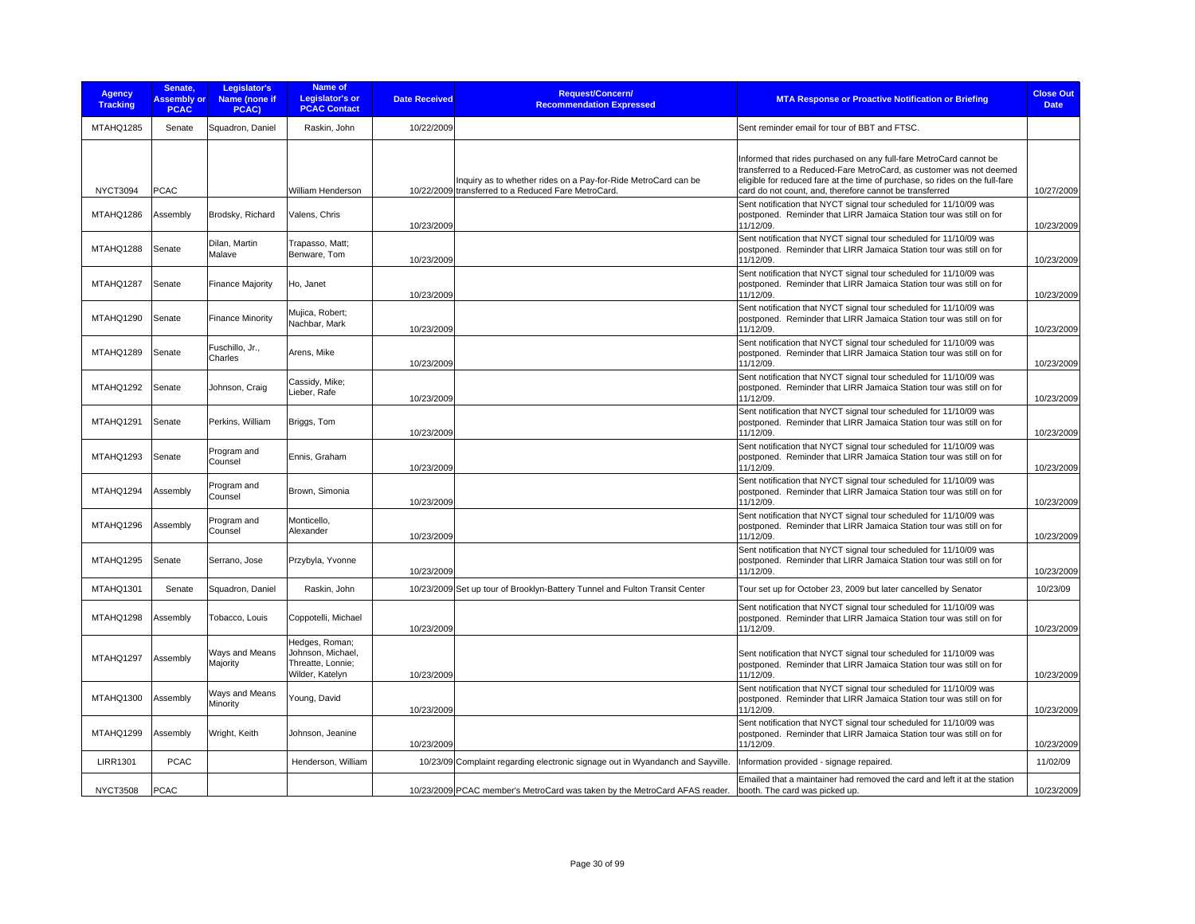| <b>Agency</b><br><b>Tracking</b> | Senate,<br><b>Assembly or</b><br><b>PCAC</b> | Legislator's<br>Name (none if<br>PCAC) | Name of<br>Legislator's or<br><b>PCAC Contact</b>                           | <b>Date Received</b> | <b>Request/Concern/</b><br><b>Recommendation Expressed</b>                                                            | <b>MTA Response or Proactive Notification or Briefing</b>                                                                                                                                                                                                                            | <b>Close Out</b><br><b>Date</b> |
|----------------------------------|----------------------------------------------|----------------------------------------|-----------------------------------------------------------------------------|----------------------|-----------------------------------------------------------------------------------------------------------------------|--------------------------------------------------------------------------------------------------------------------------------------------------------------------------------------------------------------------------------------------------------------------------------------|---------------------------------|
| MTAHQ1285                        | Senate                                       | Squadron, Daniel                       | Raskin, John                                                                | 10/22/2009           |                                                                                                                       | Sent reminder email for tour of BBT and FTSC.                                                                                                                                                                                                                                        |                                 |
| <b>NYCT3094</b>                  | <b>PCAC</b>                                  |                                        | William Henderson                                                           |                      | Inquiry as to whether rides on a Pay-for-Ride MetroCard can be<br>10/22/2009 transferred to a Reduced Fare MetroCard. | Informed that rides purchased on any full-fare MetroCard cannot be<br>transferred to a Reduced-Fare MetroCard, as customer was not deemed<br>eligible for reduced fare at the time of purchase, so rides on the full-fare<br>card do not count, and, therefore cannot be transferred | 10/27/2009                      |
| MTAHQ1286                        | Assembly                                     | Brodsky, Richard                       | Valens, Chris                                                               | 10/23/2009           |                                                                                                                       | Sent notification that NYCT signal tour scheduled for 11/10/09 was<br>postponed. Reminder that LIRR Jamaica Station tour was still on for<br>11/12/09.                                                                                                                               | 10/23/2009                      |
| MTAHQ1288                        | Senate                                       | Dilan, Martin<br>Malave                | Trapasso, Matt;<br>Benware, Tom                                             | 10/23/2009           |                                                                                                                       | Sent notification that NYCT signal tour scheduled for 11/10/09 was<br>postponed. Reminder that LIRR Jamaica Station tour was still on for<br>11/12/09.                                                                                                                               | 10/23/2009                      |
| MTAHQ1287                        | Senate                                       | <b>Finance Majority</b>                | Ho, Janet                                                                   | 10/23/2009           |                                                                                                                       | Sent notification that NYCT signal tour scheduled for 11/10/09 was<br>postponed. Reminder that LIRR Jamaica Station tour was still on for<br>11/12/09.                                                                                                                               | 10/23/2009                      |
| MTAHQ1290                        | Senate                                       | <b>Finance Minority</b>                | Mujica, Robert;<br>Nachbar, Mark                                            | 10/23/2009           |                                                                                                                       | Sent notification that NYCT signal tour scheduled for 11/10/09 was<br>postponed. Reminder that LIRR Jamaica Station tour was still on for<br>11/12/09.                                                                                                                               | 10/23/2009                      |
| MTAHQ1289                        | Senate                                       | Fuschillo, Jr.,<br>Charles             | Arens, Mike                                                                 | 10/23/2009           |                                                                                                                       | Sent notification that NYCT signal tour scheduled for 11/10/09 was<br>postponed. Reminder that LIRR Jamaica Station tour was still on for<br>11/12/09.                                                                                                                               | 10/23/2009                      |
| MTAHQ1292                        | Senate                                       | Johnson, Craig                         | Cassidy, Mike;<br>Lieber, Rafe                                              | 10/23/2009           |                                                                                                                       | Sent notification that NYCT signal tour scheduled for 11/10/09 was<br>postponed. Reminder that LIRR Jamaica Station tour was still on for<br>11/12/09.                                                                                                                               | 10/23/2009                      |
| MTAHQ1291                        | Senate                                       | Perkins, William                       | Briggs, Tom                                                                 | 10/23/2009           |                                                                                                                       | Sent notification that NYCT signal tour scheduled for 11/10/09 was<br>postponed. Reminder that LIRR Jamaica Station tour was still on for<br>11/12/09.                                                                                                                               | 10/23/2009                      |
| MTAHQ1293                        | Senate                                       | Program and<br>Counsel                 | Ennis, Graham                                                               | 10/23/2009           |                                                                                                                       | Sent notification that NYCT signal tour scheduled for 11/10/09 was<br>postponed. Reminder that LIRR Jamaica Station tour was still on for<br>11/12/09.                                                                                                                               | 10/23/2009                      |
| MTAHQ1294                        | Assembly                                     | Program and<br>Counsel                 | Brown, Simonia                                                              | 10/23/2009           |                                                                                                                       | Sent notification that NYCT signal tour scheduled for 11/10/09 was<br>postponed. Reminder that LIRR Jamaica Station tour was still on for<br>11/12/09.                                                                                                                               | 10/23/2009                      |
| MTAHQ1296                        | Assembly                                     | Program and<br>Counsel                 | Monticello,<br>Alexander                                                    | 10/23/2009           |                                                                                                                       | Sent notification that NYCT signal tour scheduled for 11/10/09 was<br>postponed. Reminder that LIRR Jamaica Station tour was still on for<br>11/12/09.                                                                                                                               | 10/23/2009                      |
| MTAHQ1295                        | Senate                                       | Serrano, Jose                          | Przybyla, Yvonne                                                            | 10/23/2009           |                                                                                                                       | Sent notification that NYCT signal tour scheduled for 11/10/09 was<br>postponed. Reminder that LIRR Jamaica Station tour was still on for<br>11/12/09.                                                                                                                               | 10/23/2009                      |
| MTAHQ1301                        | Senate                                       | Squadron, Daniel                       | Raskin, John                                                                |                      | 10/23/2009 Set up tour of Brooklyn-Battery Tunnel and Fulton Transit Center                                           | Tour set up for October 23, 2009 but later cancelled by Senator                                                                                                                                                                                                                      | 10/23/09                        |
| MTAHQ1298                        | Assembly                                     | Tobacco, Louis                         | Coppotelli, Michael                                                         | 10/23/2009           |                                                                                                                       | Sent notification that NYCT signal tour scheduled for 11/10/09 was<br>postponed. Reminder that LIRR Jamaica Station tour was still on for<br>11/12/09.                                                                                                                               | 10/23/2009                      |
| MTAHQ1297                        | Assembly                                     | Ways and Means<br>Majority             | Hedges, Roman;<br>Johnson, Michael,<br>Threatte, Lonnie;<br>Wilder, Katelyn | 10/23/2009           |                                                                                                                       | Sent notification that NYCT signal tour scheduled for 11/10/09 was<br>postponed. Reminder that LIRR Jamaica Station tour was still on for<br>11/12/09.                                                                                                                               | 10/23/2009                      |
| MTAHQ1300                        | Assembly                                     | Ways and Means<br>Minority             | Young, David                                                                | 10/23/2009           |                                                                                                                       | Sent notification that NYCT signal tour scheduled for 11/10/09 was<br>postponed. Reminder that LIRR Jamaica Station tour was still on for<br>11/12/09.                                                                                                                               | 10/23/2009                      |
| MTAHQ1299                        | Assembly                                     | Wright, Keith                          | Johnson, Jeanine                                                            | 10/23/2009           |                                                                                                                       | Sent notification that NYCT signal tour scheduled for 11/10/09 was<br>postponed. Reminder that LIRR Jamaica Station tour was still on for<br>11/12/09.                                                                                                                               | 10/23/2009                      |
| <b>LIRR1301</b>                  | <b>PCAC</b>                                  |                                        | Henderson, William                                                          |                      | 10/23/09 Complaint regarding electronic signage out in Wyandanch and Sayville.                                        | Information provided - signage repaired.                                                                                                                                                                                                                                             | 11/02/09                        |
| <b>NYCT3508</b>                  | <b>PCAC</b>                                  |                                        |                                                                             |                      | 10/23/2009 PCAC member's MetroCard was taken by the MetroCard AFAS reader.                                            | Emailed that a maintainer had removed the card and left it at the station<br>booth. The card was picked up.                                                                                                                                                                          | 10/23/2009                      |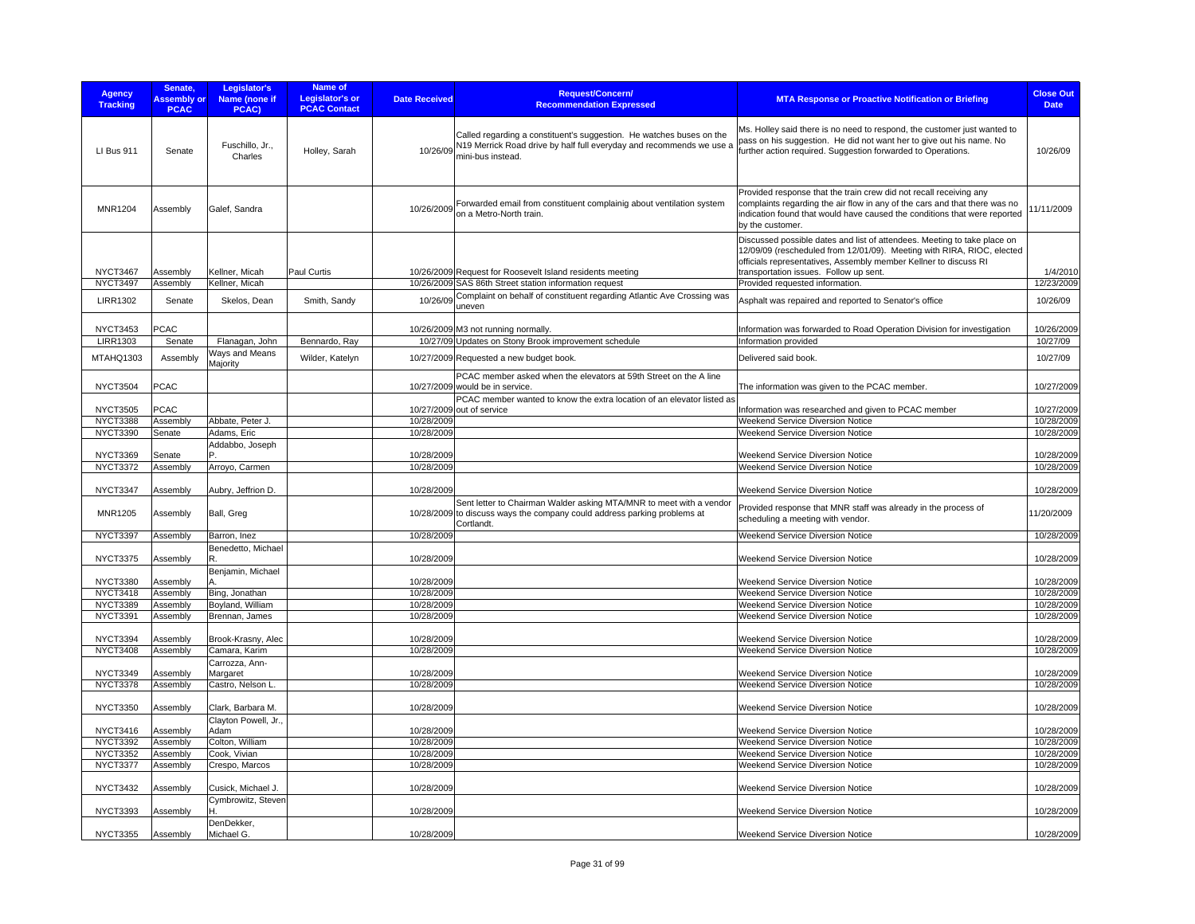| <b>Agency</b><br><b>Tracking</b>   | Senate,<br><b>Assembly or</b><br><b>PCAC</b> | Legislator's<br><b>Name (none if</b><br>PCAC) | Name of<br>Legislator's or<br><b>PCAC Contact</b> | <b>Date Received</b>            | <b>Request/Concern/</b><br><b>Recommendation Expressed</b>                                                                                                                 | <b>MTA Response or Proactive Notification or Briefing</b>                                                                                                                                                                                                        | <b>Close Out</b><br><b>Date</b> |
|------------------------------------|----------------------------------------------|-----------------------------------------------|---------------------------------------------------|---------------------------------|----------------------------------------------------------------------------------------------------------------------------------------------------------------------------|------------------------------------------------------------------------------------------------------------------------------------------------------------------------------------------------------------------------------------------------------------------|---------------------------------|
| LI Bus 911                         | Senate                                       | Fuschillo, Jr.,<br>Charles                    | Holley, Sarah                                     |                                 | Called regarding a constituent's suggestion. He watches buses on the<br>10/26/09 N19 Merrick Road drive by half full everyday and recommends we use a<br>mini-bus instead. | Ms. Holley said there is no need to respond, the customer just wanted to<br>bass on his suggestion. He did not want her to give out his name. No<br>urther action required. Suggestion forwarded to Operations.                                                  | 10/26/09                        |
| <b>MNR1204</b>                     | Assembly                                     | Galef, Sandra                                 |                                                   | 10/26/2009                      | Forwarded email from constituent complainig about ventilation system<br>on a Metro-North train.                                                                            | Provided response that the train crew did not recall receiving any<br>complaints regarding the air flow in any of the cars and that there was no<br>indication found that would have caused the conditions that were reported<br>by the customer.                | 1/11/2009                       |
| <b>NYCT3467</b>                    | Assembly                                     | Kellner, Micah                                | Paul Curtis                                       |                                 | 10/26/2009 Request for Roosevelt Island residents meeting                                                                                                                  | Discussed possible dates and list of attendees. Meeting to take place on<br>12/09/09 (rescheduled from 12/01/09). Meeting with RIRA, RIOC, elected<br>officials representatives, Assembly member Kellner to discuss RI<br>transportation issues. Follow up sent. | 1/4/2010                        |
| <b>NYCT3497</b>                    | Assembly                                     | Kellner, Micah                                |                                                   |                                 | 10/26/2009 SAS 86th Street station information request                                                                                                                     | Provided requested information.                                                                                                                                                                                                                                  | 12/23/2009                      |
| <b>LIRR1302</b>                    | Senate                                       | Skelos, Dean                                  | Smith, Sandy                                      | 10/26/09<br>uneven              | Complaint on behalf of constituent regarding Atlantic Ave Crossing was                                                                                                     | Asphalt was repaired and reported to Senator's office                                                                                                                                                                                                            | 10/26/09                        |
| <b>NYCT3453</b><br><b>LIRR1303</b> | <b>PCAC</b><br>Senate                        | Flanagan, John                                | Bennardo, Ray                                     |                                 | 10/26/2009 M3 not running normally.<br>10/27/09 Updates on Stony Brook improvement schedule                                                                                | Information was forwarded to Road Operation Division for investigation<br>Information provided                                                                                                                                                                   | 10/26/2009<br>10/27/09          |
| MTAHQ1303                          | Assembly                                     | Ways and Means<br>Majority                    | Wilder, Katelyn                                   |                                 | 10/27/2009 Requested a new budget book.                                                                                                                                    | Delivered said book.                                                                                                                                                                                                                                             | 10/27/09                        |
| <b>NYCT3504</b>                    | PCAC                                         |                                               |                                                   | 10/27/2009 would be in service. | PCAC member asked when the elevators at 59th Street on the A line                                                                                                          | The information was given to the PCAC member.                                                                                                                                                                                                                    | 10/27/2009                      |
| <b>NYCT3505</b>                    | PCAC                                         |                                               |                                                   | 10/27/2009 out of service       | PCAC member wanted to know the extra location of an elevator listed as                                                                                                     | Information was researched and given to PCAC member                                                                                                                                                                                                              | 10/27/2009                      |
| <b>NYCT3388</b>                    | Assembly                                     | Abbate, Peter J.                              |                                                   | 10/28/2009                      |                                                                                                                                                                            | Weekend Service Diversion Notice                                                                                                                                                                                                                                 | 10/28/2009                      |
| <b>NYCT3390</b>                    | Senate                                       | Adams, Eric                                   |                                                   | 10/28/2009                      |                                                                                                                                                                            | Weekend Service Diversion Notice                                                                                                                                                                                                                                 | 10/28/2009                      |
| <b>NYCT3369</b>                    | Senate                                       | Addabbo, Joseph                               |                                                   | 10/28/2009                      |                                                                                                                                                                            | Weekend Service Diversion Notice                                                                                                                                                                                                                                 | 10/28/2009                      |
| <b>NYCT3372</b>                    | Assembly                                     | Arroyo, Carmen                                |                                                   | 10/28/2009                      |                                                                                                                                                                            | Weekend Service Diversion Notice                                                                                                                                                                                                                                 | 10/28/2009                      |
| <b>NYCT3347</b>                    | Assembly                                     | Aubry, Jeffrion D                             |                                                   | 10/28/2009                      |                                                                                                                                                                            | Weekend Service Diversion Notice                                                                                                                                                                                                                                 | 10/28/2009                      |
| <b>MNR1205</b>                     | Assembly                                     | Ball, Greg                                    |                                                   | Cortlandt.                      | Sent letter to Chairman Walder asking MTA/MNR to meet with a vendor<br>10/28/2009 to discuss ways the company could address parking problems at                            | Provided response that MNR staff was already in the process of<br>scheduling a meeting with vendor.                                                                                                                                                              | 11/20/2009                      |
| <b>NYCT3397</b>                    | Assembly                                     | Barron, Inez                                  |                                                   | 10/28/2009                      |                                                                                                                                                                            | Weekend Service Diversion Notice                                                                                                                                                                                                                                 | 10/28/2009                      |
| <b>NYCT3375</b>                    | Assembly                                     | Benedetto, Michael<br>R                       |                                                   | 10/28/2009                      |                                                                                                                                                                            | Weekend Service Diversion Notice                                                                                                                                                                                                                                 | 10/28/2009                      |
| <b>NYCT3380</b>                    | Assembly                                     | Benjamin, Michael                             |                                                   | 10/28/2009                      |                                                                                                                                                                            | <b>Weekend Service Diversion Notice</b>                                                                                                                                                                                                                          | 10/28/2009                      |
| <b>NYCT3418</b>                    | Assembly                                     | Bing, Jonathan                                |                                                   | 10/28/2009                      |                                                                                                                                                                            | <b>Weekend Service Diversion Notice</b>                                                                                                                                                                                                                          | 10/28/2009                      |
| <b>NYCT3389</b>                    | Assembly                                     | Boyland, William                              |                                                   | 10/28/2009                      |                                                                                                                                                                            | Weekend Service Diversion Notice                                                                                                                                                                                                                                 | 10/28/2009                      |
| NYCT3391                           | Assembly                                     | Brennan, James                                |                                                   | 10/28/2009                      |                                                                                                                                                                            | Weekend Service Diversion Notice                                                                                                                                                                                                                                 | 10/28/2009                      |
| <b>NYCT3394</b>                    | Assembly                                     | Brook-Krasny, Alec                            |                                                   | 10/28/2009                      |                                                                                                                                                                            | Weekend Service Diversion Notice                                                                                                                                                                                                                                 | 10/28/2009                      |
| <b>NYCT3408</b>                    | Assembly                                     | Camara, Karim                                 |                                                   | 10/28/2009                      |                                                                                                                                                                            | Weekend Service Diversion Notice                                                                                                                                                                                                                                 | 10/28/2009                      |
|                                    |                                              | Carrozza, Ann-                                |                                                   |                                 |                                                                                                                                                                            |                                                                                                                                                                                                                                                                  |                                 |
| <b>NYCT3349</b>                    | Assembly                                     | Margaret                                      |                                                   | 10/28/2009                      |                                                                                                                                                                            | Weekend Service Diversion Notice                                                                                                                                                                                                                                 | 10/28/2009                      |
| <b>NYCT3378</b>                    | Assembly                                     | Castro, Nelson L                              |                                                   | 10/28/2009                      |                                                                                                                                                                            | Weekend Service Diversion Notice                                                                                                                                                                                                                                 | 10/28/2009                      |
| <b>NYCT3350</b>                    | Assembly                                     | Clark, Barbara M.<br>Clayton Powell, Jr.,     |                                                   | 10/28/2009                      |                                                                                                                                                                            | Weekend Service Diversion Notice                                                                                                                                                                                                                                 | 10/28/2009                      |
| <b>NYCT3416</b>                    | Assembly                                     | Adam                                          |                                                   | 10/28/2009                      |                                                                                                                                                                            | <b>Weekend Service Diversion Notice</b>                                                                                                                                                                                                                          | 10/28/2009                      |
| <b>NYCT3392</b>                    | Assembly                                     | Colton, William                               |                                                   | 10/28/2009                      |                                                                                                                                                                            | Weekend Service Diversion Notice                                                                                                                                                                                                                                 | 10/28/2009                      |
| <b>NYCT3352</b>                    | Assembly                                     | Cook, Vivian                                  |                                                   | 10/28/2009                      |                                                                                                                                                                            | Weekend Service Diversion Notice                                                                                                                                                                                                                                 | 10/28/2009                      |
| <b>NYCT3377</b>                    | Assembly                                     | Crespo, Marcos                                |                                                   | 10/28/2009                      |                                                                                                                                                                            | Weekend Service Diversion Notice                                                                                                                                                                                                                                 | 10/28/2009                      |
| <b>NYCT3432</b>                    | Assembly                                     | Cusick, Michael J.                            |                                                   | 10/28/2009                      |                                                                                                                                                                            | Weekend Service Diversion Notice                                                                                                                                                                                                                                 | 10/28/2009                      |
| <b>NYCT3393</b>                    | Assembly                                     | Cymbrowitz, Steven<br>н                       |                                                   | 10/28/2009                      |                                                                                                                                                                            | Weekend Service Diversion Notice                                                                                                                                                                                                                                 | 10/28/2009                      |
| <b>NYCT3355</b>                    | Assembly                                     | DenDekker,<br>Michael G.                      |                                                   | 10/28/2009                      |                                                                                                                                                                            | Weekend Service Diversion Notice                                                                                                                                                                                                                                 | 10/28/2009                      |
|                                    |                                              |                                               |                                                   |                                 |                                                                                                                                                                            |                                                                                                                                                                                                                                                                  |                                 |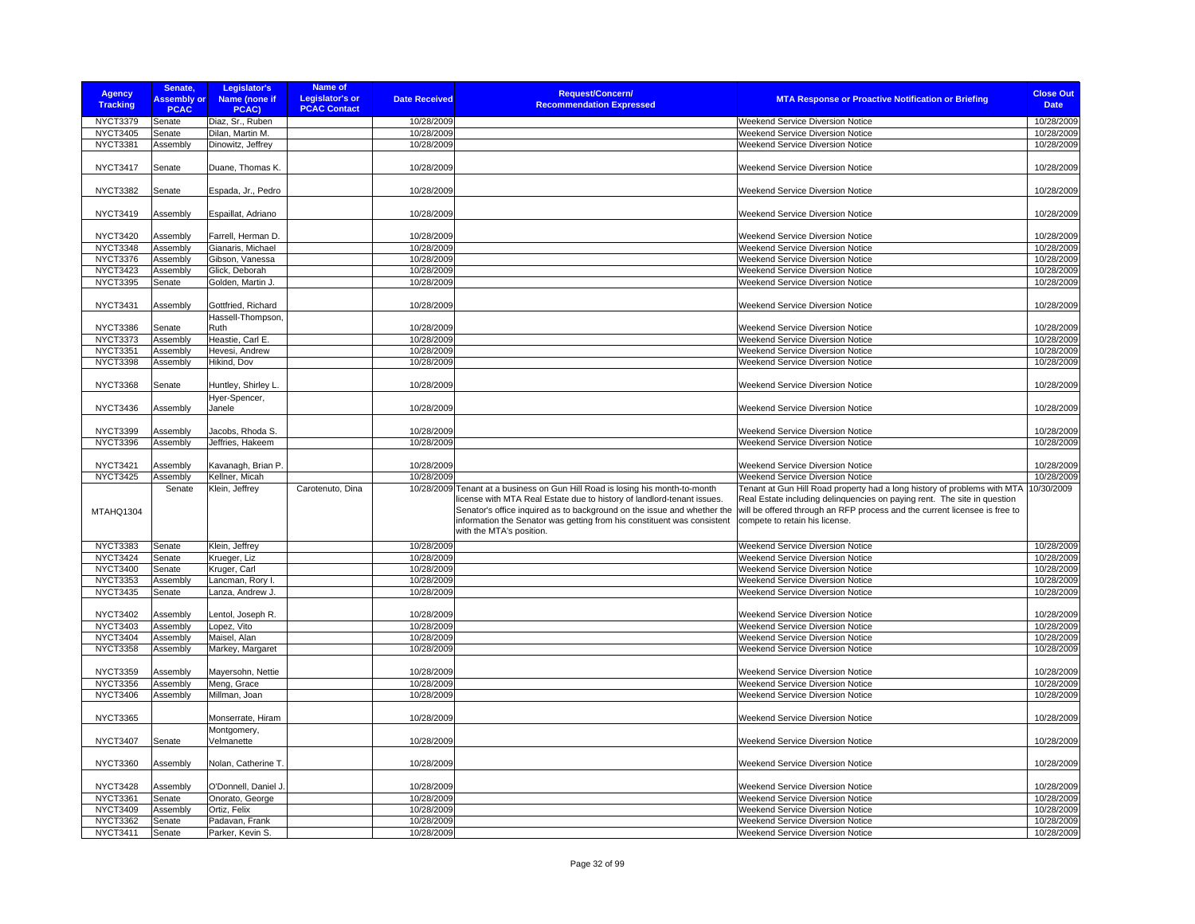| <b>Agency</b><br><b>Tracking</b>   | Senate,<br><b>Assembly or</b><br><b>PCAC</b> | Legislator's<br>Name (none if<br>PCAC)  | Name of<br><b>Legislator's or</b><br><b>Date Received</b><br><b>PCAC Contact</b> | Request/Concern/<br><b>Recommendation Expressed</b>                                                                                                                                                                                                                                                                                       | <b>MTA Response or Proactive Notification or Briefing</b>                                                                                                                                                                                                            | <b>Close Out</b><br><b>Date</b> |
|------------------------------------|----------------------------------------------|-----------------------------------------|----------------------------------------------------------------------------------|-------------------------------------------------------------------------------------------------------------------------------------------------------------------------------------------------------------------------------------------------------------------------------------------------------------------------------------------|----------------------------------------------------------------------------------------------------------------------------------------------------------------------------------------------------------------------------------------------------------------------|---------------------------------|
| NYCT3379                           | Senate                                       | Diaz, Sr., Ruben                        | 10/28/2009                                                                       |                                                                                                                                                                                                                                                                                                                                           | <b>Weekend Service Diversion Notice</b>                                                                                                                                                                                                                              | 10/28/2009                      |
| <b>NYCT3405</b>                    | Senate                                       | Dilan, Martin M.                        | 10/28/2009                                                                       |                                                                                                                                                                                                                                                                                                                                           | Weekend Service Diversion Notice                                                                                                                                                                                                                                     | 10/28/2009                      |
| <b>NYCT3381</b>                    | Assembly                                     | Dinowitz, Jeffrey                       | 10/28/2009                                                                       |                                                                                                                                                                                                                                                                                                                                           | Weekend Service Diversion Notice                                                                                                                                                                                                                                     | 10/28/2009                      |
| <b>NYCT3417</b>                    | Senate                                       | Duane, Thomas K.                        | 10/28/2009                                                                       |                                                                                                                                                                                                                                                                                                                                           | Weekend Service Diversion Notice                                                                                                                                                                                                                                     | 10/28/2009                      |
| <b>NYCT3382</b>                    | Senate                                       | Espada, Jr., Pedro                      | 10/28/2009                                                                       |                                                                                                                                                                                                                                                                                                                                           | Weekend Service Diversion Notice                                                                                                                                                                                                                                     | 10/28/2009                      |
| <b>NYCT3419</b>                    | Assembly                                     | Espaillat, Adriano                      | 10/28/2009                                                                       |                                                                                                                                                                                                                                                                                                                                           | Weekend Service Diversion Notice                                                                                                                                                                                                                                     | 10/28/2009                      |
| <b>NYCT3420</b>                    | Assembly                                     | Farrell, Herman D.                      | 10/28/2009                                                                       |                                                                                                                                                                                                                                                                                                                                           | Weekend Service Diversion Notice                                                                                                                                                                                                                                     | 10/28/2009                      |
| <b>NYCT3348</b>                    | Assembly                                     | Gianaris, Michael                       | 10/28/2009                                                                       |                                                                                                                                                                                                                                                                                                                                           | <b>Weekend Service Diversion Notice</b>                                                                                                                                                                                                                              | 10/28/2009                      |
| <b>NYCT3376</b>                    | Assembly                                     | Gibson, Vanessa                         | 10/28/2009                                                                       |                                                                                                                                                                                                                                                                                                                                           | Weekend Service Diversion Notice                                                                                                                                                                                                                                     | 10/28/2009                      |
| <b>NYCT3423</b>                    | Assembly                                     | Glick, Deborah                          | 10/28/2009                                                                       |                                                                                                                                                                                                                                                                                                                                           | Weekend Service Diversion Notice                                                                                                                                                                                                                                     | 10/28/2009                      |
| <b>NYCT3395</b>                    | Senate                                       | Golden, Martin J.                       | 10/28/2009                                                                       |                                                                                                                                                                                                                                                                                                                                           | Weekend Service Diversion Notice                                                                                                                                                                                                                                     | 10/28/2009                      |
| <b>NYCT3431</b>                    | Assembly                                     | Gottfried, Richard<br>Hassell-Thompson, | 10/28/2009                                                                       |                                                                                                                                                                                                                                                                                                                                           | Weekend Service Diversion Notice                                                                                                                                                                                                                                     | 10/28/2009                      |
| <b>NYCT3386</b>                    | Senate                                       | Ruth                                    | 10/28/2009                                                                       |                                                                                                                                                                                                                                                                                                                                           | Weekend Service Diversion Notice                                                                                                                                                                                                                                     | 10/28/2009                      |
| <b>NYCT3373</b>                    | Assembly                                     | Heastie, Carl E.                        | 10/28/2009                                                                       |                                                                                                                                                                                                                                                                                                                                           | Weekend Service Diversion Notice                                                                                                                                                                                                                                     | 10/28/2009                      |
| <b>NYCT3351</b>                    | Assembly                                     | Hevesi, Andrew                          | 10/28/2009                                                                       |                                                                                                                                                                                                                                                                                                                                           | Weekend Service Diversion Notice                                                                                                                                                                                                                                     | 10/28/2009                      |
| <b>NYCT3398</b>                    | Assembly                                     | Hikind, Dov                             | 10/28/2009                                                                       |                                                                                                                                                                                                                                                                                                                                           | Weekend Service Diversion Notice                                                                                                                                                                                                                                     | 10/28/2009                      |
| <b>NYCT3368</b>                    | Senate                                       | Huntley, Shirley L                      | 10/28/2009                                                                       |                                                                                                                                                                                                                                                                                                                                           | Weekend Service Diversion Notice                                                                                                                                                                                                                                     | 10/28/2009                      |
| NYCT3436                           | Assembly                                     | Hyer-Spencer,<br>Janele                 | 10/28/2009                                                                       |                                                                                                                                                                                                                                                                                                                                           | <b>Weekend Service Diversion Notice</b>                                                                                                                                                                                                                              | 10/28/2009                      |
|                                    |                                              |                                         |                                                                                  |                                                                                                                                                                                                                                                                                                                                           |                                                                                                                                                                                                                                                                      |                                 |
| <b>NYCT3399</b>                    | Assembly                                     | Jacobs, Rhoda S.                        | 10/28/2009                                                                       |                                                                                                                                                                                                                                                                                                                                           | Weekend Service Diversion Notice                                                                                                                                                                                                                                     | 10/28/2009                      |
| <b>NYCT3396</b>                    | Assembly                                     | Jeffries, Hakeem                        | 10/28/2009                                                                       |                                                                                                                                                                                                                                                                                                                                           | Weekend Service Diversion Notice                                                                                                                                                                                                                                     | 10/28/2009                      |
| <b>NYCT3421</b>                    | Assembly                                     | Kavanagh, Brian P.                      | 10/28/2009                                                                       |                                                                                                                                                                                                                                                                                                                                           | <b>Weekend Service Diversion Notice</b>                                                                                                                                                                                                                              | 10/28/2009                      |
| <b>NYCT3425</b>                    | Assembly                                     | Kellner, Micah                          | 10/28/2009                                                                       |                                                                                                                                                                                                                                                                                                                                           | <b>Weekend Service Diversion Notice</b>                                                                                                                                                                                                                              | 10/28/2009                      |
| MTAHQ1304                          | Senate                                       | Klein, Jeffrey                          | Carotenuto, Dina                                                                 | 10/28/2009 Tenant at a business on Gun Hill Road is losing his month-to-month<br>license with MTA Real Estate due to history of landlord-tenant issues.<br>Senator's office inquired as to background on the issue and whether the<br>information the Senator was getting from his constituent was consistent<br>with the MTA's position. | Tenant at Gun Hill Road property had a long history of problems with MTA<br>Real Estate including delinguencies on paying rent. The site in question<br>will be offered through an RFP process and the current licensee is free to<br>compete to retain his license. | 10/30/2009                      |
| <b>NYCT3383</b>                    | Senate                                       | Klein, Jeffrey                          | 10/28/2009                                                                       |                                                                                                                                                                                                                                                                                                                                           | Weekend Service Diversion Notice                                                                                                                                                                                                                                     | 10/28/2009                      |
| <b>NYCT3424</b>                    | Senate                                       | Krueger, Liz                            | 10/28/2009                                                                       |                                                                                                                                                                                                                                                                                                                                           | <b>Weekend Service Diversion Notice</b>                                                                                                                                                                                                                              | 10/28/2009                      |
| <b>NYCT3400</b>                    | Senate                                       | Kruger, Carl                            | 10/28/2009                                                                       |                                                                                                                                                                                                                                                                                                                                           | Weekend Service Diversion Notice                                                                                                                                                                                                                                     | 10/28/2009                      |
| <b>NYCT3353</b>                    | Assembly                                     | Lancman, Rory I.                        | 10/28/2009                                                                       |                                                                                                                                                                                                                                                                                                                                           | Weekend Service Diversion Notice                                                                                                                                                                                                                                     | 10/28/2009                      |
| <b>NYCT3435</b>                    | Senate                                       | Lanza, Andrew J.                        | 10/28/2009                                                                       |                                                                                                                                                                                                                                                                                                                                           | <b>Weekend Service Diversion Notice</b>                                                                                                                                                                                                                              | 10/28/2009                      |
| <b>NYCT3402</b>                    | Assembly                                     | Lentol, Joseph R.                       | 10/28/2009                                                                       |                                                                                                                                                                                                                                                                                                                                           | Weekend Service Diversion Notice                                                                                                                                                                                                                                     | 10/28/2009                      |
| <b>NYCT3403</b>                    | Assembly                                     | Lopez, Vito                             | 10/28/2009                                                                       |                                                                                                                                                                                                                                                                                                                                           | Weekend Service Diversion Notice                                                                                                                                                                                                                                     | 10/28/2009                      |
| <b>NYCT3404</b><br><b>NYCT3358</b> | Assembly<br>Assembly                         | Maisel, Alan<br>Markey, Margaret        | 10/28/2009<br>10/28/2009                                                         |                                                                                                                                                                                                                                                                                                                                           | Weekend Service Diversion Notice<br>Weekend Service Diversion Notice                                                                                                                                                                                                 | 10/28/2009<br>10/28/2009        |
| <b>NYCT3359</b>                    | Assembly                                     | Mayersohn, Nettie                       | 10/28/2009                                                                       |                                                                                                                                                                                                                                                                                                                                           | Weekend Service Diversion Notice                                                                                                                                                                                                                                     | 10/28/2009                      |
| <b>NYCT3356</b>                    | Assembly                                     | Meng, Grace                             | 10/28/2009                                                                       |                                                                                                                                                                                                                                                                                                                                           | Weekend Service Diversion Notice                                                                                                                                                                                                                                     | 10/28/2009                      |
| <b>NYCT3406</b>                    | Assembly                                     | Millman, Joan                           | 10/28/2009                                                                       |                                                                                                                                                                                                                                                                                                                                           | Weekend Service Diversion Notice                                                                                                                                                                                                                                     | 10/28/2009                      |
| <b>NYCT3365</b>                    |                                              | Monserrate, Hiram<br>Montgomery,        | 10/28/2009                                                                       |                                                                                                                                                                                                                                                                                                                                           | Weekend Service Diversion Notice                                                                                                                                                                                                                                     | 10/28/2009                      |
| <b>NYCT3407</b>                    | Senate                                       | Velmanette                              | 10/28/2009                                                                       |                                                                                                                                                                                                                                                                                                                                           | <b>Weekend Service Diversion Notice</b>                                                                                                                                                                                                                              | 10/28/2009                      |
| <b>NYCT3360</b>                    | Assembly                                     | Nolan, Catherine T                      | 10/28/2009                                                                       |                                                                                                                                                                                                                                                                                                                                           | Weekend Service Diversion Notice                                                                                                                                                                                                                                     | 10/28/2009                      |
| <b>NYCT3428</b>                    | Assembly                                     | O'Donnell, Daniel J.                    | 10/28/2009                                                                       |                                                                                                                                                                                                                                                                                                                                           | Weekend Service Diversion Notice                                                                                                                                                                                                                                     | 10/28/2009                      |
| <b>NYCT3361</b>                    | Senate                                       | Onorato, George                         | 10/28/2009                                                                       |                                                                                                                                                                                                                                                                                                                                           | Weekend Service Diversion Notice                                                                                                                                                                                                                                     | 10/28/2009                      |
| <b>NYCT3409</b>                    | Assembly                                     | Ortiz, Felix                            | 10/28/2009                                                                       |                                                                                                                                                                                                                                                                                                                                           | Weekend Service Diversion Notice                                                                                                                                                                                                                                     | 10/28/2009                      |
| <b>NYCT3362</b>                    | Senate                                       | Padavan, Frank                          | 10/28/2009                                                                       |                                                                                                                                                                                                                                                                                                                                           | Weekend Service Diversion Notice                                                                                                                                                                                                                                     | 10/28/2009                      |
| NYCT3411                           | Senate                                       | Parker, Kevin S.                        | 10/28/2009                                                                       |                                                                                                                                                                                                                                                                                                                                           | Weekend Service Diversion Notice                                                                                                                                                                                                                                     | 10/28/2009                      |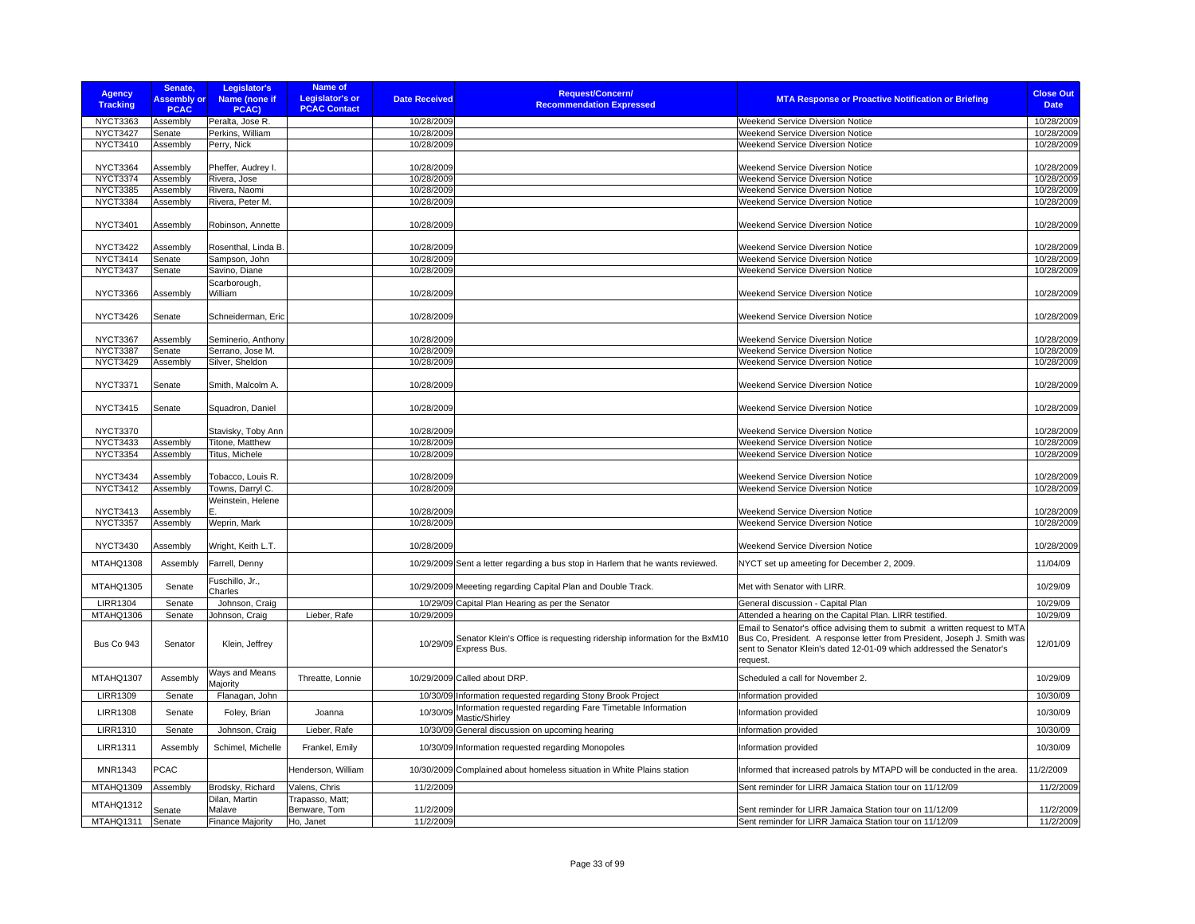| <b>Agency</b><br><b>Tracking</b>   | Senate,<br><b>Assembly or</b><br><b>PCAC</b> | Legislator's<br>Name (none if<br>PCAC) | <b>Name of</b><br><b>Legislator's or</b><br><b>PCAC Contact</b> | <b>Date Received</b>     | <b>Request/Concern/</b><br><b>Recommendation Expressed</b>                        | <b>MTA Response or Proactive Notification or Briefing</b>                                                                                                                                                                                                                                             | <b>Close Out</b><br><b>Date</b> |
|------------------------------------|----------------------------------------------|----------------------------------------|-----------------------------------------------------------------|--------------------------|-----------------------------------------------------------------------------------|-------------------------------------------------------------------------------------------------------------------------------------------------------------------------------------------------------------------------------------------------------------------------------------------------------|---------------------------------|
| NYCT3363                           | Assembly                                     | Peralta, Jose R.                       |                                                                 | 10/28/2009               |                                                                                   | Weekend Service Diversion Notice                                                                                                                                                                                                                                                                      | 10/28/2009                      |
| NYCT3427                           | Senate                                       | Perkins, William                       |                                                                 | 10/28/2009               |                                                                                   | <b>Weekend Service Diversion Notice</b>                                                                                                                                                                                                                                                               | 10/28/2009                      |
| NYCT3410                           | Assembly                                     | Perry, Nick                            |                                                                 | 10/28/2009               |                                                                                   | Weekend Service Diversion Notice                                                                                                                                                                                                                                                                      | 10/28/2009                      |
| <b>NYCT3364</b>                    | Assembly                                     | Pheffer, Audrey I.                     |                                                                 | 10/28/2009               |                                                                                   | <b>Weekend Service Diversion Notice</b>                                                                                                                                                                                                                                                               | 10/28/2009                      |
| <b>NYCT3374</b>                    | Assembly                                     | Rivera, Jose                           |                                                                 | 10/28/2009               |                                                                                   | Weekend Service Diversion Notice                                                                                                                                                                                                                                                                      | 10/28/2009                      |
| <b>NYCT3385</b>                    | Assembly                                     | Rivera, Naomi                          |                                                                 | 10/28/2009               |                                                                                   | <b>Weekend Service Diversion Notice</b>                                                                                                                                                                                                                                                               | 10/28/2009                      |
| <b>NYCT3384</b>                    | Assembly                                     | Rivera, Peter M.                       |                                                                 | 10/28/2009               |                                                                                   | Weekend Service Diversion Notice                                                                                                                                                                                                                                                                      | 10/28/2009                      |
| <b>NYCT3401</b>                    | Assembly                                     | Robinson, Annette                      |                                                                 | 10/28/2009               |                                                                                   | Weekend Service Diversion Notice                                                                                                                                                                                                                                                                      | 10/28/2009                      |
| <b>NYCT3422</b>                    | Assembly                                     | Rosenthal, Linda B.                    |                                                                 | 10/28/2009               |                                                                                   | <b>Weekend Service Diversion Notice</b>                                                                                                                                                                                                                                                               | 10/28/2009                      |
| <b>NYCT3414</b>                    | Senate                                       | Sampson, John                          |                                                                 | 10/28/2009               |                                                                                   | Weekend Service Diversion Notice                                                                                                                                                                                                                                                                      | 10/28/2009                      |
| <b>NYCT3437</b>                    | Senate                                       | Savino, Diane                          |                                                                 | 10/28/2009               |                                                                                   | Weekend Service Diversion Notice                                                                                                                                                                                                                                                                      | 10/28/2009                      |
| <b>NYCT3366</b>                    | Assembly                                     | Scarborough,<br>William                |                                                                 | 10/28/2009               |                                                                                   | <b>Weekend Service Diversion Notice</b>                                                                                                                                                                                                                                                               | 10/28/2009                      |
| NYCT3426                           | Senate                                       | Schneiderman, Eric                     |                                                                 | 10/28/2009               |                                                                                   | Weekend Service Diversion Notice                                                                                                                                                                                                                                                                      | 10/28/2009                      |
| <b>NYCT3367</b>                    | Assembly                                     | Seminerio, Anthony                     |                                                                 | 10/28/2009               |                                                                                   | <b>Weekend Service Diversion Notice</b>                                                                                                                                                                                                                                                               | 10/28/2009                      |
| <b>NYCT3387</b>                    | Senate                                       | Serrano, Jose M.                       |                                                                 | 10/28/2009               |                                                                                   | <b>Weekend Service Diversion Notice</b>                                                                                                                                                                                                                                                               | 10/28/2009                      |
| <b>NYCT3429</b>                    | Assembly                                     | Silver, Sheldon                        |                                                                 | 10/28/2009               |                                                                                   | <b>Weekend Service Diversion Notice</b>                                                                                                                                                                                                                                                               | 10/28/2009                      |
| <b>NYCT3371</b>                    | Senate                                       | Smith, Malcolm A.                      |                                                                 | 10/28/2009               |                                                                                   | <b>Weekend Service Diversion Notice</b>                                                                                                                                                                                                                                                               | 10/28/2009                      |
| <b>NYCT3415</b>                    | Senate                                       | Squadron, Daniel                       |                                                                 | 10/28/2009               |                                                                                   | <b>Weekend Service Diversion Notice</b>                                                                                                                                                                                                                                                               | 10/28/2009                      |
| <b>NYCT3370</b>                    |                                              | Stavisky, Toby Ann                     |                                                                 | 10/28/2009               |                                                                                   | <b>Weekend Service Diversion Notice</b>                                                                                                                                                                                                                                                               | 10/28/2009                      |
| <b>NYCT3433</b>                    | Assembly                                     | Titone, Matthew                        |                                                                 | 10/28/2009               |                                                                                   | Weekend Service Diversion Notice                                                                                                                                                                                                                                                                      | 10/28/2009                      |
| <b>NYCT3354</b>                    | Assembly                                     | Titus, Michele                         |                                                                 | 10/28/2009               |                                                                                   | <b>Weekend Service Diversion Notice</b>                                                                                                                                                                                                                                                               | 10/28/2009                      |
| <b>NYCT3434</b>                    | Assembly                                     | Tobacco, Louis R.                      |                                                                 | 10/28/2009               |                                                                                   | Weekend Service Diversion Notice                                                                                                                                                                                                                                                                      | 10/28/2009                      |
| <b>NYCT3412</b>                    | Assembly                                     | Towns, Darryl C.                       |                                                                 | 10/28/2009               |                                                                                   | Weekend Service Diversion Notice                                                                                                                                                                                                                                                                      | 10/28/2009                      |
| <b>NYCT3413</b><br><b>NYCT3357</b> | Assembly<br>Assembly                         | Weinstein, Helene<br>Weprin, Mark      |                                                                 | 10/28/2009<br>10/28/2009 |                                                                                   | <b>Weekend Service Diversion Notice</b><br>Weekend Service Diversion Notice                                                                                                                                                                                                                           | 10/28/2009<br>10/28/2009        |
|                                    |                                              |                                        |                                                                 |                          |                                                                                   |                                                                                                                                                                                                                                                                                                       |                                 |
| <b>NYCT3430</b>                    | Assembly                                     | Wright, Keith L.T.                     |                                                                 | 10/28/2009               |                                                                                   | Weekend Service Diversion Notice                                                                                                                                                                                                                                                                      | 10/28/2009                      |
| MTAHQ1308                          | Assembly                                     | Farrell, Denny                         |                                                                 |                          | 10/29/2009 Sent a letter regarding a bus stop in Harlem that he wants reviewed.   | NYCT set up ameeting for December 2, 2009.                                                                                                                                                                                                                                                            | 11/04/09                        |
| MTAHQ1305                          | Senate                                       | Fuschillo, Jr.,<br>Charles             |                                                                 |                          | 10/29/2009 Meeeting regarding Capital Plan and Double Track.                      | Met with Senator with LIRR.                                                                                                                                                                                                                                                                           | 10/29/09                        |
| <b>LIRR1304</b>                    | Senate                                       | Johnson, Craig                         |                                                                 |                          | 10/29/09 Capital Plan Hearing as per the Senator                                  | General discussion - Capital Plan                                                                                                                                                                                                                                                                     | 10/29/09                        |
| MTAHQ1306<br><b>Bus Co 943</b>     | Senate<br>Senator                            | Johnson, Craig<br>Klein, Jeffrey       | Lieber, Rafe                                                    | 10/29/2009               | 10/29/09 Senator Klein's Office is requesting ridership information for the BxM10 | Attended a hearing on the Capital Plan. LIRR testified.<br>Email to Senator's office advising them to submit a written request to MTA<br>Bus Co, President. A response letter from President, Joseph J. Smith was<br>sent to Senator Klein's dated 12-01-09 which addressed the Senator's<br>request. | 10/29/09<br>12/01/09            |
| MTAHQ1307                          | Assembly                                     | Ways and Means<br>Majority             | Threatte, Lonnie                                                |                          | 10/29/2009 Called about DRP.                                                      | Scheduled a call for November 2.                                                                                                                                                                                                                                                                      | 10/29/09                        |
| <b>LIRR1309</b>                    | Senate                                       | Flanagan, John                         |                                                                 |                          | 10/30/09 Information requested regarding Stony Brook Project                      | Information provided                                                                                                                                                                                                                                                                                  | 10/30/09                        |
| <b>LIRR1308</b>                    | Senate                                       | Foley, Brian                           | Joanna                                                          | 10/30/09                 | Information requested regarding Fare Timetable Information<br>Mastic/Shirley      | Information provided                                                                                                                                                                                                                                                                                  | 10/30/09                        |
| <b>LIRR1310</b>                    | Senate                                       | Johnson, Craig                         | Lieber, Rafe                                                    |                          | 10/30/09 General discussion on upcoming hearing                                   | Information provided                                                                                                                                                                                                                                                                                  | 10/30/09                        |
| <b>LIRR1311</b>                    | Assembly                                     | Schimel, Michelle                      | Frankel, Emily                                                  |                          | 10/30/09 Information requested regarding Monopoles                                | Information provided                                                                                                                                                                                                                                                                                  | 10/30/09                        |
| MNR1343                            | PCAC                                         |                                        | Henderson, William                                              |                          | 10/30/2009 Complained about homeless situation in White Plains station            | Informed that increased patrols by MTAPD will be conducted in the area.                                                                                                                                                                                                                               | 11/2/2009                       |
| MTAHQ1309                          | Assembly                                     | Brodsky, Richard                       | Valens, Chris                                                   | 11/2/2009                |                                                                                   | Sent reminder for LIRR Jamaica Station tour on 11/12/09                                                                                                                                                                                                                                               | 11/2/2009                       |
| MTAHQ1312                          | Senate                                       | Dilan, Martin<br>Malave                | Trapasso, Matt;<br>Benware, Tom                                 | 11/2/2009                |                                                                                   | Sent reminder for LIRR Jamaica Station tour on 11/12/09                                                                                                                                                                                                                                               | 11/2/2009                       |
| MTAHQ1311                          | Senate                                       | <b>Finance Majority</b>                | Ho, Janet                                                       | 11/2/2009                |                                                                                   | Sent reminder for LIRR Jamaica Station tour on 11/12/09                                                                                                                                                                                                                                               | 11/2/2009                       |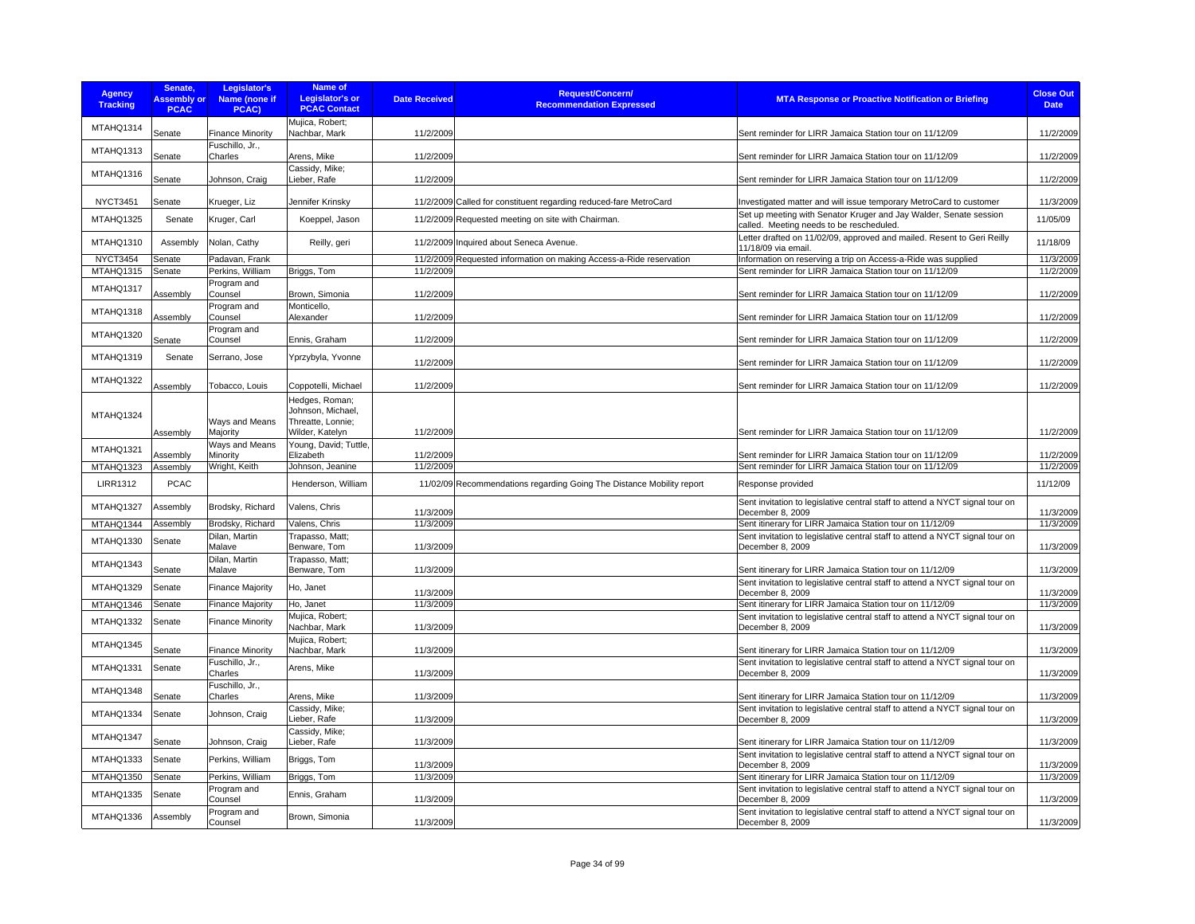| <b>Agency</b><br><b>Tracking</b> | Senate,<br><b>Assembly or</b><br><b>PCAC</b> | Legislator's<br>Name (none if<br>PCAC) | <b>Name of</b><br><b>Legislator's or</b><br><b>PCAC Contact</b> | <b>Date Received</b> | <b>Request/Concern/</b><br><b>Recommendation Expressed</b>            | <b>MTA Response or Proactive Notification or Briefing</b>                                                     | <b>Close Out</b><br><b>Date</b> |
|----------------------------------|----------------------------------------------|----------------------------------------|-----------------------------------------------------------------|----------------------|-----------------------------------------------------------------------|---------------------------------------------------------------------------------------------------------------|---------------------------------|
| MTAHQ1314                        | Senate                                       | <b>Finance Minority</b>                | Mujica, Robert;<br>Nachbar, Mark                                | 11/2/2009            |                                                                       | Sent reminder for LIRR Jamaica Station tour on 11/12/09                                                       | 11/2/2009                       |
| MTAHQ1313                        | Senate                                       | Fuschillo, Jr.,<br>Charles             | Arens, Mike                                                     | 11/2/2009            |                                                                       | Sent reminder for LIRR Jamaica Station tour on 11/12/09                                                       | 11/2/2009                       |
| MTAHQ1316                        | Senate                                       | Johnson, Craig                         | Cassidy, Mike;<br>Lieber, Rafe                                  | 11/2/2009            |                                                                       | Sent reminder for LIRR Jamaica Station tour on 11/12/09                                                       | 11/2/2009                       |
| <b>NYCT3451</b>                  | Senate                                       | Krueger, Liz                           | Jennifer Krinsky                                                |                      | 11/2/2009 Called for constituent regarding reduced-fare MetroCard     | Investigated matter and will issue temporary MetroCard to customer                                            | 11/3/2009                       |
| MTAHQ1325                        | Senate                                       | Kruger, Carl                           | Koeppel, Jason                                                  |                      | 11/2/2009 Requested meeting on site with Chairman.                    | Set up meeting with Senator Kruger and Jay Walder, Senate session<br>called. Meeting needs to be rescheduled. | 11/05/09                        |
| MTAHQ1310                        | Assembly                                     | Nolan, Cathy                           | Reilly, geri                                                    |                      | 11/2/2009 Inquired about Seneca Avenue.                               | Letter drafted on 11/02/09, approved and mailed. Resent to Geri Reilly<br>11/18/09 via email.                 | 11/18/09                        |
| <b>NYCT3454</b>                  | Senate                                       | Padavan, Frank                         |                                                                 |                      | 11/2/2009 Requested information on making Access-a-Ride reservation   | Information on reserving a trip on Access-a-Ride was supplied                                                 | 11/3/2009                       |
| MTAHQ1315                        | Senate                                       | Perkins, William                       | Briggs, Tom                                                     | 11/2/2009            |                                                                       | Sent reminder for LIRR Jamaica Station tour on 11/12/09                                                       | 11/2/2009                       |
| MTAHQ1317                        | Assembly                                     | Program and<br>Counsel                 | Brown, Simonia                                                  | 11/2/2009            |                                                                       | Sent reminder for LIRR Jamaica Station tour on 11/12/09                                                       | 11/2/2009                       |
| MTAHQ1318                        | Assembly                                     | Program and<br>Counsel                 | Monticello.<br>Alexander                                        | 11/2/2009            |                                                                       | Sent reminder for LIRR Jamaica Station tour on 11/12/09                                                       | 11/2/2009                       |
| MTAHQ1320                        | Senate                                       | Program and<br>Counsel                 | Ennis, Graham                                                   | 11/2/2009            |                                                                       | Sent reminder for LIRR Jamaica Station tour on 11/12/09                                                       | 11/2/2009                       |
| MTAHQ1319                        | Senate                                       | Serrano, Jose                          | Yprzybyla, Yvonne                                               | 11/2/2009            |                                                                       | Sent reminder for LIRR Jamaica Station tour on 11/12/09                                                       | 11/2/2009                       |
| MTAHQ1322                        | Assembly                                     | Tobacco, Louis                         | Coppotelli, Michael                                             | 11/2/2009            |                                                                       | Sent reminder for LIRR Jamaica Station tour on 11/12/09                                                       | 11/2/2009                       |
| MTAHQ1324                        |                                              | Ways and Means                         | Hedges, Roman;<br>Johnson, Michael,<br>Threatte, Lonnie;        |                      |                                                                       |                                                                                                               |                                 |
|                                  | Assembly                                     | Majority                               | Wilder, Katelyn                                                 | 11/2/2009            |                                                                       | Sent reminder for LIRR Jamaica Station tour on 11/12/09                                                       | 11/2/2009                       |
| MTAHQ1321                        | Assembly                                     | Ways and Means<br>Minority             | Young, David; Tuttle,<br>Elizabeth                              | 11/2/2009            |                                                                       | Sent reminder for LIRR Jamaica Station tour on 11/12/09                                                       | 11/2/2009                       |
| MTAHQ1323                        | Assembly                                     | Wright, Keith                          | Johnson, Jeanine                                                | 11/2/2009            |                                                                       | Sent reminder for LIRR Jamaica Station tour on 11/12/09                                                       | 11/2/2009                       |
| <b>LIRR1312</b>                  | <b>PCAC</b>                                  |                                        | Henderson, William                                              |                      | 11/02/09 Recommendations regarding Going The Distance Mobility report | Response provided                                                                                             | 11/12/09                        |
| MTAHQ1327                        | <b>Assembly</b>                              | Brodsky, Richard                       | Valens, Chris                                                   | 11/3/2009            |                                                                       | Sent invitation to legislative central staff to attend a NYCT signal tour on<br>December 8, 2009              | 11/3/2009                       |
| MTAHQ1344                        | Assembly                                     | Brodsky, Richard                       | Valens, Chris                                                   | 11/3/2009            |                                                                       | Sent itinerary for LIRR Jamaica Station tour on 11/12/09                                                      | 11/3/2009                       |
| MTAHQ1330                        | Senate                                       | Dilan. Martin<br>Malave                | Trapasso, Matt:<br>Benware, Tom                                 | 11/3/2009            |                                                                       | Sent invitation to legislative central staff to attend a NYCT signal tour on<br>December 8, 2009              | 11/3/2009                       |
| MTAHQ1343                        | Senate                                       | Dilan, Martin<br>Malave                | Trapasso, Matt;<br>Benware, Tom                                 | 11/3/2009            |                                                                       | Sent itinerary for LIRR Jamaica Station tour on 11/12/09                                                      | 11/3/2009                       |
| MTAHQ1329                        | Senate                                       | <b>Finance Majority</b>                | Ho, Janet                                                       | 11/3/2009            |                                                                       | Sent invitation to legislative central staff to attend a NYCT signal tour on<br>December 8, 2009              | 11/3/2009                       |
| MTAHQ1346                        | Senate                                       | <b>Finance Majority</b>                | Ho, Janet                                                       | 11/3/2009            |                                                                       | Sent itinerary for LIRR Jamaica Station tour on 11/12/09                                                      | 11/3/2009                       |
| MTAHQ1332                        | Senate                                       | Finance Minority                       | Mujica, Robert;<br>Nachbar, Mark                                | 11/3/2009            |                                                                       | Sent invitation to legislative central staff to attend a NYCT signal tour on<br>December 8, 2009              | 11/3/2009                       |
| MTAHQ1345                        | Senate                                       | <b>Finance Minority</b>                | Mujica, Robert;<br>Nachbar, Mark                                | 11/3/2009            |                                                                       | Sent itinerary for LIRR Jamaica Station tour on 11/12/09                                                      | 11/3/2009                       |
| MTAHQ1331                        | Senate                                       | Fuschillo, Jr.,<br>Charles             | Arens, Mike                                                     | 11/3/2009            |                                                                       | Sent invitation to legislative central staff to attend a NYCT signal tour on<br>December 8, 2009              | 11/3/2009                       |
| MTAHQ1348                        | Senate                                       | Fuschillo, Jr.,<br>Charles             | Arens, Mike                                                     | 11/3/2009            |                                                                       | Sent itinerary for LIRR Jamaica Station tour on 11/12/09                                                      | 11/3/2009                       |
| MTAHQ1334                        | Senate                                       | Johnson, Craig                         | Cassidy, Mike;<br>Lieber, Rafe                                  | 11/3/2009            |                                                                       | Sent invitation to legislative central staff to attend a NYCT signal tour on<br>December 8, 2009              | 11/3/2009                       |
| MTAHQ1347                        | Senate                                       | Johnson, Craig                         | Cassidy, Mike;<br>Lieber, Rafe                                  | 11/3/2009            |                                                                       | Sent itinerary for LIRR Jamaica Station tour on 11/12/09                                                      | 11/3/2009                       |
| MTAHQ1333                        | Senate                                       | Perkins, William                       | Briggs, Tom                                                     | 11/3/2009            |                                                                       | Sent invitation to legislative central staff to attend a NYCT signal tour on<br>December 8, 2009              | 11/3/2009                       |
| MTAHQ1350                        | Senate                                       | Perkins, William                       | Briggs, Tom                                                     | 11/3/2009            |                                                                       | Sent itinerary for LIRR Jamaica Station tour on 11/12/09                                                      | 11/3/2009                       |
| MTAHQ1335                        | Senate                                       | Program and<br>Counsel                 | Ennis, Graham                                                   | 11/3/2009            |                                                                       | Sent invitation to legislative central staff to attend a NYCT signal tour on<br>December 8, 2009              | 11/3/2009                       |
| MTAHQ1336                        | Assembly                                     | Program and<br>Counsel                 | Brown, Simonia                                                  | 11/3/2009            |                                                                       | Sent invitation to legislative central staff to attend a NYCT signal tour on<br>December 8, 2009              | 11/3/2009                       |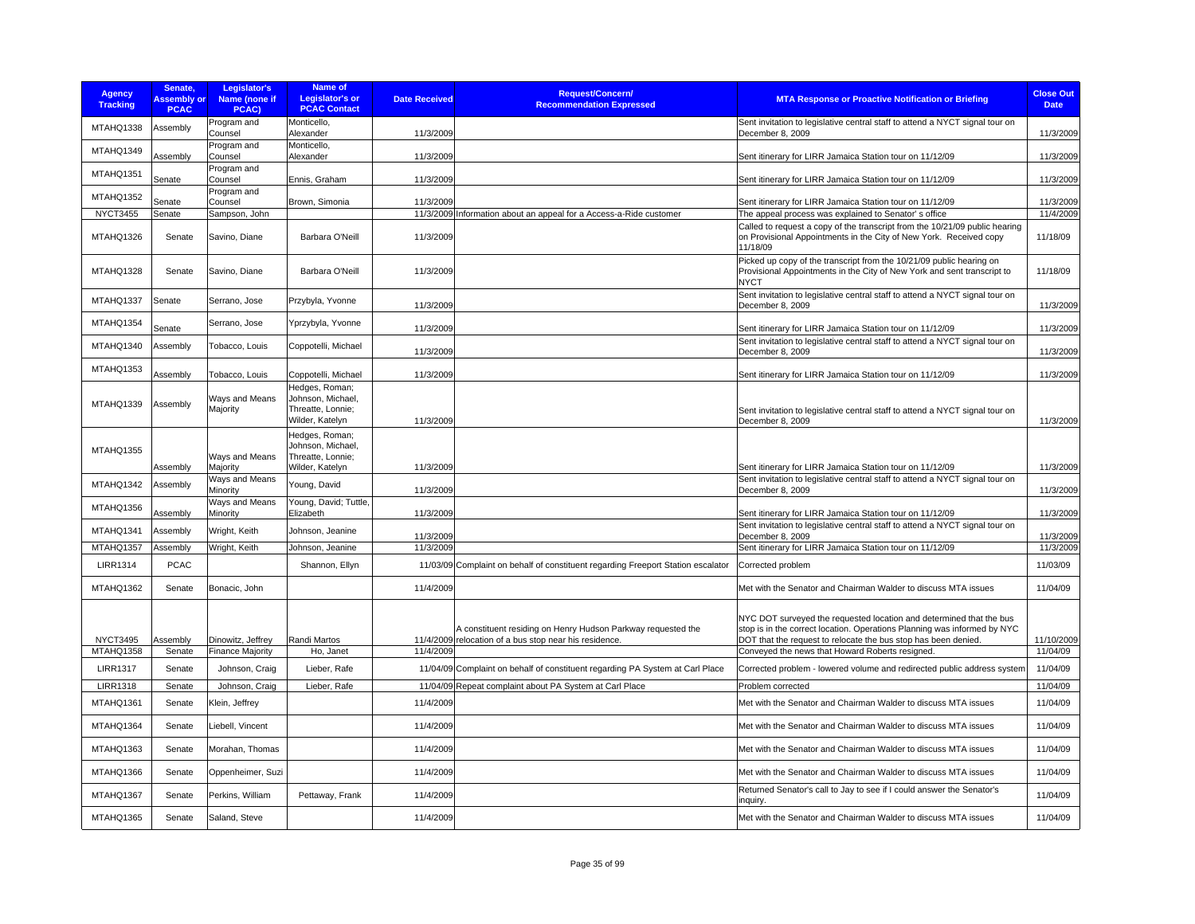| <b>Agency</b><br><b>Tracking</b> | Senate,<br><b>Assembly or</b><br><b>PCAC</b> | Legislator's<br>Name (none if<br>PCAC)       | <b>Name of</b><br><b>Legislator's or</b><br><b>PCAC Contact</b>             | <b>Date Received</b> | <b>Request/Concern/</b><br><b>Recommendation Expressed</b>                                                             | <b>MTA Response or Proactive Notification or Briefing</b>                                                                                                                                                                                                            | <b>Close Out</b><br><b>Date</b> |
|----------------------------------|----------------------------------------------|----------------------------------------------|-----------------------------------------------------------------------------|----------------------|------------------------------------------------------------------------------------------------------------------------|----------------------------------------------------------------------------------------------------------------------------------------------------------------------------------------------------------------------------------------------------------------------|---------------------------------|
| MTAHQ1338                        | Assembly                                     | Program and<br>Counsel                       | Monticello,<br>Alexander                                                    | 11/3/2009            |                                                                                                                        | Sent invitation to legislative central staff to attend a NYCT signal tour on<br>December 8, 2009                                                                                                                                                                     | 11/3/2009                       |
| MTAHQ1349                        | Assembly                                     | Program and<br>Counsel                       | Monticello,<br>Alexander                                                    | 11/3/2009            |                                                                                                                        | Sent itinerary for LIRR Jamaica Station tour on 11/12/09                                                                                                                                                                                                             | 11/3/2009                       |
| MTAHQ1351                        | Senate                                       | Program and<br>Counsel                       | Ennis, Graham                                                               | 11/3/2009            |                                                                                                                        | Sent itinerary for LIRR Jamaica Station tour on 11/12/09                                                                                                                                                                                                             | 11/3/2009                       |
| MTAHQ1352                        | Senate                                       | Program and<br>Counsel                       | Brown, Simonia                                                              | 11/3/2009            |                                                                                                                        | Sent itinerary for LIRR Jamaica Station tour on 11/12/09                                                                                                                                                                                                             | 11/3/2009                       |
| <b>NYCT3455</b>                  | Senate                                       | Sampson, John                                |                                                                             |                      | 11/3/2009 Information about an appeal for a Access-a-Ride customer                                                     | The appeal process was explained to Senator's office                                                                                                                                                                                                                 | 11/4/2009                       |
| MTAHQ1326                        | Senate                                       | Savino, Diane                                | Barbara O'Neill                                                             | 11/3/2009            |                                                                                                                        | Called to request a copy of the transcript from the 10/21/09 public hearing<br>on Provisional Appointments in the City of New York. Received copy<br>11/18/09                                                                                                        | 11/18/09                        |
| MTAHQ1328                        | Senate                                       | Savino, Diane                                | Barbara O'Neill                                                             | 11/3/2009            |                                                                                                                        | Picked up copy of the transcript from the 10/21/09 public hearing on<br>Provisional Appointments in the City of New York and sent transcript to<br><b>NYCT</b>                                                                                                       | 11/18/09                        |
| MTAHQ1337                        | Senate                                       | Serrano, Jose                                | Przybyla, Yvonne                                                            | 11/3/2009            |                                                                                                                        | Sent invitation to legislative central staff to attend a NYCT signal tour on<br>December 8, 2009                                                                                                                                                                     | 11/3/2009                       |
| MTAHQ1354                        | Senate                                       | Serrano, Jose                                | Yprzybyla, Yvonne                                                           | 11/3/2009            |                                                                                                                        | Sent itinerary for LIRR Jamaica Station tour on 11/12/09                                                                                                                                                                                                             | 11/3/2009                       |
| MTAHQ1340                        | Assembly                                     | Tobacco, Louis                               | Coppotelli, Michael                                                         | 11/3/2009            |                                                                                                                        | Sent invitation to legislative central staff to attend a NYCT signal tour on<br>December 8, 2009                                                                                                                                                                     | 11/3/2009                       |
| MTAHQ1353                        | Assembly                                     | Tobacco, Louis                               | Coppotelli, Michael                                                         | 11/3/2009            |                                                                                                                        | Sent itinerary for LIRR Jamaica Station tour on 11/12/09                                                                                                                                                                                                             | 11/3/2009                       |
| MTAHQ1339                        | Assembly                                     | Ways and Means<br>Majority                   | Hedges, Roman;<br>Johnson, Michael,<br>Threatte, Lonnie;<br>Wilder, Katelyn | 11/3/2009            |                                                                                                                        | Sent invitation to legislative central staff to attend a NYCT signal tour on<br>December 8, 2009                                                                                                                                                                     | 11/3/2009                       |
| <b>MTAHQ1355</b>                 | Assembly                                     | Ways and Means<br>Majority                   | Hedges, Roman;<br>Johnson, Michael,<br>Threatte, Lonnie;<br>Wilder, Katelyn | 11/3/2009            |                                                                                                                        | Sent itinerary for LIRR Jamaica Station tour on 11/12/09                                                                                                                                                                                                             | 11/3/2009                       |
| MTAHQ1342                        | Assembly                                     | Ways and Means<br>Minority                   | Young, David                                                                | 11/3/2009            |                                                                                                                        | Sent invitation to legislative central staff to attend a NYCT signal tour on<br>December 8, 2009                                                                                                                                                                     | 11/3/2009                       |
| MTAHQ1356                        | Assembly                                     | Ways and Means<br>Minority                   | Young, David; Tuttle,<br>Elizabeth                                          | 11/3/2009            |                                                                                                                        | Sent itinerary for LIRR Jamaica Station tour on 11/12/09                                                                                                                                                                                                             | 11/3/2009                       |
| MTAHQ1341                        | Assembly                                     | Wright, Keith                                | Johnson, Jeanine                                                            | 11/3/2009            |                                                                                                                        | Sent invitation to legislative central staff to attend a NYCT signal tour on<br>December 8, 2009                                                                                                                                                                     | 11/3/2009                       |
| MTAHQ1357                        | Assembly                                     | Wright, Keith                                | Johnson, Jeanine                                                            | 11/3/2009            |                                                                                                                        | Sent itinerary for LIRR Jamaica Station tour on 11/12/09                                                                                                                                                                                                             | 11/3/2009                       |
| <b>LIRR1314</b>                  | <b>PCAC</b>                                  |                                              | Shannon, Ellyn                                                              |                      | 11/03/09 Complaint on behalf of constituent regarding Freeport Station escalator                                       | Corrected problem                                                                                                                                                                                                                                                    | 11/03/09                        |
| MTAHQ1362                        | Senate                                       | Bonacic, John                                |                                                                             | 11/4/2009            |                                                                                                                        | Met with the Senator and Chairman Walder to discuss MTA issues                                                                                                                                                                                                       | 11/04/09                        |
| <b>NYCT3495</b><br>MTAHQ1358     | Assembly<br>Senate                           | Dinowitz, Jeffrey<br><b>Finance Majority</b> | Randi Martos<br>Ho, Janet                                                   | 11/4/2009            | A constituent residing on Henry Hudson Parkway requested the<br>11/4/2009 relocation of a bus stop near his residence. | NYC DOT surveyed the requested location and determined that the bus<br>stop is in the correct location. Operations Planning was informed by NYC<br>DOT that the request to relocate the bus stop has been denied.<br>Conveyed the news that Howard Roberts resigned. | 11/10/2009<br>11/04/09          |
| <b>LIRR1317</b>                  | Senate                                       | Johnson, Craig                               | Lieber, Rafe                                                                |                      | 11/04/09 Complaint on behalf of constituent regarding PA System at Carl Place                                          | Corrected problem - lowered volume and redirected public address system                                                                                                                                                                                              | 11/04/09                        |
| <b>LIRR1318</b>                  | Senate                                       | Johnson, Craig                               | Lieber, Rafe                                                                |                      | 11/04/09 Repeat complaint about PA System at Carl Place                                                                | Problem corrected                                                                                                                                                                                                                                                    | 11/04/09                        |
| MTAHQ1361                        | Senate                                       | Klein, Jeffrey                               |                                                                             | 11/4/2009            |                                                                                                                        | Met with the Senator and Chairman Walder to discuss MTA issues                                                                                                                                                                                                       | 11/04/09                        |
| MTAHQ1364                        | Senate                                       | Liebell, Vincent                             |                                                                             | 11/4/2009            |                                                                                                                        | Met with the Senator and Chairman Walder to discuss MTA issues                                                                                                                                                                                                       | 11/04/09                        |
| MTAHQ1363                        | Senate                                       | Morahan, Thomas                              |                                                                             | 11/4/2009            |                                                                                                                        | Met with the Senator and Chairman Walder to discuss MTA issues                                                                                                                                                                                                       | 11/04/09                        |
| MTAHQ1366                        | Senate                                       | Oppenheimer, Suzi                            |                                                                             | 11/4/2009            |                                                                                                                        | Met with the Senator and Chairman Walder to discuss MTA issues                                                                                                                                                                                                       | 11/04/09                        |
| MTAHQ1367                        | Senate                                       | Perkins, William                             | Pettaway, Frank                                                             | 11/4/2009            |                                                                                                                        | Returned Senator's call to Jay to see if I could answer the Senator's<br>inquiry.                                                                                                                                                                                    | 11/04/09                        |
| MTAHQ1365                        | Senate                                       | Saland, Steve                                |                                                                             | 11/4/2009            |                                                                                                                        | Met with the Senator and Chairman Walder to discuss MTA issues                                                                                                                                                                                                       | 11/04/09                        |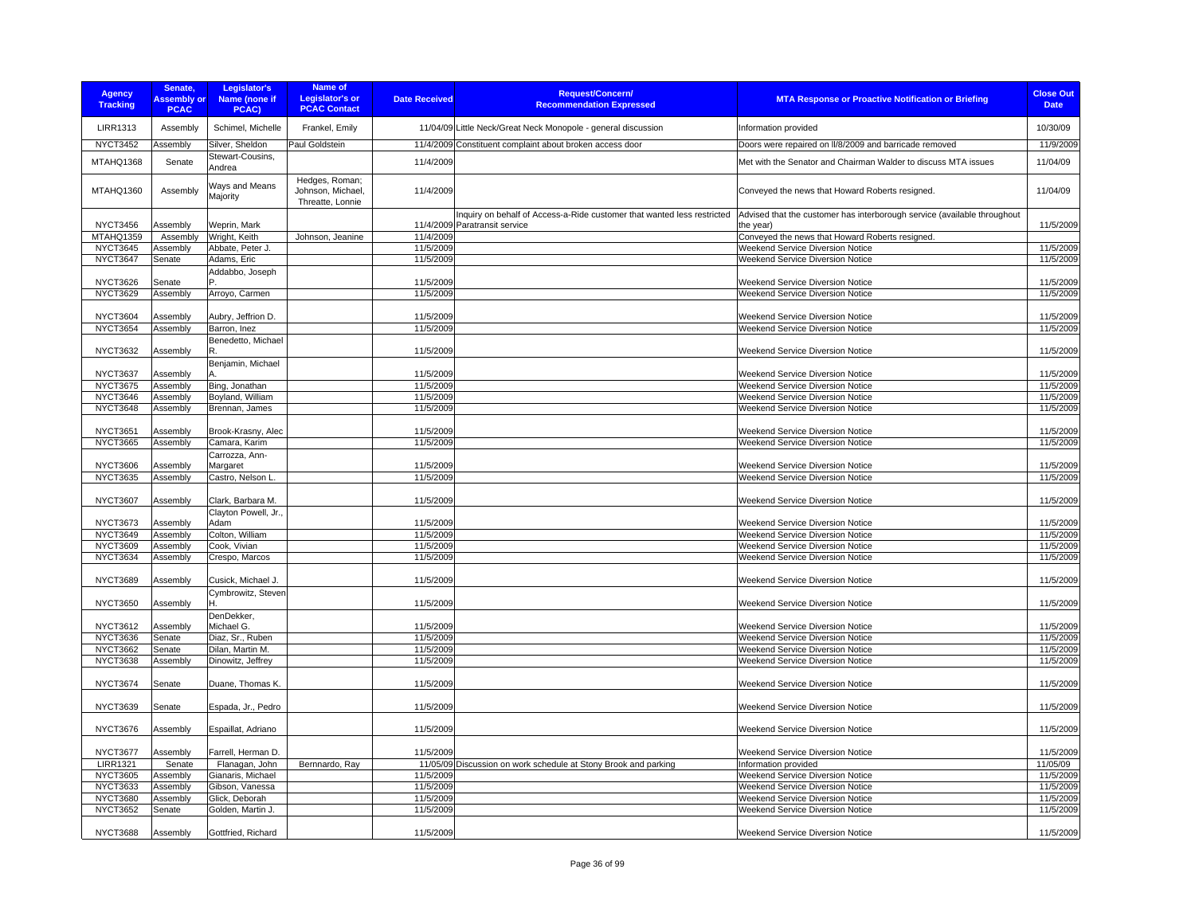| <b>Agency</b><br><b>Tracking</b>   | Senate,<br><b>Assembly or</b><br><b>PCAC</b> | Legislator's<br>Name (none if<br>PCAC) | <b>Name of</b><br><b>Legislator's or</b><br><b>PCAC Contact</b> | <b>Date Received</b>   | <b>Request/Concern/</b><br><b>Recommendation Expressed</b>                                               | <b>MTA Response or Proactive Notification or Briefing</b>                             | <b>Close Out</b><br><b>Date</b> |
|------------------------------------|----------------------------------------------|----------------------------------------|-----------------------------------------------------------------|------------------------|----------------------------------------------------------------------------------------------------------|---------------------------------------------------------------------------------------|---------------------------------|
| <b>LIRR1313</b>                    | Assembly                                     | Schimel, Michelle                      | Frankel, Emily                                                  |                        | 11/04/09 Little Neck/Great Neck Monopole - general discussion                                            | Information provided                                                                  | 10/30/09                        |
| <b>NYCT3452</b>                    | Assembly                                     | Silver, Sheldon                        | Paul Goldstein                                                  |                        | 11/4/2009 Constituent complaint about broken access door                                                 | Doors were repaired on II/8/2009 and barricade removed                                | 11/9/2009                       |
| MTAHQ1368                          | Senate                                       | Stewart-Cousins,<br>Andrea             |                                                                 | 11/4/2009              |                                                                                                          | Met with the Senator and Chairman Walder to discuss MTA issues                        | 11/04/09                        |
| MTAHQ1360                          | Assembly                                     | Ways and Means<br>Majority             | Hedges, Roman;<br>Johnson, Michael,<br>Threatte, Lonnie         | 11/4/2009              |                                                                                                          | Conveyed the news that Howard Roberts resigned.                                       | 11/04/09                        |
| <b>NYCT3456</b>                    | Assembly                                     | Weprin, Mark                           |                                                                 |                        | Inquiry on behalf of Access-a-Ride customer that wanted less restricted<br>11/4/2009 Paratransit service | Advised that the customer has interborough service (available throughout<br>the year) | 11/5/2009                       |
| MTAHQ1359                          | Assembly                                     | Wright, Keith                          | Johnson, Jeanine                                                | 11/4/2009              |                                                                                                          | Conveyed the news that Howard Roberts resigned.                                       |                                 |
| <b>NYCT3645</b>                    | Assembly                                     | Abbate, Peter J.                       |                                                                 | 11/5/2009              |                                                                                                          | Weekend Service Diversion Notice                                                      | 11/5/2009                       |
| NYCT3647                           | Senate                                       | Adams, Eric                            |                                                                 | 11/5/2009              |                                                                                                          | Weekend Service Diversion Notice                                                      | 11/5/2009                       |
| <b>NYCT3626</b>                    | Senate                                       | Addabbo, Joseph                        |                                                                 | 11/5/2009              |                                                                                                          | Weekend Service Diversion Notice                                                      | 11/5/2009                       |
| <b>NYCT3629</b>                    | Assembly                                     | Arroyo, Carmen                         |                                                                 | 11/5/2009              |                                                                                                          | Weekend Service Diversion Notice                                                      | 11/5/2009                       |
| <b>NYCT3604</b>                    | Assembly                                     | Aubry, Jeffrion D.                     |                                                                 | 11/5/2009              |                                                                                                          | <b>Weekend Service Diversion Notice</b>                                               | 11/5/2009                       |
| <b>NYCT3654</b>                    | Assembly                                     | Barron, Inez                           |                                                                 | 11/5/2009              |                                                                                                          | Weekend Service Diversion Notice                                                      | 11/5/2009                       |
| <b>NYCT3632</b>                    | Assembly                                     | Benedetto, Michael<br>R.               |                                                                 | 11/5/2009              |                                                                                                          | <b>Weekend Service Diversion Notice</b>                                               | 11/5/2009                       |
| <b>NYCT3637</b>                    | Assembly                                     | Benjamin, Michael                      |                                                                 | 11/5/2009              |                                                                                                          | <b>Weekend Service Diversion Notice</b>                                               | 11/5/2009                       |
| <b>NYCT3675</b>                    | Assembly                                     | Bing, Jonathan                         |                                                                 | 11/5/2009              |                                                                                                          | <b>Weekend Service Diversion Notice</b>                                               | 11/5/2009                       |
| NYCT3646                           | Assembly                                     | Boyland, William                       |                                                                 | 11/5/2009              |                                                                                                          | <b>Weekend Service Diversion Notice</b>                                               | 11/5/2009                       |
| <b>NYCT3648</b>                    | Assembly                                     | Brennan, James                         |                                                                 | 11/5/2009              |                                                                                                          | Weekend Service Diversion Notice                                                      | 11/5/2009                       |
| <b>NYCT3651</b>                    |                                              |                                        |                                                                 |                        |                                                                                                          |                                                                                       |                                 |
| <b>NYCT3665</b>                    | Assembly<br>Assembly                         | Brook-Krasny, Alec<br>Camara, Karim    |                                                                 | 11/5/2009<br>11/5/2009 |                                                                                                          | Weekend Service Diversion Notice<br>Weekend Service Diversion Notice                  | 11/5/2009<br>11/5/2009          |
|                                    |                                              | Carrozza, Ann-                         |                                                                 |                        |                                                                                                          |                                                                                       |                                 |
| <b>NYCT3606</b>                    | Assembly                                     | Margaret                               |                                                                 | 11/5/2009              |                                                                                                          | <b>Weekend Service Diversion Notice</b>                                               | 11/5/2009                       |
| <b>NYCT3635</b>                    | Assembly                                     | Castro, Nelson L.                      |                                                                 | 11/5/2009              |                                                                                                          | Weekend Service Diversion Notice                                                      | 11/5/2009                       |
| <b>NYCT3607</b>                    | Assembly                                     | Clark, Barbara M.                      |                                                                 | 11/5/2009              |                                                                                                          | Weekend Service Diversion Notice                                                      | 11/5/2009                       |
|                                    |                                              | Clayton Powell, Jr.                    |                                                                 |                        |                                                                                                          |                                                                                       |                                 |
| <b>NYCT3673</b>                    | Assembly                                     | Adam                                   |                                                                 | 11/5/2009              |                                                                                                          | <b>Weekend Service Diversion Notice</b>                                               | 11/5/2009                       |
| <b>NYCT3649</b>                    | Assembly                                     | Colton, William                        |                                                                 | 11/5/2009              |                                                                                                          | Weekend Service Diversion Notice                                                      | 11/5/2009                       |
| <b>NYCT3609</b>                    | Assembly                                     | Cook, Vivian                           |                                                                 | 11/5/2009              |                                                                                                          | Weekend Service Diversion Notice<br>Weekend Service Diversion Notice                  | 11/5/2009                       |
| <b>NYCT3634</b>                    | Assembly                                     | Crespo, Marcos                         |                                                                 | 11/5/2009              |                                                                                                          |                                                                                       | 11/5/2009                       |
| <b>NYCT3689</b>                    | Assembly                                     | Cusick, Michael J.                     |                                                                 | 11/5/2009              |                                                                                                          | Weekend Service Diversion Notice                                                      | 11/5/2009                       |
| <b>NYCT3650</b>                    | Assembly                                     | Cymbrowitz, Steven                     |                                                                 | 11/5/2009              |                                                                                                          | Weekend Service Diversion Notice                                                      | 11/5/2009                       |
|                                    |                                              | DenDekker,                             |                                                                 |                        |                                                                                                          |                                                                                       |                                 |
| <b>NYCT3612</b>                    | Assembly                                     | Michael G.                             |                                                                 | 11/5/2009              |                                                                                                          | Weekend Service Diversion Notice                                                      | 11/5/2009                       |
| <b>NYCT3636</b>                    | Senate                                       | Diaz, Sr., Ruben                       |                                                                 | 11/5/2009              |                                                                                                          | Weekend Service Diversion Notice                                                      | 11/5/2009                       |
| <b>NYCT3662</b><br><b>NYCT3638</b> | Senate                                       | Dilan, Martin M.<br>Dinowitz, Jeffrey  |                                                                 | 11/5/2009<br>11/5/2009 |                                                                                                          | Weekend Service Diversion Notice<br>Weekend Service Diversion Notice                  | 11/5/2009<br>11/5/2009          |
|                                    | Assembly                                     |                                        |                                                                 |                        |                                                                                                          |                                                                                       |                                 |
| <b>NYCT3674</b>                    | Senate                                       | Duane, Thomas K.                       |                                                                 | 11/5/2009              |                                                                                                          | Weekend Service Diversion Notice                                                      | 11/5/2009                       |
| <b>NYCT3639</b>                    | Senate                                       | Espada, Jr., Pedro                     |                                                                 | 11/5/2009              |                                                                                                          | Weekend Service Diversion Notice                                                      | 11/5/2009                       |
| <b>NYCT3676</b>                    | Assembly                                     | Espaillat, Adriano                     |                                                                 | 11/5/2009              |                                                                                                          | <b>Weekend Service Diversion Notice</b>                                               | 11/5/2009                       |
| <b>NYCT3677</b>                    | Assembly                                     | Farrell, Herman D                      |                                                                 | 11/5/2009              |                                                                                                          | Weekend Service Diversion Notice                                                      | 11/5/2009                       |
| <b>LIRR1321</b>                    | Senate                                       | Flanagan, John                         | Bernnardo, Ray                                                  |                        | 11/05/09 Discussion on work schedule at Stony Brook and parking                                          | Information provided                                                                  | 11/05/09                        |
| <b>NYCT3605</b><br><b>NYCT3633</b> | Assembly<br>Assembly                         | Gianaris, Michael<br>Gibson, Vanessa   |                                                                 | 11/5/2009<br>11/5/2009 |                                                                                                          | Weekend Service Diversion Notice<br>Weekend Service Diversion Notice                  | 11/5/2009<br>11/5/2009          |
| <b>NYCT3680</b>                    | Assembly                                     | Glick, Deborah                         |                                                                 | 11/5/2009              |                                                                                                          | Weekend Service Diversion Notice                                                      | 11/5/2009                       |
| <b>NYCT3652</b>                    | Senate                                       | Golden, Martin J.                      |                                                                 | 11/5/2009              |                                                                                                          | Weekend Service Diversion Notice                                                      | 11/5/2009                       |
|                                    |                                              |                                        |                                                                 |                        |                                                                                                          |                                                                                       |                                 |
| <b>NYCT3688</b>                    | Assembly                                     | Gottfried, Richard                     |                                                                 | 11/5/2009              |                                                                                                          | Weekend Service Diversion Notice                                                      | 11/5/2009                       |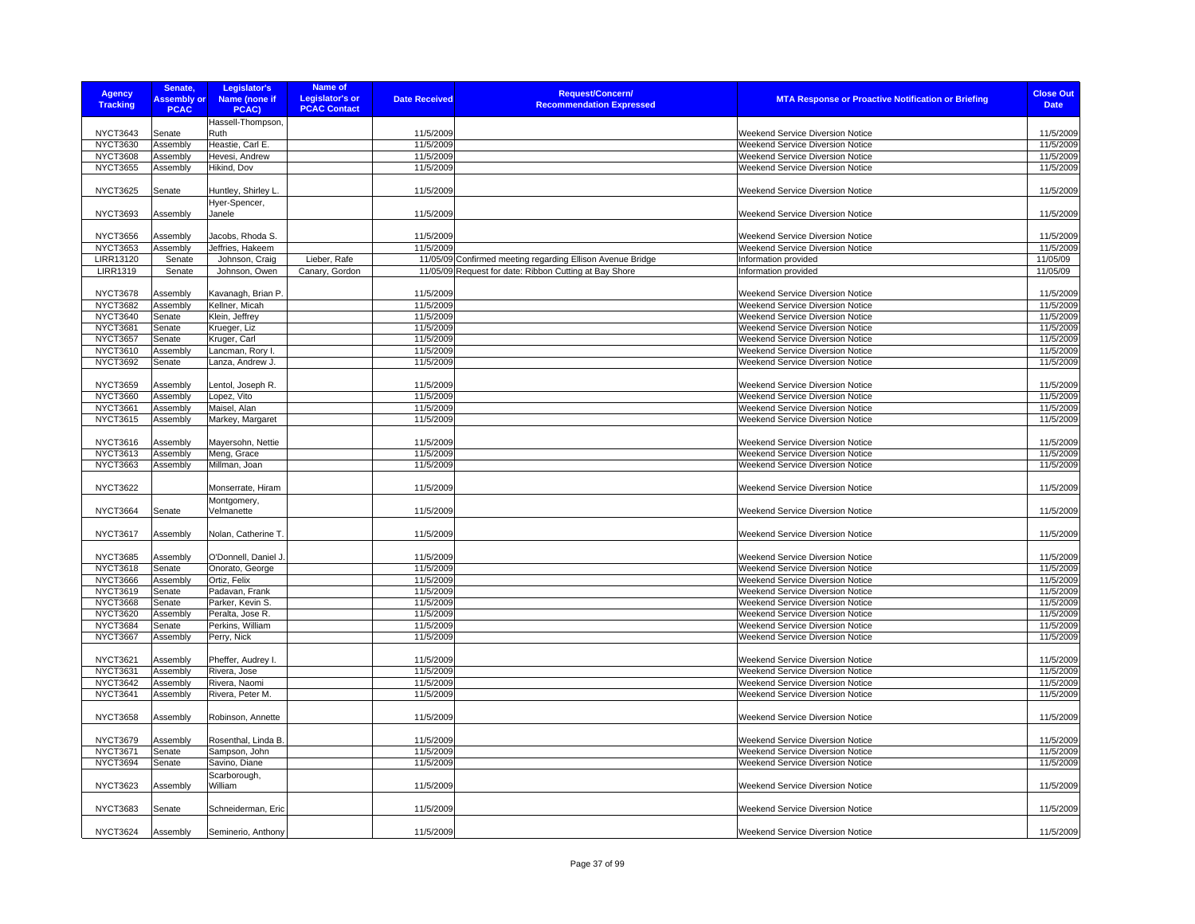| <b>Agency</b><br><b>Tracking</b>   | Senate,<br><b>Assembly or</b><br><b>PCAC</b> | Legislator's<br>Name (none if<br>PCAC) | Name of<br><b>Legislator's or</b><br><b>PCAC Contact</b> | <b>Date Received</b>   | <b>Request/Concern/</b><br><b>Recommendation Expressed</b> | <b>MTA Response or Proactive Notification or Briefing</b>                   | <b>Close Out</b><br><b>Date</b> |
|------------------------------------|----------------------------------------------|----------------------------------------|----------------------------------------------------------|------------------------|------------------------------------------------------------|-----------------------------------------------------------------------------|---------------------------------|
|                                    |                                              | Hassell-Thompson,                      |                                                          |                        |                                                            |                                                                             |                                 |
| NYCT3643                           | Senate                                       | Ruth                                   |                                                          | 11/5/2009              |                                                            | Weekend Service Diversion Notice                                            | 11/5/2009                       |
| <b>NYCT3630</b>                    | Assembly                                     | Heastie, Carl E.                       |                                                          | 11/5/2009              |                                                            | Weekend Service Diversion Notice                                            | 11/5/2009                       |
| <b>NYCT3608</b>                    | Assembly                                     | Hevesi, Andrew                         |                                                          | 11/5/2009              |                                                            | <b>Weekend Service Diversion Notice</b>                                     | 11/5/2009                       |
| <b>NYCT3655</b>                    | Assembly                                     | Hikind, Dov                            |                                                          | 11/5/2009              |                                                            | Weekend Service Diversion Notice                                            | 11/5/2009                       |
| <b>NYCT3625</b>                    | Senate                                       | Huntley, Shirley L.                    |                                                          | 11/5/2009              |                                                            | Weekend Service Diversion Notice                                            | 11/5/2009                       |
| <b>NYCT3693</b>                    | Assembly                                     | Hyer-Spencer,<br>Janele                |                                                          | 11/5/2009              |                                                            | Weekend Service Diversion Notice                                            | 11/5/2009                       |
| <b>NYCT3656</b>                    | Assembly                                     | Jacobs, Rhoda S.                       |                                                          | 11/5/2009              |                                                            | Weekend Service Diversion Notice                                            | 11/5/2009                       |
| <b>NYCT3653</b>                    | Assembly                                     | Jeffries, Hakeem                       |                                                          | 11/5/2009              |                                                            | Weekend Service Diversion Notice                                            | 11/5/2009                       |
| LIRR13120                          | Senate                                       | Johnson, Craig                         | Lieber, Rafe                                             |                        | 11/05/09 Confirmed meeting regarding Ellison Avenue Bridge | Information provided                                                        | 11/05/09                        |
| <b>LIRR1319</b>                    | Senate                                       | Johnson, Owen                          | Canary, Gordon                                           |                        | 11/05/09 Request for date: Ribbon Cutting at Bay Shore     | Information provided                                                        | 11/05/09                        |
|                                    |                                              |                                        |                                                          |                        |                                                            |                                                                             |                                 |
| <b>NYCT3678</b>                    | Assembly                                     | Kavanagh, Brian P.                     |                                                          | 11/5/2009              |                                                            | <b>Weekend Service Diversion Notice</b>                                     | 11/5/2009                       |
| <b>NYCT3682</b>                    | Assembly                                     | Kellner, Micah                         |                                                          | 11/5/2009              |                                                            | Weekend Service Diversion Notice                                            | 11/5/2009                       |
| NYCT3640                           | Senate                                       | Klein, Jeffrey                         |                                                          | 11/5/2009              |                                                            | Weekend Service Diversion Notice                                            | 11/5/2009                       |
| <b>NYCT3681</b>                    | Senate                                       | Krueger, Liz                           |                                                          | 11/5/2009              |                                                            | Weekend Service Diversion Notice                                            | 11/5/2009                       |
| <b>NYCT3657</b><br>NYCT3610        | Senate<br>Assembly                           | Kruger, Carl                           |                                                          | 11/5/2009<br>11/5/2009 |                                                            | Weekend Service Diversion Notice<br><b>Weekend Service Diversion Notice</b> | 11/5/2009<br>11/5/2009          |
| <b>NYCT3692</b>                    | Senate                                       | Lancman, Rory I<br>Lanza, Andrew J.    |                                                          | 11/5/2009              |                                                            | Weekend Service Diversion Notice                                            | 11/5/2009                       |
|                                    |                                              |                                        |                                                          |                        |                                                            |                                                                             |                                 |
| <b>NYCT3659</b>                    | Assembly                                     | Lentol, Joseph R.                      |                                                          | 11/5/2009              |                                                            | Weekend Service Diversion Notice                                            | 11/5/2009                       |
| <b>NYCT3660</b>                    | Assembly                                     | Lopez, Vito                            |                                                          | 11/5/2009              |                                                            | Weekend Service Diversion Notice                                            | 11/5/2009                       |
| <b>NYCT3661</b>                    | Assembly                                     | Maisel, Alan                           |                                                          | 11/5/2009              |                                                            | Weekend Service Diversion Notice                                            | 11/5/2009                       |
| <b>NYCT3615</b>                    | Assembly                                     | Markey, Margaret                       |                                                          | 11/5/2009              |                                                            | <b>Weekend Service Diversion Notice</b>                                     | 11/5/2009                       |
|                                    |                                              |                                        |                                                          |                        |                                                            |                                                                             |                                 |
| <b>NYCT3616</b><br><b>NYCT3613</b> | Assembly<br>Assembly                         | Mayersohn, Nettie<br>Meng, Grace       |                                                          | 11/5/2009<br>11/5/2009 |                                                            | Weekend Service Diversion Notice<br>Weekend Service Diversion Notice        | 11/5/2009<br>11/5/2009          |
| <b>NYCT3663</b>                    | Assembly                                     | Millman, Joan                          |                                                          | 11/5/2009              |                                                            | Weekend Service Diversion Notice                                            | 11/5/2009                       |
|                                    |                                              |                                        |                                                          |                        |                                                            |                                                                             |                                 |
| <b>NYCT3622</b>                    |                                              | Monserrate, Hiram                      |                                                          | 11/5/2009              |                                                            | Weekend Service Diversion Notice                                            | 11/5/2009                       |
| <b>NYCT3664</b>                    | Senate                                       | Montgomery,<br>Velmanette              |                                                          | 11/5/2009              |                                                            | Weekend Service Diversion Notice                                            | 11/5/2009                       |
| <b>NYCT3617</b>                    | Assembly                                     | Nolan, Catherine T.                    |                                                          | 11/5/2009              |                                                            | Weekend Service Diversion Notice                                            | 11/5/2009                       |
|                                    |                                              |                                        |                                                          |                        |                                                            |                                                                             |                                 |
| <b>NYCT3685</b>                    | Assembly                                     | O'Donnell, Daniel J.                   |                                                          | 11/5/2009              |                                                            | Weekend Service Diversion Notice                                            | 11/5/2009                       |
| <b>NYCT3618</b>                    | Senate                                       | Onorato, George                        |                                                          | 11/5/2009              |                                                            | <b>Weekend Service Diversion Notice</b>                                     | 11/5/2009                       |
| <b>NYCT3666</b><br>NYCT3619        | Assembly                                     | Ortiz, Felix                           |                                                          | 11/5/2009<br>11/5/2009 |                                                            | Weekend Service Diversion Notice                                            | 11/5/2009<br>11/5/2009          |
| <b>NYCT3668</b>                    | Senate<br>Senate                             | Padavan, Frank<br>Parker, Kevin S.     |                                                          | 11/5/2009              |                                                            | <b>Weekend Service Diversion Notice</b><br>Weekend Service Diversion Notice | 11/5/2009                       |
| <b>NYCT3620</b>                    | Assembly                                     | Peralta, Jose R.                       |                                                          | 11/5/2009              |                                                            | <b>Weekend Service Diversion Notice</b>                                     | 11/5/2009                       |
| <b>NYCT3684</b>                    | Senate                                       | Perkins, William                       |                                                          | 11/5/2009              |                                                            | Weekend Service Diversion Notice                                            | 11/5/2009                       |
| <b>NYCT3667</b>                    | Assembly                                     | Perry, Nick                            |                                                          | 11/5/2009              |                                                            | Weekend Service Diversion Notice                                            | 11/5/2009                       |
|                                    |                                              |                                        |                                                          |                        |                                                            |                                                                             |                                 |
| <b>NYCT3621</b><br><b>NYCT3631</b> | Assembly<br>Assembly                         | Pheffer, Audrey I.                     |                                                          | 11/5/2009<br>11/5/2009 |                                                            | Weekend Service Diversion Notice                                            | 11/5/2009<br>11/5/2009          |
| <b>NYCT3642</b>                    | Assembly                                     | Rivera, Jose<br>Rivera, Naomi          |                                                          | 11/5/2009              |                                                            | Weekend Service Diversion Notice<br>Weekend Service Diversion Notice        | 11/5/2009                       |
| <b>NYCT3641</b>                    | Assembly                                     | Rivera, Peter M.                       |                                                          | 11/5/2009              |                                                            | <b>Weekend Service Diversion Notice</b>                                     | 11/5/2009                       |
|                                    |                                              |                                        |                                                          |                        |                                                            |                                                                             |                                 |
| <b>NYCT3658</b>                    | Assembly                                     | Robinson, Annette                      |                                                          | 11/5/2009              |                                                            | Weekend Service Diversion Notice                                            | 11/5/2009                       |
| <b>NYCT3679</b>                    | Assembly                                     | Rosenthal, Linda B.                    |                                                          | 11/5/2009              |                                                            | Weekend Service Diversion Notice                                            | 11/5/2009                       |
| <b>NYCT3671</b>                    | Senate                                       | Sampson, John                          |                                                          | 11/5/2009              |                                                            | <b>Weekend Service Diversion Notice</b>                                     | 11/5/2009                       |
| <b>NYCT3694</b>                    | Senate                                       | Savino, Diane                          |                                                          | 11/5/2009              |                                                            | Weekend Service Diversion Notice                                            | 11/5/2009                       |
|                                    |                                              | Scarborough,                           |                                                          |                        |                                                            |                                                                             |                                 |
| <b>NYCT3623</b>                    | Assembly                                     | William                                |                                                          | 11/5/2009              |                                                            | Weekend Service Diversion Notice                                            | 11/5/2009                       |
| <b>NYCT3683</b>                    | Senate                                       | Schneiderman, Eric                     |                                                          | 11/5/2009              |                                                            | <b>Weekend Service Diversion Notice</b>                                     | 11/5/2009                       |
| <b>NYCT3624</b>                    | Assembly                                     | Seminerio, Anthony                     |                                                          | 11/5/2009              |                                                            | Weekend Service Diversion Notice                                            | 11/5/2009                       |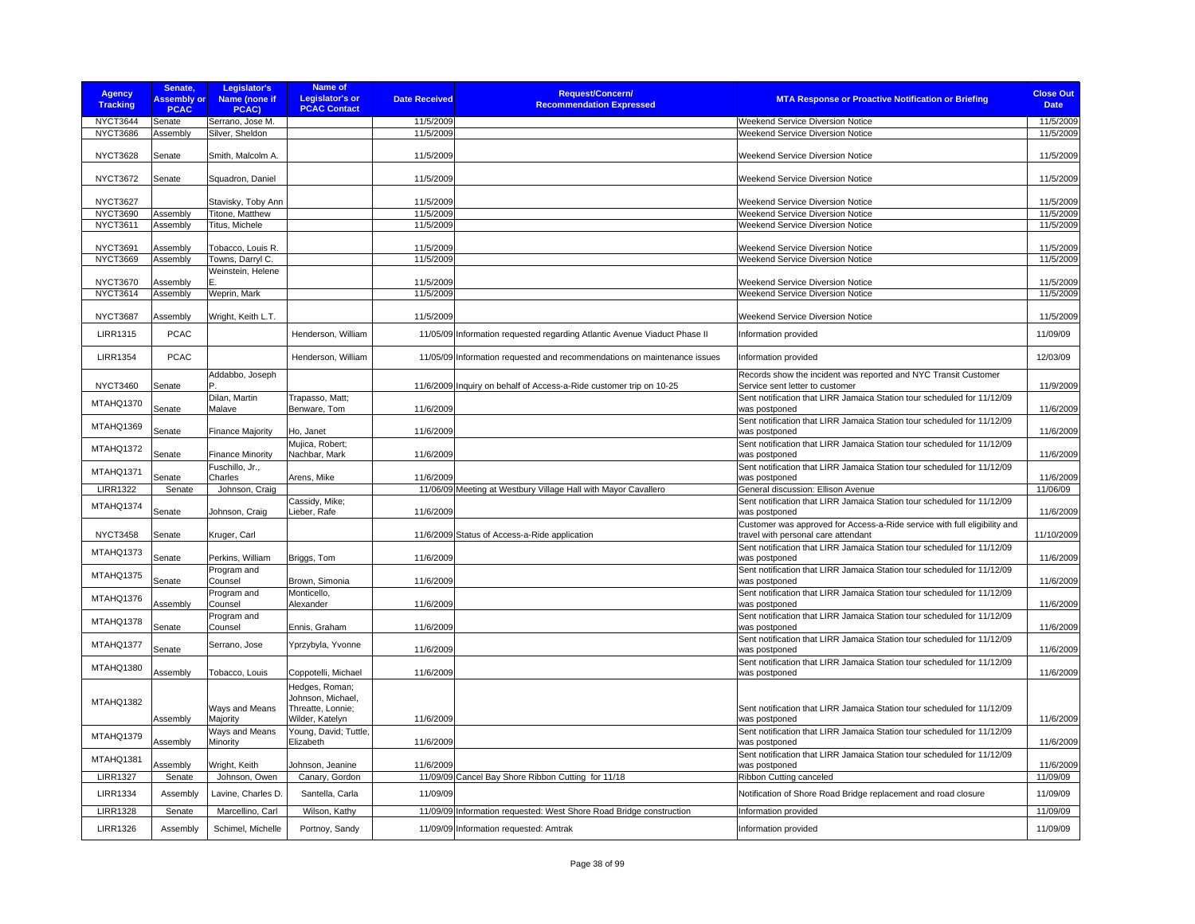| <b>Agency</b><br><b>Tracking</b> | Senate,<br><b>Assembly or</b><br><b>PCAC</b> | Legislator's<br>Name (none if<br>PCAC) | <b>Name of</b><br><b>Legislator's or</b><br><b>PCAC Contact</b>             | <b>Date Received</b> | <b>Request/Concern/</b><br><b>Recommendation Expressed</b>                | <b>MTA Response or Proactive Notification or Briefing</b>                                                      | <b>Close Out</b><br><b>Date</b> |
|----------------------------------|----------------------------------------------|----------------------------------------|-----------------------------------------------------------------------------|----------------------|---------------------------------------------------------------------------|----------------------------------------------------------------------------------------------------------------|---------------------------------|
| <b>NYCT3644</b>                  | Senate                                       | Serrano, Jose M.                       |                                                                             | 11/5/2009            |                                                                           | Weekend Service Diversion Notice                                                                               | 11/5/2009                       |
| <b>NYCT3686</b>                  | Assembly                                     | Silver, Sheldon                        |                                                                             | 11/5/2009            |                                                                           | Weekend Service Diversion Notice                                                                               | 11/5/2009                       |
| <b>NYCT3628</b>                  | Senate                                       | Smith, Malcolm A.                      |                                                                             | 11/5/2009            |                                                                           | <b>Weekend Service Diversion Notice</b>                                                                        | 11/5/2009                       |
| <b>NYCT3672</b>                  | Senate                                       | Squadron, Daniel                       |                                                                             | 11/5/2009            |                                                                           | Weekend Service Diversion Notice                                                                               | 11/5/2009                       |
| <b>NYCT3627</b>                  |                                              | Stavisky, Toby Ann                     |                                                                             | 11/5/2009            |                                                                           | <b>Weekend Service Diversion Notice</b>                                                                        | 11/5/2009                       |
| <b>NYCT3690</b>                  | Assembly                                     | Titone, Matthew                        |                                                                             | 11/5/2009            |                                                                           | Weekend Service Diversion Notice                                                                               | 11/5/2009                       |
| <b>NYCT3611</b>                  | Assembly                                     | Titus, Michele                         |                                                                             | 11/5/2009            |                                                                           | <b>Weekend Service Diversion Notice</b>                                                                        | 11/5/2009                       |
| <b>NYCT3691</b>                  | Assembly                                     | Tobacco, Louis R.                      |                                                                             | 11/5/2009            |                                                                           | <b>Weekend Service Diversion Notice</b>                                                                        | 11/5/2009                       |
| NYCT3669                         | Assembly                                     | Towns, Darryl C.                       |                                                                             | 11/5/2009            |                                                                           | Weekend Service Diversion Notice                                                                               | 11/5/2009                       |
|                                  |                                              | Weinstein, Helene                      |                                                                             |                      |                                                                           |                                                                                                                |                                 |
| <b>NYCT3670</b>                  | Assembly                                     |                                        |                                                                             | 11/5/2009            |                                                                           | Weekend Service Diversion Notice                                                                               | 11/5/2009                       |
| <b>NYCT3614</b>                  | Assembly                                     | Weprin, Mark                           |                                                                             | 11/5/2009            |                                                                           | Weekend Service Diversion Notice                                                                               | 11/5/2009                       |
| <b>NYCT3687</b>                  | Assembly                                     | Wright, Keith L.T.                     |                                                                             | 11/5/2009            |                                                                           | <b>Weekend Service Diversion Notice</b>                                                                        | 11/5/2009                       |
|                                  |                                              |                                        |                                                                             |                      |                                                                           |                                                                                                                |                                 |
| <b>LIRR1315</b>                  | <b>PCAC</b>                                  |                                        | Henderson, William                                                          |                      | 11/05/09 Information requested regarding Atlantic Avenue Viaduct Phase II | Information provided                                                                                           | 11/09/09                        |
| <b>LIRR1354</b>                  | <b>PCAC</b>                                  | Addabbo, Joseph                        | Henderson, William                                                          |                      | 11/05/09 Information requested and recommendations on maintenance issues  | Information provided<br>Records show the incident was reported and NYC Transit Customer                        | 12/03/09                        |
| <b>NYCT3460</b>                  | Senate                                       |                                        |                                                                             |                      | 11/6/2009 Inquiry on behalf of Access-a-Ride customer trip on 10-25       | Service sent letter to customer                                                                                | 11/9/2009                       |
| MTAHQ1370                        | Senate                                       | Dilan, Martin<br>Malave                | Trapasso, Matt:<br>Benware, Tom                                             | 11/6/2009            |                                                                           | Sent notification that LIRR Jamaica Station tour scheduled for 11/12/09<br>was postponed                       | 11/6/2009                       |
| MTAHQ1369                        | Senate                                       | <b>Finance Majority</b>                | Ho, Janet                                                                   | 11/6/2009            |                                                                           | Sent notification that LIRR Jamaica Station tour scheduled for 11/12/09<br>was postponed                       | 11/6/2009                       |
| MTAHQ1372                        | Senate                                       | <b>Finance Minority</b>                | Mujica, Robert;<br>Nachbar, Mark                                            | 11/6/2009            |                                                                           | Sent notification that LIRR Jamaica Station tour scheduled for 11/12/09<br>was postponed                       | 11/6/2009                       |
| MTAHQ1371                        | Senate                                       | Fuschillo, Jr.,<br>Charles             | Arens, Mike                                                                 | 11/6/2009            |                                                                           | Sent notification that LIRR Jamaica Station tour scheduled for 11/12/09<br>was postponed                       | 11/6/2009                       |
| <b>LIRR1322</b>                  | Senate                                       | Johnson, Craig                         |                                                                             |                      | 11/06/09 Meeting at Westbury Village Hall with Mayor Cavallero            | General discussion: Ellison Avenue                                                                             | 11/06/09                        |
| MTAHQ1374                        | Senate                                       | Johnson, Craig                         | Cassidy, Mike;<br>Lieber, Rafe                                              | 11/6/2009            |                                                                           | Sent notification that LIRR Jamaica Station tour scheduled for 11/12/09<br>was postponed                       | 11/6/2009                       |
|                                  |                                              |                                        |                                                                             |                      |                                                                           | Customer was approved for Access-a-Ride service with full eligibility and                                      |                                 |
| <b>NYCT3458</b>                  | Senate                                       | Kruger, Carl                           |                                                                             |                      | 11/6/2009 Status of Access-a-Ride application                             | travel with personal care attendant<br>Sent notification that LIRR Jamaica Station tour scheduled for 11/12/09 | 11/10/2009                      |
| MTAHQ1373                        | Senate                                       | Perkins, William                       | Briggs, Tom                                                                 | 11/6/2009            |                                                                           | was postponed                                                                                                  | 11/6/2009                       |
| MTAHQ1375                        | Senate                                       | Program and<br>Counsel                 | Brown, Simonia                                                              | 11/6/2009            |                                                                           | Sent notification that LIRR Jamaica Station tour scheduled for 11/12/09<br>was postponed                       | 11/6/2009                       |
| MTAHQ1376                        | Assembly                                     | Program and<br>Counsel                 | Monticello,<br>Alexander                                                    | 11/6/2009            |                                                                           | Sent notification that LIRR Jamaica Station tour scheduled for 11/12/09<br>was postponed                       | 11/6/2009                       |
| MTAHQ1378                        | Senate                                       | Program and<br>Counsel                 | Ennis, Graham                                                               | 11/6/2009            |                                                                           | Sent notification that LIRR Jamaica Station tour scheduled for 11/12/09<br>was postponed                       | 11/6/2009                       |
| MTAHQ1377                        |                                              | Serrano, Jose                          | Yprzybyla, Yvonne                                                           |                      |                                                                           | Sent notification that LIRR Jamaica Station tour scheduled for 11/12/09                                        |                                 |
|                                  | Senate                                       |                                        |                                                                             | 11/6/2009            |                                                                           | was postponed<br>Sent notification that LIRR Jamaica Station tour scheduled for 11/12/09                       | 11/6/2009                       |
| MTAHQ1380                        | Assembly                                     | Tobacco, Louis                         | Coppotelli, Michael                                                         | 11/6/2009            |                                                                           | was postponed                                                                                                  | 11/6/2009                       |
| MTAHQ1382                        | Assembly                                     | Ways and Means<br>Majority             | Hedges, Roman;<br>Johnson, Michael,<br>Threatte, Lonnie;<br>Wilder, Katelyn | 11/6/2009            |                                                                           | Sent notification that LIRR Jamaica Station tour scheduled for 11/12/09<br>was postponed                       | 11/6/2009                       |
| MTAHQ1379                        | Assembly                                     | Ways and Means<br>Minority             | Young, David; Tuttle,<br>Elizabeth                                          | 11/6/2009            |                                                                           | Sent notification that LIRR Jamaica Station tour scheduled for 11/12/09<br>was postponed                       | 11/6/2009                       |
| MTAHQ1381                        |                                              |                                        |                                                                             |                      |                                                                           | Sent notification that LIRR Jamaica Station tour scheduled for 11/12/09                                        |                                 |
|                                  | Assembly                                     | Wright, Keith                          | Johnson, Jeanine                                                            | 11/6/2009            |                                                                           | was postponed                                                                                                  | 11/6/2009                       |
| <b>LIRR1327</b>                  | Senate                                       | Johnson, Owen                          | Canary, Gordon                                                              |                      | 11/09/09 Cancel Bay Shore Ribbon Cutting for 11/18                        | Ribbon Cutting canceled                                                                                        | 11/09/09                        |
| <b>LIRR1334</b>                  | Assembly                                     | Lavine, Charles D.                     | Santella, Carla                                                             | 11/09/09             |                                                                           | Notification of Shore Road Bridge replacement and road closure                                                 | 11/09/09                        |
| <b>LIRR1328</b>                  | Senate                                       | Marcellino, Carl                       | Wilson, Kathy                                                               |                      | 11/09/09 Information requested: West Shore Road Bridge construction       | Information provided                                                                                           | 11/09/09                        |
| <b>LIRR1326</b>                  | Assembly                                     | Schimel, Michelle                      | Portnoy, Sandy                                                              |                      | 11/09/09 Information requested: Amtrak                                    | Information provided                                                                                           | 11/09/09                        |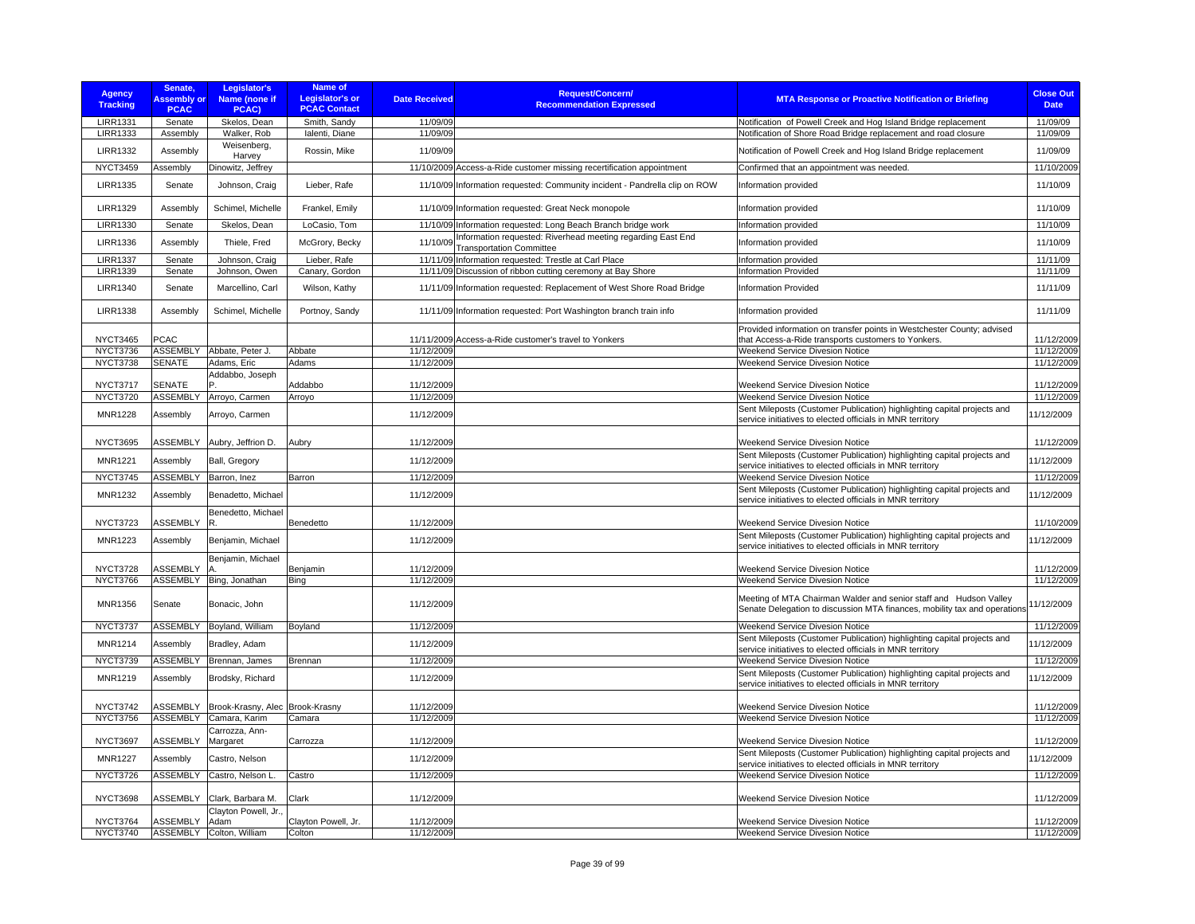| <b>Agency</b><br><b>Tracking</b>   | Senate,<br><b>Assembly or</b><br><b>PCAC</b> | Legislator's<br>Name (none if<br>PCAC)           | <b>Name of</b><br><b>Legislator's or</b><br><b>PCAC Contact</b> | <b>Date Received</b>     | Request/Concern/<br><b>Recommendation Expressed</b>                                            | <b>MTA Response or Proactive Notification or Briefing</b>                                                                                      | <b>Close Out</b><br><b>Date</b> |
|------------------------------------|----------------------------------------------|--------------------------------------------------|-----------------------------------------------------------------|--------------------------|------------------------------------------------------------------------------------------------|------------------------------------------------------------------------------------------------------------------------------------------------|---------------------------------|
| <b>LIRR1331</b><br><b>LIRR1333</b> | Senate<br>Assembly                           | Skelos, Dean<br>Walker, Rob                      | Smith, Sandy<br>Ialenti, Diane                                  | 11/09/09<br>11/09/09     |                                                                                                | Notification of Powell Creek and Hog Island Bridge replacement<br>Notification of Shore Road Bridge replacement and road closure               | 11/09/09<br>11/09/09            |
| <b>LIRR1332</b>                    | Assembly                                     | Weisenberg,<br>Harvey                            | Rossin, Mike                                                    | 11/09/09                 |                                                                                                | Notification of Powell Creek and Hog Island Bridge replacement                                                                                 | 11/09/09                        |
| <b>NYCT3459</b>                    | Assembly                                     | Dinowitz, Jeffrey                                |                                                                 |                          | 11/10/2009 Access-a-Ride customer missing recertification appointment                          | Confirmed that an appointment was needed.                                                                                                      | 11/10/2009                      |
| <b>LIRR1335</b>                    | Senate                                       | Johnson, Craig                                   | Lieber, Rafe                                                    |                          | 11/10/09 Information requested: Community incident - Pandrella clip on ROW                     | Information provided                                                                                                                           | 11/10/09                        |
| <b>LIRR1329</b>                    | Assembly                                     | Schimel, Michelle                                | Frankel, Emily                                                  |                          | 11/10/09 Information requested: Great Neck monopole                                            | Information provided                                                                                                                           | 11/10/09                        |
| <b>LIRR1330</b>                    | Senate                                       | Skelos, Dean                                     | LoCasio, Tom                                                    |                          | 11/10/09 Information requested: Long Beach Branch bridge work                                  | Information provided                                                                                                                           | 11/10/09                        |
| <b>LIRR1336</b>                    | Assembly                                     | Thiele, Fred                                     | McGrory, Becky                                                  | 11/10/09                 | Information requested: Riverhead meeting regarding East End<br><b>Transportation Committee</b> | Information provided                                                                                                                           | 11/10/09                        |
| <b>LIRR1337</b>                    | Senate                                       | Johnson, Craig                                   | Lieber, Rafe                                                    |                          | 11/11/09 Information requested: Trestle at Carl Place                                          | Information provided                                                                                                                           | 11/11/09                        |
| <b>LIRR1339</b>                    | Senate                                       | Johnson, Owen                                    | Canary, Gordon                                                  |                          | 11/11/09 Discussion of ribbon cutting ceremony at Bay Shore                                    | <b>Information Provided</b>                                                                                                                    | 11/11/09                        |
| <b>LIRR1340</b>                    | Senate                                       | Marcellino, Carl                                 | Wilson, Kathy                                                   |                          | 11/11/09 Information requested: Replacement of West Shore Road Bridge                          | <b>Information Provided</b>                                                                                                                    | 11/11/09                        |
| <b>LIRR1338</b>                    | Assembly                                     | Schimel, Michelle                                | Portnoy, Sandy                                                  |                          | 11/11/09 Information requested: Port Washington branch train info                              | Information provided                                                                                                                           | 11/11/09                        |
| <b>NYCT3465</b>                    | <b>PCAC</b>                                  |                                                  |                                                                 |                          | 11/11/2009 Access-a-Ride customer's travel to Yonkers                                          | Provided information on transfer points in Westchester County; advised<br>that Access-a-Ride transports customers to Yonkers.                  | 11/12/2009                      |
| NYCT3736                           |                                              | ASSEMBLY Abbate, Peter J.                        | Abbate                                                          | 11/12/2009               |                                                                                                | Weekend Service Divesion Notice                                                                                                                | 11/12/2009                      |
| <b>NYCT3738</b>                    | <b>SENATE</b>                                | Adams, Eric                                      | Adams                                                           | 11/12/2009               |                                                                                                | Weekend Service Divesion Notice                                                                                                                | 11/12/2009                      |
|                                    |                                              | Addabbo, Joseph                                  |                                                                 |                          |                                                                                                |                                                                                                                                                |                                 |
| <b>NYCT3717</b>                    | <b>SENATE</b>                                |                                                  | Addabbo                                                         | 11/12/2009               |                                                                                                | Weekend Service Divesion Notice                                                                                                                | 11/12/2009                      |
| <b>NYCT3720</b>                    | <b>ASSEMBLY</b>                              | Arroyo, Carmen                                   | Arroyo                                                          | 11/12/2009               |                                                                                                | Weekend Service Divesion Notice                                                                                                                | 11/12/2009                      |
| <b>MNR1228</b>                     | Assembly                                     | Arroyo, Carmen                                   |                                                                 | 11/12/2009               |                                                                                                | Sent Mileposts (Customer Publication) highlighting capital projects and<br>service initiatives to elected officials in MNR territory           | 11/12/2009                      |
| <b>NYCT3695</b>                    | <b>ASSEMBLY</b>                              | Aubry, Jeffrion D.                               | Aubry                                                           | 11/12/2009               |                                                                                                | Weekend Service Divesion Notice                                                                                                                | 11/12/2009                      |
| <b>MNR1221</b>                     | Assembly                                     | Ball, Gregory                                    |                                                                 | 11/12/2009               |                                                                                                | Sent Mileposts (Customer Publication) highlighting capital projects and<br>service initiatives to elected officials in MNR territory           | 11/12/2009                      |
| <b>NYCT3745</b>                    | ASSEMBLY                                     | Barron, Inez                                     | Barron                                                          | 11/12/2009               |                                                                                                | Weekend Service Divesion Notice                                                                                                                | 11/12/2009                      |
| MNR1232                            | Assembly                                     | Benadetto, Michael                               |                                                                 | 11/12/2009               |                                                                                                | Sent Mileposts (Customer Publication) highlighting capital projects and                                                                        | 11/12/2009                      |
|                                    |                                              | Benedetto, Michael                               |                                                                 |                          |                                                                                                | service initiatives to elected officials in MNR territory                                                                                      |                                 |
| <b>NYCT3723</b>                    | <b>ASSEMBLY</b>                              | IR.                                              | Benedetto                                                       | 11/12/2009               |                                                                                                | Weekend Service Divesion Notice                                                                                                                | 11/10/2009                      |
| <b>MNR1223</b>                     | Assembly                                     | Benjamin, Michael                                |                                                                 | 11/12/2009               |                                                                                                | Sent Mileposts (Customer Publication) highlighting capital projects and<br>service initiatives to elected officials in MNR territory           | 11/12/2009                      |
| <b>NYCT3728</b>                    | ASSEMBLY                                     | Benjamin, Michael<br>$\overline{A}$              | Benjamin                                                        | 11/12/2009               |                                                                                                | Weekend Service Divesion Notice                                                                                                                | 11/12/2009                      |
| NYCT3766                           | <b>ASSEMBLY</b>                              | Bing, Jonathan                                   | Bing                                                            | 11/12/2009               |                                                                                                | Weekend Service Divesion Notice                                                                                                                | 11/12/2009                      |
| MNR1356                            | Senate                                       | Bonacic, John                                    |                                                                 | 11/12/2009               |                                                                                                | Meeting of MTA Chairman Walder and senior staff and Hudson Valley<br>Senate Delegation to discussion MTA finances, mobility tax and operations | 11/12/2009                      |
| <b>NYCT3737</b>                    | <b>ASSEMBLY</b>                              | Boyland, William                                 | Boyland                                                         | 11/12/2009               |                                                                                                | Weekend Service Divesion Notice                                                                                                                | 11/12/2009                      |
|                                    |                                              |                                                  |                                                                 |                          |                                                                                                | Sent Mileposts (Customer Publication) highlighting capital projects and                                                                        |                                 |
| <b>MNR1214</b>                     | Assembly                                     | Bradley, Adam                                    |                                                                 | 11/12/2009               |                                                                                                | service initiatives to elected officials in MNR territory                                                                                      | 11/12/2009                      |
| <b>NYCT3739</b>                    | ASSEMBLY                                     | Brennan, James                                   | Brennan                                                         | 11/12/2009               |                                                                                                | Weekend Service Divesion Notice                                                                                                                | 11/12/2009                      |
| MNR1219                            | Assembly                                     | Brodsky, Richard                                 |                                                                 | 11/12/2009               |                                                                                                | Sent Mileposts (Customer Publication) highlighting capital projects and<br>service initiatives to elected officials in MNR territory           | 11/12/2009                      |
|                                    |                                              |                                                  |                                                                 |                          |                                                                                                |                                                                                                                                                |                                 |
| <b>NYCT3742</b><br><b>NYCT3756</b> | <b>ASSEMBLY</b><br><b>ASSEMBLY</b>           | Brook-Krasny, Alec Brook-Krasny<br>Camara, Karim | Camara                                                          | 11/12/2009<br>11/12/2009 |                                                                                                | Weekend Service Divesion Notice<br>Weekend Service Divesion Notice                                                                             | 11/12/2009<br>11/12/2009        |
|                                    |                                              | Carrozza, Ann-                                   |                                                                 |                          |                                                                                                |                                                                                                                                                |                                 |
| <b>NYCT3697</b>                    | ASSEMBLY                                     | Margaret                                         | Carrozza                                                        | 11/12/2009               |                                                                                                | Weekend Service Divesion Notice                                                                                                                | 11/12/2009                      |
| <b>MNR1227</b>                     | Assembly                                     | Castro, Nelson                                   |                                                                 | 11/12/2009               |                                                                                                | Sent Mileposts (Customer Publication) highlighting capital projects and<br>service initiatives to elected officials in MNR territory           | 11/12/2009                      |
| <b>NYCT3726</b>                    | <b>ASSEMBLY</b>                              | Castro, Nelson L.                                | Castro                                                          | 11/12/2009               |                                                                                                | Weekend Service Divesion Notice                                                                                                                | 11/12/2009                      |
| <b>NYCT3698</b>                    | ASSEMBLY                                     | Clark, Barbara M.                                | Clark                                                           | 11/12/2009               |                                                                                                | Weekend Service Divesion Notice                                                                                                                | 11/12/2009                      |
| <b>NYCT3764</b>                    | <b>ASSEMBLY</b>                              | Clayton Powell, Jr.,<br>Adam                     | Clayton Powell, Jr.                                             | 11/12/2009               |                                                                                                | Weekend Service Divesion Notice                                                                                                                | 11/12/2009                      |
| <b>NYCT3740</b>                    | <b>ASSEMBLY</b>                              | Colton, William                                  | Colton                                                          | 11/12/2009               |                                                                                                | Weekend Service Divesion Notice                                                                                                                | 11/12/2009                      |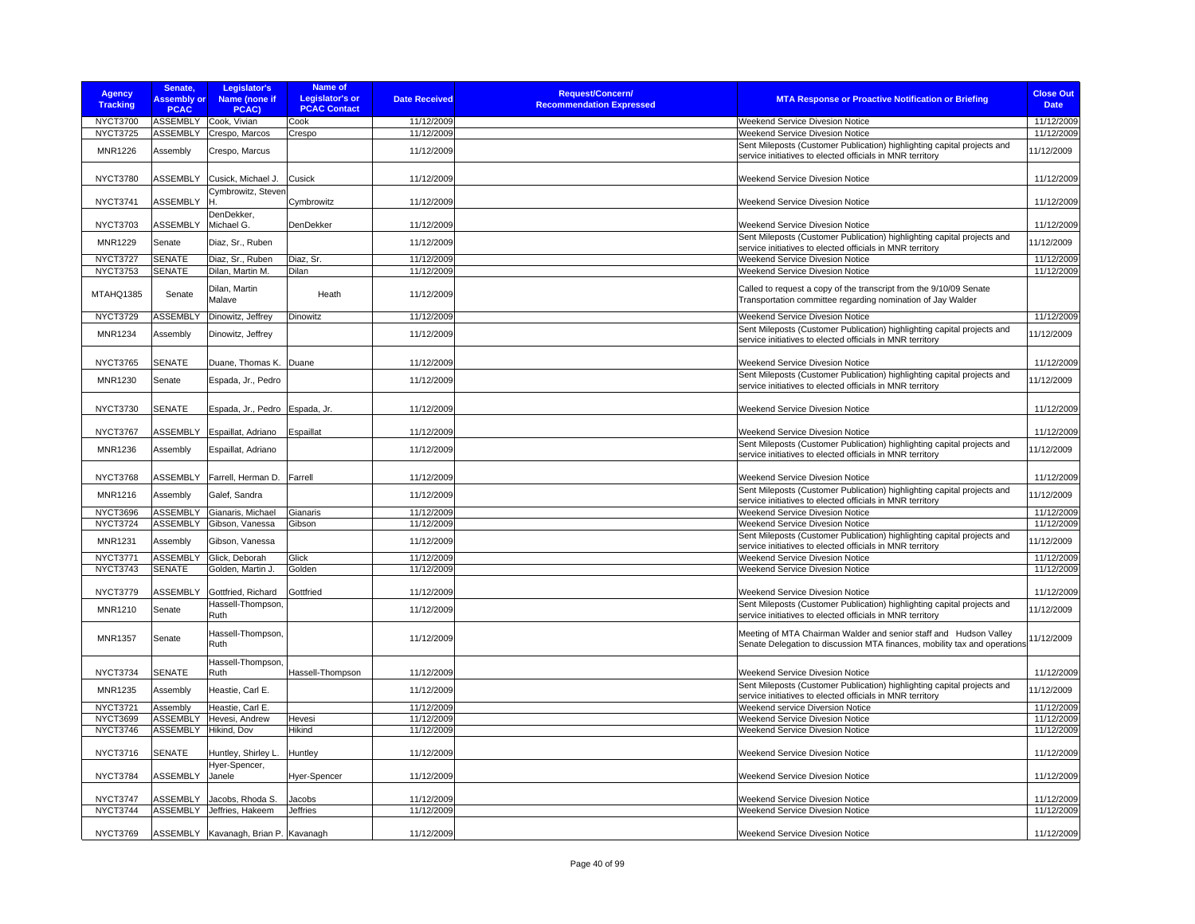| <b>Agency</b><br><b>Tracking</b>  | Senate,<br><b>Assembly or</b><br><b>PCAC</b> | Legislator's<br>Name (none if<br>PCAC) | Name of<br><b>Legislator's or</b><br><b>PCAC Contact</b> | <b>Date Received</b>     | <b>Request/Concern/</b><br><b>Recommendation Expressed</b> | <b>MTA Response or Proactive Notification or Briefing</b>                                                                                      | <b>Close Out</b><br><b>Date</b> |
|-----------------------------------|----------------------------------------------|----------------------------------------|----------------------------------------------------------|--------------------------|------------------------------------------------------------|------------------------------------------------------------------------------------------------------------------------------------------------|---------------------------------|
| NYCT3700                          | <b>ASSEMBLY</b>                              | Cook, Vivian                           | Cook                                                     | 11/12/2009               |                                                            | Weekend Service Divesion Notice                                                                                                                | 11/12/2009                      |
| <b>NYCT3725</b>                   | <b>ASSEMBLY</b>                              | Crespo, Marcos                         | Crespo                                                   | 11/12/2009               |                                                            | Weekend Service Divesion Notice                                                                                                                | 11/12/2009                      |
| <b>MNR1226</b>                    | Assembly                                     | Crespo, Marcus                         |                                                          | 11/12/2009               |                                                            | Sent Mileposts (Customer Publication) highlighting capital projects and<br>service initiatives to elected officials in MNR territory           | 11/12/2009                      |
| <b>NYCT3780</b>                   | <b>ASSEMBLY</b>                              | Cusick, Michael J.                     | Cusick                                                   | 11/12/2009               |                                                            | <b>Weekend Service Divesion Notice</b>                                                                                                         | 11/12/2009                      |
| <b>NYCT3741</b>                   | <b>ASSEMBLY</b>                              | Cymbrowitz, Steven                     | Cymbrowitz                                               | 11/12/2009               |                                                            | Weekend Service Divesion Notice                                                                                                                | 11/12/2009                      |
| <b>NYCT3703</b>                   | <b>ASSEMBLY</b>                              | DenDekker,<br>Michael G.               | DenDekker                                                | 11/12/2009               |                                                            | Weekend Service Divesion Notice                                                                                                                | 11/12/2009                      |
| <b>MNR1229</b>                    | Senate                                       | Diaz, Sr., Ruben                       |                                                          | 11/12/2009               |                                                            | Sent Mileposts (Customer Publication) highlighting capital projects and<br>service initiatives to elected officials in MNR territory           | 11/12/2009                      |
| <b>NYCT3727</b>                   | <b>SENATE</b>                                | Diaz, Sr., Ruben                       | Diaz, Sr.                                                | 11/12/2009               |                                                            | Weekend Service Divesion Notice                                                                                                                | 11/12/2009                      |
| <b>NYCT3753</b>                   | <b>SENATE</b>                                | Dilan, Martin M.                       | Dilan                                                    | 11/12/2009               |                                                            | Weekend Service Divesion Notice                                                                                                                | 11/12/2009                      |
| MTAHQ1385                         | Senate                                       | Dilan, Martin<br>Malave                | Heath                                                    | 11/12/2009               |                                                            | Called to request a copy of the transcript from the 9/10/09 Senate<br>Transportation committee regarding nomination of Jay Walder              |                                 |
| <b>NYCT3729</b>                   | <b>ASSEMBLY</b>                              | Dinowitz, Jeffrey                      | Dinowitz                                                 | 11/12/2009               |                                                            | Weekend Service Divesion Notice                                                                                                                | 11/12/2009                      |
| <b>MNR1234</b>                    | Assembly                                     | Dinowitz, Jeffrey                      |                                                          | 11/12/2009               |                                                            | Sent Mileposts (Customer Publication) highlighting capital projects and<br>service initiatives to elected officials in MNR territory           | 11/12/2009                      |
| NYCT3765                          | <b>SENATE</b>                                | Duane, Thomas K.                       | Duane                                                    | 11/12/2009               |                                                            | Weekend Service Divesion Notice                                                                                                                | 11/12/2009                      |
| <b>MNR1230</b>                    | Senate                                       | Espada, Jr., Pedro                     |                                                          | 11/12/2009               |                                                            | Sent Mileposts (Customer Publication) highlighting capital projects and<br>service initiatives to elected officials in MNR territory           | 11/12/2009                      |
| <b>NYCT3730</b>                   | <b>SENATE</b>                                | Espada, Jr., Pedro                     | Espada, Jr.                                              | 11/12/2009               |                                                            | <b>Weekend Service Divesion Notice</b>                                                                                                         | 11/12/2009                      |
| <b>NYCT3767</b>                   | <b>ASSEMBLY</b>                              | Espaillat, Adriano                     | Espaillat                                                | 11/12/2009               |                                                            | Weekend Service Divesion Notice                                                                                                                | 11/12/2009                      |
| <b>MNR1236</b>                    | Assembly                                     | Espaillat, Adriano                     |                                                          | 11/12/2009               |                                                            | Sent Mileposts (Customer Publication) highlighting capital projects and<br>service initiatives to elected officials in MNR territory           | 11/12/2009                      |
| NYCT3768                          | ASSEMBLY                                     | Farrell, Herman D.                     | Farrell                                                  | 11/12/2009               |                                                            | Weekend Service Divesion Notice                                                                                                                | 11/12/2009                      |
| MNR1216                           | Assembly                                     | Galef, Sandra                          |                                                          | 11/12/2009               |                                                            | Sent Mileposts (Customer Publication) highlighting capital projects and<br>service initiatives to elected officials in MNR territory           | 11/12/2009                      |
| NYCT3696                          | <b>ASSEMBLY</b>                              | Gianaris, Michael                      | Gianaris                                                 | 11/12/2009               |                                                            | <b>Weekend Service Divesion Notice</b>                                                                                                         | 11/12/2009                      |
| <b>NYCT3724</b>                   | <b>ASSEMBLY</b>                              | Gibson, Vanessa                        | Gibson                                                   | 11/12/2009               |                                                            | Weekend Service Divesion Notice<br>Sent Mileposts (Customer Publication) highlighting capital projects and                                     | 11/12/2009                      |
| <b>MNR1231</b><br><b>NYCT3771</b> | Assembly                                     | Gibson, Vanessa                        | Glick                                                    | 11/12/2009<br>11/12/2009 |                                                            | service initiatives to elected officials in MNR territory                                                                                      | 11/12/2009                      |
| <b>NYCT3743</b>                   | <b>ASSEMBLY</b><br><b>SENATE</b>             | Glick, Deborah<br>Golden, Martin J.    | Golden                                                   | 11/12/2009               |                                                            | Weekend Service Divesion Notice<br>Weekend Service Divesion Notice                                                                             | 11/12/2009<br>11/12/2009        |
|                                   |                                              |                                        |                                                          |                          |                                                            |                                                                                                                                                |                                 |
| <b>NYCT3779</b>                   | ASSEMBLY                                     | Gottfried, Richard                     | Gottfried                                                | 11/12/2009               |                                                            | Weekend Service Divesion Notice                                                                                                                | 11/12/2009                      |
| <b>MNR1210</b>                    | Senate                                       | Hassell-Thompson,<br>Ruth              |                                                          | 11/12/2009               |                                                            | Sent Mileposts (Customer Publication) highlighting capital projects and<br>service initiatives to elected officials in MNR territory           | 11/12/2009                      |
| <b>MNR1357</b>                    | Senate                                       | Hassell-Thompson,<br>Ruth              |                                                          | 11/12/2009               |                                                            | Meeting of MTA Chairman Walder and senior staff and Hudson Valley<br>Senate Delegation to discussion MTA finances, mobility tax and operations | 11/12/2009                      |
| NYCT3734                          | <b>SENATE</b>                                | Hassell-Thompson,<br>Ruth              | Hassell-Thompson                                         | 11/12/2009               |                                                            | Weekend Service Divesion Notice                                                                                                                | 11/12/2009                      |
| <b>MNR1235</b>                    | Assembly                                     | Heastie, Carl E.                       |                                                          | 11/12/2009               |                                                            | Sent Mileposts (Customer Publication) highlighting capital projects and<br>service initiatives to elected officials in MNR territory           | 11/12/2009                      |
| <b>NYCT3721</b>                   | Assembly                                     | Heastie, Carl E.                       |                                                          | 11/12/2009               |                                                            | Weekend service Diversion Notice                                                                                                               | 11/12/2009                      |
| <b>NYCT3699</b>                   | <b>ASSEMBLY</b>                              | Hevesi, Andrew                         | Hevesi                                                   | 11/12/2009               |                                                            | Weekend Service Divesion Notice                                                                                                                | 11/12/2009                      |
| NYCT3746                          | <b>ASSEMBLY</b>                              | Hikind, Dov                            | Hikind                                                   | 11/12/2009               |                                                            | <b>Weekend Service Divesion Notice</b>                                                                                                         | 11/12/2009                      |
| <b>NYCT3716</b>                   | <b>SENATE</b>                                | Huntley, Shirley L.<br>Hyer-Spencer,   | Huntley                                                  | 11/12/2009               |                                                            | <b>Weekend Service Divesion Notice</b>                                                                                                         | 11/12/2009                      |
| <b>NYCT3784</b>                   | <b>ASSEMBLY</b>                              | Janele                                 | Hyer-Spencer                                             | 11/12/2009               |                                                            | Weekend Service Divesion Notice                                                                                                                | 11/12/2009                      |
| NYCT3747                          | ASSEMBLY                                     | Jacobs, Rhoda S.                       | Jacobs                                                   | 11/12/2009               |                                                            | Weekend Service Divesion Notice                                                                                                                | 11/12/2009                      |
| <b>NYCT3744</b>                   |                                              | ASSEMBLY Jeffries, Hakeem              | <b>Jeffries</b>                                          | 11/12/2009               |                                                            | Weekend Service Divesion Notice                                                                                                                | 11/12/2009                      |
| NYCT3769                          |                                              | ASSEMBLY Kavanagh, Brian P. Kavanagh   |                                                          | 11/12/2009               |                                                            | Weekend Service Divesion Notice                                                                                                                | 11/12/2009                      |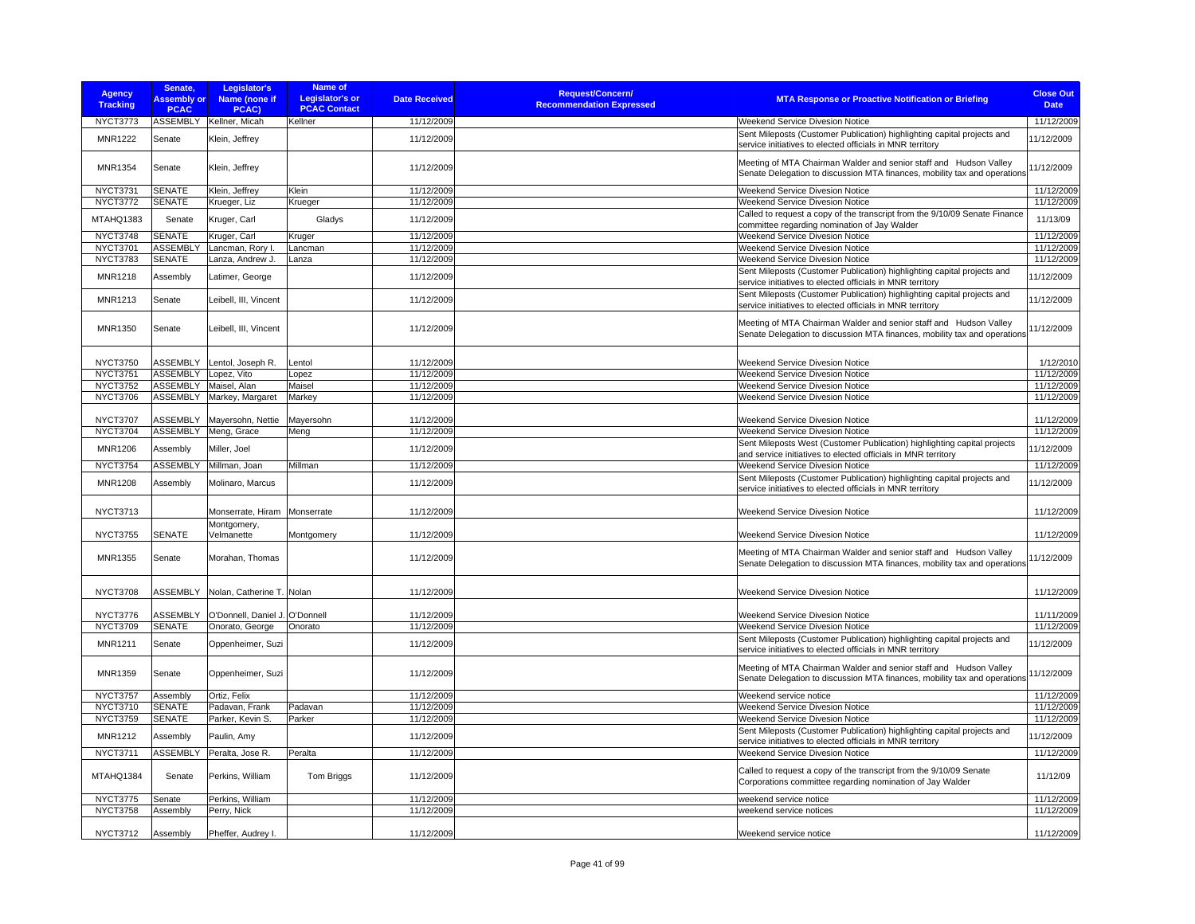| <b>Agency</b><br><b>Tracking</b> | Senate,<br><b>Assembly or</b><br><b>PCAC</b> | Legislator's<br>Name (none if<br>PCAC) | Name of<br><b>Legislator's or</b><br><b>PCAC Contact</b> | <b>Date Received</b> | Request/Concern/<br><b>Recommendation Expressed</b> | <b>MTA Response or Proactive Notification or Briefing</b>                                                                                      | <b>Close Out</b><br><b>Date</b> |
|----------------------------------|----------------------------------------------|----------------------------------------|----------------------------------------------------------|----------------------|-----------------------------------------------------|------------------------------------------------------------------------------------------------------------------------------------------------|---------------------------------|
| NYCT3773                         |                                              | ASSEMBLY Kellner, Micah                | Kellner                                                  | 11/12/2009           |                                                     | Weekend Service Divesion Notice                                                                                                                | 11/12/2009                      |
| <b>MNR1222</b>                   | Senate                                       | Klein, Jeffrey                         |                                                          | 11/12/2009           |                                                     | Sent Mileposts (Customer Publication) highlighting capital projects and<br>service initiatives to elected officials in MNR territory           | 11/12/2009                      |
| MNR1354                          | Senate                                       | Klein, Jeffrey                         |                                                          | 11/12/2009           |                                                     | Meeting of MTA Chairman Walder and senior staff and Hudson Valley<br>Senate Delegation to discussion MTA finances, mobility tax and operations | 11/12/2009                      |
| <b>NYCT3731</b>                  | <b>SENATE</b>                                | Klein, Jeffrey                         | Klein                                                    | 11/12/2009           |                                                     | Weekend Service Divesion Notice                                                                                                                | 11/12/2009                      |
| NYCT3772                         | <b>SENATE</b>                                | Krueger, Liz                           | Krueger                                                  | 11/12/2009           |                                                     | <b>Weekend Service Divesion Notice</b>                                                                                                         | 11/12/2009                      |
| MTAHQ1383                        | Senate                                       | Kruger, Carl                           | Gladys                                                   | 11/12/2009           |                                                     | Called to request a copy of the transcript from the 9/10/09 Senate Finance<br>committee regarding nomination of Jay Walder                     | 11/13/09                        |
| NYCT3748                         | <b>SENATE</b>                                | Kruger, Carl                           | Kruger                                                   | 11/12/2009           |                                                     | Weekend Service Divesion Notice                                                                                                                | 11/12/2009                      |
| <b>NYCT3701</b>                  | <b>ASSEMBLY</b>                              | Lancman, Rory I.                       | Lancman                                                  | 11/12/2009           |                                                     | <b>Weekend Service Divesion Notice</b>                                                                                                         | 11/12/2009                      |
| <b>NYCT3783</b>                  | <b>SENATE</b>                                | Lanza, Andrew J.                       | Lanza                                                    | 11/12/2009           |                                                     | Weekend Service Divesion Notice                                                                                                                | 11/12/2009                      |
| <b>MNR1218</b>                   | Assembly                                     | Latimer, George                        |                                                          | 11/12/2009           |                                                     | Sent Mileposts (Customer Publication) highlighting capital projects and<br>service initiatives to elected officials in MNR territory           | 11/12/2009                      |
| <b>MNR1213</b>                   | Senate                                       | Leibell, III, Vincent                  |                                                          | 11/12/2009           |                                                     | Sent Mileposts (Customer Publication) highlighting capital projects and<br>service initiatives to elected officials in MNR territory           | 11/12/2009                      |
| MNR1350                          | Senate                                       | Leibell, III, Vincent                  |                                                          | 11/12/2009           |                                                     | Meeting of MTA Chairman Walder and senior staff and Hudson Valley<br>Senate Delegation to discussion MTA finances, mobility tax and operations | 11/12/2009                      |
| <b>NYCT3750</b>                  | <b>ASSEMBLY</b>                              | Lentol, Joseph R.                      | Lentol                                                   | 11/12/2009           |                                                     | Weekend Service Divesion Notice                                                                                                                | 1/12/2010                       |
| <b>NYCT3751</b>                  | <b>ASSEMBLY</b>                              | Lopez, Vito                            | Lopez                                                    | 11/12/2009           |                                                     | Weekend Service Divesion Notice                                                                                                                | 11/12/2009                      |
| <b>NYCT3752</b>                  | <b>ASSEMBLY</b>                              | Maisel, Alan                           | Maisel                                                   | 11/12/2009           |                                                     | <b>Weekend Service Divesion Notice</b>                                                                                                         | 11/12/2009                      |
| <b>NYCT3706</b>                  | <b>ASSEMBLY</b>                              | Markey, Margaret                       | Markey                                                   | 11/12/2009           |                                                     | Weekend Service Divesion Notice                                                                                                                | 11/12/2009                      |
|                                  |                                              |                                        |                                                          |                      |                                                     |                                                                                                                                                |                                 |
| <b>NYCT3707</b>                  | <b>ASSEMBLY</b>                              | Mayersohn, Nettie                      | Mayersohn                                                | 11/12/2009           |                                                     | <b>Weekend Service Divesion Notice</b>                                                                                                         | 11/12/2009                      |
| <b>NYCT3704</b>                  | <b>ASSEMBLY</b>                              | Meng, Grace                            | Meng                                                     | 11/12/2009           |                                                     | Weekend Service Divesion Notice                                                                                                                | 11/12/2009                      |
| <b>MNR1206</b>                   | Assembly                                     | Miller, Joel                           |                                                          | 11/12/2009           |                                                     | Sent Mileposts West (Customer Publication) highlighting capital projects<br>and service initiatives to elected officials in MNR territory      | 11/12/2009                      |
| <b>NYCT3754</b>                  | <b>ASSEMBLY</b>                              | Millman, Joan                          | Millman                                                  | 11/12/2009           |                                                     | Weekend Service Divesion Notice                                                                                                                | 11/12/2009                      |
| <b>MNR1208</b>                   | Assembly                                     | Molinaro, Marcus                       |                                                          | 11/12/2009           |                                                     | Sent Mileposts (Customer Publication) highlighting capital projects and<br>service initiatives to elected officials in MNR territory           | 11/12/2009                      |
| <b>NYCT3713</b>                  |                                              | Monserrate, Hiram                      | Monserrate                                               | 11/12/2009           |                                                     | <b>Weekend Service Divesion Notice</b>                                                                                                         | 11/12/2009                      |
| <b>NYCT3755</b>                  | <b>SENATE</b>                                | Montgomery,<br>Velmanette              | Montgomery                                               | 11/12/2009           |                                                     | <b>Weekend Service Divesion Notice</b>                                                                                                         | 11/12/2009                      |
| MNR1355                          | Senate                                       | Morahan, Thomas                        |                                                          | 11/12/2009           |                                                     | Meeting of MTA Chairman Walder and senior staff and Hudson Valley<br>Senate Delegation to discussion MTA finances, mobility tax and operations | 11/12/2009                      |
| <b>NYCT3708</b>                  | ASSEMBLY                                     | Nolan, Catherine T.                    | Nolan                                                    | 11/12/2009           |                                                     | <b>Weekend Service Divesion Notice</b>                                                                                                         | 11/12/2009                      |
| NYCT3776                         | <b>ASSEMBLY</b>                              | O'Donnell, Daniel J. O'Donnell         |                                                          | 11/12/2009           |                                                     | Weekend Service Divesion Notice                                                                                                                | 11/11/2009                      |
| <b>NYCT3709</b>                  | SENATE                                       | Onorato, George                        | Onorato                                                  | 11/12/2009           |                                                     | Weekend Service Divesion Notice                                                                                                                | 11/12/2009                      |
| MNR1211                          | Senate                                       | Oppenheimer, Suzi                      |                                                          | 11/12/2009           |                                                     | Sent Mileposts (Customer Publication) highlighting capital projects and<br>service initiatives to elected officials in MNR territory           | 11/12/2009                      |
| <b>MNR1359</b>                   | Senate                                       | Oppenheimer, Suzi                      |                                                          | 11/12/2009           |                                                     | Meeting of MTA Chairman Walder and senior staff and Hudson Valley<br>Senate Delegation to discussion MTA finances, mobility tax and operations | 11/12/2009                      |
| <b>NYCT3757</b>                  | Assembly                                     | Ortiz, Felix                           |                                                          | 11/12/2009           |                                                     | Weekend service notice                                                                                                                         | 11/12/2009                      |
| <b>NYCT3710</b>                  | <b>SENATE</b>                                | Padavan, Frank                         | Padavan                                                  | 11/12/2009           |                                                     | Weekend Service Divesion Notice                                                                                                                | 11/12/2009                      |
| <b>NYCT3759</b>                  | <b>SENATE</b>                                | Parker, Kevin S.                       | Parker                                                   | 11/12/2009           |                                                     | Weekend Service Divesion Notice                                                                                                                | 11/12/2009                      |
| MNR1212                          | Assembly                                     | Paulin, Amy                            |                                                          | 11/12/2009           |                                                     | Sent Mileposts (Customer Publication) highlighting capital projects and<br>service initiatives to elected officials in MNR territory           | 11/12/2009                      |
| <b>NYCT3711</b>                  | <b>ASSEMBLY</b>                              | Peralta, Jose R.                       | Peralta                                                  | 11/12/2009           |                                                     | Weekend Service Divesion Notice                                                                                                                | 11/12/2009                      |
| MTAHQ1384                        | Senate                                       | Perkins, William                       | <b>Tom Briggs</b>                                        | 11/12/2009           |                                                     | Called to request a copy of the transcript from the 9/10/09 Senate<br>Corporations committee regarding nomination of Jay Walder                | 11/12/09                        |
| <b>NYCT3775</b>                  | Senate                                       | Perkins, William                       |                                                          | 11/12/2009           |                                                     | weekend service notice                                                                                                                         | 11/12/2009                      |
| <b>NYCT3758</b>                  | Assembly                                     | Perry, Nick                            |                                                          | 11/12/2009           |                                                     | weekend service notices                                                                                                                        | 11/12/2009                      |
| <b>NYCT3712</b>                  | Assembly                                     | Pheffer, Audrey I.                     |                                                          | 11/12/2009           |                                                     | Weekend service notice                                                                                                                         | 11/12/2009                      |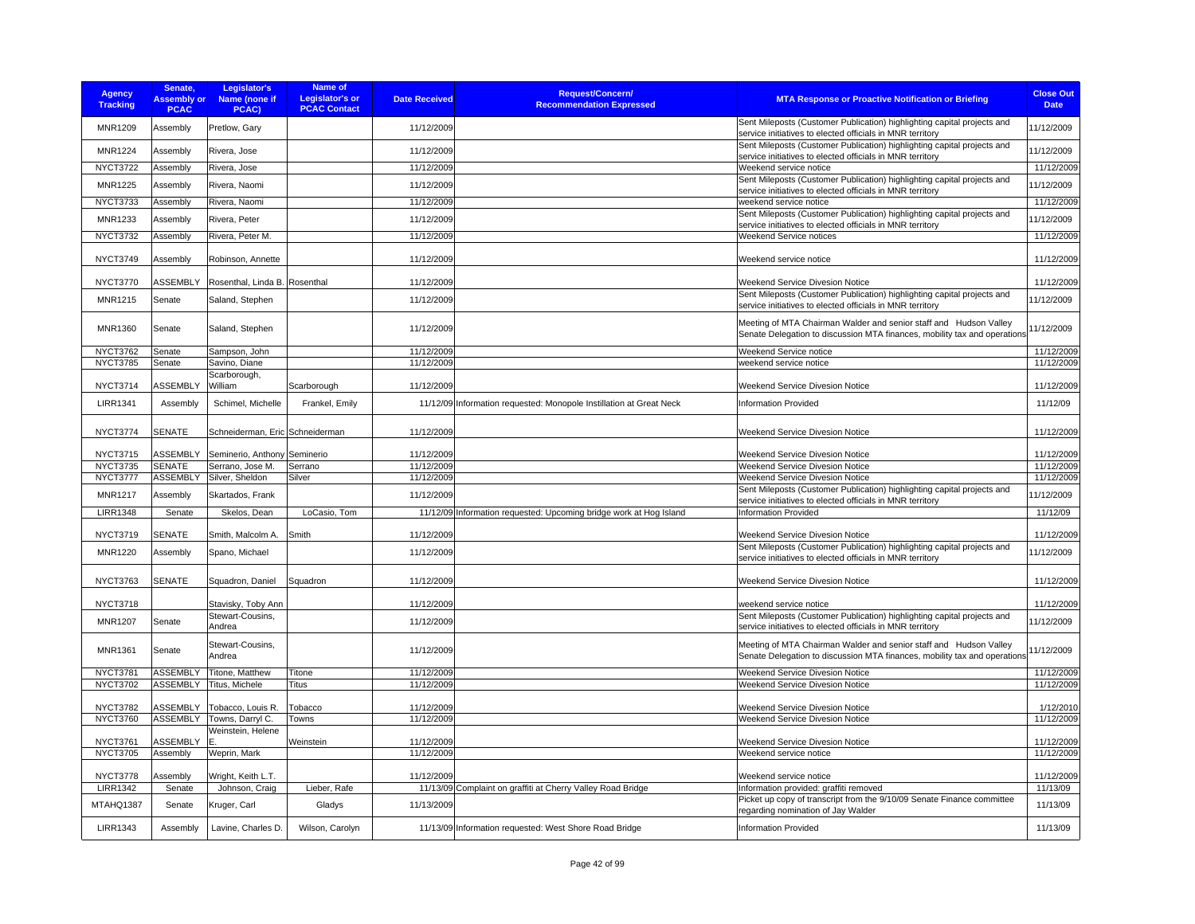| <b>Agency</b><br><b>Tracking</b>   | Senate,<br><b>Assembly or</b><br><b>PCAC</b> | Legislator's<br>Name (none if<br>PCAC) | Name of<br><b>Legislator's or</b><br><b>PCAC Contact</b> | <b>Date Received</b>     | <b>Request/Concern/</b><br><b>Recommendation Expressed</b>          | <b>MTA Response or Proactive Notification or Briefing</b>                                                                                      | <b>Close Out</b><br><b>Date</b> |
|------------------------------------|----------------------------------------------|----------------------------------------|----------------------------------------------------------|--------------------------|---------------------------------------------------------------------|------------------------------------------------------------------------------------------------------------------------------------------------|---------------------------------|
| MNR1209                            | Assembly                                     | Pretlow, Gary                          |                                                          | 11/12/2009               |                                                                     | Sent Mileposts (Customer Publication) highlighting capital projects and<br>service initiatives to elected officials in MNR territory           | 11/12/2009                      |
| <b>MNR1224</b>                     | Assembly                                     | Rivera, Jose                           |                                                          | 11/12/2009               |                                                                     | Sent Mileposts (Customer Publication) highlighting capital projects and<br>service initiatives to elected officials in MNR territory           | 11/12/2009                      |
| <b>NYCT3722</b>                    | Assembly                                     | Rivera, Jose                           |                                                          | 11/12/2009               |                                                                     | Weekend service notice                                                                                                                         | 11/12/2009                      |
| <b>MNR1225</b>                     | Assembly                                     | Rivera, Naomi                          |                                                          | 11/12/2009               |                                                                     | Sent Mileposts (Customer Publication) highlighting capital projects and<br>service initiatives to elected officials in MNR territory           | 11/12/2009                      |
| <b>NYCT3733</b>                    | Assembly                                     | Rivera, Naomi                          |                                                          | 11/12/2009               |                                                                     | weekend service notice                                                                                                                         | 11/12/2009                      |
| <b>MNR1233</b>                     | Assembly                                     | Rivera, Peter                          |                                                          | 11/12/2009               |                                                                     | Sent Mileposts (Customer Publication) highlighting capital projects and<br>service initiatives to elected officials in MNR territory           | 11/12/2009                      |
| <b>NYCT3732</b>                    | Assembly                                     | Rivera, Peter M.                       |                                                          | 11/12/2009               |                                                                     | Weekend Service notices                                                                                                                        | 11/12/2009                      |
| <b>NYCT3749</b>                    | Assembly                                     | Robinson, Annette                      |                                                          | 11/12/2009               |                                                                     | Weekend service notice                                                                                                                         | 11/12/2009                      |
| <b>NYCT3770</b>                    | <b>ASSEMBLY</b>                              | Rosenthal, Linda B. Rosenthal          |                                                          | 11/12/2009               |                                                                     | Weekend Service Divesion Notice                                                                                                                | 11/12/2009                      |
| MNR1215                            | Senate                                       | Saland, Stephen                        |                                                          | 11/12/2009               |                                                                     | Sent Mileposts (Customer Publication) highlighting capital projects and<br>service initiatives to elected officials in MNR territory           | 11/12/2009                      |
| MNR1360                            | Senate                                       | Saland, Stephen                        |                                                          | 11/12/2009               |                                                                     | Meeting of MTA Chairman Walder and senior staff and Hudson Valley<br>Senate Delegation to discussion MTA finances, mobility tax and operations | 11/12/2009                      |
| <b>NYCT3762</b>                    | Senate                                       | Sampson, John                          |                                                          | 11/12/2009               |                                                                     | Weekend Service notice                                                                                                                         | 11/12/2009                      |
| <b>NYCT3785</b>                    | Senate                                       | Savino, Diane                          |                                                          | 11/12/2009               |                                                                     | weekend service notice                                                                                                                         | 11/12/2009                      |
| <b>NYCT3714</b>                    | <b>ASSEMBLY</b>                              | Scarborough,<br>William                | Scarborough                                              | 11/12/2009               |                                                                     | Weekend Service Divesion Notice                                                                                                                | 11/12/2009                      |
| <b>LIRR1341</b>                    | Assembly                                     | Schimel, Michelle                      | Frankel, Emily                                           |                          | 11/12/09 Information requested: Monopole Instillation at Great Neck | <b>Information Provided</b>                                                                                                                    | 11/12/09                        |
| NYCT3774                           | <b>SENATE</b>                                | Schneiderman, Eric Schneiderman        |                                                          | 11/12/2009               |                                                                     | Weekend Service Divesion Notice                                                                                                                | 11/12/2009                      |
| <b>NYCT3715</b>                    | <b>ASSEMBLY</b>                              | Seminerio, Anthony                     | Seminerio                                                | 11/12/2009               |                                                                     | Weekend Service Divesion Notice                                                                                                                | 11/12/2009                      |
| <b>NYCT3735</b>                    | <b>SENATE</b>                                | Serrano, Jose M.                       | Serrano                                                  | 11/12/2009               |                                                                     | Weekend Service Divesion Notice                                                                                                                | 11/12/2009                      |
| NYCT3777                           | <b>ASSEMBLY</b>                              | Silver, Sheldon                        | Silver                                                   | 11/12/2009               |                                                                     | Weekend Service Divesion Notice                                                                                                                | 11/12/2009                      |
| <b>MNR1217</b>                     | Assembly                                     | Skartados, Frank                       |                                                          | 11/12/2009               |                                                                     | Sent Mileposts (Customer Publication) highlighting capital projects and<br>service initiatives to elected officials in MNR territory           | 11/12/2009                      |
| <b>LIRR1348</b>                    | Senate                                       | Skelos, Dean                           | LoCasio, Tom                                             |                          | 11/12/09 Information requested: Upcoming bridge work at Hog Island  | Information Provided                                                                                                                           | 11/12/09                        |
| <b>NYCT3719</b>                    | <b>SENATE</b>                                | Smith, Malcolm A.                      | Smith                                                    | 11/12/2009               |                                                                     | Weekend Service Divesion Notice                                                                                                                | 11/12/2009                      |
| <b>MNR1220</b>                     | Assembly                                     |                                        |                                                          | 11/12/2009               |                                                                     | Sent Mileposts (Customer Publication) highlighting capital projects and                                                                        | 11/12/2009                      |
|                                    |                                              | Spano, Michael                         |                                                          |                          |                                                                     | service initiatives to elected officials in MNR territory                                                                                      |                                 |
| <b>NYCT3763</b>                    | <b>SENATE</b>                                | Squadron, Daniel                       | Squadron                                                 | 11/12/2009               |                                                                     | Weekend Service Divesion Notice                                                                                                                | 11/12/2009                      |
| <b>NYCT3718</b>                    |                                              | Stavisky, Toby Ann                     |                                                          | 11/12/2009               |                                                                     | weekend service notice                                                                                                                         | 11/12/2009                      |
| <b>MNR1207</b>                     | Senate                                       | Stewart-Cousins.                       |                                                          | 11/12/2009               |                                                                     | Sent Mileposts (Customer Publication) highlighting capital projects and                                                                        | 11/12/2009                      |
| MNR1361                            |                                              | Andrea<br>Stewart-Cousins,             |                                                          |                          |                                                                     | service initiatives to elected officials in MNR territory<br>Meeting of MTA Chairman Walder and senior staff and Hudson Valley                 |                                 |
| <b>NYCT3781</b>                    | Senate                                       | Andrea                                 |                                                          | 11/12/2009<br>11/12/2009 |                                                                     | Senate Delegation to discussion MTA finances, mobility tax and operations                                                                      | 11/12/2009<br>11/12/2009        |
| <b>NYCT3702</b>                    | <b>ASSEMBLY</b><br><b>ASSEMBLY</b>           | Titone, Matthew<br>Titus, Michele      | Titone<br>Titus                                          | 11/12/2009               |                                                                     | Weekend Service Divesion Notice<br>Weekend Service Divesion Notice                                                                             | 11/12/2009                      |
|                                    |                                              |                                        |                                                          |                          |                                                                     |                                                                                                                                                |                                 |
| <b>NYCT3782</b><br><b>NYCT3760</b> | <b>ASSEMBLY</b><br><b>ASSEMBLY</b>           | Tobacco, Louis R.<br>Towns, Darryl C.  | Tobacco<br>Towns                                         | 11/12/2009<br>11/12/2009 |                                                                     | <b>Weekend Service Divesion Notice</b><br>Weekend Service Divesion Notice                                                                      | 1/12/2010<br>11/12/2009         |
|                                    |                                              |                                        |                                                          |                          |                                                                     |                                                                                                                                                |                                 |
| <b>NYCT3761</b>                    | <b>ASSEMBLY</b>                              | Weinstein, Helene                      | Weinstein                                                | 11/12/2009               |                                                                     | Weekend Service Divesion Notice                                                                                                                | 11/12/2009                      |
| <b>NYCT3705</b>                    | Assembly                                     | Weprin, Mark                           |                                                          | 11/12/2009               |                                                                     | Weekend service notice                                                                                                                         | 11/12/2009                      |
| NYCT3778                           | Assembly                                     | Wright, Keith L.T.                     |                                                          | 11/12/2009               |                                                                     | Weekend service notice                                                                                                                         | 11/12/2009                      |
| <b>LIRR1342</b>                    | Senate                                       | Johnson, Craig                         | Lieber, Rafe                                             |                          | 11/13/09 Complaint on graffiti at Cherry Valley Road Bridge         | Information provided: graffiti removed                                                                                                         | 11/13/09                        |
| MTAHQ1387                          | Senate                                       | Kruger, Carl                           | Gladys                                                   | 11/13/2009               |                                                                     | Picket up copy of transcript from the 9/10/09 Senate Finance committee<br>regarding nomination of Jay Walder                                   | 11/13/09                        |
| <b>LIRR1343</b>                    | Assembly                                     | Lavine, Charles D.                     | Wilson, Carolyn                                          |                          | 11/13/09 Information requested: West Shore Road Bridge              | <b>Information Provided</b>                                                                                                                    | 11/13/09                        |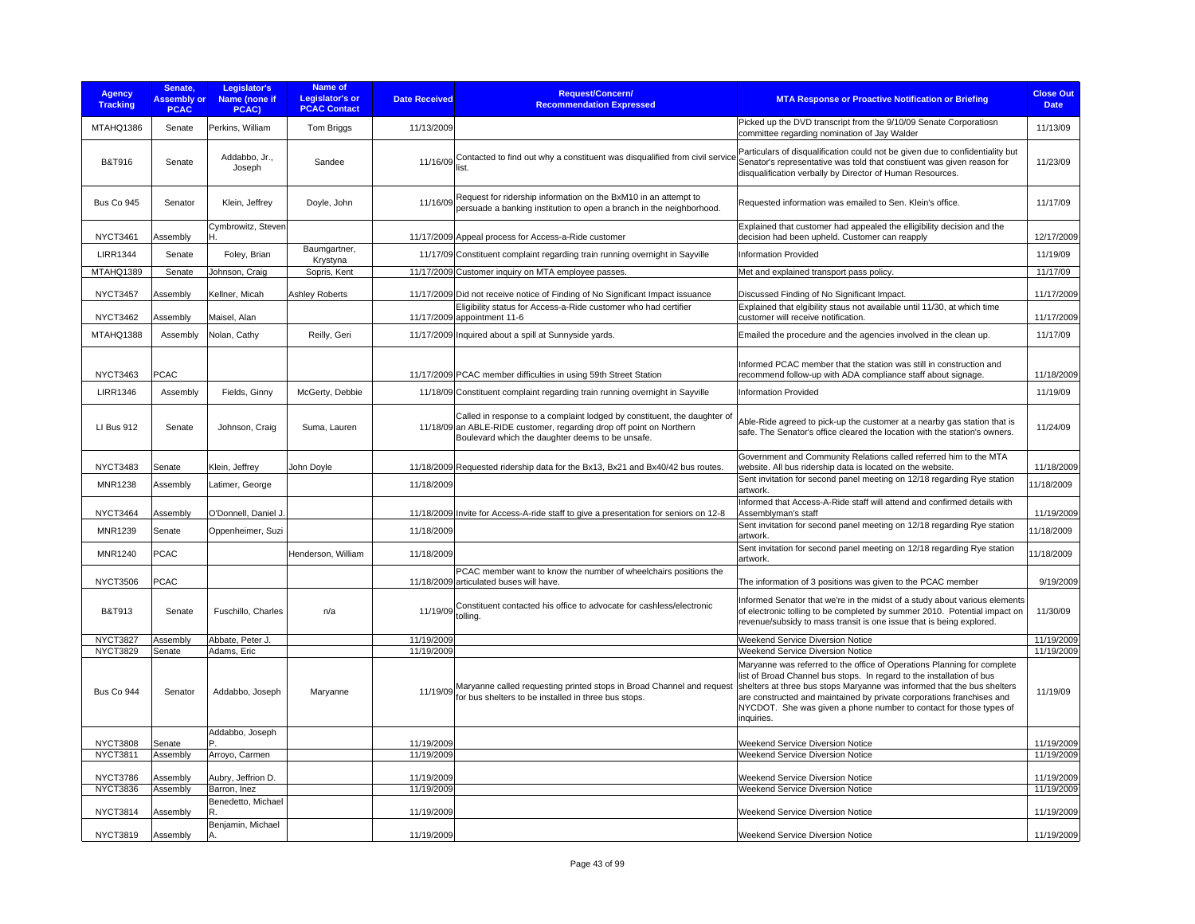| <b>Agency</b><br><b>Tracking</b> | Senate,<br><b>Assembly or</b><br><b>PCAC</b> | Legislator's<br>Name (none if<br>PCAC) | Name of<br>Legislator's or<br><b>PCAC Contact</b> | <b>Date Received</b> | <b>Request/Concern/</b><br><b>Recommendation Expressed</b>                                                                                                                                           | <b>MTA Response or Proactive Notification or Briefing</b>                                                                                                                                                                                                                                                                                                                                | <b>Close Out</b><br><b>Date</b> |
|----------------------------------|----------------------------------------------|----------------------------------------|---------------------------------------------------|----------------------|------------------------------------------------------------------------------------------------------------------------------------------------------------------------------------------------------|------------------------------------------------------------------------------------------------------------------------------------------------------------------------------------------------------------------------------------------------------------------------------------------------------------------------------------------------------------------------------------------|---------------------------------|
| MTAHQ1386                        | Senate                                       | Perkins, William                       | Tom Briggs                                        | 11/13/2009           |                                                                                                                                                                                                      | Picked up the DVD transcript from the 9/10/09 Senate Corporatiosn<br>committee regarding nomination of Jay Walder                                                                                                                                                                                                                                                                        | 11/13/09                        |
| <b>B&amp;T916</b>                | Senate                                       | Addabbo, Jr.,<br>Joseph                | Sandee                                            | 11/16/09             | Contacted to find out why a constituent was disqualified from civil service<br>list.                                                                                                                 | Particulars of disqualification could not be given due to confidentiality but<br>Senator's representative was told that constiuent was given reason for<br>disqualification verbally by Director of Human Resources.                                                                                                                                                                     | 11/23/09                        |
| Bus Co 945                       | Senator                                      | Klein, Jeffrey                         | Doyle, John                                       | 11/16/09             | Request for ridership information on the BxM10 in an attempt to<br>persuade a banking institution to open a branch in the neighborhood.                                                              | Requested information was emailed to Sen. Klein's office.                                                                                                                                                                                                                                                                                                                                | 11/17/09                        |
| <b>NYCT3461</b>                  | Assembly                                     | Cymbrowitz, Steven<br>н                |                                                   |                      | 11/17/2009 Appeal process for Access-a-Ride customer                                                                                                                                                 | Explained that customer had appealed the elligibility decision and the<br>decision had been upheld. Customer can reapply                                                                                                                                                                                                                                                                 | 12/17/2009                      |
| <b>LIRR1344</b>                  | Senate                                       | Foley, Brian                           | Baumgartner,<br>Krystyna                          |                      | 11/17/09 Constituent complaint regarding train running overnight in Sayville                                                                                                                         | <b>Information Provided</b>                                                                                                                                                                                                                                                                                                                                                              | 11/19/09                        |
| MTAHQ1389                        | Senate                                       | Johnson, Craig                         | Sopris, Kent                                      |                      | 11/17/2009 Customer inquiry on MTA employee passes.                                                                                                                                                  | Met and explained transport pass policy.                                                                                                                                                                                                                                                                                                                                                 | 11/17/09                        |
| <b>NYCT3457</b>                  | Assembly                                     | Kellner, Micah                         | Ashley Roberts                                    |                      | 11/17/2009 Did not receive notice of Finding of No Significant Impact issuance                                                                                                                       | Discussed Finding of No Significant Impact.                                                                                                                                                                                                                                                                                                                                              | 11/17/2009                      |
| <b>NYCT3462</b>                  | Assembly                                     | Maisel, Alan                           |                                                   |                      | Eligibility status for Access-a-Ride customer who had certifier<br>11/17/2009 appointment 11-6                                                                                                       | Explained that elgibility staus not available until 11/30, at which time<br>customer will receive notification.                                                                                                                                                                                                                                                                          | 11/17/2009                      |
| MTAHQ1388                        | Assembly                                     | Nolan, Cathy                           | Reilly, Geri                                      |                      | 11/17/2009 Inquired about a spill at Sunnyside yards.                                                                                                                                                | Emailed the procedure and the agencies involved in the clean up.                                                                                                                                                                                                                                                                                                                         | 11/17/09                        |
| NYCT3463                         | <b>PCAC</b>                                  |                                        |                                                   |                      | 11/17/2009 PCAC member difficulties in using 59th Street Station                                                                                                                                     | Informed PCAC member that the station was still in construction and<br>recommend follow-up with ADA compliance staff about signage.                                                                                                                                                                                                                                                      | 11/18/2009                      |
| <b>LIRR1346</b>                  | Assembly                                     | Fields, Ginny                          | McGerty, Debbie                                   |                      | 11/18/09 Constituent complaint regarding train running overnight in Sayville                                                                                                                         | Information Provided                                                                                                                                                                                                                                                                                                                                                                     | 11/19/09                        |
| LI Bus 912                       | Senate                                       | Johnson, Craig                         | Suma, Lauren                                      |                      | Called in response to a complaint lodged by constituent, the daughter of<br>11/18/09 an ABLE-RIDE customer, regarding drop off point on Northern<br>Boulevard which the daughter deems to be unsafe. | Able-Ride agreed to pick-up the customer at a nearby gas station that is<br>safe. The Senator's office cleared the location with the station's owners.                                                                                                                                                                                                                                   | 11/24/09                        |
| <b>NYCT3483</b>                  | Senate                                       | Klein, Jeffrey                         | John Doyle                                        |                      | 11/18/2009 Requested ridership data for the Bx13, Bx21 and Bx40/42 bus routes                                                                                                                        | Government and Community Relations called referred him to the MTA<br>website. All bus ridership data is located on the website.                                                                                                                                                                                                                                                          | 11/18/2009                      |
| <b>MNR1238</b>                   | Assembly                                     | Latimer, George                        |                                                   | 11/18/2009           |                                                                                                                                                                                                      | Sent invitation for second panel meeting on 12/18 regarding Rye station<br>artwork.                                                                                                                                                                                                                                                                                                      | 11/18/2009                      |
| NYCT3464                         | Assembly                                     | O'Donnell, Daniel J.                   |                                                   |                      | 11/18/2009 Invite for Access-A-ride staff to give a presentation for seniors on 12-8                                                                                                                 | Informed that Access-A-Ride staff will attend and confirmed details with<br>Assemblyman's staff                                                                                                                                                                                                                                                                                          | 11/19/2009                      |
| <b>MNR1239</b>                   | Senate                                       | Oppenheimer, Suzi                      |                                                   | 11/18/2009           |                                                                                                                                                                                                      | Sent invitation for second panel meeting on 12/18 regarding Rye station<br>artwork.                                                                                                                                                                                                                                                                                                      | 11/18/2009                      |
| <b>MNR1240</b>                   | <b>PCAC</b>                                  |                                        | Henderson, William                                | 11/18/2009           |                                                                                                                                                                                                      | Sent invitation for second panel meeting on 12/18 regarding Rye station<br>artwork.                                                                                                                                                                                                                                                                                                      | 11/18/2009                      |
| <b>NYCT3506</b>                  | <b>PCAC</b>                                  |                                        |                                                   |                      | PCAC member want to know the number of wheelchairs positions the<br>11/18/2009 articulated buses will have.                                                                                          | The information of 3 positions was given to the PCAC member                                                                                                                                                                                                                                                                                                                              | 9/19/2009                       |
| <b>B&amp;T913</b>                | Senate                                       | Fuschillo, Charles                     | n/a                                               |                      | 11/19/09 Constituent contacted his office to advocate for cashless/electronic<br>tolling.                                                                                                            | Informed Senator that we're in the midst of a study about various elements<br>of electronic tolling to be completed by summer 2010. Potential impact on<br>revenue/subsidy to mass transit is one issue that is being explored.                                                                                                                                                          | 11/30/09                        |
| <b>NYCT3827</b>                  | Assembly                                     | Abbate, Peter J.                       |                                                   | 11/19/2009           |                                                                                                                                                                                                      | Weekend Service Diversion Notice                                                                                                                                                                                                                                                                                                                                                         | 11/19/2009                      |
| <b>NYCT3829</b>                  | Senate                                       | Adams, Eric                            |                                                   | 11/19/2009           |                                                                                                                                                                                                      | Weekend Service Diversion Notice                                                                                                                                                                                                                                                                                                                                                         | 11/19/2009                      |
| Bus Co 944                       | Senator                                      | Addabbo, Joseph                        | Maryanne                                          | 11/19/09             | Maryanne called requesting printed stops in Broad Channel and request<br>for bus shelters to be installed in three bus stops.                                                                        | Maryanne was referred to the office of Operations Planning for complete<br>list of Broad Channel bus stops. In regard to the installation of bus<br>shelters at three bus stops Maryanne was informed that the bus shelters<br>are constructed and maintained by private corporations franchises and<br>NYCDOT. She was given a phone number to contact for those types of<br>inquiries. | 11/19/09                        |
| <b>NYCT3808</b>                  | Senate                                       | Addabbo, Joseph                        |                                                   | 11/19/2009           |                                                                                                                                                                                                      | <b>Weekend Service Diversion Notice</b>                                                                                                                                                                                                                                                                                                                                                  | 11/19/2009                      |
| <b>NYCT3811</b>                  | Assembly                                     | Arroyo, Carmen                         |                                                   | 11/19/2009           |                                                                                                                                                                                                      | Weekend Service Diversion Notice                                                                                                                                                                                                                                                                                                                                                         | 11/19/2009                      |
| <b>NYCT3786</b>                  | Assembly                                     | Aubry, Jeffrion D.                     |                                                   | 11/19/2009           |                                                                                                                                                                                                      | Weekend Service Diversion Notice                                                                                                                                                                                                                                                                                                                                                         | 11/19/2009                      |
| <b>NYCT3836</b>                  | Assembly                                     | Barron, Inez                           |                                                   | 11/19/2009           |                                                                                                                                                                                                      | Weekend Service Diversion Notice                                                                                                                                                                                                                                                                                                                                                         | 11/19/2009                      |
| <b>NYCT3814</b>                  | Assembly                                     | Benedetto, Michael                     |                                                   | 11/19/2009           |                                                                                                                                                                                                      | Weekend Service Diversion Notice                                                                                                                                                                                                                                                                                                                                                         | 11/19/2009                      |
| <b>NYCT3819</b>                  | Assembly                                     | Benjamin, Michael<br>Α.                |                                                   | 11/19/2009           |                                                                                                                                                                                                      | Weekend Service Diversion Notice                                                                                                                                                                                                                                                                                                                                                         | 11/19/2009                      |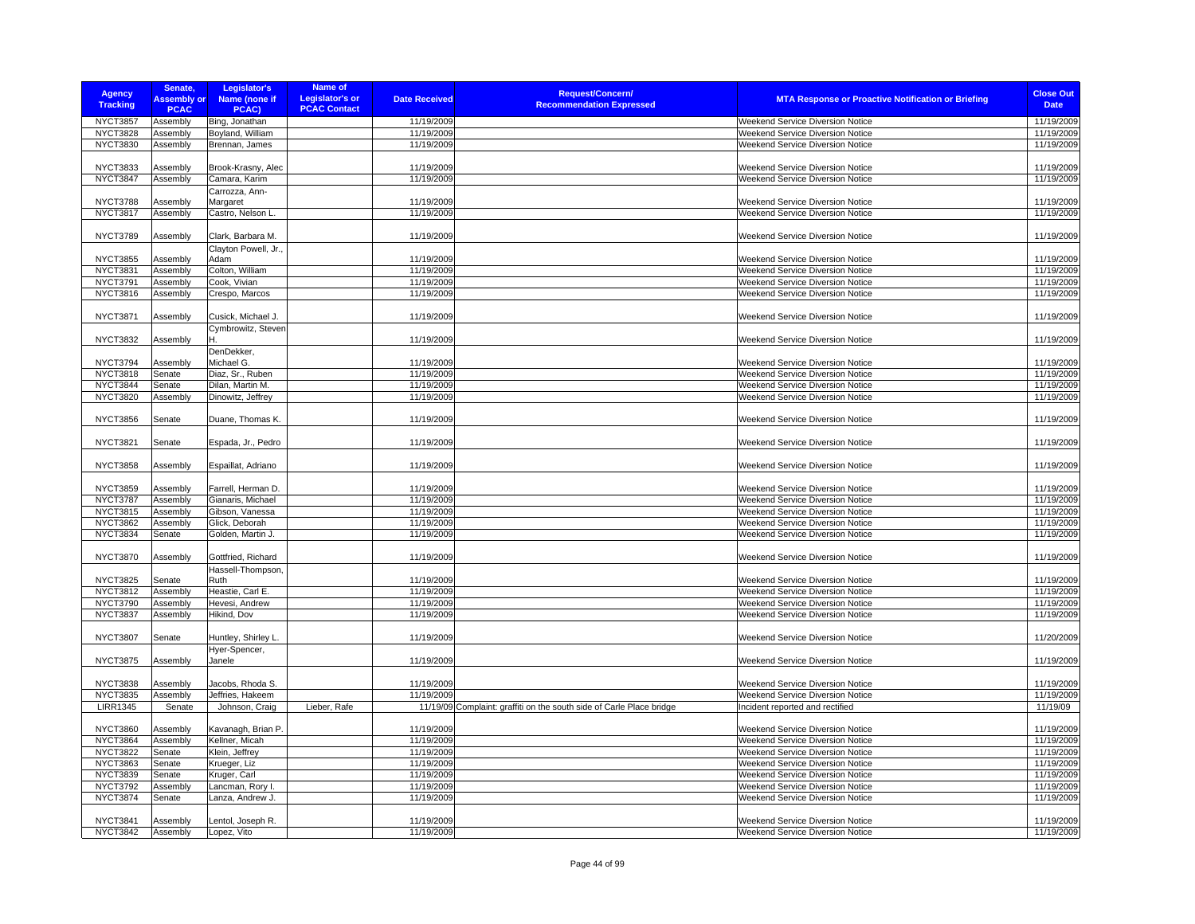| <b>Agency</b><br><b>Tracking</b> | Senate,<br><b>Assembly or</b><br><b>PCAC</b> | Legislator's<br>Name (none if<br>PCAC) | Name of<br><b>Legislator's or</b><br><b>PCAC Contact</b> | <b>Date Received</b> | Request/Concern/<br><b>Recommendation Expressed</b>                  | <b>MTA Response or Proactive Notification or Briefing</b> | <b>Close Out</b><br><b>Date</b> |
|----------------------------------|----------------------------------------------|----------------------------------------|----------------------------------------------------------|----------------------|----------------------------------------------------------------------|-----------------------------------------------------------|---------------------------------|
| <b>NYCT3857</b>                  | Assembly                                     | Bing, Jonathan                         |                                                          | 11/19/2009           |                                                                      | Weekend Service Diversion Notice                          | 11/19/2009                      |
| <b>NYCT3828</b>                  | Assembly                                     | Boyland, William                       |                                                          | 11/19/2009           |                                                                      | Weekend Service Diversion Notice                          | 11/19/2009                      |
| <b>NYCT3830</b>                  | Assembly                                     | Brennan, James                         |                                                          | 11/19/2009           |                                                                      | Weekend Service Diversion Notice                          | 11/19/2009                      |
|                                  |                                              |                                        |                                                          |                      |                                                                      |                                                           |                                 |
| <b>NYCT3833</b>                  | Assembly                                     | Brook-Krasny, Alec                     |                                                          | 11/19/2009           |                                                                      | Weekend Service Diversion Notice                          | 11/19/2009                      |
| <b>NYCT3847</b>                  | Assembly                                     | Camara, Karim                          |                                                          | 11/19/2009           |                                                                      | <b>Weekend Service Diversion Notice</b>                   | 11/19/2009                      |
|                                  |                                              | Carrozza, Ann-                         |                                                          |                      |                                                                      |                                                           |                                 |
| <b>NYCT3788</b>                  | Assembly                                     | Margaret                               |                                                          | 11/19/2009           |                                                                      | <b>Weekend Service Diversion Notice</b>                   | 11/19/2009                      |
| <b>NYCT3817</b>                  | Assembly                                     | Castro, Nelson L.                      |                                                          | 11/19/2009           |                                                                      | Weekend Service Diversion Notice                          | 11/19/2009                      |
|                                  |                                              |                                        |                                                          |                      |                                                                      |                                                           |                                 |
| <b>NYCT3789</b>                  | Assembly                                     | Clark, Barbara M.                      |                                                          | 11/19/2009           |                                                                      | Weekend Service Diversion Notice                          | 11/19/2009                      |
|                                  |                                              | Clayton Powell, Jr.,                   |                                                          |                      |                                                                      |                                                           |                                 |
| <b>NYCT3855</b>                  | Assembly                                     | Adam                                   |                                                          | 11/19/2009           |                                                                      | Weekend Service Diversion Notice                          | 11/19/2009                      |
| <b>NYCT3831</b>                  | Assembly                                     | Colton, William                        |                                                          | 11/19/2009           |                                                                      | Weekend Service Diversion Notice                          | 11/19/2009                      |
| <b>NYCT3791</b>                  | Assembly                                     | Cook, Vivian                           |                                                          | 11/19/2009           |                                                                      | Weekend Service Diversion Notice                          | 11/19/2009                      |
| <b>NYCT3816</b>                  | Assembly                                     | Crespo, Marcos                         |                                                          | 11/19/2009           |                                                                      | Weekend Service Diversion Notice                          | 11/19/2009                      |
|                                  |                                              |                                        |                                                          |                      |                                                                      |                                                           |                                 |
| <b>NYCT3871</b>                  | Assembly                                     | Cusick, Michael J.                     |                                                          | 11/19/2009           |                                                                      | Weekend Service Diversion Notice                          | 11/19/2009                      |
|                                  |                                              | Cymbrowitz, Steven                     |                                                          |                      |                                                                      |                                                           |                                 |
| <b>NYCT3832</b>                  | Assembly                                     | н                                      |                                                          | 11/19/2009           |                                                                      | Weekend Service Diversion Notice                          | 11/19/2009                      |
|                                  |                                              | DenDekker,                             |                                                          |                      |                                                                      |                                                           |                                 |
| <b>NYCT3794</b>                  | Assembly                                     | Michael G.                             |                                                          | 11/19/2009           |                                                                      | Weekend Service Diversion Notice                          | 11/19/2009                      |
| <b>NYCT3818</b>                  | Senate                                       | Diaz, Sr., Ruben                       |                                                          | 11/19/2009           |                                                                      | Weekend Service Diversion Notice                          | 11/19/2009                      |
| <b>NYCT3844</b>                  | Senate                                       | Dilan, Martin M.                       |                                                          | 11/19/2009           |                                                                      | Weekend Service Diversion Notice                          | 11/19/2009                      |
| <b>NYCT3820</b>                  | Assembly                                     | Dinowitz, Jeffrey                      |                                                          | 11/19/2009           |                                                                      | Weekend Service Diversion Notice                          | 11/19/2009                      |
|                                  |                                              |                                        |                                                          |                      |                                                                      |                                                           |                                 |
|                                  |                                              |                                        |                                                          |                      |                                                                      |                                                           |                                 |
| <b>NYCT3856</b>                  | Senate                                       | Duane, Thomas K.                       |                                                          | 11/19/2009           |                                                                      | Weekend Service Diversion Notice                          | 11/19/2009                      |
|                                  |                                              |                                        |                                                          |                      |                                                                      |                                                           |                                 |
| <b>NYCT3821</b>                  | Senate                                       | Espada, Jr., Pedro                     |                                                          | 11/19/2009           |                                                                      | Weekend Service Diversion Notice                          | 11/19/2009                      |
|                                  |                                              |                                        |                                                          |                      |                                                                      |                                                           |                                 |
| <b>NYCT3858</b>                  | Assembly                                     | Espaillat, Adriano                     |                                                          | 11/19/2009           |                                                                      | Weekend Service Diversion Notice                          | 11/19/2009                      |
|                                  |                                              |                                        |                                                          |                      |                                                                      |                                                           |                                 |
| <b>NYCT3859</b>                  | Assembly                                     | Farrell, Herman D                      |                                                          | 11/19/2009           |                                                                      | Weekend Service Diversion Notice                          | 11/19/2009                      |
| <b>NYCT3787</b>                  | Assembly                                     | Gianaris, Michael                      |                                                          | 11/19/2009           |                                                                      | Weekend Service Diversion Notice                          | 11/19/2009                      |
| <b>NYCT3815</b>                  | Assembly                                     | Gibson, Vanessa                        |                                                          | 11/19/2009           |                                                                      | <b>Weekend Service Diversion Notice</b>                   | 11/19/2009                      |
| <b>NYCT3862</b>                  | Assembly                                     | Glick, Deborah                         |                                                          | 11/19/2009           |                                                                      | Weekend Service Diversion Notice                          | 11/19/2009                      |
| <b>NYCT3834</b>                  | Senate                                       | Golden, Martin J.                      |                                                          | 11/19/2009           |                                                                      | <b>Weekend Service Diversion Notice</b>                   | 11/19/2009                      |
|                                  |                                              |                                        |                                                          |                      |                                                                      |                                                           |                                 |
| <b>NYCT3870</b>                  | Assembly                                     | Gottfried, Richard                     |                                                          | 11/19/2009           |                                                                      | Weekend Service Diversion Notice                          | 11/19/2009                      |
|                                  |                                              | Hassell-Thompson,                      |                                                          |                      |                                                                      |                                                           |                                 |
| <b>NYCT3825</b>                  | Senate                                       | Ruth                                   |                                                          | 11/19/2009           |                                                                      | Weekend Service Diversion Notice                          | 11/19/2009                      |
| <b>NYCT3812</b>                  | Assembly                                     | Heastie, Carl E.                       |                                                          | 11/19/2009           |                                                                      | Weekend Service Diversion Notice                          | 11/19/2009                      |
| <b>NYCT3790</b>                  | Assembly                                     | Hevesi, Andrew                         |                                                          | 11/19/2009           |                                                                      | Weekend Service Diversion Notice                          | 11/19/2009                      |
| <b>NYCT3837</b>                  | Assembly                                     | Hikind, Dov                            |                                                          | 11/19/2009           |                                                                      | Weekend Service Diversion Notice                          | 11/19/2009                      |
|                                  |                                              |                                        |                                                          |                      |                                                                      |                                                           |                                 |
| <b>NYCT3807</b>                  | Senate                                       | Huntley, Shirley L.                    |                                                          | 11/19/2009           |                                                                      | <b>Weekend Service Diversion Notice</b>                   | 11/20/2009                      |
|                                  |                                              | Hyer-Spencer,                          |                                                          |                      |                                                                      |                                                           |                                 |
| <b>NYCT3875</b>                  | Assembly                                     | Janele                                 |                                                          | 11/19/2009           |                                                                      | Weekend Service Diversion Notice                          | 11/19/2009                      |
|                                  |                                              |                                        |                                                          |                      |                                                                      |                                                           |                                 |
| <b>NYCT3838</b>                  | Assembly                                     | Jacobs, Rhoda S.                       |                                                          | 11/19/2009           |                                                                      | Weekend Service Diversion Notice                          | 11/19/2009                      |
| <b>NYCT3835</b>                  | Assembly                                     | Jeffries, Hakeem                       |                                                          | 11/19/2009           |                                                                      | Weekend Service Diversion Notice                          | 11/19/2009                      |
| <b>LIRR1345</b>                  | Senate                                       | Johnson, Craig                         | Lieber, Rafe                                             |                      | 11/19/09 Complaint: graffiti on the south side of Carle Place bridge | Incident reported and rectified                           | 11/19/09                        |
|                                  |                                              |                                        |                                                          |                      |                                                                      |                                                           |                                 |
| <b>NYCT3860</b>                  | Assembly                                     | Kavanagh, Brian P                      |                                                          | 11/19/2009           |                                                                      | Weekend Service Diversion Notice                          | 11/19/2009                      |
| NYCT3864                         | Assembly                                     | Kellner, Micah                         |                                                          | 11/19/2009           |                                                                      | Weekend Service Diversion Notice                          | 11/19/2009                      |
| <b>NYCT3822</b>                  | Senate                                       | Klein, Jeffrey                         |                                                          | 11/19/2009           |                                                                      | Weekend Service Diversion Notice                          | 11/19/2009                      |
| <b>NYCT3863</b>                  | Senate                                       | Krueger, Liz                           |                                                          | 11/19/2009           |                                                                      | Weekend Service Diversion Notice                          | 11/19/2009                      |
| <b>NYCT3839</b>                  | Senate                                       | Kruger, Carl                           |                                                          | 11/19/2009           |                                                                      | Weekend Service Diversion Notice                          | 11/19/2009                      |
| <b>NYCT3792</b>                  | Assembly                                     | Lancman, Rory I.                       |                                                          | 11/19/2009           |                                                                      | Weekend Service Diversion Notice                          | 11/19/2009                      |
| <b>NYCT3874</b>                  | Senate                                       | Lanza, Andrew J.                       |                                                          | 11/19/2009           |                                                                      | Weekend Service Diversion Notice                          | 11/19/2009                      |
|                                  |                                              |                                        |                                                          |                      |                                                                      |                                                           |                                 |
| <b>NYCT3841</b>                  | Assembly                                     | Lentol, Joseph R.                      |                                                          | 11/19/2009           |                                                                      | Weekend Service Diversion Notice                          | 11/19/2009                      |
| <b>NYCT3842</b>                  | Assembly                                     | Lopez, Vito                            |                                                          | 11/19/2009           |                                                                      | Weekend Service Diversion Notice                          | 11/19/2009                      |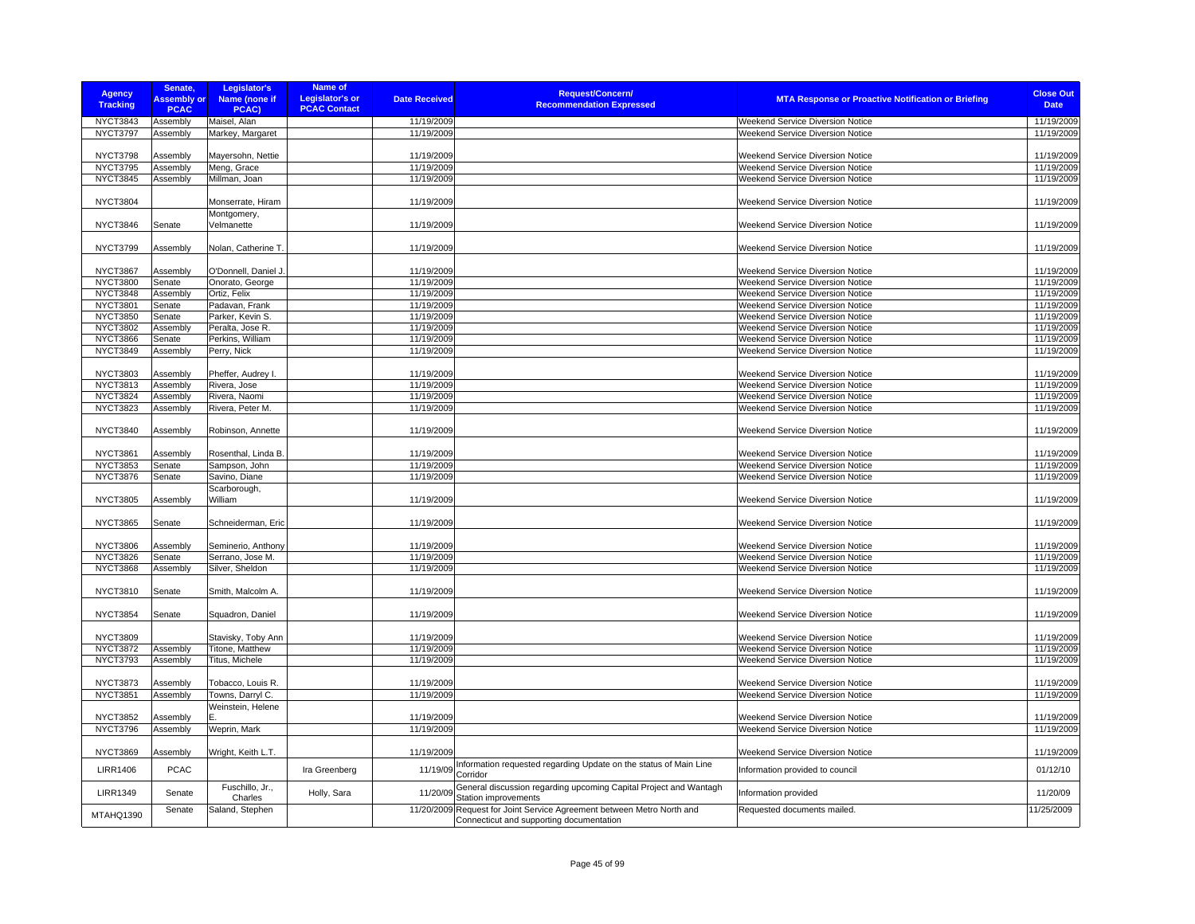| <b>Agency</b><br><b>Tracking</b>   | Senate,<br><b>Assembly or</b><br><b>PCAC</b> | Legislator's<br>Name (none if<br>PCAC) | Name of<br><b>Legislator's or</b><br><b>PCAC Contact</b> | <b>Date Received</b>     | <b>Request/Concern/</b><br><b>Recommendation Expressed</b>                                                         | <b>MTA Response or Proactive Notification or Briefing</b>                   | <b>Close Out</b><br><b>Date</b> |
|------------------------------------|----------------------------------------------|----------------------------------------|----------------------------------------------------------|--------------------------|--------------------------------------------------------------------------------------------------------------------|-----------------------------------------------------------------------------|---------------------------------|
| <b>NYCT3843</b>                    | Assembly                                     | Maisel, Alan                           |                                                          | 11/19/2009               |                                                                                                                    | Weekend Service Diversion Notice                                            | 11/19/2009                      |
| NYCT3797                           | Assembly                                     | Markey, Margaret                       |                                                          | 11/19/2009               |                                                                                                                    | <b>Weekend Service Diversion Notice</b>                                     | 11/19/2009                      |
|                                    |                                              |                                        |                                                          |                          |                                                                                                                    |                                                                             |                                 |
| <b>NYCT3798</b><br><b>NYCT3795</b> | Assembly<br>Assembly                         | Mayersohn, Nettie<br>Meng, Grace       |                                                          | 11/19/2009<br>11/19/2009 |                                                                                                                    | <b>Weekend Service Diversion Notice</b><br>Weekend Service Diversion Notice | 11/19/2009<br>11/19/2009        |
| <b>NYCT3845</b>                    | Assembly                                     | Millman, Joan                          |                                                          | 11/19/2009               |                                                                                                                    | Weekend Service Diversion Notice                                            | 11/19/2009                      |
|                                    |                                              |                                        |                                                          |                          |                                                                                                                    |                                                                             |                                 |
| <b>NYCT3804</b>                    |                                              | Monserrate, Hiram                      |                                                          | 11/19/2009               |                                                                                                                    | Weekend Service Diversion Notice                                            | 11/19/2009                      |
| <b>NYCT3846</b>                    | Senate                                       | Montgomery,<br>Velmanette              |                                                          | 11/19/2009               |                                                                                                                    | <b>Weekend Service Diversion Notice</b>                                     | 11/19/2009                      |
| <b>NYCT3799</b>                    | Assembly                                     | Nolan, Catherine T.                    |                                                          | 11/19/2009               |                                                                                                                    | <b>Weekend Service Diversion Notice</b>                                     | 11/19/2009                      |
| NYCT3867                           | Assembly                                     | O'Donnell, Daniel J.                   |                                                          | 11/19/2009               |                                                                                                                    | <b>Weekend Service Diversion Notice</b>                                     | 11/19/2009                      |
| <b>NYCT3800</b>                    | Senate                                       | Onorato, George                        |                                                          | 11/19/2009               |                                                                                                                    | <b>Weekend Service Diversion Notice</b>                                     | 11/19/2009                      |
| <b>NYCT3848</b>                    | Assembly                                     | Ortiz, Felix                           |                                                          | 11/19/2009               |                                                                                                                    | Weekend Service Diversion Notice                                            | 11/19/2009                      |
| <b>NYCT3801</b>                    | Senate                                       | Padavan, Frank                         |                                                          | 11/19/2009               |                                                                                                                    | Weekend Service Diversion Notice                                            | 11/19/2009                      |
| <b>NYCT3850</b>                    | Senate                                       | Parker, Kevin S.                       |                                                          | 11/19/2009               |                                                                                                                    | Weekend Service Diversion Notice                                            | 11/19/2009                      |
| <b>NYCT3802</b>                    | Assembly                                     | Peralta, Jose R.                       |                                                          | 11/19/2009               |                                                                                                                    | Weekend Service Diversion Notice                                            | 11/19/2009                      |
| <b>NYCT3866</b>                    | Senate                                       | Perkins, William                       |                                                          | 11/19/2009               |                                                                                                                    | <b>Weekend Service Diversion Notice</b>                                     | 11/19/2009                      |
| <b>NYCT3849</b>                    | Assembly                                     | Perry, Nick                            |                                                          | 11/19/2009               |                                                                                                                    | Weekend Service Diversion Notice                                            | 11/19/2009                      |
|                                    |                                              |                                        |                                                          |                          |                                                                                                                    |                                                                             |                                 |
| <b>NYCT3803</b>                    | Assembly                                     | Pheffer, Audrey I.                     |                                                          | 11/19/2009               |                                                                                                                    | <b>Weekend Service Diversion Notice</b>                                     | 11/19/2009                      |
| <b>NYCT3813</b>                    | Assembly                                     | Rivera, Jose                           |                                                          | 11/19/2009               |                                                                                                                    | Weekend Service Diversion Notice                                            | 11/19/2009                      |
| <b>NYCT3824</b>                    | Assembly                                     | Rivera, Naomi                          |                                                          | 11/19/2009               |                                                                                                                    | Weekend Service Diversion Notice                                            | 11/19/2009                      |
| <b>NYCT3823</b>                    | Assembly                                     | Rivera, Peter M.                       |                                                          | 11/19/2009               |                                                                                                                    | Weekend Service Diversion Notice                                            | 11/19/2009                      |
| <b>NYCT3840</b>                    | Assembly                                     | Robinson, Annette                      |                                                          | 11/19/2009               |                                                                                                                    | <b>Weekend Service Diversion Notice</b>                                     | 11/19/2009                      |
| <b>NYCT3861</b>                    | Assembly                                     | Rosenthal, Linda B                     |                                                          | 11/19/2009               |                                                                                                                    | <b>Weekend Service Diversion Notice</b>                                     | 11/19/2009                      |
| <b>NYCT3853</b>                    | Senate                                       | Sampson, John                          |                                                          | 11/19/2009               |                                                                                                                    | Weekend Service Diversion Notice                                            | 11/19/2009                      |
| <b>NYCT3876</b>                    | Senate                                       | Savino, Diane                          |                                                          | 11/19/2009               |                                                                                                                    | Weekend Service Diversion Notice                                            | 11/19/2009                      |
| <b>NYCT3805</b>                    | Assembly                                     | Scarborough,<br>William                |                                                          | 11/19/2009               |                                                                                                                    | Weekend Service Diversion Notice                                            | 11/19/2009                      |
|                                    |                                              |                                        |                                                          |                          |                                                                                                                    |                                                                             |                                 |
| <b>NYCT3865</b>                    | Senate                                       | Schneiderman, Eric                     |                                                          | 11/19/2009               |                                                                                                                    | <b>Weekend Service Diversion Notice</b>                                     | 11/19/2009                      |
| <b>NYCT3806</b>                    | Assembly                                     | Seminerio, Anthony                     |                                                          | 11/19/2009               |                                                                                                                    | <b>Weekend Service Diversion Notice</b>                                     | 11/19/2009                      |
| <b>NYCT3826</b>                    | Senate                                       | Serrano, Jose M.                       |                                                          | 11/19/2009               |                                                                                                                    | Weekend Service Diversion Notice                                            | 11/19/2009                      |
| <b>NYCT3868</b>                    | Assembly                                     | Silver, Sheldon                        |                                                          | 11/19/2009               |                                                                                                                    | Weekend Service Diversion Notice                                            | 11/19/2009                      |
| <b>NYCT3810</b>                    | Senate                                       | Smith, Malcolm A.                      |                                                          | 11/19/2009               |                                                                                                                    | Weekend Service Diversion Notice                                            | 11/19/2009                      |
| <b>NYCT3854</b>                    | Senate                                       | Squadron, Daniel                       |                                                          | 11/19/2009               |                                                                                                                    | Weekend Service Diversion Notice                                            | 11/19/2009                      |
| <b>NYCT3809</b>                    |                                              | Stavisky, Toby Ann                     |                                                          | 11/19/2009               |                                                                                                                    | <b>Weekend Service Diversion Notice</b>                                     | 11/19/2009                      |
| <b>NYCT3872</b>                    | Assembly                                     | Titone, Matthew                        |                                                          | 11/19/2009               |                                                                                                                    | <b>Weekend Service Diversion Notice</b>                                     | 11/19/2009                      |
| <b>NYCT3793</b>                    | Assembly                                     | Titus, Michele                         |                                                          | 11/19/2009               |                                                                                                                    | <b>Weekend Service Diversion Notice</b>                                     | 11/19/2009                      |
| <b>NYCT3873</b>                    | Assembly                                     | Tobacco, Louis R.                      |                                                          | 11/19/2009               |                                                                                                                    | Weekend Service Diversion Notice                                            | 11/19/2009                      |
| <b>NYCT3851</b>                    | Assembly                                     | Towns, Darryl C.                       |                                                          | 11/19/2009               |                                                                                                                    | Weekend Service Diversion Notice                                            | 11/19/2009                      |
|                                    |                                              | Weinstein, Helene                      |                                                          |                          |                                                                                                                    |                                                                             |                                 |
| <b>NYCT3852</b>                    | Assembly                                     | Е.                                     |                                                          | 11/19/2009               |                                                                                                                    | <b>Weekend Service Diversion Notice</b>                                     | 11/19/2009                      |
| NYCT3796                           | Assembly                                     | Weprin, Mark                           |                                                          | 11/19/2009               |                                                                                                                    | Weekend Service Diversion Notice                                            | 11/19/2009                      |
| <b>NYCT3869</b>                    | Assembly                                     | Wright, Keith L.T.                     |                                                          | 11/19/2009               |                                                                                                                    | Weekend Service Diversion Notice                                            | 11/19/2009                      |
| <b>LIRR1406</b>                    | <b>PCAC</b>                                  |                                        | Ira Greenberg                                            | 11/19/09                 | Information requested regarding Update on the status of Main Line<br>Corridor                                      | Information provided to council                                             | 01/12/10                        |
| <b>LIRR1349</b>                    | Senate                                       | Fuschillo, Jr.,<br>Charles             | Holly, Sara                                              | 11/20/09                 | General discussion regarding upcoming Capital Project and Wantagh<br>Station improvements                          | Information provided                                                        | 11/20/09                        |
| MTAHQ1390                          | Senate                                       | Saland, Stephen                        |                                                          |                          | 11/20/2009 Request for Joint Service Agreement between Metro North and<br>Connecticut and supporting documentation | Requested documents mailed.                                                 | 11/25/2009                      |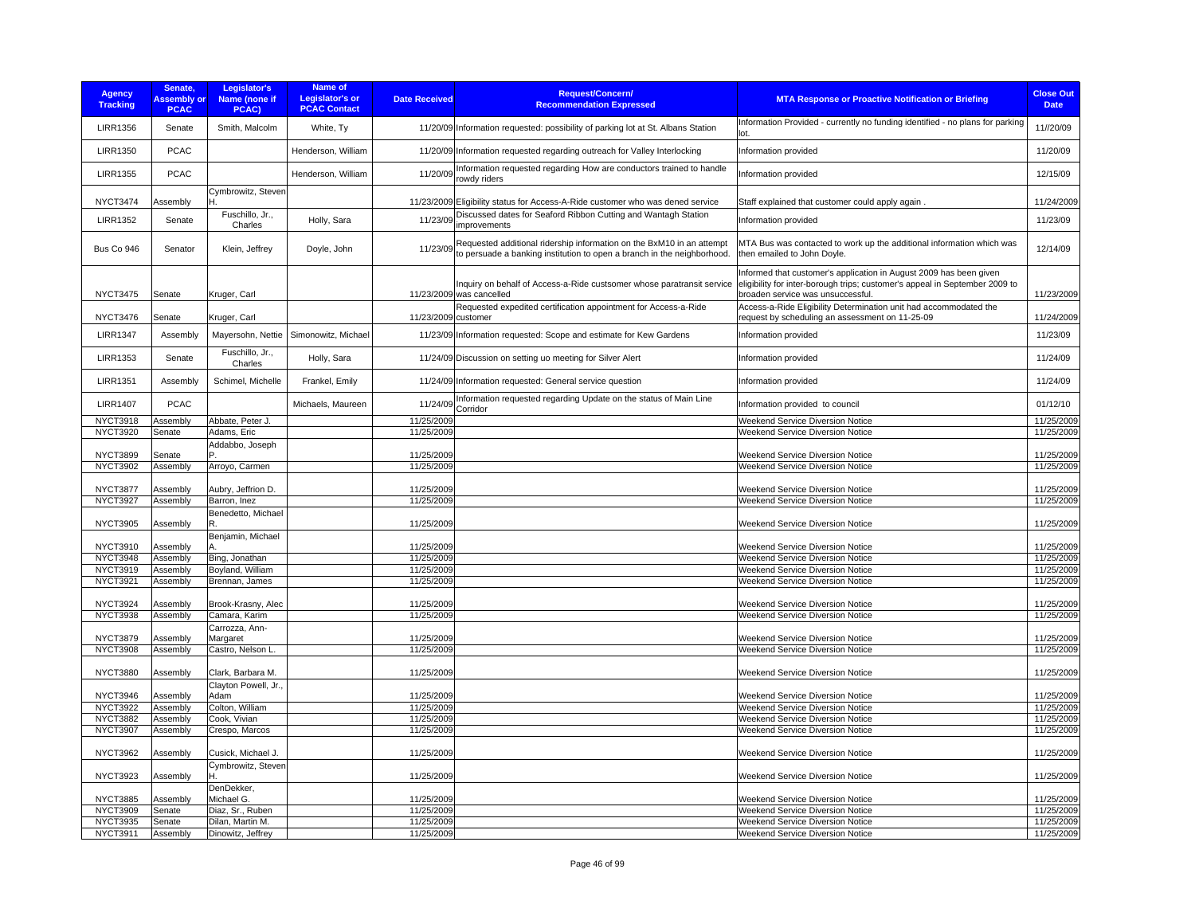| <b>Agency</b><br><b>Tracking</b> | Senate,<br><b>Assembly or</b><br><b>PCAC</b> | Legislator's<br>Name (none if<br>PCAC) | Name of<br><b>Legislator's or</b><br><b>PCAC Contact</b> | <b>Date Received</b> | <b>Request/Concern/</b><br><b>Recommendation Expressed</b>                                                                                       | <b>MTA Response or Proactive Notification or Briefing</b>                                                                                                                              | <b>Close Out</b><br><b>Date</b> |
|----------------------------------|----------------------------------------------|----------------------------------------|----------------------------------------------------------|----------------------|--------------------------------------------------------------------------------------------------------------------------------------------------|----------------------------------------------------------------------------------------------------------------------------------------------------------------------------------------|---------------------------------|
| <b>LIRR1356</b>                  | Senate                                       | Smith, Malcolm                         | White, Ty                                                |                      | 11/20/09 Information requested: possibility of parking lot at St. Albans Station                                                                 | Information Provided - currently no funding identified - no plans for parking<br>lot.                                                                                                  | 11//20/09                       |
| <b>LIRR1350</b>                  | <b>PCAC</b>                                  |                                        | Henderson, William                                       |                      | 11/20/09 Information requested regarding outreach for Valley Interlocking                                                                        | Information provided                                                                                                                                                                   | 11/20/09                        |
| <b>LIRR1355</b>                  | <b>PCAC</b>                                  |                                        | Henderson, William                                       | 11/20/09             | Information requested regarding How are conductors trained to handle<br>rowdy riders                                                             | Information provided                                                                                                                                                                   | 12/15/09                        |
| <b>NYCT3474</b>                  | Assembly                                     | Cymbrowitz, Steven                     |                                                          |                      | 11/23/2009 Eligibility status for Access-A-Ride customer who was dened service                                                                   | Staff explained that customer could apply again                                                                                                                                        | 11/24/2009                      |
| <b>LIRR1352</b>                  | Senate                                       | Fuschillo, Jr.,<br>Charles             | Holly, Sara                                              | 11/23/09             | Discussed dates for Seaford Ribbon Cutting and Wantagh Station<br>improvements                                                                   | Information provided                                                                                                                                                                   | 11/23/09                        |
| Bus Co 946                       | Senator                                      | Klein, Jeffrey                         | Doyle, John                                              | 11/23/09             | Requested additional ridership information on the BxM10 in an attempt<br>to persuade a banking institution to open a branch in the neighborhood. | MTA Bus was contacted to work up the additional information which was<br>then emailed to John Doyle.                                                                                   | 12/14/09                        |
| <b>NYCT3475</b>                  | Senate                                       | Kruger, Carl                           |                                                          |                      | Inquiry on behalf of Access-a-Ride custsomer whose paratransit service<br>11/23/2009 was cancelled                                               | Informed that customer's application in August 2009 has been given<br>eligibility for inter-borough trips; customer's appeal in September 2009 to<br>broaden service was unsuccessful. | 11/23/2009                      |
|                                  |                                              |                                        |                                                          |                      | Requested expedited certification appointment for Access-a-Ride                                                                                  | Access-a-Ride Eligibility Determination unit had accommodated the                                                                                                                      |                                 |
| <b>NYCT3476</b>                  | Senate                                       | Kruger, Carl                           |                                                          | 11/23/2009 customer  |                                                                                                                                                  | request by scheduling an assessment on 11-25-09                                                                                                                                        | 11/24/2009                      |
| <b>LIRR1347</b>                  | Assembly                                     | Mayersohn, Nettie                      | Simonowitz, Michael                                      |                      | 11/23/09 Information requested: Scope and estimate for Kew Gardens                                                                               | Information provided                                                                                                                                                                   | 11/23/09                        |
| <b>LIRR1353</b>                  | Senate                                       | Fuschillo, Jr.,<br>Charles             | Holly, Sara                                              |                      | 11/24/09 Discussion on setting uo meeting for Silver Alert                                                                                       | Information provided                                                                                                                                                                   | 11/24/09                        |
| <b>LIRR1351</b>                  | Assembly                                     | Schimel, Michelle                      | Frankel, Emily                                           |                      | 11/24/09 Information requested: General service question                                                                                         | Information provided                                                                                                                                                                   | 11/24/09                        |
| <b>LIRR1407</b>                  | PCAC                                         |                                        | Michaels, Maureen                                        | 11/24/09             | Information requested regarding Update on the status of Main Line<br>Corridor                                                                    | Information provided to council                                                                                                                                                        | 01/12/10                        |
| <b>NYCT3918</b>                  | Assembly                                     | Abbate, Peter J.                       |                                                          | 11/25/2009           |                                                                                                                                                  | <b>Weekend Service Diversion Notice</b>                                                                                                                                                | 11/25/2009                      |
| <b>NYCT3920</b>                  | Senate                                       | Adams, Eric                            |                                                          | 11/25/2009           |                                                                                                                                                  | Weekend Service Diversion Notice                                                                                                                                                       | 11/25/2009                      |
| <b>NYCT3899</b>                  | Senate                                       | Addabbo, Joseph                        |                                                          | 11/25/2009           |                                                                                                                                                  | Weekend Service Diversion Notice                                                                                                                                                       | 11/25/2009                      |
| <b>NYCT3902</b>                  | Assembly                                     | Arroyo, Carmen                         |                                                          | 11/25/2009           |                                                                                                                                                  | <b>Weekend Service Diversion Notice</b>                                                                                                                                                | 11/25/2009                      |
| <b>NYCT3877</b>                  | Assembly                                     | Aubry, Jeffrion D.                     |                                                          | 11/25/2009           |                                                                                                                                                  | Weekend Service Diversion Notice                                                                                                                                                       | 11/25/2009                      |
| <b>NYCT3927</b>                  | Assembly                                     | Barron, Inez                           |                                                          | 11/25/2009           |                                                                                                                                                  | <b>Weekend Service Diversion Notice</b>                                                                                                                                                | 11/25/2009                      |
|                                  |                                              | Benedetto, Michael                     |                                                          |                      |                                                                                                                                                  |                                                                                                                                                                                        |                                 |
| <b>NYCT3905</b>                  | Assembly                                     | R                                      |                                                          | 11/25/2009           |                                                                                                                                                  | Weekend Service Diversion Notice                                                                                                                                                       | 11/25/2009                      |
| NYCT3910                         | Assembly                                     | Benjamin, Michael                      |                                                          | 11/25/2009           |                                                                                                                                                  | <b>Weekend Service Diversion Notice</b>                                                                                                                                                | 11/25/2009                      |
| NYCT3948                         | Assembly                                     | Bing, Jonathan                         |                                                          | 11/25/2009           |                                                                                                                                                  | Weekend Service Diversion Notice                                                                                                                                                       | 11/25/2009                      |
| <b>NYCT3919</b>                  | Assembly                                     | Boyland, William                       |                                                          | 11/25/2009           |                                                                                                                                                  | Weekend Service Diversion Notice                                                                                                                                                       | 11/25/2009                      |
| NYCT3921                         | Assembly                                     | Brennan, James                         |                                                          | 11/25/2009           |                                                                                                                                                  | <b>Weekend Service Diversion Notice</b>                                                                                                                                                | 11/25/2009                      |
|                                  |                                              |                                        |                                                          |                      |                                                                                                                                                  |                                                                                                                                                                                        |                                 |
| <b>NYCT3924</b>                  | Assembly                                     | Brook-Krasny, Alec                     |                                                          | 11/25/2009           |                                                                                                                                                  | Weekend Service Diversion Notice                                                                                                                                                       | 11/25/2009                      |
| <b>NYCT3938</b>                  | Assembly                                     | Camara, Karim<br>Carrozza, Ann-        |                                                          | 11/25/2009           |                                                                                                                                                  | <b>Weekend Service Diversion Notice</b>                                                                                                                                                | 11/25/2009                      |
| <b>NYCT3879</b>                  | Assembly                                     | Margaret                               |                                                          | 11/25/2009           |                                                                                                                                                  | Weekend Service Diversion Notice                                                                                                                                                       | 11/25/2009                      |
| <b>NYCT3908</b>                  | Assembly                                     | Castro, Nelson L                       |                                                          | 11/25/2009           |                                                                                                                                                  | Weekend Service Diversion Notice                                                                                                                                                       | 11/25/2009                      |
| <b>NYCT3880</b>                  | Assembly                                     | Clark, Barbara M.                      |                                                          | 11/25/2009           |                                                                                                                                                  | Weekend Service Diversion Notice                                                                                                                                                       | 11/25/2009                      |
|                                  |                                              | Clayton Powell, Jr.,                   |                                                          |                      |                                                                                                                                                  |                                                                                                                                                                                        |                                 |
| <b>NYCT3946</b>                  | Assembly                                     | Adam                                   |                                                          | 11/25/2009           |                                                                                                                                                  | Weekend Service Diversion Notice                                                                                                                                                       | 11/25/2009                      |
| <b>NYCT3922</b>                  | Assembly                                     | Colton, William                        |                                                          | 11/25/2009           |                                                                                                                                                  | <b>Weekend Service Diversion Notice</b>                                                                                                                                                | 11/25/2009                      |
| <b>NYCT3882</b>                  | Assembly                                     | Cook, Vivian                           |                                                          | 11/25/2009           |                                                                                                                                                  | Weekend Service Diversion Notice                                                                                                                                                       | 11/25/2009                      |
| <b>NYCT3907</b>                  | Assembly                                     | Crespo, Marcos                         |                                                          | 11/25/2009           |                                                                                                                                                  | Weekend Service Diversion Notice                                                                                                                                                       | 11/25/2009                      |
| <b>NYCT3962</b>                  | Assembly                                     | Cusick, Michael J.                     |                                                          | 11/25/2009           |                                                                                                                                                  | Weekend Service Diversion Notice                                                                                                                                                       | 11/25/2009                      |
| <b>NYCT3923</b>                  | Assembly                                     | Cymbrowitz, Steven                     |                                                          | 11/25/2009           |                                                                                                                                                  | Weekend Service Diversion Notice                                                                                                                                                       | 11/25/2009                      |
|                                  |                                              | DenDekker,                             |                                                          |                      |                                                                                                                                                  |                                                                                                                                                                                        |                                 |
| <b>NYCT3885</b>                  | Assembly                                     | Michael G.                             |                                                          | 11/25/2009           |                                                                                                                                                  | Weekend Service Diversion Notice                                                                                                                                                       | 11/25/2009                      |
| <b>NYCT3909</b>                  | Senate                                       | Diaz. Sr., Ruben                       |                                                          | 11/25/2009           |                                                                                                                                                  | <b>Weekend Service Diversion Notice</b>                                                                                                                                                | 11/25/2009                      |
| <b>NYCT3935</b>                  | Senate                                       | Dilan, Martin M.                       |                                                          | 11/25/2009           |                                                                                                                                                  | Weekend Service Diversion Notice                                                                                                                                                       | 11/25/2009                      |
| NYCT3911                         | Assembly                                     | Dinowitz, Jeffrey                      |                                                          | 11/25/2009           |                                                                                                                                                  | <b>Weekend Service Diversion Notice</b>                                                                                                                                                | 11/25/2009                      |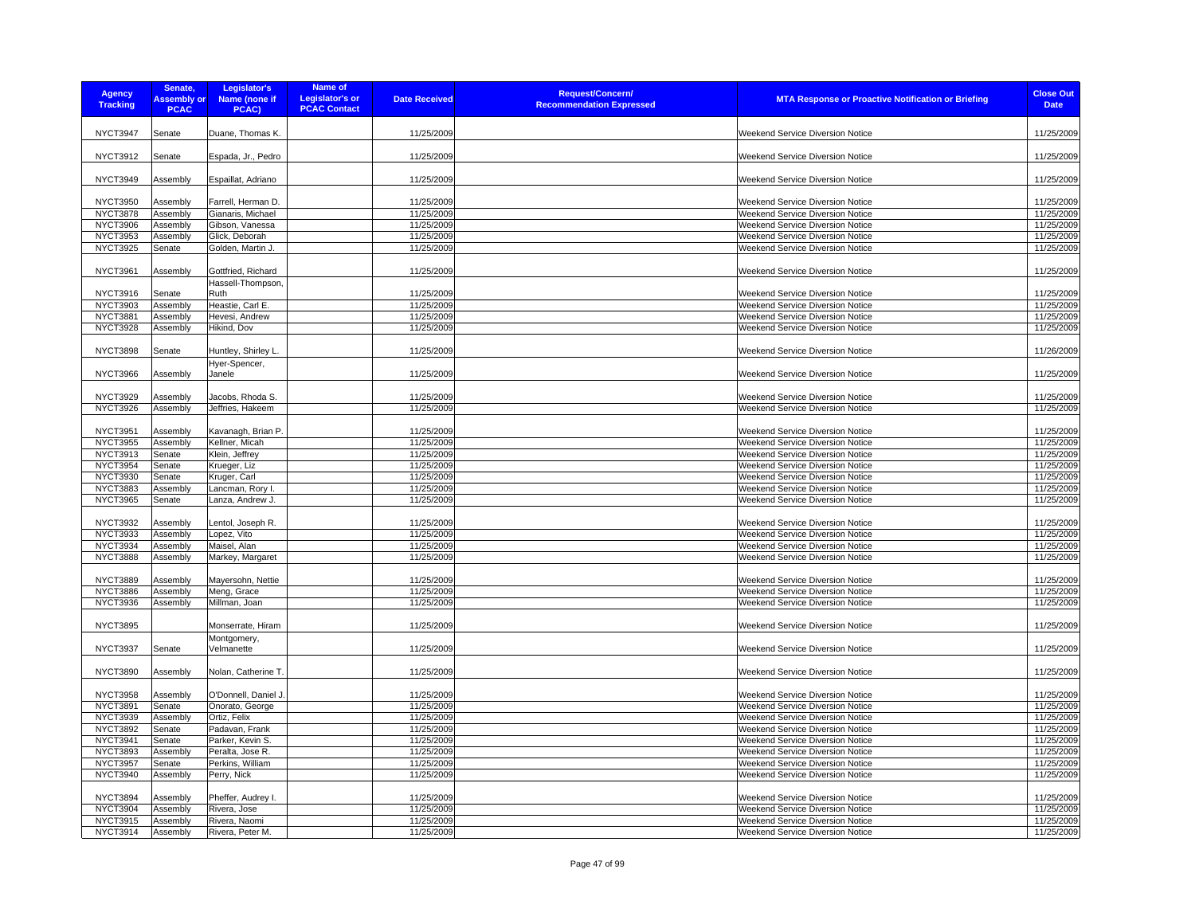| <b>Agency</b><br><b>Tracking</b>   | Senate,<br><b>Assembly or</b><br><b>PCAC</b> | Legislator's<br>Name (none if<br>PCAC)  | Name of<br><b>Legislator's or</b><br><b>PCAC Contact</b> | <b>Date Received</b>     | <b>Request/Concern/</b><br><b>Recommendation Expressed</b> | <b>MTA Response or Proactive Notification or Briefing</b> | <b>Close Out</b><br><b>Date</b> |
|------------------------------------|----------------------------------------------|-----------------------------------------|----------------------------------------------------------|--------------------------|------------------------------------------------------------|-----------------------------------------------------------|---------------------------------|
| <b>NYCT3947</b>                    | Senate                                       | Duane, Thomas K.                        |                                                          | 11/25/2009               |                                                            | Weekend Service Diversion Notice                          | 11/25/2009                      |
| <b>NYCT3912</b>                    | Senate                                       | Espada, Jr., Pedro                      |                                                          | 11/25/2009               |                                                            | <b>Weekend Service Diversion Notice</b>                   | 11/25/2009                      |
| <b>NYCT3949</b>                    | Assembly                                     | Espaillat, Adriano                      |                                                          | 11/25/2009               |                                                            | Weekend Service Diversion Notice                          | 11/25/2009                      |
| <b>NYCT3950</b><br><b>NYCT3878</b> | Assembly                                     | Farrell, Herman D.                      |                                                          | 11/25/2009<br>11/25/2009 |                                                            | <b>Weekend Service Diversion Notice</b>                   | 11/25/2009<br>11/25/2009        |
|                                    | Assembly                                     | Gianaris, Michael                       |                                                          |                          |                                                            | Weekend Service Diversion Notice                          |                                 |
| <b>NYCT3906</b>                    | Assembly                                     | Gibson, Vanessa                         |                                                          | 11/25/2009               |                                                            | Weekend Service Diversion Notice                          | 11/25/2009                      |
| <b>NYCT3953</b>                    | Assembly                                     | Glick, Deborah                          |                                                          | 11/25/2009               |                                                            | Weekend Service Diversion Notice                          | 11/25/2009                      |
| <b>NYCT3925</b>                    | Senate                                       | Golden, Martin J.                       |                                                          | 11/25/2009               |                                                            | Weekend Service Diversion Notice                          | 11/25/2009                      |
| <b>NYCT3961</b>                    | Assembly                                     | Gottfried, Richard<br>Hassell-Thompson, |                                                          | 11/25/2009               |                                                            | Weekend Service Diversion Notice                          | 11/25/2009                      |
| <b>NYCT3916</b>                    | Senate                                       | Ruth                                    |                                                          | 11/25/2009               |                                                            | Weekend Service Diversion Notice                          | 11/25/2009                      |
| <b>NYCT3903</b>                    | Assembly                                     | Heastie, Carl E.                        |                                                          | 11/25/2009               |                                                            | Weekend Service Diversion Notice                          | 11/25/2009                      |
| <b>NYCT3881</b>                    | Assembly                                     | Hevesi, Andrew                          |                                                          | 11/25/2009               |                                                            | <b>Weekend Service Diversion Notice</b>                   | 11/25/2009                      |
| <b>NYCT3928</b>                    | Assembly                                     | Hikind, Dov                             |                                                          | 11/25/2009               |                                                            | Weekend Service Diversion Notice                          | 11/25/2009                      |
|                                    |                                              |                                         |                                                          |                          |                                                            |                                                           |                                 |
| <b>NYCT3898</b>                    | Senate                                       | Huntley, Shirley L.<br>Hyer-Spencer,    |                                                          | 11/25/2009               |                                                            | Weekend Service Diversion Notice                          | 11/26/2009                      |
| <b>NYCT3966</b>                    | Assembly                                     | Janele                                  |                                                          | 11/25/2009               |                                                            | Weekend Service Diversion Notice                          | 11/25/2009                      |
| <b>NYCT3929</b>                    | Assembly                                     | Jacobs, Rhoda S.                        |                                                          | 11/25/2009               |                                                            | Weekend Service Diversion Notice                          | 11/25/2009                      |
| <b>NYCT3926</b>                    | Assembly                                     | Jeffries, Hakeem                        |                                                          | 11/25/2009               |                                                            | Weekend Service Diversion Notice                          | 11/25/2009                      |
|                                    |                                              |                                         |                                                          |                          |                                                            |                                                           |                                 |
| <b>NYCT3951</b>                    | Assembly                                     | Kavanagh, Brian P.                      |                                                          | 11/25/2009               |                                                            | Weekend Service Diversion Notice                          | 11/25/2009                      |
| <b>NYCT3955</b>                    | Assembly                                     | Kellner, Micah                          |                                                          | 11/25/2009               |                                                            | Weekend Service Diversion Notice                          | 11/25/2009                      |
| <b>NYCT3913</b>                    | Senate                                       | Klein, Jeffrey                          |                                                          | 11/25/2009               |                                                            | Weekend Service Diversion Notice                          | 11/25/2009                      |
| <b>NYCT3954</b>                    | Senate                                       | Krueger, Liz                            |                                                          | 11/25/2009               |                                                            | Weekend Service Diversion Notice                          | 11/25/2009                      |
| <b>NYCT3930</b>                    | Senate                                       | Kruger, Carl                            |                                                          | 11/25/2009               |                                                            | Weekend Service Diversion Notice                          | 11/25/2009                      |
| <b>NYCT3883</b>                    | Assembly                                     | Lancman, Rory I.                        |                                                          | 11/25/2009               |                                                            | Weekend Service Diversion Notice                          | 11/25/2009                      |
| <b>NYCT3965</b>                    | Senate                                       | Lanza, Andrew J.                        |                                                          | 11/25/2009               |                                                            | Weekend Service Diversion Notice                          | 11/25/2009                      |
| <b>NYCT3932</b>                    | Assembly                                     | Lentol, Joseph R.                       |                                                          | 11/25/2009               |                                                            | Weekend Service Diversion Notice                          | 11/25/2009                      |
| <b>NYCT3933</b>                    | Assembly                                     | Lopez, Vito                             |                                                          | 11/25/2009               |                                                            | Weekend Service Diversion Notice                          | 11/25/2009                      |
| <b>NYCT3934</b>                    | Assembly                                     | Maisel, Alan                            |                                                          | 11/25/2009               |                                                            | <b>Weekend Service Diversion Notice</b>                   | 11/25/2009                      |
| <b>NYCT3888</b>                    | Assembly                                     | Markey, Margaret                        |                                                          | 11/25/2009               |                                                            | Weekend Service Diversion Notice                          | 11/25/2009                      |
| <b>NYCT3889</b>                    | Assembly                                     | Mayersohn, Nettie                       |                                                          | 11/25/2009               |                                                            | Weekend Service Diversion Notice                          | 11/25/2009                      |
| <b>NYCT3886</b>                    | Assembly                                     | Meng, Grace                             |                                                          | 11/25/2009               |                                                            | Weekend Service Diversion Notice                          | 11/25/2009                      |
| <b>NYCT3936</b>                    | Assembly                                     | Millman, Joan                           |                                                          | 11/25/2009               |                                                            | Weekend Service Diversion Notice                          | 11/25/2009                      |
|                                    |                                              |                                         |                                                          |                          |                                                            |                                                           |                                 |
| <b>NYCT3895</b>                    |                                              | Monserrate, Hiram                       |                                                          | 11/25/2009               |                                                            | <b>Weekend Service Diversion Notice</b>                   | 11/25/2009                      |
| <b>NYCT3937</b>                    | Senate                                       | Montgomery,<br>Velmanette               |                                                          | 11/25/2009               |                                                            | Weekend Service Diversion Notice                          | 11/25/2009                      |
| <b>NYCT3890</b>                    | Assembly                                     | Nolan, Catherine T.                     |                                                          | 11/25/2009               |                                                            | Weekend Service Diversion Notice                          | 11/25/2009                      |
| <b>NYCT3958</b>                    | Assembly                                     | O'Donnell, Daniel J                     |                                                          | 11/25/2009               |                                                            | Weekend Service Diversion Notice                          | 11/25/2009                      |
| <b>NYCT3891</b>                    | Senate                                       | Onorato, George                         |                                                          | 11/25/2009               |                                                            | Weekend Service Diversion Notice                          | 11/25/2009                      |
| <b>NYCT3939</b>                    | Assembly                                     | Ortiz, Felix                            |                                                          | 11/25/2009               |                                                            | <b>Weekend Service Diversion Notice</b>                   | 11/25/2009                      |
| <b>NYCT3892</b>                    | Senate                                       | Padavan, Frank                          |                                                          | 11/25/2009               |                                                            | Weekend Service Diversion Notice                          | 11/25/2009                      |
| <b>NYCT3941</b>                    | Senate                                       | Parker, Kevin S.                        |                                                          | 11/25/2009               |                                                            | Weekend Service Diversion Notice                          | 11/25/2009                      |
| <b>NYCT3893</b>                    | Assembly                                     | Peralta, Jose R.                        |                                                          | 11/25/2009               |                                                            | Weekend Service Diversion Notice                          | 11/25/2009                      |
| NYCT3957                           | Senate                                       | Perkins, William                        |                                                          | 11/25/2009               |                                                            | Weekend Service Diversion Notice                          | 11/25/2009                      |
| <b>NYCT3940</b>                    | Assembly                                     | Perry, Nick                             |                                                          | 11/25/2009               |                                                            | Weekend Service Diversion Notice                          | 11/25/2009                      |
|                                    |                                              |                                         |                                                          |                          |                                                            |                                                           |                                 |
| NYCT3894                           | Assembly                                     | Pheffer, Audrey I.                      |                                                          | 11/25/2009               |                                                            | <b>Weekend Service Diversion Notice</b>                   | 11/25/2009                      |
| <b>NYCT3904</b>                    | Assembly                                     | Rivera, Jose                            |                                                          | 11/25/2009               |                                                            | Weekend Service Diversion Notice                          | 11/25/2009                      |
| <b>NYCT3915</b>                    | Assembly                                     | Rivera, Naomi                           |                                                          | 11/25/2009               |                                                            | Weekend Service Diversion Notice                          | 11/25/2009                      |
| <b>NYCT3914</b>                    | Assembly                                     | Rivera, Peter M                         |                                                          | 11/25/2009               |                                                            | Weekend Service Diversion Notice                          | 11/25/2009                      |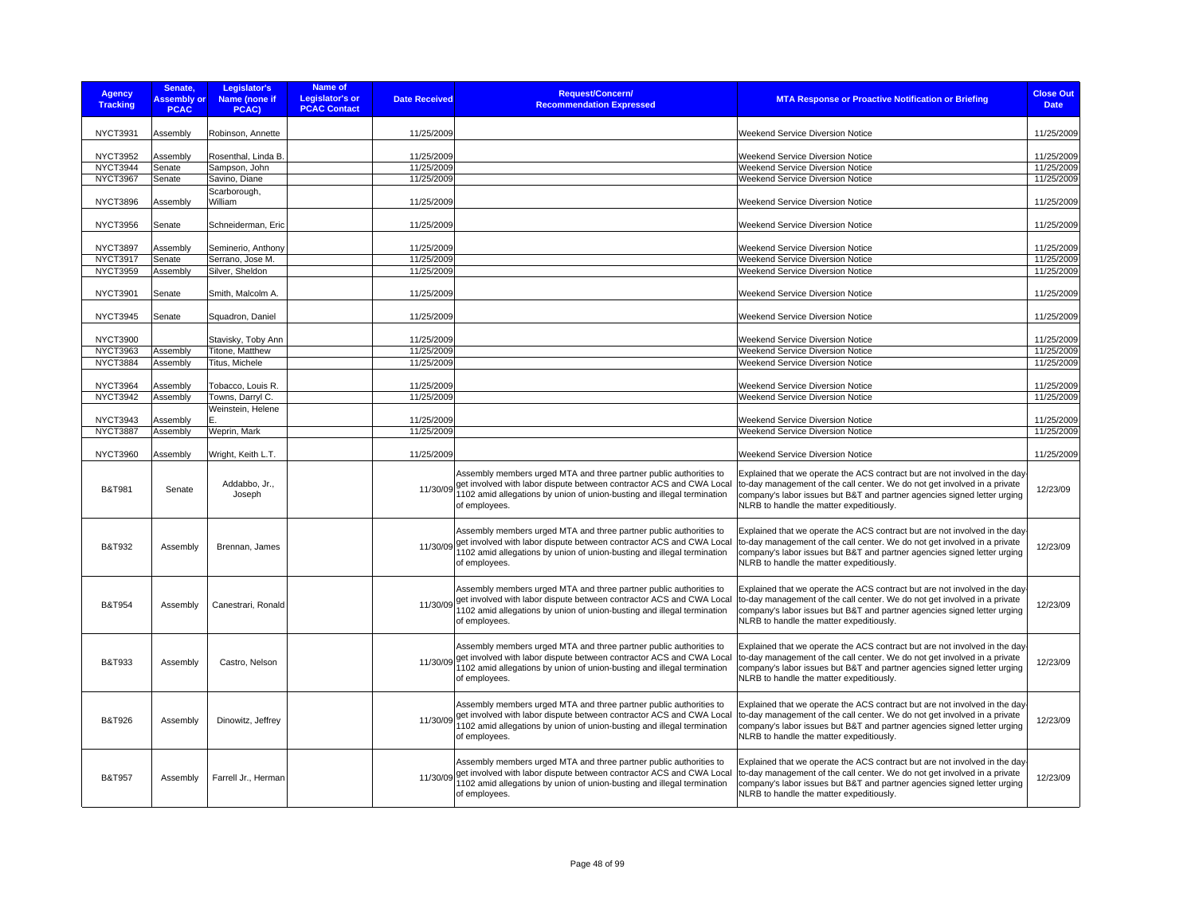| <b>Agency</b><br><b>Tracking</b>   | Senate,<br><b>Assembly or</b><br><b>PCAC</b> | Legislator's<br>Name (none if<br>PCAC) | Name of<br>Legislator's or<br><b>PCAC Contact</b> | <b>Date Received</b>     | <b>Request/Concern/</b><br><b>Recommendation Expressed</b>                                                                                                                                                                             | <b>MTA Response or Proactive Notification or Briefing</b>                                                                                                                                                                                                                       | <b>Close Out</b><br><b>Date</b> |
|------------------------------------|----------------------------------------------|----------------------------------------|---------------------------------------------------|--------------------------|----------------------------------------------------------------------------------------------------------------------------------------------------------------------------------------------------------------------------------------|---------------------------------------------------------------------------------------------------------------------------------------------------------------------------------------------------------------------------------------------------------------------------------|---------------------------------|
|                                    |                                              |                                        |                                                   |                          |                                                                                                                                                                                                                                        |                                                                                                                                                                                                                                                                                 |                                 |
| <b>NYCT3931</b>                    | Assembly                                     | Robinson, Annette                      |                                                   | 11/25/2009               |                                                                                                                                                                                                                                        | <b>Weekend Service Diversion Notice</b>                                                                                                                                                                                                                                         | 11/25/2009                      |
| <b>NYCT3952</b>                    | Assembly                                     | Rosenthal, Linda B.                    |                                                   | 11/25/2009               |                                                                                                                                                                                                                                        | Weekend Service Diversion Notice                                                                                                                                                                                                                                                | 11/25/2009                      |
| NYCT3944                           | Senate                                       | Sampson, John                          |                                                   | 11/25/2009               |                                                                                                                                                                                                                                        | Weekend Service Diversion Notice                                                                                                                                                                                                                                                | 11/25/2009                      |
| NYCT3967                           | Senate                                       | Savino, Diane                          |                                                   | 11/25/2009               |                                                                                                                                                                                                                                        | Weekend Service Diversion Notice                                                                                                                                                                                                                                                | 11/25/2009                      |
|                                    |                                              | Scarborough,                           |                                                   |                          |                                                                                                                                                                                                                                        |                                                                                                                                                                                                                                                                                 |                                 |
| <b>NYCT3896</b>                    | Assembly                                     | William                                |                                                   | 11/25/2009               |                                                                                                                                                                                                                                        | Weekend Service Diversion Notice                                                                                                                                                                                                                                                | 11/25/2009                      |
| <b>NYCT3956</b>                    | Senate                                       | Schneiderman, Eric                     |                                                   | 11/25/2009               |                                                                                                                                                                                                                                        | <b>Weekend Service Diversion Notice</b>                                                                                                                                                                                                                                         | 11/25/2009                      |
| <b>NYCT3897</b>                    | Assembly                                     | Seminerio, Anthony                     |                                                   | 11/25/2009               |                                                                                                                                                                                                                                        | Weekend Service Diversion Notice                                                                                                                                                                                                                                                | 11/25/2009                      |
| <b>NYCT3917</b>                    | Senate                                       | Serrano, Jose M.                       |                                                   | 11/25/2009               |                                                                                                                                                                                                                                        | Weekend Service Diversion Notice                                                                                                                                                                                                                                                | 11/25/2009                      |
| <b>NYCT3959</b>                    | Assembly                                     | Silver, Sheldon                        |                                                   | 11/25/2009               |                                                                                                                                                                                                                                        | Weekend Service Diversion Notice                                                                                                                                                                                                                                                | 11/25/2009                      |
| <b>NYCT3901</b>                    | Senate                                       | Smith, Malcolm A.                      |                                                   | 11/25/2009               |                                                                                                                                                                                                                                        | Weekend Service Diversion Notice                                                                                                                                                                                                                                                | 11/25/2009                      |
| <b>NYCT3945</b>                    | Senate                                       | Squadron, Daniel                       |                                                   | 11/25/2009               |                                                                                                                                                                                                                                        | Weekend Service Diversion Notice                                                                                                                                                                                                                                                | 11/25/2009                      |
| <b>NYCT3900</b>                    |                                              | Stavisky, Toby Ann                     |                                                   | 11/25/2009               |                                                                                                                                                                                                                                        | Weekend Service Diversion Notice                                                                                                                                                                                                                                                | 11/25/2009                      |
| <b>NYCT3963</b>                    | Assembly                                     | Titone, Matthew                        |                                                   | 11/25/2009               |                                                                                                                                                                                                                                        | Weekend Service Diversion Notice                                                                                                                                                                                                                                                | 11/25/2009                      |
| <b>NYCT3884</b>                    | Assembly                                     | Titus, Michele                         |                                                   | 11/25/2009               |                                                                                                                                                                                                                                        | <b>Weekend Service Diversion Notice</b>                                                                                                                                                                                                                                         | 11/25/2009                      |
|                                    |                                              |                                        |                                                   |                          |                                                                                                                                                                                                                                        |                                                                                                                                                                                                                                                                                 |                                 |
| <b>NYCT3964</b><br><b>NYCT3942</b> | Assembly                                     | Tobacco, Louis R.                      |                                                   | 11/25/2009<br>11/25/2009 |                                                                                                                                                                                                                                        | Weekend Service Diversion Notice                                                                                                                                                                                                                                                | 11/25/2009<br>11/25/2009        |
|                                    | Assembly                                     | Towns, Darryl C.<br>Weinstein, Helene  |                                                   |                          |                                                                                                                                                                                                                                        | Weekend Service Diversion Notice                                                                                                                                                                                                                                                |                                 |
| <b>NYCT3943</b>                    | Assembly                                     |                                        |                                                   | 11/25/2009               |                                                                                                                                                                                                                                        | Weekend Service Diversion Notice                                                                                                                                                                                                                                                | 11/25/2009                      |
| <b>NYCT3887</b>                    | Assembly                                     | Weprin, Mark                           |                                                   | 11/25/2009               |                                                                                                                                                                                                                                        | Weekend Service Diversion Notice                                                                                                                                                                                                                                                | 11/25/2009                      |
| <b>NYCT3960</b>                    | Assembly                                     | Wright, Keith L.T.                     |                                                   | 11/25/2009               |                                                                                                                                                                                                                                        | Weekend Service Diversion Notice                                                                                                                                                                                                                                                | 11/25/2009                      |
| <b>B&amp;T981</b>                  | Senate                                       | Addabbo, Jr.,<br>Joseph                |                                                   | 11/30/09                 | Assembly members urged MTA and three partner public authorities to<br>get involved with labor dispute between contractor ACS and CWA Local<br>1102 amid allegations by union of union-busting and illegal termination<br>of employees. | Explained that we operate the ACS contract but are not involved in the day<br>to-day management of the call center. We do not get involved in a private<br>company's labor issues but B&T and partner agencies signed letter urging<br>NLRB to handle the matter expeditiously. | 12/23/09                        |
| B&T932                             | Assembly                                     | Brennan, James                         |                                                   | 11/30/09                 | Assembly members urged MTA and three partner public authorities to<br>get involved with labor dispute between contractor ACS and CWA Local<br>1102 amid allegations by union of union-busting and illegal termination<br>of employees. | Explained that we operate the ACS contract but are not involved in the day<br>to-day management of the call center. We do not get involved in a private<br>company's labor issues but B&T and partner agencies signed letter urging<br>NLRB to handle the matter expeditiously. | 12/23/09                        |
| B&T954                             | Assembly                                     | Canestrari, Ronald                     |                                                   | 11/30/09                 | Assembly members urged MTA and three partner public authorities to<br>get involved with labor dispute between contractor ACS and CWA Local<br>1102 amid allegations by union of union-busting and illegal termination<br>of employees. | Explained that we operate the ACS contract but are not involved in the day<br>to-day management of the call center. We do not get involved in a private<br>company's labor issues but B&T and partner agencies signed letter urging<br>NLRB to handle the matter expeditiously. | 12/23/09                        |
| <b>B&amp;T933</b>                  | Assembly                                     | Castro, Nelson                         |                                                   | 11/30/09                 | Assembly members urged MTA and three partner public authorities to<br>get involved with labor dispute between contractor ACS and CWA Local<br>1102 amid allegations by union of union-busting and illegal termination<br>of employees. | Explained that we operate the ACS contract but are not involved in the day<br>to-day management of the call center. We do not get involved in a private<br>company's labor issues but B&T and partner agencies signed letter urging<br>NLRB to handle the matter expeditiously. | 12/23/09                        |
| <b>B&amp;T926</b>                  | Assembly                                     | Dinowitz, Jeffrey                      |                                                   | 11/30/09                 | Assembly members urged MTA and three partner public authorities to<br>get involved with labor dispute between contractor ACS and CWA Local<br>1102 amid allegations by union of union-busting and illegal termination<br>of employees. | Explained that we operate the ACS contract but are not involved in the day<br>to-day management of the call center. We do not get involved in a private<br>company's labor issues but B&T and partner agencies signed letter urging<br>NLRB to handle the matter expeditiously. | 12/23/09                        |
| <b>B&amp;T957</b>                  | Assembly                                     | Farrell Jr., Herman                    |                                                   | 11/30/09                 | Assembly members urged MTA and three partner public authorities to<br>get involved with labor dispute between contractor ACS and CWA Local<br>1102 amid allegations by union of union-busting and illegal termination<br>of employees. | Explained that we operate the ACS contract but are not involved in the day<br>to-day management of the call center. We do not get involved in a private<br>company's labor issues but B&T and partner agencies signed letter urging<br>NLRB to handle the matter expeditiously. | 12/23/09                        |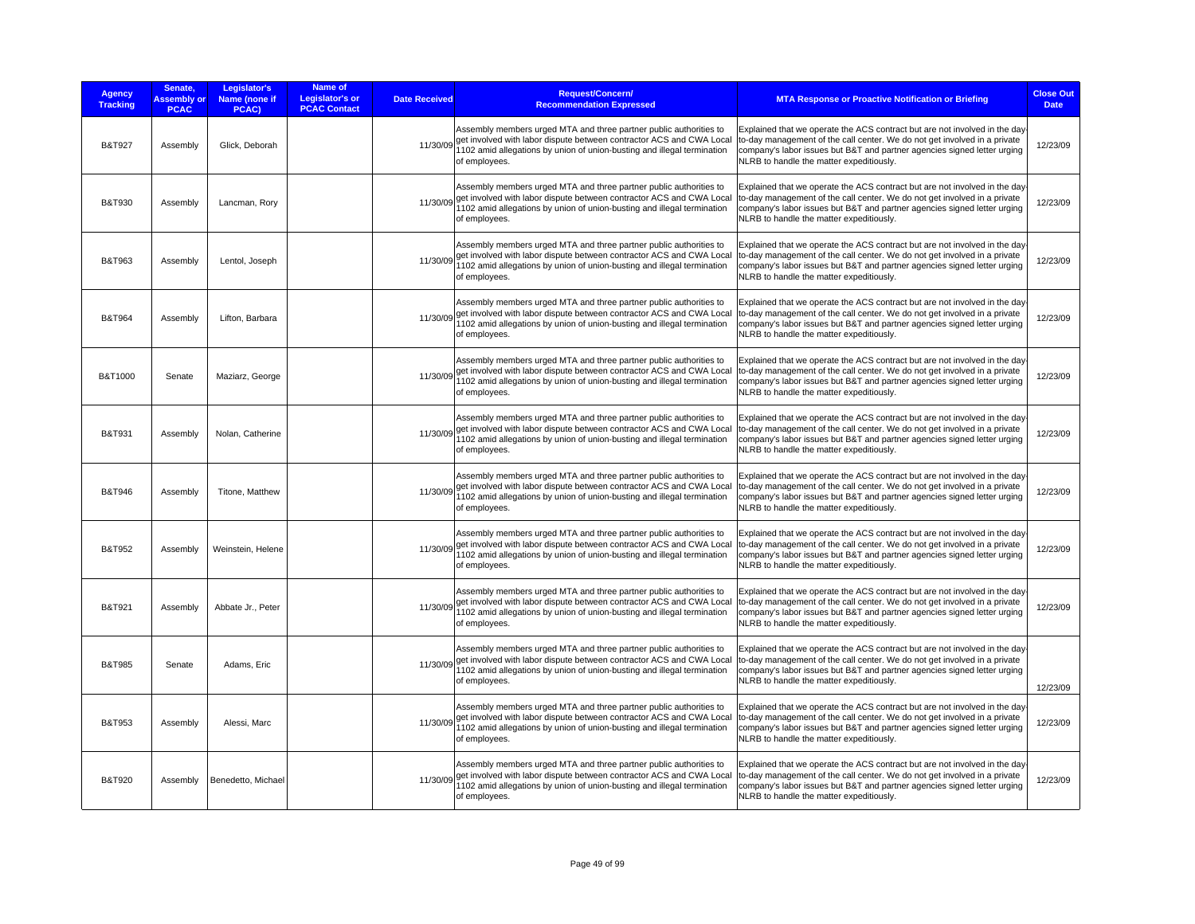| <b>Agency</b><br><b>Tracking</b> | Senate,<br><b>Assembly or</b><br><b>PCAC</b> | Legislator's<br>Name (none if<br>PCAC) | Name of<br><b>Legislator's or</b><br><b>Date Received</b><br><b>PCAC Contact</b> | Request/Concern/<br><b>Recommendation Expressed</b>                                                                                                                                                                                             | <b>MTA Response or Proactive Notification or Briefing</b>                                                                                                                                                                                                                       | <b>Close Out</b><br><b>Date</b> |
|----------------------------------|----------------------------------------------|----------------------------------------|----------------------------------------------------------------------------------|-------------------------------------------------------------------------------------------------------------------------------------------------------------------------------------------------------------------------------------------------|---------------------------------------------------------------------------------------------------------------------------------------------------------------------------------------------------------------------------------------------------------------------------------|---------------------------------|
| <b>B&amp;T927</b>                | Assembly                                     | Glick, Deborah                         | 11/30/09                                                                         | Assembly members urged MTA and three partner public authorities to<br>get involved with labor dispute between contractor ACS and CWA Local<br>1102 amid allegations by union of union-busting and illegal termination<br>of employees.          | Explained that we operate the ACS contract but are not involved in the day<br>to-day management of the call center. We do not get involved in a private<br>company's labor issues but B&T and partner agencies signed letter urging<br>NLRB to handle the matter expeditiously. | 12/23/09                        |
| <b>B&amp;T930</b>                | Assembly                                     | Lancman, Rory                          | 11/30/09                                                                         | Assembly members urged MTA and three partner public authorities to<br>get involved with labor dispute between contractor ACS and CWA Local<br>1102 amid allegations by union of union-busting and illegal termination<br>of employees.          | Explained that we operate the ACS contract but are not involved in the day<br>to-day management of the call center. We do not get involved in a private<br>company's labor issues but B&T and partner agencies signed letter urging<br>NLRB to handle the matter expeditiously. | 12/23/09                        |
| B&T963                           | Assembly                                     | Lentol, Joseph                         | 11/30/09                                                                         | Assembly members urged MTA and three partner public authorities to<br>get involved with labor dispute between contractor ACS and CWA Local<br>1102 amid allegations by union of union-busting and illegal termination<br>of employees.          | Explained that we operate the ACS contract but are not involved in the day<br>to-day management of the call center. We do not get involved in a private<br>company's labor issues but B&T and partner agencies signed letter urging<br>NLRB to handle the matter expeditiously. | 12/23/09                        |
| B&T964                           | Assembly                                     | Lifton, Barbara                        | 11/30/09                                                                         | Assembly members urged MTA and three partner public authorities to<br>get involved with labor dispute between contractor ACS and CWA Local<br>1102 amid allegations by union of union-busting and illegal termination<br>of employees.          | Explained that we operate the ACS contract but are not involved in the day<br>to-day management of the call center. We do not get involved in a private<br>company's labor issues but B&T and partner agencies signed letter urging<br>NLRB to handle the matter expeditiously. | 12/23/09                        |
| B&T1000                          | Senate                                       | Maziarz, George                        | 11/30/09                                                                         | Assembly members urged MTA and three partner public authorities to<br>get involved with labor dispute between contractor ACS and CWA Local<br>1102 amid allegations by union of union-busting and illegal termination<br>of employees.          | Explained that we operate the ACS contract but are not involved in the day<br>to-day management of the call center. We do not get involved in a private<br>company's labor issues but B&T and partner agencies signed letter urging<br>NLRB to handle the matter expeditiously. | 12/23/09                        |
| <b>B&amp;T931</b>                | Assembly                                     | Nolan, Catherine                       | 11/30/09                                                                         | Assembly members urged MTA and three partner public authorities to<br>get involved with labor dispute between contractor ACS and CWA Local<br>1102 amid allegations by union of union-busting and illegal termination<br>of employees.          | Explained that we operate the ACS contract but are not involved in the day<br>to-day management of the call center. We do not get involved in a private<br>company's labor issues but B&T and partner agencies signed letter urging<br>NLRB to handle the matter expeditiously. | 12/23/09                        |
| B&T946                           | Assembly                                     | Titone, Matthew                        | 11/30/09                                                                         | Assembly members urged MTA and three partner public authorities to<br>get involved with labor dispute between contractor ACS and CWA Local<br>1102 amid allegations by union of union-busting and illegal termination<br>of employees.          | Explained that we operate the ACS contract but are not involved in the day<br>to-day management of the call center. We do not get involved in a private<br>company's labor issues but B&T and partner agencies signed letter urging<br>NLRB to handle the matter expeditiously. | 12/23/09                        |
| B&T952                           | Assembly                                     | Weinstein, Helene                      |                                                                                  | Assembly members urged MTA and three partner public authorities to<br>11/30/09 get involved with labor dispute between contractor ACS and CWA Local<br>1102 amid allegations by union of union-busting and illegal termination<br>of employees. | Explained that we operate the ACS contract but are not involved in the day<br>to-day management of the call center. We do not get involved in a private<br>company's labor issues but B&T and partner agencies signed letter urging<br>NLRB to handle the matter expeditiously. | 12/23/09                        |
| B&T921                           | Assembly                                     | Abbate Jr., Peter                      |                                                                                  | Assembly members urged MTA and three partner public authorities to<br>11/30/09 get involved with labor dispute between contractor ACS and CWA Local<br>1102 amid allegations by union of union-busting and illegal termination<br>of employees. | Explained that we operate the ACS contract but are not involved in the day<br>to-day management of the call center. We do not get involved in a private<br>company's labor issues but B&T and partner agencies signed letter urging<br>NLRB to handle the matter expeditiously. | 12/23/09                        |
| <b>B&amp;T985</b>                | Senate                                       | Adams, Eric                            |                                                                                  | Assembly members urged MTA and three partner public authorities to<br>11/30/09 get involved with labor dispute between contractor ACS and CWA Local<br>1102 amid allegations by union of union-busting and illegal termination<br>of employees. | Explained that we operate the ACS contract but are not involved in the day<br>to-day management of the call center. We do not get involved in a private<br>company's labor issues but B&T and partner agencies signed letter urging<br>NLRB to handle the matter expeditiously. | 12/23/09                        |
| <b>B&amp;T953</b>                | Assembly                                     | Alessi, Marc                           |                                                                                  | Assembly members urged MTA and three partner public authorities to<br>11/30/09 get involved with labor dispute between contractor ACS and CWA Local<br>1102 amid allegations by union of union-busting and illegal termination<br>of employees. | Explained that we operate the ACS contract but are not involved in the day<br>to-day management of the call center. We do not get involved in a private<br>company's labor issues but B&T and partner agencies signed letter urging<br>NLRB to handle the matter expeditiously. | 12/23/09                        |
| <b>B&amp;T920</b>                | Assembly                                     | Benedetto, Michael                     | 11/30/09                                                                         | Assembly members urged MTA and three partner public authorities to<br>get involved with labor dispute between contractor ACS and CWA Local<br>1102 amid allegations by union of union-busting and illegal termination<br>of employees.          | Explained that we operate the ACS contract but are not involved in the day<br>to-day management of the call center. We do not get involved in a private<br>company's labor issues but B&T and partner agencies signed letter urging<br>NLRB to handle the matter expeditiously. | 12/23/09                        |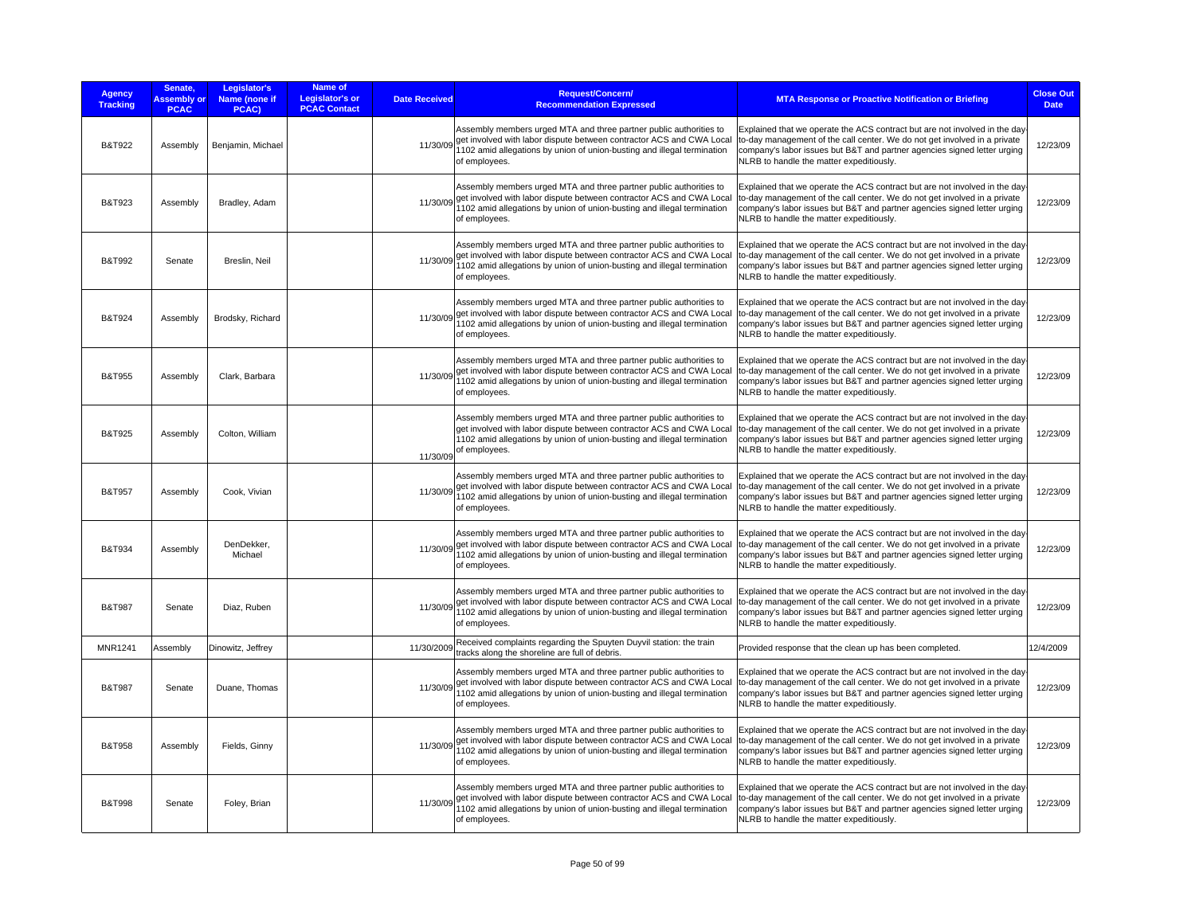| <b>Agency</b><br><b>Tracking</b> | Senate,<br><b>Assembly or</b><br><b>PCAC</b> | Legislator's<br>Name (none if<br>PCAC) | Name of<br><b>Legislator's or</b><br><b>PCAC Contact</b> | <b>Date Received</b> | <b>Request/Concern/</b><br><b>Recommendation Expressed</b>                                                                                                                                                                             | <b>MTA Response or Proactive Notification or Briefing</b>                                                                                                                                                                                                                        | <b>Close Out</b><br><b>Date</b> |
|----------------------------------|----------------------------------------------|----------------------------------------|----------------------------------------------------------|----------------------|----------------------------------------------------------------------------------------------------------------------------------------------------------------------------------------------------------------------------------------|----------------------------------------------------------------------------------------------------------------------------------------------------------------------------------------------------------------------------------------------------------------------------------|---------------------------------|
| <b>B&amp;T922</b>                | Assembly                                     | Benjamin, Michael                      |                                                          | 11/30/09             | Assembly members urged MTA and three partner public authorities to<br>get involved with labor dispute between contractor ACS and CWA Local<br>1102 amid allegations by union of union-busting and illegal termination<br>of employees. | Explained that we operate the ACS contract but are not involved in the day-<br>to-day management of the call center. We do not get involved in a private<br>company's labor issues but B&T and partner agencies signed letter urging<br>NLRB to handle the matter expeditiously. | 12/23/09                        |
| <b>B&amp;T923</b>                | Assembly                                     | Bradley, Adam                          |                                                          | 11/30/09             | Assembly members urged MTA and three partner public authorities to<br>get involved with labor dispute between contractor ACS and CWA Local<br>1102 amid allegations by union of union-busting and illegal termination<br>of employees. | Explained that we operate the ACS contract but are not involved in the day-<br>to-day management of the call center. We do not get involved in a private<br>company's labor issues but B&T and partner agencies signed letter urging<br>NLRB to handle the matter expeditiously. | 12/23/09                        |
| B&T992                           | Senate                                       | Breslin, Neil                          |                                                          | 11/30/09             | Assembly members urged MTA and three partner public authorities to<br>get involved with labor dispute between contractor ACS and CWA Local<br>1102 amid allegations by union of union-busting and illegal termination<br>of employees. | Explained that we operate the ACS contract but are not involved in the day-<br>to-day management of the call center. We do not get involved in a private<br>company's labor issues but B&T and partner agencies signed letter urging<br>NLRB to handle the matter expeditiously. | 12/23/09                        |
| <b>B&amp;T924</b>                | Assembly                                     | Brodsky, Richard                       |                                                          | 11/30/09             | Assembly members urged MTA and three partner public authorities to<br>get involved with labor dispute between contractor ACS and CWA Local<br>1102 amid allegations by union of union-busting and illegal termination<br>of employees. | Explained that we operate the ACS contract but are not involved in the day-<br>to-day management of the call center. We do not get involved in a private<br>company's labor issues but B&T and partner agencies signed letter urging<br>NLRB to handle the matter expeditiously. | 12/23/09                        |
| <b>B&amp;T955</b>                | Assembly                                     | Clark, Barbara                         |                                                          | 11/30/09             | Assembly members urged MTA and three partner public authorities to<br>get involved with labor dispute between contractor ACS and CWA Local<br>1102 amid allegations by union of union-busting and illegal termination<br>of employees. | Explained that we operate the ACS contract but are not involved in the day-<br>to-day management of the call center. We do not get involved in a private<br>company's labor issues but B&T and partner agencies signed letter urging<br>NLRB to handle the matter expeditiously. | 12/23/09                        |
| <b>B&amp;T925</b>                | Assembly                                     | Colton, William                        |                                                          | 11/30/09             | Assembly members urged MTA and three partner public authorities to<br>get involved with labor dispute between contractor ACS and CWA Local<br>1102 amid allegations by union of union-busting and illegal termination<br>of employees. | Explained that we operate the ACS contract but are not involved in the day-<br>to-day management of the call center. We do not get involved in a private<br>company's labor issues but B&T and partner agencies signed letter urging<br>NLRB to handle the matter expeditiously. | 12/23/09                        |
| <b>B&amp;T957</b>                | Assembly                                     | Cook, Vivian                           |                                                          | 11/30/09             | Assembly members urged MTA and three partner public authorities to<br>get involved with labor dispute between contractor ACS and CWA Local<br>1102 amid allegations by union of union-busting and illegal termination<br>of employees. | Explained that we operate the ACS contract but are not involved in the day-<br>to-day management of the call center. We do not get involved in a private<br>company's labor issues but B&T and partner agencies signed letter urging<br>NLRB to handle the matter expeditiously. | 12/23/09                        |
| <b>B&amp;T934</b>                | Assembly                                     | DenDekker,<br>Michael                  |                                                          | 11/30/09             | Assembly members urged MTA and three partner public authorities to<br>get involved with labor dispute between contractor ACS and CWA Local<br>1102 amid allegations by union of union-busting and illegal termination<br>of employees. | Explained that we operate the ACS contract but are not involved in the day-<br>to-day management of the call center. We do not get involved in a private<br>company's labor issues but B&T and partner agencies signed letter urging<br>NLRB to handle the matter expeditiously. | 12/23/09                        |
| <b>B&amp;T987</b>                | Senate                                       | Diaz, Ruben                            |                                                          | 11/30/09             | Assembly members urged MTA and three partner public authorities to<br>get involved with labor dispute between contractor ACS and CWA Local<br>1102 amid allegations by union of union-busting and illegal termination<br>of employees. | Explained that we operate the ACS contract but are not involved in the day-<br>to-day management of the call center. We do not get involved in a private<br>company's labor issues but B&T and partner agencies signed letter urging<br>NLRB to handle the matter expeditiously. | 12/23/09                        |
| <b>MNR1241</b>                   | Assembly                                     | Dinowitz, Jeffrey                      |                                                          | 11/30/2009           | Received complaints regarding the Spuyten Duyvil station: the train<br>tracks along the shoreline are full of debris.                                                                                                                  | Provided response that the clean up has been completed.                                                                                                                                                                                                                          | 12/4/2009                       |
| <b>B&amp;T987</b>                | Senate                                       | Duane, Thomas                          |                                                          | 11/30/09             | Assembly members urged MTA and three partner public authorities to<br>get involved with labor dispute between contractor ACS and CWA Local<br>1102 amid allegations by union of union-busting and illegal termination<br>of employees. | Explained that we operate the ACS contract but are not involved in the day-<br>to-day management of the call center. We do not get involved in a private<br>company's labor issues but B&T and partner agencies signed letter urging<br>NLRB to handle the matter expeditiously. | 12/23/09                        |
| <b>B&amp;T958</b>                | Assembly                                     | Fields, Ginny                          |                                                          | 11/30/09             | Assembly members urged MTA and three partner public authorities to<br>get involved with labor dispute between contractor ACS and CWA Local<br>1102 amid allegations by union of union-busting and illegal termination<br>of employees. | Explained that we operate the ACS contract but are not involved in the day-<br>to-day management of the call center. We do not get involved in a private<br>company's labor issues but B&T and partner agencies signed letter urging<br>NLRB to handle the matter expeditiously. | 12/23/09                        |
| <b>B&amp;T998</b>                | Senate                                       | Foley, Brian                           |                                                          | 11/30/09             | Assembly members urged MTA and three partner public authorities to<br>get involved with labor dispute between contractor ACS and CWA Local<br>1102 amid allegations by union of union-busting and illegal termination<br>of employees. | Explained that we operate the ACS contract but are not involved in the day-<br>to-day management of the call center. We do not get involved in a private<br>company's labor issues but B&T and partner agencies signed letter urging<br>NLRB to handle the matter expeditiously. | 12/23/09                        |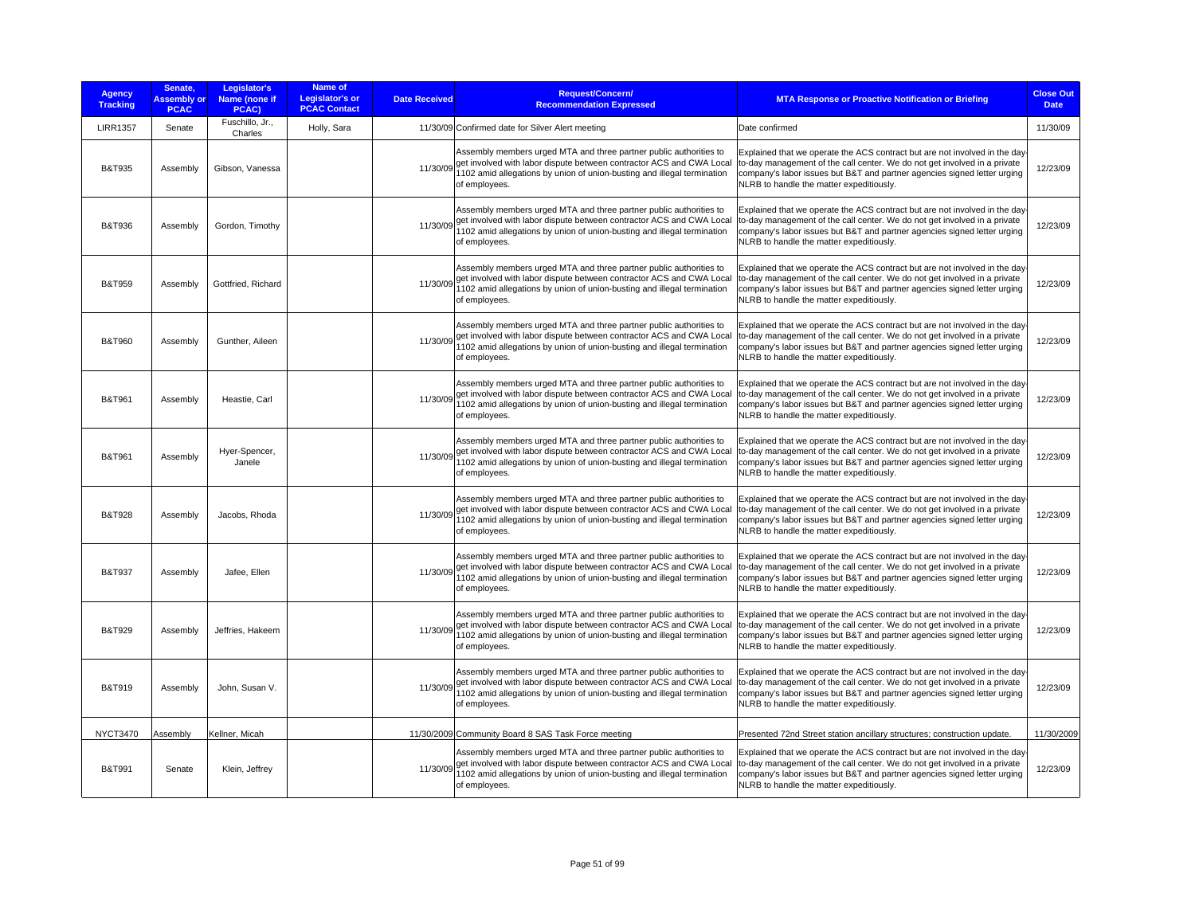| <b>Agency</b><br><b>Tracking</b> | Senate,<br><b>Assembly or</b><br><b>PCAC</b> | Legislator's<br>Name (none if<br>PCAC) | Name of<br><b>Legislator's or</b><br><b>PCAC Contact</b> | <b>Date Received</b> | <b>Request/Concern/</b><br><b>Recommendation Expressed</b>                                                                                                                                                                                      | <b>MTA Response or Proactive Notification or Briefing</b>                                                                                                                                                                                                                        | <b>Close Out</b><br><b>Date</b> |
|----------------------------------|----------------------------------------------|----------------------------------------|----------------------------------------------------------|----------------------|-------------------------------------------------------------------------------------------------------------------------------------------------------------------------------------------------------------------------------------------------|----------------------------------------------------------------------------------------------------------------------------------------------------------------------------------------------------------------------------------------------------------------------------------|---------------------------------|
| <b>LIRR1357</b>                  | Senate                                       | Fuschillo, Jr.,<br>Charles             | Holly, Sara                                              |                      | 11/30/09 Confirmed date for Silver Alert meeting                                                                                                                                                                                                | Date confirmed                                                                                                                                                                                                                                                                   | 11/30/09                        |
| <b>B&amp;T935</b>                | Assembly                                     | Gibson, Vanessa                        |                                                          | 11/30/09             | Assembly members urged MTA and three partner public authorities to<br>get involved with labor dispute between contractor ACS and CWA Local<br>1102 amid allegations by union of union-busting and illegal termination<br>of employees.          | Explained that we operate the ACS contract but are not involved in the day-<br>to-day management of the call center. We do not get involved in a private<br>company's labor issues but B&T and partner agencies signed letter urging<br>NLRB to handle the matter expeditiously. | 12/23/09                        |
| <b>B&amp;T936</b>                | Assembly                                     | Gordon, Timothy                        |                                                          |                      | Assembly members urged MTA and three partner public authorities to<br>11/30/09 get involved with labor dispute between contractor ACS and CWA Local<br>1102 amid allegations by union of union-busting and illegal termination<br>of employees. | Explained that we operate the ACS contract but are not involved in the day-<br>to-day management of the call center. We do not get involved in a private<br>company's labor issues but B&T and partner agencies signed letter urging<br>NLRB to handle the matter expeditiously. | 12/23/09                        |
| <b>B&amp;T959</b>                | Assembly                                     | Gottfried, Richard                     |                                                          |                      | Assembly members urged MTA and three partner public authorities to<br>11/30/09 get involved with labor dispute between contractor ACS and CWA Local<br>1102 amid allegations by union of union-busting and illegal termination<br>of employees. | Explained that we operate the ACS contract but are not involved in the day-<br>to-day management of the call center. We do not get involved in a private<br>company's labor issues but B&T and partner agencies signed letter urging<br>NLRB to handle the matter expeditiously. | 12/23/09                        |
| <b>B&amp;T960</b>                | Assembly                                     | Gunther, Aileen                        |                                                          |                      | Assembly members urged MTA and three partner public authorities to<br>11/30/09 get involved with labor dispute between contractor ACS and CWA Local<br>1102 amid allegations by union of union-busting and illegal termination<br>of employees. | Explained that we operate the ACS contract but are not involved in the day-<br>to-day management of the call center. We do not get involved in a private<br>company's labor issues but B&T and partner agencies signed letter urging<br>NLRB to handle the matter expeditiously. | 12/23/09                        |
| B&T961                           | Assembly                                     | Heastie, Carl                          |                                                          |                      | Assembly members urged MTA and three partner public authorities to<br>11/30/09 get involved with labor dispute between contractor ACS and CWA Local<br>1102 amid allegations by union of union-busting and illegal termination<br>of employees. | Explained that we operate the ACS contract but are not involved in the day-<br>to-day management of the call center. We do not get involved in a private<br>company's labor issues but B&T and partner agencies signed letter urging<br>NLRB to handle the matter expeditiously. | 12/23/09                        |
| <b>B&amp;T961</b>                | Assembly                                     | Hyer-Spencer,<br>Janele                |                                                          |                      | Assembly members urged MTA and three partner public authorities to<br>11/30/09 get involved with labor dispute between contractor ACS and CWA Local<br>1102 amid allegations by union of union-busting and illegal termination<br>of employees. | Explained that we operate the ACS contract but are not involved in the day-<br>to-day management of the call center. We do not get involved in a private<br>company's labor issues but B&T and partner agencies signed letter urging<br>NLRB to handle the matter expeditiously. | 12/23/09                        |
| <b>B&amp;T928</b>                | Assembly                                     | Jacobs, Rhoda                          |                                                          |                      | Assembly members urged MTA and three partner public authorities to<br>11/30/09 get involved with labor dispute between contractor ACS and CWA Local<br>1102 amid allegations by union of union-busting and illegal termination<br>of employees. | Explained that we operate the ACS contract but are not involved in the day-<br>to-day management of the call center. We do not get involved in a private<br>company's labor issues but B&T and partner agencies signed letter urging<br>NLRB to handle the matter expeditiously. | 12/23/09                        |
| <b>B&amp;T937</b>                | Assembly                                     | Jafee, Ellen                           |                                                          |                      | Assembly members urged MTA and three partner public authorities to<br>11/30/09 get involved with labor dispute between contractor ACS and CWA Local<br>1102 amid allegations by union of union-busting and illegal termination<br>of employees. | Explained that we operate the ACS contract but are not involved in the day-<br>to-day management of the call center. We do not get involved in a private<br>company's labor issues but B&T and partner agencies signed letter urging<br>NLRB to handle the matter expeditiously. | 12/23/09                        |
| <b>B&amp;T929</b>                | Assembly                                     | Jeffries, Hakeem                       |                                                          |                      | Assembly members urged MTA and three partner public authorities to<br>11/30/09 get involved with labor dispute between contractor ACS and CWA Local<br>1102 amid allegations by union of union-busting and illegal termination<br>of employees. | Explained that we operate the ACS contract but are not involved in the day-<br>o-day management of the call center. We do not get involved in a private<br>company's labor issues but B&T and partner agencies signed letter urging<br>NLRB to handle the matter expeditiously.  | 12/23/09                        |
| <b>B&amp;T919</b>                | Assembly                                     | John, Susan V.                         |                                                          | 11/30/09             | Assembly members urged MTA and three partner public authorities to<br>get involved with labor dispute between contractor ACS and CWA Local<br>1102 amid allegations by union of union-busting and illegal termination<br>of employees.          | Explained that we operate the ACS contract but are not involved in the day-<br>to-day management of the call center. We do not get involved in a private<br>company's labor issues but B&T and partner agencies signed letter urging<br>NLRB to handle the matter expeditiously. | 12/23/09                        |
| <b>NYCT3470</b>                  | Assembly                                     | Kellner, Micah                         |                                                          |                      | 11/30/2009 Community Board 8 SAS Task Force meeting                                                                                                                                                                                             | Presented 72nd Street station ancillary structures; construction update.                                                                                                                                                                                                         | 11/30/2009                      |
| <b>B&amp;T991</b>                | Senate                                       | Klein, Jeffrey                         |                                                          |                      | Assembly members urged MTA and three partner public authorities to<br>11/30/09 get involved with labor dispute between contractor ACS and CWA Local<br>1102 amid allegations by union of union-busting and illegal termination<br>of employees. | Explained that we operate the ACS contract but are not involved in the day-<br>to-day management of the call center. We do not get involved in a private<br>company's labor issues but B&T and partner agencies signed letter urging<br>NLRB to handle the matter expeditiously. | 12/23/09                        |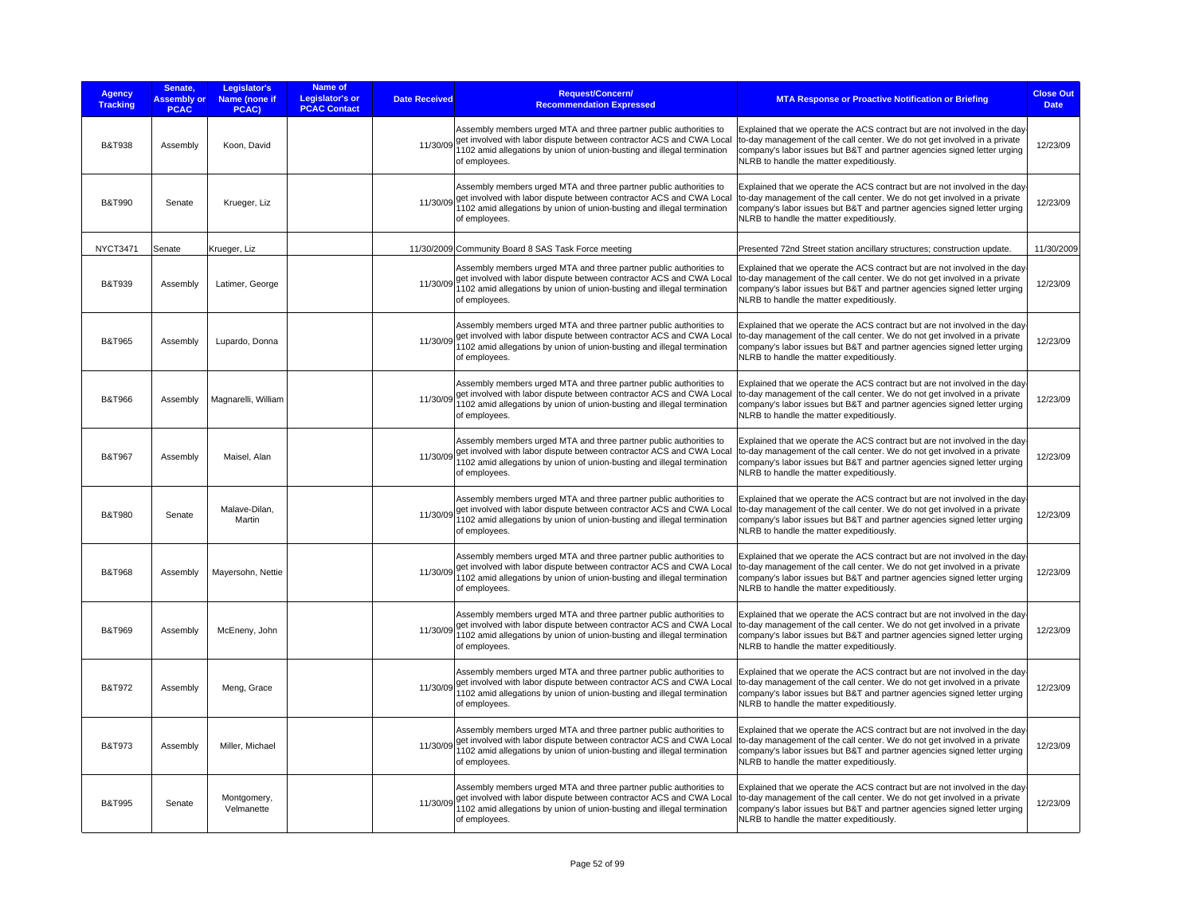| <b>Agency</b><br><b>Tracking</b> | Senate.<br><b>Assembly or</b><br><b>PCAC</b> | Legislator's<br>Name (none if<br>PCAC) | Name of<br>Legislator's or<br><b>PCAC Contact</b> | <b>Date Received</b> | <b>Request/Concern/</b><br><b>Recommendation Expressed</b>                                                                                                                                                                                      | <b>MTA Response or Proactive Notification or Briefing</b>                                                                                                                                                                                                                        | <b>Close Out</b><br><b>Date</b> |
|----------------------------------|----------------------------------------------|----------------------------------------|---------------------------------------------------|----------------------|-------------------------------------------------------------------------------------------------------------------------------------------------------------------------------------------------------------------------------------------------|----------------------------------------------------------------------------------------------------------------------------------------------------------------------------------------------------------------------------------------------------------------------------------|---------------------------------|
| <b>B&amp;T938</b>                | Assembly                                     | Koon, David                            |                                                   |                      | Assembly members urged MTA and three partner public authorities to<br>11/30/09 get involved with labor dispute between contractor ACS and CWA Local<br>1102 amid allegations by union of union-busting and illegal termination<br>of employees. | Explained that we operate the ACS contract but are not involved in the day-<br>to-day management of the call center. We do not get involved in a private<br>company's labor issues but B&T and partner agencies signed letter urging<br>NLRB to handle the matter expeditiously. | 12/23/09                        |
| <b>B&amp;T990</b>                | Senate                                       | Krueger, Liz                           |                                                   | 11/30/09             | Assembly members urged MTA and three partner public authorities to<br>get involved with labor dispute between contractor ACS and CWA Local<br>1102 amid allegations by union of union-busting and illegal termination<br>of employees.          | Explained that we operate the ACS contract but are not involved in the day-<br>to-day management of the call center. We do not get involved in a private<br>company's labor issues but B&T and partner agencies signed letter urging<br>NLRB to handle the matter expeditiously. | 12/23/09                        |
| <b>NYCT3471</b>                  | Senate                                       | Krueger, Liz                           |                                                   |                      | 11/30/2009 Community Board 8 SAS Task Force meeting                                                                                                                                                                                             | Presented 72nd Street station ancillary structures; construction update.                                                                                                                                                                                                         | 11/30/2009                      |
| <b>B&amp;T939</b>                | Assembly                                     | Latimer, George                        |                                                   |                      | Assembly members urged MTA and three partner public authorities to<br>11/30/09 get involved with labor dispute between contractor ACS and CWA Local<br>1102 amid allegations by union of union-busting and illegal termination<br>of employees. | Explained that we operate the ACS contract but are not involved in the day-<br>to-day management of the call center. We do not get involved in a private<br>company's labor issues but B&T and partner agencies signed letter urging<br>NLRB to handle the matter expeditiously. | 12/23/09                        |
| B&T965                           | Assembly                                     | Lupardo, Donna                         |                                                   | 11/30/09             | Assembly members urged MTA and three partner public authorities to<br>get involved with labor dispute between contractor ACS and CWA Local<br>1102 amid allegations by union of union-busting and illegal termination<br>of employees.          | Explained that we operate the ACS contract but are not involved in the day-<br>to-day management of the call center. We do not get involved in a private<br>company's labor issues but B&T and partner agencies signed letter urging<br>NLRB to handle the matter expeditiously. | 12/23/09                        |
| B&T966                           | Assembly                                     | Magnarelli, William                    |                                                   |                      | Assembly members urged MTA and three partner public authorities to<br>11/30/09 get involved with labor dispute between contractor ACS and CWA Local<br>1102 amid allegations by union of union-busting and illegal termination<br>of employees. | Explained that we operate the ACS contract but are not involved in the day-<br>to-day management of the call center. We do not get involved in a private<br>company's labor issues but B&T and partner agencies signed letter urging<br>NLRB to handle the matter expeditiously. | 12/23/09                        |
| <b>B&amp;T967</b>                | Assembly                                     | Maisel, Alan                           |                                                   |                      | Assembly members urged MTA and three partner public authorities to<br>11/30/09 get involved with labor dispute between contractor ACS and CWA Local<br>1102 amid allegations by union of union-busting and illegal termination<br>of employees. | Explained that we operate the ACS contract but are not involved in the day-<br>to-day management of the call center. We do not get involved in a private<br>company's labor issues but B&T and partner agencies signed letter urging<br>NLRB to handle the matter expeditiously. | 12/23/09                        |
| <b>B&amp;T980</b>                | Senate                                       | Malave-Dilan,<br>Martin                |                                                   |                      | Assembly members urged MTA and three partner public authorities to<br>11/30/09 get involved with labor dispute between contractor ACS and CWA Local<br>1102 amid allegations by union of union-busting and illegal termination<br>of employees. | Explained that we operate the ACS contract but are not involved in the day-<br>to-day management of the call center. We do not get involved in a private<br>company's labor issues but B&T and partner agencies signed letter urging<br>NLRB to handle the matter expeditiously. | 12/23/09                        |
| <b>B&amp;T968</b>                | Assembly                                     | Mayersohn, Nettie                      |                                                   | 11/30/09             | Assembly members urged MTA and three partner public authorities to<br>get involved with labor dispute between contractor ACS and CWA Local<br>1102 amid allegations by union of union-busting and illegal termination<br>of employees.          | Explained that we operate the ACS contract but are not involved in the day-<br>to-day management of the call center. We do not get involved in a private<br>company's labor issues but B&T and partner agencies signed letter urging<br>NLRB to handle the matter expeditiously. | 12/23/09                        |
| B&T969                           | Assembly                                     | McEneny, John                          |                                                   |                      | Assembly members urged MTA and three partner public authorities to<br>11/30/09 get involved with labor dispute between contractor ACS and CWA Local<br>1102 amid allegations by union of union-busting and illegal termination<br>of employees. | Explained that we operate the ACS contract but are not involved in the day-<br>to-day management of the call center. We do not get involved in a private<br>company's labor issues but B&T and partner agencies signed letter urging<br>NLRB to handle the matter expeditiously. | 12/23/09                        |
| <b>B&amp;T972</b>                | Assembly                                     | Meng, Grace                            |                                                   | 11/30/09             | Assembly members urged MTA and three partner public authorities to<br>get involved with labor dispute between contractor ACS and CWA Local<br>1102 amid allegations by union of union-busting and illegal termination<br>of employees.          | Explained that we operate the ACS contract but are not involved in the day-<br>to-day management of the call center. We do not get involved in a private<br>company's labor issues but B&T and partner agencies signed letter urging<br>NLRB to handle the matter expeditiously. | 12/23/09                        |
| <b>B&amp;T973</b>                | Assembly                                     | Miller, Michael                        |                                                   |                      | Assembly members urged MTA and three partner public authorities to<br>11/30/09 get involved with labor dispute between contractor ACS and CWA Local<br>1102 amid allegations by union of union-busting and illegal termination<br>of employees. | Explained that we operate the ACS contract but are not involved in the day-<br>to-day management of the call center. We do not get involved in a private<br>company's labor issues but B&T and partner agencies signed letter urging<br>NLRB to handle the matter expeditiously. | 12/23/09                        |
| <b>B&amp;T995</b>                | Senate                                       | Montgomery,<br>Velmanette              |                                                   | 11/30/09             | Assembly members urged MTA and three partner public authorities to<br>get involved with labor dispute between contractor ACS and CWA Local<br>1102 amid allegations by union of union-busting and illegal termination<br>of employees.          | Explained that we operate the ACS contract but are not involved in the day-<br>to-day management of the call center. We do not get involved in a private<br>company's labor issues but B&T and partner agencies signed letter urging<br>NLRB to handle the matter expeditiously. | 12/23/09                        |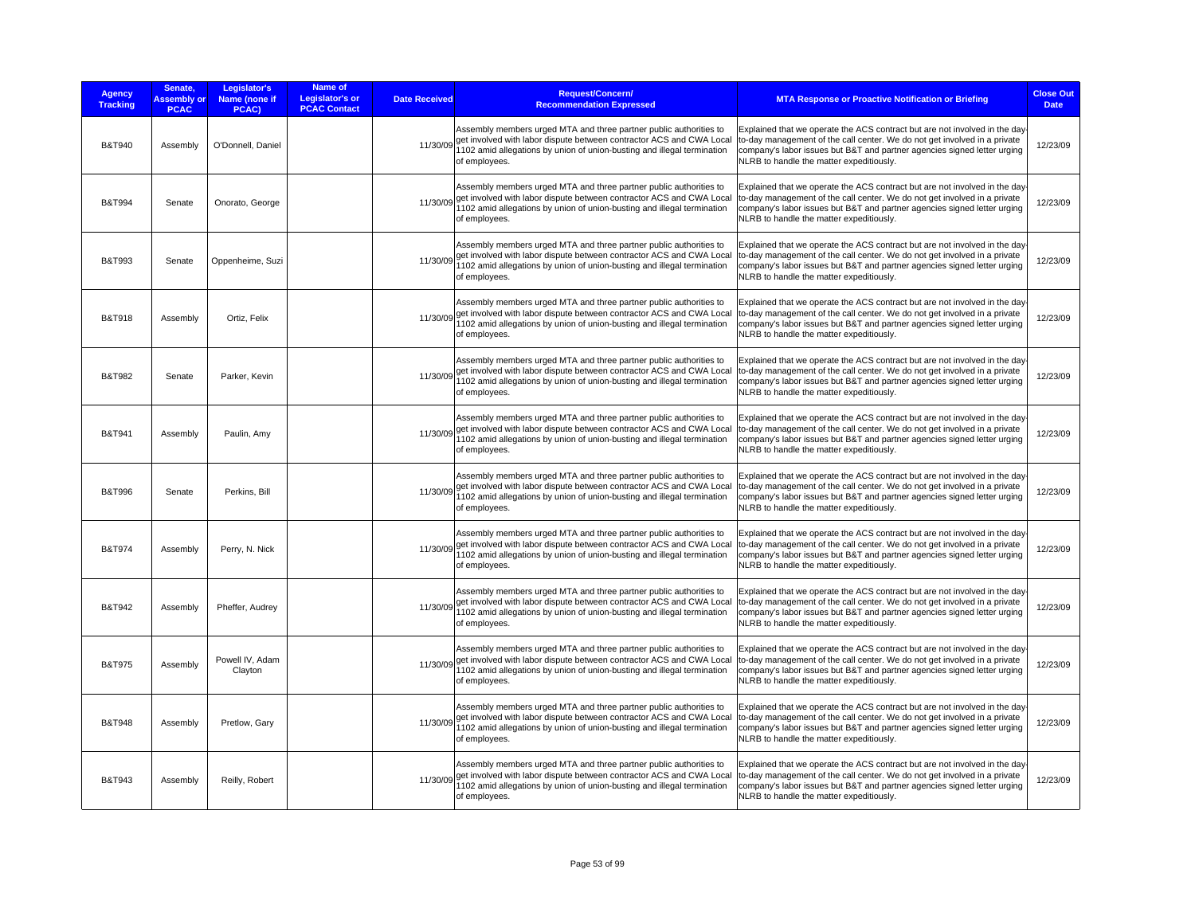| <b>Agency</b><br><b>Tracking</b> | Senate,<br><b>Assembly or</b><br><b>PCAC</b> | Legislator's<br>Name (none if<br>PCAC) | Name of<br>Legislator's or<br><b>PCAC Contact</b> | <b>Date Received</b> | <b>Request/Concern/</b><br><b>Recommendation Expressed</b>                                                                                                                                                                                      | <b>MTA Response or Proactive Notification or Briefing</b>                                                                                                                                                                                                                        | <b>Close Out</b><br><b>Date</b> |
|----------------------------------|----------------------------------------------|----------------------------------------|---------------------------------------------------|----------------------|-------------------------------------------------------------------------------------------------------------------------------------------------------------------------------------------------------------------------------------------------|----------------------------------------------------------------------------------------------------------------------------------------------------------------------------------------------------------------------------------------------------------------------------------|---------------------------------|
| <b>B&amp;T940</b>                | Assembly                                     | O'Donnell, Daniel                      |                                                   | 11/30/09             | Assembly members urged MTA and three partner public authorities to<br>get involved with labor dispute between contractor ACS and CWA Local<br>102 amid allegations by union of union-busting and illegal termination<br>of employees.           | Explained that we operate the ACS contract but are not involved in the day<br>to-day management of the call center. We do not get involved in a private<br>company's labor issues but B&T and partner agencies signed letter urging<br>NLRB to handle the matter expeditiously.  | 12/23/09                        |
| <b>B&amp;T994</b>                | Senate                                       | Onorato, George                        |                                                   | 11/30/09             | Assembly members urged MTA and three partner public authorities to<br>get involved with labor dispute between contractor ACS and CWA Local<br>1102 amid allegations by union of union-busting and illegal termination<br>of employees.          | Explained that we operate the ACS contract but are not involved in the day-<br>to-day management of the call center. We do not get involved in a private<br>company's labor issues but B&T and partner agencies signed letter urging<br>NLRB to handle the matter expeditiously. | 12/23/09                        |
| B&T993                           | Senate                                       | Oppenheime, Suzi                       |                                                   | 11/30/09             | Assembly members urged MTA and three partner public authorities to<br>get involved with labor dispute between contractor ACS and CWA Local<br>1102 amid allegations by union of union-busting and illegal termination<br>of employees.          | Explained that we operate the ACS contract but are not involved in the day<br>to-day management of the call center. We do not get involved in a private<br>company's labor issues but B&T and partner agencies signed letter urging<br>NLRB to handle the matter expeditiously.  | 12/23/09                        |
| <b>B&amp;T918</b>                | Assembly                                     | Ortiz, Felix                           |                                                   | 11/30/09             | Assembly members urged MTA and three partner public authorities to<br>get involved with labor dispute between contractor ACS and CWA Local<br>102 amid allegations by union of union-busting and illegal termination<br>of employees.           | Explained that we operate the ACS contract but are not involved in the day<br>to-day management of the call center. We do not get involved in a private<br>company's labor issues but B&T and partner agencies signed letter urging<br>NLRB to handle the matter expeditiously.  | 12/23/09                        |
| B&T982                           | Senate                                       | Parker, Kevin                          |                                                   | 11/30/09             | Assembly members urged MTA and three partner public authorities to<br>get involved with labor dispute between contractor ACS and CWA Local<br>102 amid allegations by union of union-busting and illegal termination<br>of employees.           | Explained that we operate the ACS contract but are not involved in the day<br>to-day management of the call center. We do not get involved in a private<br>company's labor issues but B&T and partner agencies signed letter urging<br>NLRB to handle the matter expeditiously.  | 12/23/09                        |
| <b>B&amp;T941</b>                | Assembly                                     | Paulin, Amy                            |                                                   | 11/30/09             | Assembly members urged MTA and three partner public authorities to<br>get involved with labor dispute between contractor ACS and CWA Local<br>102 amid allegations by union of union-busting and illegal termination<br>of employees.           | Explained that we operate the ACS contract but are not involved in the day<br>to-day management of the call center. We do not get involved in a private<br>company's labor issues but B&T and partner agencies signed letter urging<br>NLRB to handle the matter expeditiously.  | 12/23/09                        |
| <b>B&amp;T996</b>                | Senate                                       | Perkins, Bill                          |                                                   | 11/30/09             | Assembly members urged MTA and three partner public authorities to<br>get involved with labor dispute between contractor ACS and CWA Local<br>102 amid allegations by union of union-busting and illegal termination<br>of employees.           | Explained that we operate the ACS contract but are not involved in the day<br>to-day management of the call center. We do not get involved in a private<br>company's labor issues but B&T and partner agencies signed letter urging<br>NLRB to handle the matter expeditiously.  | 12/23/09                        |
| B&T974                           | Assembly                                     | Perry, N. Nick                         |                                                   |                      | Assembly members urged MTA and three partner public authorities to<br>11/30/09 get involved with labor dispute between contractor ACS and CWA Local<br>1102 amid allegations by union of union-busting and illegal termination<br>of employees. | Explained that we operate the ACS contract but are not involved in the day-<br>to-day management of the call center. We do not get involved in a private<br>company's labor issues but B&T and partner agencies signed letter urging<br>NLRB to handle the matter expeditiously. | 12/23/09                        |
| B&T942                           | Assembly                                     | Pheffer, Audrey                        |                                                   |                      | Assembly members urged MTA and three partner public authorities to<br>11/30/09 get involved with labor dispute between contractor ACS and CWA Local<br>1102 amid allegations by union of union-busting and illegal termination<br>of employees. | Explained that we operate the ACS contract but are not involved in the day-<br>to-day management of the call center. We do not get involved in a private<br>company's labor issues but B&T and partner agencies signed letter urging<br>NLRB to handle the matter expeditiously. | 12/23/09                        |
| <b>B&amp;T975</b>                | Assembly                                     | Powell IV, Adam<br>Clayton             |                                                   |                      | Assembly members urged MTA and three partner public authorities to<br>11/30/09 get involved with labor dispute between contractor ACS and CWA Local<br>102 amid allegations by union of union-busting and illegal termination<br>of employees.  | Explained that we operate the ACS contract but are not involved in the day<br>to-day management of the call center. We do not get involved in a private<br>company's labor issues but B&T and partner agencies signed letter urging<br>NLRB to handle the matter expeditiously.  | 12/23/09                        |
| <b>B&amp;T948</b>                | Assembly                                     | Pretlow, Gary                          |                                                   |                      | Assembly members urged MTA and three partner public authorities to<br>11/30/09 get involved with labor dispute between contractor ACS and CWA Local<br>102 amid allegations by union of union-busting and illegal termination<br>of employees.  | Explained that we operate the ACS contract but are not involved in the day<br>to-day management of the call center. We do not get involved in a private<br>company's labor issues but B&T and partner agencies signed letter urging<br>NLRB to handle the matter expeditiously.  | 12/23/09                        |
| B&T943                           | Assembly                                     | Reilly, Robert                         |                                                   | 11/30/09             | Assembly members urged MTA and three partner public authorities to<br>get involved with labor dispute between contractor ACS and CWA Local<br>1102 amid allegations by union of union-busting and illegal termination<br>of employees.          | Explained that we operate the ACS contract but are not involved in the day<br>to-day management of the call center. We do not get involved in a private<br>company's labor issues but B&T and partner agencies signed letter urging<br>NLRB to handle the matter expeditiously.  | 12/23/09                        |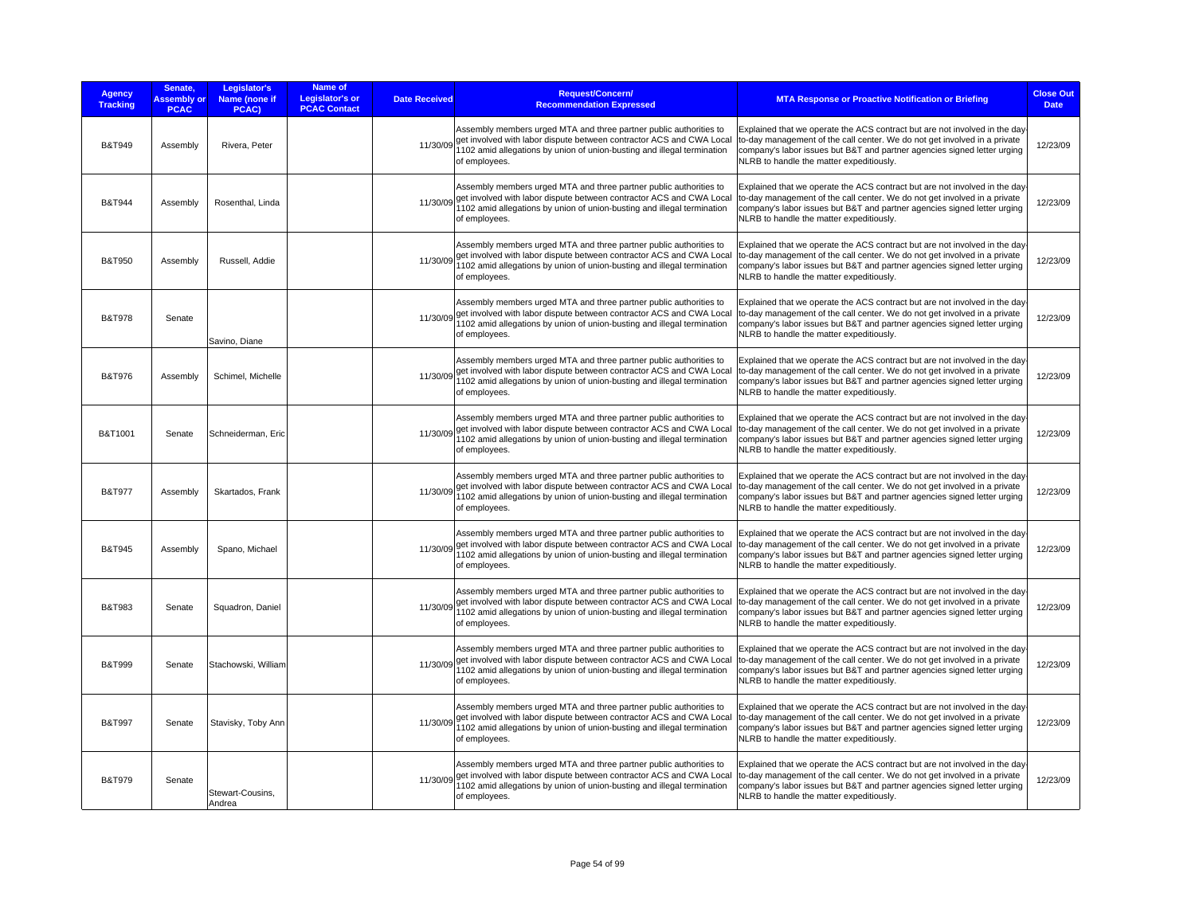| <b>Agency</b><br><b>Tracking</b> | Senate,<br><b>Assembly or</b><br><b>PCAC</b> | Legislator's<br>Name (none if<br>PCAC) | Name of<br><b>Legislator's or</b><br><b>PCAC Contact</b> | <b>Date Received</b> | Request/Concern/<br><b>Recommendation Expressed</b>                                                                                                                                                                                             | <b>MTA Response or Proactive Notification or Briefing</b>                                                                                                                                                                                                                        | <b>Close Out</b><br><b>Date</b> |
|----------------------------------|----------------------------------------------|----------------------------------------|----------------------------------------------------------|----------------------|-------------------------------------------------------------------------------------------------------------------------------------------------------------------------------------------------------------------------------------------------|----------------------------------------------------------------------------------------------------------------------------------------------------------------------------------------------------------------------------------------------------------------------------------|---------------------------------|
| <b>B&amp;T949</b>                | Assembly                                     | Rivera, Peter                          |                                                          | 11/30/09             | Assembly members urged MTA and three partner public authorities to<br>get involved with labor dispute between contractor ACS and CWA Local<br>1102 amid allegations by union of union-busting and illegal termination<br>of employees.          | Explained that we operate the ACS contract but are not involved in the day<br>to-day management of the call center. We do not get involved in a private<br>company's labor issues but B&T and partner agencies signed letter urging<br>NLRB to handle the matter expeditiously.  | 12/23/09                        |
| <b>B&amp;T944</b>                | Assembly                                     | Rosenthal, Linda                       |                                                          | 11/30/09             | Assembly members urged MTA and three partner public authorities to<br>get involved with labor dispute between contractor ACS and CWA Local<br>1102 amid allegations by union of union-busting and illegal termination<br>of employees.          | Explained that we operate the ACS contract but are not involved in the day<br>to-day management of the call center. We do not get involved in a private<br>company's labor issues but B&T and partner agencies signed letter urging<br>NLRB to handle the matter expeditiously.  | 12/23/09                        |
| B&T950                           | Assembly                                     | Russell, Addie                         |                                                          | 11/30/09             | Assembly members urged MTA and three partner public authorities to<br>get involved with labor dispute between contractor ACS and CWA Local<br>102 amid allegations by union of union-busting and illegal termination<br>of employees.           | Explained that we operate the ACS contract but are not involved in the day<br>to-day management of the call center. We do not get involved in a private<br>company's labor issues but B&T and partner agencies signed letter urging<br>NLRB to handle the matter expeditiously.  | 12/23/09                        |
| <b>B&amp;T978</b>                | Senate                                       | Savino, Diane                          |                                                          | 11/30/09             | Assembly members urged MTA and three partner public authorities to<br>get involved with labor dispute between contractor ACS and CWA Local<br>102 amid allegations by union of union-busting and illegal termination<br>of employees.           | Explained that we operate the ACS contract but are not involved in the day<br>to-day management of the call center. We do not get involved in a private<br>company's labor issues but B&T and partner agencies signed letter urging<br>NLRB to handle the matter expeditiously.  | 12/23/09                        |
| B&T976                           | Assembly                                     | Schimel, Michelle                      |                                                          | 11/30/09             | Assembly members urged MTA and three partner public authorities to<br>get involved with labor dispute between contractor ACS and CWA Local<br>102 amid allegations by union of union-busting and illegal termination<br>of employees.           | Explained that we operate the ACS contract but are not involved in the day<br>to-day management of the call center. We do not get involved in a private<br>company's labor issues but B&T and partner agencies signed letter urging<br>NLRB to handle the matter expeditiously.  | 12/23/09                        |
| B&T1001                          | Senate                                       | Schneiderman, Eric                     |                                                          | 11/30/09             | Assembly members urged MTA and three partner public authorities to<br>get involved with labor dispute between contractor ACS and CWA Local<br>102 amid allegations by union of union-busting and illegal termination<br>of employees.           | Explained that we operate the ACS contract but are not involved in the day<br>to-day management of the call center. We do not get involved in a private<br>company's labor issues but B&T and partner agencies signed letter urging<br>NLRB to handle the matter expeditiously.  | 12/23/09                        |
| <b>B&amp;T977</b>                | Assembly                                     | Skartados, Frank                       |                                                          |                      | Assembly members urged MTA and three partner public authorities to<br>11/30/09 get involved with labor dispute between contractor ACS and CWA Local<br>1102 amid allegations by union of union-busting and illegal termination<br>of employees. | Explained that we operate the ACS contract but are not involved in the day-<br>to-day management of the call center. We do not get involved in a private<br>company's labor issues but B&T and partner agencies signed letter urging<br>NLRB to handle the matter expeditiously. | 12/23/09                        |
| <b>B&amp;T945</b>                | Assembly                                     | Spano, Michael                         |                                                          |                      | Assembly members urged MTA and three partner public authorities to<br>11/30/09 get involved with labor dispute between contractor ACS and CWA Local<br>1102 amid allegations by union of union-busting and illegal termination<br>of employees. | Explained that we operate the ACS contract but are not involved in the day<br>to-day management of the call center. We do not get involved in a private<br>company's labor issues but B&T and partner agencies signed letter urging<br>NLRB to handle the matter expeditiously.  | 12/23/09                        |
| B&T983                           | Senate                                       | Squadron, Daniel                       |                                                          |                      | Assembly members urged MTA and three partner public authorities to<br>11/30/09 get involved with labor dispute between contractor ACS and CWA Local<br>1102 amid allegations by union of union-busting and illegal termination<br>of employees. | Explained that we operate the ACS contract but are not involved in the day-<br>to-day management of the call center. We do not get involved in a private<br>company's labor issues but B&T and partner agencies signed letter urging<br>NLRB to handle the matter expeditiously. | 12/23/09                        |
| <b>B&amp;T999</b>                | Senate                                       | Stachowski, William                    |                                                          |                      | Assembly members urged MTA and three partner public authorities to<br>11/30/09 get involved with labor dispute between contractor ACS and CWA Local<br>102 amid allegations by union of union-busting and illegal termination<br>of employees.  | Explained that we operate the ACS contract but are not involved in the day<br>to-day management of the call center. We do not get involved in a private<br>company's labor issues but B&T and partner agencies signed letter urging<br>NLRB to handle the matter expeditiously.  | 12/23/09                        |
| <b>B&amp;T997</b>                | Senate                                       | Stavisky, Toby Ann                     |                                                          |                      | Assembly members urged MTA and three partner public authorities to<br>11/30/09 get involved with labor dispute between contractor ACS and CWA Local<br>102 amid allegations by union of union-busting and illegal termination<br>of employees.  | Explained that we operate the ACS contract but are not involved in the day<br>to-day management of the call center. We do not get involved in a private<br>company's labor issues but B&T and partner agencies signed letter urging<br>NLRB to handle the matter expeditiously.  | 12/23/09                        |
| <b>B&amp;T979</b>                | Senate                                       | Stewart-Cousins,<br>Andrea             |                                                          | 11/30/09             | Assembly members urged MTA and three partner public authorities to<br>get involved with labor dispute between contractor ACS and CWA Local<br>1102 amid allegations by union of union-busting and illegal termination<br>of employees.          | Explained that we operate the ACS contract but are not involved in the day<br>to-day management of the call center. We do not get involved in a private<br>company's labor issues but B&T and partner agencies signed letter urging<br>NLRB to handle the matter expeditiously.  | 12/23/09                        |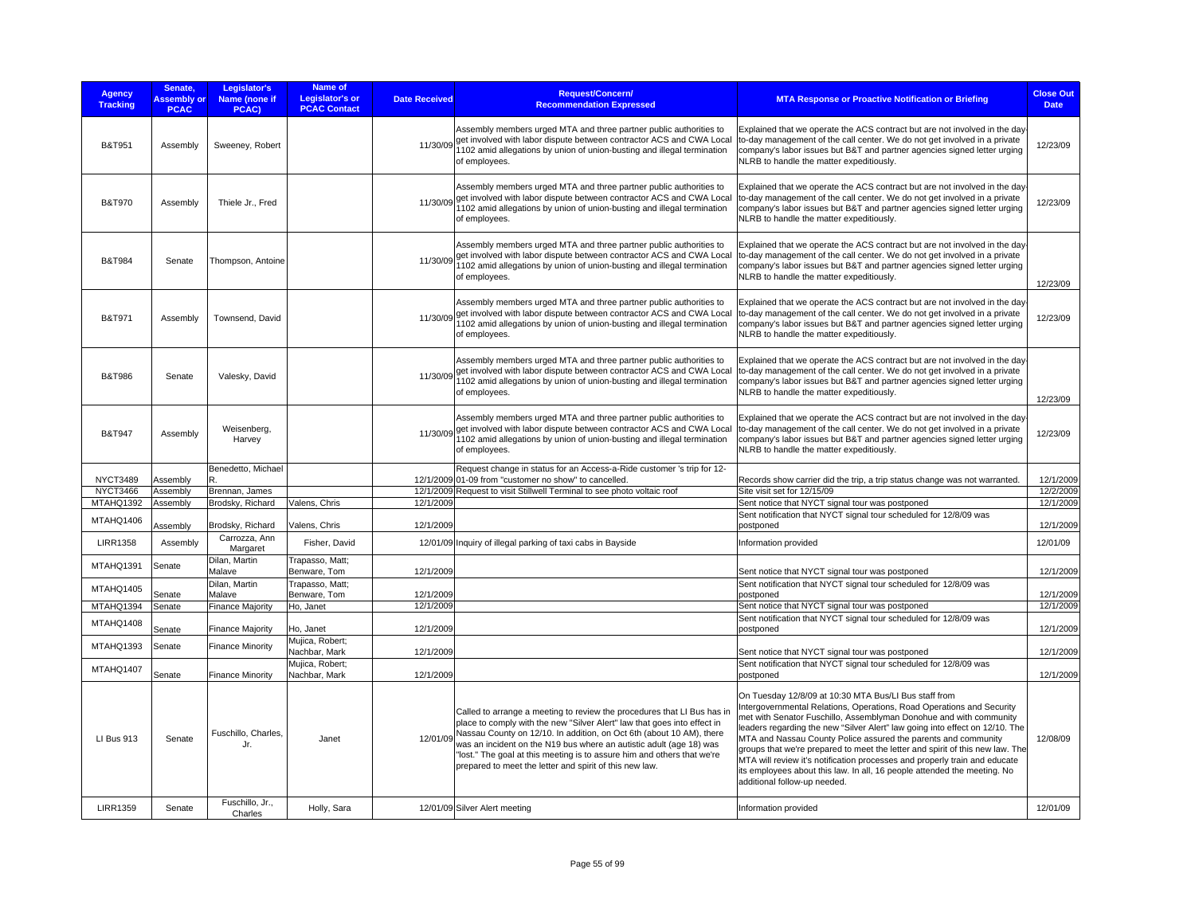| <b>Agency</b><br><b>Tracking</b> | Senate.<br><b>Assembly or</b><br><b>PCAC</b> | Legislator's<br>Name (none if<br>PCAC) | Name of<br>Legislator's or<br><b>PCAC Contact</b> | <b>Date Received</b> | <b>Request/Concern/</b><br><b>Recommendation Expressed</b>                                                                                                                                                                                                                                                                                                                                                                               | <b>MTA Response or Proactive Notification or Briefing</b>                                                                                                                                                                                                                                                                                                                                                                                                                                                                                                                                                                         | <b>Close Out</b><br><b>Date</b> |
|----------------------------------|----------------------------------------------|----------------------------------------|---------------------------------------------------|----------------------|------------------------------------------------------------------------------------------------------------------------------------------------------------------------------------------------------------------------------------------------------------------------------------------------------------------------------------------------------------------------------------------------------------------------------------------|-----------------------------------------------------------------------------------------------------------------------------------------------------------------------------------------------------------------------------------------------------------------------------------------------------------------------------------------------------------------------------------------------------------------------------------------------------------------------------------------------------------------------------------------------------------------------------------------------------------------------------------|---------------------------------|
| B&T951                           | Assembly                                     | Sweeney, Robert                        |                                                   | 11/30/09             | Assembly members urged MTA and three partner public authorities to<br>get involved with labor dispute between contractor ACS and CWA Local<br>1102 amid allegations by union of union-busting and illegal termination<br>of employees.                                                                                                                                                                                                   | Explained that we operate the ACS contract but are not involved in the day<br>to-day management of the call center. We do not get involved in a private<br>company's labor issues but B&T and partner agencies signed letter urging<br>NLRB to handle the matter expeditiously.                                                                                                                                                                                                                                                                                                                                                   | 12/23/09                        |
| <b>B&amp;T970</b>                | Assembly                                     | Thiele Jr., Fred                       |                                                   |                      | Assembly members urged MTA and three partner public authorities to<br>11/30/09 get involved with labor dispute between contractor ACS and CWA Local<br>1102 amid allegations by union of union-busting and illegal termination<br>of employees.                                                                                                                                                                                          | Explained that we operate the ACS contract but are not involved in the day<br>to-day management of the call center. We do not get involved in a private<br>company's labor issues but B&T and partner agencies signed letter urging<br>NLRB to handle the matter expeditiously.                                                                                                                                                                                                                                                                                                                                                   | 12/23/09                        |
| <b>B&amp;T984</b>                | Senate                                       | Thompson, Antoine                      |                                                   | 11/30/09             | Assembly members urged MTA and three partner public authorities to<br>get involved with labor dispute between contractor ACS and CWA Local<br>1102 amid allegations by union of union-busting and illegal termination<br>of employees.                                                                                                                                                                                                   | Explained that we operate the ACS contract but are not involved in the day<br>to-day management of the call center. We do not get involved in a private<br>company's labor issues but B&T and partner agencies signed letter urging<br>NLRB to handle the matter expeditiously.                                                                                                                                                                                                                                                                                                                                                   | 12/23/09                        |
| B&T971                           | Assembly                                     | Townsend, David                        |                                                   | 11/30/09             | Assembly members urged MTA and three partner public authorities to<br>get involved with labor dispute between contractor ACS and CWA Local<br>1102 amid allegations by union of union-busting and illegal termination<br>of employees.                                                                                                                                                                                                   | Explained that we operate the ACS contract but are not involved in the day<br>to-day management of the call center. We do not get involved in a private<br>company's labor issues but B&T and partner agencies signed letter urging<br>NLRB to handle the matter expeditiously.                                                                                                                                                                                                                                                                                                                                                   | 12/23/09                        |
| <b>B&amp;T986</b>                | Senate                                       | Valesky, David                         |                                                   | 11/30/09             | Assembly members urged MTA and three partner public authorities to<br>get involved with labor dispute between contractor ACS and CWA Local<br>1102 amid allegations by union of union-busting and illegal termination<br>of employees.                                                                                                                                                                                                   | Explained that we operate the ACS contract but are not involved in the day<br>to-day management of the call center. We do not get involved in a private<br>company's labor issues but B&T and partner agencies signed letter urging<br>NLRB to handle the matter expeditiously.                                                                                                                                                                                                                                                                                                                                                   | 12/23/09                        |
| B&T947                           | Assembly                                     | Weisenberg,<br>Harvey                  |                                                   |                      | Assembly members urged MTA and three partner public authorities to<br>11/30/09 get involved with labor dispute between contractor ACS and CWA Local<br>1102 amid allegations by union of union-busting and illegal termination<br>of employees.                                                                                                                                                                                          | Explained that we operate the ACS contract but are not involved in the day-<br>to-day management of the call center. We do not get involved in a private<br>company's labor issues but B&T and partner agencies signed letter urging<br>NLRB to handle the matter expeditiously.                                                                                                                                                                                                                                                                                                                                                  | 12/23/09                        |
| <b>NYCT3489</b>                  | Assembly                                     | Benedetto, Michael<br>R                |                                                   |                      | Request change in status for an Access-a-Ride customer 's trip for 12-<br>12/1/2009 01-09 from "customer no show" to cancelled.                                                                                                                                                                                                                                                                                                          | Records show carrier did the trip, a trip status change was not warranted.                                                                                                                                                                                                                                                                                                                                                                                                                                                                                                                                                        | 12/1/2009                       |
| <b>NYCT3466</b>                  | Assembly                                     | Brennan, James                         |                                                   |                      | 12/1/2009 Request to visit Stillwell Terminal to see photo voltaic roof                                                                                                                                                                                                                                                                                                                                                                  | Site visit set for 12/15/09                                                                                                                                                                                                                                                                                                                                                                                                                                                                                                                                                                                                       | 12/2/2009                       |
| MTAHQ1392                        | Assembly                                     | Brodsky, Richard                       | Valens, Chris                                     | 12/1/2009            |                                                                                                                                                                                                                                                                                                                                                                                                                                          | Sent notice that NYCT signal tour was postponed                                                                                                                                                                                                                                                                                                                                                                                                                                                                                                                                                                                   | 12/1/2009                       |
| MTAHQ1406                        | Assembly                                     | Brodsky, Richard                       | Valens, Chris                                     | 12/1/2009            |                                                                                                                                                                                                                                                                                                                                                                                                                                          | Sent notification that NYCT signal tour scheduled for 12/8/09 was<br>postponed                                                                                                                                                                                                                                                                                                                                                                                                                                                                                                                                                    | 12/1/2009                       |
| <b>LIRR1358</b>                  | Assembly                                     | Carrozza, Ann<br>Margaret              | Fisher, David                                     |                      | 12/01/09 Inquiry of illegal parking of taxi cabs in Bayside                                                                                                                                                                                                                                                                                                                                                                              | Information provided                                                                                                                                                                                                                                                                                                                                                                                                                                                                                                                                                                                                              | 12/01/09                        |
| MTAHQ1391                        | Senate                                       | Dilan, Martin<br>Malave                | Trapasso, Matt;<br>Benware, Tom                   | 12/1/2009            |                                                                                                                                                                                                                                                                                                                                                                                                                                          | Sent notice that NYCT signal tour was postponed                                                                                                                                                                                                                                                                                                                                                                                                                                                                                                                                                                                   | 12/1/2009                       |
| MTAHQ1405                        | Senate                                       | Dilan, Martin<br>Malave                | Trapasso, Matt;<br>Benware, Tom                   | 12/1/2009            |                                                                                                                                                                                                                                                                                                                                                                                                                                          | Sent notification that NYCT signal tour scheduled for 12/8/09 was<br>postponed                                                                                                                                                                                                                                                                                                                                                                                                                                                                                                                                                    | 12/1/2009                       |
| MTAHQ1394                        | Senate                                       | Finance Majority                       | Ho, Janet                                         | 12/1/2009            |                                                                                                                                                                                                                                                                                                                                                                                                                                          | Sent notice that NYCT signal tour was postponed                                                                                                                                                                                                                                                                                                                                                                                                                                                                                                                                                                                   | 12/1/2009                       |
| MTAHQ1408                        | Senate                                       | <b>Finance Majority</b>                | Ho, Janet                                         | 12/1/2009            |                                                                                                                                                                                                                                                                                                                                                                                                                                          | Sent notification that NYCT signal tour scheduled for 12/8/09 was<br>postponed                                                                                                                                                                                                                                                                                                                                                                                                                                                                                                                                                    | 12/1/2009                       |
| MTAHQ1393                        | Senate                                       | <b>Finance Minority</b>                | Mujica, Robert;<br>Nachbar, Mark                  | 12/1/2009            |                                                                                                                                                                                                                                                                                                                                                                                                                                          | Sent notice that NYCT signal tour was postponed                                                                                                                                                                                                                                                                                                                                                                                                                                                                                                                                                                                   | 12/1/2009                       |
| MTAHQ1407                        | Senate                                       | <b>Finance Minority</b>                | Mujica, Robert;<br>Nachbar, Mark                  | 12/1/2009            |                                                                                                                                                                                                                                                                                                                                                                                                                                          | Sent notification that NYCT signal tour scheduled for 12/8/09 was<br>postponed                                                                                                                                                                                                                                                                                                                                                                                                                                                                                                                                                    | 12/1/2009                       |
| <b>LI Bus 913</b>                | Senate                                       | Fuschillo, Charles,<br>Jr.             | Janet                                             | 12/01/09             | Called to arrange a meeting to review the procedures that LI Bus has in<br>place to comply with the new "Silver Alert" law that goes into effect in<br>Nassau County on 12/10. In addition, on Oct 6th (about 10 AM), there<br>was an incident on the N19 bus where an autistic adult (age 18) was<br>"lost." The goal at this meeting is to assure him and others that we're<br>prepared to meet the letter and spirit of this new law. | On Tuesday 12/8/09 at 10:30 MTA Bus/LI Bus staff from<br>Intergovernmental Relations, Operations, Road Operations and Security<br>met with Senator Fuschillo, Assemblyman Donohue and with community<br>leaders regarding the new "Silver Alert" law going into effect on 12/10. The<br>MTA and Nassau County Police assured the parents and community<br>groups that we're prepared to meet the letter and spirit of this new law. The<br>MTA will review it's notification processes and properly train and educate<br>its employees about this law. In all, 16 people attended the meeting. No<br>additional follow-up needed. | 12/08/09                        |
| <b>LIRR1359</b>                  | Senate                                       | Fuschillo, Jr.,<br>Charles             | Holly, Sara                                       |                      | 12/01/09 Silver Alert meeting                                                                                                                                                                                                                                                                                                                                                                                                            | Information provided                                                                                                                                                                                                                                                                                                                                                                                                                                                                                                                                                                                                              | 12/01/09                        |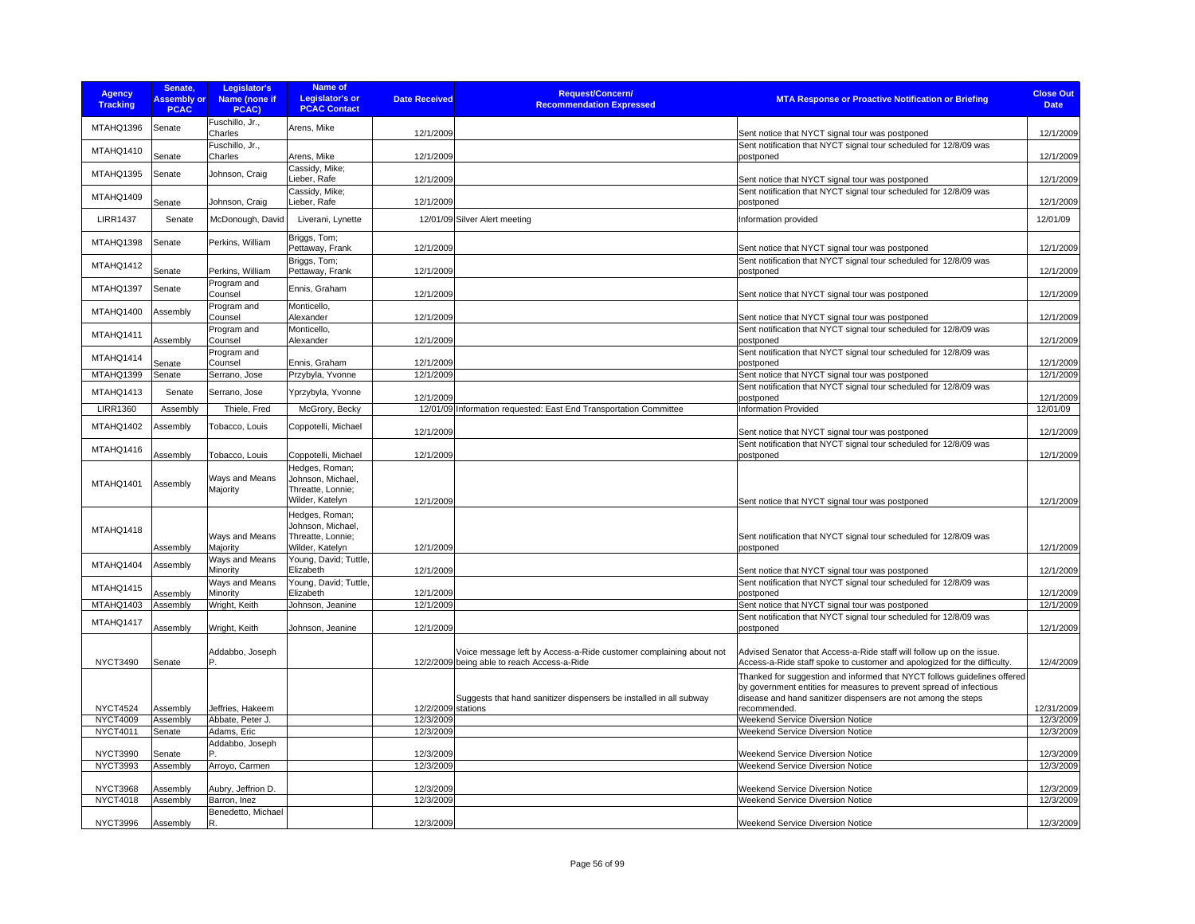| <b>Agency</b><br><b>Tracking</b> | Senate.<br><b>Assembly or</b><br><b>PCAC</b> | Legislator's<br>Name (none if<br>PCAC) | <b>Name of</b><br><b>Legislator's or</b><br><b>PCAC Contact</b>             | <b>Date Received</b> | Request/Concern/<br><b>Recommendation Expressed</b>                                                               | <b>MTA Response or Proactive Notification or Briefing</b>                                                                                                                                                                        | <b>Close Out</b><br><b>Date</b> |
|----------------------------------|----------------------------------------------|----------------------------------------|-----------------------------------------------------------------------------|----------------------|-------------------------------------------------------------------------------------------------------------------|----------------------------------------------------------------------------------------------------------------------------------------------------------------------------------------------------------------------------------|---------------------------------|
| MTAHQ1396                        | Senate                                       | Fuschillo, Jr.,<br>Charles             | Arens, Mike                                                                 | 12/1/2009            |                                                                                                                   | Sent notice that NYCT signal tour was postponed                                                                                                                                                                                  | 12/1/2009                       |
| MTAHQ1410                        | Senate                                       | Fuschillo, Jr.,<br>Charles             | Arens, Mike                                                                 | 12/1/2009            |                                                                                                                   | Sent notification that NYCT signal tour scheduled for 12/8/09 was<br>postponed                                                                                                                                                   | 12/1/2009                       |
| MTAHQ1395                        | Senate                                       | Johnson, Craig                         | Cassidy, Mike;<br>Lieber, Rafe                                              | 12/1/2009            |                                                                                                                   | Sent notice that NYCT signal tour was postponed                                                                                                                                                                                  | 12/1/2009                       |
| MTAHQ1409                        | Senate                                       | Johnson, Craig                         | Cassidy, Mike;<br>Lieber, Rafe                                              | 12/1/2009            |                                                                                                                   | Sent notification that NYCT signal tour scheduled for 12/8/09 was<br>postponed                                                                                                                                                   | 12/1/2009                       |
| <b>LIRR1437</b>                  | Senate                                       | McDonough, David                       | Liverani, Lynette                                                           |                      | 12/01/09 Silver Alert meeting                                                                                     | Information provided                                                                                                                                                                                                             | 12/01/09                        |
| MTAHQ1398                        | Senate                                       | Perkins, William                       | Briggs, Tom;<br>Pettaway, Frank                                             | 12/1/2009            |                                                                                                                   | Sent notice that NYCT signal tour was postponed                                                                                                                                                                                  | 12/1/2009                       |
| MTAHQ1412                        | Senate                                       | Perkins, William                       | Briggs, Tom;<br>Pettaway, Frank                                             | 12/1/2009            |                                                                                                                   | Sent notification that NYCT signal tour scheduled for 12/8/09 was<br>postponed                                                                                                                                                   | 12/1/2009                       |
| MTAHQ1397                        | Senate                                       | Program and<br>Counsel                 | Ennis, Graham                                                               | 12/1/2009            |                                                                                                                   |                                                                                                                                                                                                                                  | 12/1/2009                       |
| MTAHQ1400                        | Assembly                                     | Program and                            | Monticello,                                                                 |                      |                                                                                                                   | Sent notice that NYCT signal tour was postponed                                                                                                                                                                                  |                                 |
|                                  |                                              | Counsel<br>Program and                 | Alexander<br>Monticello,                                                    | 12/1/2009            |                                                                                                                   | Sent notice that NYCT signal tour was postponed<br>Sent notification that NYCT signal tour scheduled for 12/8/09 was                                                                                                             | 12/1/2009                       |
| MTAHQ1411                        | Assembly                                     | Counsel                                | Alexander                                                                   | 12/1/2009            |                                                                                                                   | postponed                                                                                                                                                                                                                        | 12/1/2009                       |
| MTAHQ1414                        | Senate                                       | Program and<br>Counsel                 | Ennis, Graham                                                               | 12/1/2009            |                                                                                                                   | Sent notification that NYCT signal tour scheduled for 12/8/09 was<br>postponed                                                                                                                                                   | 12/1/2009                       |
| MTAHQ1399                        | Senate                                       | Serrano, Jose                          | Przybyla, Yvonne                                                            | 12/1/2009            |                                                                                                                   | Sent notice that NYCT signal tour was postponed                                                                                                                                                                                  | 12/1/2009                       |
| MTAHQ1413                        | Senate                                       | Serrano, Jose                          | Yprzybyla, Yvonne                                                           | 12/1/2009            |                                                                                                                   | Sent notification that NYCT signal tour scheduled for 12/8/09 was<br>postponed                                                                                                                                                   | 12/1/2009                       |
| <b>LIRR1360</b>                  | Assembly                                     | Thiele, Fred                           | McGrory, Becky                                                              |                      | 12/01/09 Information requested: East End Transportation Committee                                                 | <b>Information Provided</b>                                                                                                                                                                                                      | 12/01/09                        |
| MTAHQ1402                        | Assembly                                     | Tobacco, Louis                         | Coppotelli, Michael                                                         | 12/1/2009            |                                                                                                                   | Sent notice that NYCT signal tour was postponed                                                                                                                                                                                  | 12/1/2009                       |
| MTAHQ1416                        | Assembly                                     | Tobacco, Louis                         | Coppotelli, Michael                                                         | 12/1/2009            |                                                                                                                   | Sent notification that NYCT signal tour scheduled for 12/8/09 was<br>postponed                                                                                                                                                   | 12/1/2009                       |
| MTAHQ1401                        | Assembly                                     | Ways and Means<br>Majority             | Hedges, Roman;<br>Johnson, Michael,<br>Threatte, Lonnie:<br>Wilder, Katelyn | 12/1/2009            |                                                                                                                   | Sent notice that NYCT signal tour was postponed                                                                                                                                                                                  | 12/1/2009                       |
| MTAHQ1418                        | Assembly                                     | Ways and Means<br>Majority             | Hedges, Roman;<br>Johnson, Michael,<br>Threatte, Lonnie;<br>Wilder, Katelyn | 12/1/2009            |                                                                                                                   | Sent notification that NYCT signal tour scheduled for 12/8/09 was<br>postponed                                                                                                                                                   | 12/1/2009                       |
| MTAHQ1404                        | Assembly                                     | Ways and Means<br>Minority             | Young, David; Tuttle,<br>Elizabeth                                          | 12/1/2009            |                                                                                                                   | Sent notice that NYCT signal tour was postponed                                                                                                                                                                                  | 12/1/2009                       |
| MTAHQ1415                        | <b>Assembly</b>                              | Ways and Means<br>Minority             | Young, David; Tuttle,<br>Elizabeth                                          | 12/1/2009            |                                                                                                                   | Sent notification that NYCT signal tour scheduled for 12/8/09 was<br>postponed                                                                                                                                                   | 12/1/2009                       |
| MTAHQ1403                        | Assembly                                     | Wright, Keith                          | Johnson, Jeanine                                                            | 12/1/2009            |                                                                                                                   | Sent notice that NYCT signal tour was postponed                                                                                                                                                                                  | 12/1/2009                       |
| MTAHQ1417                        | Assembly                                     | Wright, Keith                          | Johnson, Jeanine                                                            | 12/1/2009            |                                                                                                                   | Sent notification that NYCT signal tour scheduled for 12/8/09 was<br>postponed                                                                                                                                                   | 12/1/2009                       |
| <b>NYCT3490</b>                  | Senate                                       | Addabbo, Joseph                        |                                                                             |                      | Voice message left by Access-a-Ride customer complaining about not<br>12/2/2009 being able to reach Access-a-Ride | Advised Senator that Access-a-Ride staff will follow up on the issue.<br>Access-a-Ride staff spoke to customer and apologized for the difficulty.                                                                                | 12/4/2009                       |
| <b>NYCT4524</b>                  | Assembly                                     | Jeffries, Hakeem                       |                                                                             | 12/2/2009 stations   | Suggests that hand sanitizer dispensers be installed in all subway                                                | Thanked for suggestion and informed that NYCT follows guidelines offered<br>by government entities for measures to prevent spread of infectious<br>disease and hand sanitizer dispensers are not among the steps<br>recommended. | 12/31/2009                      |
| <b>NYCT4009</b>                  | Assembly                                     | Abbate, Peter J.                       |                                                                             | 12/3/2009            |                                                                                                                   | <b>Weekend Service Diversion Notice</b>                                                                                                                                                                                          | 12/3/2009                       |
| NYCT4011                         | Senate                                       | Adams, Eric                            |                                                                             | 12/3/2009            |                                                                                                                   | <b>Weekend Service Diversion Notice</b>                                                                                                                                                                                          | 12/3/2009                       |
| <b>NYCT3990</b>                  | Senate                                       | Addabbo, Joseph                        |                                                                             | 12/3/2009            |                                                                                                                   | <b>Weekend Service Diversion Notice</b>                                                                                                                                                                                          | 12/3/2009                       |
| <b>NYCT3993</b>                  | Assembly                                     | Arroyo, Carmen                         |                                                                             | 12/3/2009            |                                                                                                                   | <b>Weekend Service Diversion Notice</b>                                                                                                                                                                                          | 12/3/2009                       |
| <b>NYCT3968</b>                  | Assembly                                     | Aubry, Jeffrion D.                     |                                                                             | 12/3/2009            |                                                                                                                   | <b>Weekend Service Diversion Notice</b>                                                                                                                                                                                          | 12/3/2009                       |
| <b>NYCT4018</b>                  | Assembly                                     | Barron, Inez                           |                                                                             | 12/3/2009            |                                                                                                                   | <b>Weekend Service Diversion Notice</b>                                                                                                                                                                                          | 12/3/2009                       |
| <b>NYCT3996</b>                  | Assembly                                     | Benedetto, Michael<br>R                |                                                                             | 12/3/2009            |                                                                                                                   | Weekend Service Diversion Notice                                                                                                                                                                                                 | 12/3/2009                       |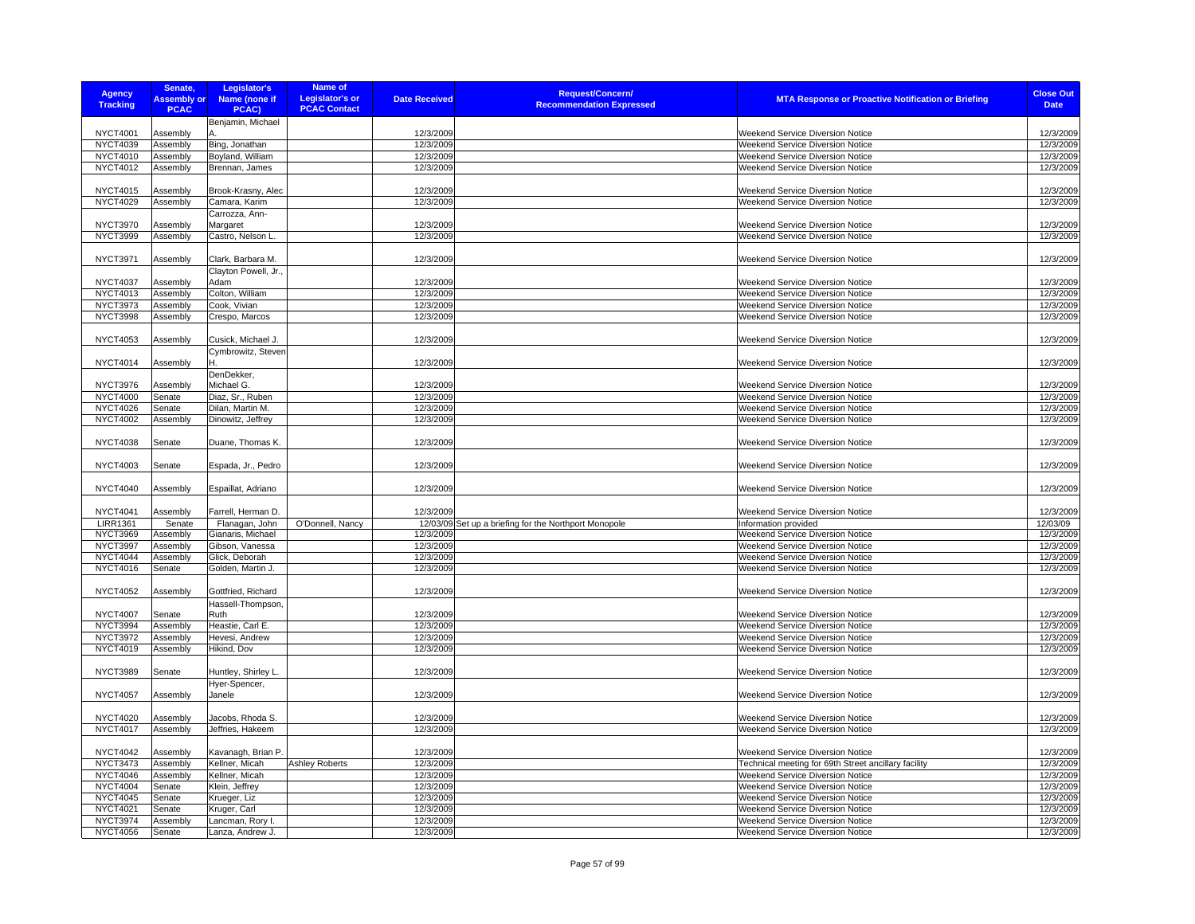| <b>Agency</b><br><b>Tracking</b>   | Senate,<br><b>Assembly or</b><br><b>PCAC</b> | Legislator's<br>Name (none if<br>PCAC)   | <b>Name of</b><br><b>Legislator's or</b><br><b>PCAC Contact</b> | <b>Date Received</b>   | <b>Request/Concern/</b><br><b>Recommendation Expressed</b> | <b>MTA Response or Proactive Notification or Briefing</b>                   | <b>Close Out</b><br><b>Date</b> |
|------------------------------------|----------------------------------------------|------------------------------------------|-----------------------------------------------------------------|------------------------|------------------------------------------------------------|-----------------------------------------------------------------------------|---------------------------------|
|                                    |                                              | Benjamin, Michael                        |                                                                 |                        |                                                            |                                                                             |                                 |
| <b>NYCT4001</b>                    | Assembly                                     |                                          |                                                                 | 12/3/2009              |                                                            | Weekend Service Diversion Notice                                            | 12/3/2009                       |
| <b>NYCT4039</b>                    | Assembly                                     | Bing, Jonathan                           |                                                                 | 12/3/2009              |                                                            | Weekend Service Diversion Notice                                            | 12/3/2009                       |
| NYCT4010                           | Assembly                                     | Boyland, William                         |                                                                 | 12/3/2009              |                                                            | Weekend Service Diversion Notice                                            | 12/3/2009                       |
| <b>NYCT4012</b>                    | Assembly                                     | Brennan, James                           |                                                                 | 12/3/2009              |                                                            | Weekend Service Diversion Notice                                            | 12/3/2009                       |
|                                    |                                              |                                          |                                                                 |                        |                                                            |                                                                             |                                 |
| <b>NYCT4015</b><br><b>NYCT4029</b> | Assembly<br>Assembly                         | Brook-Krasny, Alec<br>Camara, Karim      |                                                                 | 12/3/2009<br>12/3/2009 |                                                            | Weekend Service Diversion Notice<br>Weekend Service Diversion Notice        | 12/3/2009<br>12/3/2009          |
|                                    |                                              | Carrozza, Ann-                           |                                                                 |                        |                                                            |                                                                             |                                 |
| <b>NYCT3970</b>                    | Assembly                                     | Margaret                                 |                                                                 | 12/3/2009              |                                                            | Weekend Service Diversion Notice                                            | 12/3/2009                       |
| <b>NYCT3999</b>                    | Assembly                                     | Castro, Nelson L.                        |                                                                 | 12/3/2009              |                                                            | Weekend Service Diversion Notice                                            | 12/3/2009                       |
|                                    |                                              |                                          |                                                                 |                        |                                                            |                                                                             |                                 |
| <b>NYCT3971</b>                    | Assembly                                     | Clark, Barbara M.                        |                                                                 | 12/3/2009              |                                                            | Weekend Service Diversion Notice                                            | 12/3/2009                       |
|                                    |                                              | Clayton Powell, Jr.,                     |                                                                 |                        |                                                            |                                                                             |                                 |
| <b>NYCT4037</b>                    | Assembly                                     | Adam                                     |                                                                 | 12/3/2009              |                                                            | Weekend Service Diversion Notice                                            | 12/3/2009                       |
| NYCT4013                           | Assembly                                     | Colton, William                          |                                                                 | 12/3/2009              |                                                            | Weekend Service Diversion Notice                                            | 12/3/2009                       |
| <b>NYCT3973</b>                    | Assembly                                     | Cook, Vivian                             |                                                                 | 12/3/2009              |                                                            | Weekend Service Diversion Notice                                            | 12/3/2009                       |
| <b>NYCT3998</b>                    | Assembly                                     | Crespo, Marcos                           |                                                                 | 12/3/2009              |                                                            | Weekend Service Diversion Notice                                            | 12/3/2009                       |
| <b>NYCT4053</b>                    |                                              |                                          |                                                                 |                        |                                                            | <b>Weekend Service Diversion Notice</b>                                     |                                 |
|                                    | Assembly                                     | Cusick, Michael J.<br>Cymbrowitz, Steven |                                                                 | 12/3/2009              |                                                            |                                                                             | 12/3/2009                       |
| <b>NYCT4014</b>                    | Assembly                                     |                                          |                                                                 | 12/3/2009              |                                                            | Weekend Service Diversion Notice                                            | 12/3/2009                       |
|                                    |                                              | DenDekker,                               |                                                                 |                        |                                                            |                                                                             |                                 |
| <b>NYCT3976</b>                    | Assembly                                     | Michael G.                               |                                                                 | 12/3/2009              |                                                            | Weekend Service Diversion Notice                                            | 12/3/2009                       |
| <b>NYCT4000</b>                    | Senate                                       | Diaz, Sr., Ruben                         |                                                                 | 12/3/2009              |                                                            | Weekend Service Diversion Notice                                            | 12/3/2009                       |
| <b>NYCT4026</b>                    | Senate                                       | Dilan, Martin M.                         |                                                                 | 12/3/2009              |                                                            | Weekend Service Diversion Notice                                            | 12/3/2009                       |
| <b>NYCT4002</b>                    | Assembly                                     | Dinowitz, Jeffrey                        |                                                                 | 12/3/2009              |                                                            | Weekend Service Diversion Notice                                            | 12/3/2009                       |
|                                    |                                              |                                          |                                                                 |                        |                                                            |                                                                             |                                 |
| <b>NYCT4038</b>                    | Senate                                       | Duane, Thomas K.                         |                                                                 | 12/3/2009              |                                                            | Weekend Service Diversion Notice                                            | 12/3/2009                       |
|                                    |                                              |                                          |                                                                 |                        |                                                            |                                                                             |                                 |
| <b>NYCT4003</b>                    | Senate                                       | Espada, Jr., Pedro                       |                                                                 | 12/3/2009              |                                                            | Weekend Service Diversion Notice                                            | 12/3/2009                       |
| <b>NYCT4040</b>                    | Assembly                                     | Espaillat, Adriano                       |                                                                 | 12/3/2009              |                                                            | Weekend Service Diversion Notice                                            | 12/3/2009                       |
|                                    |                                              |                                          |                                                                 |                        |                                                            |                                                                             |                                 |
| <b>NYCT4041</b>                    | Assembly                                     | Farrell, Herman D.                       |                                                                 | 12/3/2009              |                                                            | Weekend Service Diversion Notice                                            | 12/3/2009                       |
| <b>LIRR1361</b>                    | Senate                                       | Flanagan, John                           | O'Donnell, Nancy                                                |                        | 12/03/09 Set up a briefing for the Northport Monopole      | Information provided                                                        | 12/03/09                        |
| <b>NYCT3969</b>                    | Assembly                                     | Gianaris, Michael                        |                                                                 | 12/3/2009              |                                                            | Weekend Service Diversion Notice                                            | 12/3/2009                       |
| NYCT3997                           | Assembly                                     | Gibson, Vanessa                          |                                                                 | 12/3/2009              |                                                            | Weekend Service Diversion Notice                                            | 12/3/2009                       |
| <b>NYCT4044</b>                    | Assembly                                     | Glick, Deborah                           |                                                                 | 12/3/2009              |                                                            | <b>Weekend Service Diversion Notice</b>                                     | 12/3/2009                       |
| NYCT4016                           | Senate                                       | Golden, Martin J.                        |                                                                 | 12/3/2009              |                                                            | Weekend Service Diversion Notice                                            | 12/3/2009                       |
|                                    |                                              |                                          |                                                                 |                        |                                                            |                                                                             |                                 |
| <b>NYCT4052</b>                    | Assembly                                     | Gottfried, Richard                       |                                                                 | 12/3/2009              |                                                            | Weekend Service Diversion Notice                                            | 12/3/2009                       |
|                                    | Senate                                       | Hassell-Thompson,<br>Ruth                |                                                                 | 12/3/2009              |                                                            | Weekend Service Diversion Notice                                            |                                 |
| <b>NYCT4007</b><br><b>NYCT3994</b> | Assembly                                     | Heastie, Carl E.                         |                                                                 | 12/3/2009              |                                                            | Weekend Service Diversion Notice                                            | 12/3/2009<br>12/3/2009          |
| <b>NYCT3972</b>                    | Assembly                                     | Hevesi, Andrew                           |                                                                 | 12/3/2009              |                                                            | Weekend Service Diversion Notice                                            | 12/3/2009                       |
| <b>NYCT4019</b>                    | Assembly                                     | Hikind, Dov                              |                                                                 | 12/3/2009              |                                                            | Weekend Service Diversion Notice                                            | 12/3/2009                       |
|                                    |                                              |                                          |                                                                 |                        |                                                            |                                                                             |                                 |
| <b>NYCT3989</b>                    | Senate                                       | Huntley, Shirley L.                      |                                                                 | 12/3/2009              |                                                            | Weekend Service Diversion Notice                                            | 12/3/2009                       |
|                                    |                                              | Hyer-Spencer,                            |                                                                 |                        |                                                            |                                                                             |                                 |
| <b>NYCT4057</b>                    | Assembly                                     | Janele                                   |                                                                 | 12/3/2009              |                                                            | <b>Weekend Service Diversion Notice</b>                                     | 12/3/2009                       |
|                                    |                                              |                                          |                                                                 |                        |                                                            |                                                                             |                                 |
| <b>NYCT4020</b>                    | Assembly                                     | Jacobs, Rhoda S.                         |                                                                 | 12/3/2009              |                                                            | <b>Weekend Service Diversion Notice</b>                                     | 12/3/2009                       |
| <b>NYCT4017</b>                    | Assembly                                     | Jeffries, Hakeem                         |                                                                 | 12/3/2009              |                                                            | <b>Weekend Service Diversion Notice</b>                                     | 12/3/2009                       |
|                                    |                                              |                                          |                                                                 |                        |                                                            |                                                                             |                                 |
| <b>NYCT4042</b>                    | Assembly                                     | Kavanagh, Brian P.                       |                                                                 | 12/3/2009              |                                                            | Weekend Service Diversion Notice                                            | 12/3/2009                       |
| <b>NYCT3473</b>                    | Assembly                                     | Kellner, Micah                           | <b>Ashley Roberts</b>                                           | 12/3/2009              |                                                            | Technical meeting for 69th Street ancillary facility                        | 12/3/2009<br>12/3/2009          |
| <b>NYCT4046</b><br><b>NYCT4004</b> | Assembly<br>Senate                           | Kellner, Micah<br>Klein, Jeffrey         |                                                                 | 12/3/2009<br>12/3/2009 |                                                            | Weekend Service Diversion Notice<br><b>Weekend Service Diversion Notice</b> | 12/3/2009                       |
| <b>NYCT4045</b>                    | Senate                                       | Krueger, Liz                             |                                                                 | 12/3/2009              |                                                            | Weekend Service Diversion Notice                                            | 12/3/2009                       |
| <b>NYCT4021</b>                    | Senate                                       | Kruger, Carl                             |                                                                 | 12/3/2009              |                                                            | Weekend Service Diversion Notice                                            | 12/3/2009                       |
| <b>NYCT3974</b>                    | Assembly                                     | Lancman, Rory I.                         |                                                                 | 12/3/2009              |                                                            | Weekend Service Diversion Notice                                            | 12/3/2009                       |
| <b>NYCT4056</b>                    | Senate                                       | Lanza, Andrew J.                         |                                                                 | 12/3/2009              |                                                            | Weekend Service Diversion Notice                                            | 12/3/2009                       |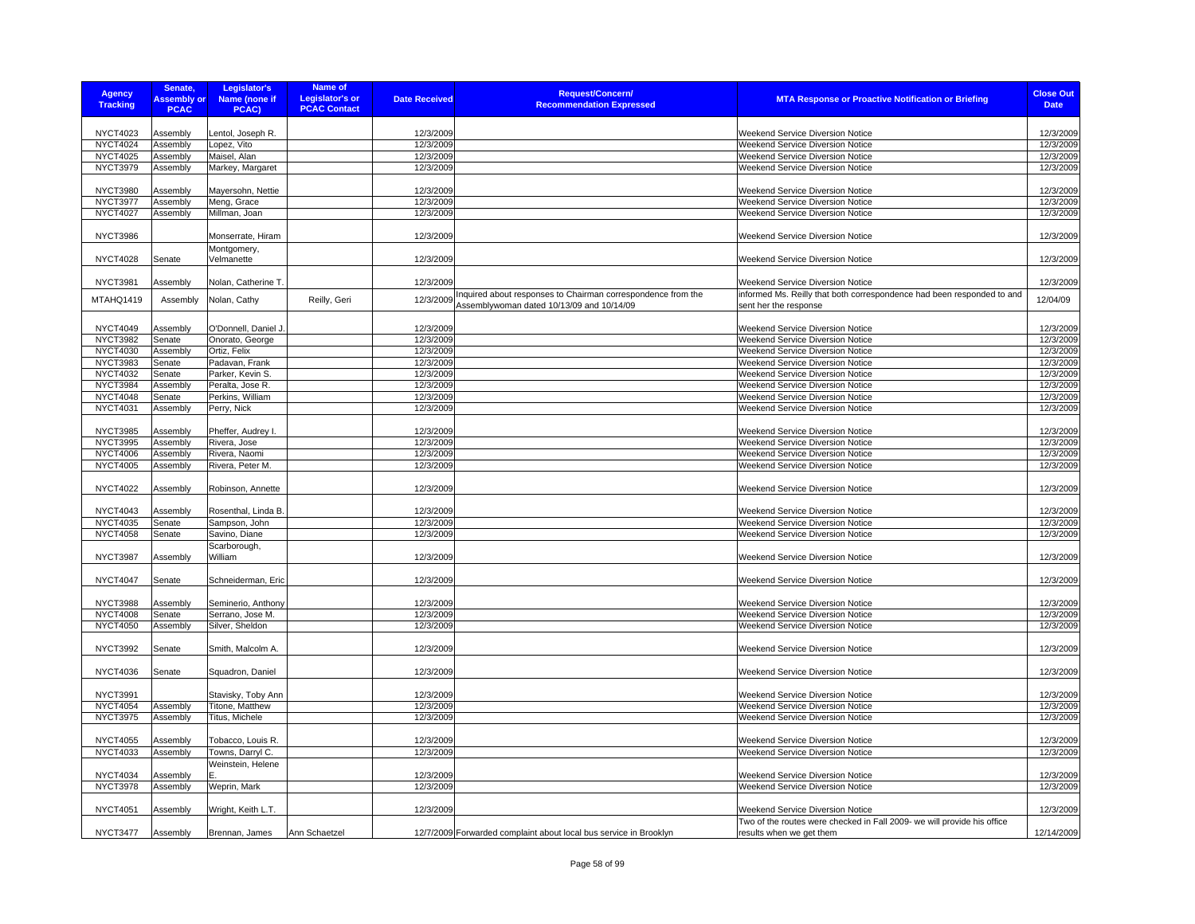| <b>Agency</b><br><b>Tracking</b>   | Senate,<br><b>Assembly or</b><br><b>PCAC</b> | Legislator's<br><b>Name (none if</b><br>PCAC) | <b>Name of</b><br><b>Legislator's or</b><br><b>PCAC Contact</b> | <b>Date Received</b>   | <b>Request/Concern/</b><br><b>Recommendation Expressed</b>                                                | <b>MTA Response or Proactive Notification or Briefing</b>                                       | <b>Close Out</b><br><b>Date</b> |
|------------------------------------|----------------------------------------------|-----------------------------------------------|-----------------------------------------------------------------|------------------------|-----------------------------------------------------------------------------------------------------------|-------------------------------------------------------------------------------------------------|---------------------------------|
|                                    |                                              |                                               |                                                                 |                        |                                                                                                           |                                                                                                 |                                 |
| <b>NYCT4023</b>                    | Assembly                                     | entol, Joseph R.                              |                                                                 | 12/3/2009              |                                                                                                           | Weekend Service Diversion Notice                                                                | 12/3/2009                       |
| <b>NYCT4024</b>                    | Assembly                                     | Lopez, Vito                                   |                                                                 | 12/3/2009              |                                                                                                           | Weekend Service Diversion Notice                                                                | 12/3/2009                       |
| <b>NYCT4025</b>                    | Assembly                                     | Maisel, Alan                                  |                                                                 | 12/3/2009              |                                                                                                           | Weekend Service Diversion Notice                                                                | 12/3/2009                       |
| <b>NYCT3979</b>                    | Assembly                                     | Markey, Margaret                              |                                                                 | 12/3/2009              |                                                                                                           | Weekend Service Diversion Notice                                                                | 12/3/2009                       |
|                                    |                                              |                                               |                                                                 |                        |                                                                                                           |                                                                                                 |                                 |
| <b>NYCT3980</b>                    | Assembly                                     | Mayersohn, Nettie                             |                                                                 | 12/3/2009              |                                                                                                           | Weekend Service Diversion Notice                                                                | 12/3/2009                       |
| <b>NYCT3977</b>                    | Assembly                                     | Meng, Grace                                   |                                                                 | 12/3/2009              |                                                                                                           | Weekend Service Diversion Notice                                                                | 12/3/2009                       |
| <b>NYCT4027</b>                    | Assembly                                     | Millman, Joan                                 |                                                                 | 12/3/2009              |                                                                                                           | Weekend Service Diversion Notice                                                                | 12/3/2009                       |
| <b>NYCT3986</b>                    |                                              | Monserrate, Hiram                             |                                                                 | 12/3/2009              |                                                                                                           | Weekend Service Diversion Notice                                                                | 12/3/2009                       |
| <b>NYCT4028</b>                    | Senate                                       | Montgomery,<br>Velmanette                     |                                                                 | 12/3/2009              |                                                                                                           | Weekend Service Diversion Notice                                                                | 12/3/2009                       |
|                                    |                                              |                                               |                                                                 |                        |                                                                                                           |                                                                                                 |                                 |
| <b>NYCT3981</b>                    | Assembly                                     | Nolan, Catherine T.                           |                                                                 | 12/3/2009              |                                                                                                           | Weekend Service Diversion Notice                                                                | 12/3/2009                       |
| MTAHQ1419                          | Assembly                                     | Nolan, Cathy                                  | Reilly, Geri                                                    | 12/3/2009              | Inquired about responses to Chairman correspondence from the<br>Assemblywoman dated 10/13/09 and 10/14/09 | informed Ms. Reilly that both correspondence had been responded to and<br>sent her the response | 12/04/09                        |
|                                    |                                              |                                               |                                                                 |                        |                                                                                                           |                                                                                                 |                                 |
| <b>NYCT4049</b>                    | Assembly                                     | O'Donnell, Daniel J                           |                                                                 | 12/3/2009              |                                                                                                           | Weekend Service Diversion Notice                                                                | 12/3/2009                       |
| <b>NYCT3982</b>                    | Senate                                       | Onorato, George                               |                                                                 | 12/3/2009              |                                                                                                           | Weekend Service Diversion Notice                                                                | 12/3/2009                       |
| <b>NYCT4030</b>                    | Assembly                                     | Ortiz, Felix                                  |                                                                 | 12/3/2009              |                                                                                                           | <b>Weekend Service Diversion Notice</b>                                                         | 12/3/2009                       |
| <b>NYCT3983</b>                    | Senate                                       | Padavan, Frank                                |                                                                 | 12/3/2009              |                                                                                                           | Weekend Service Diversion Notice                                                                | 12/3/2009                       |
| <b>NYCT4032</b>                    | Senate                                       | Parker, Kevin S.                              |                                                                 | 12/3/2009              |                                                                                                           | Weekend Service Diversion Notice                                                                | 12/3/2009                       |
| <b>NYCT3984</b>                    | Assembly                                     | Peralta, Jose R.                              |                                                                 | 12/3/2009              |                                                                                                           | Weekend Service Diversion Notice                                                                | 12/3/2009                       |
| <b>NYCT4048</b>                    | Senate                                       | Perkins, William                              |                                                                 | 12/3/2009              |                                                                                                           | Weekend Service Diversion Notice                                                                | 12/3/2009                       |
| <b>NYCT4031</b>                    | Assembly                                     | Perry, Nick                                   |                                                                 | 12/3/2009              |                                                                                                           | Weekend Service Diversion Notice                                                                | 12/3/2009                       |
|                                    |                                              |                                               |                                                                 |                        |                                                                                                           |                                                                                                 |                                 |
| <b>NYCT3985</b>                    | Assembly<br>Assembly                         | Pheffer, Audrey I.                            |                                                                 | 12/3/2009<br>12/3/2009 |                                                                                                           | <b>Weekend Service Diversion Notice</b><br><b>Weekend Service Diversion Notice</b>              | 12/3/2009                       |
| <b>NYCT3995</b><br><b>NYCT4006</b> | Assembly                                     | Rivera, Jose<br>Rivera, Naomi                 |                                                                 | 12/3/2009              |                                                                                                           | Weekend Service Diversion Notice                                                                | 12/3/2009<br>12/3/2009          |
| <b>NYCT4005</b>                    | Assembly                                     | Rivera, Peter M.                              |                                                                 | 12/3/2009              |                                                                                                           | Weekend Service Diversion Notice                                                                | 12/3/2009                       |
|                                    |                                              |                                               |                                                                 |                        |                                                                                                           |                                                                                                 |                                 |
| <b>NYCT4022</b>                    | Assembly                                     | Robinson, Annette                             |                                                                 | 12/3/2009              |                                                                                                           | Weekend Service Diversion Notice                                                                | 12/3/2009                       |
| <b>NYCT4043</b>                    | Assembly                                     | Rosenthal, Linda B.                           |                                                                 | 12/3/2009              |                                                                                                           | Weekend Service Diversion Notice                                                                | 12/3/2009                       |
| <b>NYCT4035</b>                    | Senate                                       | Sampson, John                                 |                                                                 | 12/3/2009              |                                                                                                           | <b>Weekend Service Diversion Notice</b>                                                         | 12/3/2009                       |
| <b>NYCT4058</b>                    | Senate                                       | Savino, Diane                                 |                                                                 | 12/3/2009              |                                                                                                           | Weekend Service Diversion Notice                                                                | 12/3/2009                       |
|                                    |                                              | Scarborough,                                  |                                                                 |                        |                                                                                                           |                                                                                                 |                                 |
| NYCT3987                           | Assembly                                     | William                                       |                                                                 | 12/3/2009              |                                                                                                           | Weekend Service Diversion Notice                                                                | 12/3/2009                       |
|                                    |                                              |                                               |                                                                 |                        |                                                                                                           |                                                                                                 |                                 |
| <b>NYCT4047</b>                    | Senate                                       | Schneiderman, Eric                            |                                                                 | 12/3/2009              |                                                                                                           | Weekend Service Diversion Notice                                                                | 12/3/2009                       |
|                                    |                                              |                                               |                                                                 |                        |                                                                                                           |                                                                                                 |                                 |
| <b>NYCT3988</b>                    | Assembly                                     | Seminerio, Anthony                            |                                                                 | 12/3/2009              |                                                                                                           | Weekend Service Diversion Notice                                                                | 12/3/2009                       |
| <b>NYCT4008</b>                    | Senate                                       | Serrano, Jose M.                              |                                                                 | 12/3/2009              |                                                                                                           | Weekend Service Diversion Notice                                                                | 12/3/2009                       |
| <b>NYCT4050</b>                    | Assembly                                     | Silver, Sheldon                               |                                                                 | 12/3/2009              |                                                                                                           | Weekend Service Diversion Notice                                                                | 12/3/2009                       |
| <b>NYCT3992</b>                    | Senate                                       | Smith, Malcolm A.                             |                                                                 | 12/3/2009              |                                                                                                           | Weekend Service Diversion Notice                                                                | 12/3/2009                       |
|                                    |                                              |                                               |                                                                 |                        |                                                                                                           |                                                                                                 |                                 |
| <b>NYCT4036</b>                    | Senate                                       | Squadron, Daniel                              |                                                                 | 12/3/2009              |                                                                                                           | Weekend Service Diversion Notice                                                                | 12/3/2009                       |
| <b>NYCT3991</b>                    |                                              | Stavisky, Toby Ann                            |                                                                 | 12/3/2009              |                                                                                                           | Weekend Service Diversion Notice                                                                | 12/3/2009                       |
| <b>NYCT4054</b>                    | Assembly                                     | Titone, Matthew                               |                                                                 | 12/3/2009              |                                                                                                           | Weekend Service Diversion Notice                                                                | 12/3/2009                       |
| <b>NYCT3975</b>                    | Assembly                                     | Titus, Michele                                |                                                                 | 12/3/2009              |                                                                                                           | Weekend Service Diversion Notice                                                                | 12/3/2009                       |
|                                    |                                              |                                               |                                                                 |                        |                                                                                                           |                                                                                                 |                                 |
| <b>NYCT4055</b>                    | Assembly                                     | Tobacco, Louis R.                             |                                                                 | 12/3/2009              |                                                                                                           | <b>Weekend Service Diversion Notice</b>                                                         | 12/3/2009                       |
| NYCT4033                           | Assembly                                     | Towns, Darryl C.                              |                                                                 | 12/3/2009              |                                                                                                           | Weekend Service Diversion Notice                                                                | 12/3/2009                       |
|                                    |                                              | Weinstein, Helene                             |                                                                 |                        |                                                                                                           |                                                                                                 |                                 |
| <b>NYCT4034</b>                    | Assembly                                     |                                               |                                                                 | 12/3/2009              |                                                                                                           | Weekend Service Diversion Notice                                                                | 12/3/2009                       |
| <b>NYCT3978</b>                    | Assembly                                     | Weprin, Mark                                  |                                                                 | 12/3/2009              |                                                                                                           | Weekend Service Diversion Notice                                                                | 12/3/2009                       |
| <b>NYCT4051</b>                    | Assembly                                     | Wright, Keith L.T.                            |                                                                 | 12/3/2009              |                                                                                                           | <b>Weekend Service Diversion Notice</b>                                                         | 12/3/2009                       |
|                                    |                                              |                                               |                                                                 |                        |                                                                                                           | Two of the routes were checked in Fall 2009- we will provide his office                         |                                 |
| NYCT3477                           | Assembly                                     | Brennan, James                                | Ann Schaetzel                                                   |                        | 12/7/2009 Forwarded complaint about local bus service in Brooklyn                                         | results when we get them                                                                        | 12/14/2009                      |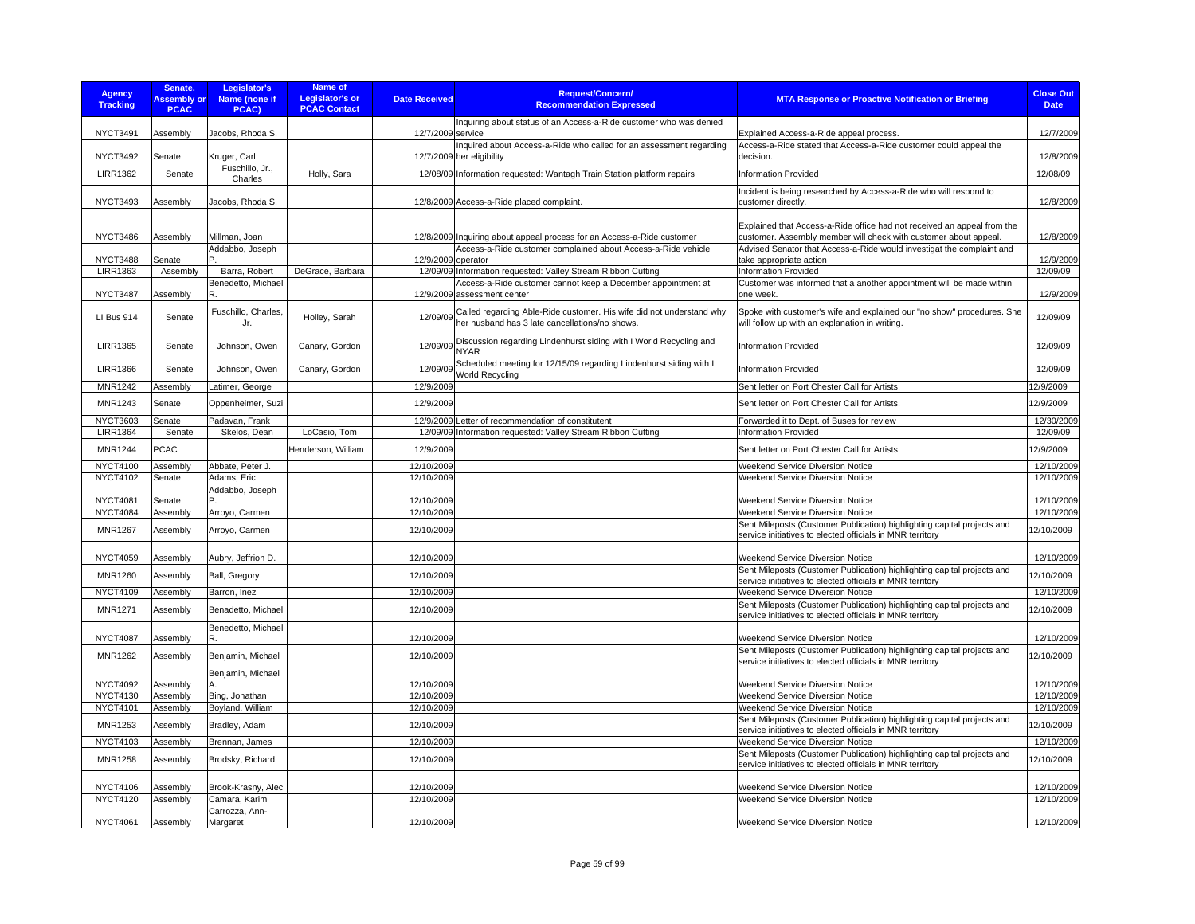| <b>Agency</b><br><b>Tracking</b> | Senate,<br><b>Assembly or</b><br><b>PCAC</b> | Legislator's<br>Name (none if<br>PCAC) | Name of<br><b>Legislator's or</b><br><b>PCAC Contact</b> | <b>Date Received</b> | <b>Request/Concern/</b><br><b>Recommendation Expressed</b>                                                             | <b>MTA Response or Proactive Notification or Briefing</b>                                                                                   | <b>Close Out</b><br><b>Date</b> |
|----------------------------------|----------------------------------------------|----------------------------------------|----------------------------------------------------------|----------------------|------------------------------------------------------------------------------------------------------------------------|---------------------------------------------------------------------------------------------------------------------------------------------|---------------------------------|
| <b>NYCT3491</b>                  | Assembly                                     | Jacobs, Rhoda S.                       |                                                          | 12/7/2009 service    | Inquiring about status of an Access-a-Ride customer who was denied                                                     | Explained Access-a-Ride appeal process.                                                                                                     | 12/7/2009                       |
|                                  |                                              |                                        |                                                          |                      | Inquired about Access-a-Ride who called for an assessment regarding                                                    | Access-a-Ride stated that Access-a-Ride customer could appeal the                                                                           |                                 |
| <b>NYCT3492</b>                  | Senate                                       | Kruger, Carl<br>Fuschillo, Jr.,        |                                                          |                      | 12/7/2009 her eligibility                                                                                              | decision.                                                                                                                                   | 12/8/2009                       |
| <b>LIRR1362</b>                  | Senate                                       | Charles                                | Holly, Sara                                              |                      | 12/08/09 Information requested: Wantagh Train Station platform repairs                                                 | Information Provided                                                                                                                        | 12/08/09                        |
| <b>NYCT3493</b>                  | Assembly                                     | Jacobs, Rhoda S.                       |                                                          |                      | 12/8/2009 Access-a-Ride placed complaint.                                                                              | Incident is being researched by Access-a-Ride who will respond to<br>customer directly.                                                     | 12/8/2009                       |
| <b>NYCT3486</b>                  | Assembly                                     | Millman, Joan                          |                                                          |                      | 12/8/2009 Inquiring about appeal process for an Access-a-Ride customer                                                 | Explained that Access-a-Ride office had not received an appeal from the<br>customer. Assembly member will check with customer about appeal. | 12/8/2009                       |
| <b>NYCT3488</b>                  | Senate                                       | Addabbo, Joseph                        |                                                          | 12/9/2009 operator   | Access-a-Ride customer complained about Access-a-Ride vehicle                                                          | Advised Senator that Access-a-Ride would investigat the complaint and<br>take appropriate action                                            | 12/9/2009                       |
| <b>LIRR1363</b>                  | Assembly                                     | Barra, Robert                          | DeGrace, Barbara                                         |                      | 12/09/09 Information requested: Valley Stream Ribbon Cutting                                                           | <b>Information Provided</b>                                                                                                                 | 12/09/09                        |
| <b>NYCT3487</b>                  | Assembly                                     | Benedetto, Michael<br>R                |                                                          |                      | Access-a-Ride customer cannot keep a December appointment at<br>12/9/2009 assessment center                            | Customer was informed that a another appointment will be made within<br>one week                                                            | 12/9/2009                       |
| LI Bus 914                       | Senate                                       | Fuschillo, Charles,<br>Jr.             | Holley, Sarah                                            | 12/09/09             | Called regarding Able-Ride customer. His wife did not understand why<br>her husband has 3 late cancellations/no shows. | Spoke with customer's wife and explained our "no show" procedures. She<br>will follow up with an explanation in writing.                    | 12/09/09                        |
| <b>LIRR1365</b>                  | Senate                                       | Johnson, Owen                          | Canary, Gordon                                           | 12/09/09             | Discussion regarding Lindenhurst siding with I World Recycling and<br><b>NYAR</b>                                      | Information Provided                                                                                                                        | 12/09/09                        |
| <b>LIRR1366</b>                  | Senate                                       | Johnson, Owen                          | Canary, Gordon                                           | 12/09/09             | Scheduled meeting for 12/15/09 regarding Lindenhurst siding with I<br>World Recycling                                  | Information Provided                                                                                                                        | 12/09/09                        |
| <b>MNR1242</b>                   | Assembly                                     | Latimer, George                        |                                                          | 12/9/2009            |                                                                                                                        | Sent letter on Port Chester Call for Artists                                                                                                | 12/9/2009                       |
| MNR1243                          | Senate                                       | Oppenheimer, Suzi                      |                                                          | 12/9/2009            |                                                                                                                        | Sent letter on Port Chester Call for Artists.                                                                                               | 12/9/2009                       |
| NYCT3603                         | Senate                                       | Padavan, Frank                         |                                                          |                      | 12/9/2009 Letter of recommendation of constitutent                                                                     | Forwarded it to Dept. of Buses for review                                                                                                   | 12/30/2009                      |
| <b>LIRR1364</b>                  | Senate                                       | Skelos, Dean                           | LoCasio. Tom                                             |                      | 12/09/09 Information requested: Valley Stream Ribbon Cutting                                                           | <b>Information Provided</b>                                                                                                                 | 12/09/09                        |
| <b>MNR1244</b>                   | <b>PCAC</b>                                  |                                        | Henderson, William                                       | 12/9/2009            |                                                                                                                        | Sent letter on Port Chester Call for Artists.                                                                                               | 12/9/2009                       |
| <b>NYCT4100</b>                  | Assembly                                     | Abbate, Peter J.                       |                                                          | 12/10/2009           |                                                                                                                        | Weekend Service Diversion Notice                                                                                                            | 12/10/2009                      |
| <b>NYCT4102</b>                  | Senate                                       | Adams, Eric<br>Addabbo, Joseph         |                                                          | 12/10/2009           |                                                                                                                        | Weekend Service Diversion Notice                                                                                                            | 12/10/2009                      |
| <b>NYCT4081</b>                  | Senate                                       |                                        |                                                          | 12/10/2009           |                                                                                                                        | <b>Weekend Service Diversion Notice</b>                                                                                                     | 12/10/2009                      |
| <b>NYCT4084</b>                  | Assembly                                     | Arroyo, Carmen                         |                                                          | 12/10/2009           |                                                                                                                        | Weekend Service Diversion Notice                                                                                                            | 12/10/2009                      |
| <b>MNR1267</b>                   | Assembly                                     | Arroyo, Carmen                         |                                                          | 12/10/2009           |                                                                                                                        | Sent Mileposts (Customer Publication) highlighting capital projects and<br>service initiatives to elected officials in MNR territory        | 12/10/2009                      |
| <b>NYCT4059</b>                  | Assembly                                     | Aubry, Jeffrion D.                     |                                                          | 12/10/2009           |                                                                                                                        | Weekend Service Diversion Notice                                                                                                            | 12/10/2009                      |
| <b>MNR1260</b>                   | Assembly                                     | Ball, Gregory                          |                                                          | 12/10/2009           |                                                                                                                        | Sent Mileposts (Customer Publication) highlighting capital projects and<br>service initiatives to elected officials in MNR territory        | 12/10/2009                      |
| NYCT4109                         | Assembly                                     | Barron, Inez                           |                                                          | 12/10/2009           |                                                                                                                        | Weekend Service Diversion Notice                                                                                                            | 12/10/2009                      |
| <b>MNR1271</b>                   | Assembly                                     | Benadetto, Michael                     |                                                          | 12/10/2009           |                                                                                                                        | Sent Mileposts (Customer Publication) highlighting capital projects and<br>service initiatives to elected officials in MNR territory        | 12/10/2009                      |
| <b>NYCT4087</b>                  | Assembly                                     | Benedetto, Michael<br>R.               |                                                          | 12/10/2009           |                                                                                                                        | Weekend Service Diversion Notice                                                                                                            | 12/10/2009                      |
| <b>MNR1262</b>                   | Assembly                                     | Benjamin, Michael                      |                                                          | 12/10/2009           |                                                                                                                        | Sent Mileposts (Customer Publication) highlighting capital projects and<br>service initiatives to elected officials in MNR territory        | 12/10/2009                      |
| <b>NYCT4092</b>                  | Assembly                                     | Benjamin, Michael                      |                                                          | 12/10/2009           |                                                                                                                        | Weekend Service Diversion Notice                                                                                                            | 12/10/2009                      |
| <b>NYCT4130</b>                  | Assembly                                     | Bing, Jonathan                         |                                                          | 12/10/2009           |                                                                                                                        | Weekend Service Diversion Notice                                                                                                            | 12/10/2009                      |
| <b>NYCT4101</b>                  | Assembly                                     | Boyland, William                       |                                                          | 12/10/2009           |                                                                                                                        | Weekend Service Diversion Notice<br>Sent Mileposts (Customer Publication) highlighting capital projects and                                 | 12/10/2009                      |
| MNR1253                          | Assembly                                     | Bradley, Adam                          |                                                          | 12/10/2009           |                                                                                                                        | service initiatives to elected officials in MNR territory                                                                                   | 12/10/2009                      |
| <b>NYCT4103</b>                  | Assembly                                     | Brennan, James                         |                                                          | 12/10/2009           |                                                                                                                        | <b>Weekend Service Diversion Notice</b>                                                                                                     | 12/10/2009                      |
| <b>MNR1258</b>                   | Assembly                                     | Brodsky, Richard                       |                                                          | 12/10/2009           |                                                                                                                        | Sent Mileposts (Customer Publication) highlighting capital projects and<br>service initiatives to elected officials in MNR territory        | 12/10/2009                      |
| <b>NYCT4106</b>                  | Assembly                                     | Brook-Krasny, Alec                     |                                                          | 12/10/2009           |                                                                                                                        | Weekend Service Diversion Notice                                                                                                            | 12/10/2009                      |
| <b>NYCT4120</b>                  | Assembly                                     | Camara, Karim                          |                                                          | 12/10/2009           |                                                                                                                        | Weekend Service Diversion Notice                                                                                                            | 12/10/2009                      |
| NYCT4061                         | Assembly                                     | Carrozza, Ann-<br>Margaret             |                                                          | 12/10/2009           |                                                                                                                        | Weekend Service Diversion Notice                                                                                                            | 12/10/2009                      |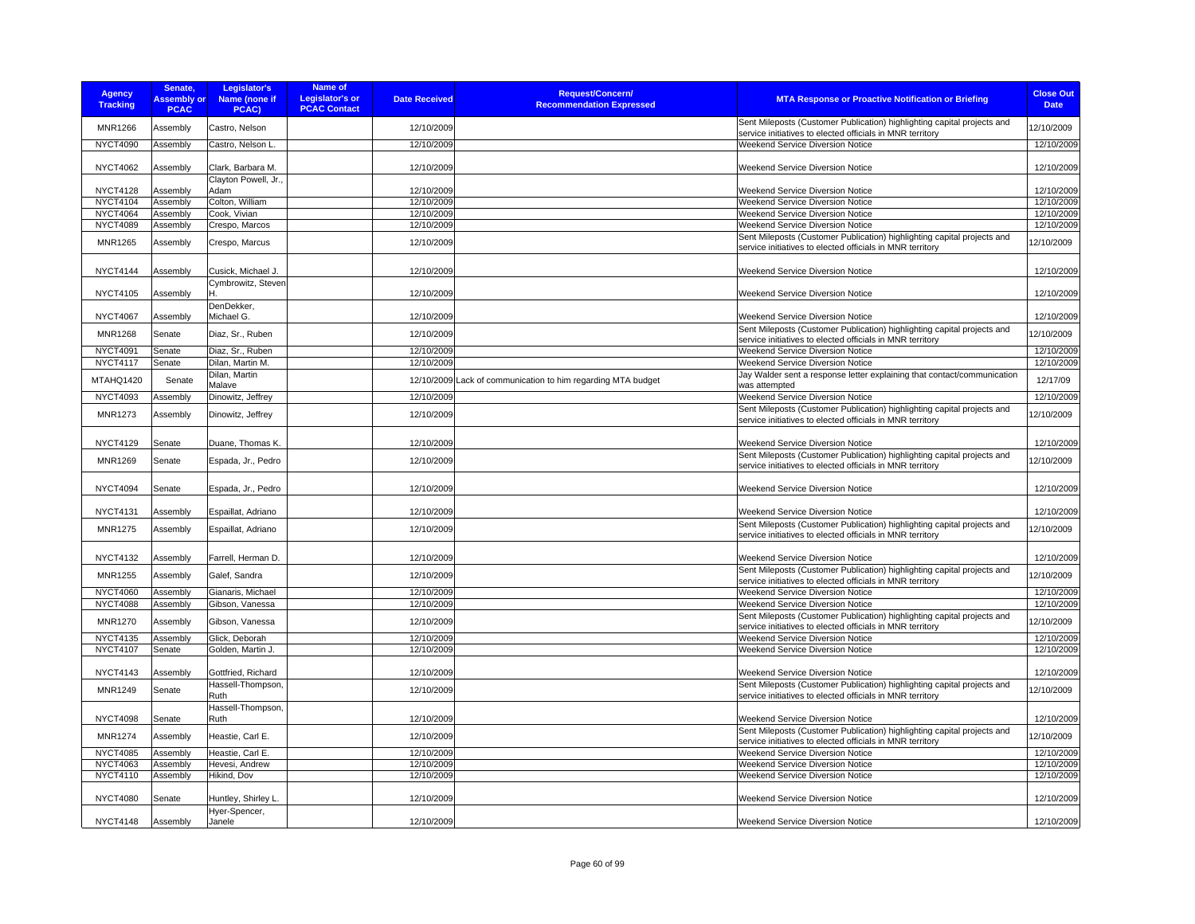| <b>Agency</b><br><b>Tracking</b> | Senate.<br><b>Assembly or</b><br><b>PCAC</b> | Legislator's<br>Name (none if<br>PCAC) | Name of<br><b>Legislator's or</b><br><b>PCAC Contact</b> | <b>Date Received</b> | Request/Concern/<br><b>Recommendation Expressed</b>          | <b>MTA Response or Proactive Notification or Briefing</b>                                                                            | <b>Close Out</b><br><b>Date</b> |
|----------------------------------|----------------------------------------------|----------------------------------------|----------------------------------------------------------|----------------------|--------------------------------------------------------------|--------------------------------------------------------------------------------------------------------------------------------------|---------------------------------|
| <b>MNR1266</b>                   | Assembly                                     | Castro, Nelson                         |                                                          | 12/10/2009           |                                                              | Sent Mileposts (Customer Publication) highlighting capital projects and<br>service initiatives to elected officials in MNR territory | 12/10/2009                      |
| <b>NYCT4090</b>                  | Assembly                                     | Castro, Nelson L.                      |                                                          | 12/10/2009           |                                                              | Weekend Service Diversion Notice                                                                                                     | 12/10/2009                      |
|                                  |                                              |                                        |                                                          |                      |                                                              |                                                                                                                                      |                                 |
| <b>NYCT4062</b>                  | Assembly                                     | Clark, Barbara M.                      |                                                          | 12/10/2009           |                                                              | <b>Weekend Service Diversion Notice</b>                                                                                              | 12/10/2009                      |
| <b>NYCT4128</b>                  | Assembly                                     | Clayton Powell, Jr.,<br>Adam           |                                                          | 12/10/2009           |                                                              | <b>Weekend Service Diversion Notice</b>                                                                                              | 12/10/2009                      |
| <b>NYCT4104</b>                  | Assembly                                     | Colton, William                        |                                                          | 12/10/2009           |                                                              | <b>Weekend Service Diversion Notice</b>                                                                                              | 12/10/2009                      |
| <b>NYCT4064</b>                  | Assembly                                     | Cook, Vivian                           |                                                          | 12/10/2009           |                                                              | Weekend Service Diversion Notice                                                                                                     | 12/10/2009                      |
| <b>NYCT4089</b>                  | Assembly                                     | Crespo, Marcos                         |                                                          | 12/10/2009           |                                                              | Weekend Service Diversion Notice                                                                                                     | 12/10/2009                      |
| <b>MNR1265</b>                   | Assembly                                     | Crespo, Marcus                         |                                                          | 12/10/2009           |                                                              | Sent Mileposts (Customer Publication) highlighting capital projects and<br>service initiatives to elected officials in MNR territory | 12/10/2009                      |
| <b>NYCT4144</b>                  | Assembly                                     | Cusick, Michael J.                     |                                                          | 12/10/2009           |                                                              | <b>Weekend Service Diversion Notice</b>                                                                                              | 12/10/2009                      |
| <b>NYCT4105</b>                  | Assembly                                     | Cymbrowitz, Steven                     |                                                          | 12/10/2009           |                                                              | Weekend Service Diversion Notice                                                                                                     | 12/10/2009                      |
| <b>NYCT4067</b>                  | Assembly                                     | DenDekker,<br>Michael G.               |                                                          | 12/10/2009           |                                                              | Weekend Service Diversion Notice                                                                                                     | 12/10/2009                      |
| <b>MNR1268</b>                   | Senate                                       | Diaz, Sr., Ruben                       |                                                          | 12/10/2009           |                                                              | Sent Mileposts (Customer Publication) highlighting capital projects and<br>service initiatives to elected officials in MNR territory | 12/10/2009                      |
| <b>NYCT4091</b>                  | Senate                                       | Diaz, Sr., Ruben                       |                                                          | 12/10/2009           |                                                              | Weekend Service Diversion Notice                                                                                                     | 12/10/2009                      |
| <b>NYCT4117</b>                  | Senate                                       | Dilan, Martin M.                       |                                                          | 12/10/2009           |                                                              | Weekend Service Diversion Notice                                                                                                     | 12/10/2009                      |
| MTAHQ1420                        | Senate                                       | Dilan, Martin<br>Malave                |                                                          |                      | 12/10/2009 Lack of communication to him regarding MTA budget | Jay Walder sent a response letter explaining that contact/communication<br>was attempted                                             | 12/17/09                        |
| <b>NYCT4093</b>                  | Assembly                                     | Dinowitz, Jeffrey                      |                                                          | 12/10/2009           |                                                              | Weekend Service Diversion Notice                                                                                                     | 12/10/2009                      |
|                                  |                                              |                                        |                                                          |                      |                                                              | Sent Mileposts (Customer Publication) highlighting capital projects and                                                              |                                 |
| <b>MNR1273</b>                   | Assembly                                     | Dinowitz, Jeffrey                      |                                                          | 12/10/2009           |                                                              | service initiatives to elected officials in MNR territory                                                                            | 12/10/2009                      |
| <b>NYCT4129</b>                  | Senate                                       | Duane, Thomas K.                       |                                                          | 12/10/2009           |                                                              | Weekend Service Diversion Notice                                                                                                     | 12/10/2009                      |
| MNR1269                          | Senate                                       | Espada, Jr., Pedro                     |                                                          | 12/10/2009           |                                                              | Sent Mileposts (Customer Publication) highlighting capital projects and<br>service initiatives to elected officials in MNR territory | 12/10/2009                      |
| <b>NYCT4094</b>                  | Senate                                       | Espada, Jr., Pedro                     |                                                          | 12/10/2009           |                                                              | <b>Weekend Service Diversion Notice</b>                                                                                              | 12/10/2009                      |
| <b>NYCT4131</b>                  | Assembly                                     | Espaillat, Adriano                     |                                                          | 12/10/2009           |                                                              | Weekend Service Diversion Notice                                                                                                     | 12/10/2009                      |
| <b>MNR1275</b>                   | Assembly                                     | Espaillat, Adriano                     |                                                          | 12/10/2009           |                                                              | Sent Mileposts (Customer Publication) highlighting capital projects and<br>service initiatives to elected officials in MNR territory | 12/10/2009                      |
| <b>NYCT4132</b>                  | Assembly                                     | Farrell, Herman D.                     |                                                          | 12/10/2009           |                                                              | Weekend Service Diversion Notice                                                                                                     | 12/10/2009                      |
| <b>MNR1255</b>                   | Assembly                                     | Galef, Sandra                          |                                                          | 12/10/2009           |                                                              | Sent Mileposts (Customer Publication) highlighting capital projects and<br>service initiatives to elected officials in MNR territory | 12/10/2009                      |
| <b>NYCT4060</b>                  | Assembly                                     | Gianaris, Michael                      |                                                          | 12/10/2009           |                                                              | Weekend Service Diversion Notice                                                                                                     | 12/10/2009                      |
| <b>NYCT4088</b>                  | Assembly                                     | Gibson, Vanessa                        |                                                          | 12/10/2009           |                                                              | Weekend Service Diversion Notice                                                                                                     | 12/10/2009                      |
| MNR1270                          | Assembly                                     | Gibson, Vanessa                        |                                                          | 12/10/2009           |                                                              | Sent Mileposts (Customer Publication) highlighting capital projects and<br>service initiatives to elected officials in MNR territory | 12/10/2009                      |
| <b>NYCT4135</b>                  | Assembly                                     | Glick, Deborah                         |                                                          | 12/10/2009           |                                                              | Weekend Service Diversion Notice                                                                                                     | 12/10/2009                      |
| <b>NYCT4107</b>                  | Senate                                       | Golden, Martin J.                      |                                                          | 12/10/2009           |                                                              | Weekend Service Diversion Notice                                                                                                     | 12/10/2009                      |
| <b>NYCT4143</b>                  | Assembly                                     | Gottfried, Richard                     |                                                          | 12/10/2009           |                                                              | <b>Weekend Service Diversion Notice</b>                                                                                              | 12/10/2009                      |
| <b>MNR1249</b>                   | Senate                                       | Hassell-Thompson,<br>Ruth              |                                                          | 12/10/2009           |                                                              | Sent Mileposts (Customer Publication) highlighting capital projects and<br>service initiatives to elected officials in MNR territory | 12/10/2009                      |
| <b>NYCT4098</b>                  | Senate                                       | Hassell-Thompson,<br>Ruth              |                                                          | 12/10/2009           |                                                              | Weekend Service Diversion Notice                                                                                                     | 12/10/2009                      |
| <b>MNR1274</b>                   | Assembly                                     | Heastie, Carl E.                       |                                                          | 12/10/2009           |                                                              | Sent Mileposts (Customer Publication) highlighting capital projects and<br>service initiatives to elected officials in MNR territory | 12/10/2009                      |
| <b>NYCT4085</b>                  | Assembly                                     | Heastie, Carl E.                       |                                                          | 12/10/2009           |                                                              | Weekend Service Diversion Notice                                                                                                     | 12/10/2009                      |
| <b>NYCT4063</b>                  | Assembly                                     | Hevesi, Andrew                         |                                                          | 12/10/2009           |                                                              | Weekend Service Diversion Notice                                                                                                     | 12/10/2009                      |
| NYCT4110                         | Assembly                                     | Hikind, Dov                            |                                                          | 12/10/2009           |                                                              | Weekend Service Diversion Notice                                                                                                     | 12/10/2009                      |
| <b>NYCT4080</b>                  | Senate                                       | Huntley, Shirley L                     |                                                          | 12/10/2009           |                                                              | Weekend Service Diversion Notice                                                                                                     | 12/10/2009                      |
| <b>NYCT4148</b>                  | Assembly                                     | Hyer-Spencer,<br>Janele                |                                                          | 12/10/2009           |                                                              | Weekend Service Diversion Notice                                                                                                     | 12/10/2009                      |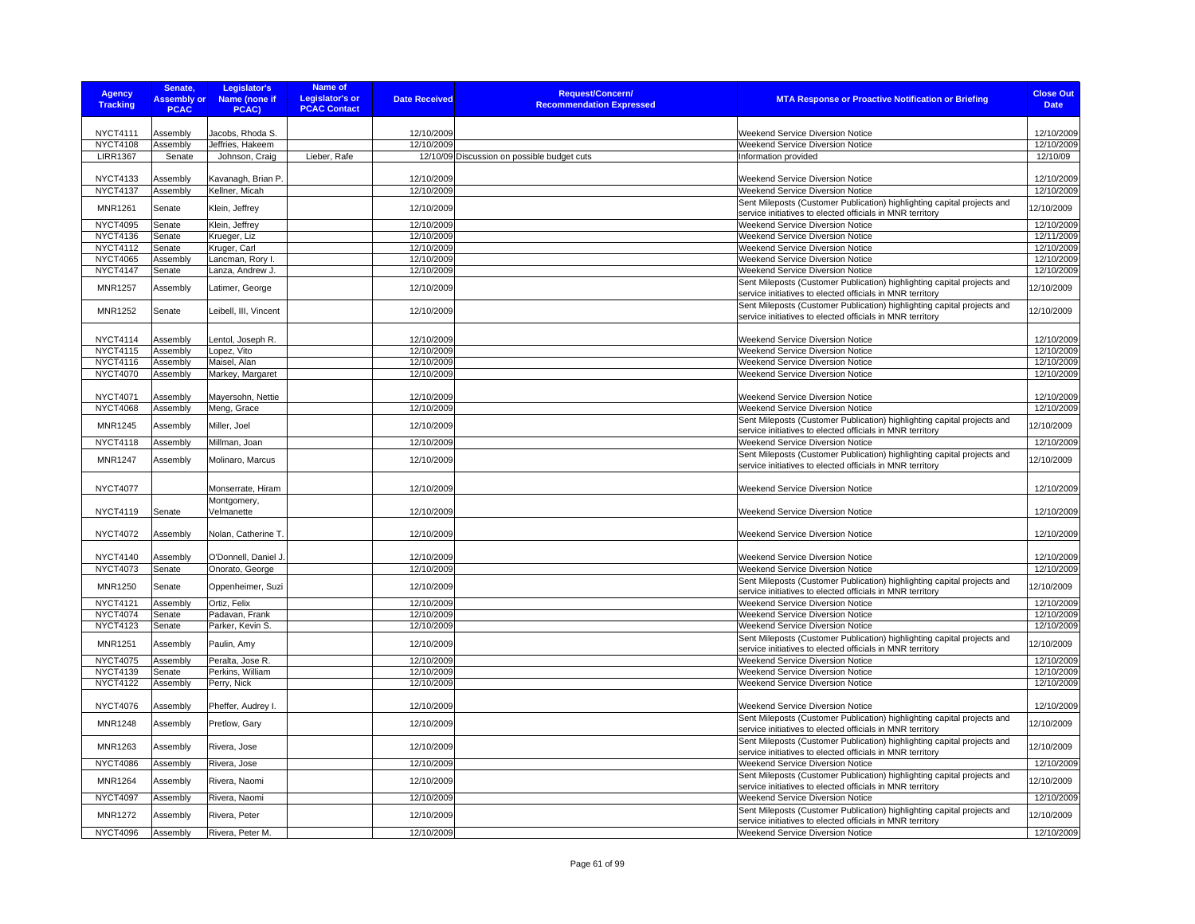| <b>Agency</b><br><b>Tracking</b>   | Senate,<br><b>Assembly or</b><br><b>PCAC</b> | Legislator's<br>Name (none if<br>PCAC) | Name of<br><b>Legislator's or</b><br><b>PCAC Contact</b> | <b>Date Received</b>     | <b>Request/Concern/</b><br><b>Recommendation Expressed</b> | <b>MTA Response or Proactive Notification or Briefing</b>                                                                            | <b>Close Out</b><br><b>Date</b> |
|------------------------------------|----------------------------------------------|----------------------------------------|----------------------------------------------------------|--------------------------|------------------------------------------------------------|--------------------------------------------------------------------------------------------------------------------------------------|---------------------------------|
|                                    |                                              |                                        |                                                          |                          |                                                            |                                                                                                                                      |                                 |
| <b>NYCT4111</b>                    | Assembly                                     | Jacobs, Rhoda S.                       |                                                          | 12/10/2009               |                                                            | Weekend Service Diversion Notice                                                                                                     | 12/10/2009                      |
| <b>NYCT4108</b>                    | Assembly                                     | Jeffries, Hakeem                       |                                                          | 12/10/2009               |                                                            | <b>Weekend Service Diversion Notice</b>                                                                                              | 12/10/2009                      |
| <b>LIRR1367</b>                    | Senate                                       | Johnson, Craig                         | Lieber, Rafe                                             |                          | 12/10/09 Discussion on possible budget cuts                | Information provided                                                                                                                 | 12/10/09                        |
| <b>NYCT4133</b>                    | Assembly                                     | Kavanagh, Brian P.                     |                                                          | 12/10/2009               |                                                            | Weekend Service Diversion Notice                                                                                                     | 12/10/2009                      |
| <b>NYCT4137</b>                    | Assembly                                     | Kellner, Micah                         |                                                          | 12/10/2009               |                                                            | Weekend Service Diversion Notice                                                                                                     | 12/10/2009                      |
|                                    |                                              |                                        |                                                          |                          |                                                            | Sent Mileposts (Customer Publication) highlighting capital projects and                                                              |                                 |
| <b>MNR1261</b>                     | Senate                                       | Klein, Jeffrey                         |                                                          | 12/10/2009               |                                                            | service initiatives to elected officials in MNR territory                                                                            | 12/10/2009                      |
| <b>NYCT4095</b>                    | Senate                                       | Klein, Jeffrey                         |                                                          | 12/10/2009               |                                                            | Weekend Service Diversion Notice                                                                                                     | 12/10/2009                      |
| <b>NYCT4136</b>                    | Senate                                       | Krueger, Liz                           |                                                          | 12/10/2009               |                                                            | Weekend Service Diversion Notice                                                                                                     | 12/11/2009                      |
| <b>NYCT4112</b>                    | Senate                                       | Kruger, Carl                           |                                                          | 12/10/2009               |                                                            | <b>Weekend Service Diversion Notice</b>                                                                                              | 12/10/2009                      |
| <b>NYCT4065</b>                    | Assembly                                     | Lancman, Rory I                        |                                                          | 12/10/2009               |                                                            | Weekend Service Diversion Notice                                                                                                     | 12/10/2009                      |
| <b>NYCT4147</b>                    | Senate                                       | Lanza, Andrew J.                       |                                                          | 12/10/2009               |                                                            | Weekend Service Diversion Notice                                                                                                     | 12/10/2009                      |
| <b>MNR1257</b>                     | Assembly                                     | Latimer, George                        |                                                          | 12/10/2009               |                                                            | Sent Mileposts (Customer Publication) highlighting capital projects and<br>service initiatives to elected officials in MNR territory | 12/10/2009                      |
| <b>MNR1252</b>                     | Senate                                       | Leibell, III, Vincent                  |                                                          | 12/10/2009               |                                                            | Sent Mileposts (Customer Publication) highlighting capital projects and<br>service initiatives to elected officials in MNR territory | 12/10/2009                      |
|                                    |                                              |                                        |                                                          |                          |                                                            |                                                                                                                                      |                                 |
| <b>NYCT4114</b><br><b>NYCT4115</b> | Assembly                                     | Lentol, Joseph R.                      |                                                          | 12/10/2009<br>12/10/2009 |                                                            | Weekend Service Diversion Notice                                                                                                     | 12/10/2009<br>12/10/2009        |
| NYCT4116                           | Assembly<br>Assembly                         | Lopez, Vito<br>Maisel, Alan            |                                                          | 12/10/2009               |                                                            | Weekend Service Diversion Notice<br>Weekend Service Diversion Notice                                                                 | 12/10/2009                      |
| <b>NYCT4070</b>                    | Assembly                                     | Markey, Margaret                       |                                                          | 12/10/2009               |                                                            | Weekend Service Diversion Notice                                                                                                     | 12/10/2009                      |
|                                    |                                              |                                        |                                                          |                          |                                                            |                                                                                                                                      |                                 |
| <b>NYCT4071</b>                    | Assembly                                     | Mayersohn, Nettie                      |                                                          | 12/10/2009               |                                                            | <b>Weekend Service Diversion Notice</b>                                                                                              | 12/10/2009                      |
| <b>NYCT4068</b>                    | Assembly                                     | Meng, Grace                            |                                                          | 12/10/2009               |                                                            | Weekend Service Diversion Notice                                                                                                     | 12/10/2009                      |
| <b>MNR1245</b>                     | Assembly                                     | Miller, Joel                           |                                                          | 12/10/2009               |                                                            | Sent Mileposts (Customer Publication) highlighting capital projects and                                                              | 12/10/2009                      |
|                                    |                                              |                                        |                                                          |                          |                                                            | service initiatives to elected officials in MNR territory                                                                            |                                 |
| <b>NYCT4118</b>                    | Assembly                                     | Millman, Joan                          |                                                          | 12/10/2009               |                                                            | Weekend Service Diversion Notice                                                                                                     | 12/10/2009                      |
| <b>MNR1247</b>                     | Assembly                                     | Molinaro, Marcus                       |                                                          | 12/10/2009               |                                                            | Sent Mileposts (Customer Publication) highlighting capital projects and                                                              | 12/10/2009                      |
| <b>NYCT4077</b>                    |                                              | Monserrate, Hiram                      |                                                          | 12/10/2009               |                                                            | service initiatives to elected officials in MNR territory<br>Weekend Service Diversion Notice                                        | 12/10/2009                      |
| <b>NYCT4119</b>                    | Senate                                       | Montgomery,<br>Velmanette              |                                                          | 12/10/2009               |                                                            | Weekend Service Diversion Notice                                                                                                     | 12/10/2009                      |
|                                    |                                              |                                        |                                                          |                          |                                                            |                                                                                                                                      |                                 |
| <b>NYCT4072</b>                    | Assembly                                     | Nolan, Catherine T.                    |                                                          | 12/10/2009               |                                                            | Weekend Service Diversion Notice                                                                                                     | 12/10/2009                      |
| <b>NYCT4140</b>                    | Assembly                                     | O'Donnell, Daniel J                    |                                                          | 12/10/2009               |                                                            | <b>Weekend Service Diversion Notice</b>                                                                                              | 12/10/2009                      |
| NYCT4073                           | Senate                                       | Onorato, George                        |                                                          | 12/10/2009               |                                                            | Weekend Service Diversion Notice                                                                                                     | 12/10/2009                      |
| MNR1250                            | Senate                                       | Oppenheimer, Suzi                      |                                                          | 12/10/2009               |                                                            | Sent Mileposts (Customer Publication) highlighting capital projects and                                                              | 12/10/2009                      |
|                                    |                                              |                                        |                                                          |                          |                                                            | service initiatives to elected officials in MNR territory                                                                            |                                 |
| <b>NYCT4121</b><br><b>NYCT4074</b> | Assembly                                     | Ortiz, Felix                           |                                                          | 12/10/2009<br>12/10/2009 |                                                            | Weekend Service Diversion Notice                                                                                                     | 12/10/2009<br>12/10/2009        |
| <b>NYCT4123</b>                    | Senate<br>Senate                             | Padavan, Frank<br>Parker, Kevin S.     |                                                          | 12/10/2009               |                                                            | Weekend Service Diversion Notice<br>Weekend Service Diversion Notice                                                                 | 12/10/2009                      |
|                                    |                                              |                                        |                                                          |                          |                                                            | Sent Mileposts (Customer Publication) highlighting capital projects and                                                              |                                 |
| <b>MNR1251</b>                     | Assembly                                     | Paulin, Amy                            |                                                          | 12/10/2009               |                                                            | service initiatives to elected officials in MNR territory                                                                            | 12/10/2009                      |
| <b>NYCT4075</b><br><b>NYCT4139</b> | Assembly<br>Senate                           | Peralta, Jose R.<br>Perkins, William   |                                                          | 12/10/2009<br>12/10/2009 |                                                            | Weekend Service Diversion Notice<br>Weekend Service Diversion Notice                                                                 | 12/10/2009<br>12/10/2009        |
| <b>NYCT4122</b>                    | Assembly                                     | Perry, Nick                            |                                                          | 12/10/2009               |                                                            | Weekend Service Diversion Notice                                                                                                     | 12/10/2009                      |
|                                    |                                              |                                        |                                                          |                          |                                                            |                                                                                                                                      |                                 |
| <b>NYCT4076</b>                    | Assembly                                     | Pheffer, Audrey I.                     |                                                          | 12/10/2009               |                                                            | Weekend Service Diversion Notice                                                                                                     | 12/10/2009                      |
| <b>MNR1248</b>                     | Assembly                                     | Pretlow, Gary                          |                                                          | 12/10/2009               |                                                            | Sent Mileposts (Customer Publication) highlighting capital projects and<br>service initiatives to elected officials in MNR territory | 12/10/2009                      |
| MNR1263                            | Assembly                                     | Rivera, Jose                           |                                                          | 12/10/2009               |                                                            | Sent Mileposts (Customer Publication) highlighting capital projects and<br>service initiatives to elected officials in MNR territory | 12/10/2009                      |
| <b>NYCT4086</b>                    | Assembly                                     | Rivera, Jose                           |                                                          | 12/10/2009               |                                                            | Weekend Service Diversion Notice                                                                                                     | 12/10/2009                      |
| <b>MNR1264</b>                     | Assembly                                     | Rivera, Naomi                          |                                                          | 12/10/2009               |                                                            | Sent Mileposts (Customer Publication) highlighting capital projects and<br>service initiatives to elected officials in MNR territory | 12/10/2009                      |
| <b>NYCT4097</b>                    | Assembly                                     | Rivera, Naomi                          |                                                          | 12/10/2009               |                                                            | Weekend Service Diversion Notice                                                                                                     | 12/10/2009                      |
|                                    |                                              |                                        |                                                          |                          |                                                            | Sent Mileposts (Customer Publication) highlighting capital projects and                                                              |                                 |
| <b>MNR1272</b>                     | Assembly                                     | Rivera, Peter                          |                                                          | 12/10/2009               |                                                            | service initiatives to elected officials in MNR territory                                                                            | 12/10/2009                      |
| <b>NYCT4096</b>                    | Assembly                                     | Rivera, Peter M.                       |                                                          | 12/10/2009               |                                                            | Weekend Service Diversion Notice                                                                                                     | 12/10/2009                      |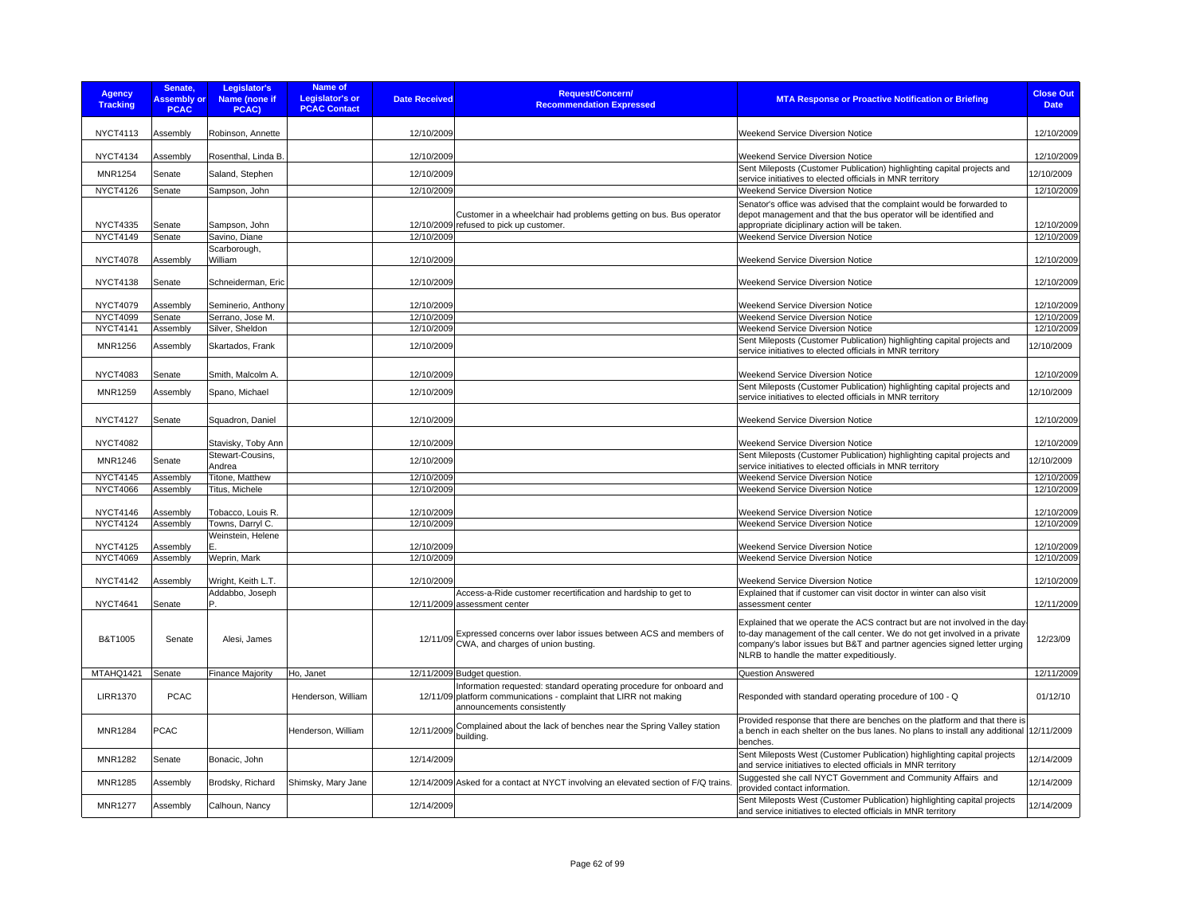| <b>Agency</b><br><b>Tracking</b>   | Senate,<br><b>Assembly or</b><br><b>PCAC</b> | Legislator's<br>Name (none if<br>PCAC) | Name of<br><b>Legislator's or</b><br><b>PCAC Contact</b> | <b>Date Received</b>     | <b>Request/Concern/</b><br><b>Recommendation Expressed</b>                                                                                                             | <b>MTA Response or Proactive Notification or Briefing</b>                                                                                                                                                                                                                                            | <b>Close Out</b><br><b>Date</b> |
|------------------------------------|----------------------------------------------|----------------------------------------|----------------------------------------------------------|--------------------------|------------------------------------------------------------------------------------------------------------------------------------------------------------------------|------------------------------------------------------------------------------------------------------------------------------------------------------------------------------------------------------------------------------------------------------------------------------------------------------|---------------------------------|
| <b>NYCT4113</b>                    | Assembly                                     | Robinson, Annette                      |                                                          | 12/10/2009               |                                                                                                                                                                        | <b>Weekend Service Diversion Notice</b>                                                                                                                                                                                                                                                              | 12/10/2009                      |
| <b>NYCT4134</b>                    | Assembly                                     | Rosenthal, Linda B.                    |                                                          | 12/10/2009               |                                                                                                                                                                        | Weekend Service Diversion Notice                                                                                                                                                                                                                                                                     | 12/10/2009                      |
| MNR1254                            | Senate                                       | Saland, Stephen                        |                                                          | 12/10/2009               |                                                                                                                                                                        | Sent Mileposts (Customer Publication) highlighting capital projects and<br>service initiatives to elected officials in MNR territory                                                                                                                                                                 | 12/10/2009                      |
| <b>NYCT4126</b>                    | Senate                                       | Sampson, John                          |                                                          | 12/10/2009               |                                                                                                                                                                        | Weekend Service Diversion Notice                                                                                                                                                                                                                                                                     | 12/10/2009                      |
|                                    |                                              |                                        |                                                          |                          |                                                                                                                                                                        | Senator's office was advised that the complaint would be forwarded to                                                                                                                                                                                                                                |                                 |
| <b>NYCT4335</b>                    | Senate                                       | Sampson, John                          |                                                          |                          | Customer in a wheelchair had problems getting on bus. Bus operator<br>12/10/2009 refused to pick up customer.                                                          | depot management and that the bus operator will be identified and<br>appropriate diciplinary action will be taken.                                                                                                                                                                                   | 12/10/2009                      |
| <b>NYCT4149</b>                    | Senate                                       | Savino, Diane                          |                                                          | 12/10/2009               |                                                                                                                                                                        | Weekend Service Diversion Notice                                                                                                                                                                                                                                                                     | 12/10/2009                      |
| <b>NYCT4078</b>                    | Assembly                                     | Scarborough,<br>William                |                                                          | 12/10/2009               |                                                                                                                                                                        | <b>Weekend Service Diversion Notice</b>                                                                                                                                                                                                                                                              | 12/10/2009                      |
| <b>NYCT4138</b>                    | Senate                                       | Schneiderman, Eric                     |                                                          | 12/10/2009               |                                                                                                                                                                        | <b>Weekend Service Diversion Notice</b>                                                                                                                                                                                                                                                              | 12/10/2009                      |
| <b>NYCT4079</b>                    | Assembly                                     | Seminerio, Anthony                     |                                                          | 12/10/2009               |                                                                                                                                                                        | <b>Weekend Service Diversion Notice</b>                                                                                                                                                                                                                                                              | 12/10/2009                      |
| <b>NYCT4099</b>                    | Senate                                       | Serrano, Jose M.                       |                                                          | 12/10/2009               |                                                                                                                                                                        | <b>Weekend Service Diversion Notice</b>                                                                                                                                                                                                                                                              | 12/10/2009                      |
| <b>NYCT4141</b>                    | Assembly                                     | Silver, Sheldon                        |                                                          | 12/10/2009               |                                                                                                                                                                        | Weekend Service Diversion Notice                                                                                                                                                                                                                                                                     | 12/10/2009                      |
| MNR1256                            | Assembly                                     | Skartados, Frank                       |                                                          | 12/10/2009               |                                                                                                                                                                        | Sent Mileposts (Customer Publication) highlighting capital projects and<br>service initiatives to elected officials in MNR territory                                                                                                                                                                 | 12/10/2009                      |
| <b>NYCT4083</b>                    | Senate                                       | Smith, Malcolm A.                      |                                                          | 12/10/2009               |                                                                                                                                                                        | Weekend Service Diversion Notice                                                                                                                                                                                                                                                                     | 12/10/2009                      |
| <b>MNR1259</b>                     | Assembly                                     | Spano, Michael                         |                                                          | 12/10/2009               |                                                                                                                                                                        | Sent Mileposts (Customer Publication) highlighting capital projects and<br>service initiatives to elected officials in MNR territory                                                                                                                                                                 | 12/10/2009                      |
| <b>NYCT4127</b>                    | Senate                                       | Squadron, Daniel                       |                                                          | 12/10/2009               |                                                                                                                                                                        | <b>Weekend Service Diversion Notice</b>                                                                                                                                                                                                                                                              | 12/10/2009                      |
| <b>NYCT4082</b>                    |                                              | Stavisky, Toby Ann                     |                                                          | 12/10/2009               |                                                                                                                                                                        | Weekend Service Diversion Notice                                                                                                                                                                                                                                                                     | 12/10/2009                      |
| <b>MNR1246</b>                     | Senate                                       | Stewart-Cousins,<br>Andrea             |                                                          | 12/10/2009               |                                                                                                                                                                        | Sent Mileposts (Customer Publication) highlighting capital projects and<br>service initiatives to elected officials in MNR territory                                                                                                                                                                 | 12/10/2009                      |
| <b>NYCT4145</b>                    | Assembly                                     | Titone, Matthew                        |                                                          | 12/10/2009               |                                                                                                                                                                        | Weekend Service Diversion Notice                                                                                                                                                                                                                                                                     | 12/10/2009                      |
| <b>NYCT4066</b>                    | Assembly                                     | Titus, Michele                         |                                                          | 12/10/2009               |                                                                                                                                                                        | Weekend Service Diversion Notice                                                                                                                                                                                                                                                                     | 12/10/2009                      |
| <b>NYCT4146</b>                    | Assembly                                     | Tobacco, Louis R.                      |                                                          | 12/10/2009               |                                                                                                                                                                        | <b>Weekend Service Diversion Notice</b>                                                                                                                                                                                                                                                              | 12/10/2009                      |
| <b>NYCT4124</b>                    | Assembly                                     | Towns, Darryl C.                       |                                                          | 12/10/2009               |                                                                                                                                                                        | <b>Weekend Service Diversion Notice</b>                                                                                                                                                                                                                                                              | 12/10/2009                      |
|                                    |                                              | Weinstein, Helene                      |                                                          |                          |                                                                                                                                                                        |                                                                                                                                                                                                                                                                                                      |                                 |
| <b>NYCT4125</b><br><b>NYCT4069</b> | Assembly<br>Assembly                         | Weprin, Mark                           |                                                          | 12/10/2009<br>12/10/2009 |                                                                                                                                                                        | <b>Weekend Service Diversion Notice</b><br>Weekend Service Diversion Notice                                                                                                                                                                                                                          | 12/10/2009<br>12/10/2009        |
|                                    |                                              |                                        |                                                          |                          |                                                                                                                                                                        |                                                                                                                                                                                                                                                                                                      |                                 |
| <b>NYCT4142</b>                    | Assembly                                     | Wright, Keith L.T.                     |                                                          | 12/10/2009               |                                                                                                                                                                        | Weekend Service Diversion Notice                                                                                                                                                                                                                                                                     | 12/10/2009                      |
|                                    |                                              | Addabbo, Joseph<br>Þ                   |                                                          |                          | Access-a-Ride customer recertification and hardship to get to                                                                                                          | Explained that if customer can visit doctor in winter can also visit                                                                                                                                                                                                                                 |                                 |
| <b>NYCT4641</b><br>B&T1005         | Senate<br>Senate                             | Alesi, James                           |                                                          |                          | 12/11/2009 assessment center<br>Expressed concerns over labor issues between ACS and members of<br>12/11/09 CWA, and charges of union busting.                         | assessment center<br>Explained that we operate the ACS contract but are not involved in the day<br>to-day management of the call center. We do not get involved in a private<br>company's labor issues but B&T and partner agencies signed letter urging<br>NLRB to handle the matter expeditiously. | 12/11/2009<br>12/23/09          |
| MTAHQ1421                          | Senate                                       | <b>Finance Majority</b>                | Ho, Janet                                                |                          | 12/11/2009 Budget question.                                                                                                                                            | Question Answered                                                                                                                                                                                                                                                                                    | 12/11/2009                      |
| <b>LIRR1370</b>                    | <b>PCAC</b>                                  |                                        | Henderson, William                                       |                          | Information requested: standard operating procedure for onboard and<br>12/11/09 platform communications - complaint that LIRR not making<br>announcements consistently | Responded with standard operating procedure of 100 - Q                                                                                                                                                                                                                                               | 01/12/10                        |
| <b>MNR1284</b>                     | <b>PCAC</b>                                  |                                        | Henderson, William                                       | 12/11/2009               | Complained about the lack of benches near the Spring Valley station<br>building.                                                                                       | Provided response that there are benches on the platform and that there is<br>a bench in each shelter on the bus lanes. No plans to install any additional 12/11/2009<br>benches.                                                                                                                    |                                 |
| <b>MNR1282</b>                     | Senate                                       | Bonacic, John                          |                                                          | 12/14/2009               |                                                                                                                                                                        | Sent Mileposts West (Customer Publication) highlighting capital projects<br>and service initiatives to elected officials in MNR territory                                                                                                                                                            | 12/14/2009                      |
| <b>MNR1285</b>                     | Assembly                                     | Brodsky, Richard                       | Shimsky, Mary Jane                                       |                          | 12/14/2009 Asked for a contact at NYCT involving an elevated section of F/Q trains.                                                                                    | Suggested she call NYCT Government and Community Affairs and<br>provided contact information.                                                                                                                                                                                                        | 12/14/2009                      |
| <b>MNR1277</b>                     | Assembly                                     | Calhoun, Nancy                         |                                                          | 12/14/2009               |                                                                                                                                                                        | Sent Mileposts West (Customer Publication) highlighting capital projects<br>and service initiatives to elected officials in MNR territory                                                                                                                                                            | 12/14/2009                      |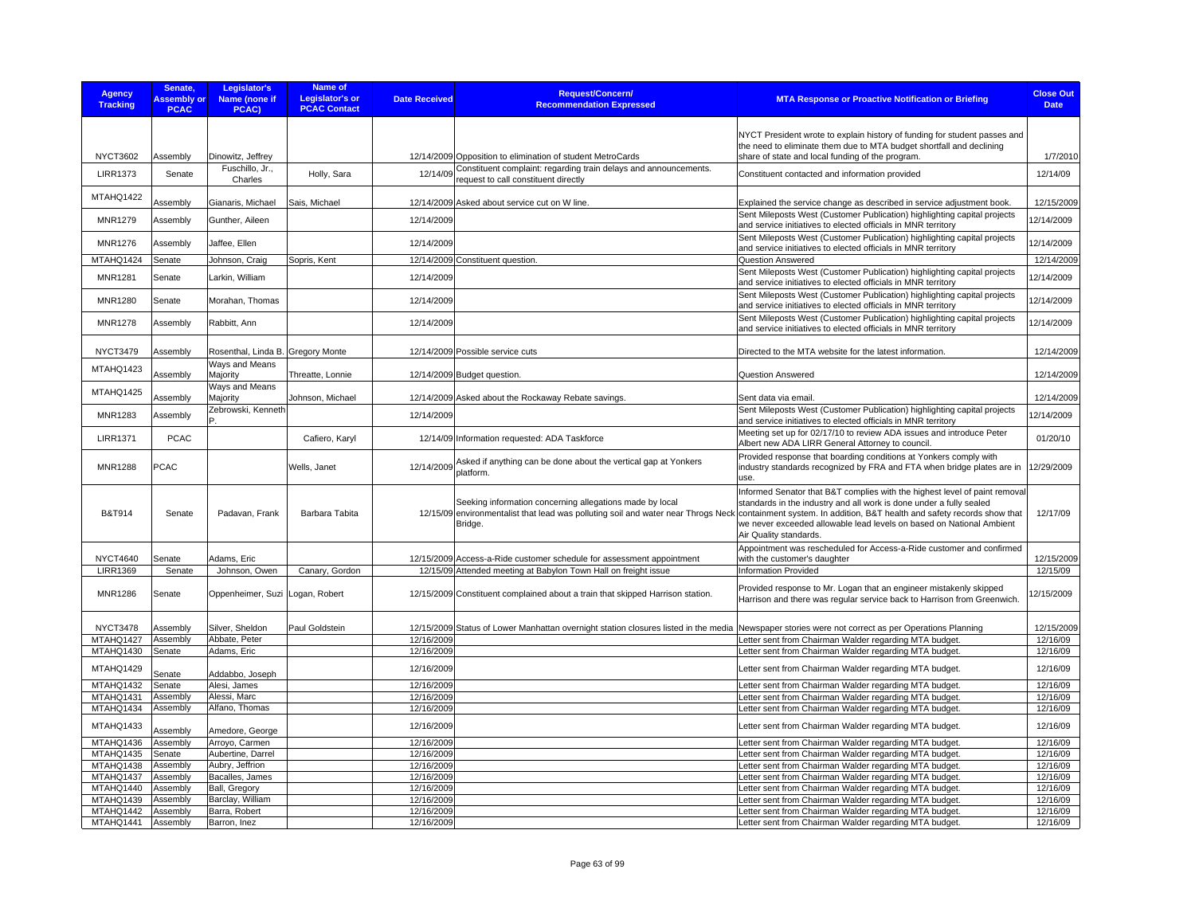| <b>Agency</b><br><b>Tracking</b> | Senate.<br><b>Assembly or</b><br><b>PCAC</b> | Legislator's<br>Name (none if<br>PCAC) | Name of<br>Legislator's or<br><b>PCAC Contact</b> | <b>Date Received</b>     | <b>Request/Concern/</b><br><b>Recommendation Expressed</b>                                                                                        | <b>MTA Response or Proactive Notification or Briefing</b>                                                                                                  | <b>Close Out</b><br><b>Date</b> |
|----------------------------------|----------------------------------------------|----------------------------------------|---------------------------------------------------|--------------------------|---------------------------------------------------------------------------------------------------------------------------------------------------|------------------------------------------------------------------------------------------------------------------------------------------------------------|---------------------------------|
|                                  |                                              |                                        |                                                   |                          |                                                                                                                                                   |                                                                                                                                                            |                                 |
|                                  |                                              |                                        |                                                   |                          |                                                                                                                                                   | NYCT President wrote to explain history of funding for student passes and                                                                                  |                                 |
| <b>NYCT3602</b>                  | Assembly                                     | Dinowitz, Jeffrey                      |                                                   |                          | 12/14/2009 Opposition to elimination of student MetroCards                                                                                        | the need to eliminate them due to MTA budget shortfall and declining<br>share of state and local funding of the program.                                   | 1/7/2010                        |
|                                  |                                              | Fuschillo, Jr.,                        |                                                   |                          | 12/14/09 Constituent complaint: regarding train delays and announcements.                                                                         |                                                                                                                                                            |                                 |
| <b>LIRR1373</b>                  | Senate                                       | Charles                                | Holly, Sara                                       |                          | request to call constituent directly                                                                                                              | Constituent contacted and information provided                                                                                                             | 12/14/09                        |
| MTAHQ1422                        |                                              |                                        |                                                   |                          |                                                                                                                                                   |                                                                                                                                                            |                                 |
|                                  | Assembly                                     | Gianaris, Michael                      | Sais, Michael                                     |                          | 12/14/2009 Asked about service cut on W line.                                                                                                     | Explained the service change as described in service adjustment book.<br>Sent Mileposts West (Customer Publication) highlighting capital projects          | 12/15/2009                      |
| <b>MNR1279</b>                   | Assembly                                     | Gunther, Aileen                        |                                                   | 12/14/2009               |                                                                                                                                                   | and service initiatives to elected officials in MNR territory                                                                                              | 12/14/2009                      |
| <b>MNR1276</b>                   | Assembly                                     | Jaffee, Ellen                          |                                                   | 12/14/2009               |                                                                                                                                                   | Sent Mileposts West (Customer Publication) highlighting capital projects                                                                                   | 12/14/2009                      |
|                                  |                                              |                                        |                                                   |                          |                                                                                                                                                   | and service initiatives to elected officials in MNR territory                                                                                              |                                 |
| MTAHQ1424                        | Senate                                       | Johnson, Craig                         | Sopris, Kent                                      |                          | 12/14/2009 Constituent question.                                                                                                                  | Question Answered<br>Sent Mileposts West (Customer Publication) highlighting capital projects                                                              | 12/14/2009                      |
| MNR1281                          | Senate                                       | Larkin, William                        |                                                   | 12/14/2009               |                                                                                                                                                   | and service initiatives to elected officials in MNR territory                                                                                              | 12/14/2009                      |
| <b>MNR1280</b>                   | Senate                                       | Morahan, Thomas                        |                                                   | 12/14/2009               |                                                                                                                                                   | Sent Mileposts West (Customer Publication) highlighting capital projects                                                                                   | 12/14/2009                      |
|                                  |                                              |                                        |                                                   |                          |                                                                                                                                                   | and service initiatives to elected officials in MNR territory                                                                                              |                                 |
| <b>MNR1278</b>                   | Assembly                                     | Rabbitt, Ann                           |                                                   | 12/14/2009               |                                                                                                                                                   | Sent Mileposts West (Customer Publication) highlighting capital projects<br>and service initiatives to elected officials in MNR territory                  | 12/14/2009                      |
|                                  |                                              |                                        |                                                   |                          |                                                                                                                                                   |                                                                                                                                                            |                                 |
| <b>NYCT3479</b>                  | Assembly                                     | Rosenthal, Linda B. Gregory Monte      |                                                   |                          | 12/14/2009 Possible service cuts                                                                                                                  | Directed to the MTA website for the latest information.                                                                                                    | 12/14/2009                      |
| MTAHQ1423                        |                                              | Ways and Means                         |                                                   |                          |                                                                                                                                                   |                                                                                                                                                            |                                 |
|                                  | Assembly                                     | Majority<br>Ways and Means             | Threatte, Lonnie                                  |                          | 12/14/2009 Budget question.                                                                                                                       | <b>Question Answered</b>                                                                                                                                   | 12/14/2009                      |
| MTAHQ1425                        | Assembly                                     | Majority                               | Johnson, Michael                                  |                          | 12/14/2009 Asked about the Rockaway Rebate savings.                                                                                               | Sent data via email.                                                                                                                                       | 12/14/2009                      |
| <b>MNR1283</b>                   | Assembly                                     | Zebrowski, Kenneth                     |                                                   | 12/14/2009               |                                                                                                                                                   | Sent Mileposts West (Customer Publication) highlighting capital projects                                                                                   | 12/14/2009                      |
|                                  |                                              |                                        |                                                   |                          |                                                                                                                                                   | and service initiatives to elected officials in MNR territory                                                                                              |                                 |
| <b>LIRR1371</b>                  | <b>PCAC</b>                                  |                                        | Cafiero, Karyl                                    |                          | 12/14/09 Information requested: ADA Taskforce                                                                                                     | Meeting set up for 02/17/10 to review ADA issues and introduce Peter<br>Albert new ADA LIRR General Attorney to council.                                   | 01/20/10                        |
|                                  |                                              |                                        |                                                   |                          | Asked if anything can be done about the vertical gap at Yonkers                                                                                   | Provided response that boarding conditions at Yonkers comply with                                                                                          |                                 |
| <b>MNR1288</b>                   | <b>PCAC</b>                                  |                                        | Wells, Janet                                      | 12/14/2009               | platform.                                                                                                                                         | industry standards recognized by FRA and FTA when bridge plates are in<br>use.                                                                             | 12/29/2009                      |
|                                  |                                              |                                        |                                                   |                          |                                                                                                                                                   | Informed Senator that B&T complies with the highest level of paint removal                                                                                 |                                 |
|                                  |                                              |                                        |                                                   |                          | Seeking information concerning allegations made by local                                                                                          | standards in the industry and all work is done under a fully sealed                                                                                        |                                 |
| B&T914                           | Senate                                       | Padavan, Frank                         | Barbara Tabita                                    |                          |                                                                                                                                                   | 12/15/09 environmentalist that lead was polluting soil and water near Throgs Neck containment system. In addition, B&T health and safety records show that | 12/17/09                        |
|                                  |                                              |                                        |                                                   |                          | Bridge.                                                                                                                                           | we never exceeded allowable lead levels on based on National Ambient<br>Air Quality standards.                                                             |                                 |
|                                  |                                              |                                        |                                                   |                          |                                                                                                                                                   | Appointment was rescheduled for Access-a-Ride customer and confirmed                                                                                       |                                 |
| <b>NYCT4640</b>                  | Senate                                       | Adams, Eric                            |                                                   |                          | 12/15/2009 Access-a-Ride customer schedule for assessment appointment                                                                             | with the customer's daughter                                                                                                                               | 12/15/2009                      |
| <b>LIRR1369</b>                  | Senate                                       | Johnson, Owen                          | Canary, Gordon                                    |                          | 12/15/09 Attended meeting at Babylon Town Hall on freight issue                                                                                   | <b>Information Provided</b>                                                                                                                                | 12/15/09                        |
|                                  |                                              |                                        |                                                   |                          |                                                                                                                                                   | Provided response to Mr. Logan that an engineer mistakenly skipped                                                                                         |                                 |
| <b>MNR1286</b>                   | Senate                                       | Oppenheimer, Suzi Logan, Robert        |                                                   |                          | 12/15/2009 Constituent complained about a train that skipped Harrison station.                                                                    | Harrison and there was regular service back to Harrison from Greenwich.                                                                                    | 12/15/2009                      |
|                                  |                                              |                                        |                                                   |                          |                                                                                                                                                   |                                                                                                                                                            |                                 |
| <b>NYCT3478</b>                  | Assembly                                     | Silver, Sheldon                        | Paul Goldstein                                    |                          | 12/15/2009 Status of Lower Manhattan overnight station closures listed in the media Newspaper stories were not correct as per Operations Planning |                                                                                                                                                            | 12/15/2009                      |
| MTAHQ1427                        | Assembly                                     | Abbate, Peter                          |                                                   | 12/16/2009               |                                                                                                                                                   | Letter sent from Chairman Walder regarding MTA budget.                                                                                                     | 12/16/09                        |
| MTAHQ1430                        | Senate                                       | Adams, Eric                            |                                                   | 12/16/2009               |                                                                                                                                                   | Letter sent from Chairman Walder regarding MTA budget.                                                                                                     | 12/16/09                        |
| MTAHQ1429                        | Senate                                       | Addabbo, Joseph                        |                                                   | 12/16/2009               |                                                                                                                                                   | Letter sent from Chairman Walder regarding MTA budget.                                                                                                     | 12/16/09                        |
| MTAHQ1432                        | Senate                                       | Alesi, James                           |                                                   | 12/16/2009               |                                                                                                                                                   | Letter sent from Chairman Walder regarding MTA budget.                                                                                                     | 12/16/09                        |
| MTAHQ1431                        | Assembly                                     | Alessi, Marc                           |                                                   | 12/16/2009               |                                                                                                                                                   | Letter sent from Chairman Walder regarding MTA budget.                                                                                                     | 12/16/09                        |
| MTAHQ1434                        | Assembly                                     | Alfano, Thomas                         |                                                   | 12/16/2009               |                                                                                                                                                   | Letter sent from Chairman Walder regarding MTA budget.                                                                                                     | 12/16/09                        |
| MTAHQ1433                        | Assembly                                     | Amedore, George                        |                                                   | 12/16/2009               |                                                                                                                                                   | Letter sent from Chairman Walder regarding MTA budget.                                                                                                     | 12/16/09                        |
| MTAHQ1436                        | Assembly                                     | Arroyo, Carmen                         |                                                   | 12/16/2009               |                                                                                                                                                   | Letter sent from Chairman Walder regarding MTA budget.                                                                                                     | 12/16/09                        |
| MTAHQ1435                        | Senate                                       | Aubertine, Darrel                      |                                                   | 12/16/2009               |                                                                                                                                                   | Letter sent from Chairman Walder regarding MTA budget.                                                                                                     | 12/16/09                        |
| MTAHQ1438                        | Assembly                                     | Aubry, Jeffrion                        |                                                   | 12/16/2009               |                                                                                                                                                   | Letter sent from Chairman Walder regarding MTA budget.                                                                                                     | 12/16/09                        |
| MTAHQ1437<br>MTAHQ1440           | Assembly<br>Assembly                         | Bacalles, James<br>Ball, Gregory       |                                                   | 12/16/2009<br>12/16/2009 |                                                                                                                                                   | Letter sent from Chairman Walder regarding MTA budget.<br>Letter sent from Chairman Walder regarding MTA budget.                                           | 12/16/09<br>12/16/09            |
| MTAHQ1439                        | Assembly                                     | Barclay, William                       |                                                   | 12/16/2009               |                                                                                                                                                   | Letter sent from Chairman Walder regarding MTA budget.                                                                                                     | 12/16/09                        |
| MTAHQ1442                        | Assembly                                     | Barra, Robert                          |                                                   | 12/16/2009               |                                                                                                                                                   | Letter sent from Chairman Walder regarding MTA budget.                                                                                                     | 12/16/09                        |
| MTAHQ1441                        | Assembly                                     | Barron, Inez                           |                                                   | 12/16/2009               |                                                                                                                                                   | Letter sent from Chairman Walder regarding MTA budget.                                                                                                     | 12/16/09                        |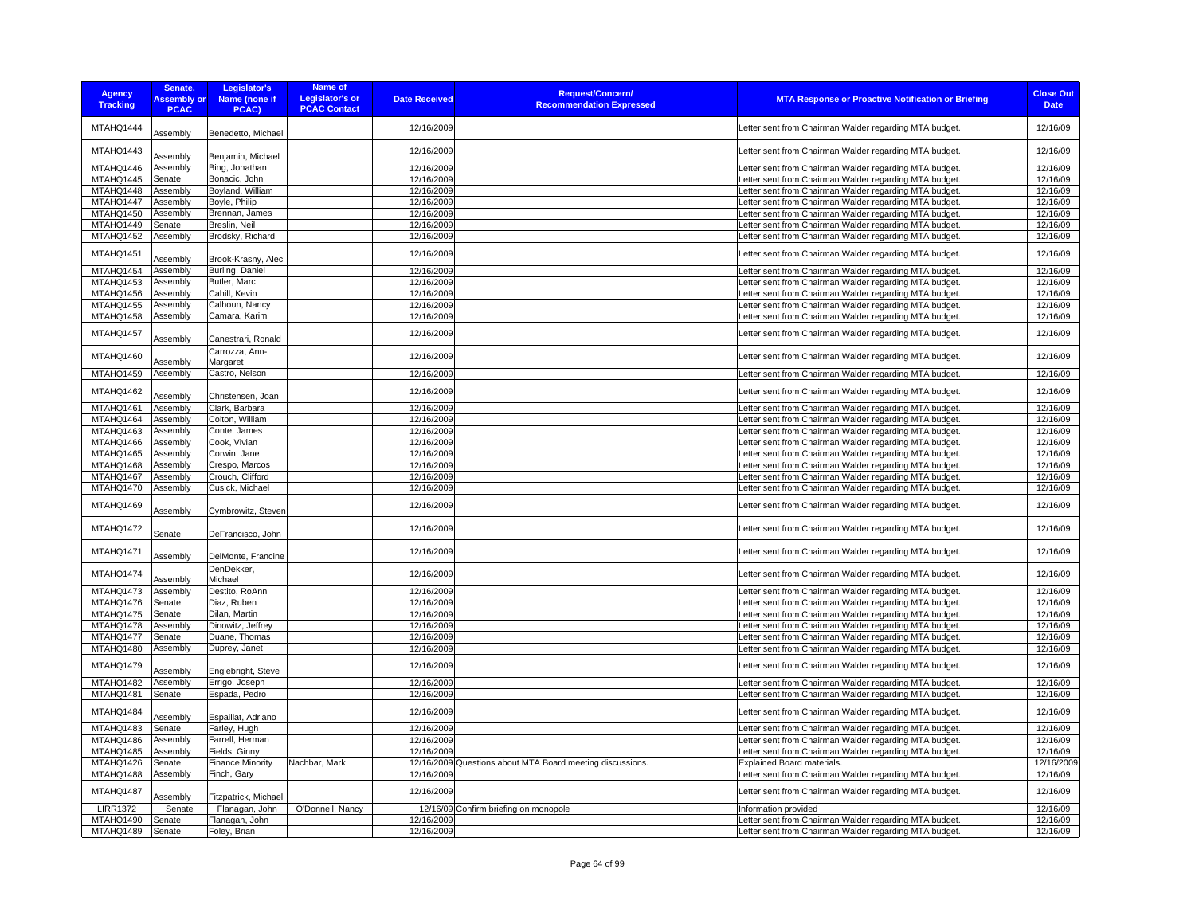| <b>Agency</b><br><b>Tracking</b> | Senate,<br><b>Assembly or</b><br><b>PCAC</b> | Legislator's<br>Name (none if<br><b>PCAC)</b> | <b>Name of</b><br><b>Legislator's or</b><br><b>PCAC Contact</b> | <b>Date Received</b> | <b>Request/Concern/</b><br><b>Recommendation Expressed</b> | <b>MTA Response or Proactive Notification or Briefing</b> | <b>Close Out</b><br><b>Date</b> |
|----------------------------------|----------------------------------------------|-----------------------------------------------|-----------------------------------------------------------------|----------------------|------------------------------------------------------------|-----------------------------------------------------------|---------------------------------|
| MTAHQ1444                        | Assembly                                     | Benedetto, Michael                            |                                                                 | 12/16/2009           |                                                            | Letter sent from Chairman Walder regarding MTA budget.    | 12/16/09                        |
| MTAHQ1443                        | Assembly                                     | Benjamin, Michael                             |                                                                 | 12/16/2009           |                                                            | Letter sent from Chairman Walder regarding MTA budget.    | 12/16/09                        |
| MTAHQ1446                        | Assembly                                     | Bing, Jonathan                                |                                                                 | 12/16/2009           |                                                            | Letter sent from Chairman Walder regarding MTA budget.    | 12/16/09                        |
| MTAHQ1445                        | Senate                                       | Bonacic, John                                 |                                                                 | 12/16/2009           |                                                            | Letter sent from Chairman Walder regarding MTA budget.    | 12/16/09                        |
| MTAHQ1448                        | Assembly                                     | Boyland, William                              |                                                                 | 12/16/2009           |                                                            | Letter sent from Chairman Walder regarding MTA budget.    | 12/16/09                        |
| MTAHQ1447                        | Assembly                                     | Boyle, Philip                                 |                                                                 | 12/16/2009           |                                                            | Letter sent from Chairman Walder regarding MTA budget.    | 12/16/09                        |
| MTAHQ1450                        | Assembly                                     | Brennan, James                                |                                                                 | 12/16/2009           |                                                            | Letter sent from Chairman Walder regarding MTA budget.    | 12/16/09                        |
| MTAHQ1449                        | Senate                                       | Breslin, Neil                                 |                                                                 | 12/16/2009           |                                                            | Letter sent from Chairman Walder regarding MTA budget.    | 12/16/09                        |
| MTAHQ1452                        | Assembly                                     | Brodsky, Richard                              |                                                                 | 12/16/2009           |                                                            | Letter sent from Chairman Walder regarding MTA budget.    | 12/16/09                        |
| MTAHQ1451                        | Assembly                                     | Brook-Krasny, Alec                            |                                                                 | 12/16/2009           |                                                            | Letter sent from Chairman Walder regarding MTA budget.    | 12/16/09                        |
| MTAHQ1454                        | Assembly                                     | Burling, Daniel                               |                                                                 | 12/16/2009           |                                                            | Letter sent from Chairman Walder regarding MTA budget.    | 12/16/09                        |
| MTAHQ1453                        | Assembly                                     | Butler, Marc                                  |                                                                 | 12/16/2009           |                                                            | etter sent from Chairman Walder regarding MTA budget      | 12/16/09                        |
| MTAHQ1456                        | Assembly                                     | Cahill, Kevin                                 |                                                                 | 12/16/2009           |                                                            | Letter sent from Chairman Walder regarding MTA budget     | 12/16/09                        |
| MTAHQ1455                        | Assembly                                     | Calhoun, Nancy                                |                                                                 | 12/16/2009           |                                                            | Letter sent from Chairman Walder regarding MTA budget.    | 12/16/09                        |
| MTAHQ1458                        | Assembly                                     | Camara, Karim                                 |                                                                 | 12/16/2009           |                                                            | Letter sent from Chairman Walder regarding MTA budget.    | 12/16/09                        |
| MTAHQ1457                        | Assembly                                     | Canestrari, Ronald                            |                                                                 | 12/16/2009           |                                                            | Letter sent from Chairman Walder regarding MTA budget.    | 12/16/09                        |
| MTAHQ1460                        | Assembly                                     | Carrozza, Ann-<br>Margaret                    |                                                                 | 12/16/2009           |                                                            | Letter sent from Chairman Walder regarding MTA budget.    | 12/16/09                        |
| MTAHQ1459                        | Assembly                                     | Castro, Nelson                                |                                                                 | 12/16/2009           |                                                            | Letter sent from Chairman Walder regarding MTA budget.    | 12/16/09                        |
| MTAHQ1462                        | Assembly                                     | Christensen, Joan                             |                                                                 | 12/16/2009           |                                                            | Letter sent from Chairman Walder regarding MTA budget.    | 12/16/09                        |
| MTAHQ1461                        | Assembly                                     | Clark, Barbara                                |                                                                 | 12/16/2009           |                                                            | Letter sent from Chairman Walder regarding MTA budget.    | 12/16/09                        |
| MTAHQ1464                        | Assembly                                     | Colton, William                               |                                                                 | 12/16/2009           |                                                            | Letter sent from Chairman Walder regarding MTA budget     | 12/16/09                        |
| MTAHQ1463                        | Assembly                                     | Conte, James                                  |                                                                 | 12/16/2009           |                                                            | Letter sent from Chairman Walder regarding MTA budget     | 12/16/09                        |
| MTAHQ1466                        | Assembly                                     | Cook, Vivian                                  |                                                                 | 12/16/2009           |                                                            | Letter sent from Chairman Walder regarding MTA budget.    | 12/16/09                        |
| MTAHQ1465                        | Assembly                                     | Corwin, Jane                                  |                                                                 | 12/16/2009           |                                                            | Letter sent from Chairman Walder regarding MTA budget     | 12/16/09                        |
| MTAHQ1468                        | Assembly                                     | Crespo, Marcos                                |                                                                 | 12/16/2009           |                                                            | Letter sent from Chairman Walder regarding MTA budget     | 12/16/09                        |
| MTAHQ1467                        | Assembly                                     | Crouch, Clifford                              |                                                                 | 12/16/2009           |                                                            | Letter sent from Chairman Walder regarding MTA budget     | 12/16/09                        |
| MTAHQ1470                        | Assembly                                     | Cusick, Michael                               |                                                                 | 12/16/2009           |                                                            | Letter sent from Chairman Walder regarding MTA budget.    | 12/16/09                        |
| MTAHQ1469                        | Assembly                                     | Cymbrowitz, Steven                            |                                                                 | 12/16/2009           |                                                            | Letter sent from Chairman Walder regarding MTA budget.    | 12/16/09                        |
| MTAHQ1472                        | Senate                                       | DeFrancisco, John                             |                                                                 | 12/16/2009           |                                                            | Letter sent from Chairman Walder regarding MTA budget.    | 12/16/09                        |
| MTAHQ1471                        | Assembly                                     | DelMonte, Francine                            |                                                                 | 12/16/2009           |                                                            | Letter sent from Chairman Walder regarding MTA budget.    | 12/16/09                        |
| MTAHQ1474                        | Assembly                                     | DenDekker,<br>Michael                         |                                                                 | 12/16/2009           |                                                            | Letter sent from Chairman Walder regarding MTA budget.    | 12/16/09                        |
| MTAHQ1473                        | Assembly                                     | Destito, RoAnn                                |                                                                 | 12/16/2009           |                                                            | Letter sent from Chairman Walder regarding MTA budget.    | 12/16/09                        |
| MTAHQ1476                        | Senate                                       | Diaz, Ruben                                   |                                                                 | 12/16/2009           |                                                            | Letter sent from Chairman Walder regarding MTA budget.    | 12/16/09                        |
| MTAHQ1475                        | Senate                                       | Dilan, Martin                                 |                                                                 | 12/16/2009           |                                                            | Letter sent from Chairman Walder regarding MTA budget.    | 12/16/09                        |
| MTAHQ1478                        | Assembly                                     | Dinowitz, Jeffrey                             |                                                                 | 12/16/2009           |                                                            | Letter sent from Chairman Walder regarding MTA budget     | 12/16/09                        |
| MTAHQ1477                        | Senate                                       | Duane, Thomas                                 |                                                                 | 12/16/2009           |                                                            | Letter sent from Chairman Walder regarding MTA budget     | 12/16/09                        |
| MTAHQ1480                        | Assembly                                     | Duprey, Janet                                 |                                                                 | 12/16/2009           |                                                            | Letter sent from Chairman Walder regarding MTA budget.    | 12/16/09                        |
| MTAHQ1479                        | Assembly                                     | Englebright, Steve                            |                                                                 | 12/16/2009           |                                                            | Letter sent from Chairman Walder regarding MTA budget.    | 12/16/09                        |
| MTAHQ1482                        | Assembly                                     | Errigo, Joseph                                |                                                                 | 12/16/2009           |                                                            | Letter sent from Chairman Walder regarding MTA budget.    | 12/16/09                        |
| MTAHQ1481                        | Senate                                       | Espada, Pedro                                 |                                                                 | 12/16/2009           |                                                            | Letter sent from Chairman Walder regarding MTA budget.    | 12/16/09                        |
| MTAHQ1484                        | Assembly                                     | Espaillat, Adriano                            |                                                                 | 12/16/2009           |                                                            | Letter sent from Chairman Walder regarding MTA budget.    | 12/16/09                        |
| MTAHQ1483                        | Senate                                       | Farley, Hugh                                  |                                                                 | 12/16/2009           |                                                            | Letter sent from Chairman Walder regarding MTA budget     | 12/16/09                        |
| MTAHQ1486                        | Assembly                                     | Farrell, Herman                               |                                                                 | 12/16/2009           |                                                            | Letter sent from Chairman Walder regarding MTA budget.    | 12/16/09                        |
| MTAHQ1485                        | Assembly                                     | Fields, Ginny                                 |                                                                 | 12/16/2009           |                                                            | Letter sent from Chairman Walder regarding MTA budget.    | 12/16/09                        |
| MTAHQ1426                        | Senate                                       | <b>Finance Minority</b>                       | Nachbar, Mark                                                   |                      | 12/16/2009 Questions about MTA Board meeting discussions.  | Explained Board materials.                                | 12/16/2009                      |
| MTAHQ1488                        | Assembly                                     | Finch, Gary                                   |                                                                 | 12/16/2009           |                                                            | Letter sent from Chairman Walder regarding MTA budget.    | 12/16/09                        |
| MTAHQ1487                        | Assembly                                     | Fitzpatrick, Michael                          |                                                                 | 12/16/2009           |                                                            | Letter sent from Chairman Walder regarding MTA budget.    | 12/16/09                        |
| <b>LIRR1372</b>                  | Senate                                       | Flanagan, John                                | O'Donnell, Nancy                                                |                      | 12/16/09 Confirm briefing on monopole                      | Information provided                                      | 12/16/09                        |
| MTAHQ1490                        | Senate                                       | Flanagan, John                                |                                                                 | 12/16/2009           |                                                            | Letter sent from Chairman Walder regarding MTA budget.    | 12/16/09                        |
| MTAHQ1489                        | Senate                                       | Foley, Brian                                  |                                                                 | 12/16/2009           |                                                            | Letter sent from Chairman Walder regarding MTA budget.    | 12/16/09                        |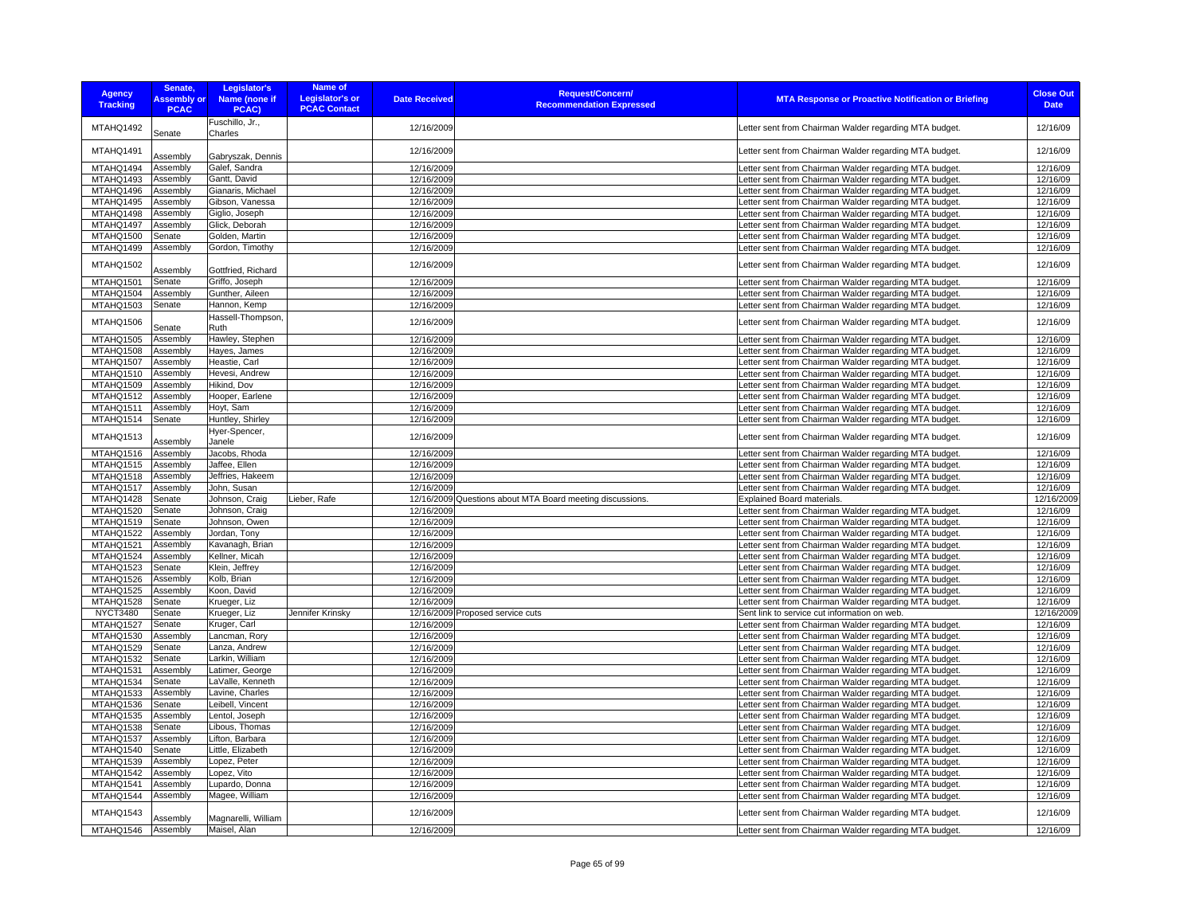| <b>Agency</b>          | Senate,            | Legislator's                     | Name of                |                      | <b>Request/Concern/</b>                                   |                                                                                                                  | <b>Close Out</b>       |
|------------------------|--------------------|----------------------------------|------------------------|----------------------|-----------------------------------------------------------|------------------------------------------------------------------------------------------------------------------|------------------------|
| <b>Tracking</b>        | <b>Assembly or</b> | Name (none if                    | <b>Legislator's or</b> | <b>Date Received</b> | <b>Recommendation Expressed</b>                           | <b>MTA Response or Proactive Notification or Briefing</b>                                                        | <b>Date</b>            |
|                        | <b>PCAC</b>        | PCAC)                            | <b>PCAC Contact</b>    |                      |                                                           |                                                                                                                  |                        |
| MTAHQ1492              | Senate             | Fuschillo, Jr.,<br>Charles       |                        | 12/16/2009           |                                                           | Letter sent from Chairman Walder regarding MTA budget.                                                           | 12/16/09               |
| MTAHQ1491              | Assembly           | Gabryszak, Dennis                |                        | 12/16/2009           |                                                           | Letter sent from Chairman Walder regarding MTA budget.                                                           | 12/16/09               |
| MTAHQ1494              | Assembly           | Galef, Sandra                    |                        | 12/16/2009           |                                                           | Letter sent from Chairman Walder regarding MTA budget.                                                           | 12/16/09               |
| MTAHQ1493              | Assembly           | Gantt, David                     |                        | 12/16/2009           |                                                           | Letter sent from Chairman Walder regarding MTA budget.                                                           | 12/16/09               |
| MTAHQ1496              | Assembly           | Gianaris, Michael                |                        | 12/16/2009           |                                                           | Letter sent from Chairman Walder regarding MTA budget.                                                           | 12/16/09               |
| MTAHQ1495              | Assembly           | Gibson, Vanessa                  |                        | 12/16/2009           |                                                           | Letter sent from Chairman Walder regarding MTA budget.                                                           | 12/16/09               |
| MTAHQ1498              | Assembly           | Giglio, Joseph                   |                        | 12/16/2009           |                                                           | Letter sent from Chairman Walder regarding MTA budget.                                                           | 12/16/09               |
| MTAHQ1497              | Assembly           | Glick, Deborah                   |                        | 12/16/2009           |                                                           | Letter sent from Chairman Walder regarding MTA budget.                                                           | 12/16/09               |
| MTAHQ1500              | Senate             | Golden, Martin                   |                        | 12/16/2009           |                                                           | Letter sent from Chairman Walder regarding MTA budget.                                                           | 12/16/09               |
| MTAHQ1499              | Assembly           | Gordon, Timothy                  |                        | 12/16/2009           |                                                           | Letter sent from Chairman Walder regarding MTA budget.                                                           | 12/16/09               |
| MTAHQ1502              | Assembly           | Gottfried, Richard               |                        | 12/16/2009           |                                                           | etter sent from Chairman Walder regarding MTA budget.                                                            | 12/16/09               |
| MTAHQ1501              | Senate             | Griffo, Joseph                   |                        | 12/16/2009           |                                                           | etter sent from Chairman Walder regarding MTA budget.                                                            | 12/16/09               |
| MTAHQ1504              | Assembly           | Gunther, Aileen                  |                        | 12/16/2009           |                                                           | etter sent from Chairman Walder regarding MTA budget.                                                            | 12/16/09               |
| MTAHQ1503              | Senate             | Hannon, Kemp                     |                        | 12/16/2009           |                                                           | Letter sent from Chairman Walder regarding MTA budget.                                                           | 12/16/09               |
| MTAHQ1506              | Senate             | Hassell-Thompson.<br>Ruth        |                        | 12/16/2009           |                                                           | Letter sent from Chairman Walder regarding MTA budget.                                                           | 12/16/09               |
| MTAHQ1505              | Assembly           | Hawley, Stephen                  |                        | 12/16/2009           |                                                           | Letter sent from Chairman Walder regarding MTA budget.                                                           | 12/16/09               |
| MTAHQ1508              | Assembly           | Hayes, James                     |                        | 12/16/2009           |                                                           | Letter sent from Chairman Walder regarding MTA budget.                                                           | 12/16/09               |
| MTAHQ1507              | Assembly           | Heastie, Carl                    |                        | 12/16/2009           |                                                           | Letter sent from Chairman Walder regarding MTA budget.                                                           | 12/16/09               |
| MTAHQ1510              | Assembly           | Hevesi, Andrew                   |                        | 12/16/2009           |                                                           | Letter sent from Chairman Walder regarding MTA budget.                                                           | 12/16/09               |
| MTAHQ1509              | Assembly           | Hikind, Dov                      |                        | 12/16/2009           |                                                           | Letter sent from Chairman Walder regarding MTA budget.                                                           | 12/16/09               |
| MTAHQ1512              | Assembly           | Hooper, Earlene                  |                        | 12/16/2009           |                                                           | Letter sent from Chairman Walder regarding MTA budget.                                                           | 12/16/09               |
| MTAHQ1511              | Assembly           | Hoyt, Sam                        |                        | 12/16/2009           |                                                           | Letter sent from Chairman Walder regarding MTA budget.                                                           | 12/16/09               |
| MTAHQ1514              | Senate             | Huntley, Shirley                 |                        | 12/16/2009           |                                                           | Letter sent from Chairman Walder regarding MTA budget.                                                           | 12/16/09               |
| MTAHQ1513              | Assembly           | Hyer-Spencer,<br>Janele          |                        | 12/16/2009           |                                                           | Letter sent from Chairman Walder regarding MTA budget.                                                           | 12/16/09               |
| MTAHQ1516              | Assembly           | Jacobs, Rhoda                    |                        | 12/16/2009           |                                                           | etter sent from Chairman Walder regarding MTA budget.                                                            | 12/16/09               |
| MTAHQ1515              | Assembly           | Jaffee, Ellen                    |                        | 12/16/2009           |                                                           | Letter sent from Chairman Walder regarding MTA budget.                                                           | 12/16/09               |
| MTAHQ1518              | Assembly           | Jeffries, Hakeem                 |                        | 12/16/2009           |                                                           | Letter sent from Chairman Walder regarding MTA budget.                                                           | 12/16/09               |
| MTAHQ1517              | Assembly           | John, Susan                      |                        | 12/16/2009           |                                                           | Letter sent from Chairman Walder regarding MTA budget.                                                           | 12/16/09               |
| MTAHQ1428<br>MTAHQ1520 | Senate             | Johnson, Craig<br>Johnson, Craig | Lieber, Rafe           | 12/16/2009           | 12/16/2009 Questions about MTA Board meeting discussions. | Explained Board materials.                                                                                       | 12/16/2009<br>12/16/09 |
| MTAHQ1519              | Senate<br>Senate   | Johnson, Owen                    |                        | 12/16/2009           |                                                           | Letter sent from Chairman Walder regarding MTA budget.<br>Letter sent from Chairman Walder regarding MTA budget. | 12/16/09               |
| MTAHQ1522              | Assembly           | Jordan, Tony                     |                        | 12/16/2009           |                                                           | etter sent from Chairman Walder regarding MTA budget.                                                            | 12/16/09               |
| MTAHQ1521              | Assembly           | Kavanagh, Brian                  |                        | 12/16/2009           |                                                           | Letter sent from Chairman Walder regarding MTA budget.                                                           | 12/16/09               |
| MTAHQ1524              | Assembly           | Kellner, Micah                   |                        | 12/16/2009           |                                                           | Letter sent from Chairman Walder regarding MTA budget.                                                           | 12/16/09               |
| MTAHQ1523              | Senate             | Klein, Jeffrey                   |                        | 12/16/2009           |                                                           | Letter sent from Chairman Walder regarding MTA budget.                                                           | 12/16/09               |
| MTAHQ1526              | Assembly           | Kolb, Brian                      |                        | 12/16/2009           |                                                           | Letter sent from Chairman Walder regarding MTA budget.                                                           | 12/16/09               |
| MTAHQ1525              | Assembly           | Koon, David                      |                        | 12/16/2009           |                                                           | Letter sent from Chairman Walder regarding MTA budget.                                                           | 12/16/09               |
| MTAHQ1528              | Senate             | Krueger, Liz                     |                        | 12/16/2009           |                                                           | Letter sent from Chairman Walder regarding MTA budget.                                                           | 12/16/09               |
| <b>NYCT3480</b>        | Senate             | Krueger, Liz                     | Jennifer Krinsky       |                      | 12/16/2009 Proposed service cuts                          | Sent link to service cut information on web.                                                                     | 12/16/2009             |
| MTAHQ1527              | Senate             | Kruger, Carl                     |                        | 12/16/2009           |                                                           | etter sent from Chairman Walder regarding MTA budget.                                                            | 12/16/09               |
| MTAHQ1530              | Assembly           | Lancman, Rory                    |                        | 12/16/2009           |                                                           | Letter sent from Chairman Walder regarding MTA budget.                                                           | 12/16/09               |
| MTAHQ1529              | Senate             | Lanza, Andrew                    |                        | 12/16/2009           |                                                           | Letter sent from Chairman Walder regarding MTA budget.                                                           | 12/16/09               |
| MTAHQ1532              | Senate             | Larkin, William                  |                        | 12/16/2009           |                                                           | etter sent from Chairman Walder regarding MTA budget.                                                            | 12/16/09               |
| MTAHQ1531              | Assembly           | Latimer, George                  |                        | 12/16/2009           |                                                           | Letter sent from Chairman Walder regarding MTA budget.                                                           | 12/16/09               |
| MTAHQ1534              | Senate             | LaValle, Kenneth                 |                        | 12/16/2009           |                                                           | Letter sent from Chairman Walder regarding MTA budget.                                                           | 12/16/09               |
| MTAHQ1533              | Assembly           | Lavine, Charles                  |                        | 12/16/2009           |                                                           | Letter sent from Chairman Walder regarding MTA budget.                                                           | 12/16/09               |
| MTAHQ1536              | Senate             | Leibell, Vincent                 |                        | 12/16/2009           |                                                           | Letter sent from Chairman Walder regarding MTA budget.                                                           | 12/16/09               |
| MTAHQ1535              | Assembly           | Lentol, Joseph                   |                        | 12/16/2009           |                                                           | Letter sent from Chairman Walder regarding MTA budget.                                                           | 12/16/09               |
| MTAHQ1538              | Senate             | Libous, Thomas                   |                        | 12/16/2009           |                                                           | Letter sent from Chairman Walder regarding MTA budget.                                                           | 12/16/09               |
| MTAHQ1537              | Assembly           | Lifton, Barbara                  |                        | 12/16/2009           |                                                           | Letter sent from Chairman Walder regarding MTA budget.                                                           | 12/16/09               |
| MTAHQ1540              | Senate             | Little, Elizabeth                |                        | 12/16/2009           |                                                           | Letter sent from Chairman Walder regarding MTA budget.                                                           | 12/16/09               |
| MTAHQ1539              | Assembly           | Lopez, Peter                     |                        | 12/16/2009           |                                                           | Letter sent from Chairman Walder regarding MTA budget.                                                           | 12/16/09               |
| MTAHQ1542              | Assembly           | Lopez, Vito                      |                        | 12/16/2009           |                                                           | Letter sent from Chairman Walder regarding MTA budget.                                                           | 12/16/09               |
| MTAHQ1541              | Assembly           | Lupardo, Donna                   |                        | 12/16/2009           |                                                           | Letter sent from Chairman Walder regarding MTA budget.                                                           | 12/16/09               |
| MTAHQ1544              | Assembly           | Magee, William                   |                        | 12/16/2009           |                                                           | Letter sent from Chairman Walder regarding MTA budget.                                                           | 12/16/09               |
| MTAHQ1543              | Assembly           | Magnarelli, William              |                        | 12/16/2009           |                                                           | Letter sent from Chairman Walder regarding MTA budget.                                                           | 12/16/09               |
| MTAHQ1546              | Assembly           | Maisel, Alan                     |                        | 12/16/2009           |                                                           | Letter sent from Chairman Walder regarding MTA budget.                                                           | 12/16/09               |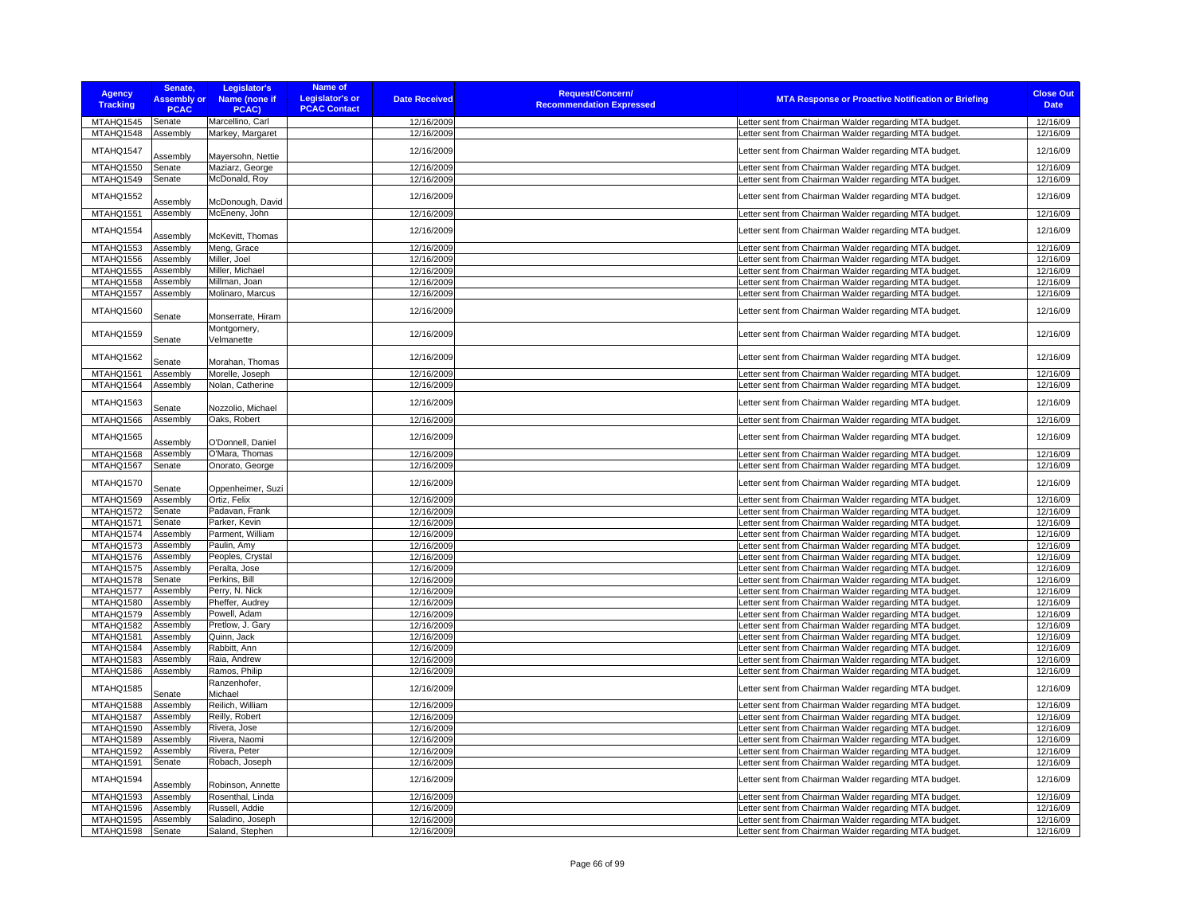| <b>Agency</b><br><b>Tracking</b> | Senate,<br><b>Assembly or</b><br><b>PCAC</b> | Legislator's<br>Name (none if<br>PCAC) | <b>Name of</b><br><b>Legislator's or</b><br><b>PCAC Contact</b> | <b>Date Received</b> | <b>Request/Concern/</b><br><b>Recommendation Expressed</b> | <b>MTA Response or Proactive Notification or Briefing</b> | <b>Close Out</b><br><b>Date</b> |
|----------------------------------|----------------------------------------------|----------------------------------------|-----------------------------------------------------------------|----------------------|------------------------------------------------------------|-----------------------------------------------------------|---------------------------------|
| MTAHQ1545                        | Senate                                       | Marcellino, Carl                       |                                                                 | 12/16/2009           |                                                            | Letter sent from Chairman Walder regarding MTA budget.    | 12/16/09                        |
| MTAHQ1548                        | Assembly                                     | Markey, Margaret                       |                                                                 | 12/16/2009           |                                                            | Letter sent from Chairman Walder regarding MTA budget.    | 12/16/09                        |
| MTAHQ1547                        | Assembly                                     | Mayersohn, Nettie                      |                                                                 | 12/16/2009           |                                                            | Letter sent from Chairman Walder regarding MTA budget.    | 12/16/09                        |
| MTAHQ1550                        | Senate                                       | Maziarz, George                        |                                                                 | 12/16/2009           |                                                            | Letter sent from Chairman Walder regarding MTA budget.    | 12/16/09                        |
| MTAHQ1549                        | Senate                                       | McDonald, Roy                          |                                                                 | 12/16/2009           |                                                            | Letter sent from Chairman Walder regarding MTA budget.    | 12/16/09                        |
| MTAHQ1552                        | Assembly                                     | McDonough, David                       |                                                                 | 12/16/2009           |                                                            | Letter sent from Chairman Walder regarding MTA budget.    | 12/16/09                        |
| MTAHQ1551                        | Assembly                                     | McEneny, John                          |                                                                 | 12/16/2009           |                                                            | Letter sent from Chairman Walder regarding MTA budget.    | 12/16/09                        |
| MTAHQ1554                        | Assembly                                     | McKevitt, Thomas                       |                                                                 | 12/16/2009           |                                                            | Letter sent from Chairman Walder regarding MTA budget.    | 12/16/09                        |
| MTAHQ1553                        | Assembly                                     | Meng, Grace                            |                                                                 | 12/16/2009           |                                                            | Letter sent from Chairman Walder regarding MTA budget.    | 12/16/09                        |
| MTAHQ1556                        | Assembly                                     | Miller, Joel                           |                                                                 | 12/16/2009           |                                                            | Letter sent from Chairman Walder regarding MTA budget.    | 12/16/09                        |
| MTAHQ1555                        | Assembly                                     | Miller, Michael                        |                                                                 | 12/16/2009           |                                                            | Letter sent from Chairman Walder regarding MTA budget.    | 12/16/09                        |
| <b>MTAHQ1558</b>                 | Assembly                                     | Millman, Joan                          |                                                                 | 12/16/2009           |                                                            | Letter sent from Chairman Walder regarding MTA budget.    | 12/16/09                        |
| MTAHQ1557                        | Assembly                                     | Molinaro, Marcus                       |                                                                 | 12/16/2009           |                                                            | Letter sent from Chairman Walder regarding MTA budget.    | 12/16/09                        |
|                                  |                                              |                                        |                                                                 |                      |                                                            |                                                           |                                 |
| MTAHQ1560                        | Senate                                       | Monserrate, Hiram                      |                                                                 | 12/16/2009           |                                                            | Letter sent from Chairman Walder regarding MTA budget.    | 12/16/09                        |
| MTAHQ1559                        | Senate                                       | Montgomery,<br>Velmanette              |                                                                 | 12/16/2009           |                                                            | Letter sent from Chairman Walder regarding MTA budget.    | 12/16/09                        |
| MTAHQ1562                        | Senate                                       | Morahan, Thomas                        |                                                                 | 12/16/2009           |                                                            | Letter sent from Chairman Walder regarding MTA budget.    | 12/16/09                        |
| MTAHQ1561                        | Assembly                                     | Morelle, Joseph                        |                                                                 | 12/16/2009           |                                                            | Letter sent from Chairman Walder regarding MTA budget.    | 12/16/09                        |
| MTAHQ1564                        | Assembly                                     | Nolan, Catherine                       |                                                                 | 12/16/2009           |                                                            | Letter sent from Chairman Walder regarding MTA budget.    | 12/16/09                        |
| MTAHQ1563                        | Senate                                       | Nozzolio, Michael                      |                                                                 | 12/16/2009           |                                                            | Letter sent from Chairman Walder regarding MTA budget.    | 12/16/09                        |
| MTAHQ1566                        | Assembly                                     | Oaks, Robert                           |                                                                 | 12/16/2009           |                                                            | Letter sent from Chairman Walder regarding MTA budget.    | 12/16/09                        |
| MTAHQ1565                        | Assembly                                     | O'Donnell, Daniel                      |                                                                 | 12/16/2009           |                                                            | Letter sent from Chairman Walder regarding MTA budget.    | 12/16/09                        |
| MTAHQ1568                        | Assembly                                     | O'Mara, Thomas                         |                                                                 | 12/16/2009           |                                                            | Letter sent from Chairman Walder regarding MTA budget.    | 12/16/09                        |
| MTAHQ1567                        | Senate                                       | Onorato, George                        |                                                                 | 12/16/2009           |                                                            | Letter sent from Chairman Walder regarding MTA budget.    | 12/16/09                        |
| MTAHQ1570                        | Senate                                       | Oppenheimer, Suzi                      |                                                                 | 12/16/2009           |                                                            | Letter sent from Chairman Walder regarding MTA budget.    | 12/16/09                        |
| MTAHQ1569                        | Assembly                                     | Ortiz, Felix                           |                                                                 | 12/16/2009           |                                                            | Letter sent from Chairman Walder regarding MTA budget.    | 12/16/09                        |
| MTAHQ1572                        | Senate                                       | Padavan, Frank                         |                                                                 | 12/16/2009           |                                                            | Letter sent from Chairman Walder regarding MTA budget.    | 12/16/09                        |
| MTAHQ1571                        | Senate                                       | Parker, Kevin                          |                                                                 | 12/16/2009           |                                                            | Letter sent from Chairman Walder regarding MTA budget.    | 12/16/09                        |
| MTAHQ1574                        | Assembly                                     | Parment, William                       |                                                                 | 12/16/2009           |                                                            | Letter sent from Chairman Walder regarding MTA budget.    | 12/16/09                        |
| MTAHQ1573                        | Assembly                                     | Paulin, Amy                            |                                                                 | 12/16/2009           |                                                            | Letter sent from Chairman Walder regarding MTA budget.    | 12/16/09                        |
| MTAHQ1576                        | Assembly                                     | Peoples, Crystal                       |                                                                 | 12/16/2009           |                                                            | Letter sent from Chairman Walder regarding MTA budget.    | 12/16/09                        |
| MTAHQ1575                        | Assembly                                     | Peralta, Jose                          |                                                                 | 12/16/2009           |                                                            | Letter sent from Chairman Walder regarding MTA budget.    | 12/16/09                        |
| MTAHQ1578                        | Senate                                       | Perkins, Bill                          |                                                                 | 12/16/2009           |                                                            | Letter sent from Chairman Walder regarding MTA budget.    | 12/16/09                        |
| MTAHQ1577                        | Assembly                                     | Perry, N. Nick                         |                                                                 | 12/16/2009           |                                                            | Letter sent from Chairman Walder regarding MTA budget.    | 12/16/09                        |
| MTAHQ1580                        | Assembly                                     | Pheffer, Audrey                        |                                                                 | 12/16/2009           |                                                            | Letter sent from Chairman Walder regarding MTA budget.    | 12/16/09                        |
| MTAHQ1579                        | Assembly                                     | Powell, Adam                           |                                                                 | 12/16/2009           |                                                            | Letter sent from Chairman Walder regarding MTA budget.    | 12/16/09                        |
| MTAHQ1582                        | Assembly                                     | Pretlow, J. Gary                       |                                                                 | 12/16/2009           |                                                            | Letter sent from Chairman Walder regarding MTA budget.    | 12/16/09                        |
| MTAHQ1581                        | Assembly                                     | Quinn, Jack                            |                                                                 | 12/16/2009           |                                                            | Letter sent from Chairman Walder regarding MTA budget.    | 12/16/09                        |
| MTAHQ1584                        | Assembly                                     | Rabbitt, Ann                           |                                                                 | 12/16/2009           |                                                            | Letter sent from Chairman Walder regarding MTA budget.    | 12/16/09                        |
| MTAHQ1583                        | Assembly                                     | Raia, Andrew                           |                                                                 | 12/16/2009           |                                                            | Letter sent from Chairman Walder regarding MTA budget.    | 12/16/09                        |
| MTAHQ1586                        | Assembly                                     | Ramos, Philip                          |                                                                 | 12/16/2009           |                                                            | Letter sent from Chairman Walder regarding MTA budget.    | 12/16/09                        |
| MTAHQ1585                        | Senate                                       | Ranzenhofer,<br>Michael                |                                                                 | 12/16/2009           |                                                            | Letter sent from Chairman Walder regarding MTA budget.    | 12/16/09                        |
| MTAHQ1588                        | Assembly                                     | Reilich, William                       |                                                                 | 12/16/2009           |                                                            | Letter sent from Chairman Walder regarding MTA budget.    | 12/16/09                        |
| MTAHQ1587                        | Assembly                                     | Reilly, Robert                         |                                                                 | 12/16/2009           |                                                            | Letter sent from Chairman Walder regarding MTA budget.    | 12/16/09                        |
| MTAHQ1590                        | Assembly                                     | Rivera, Jose                           |                                                                 | 12/16/2009           |                                                            | Letter sent from Chairman Walder regarding MTA budget.    | 12/16/09                        |
| MTAHQ1589                        | Assembly                                     | Rivera, Naomi                          |                                                                 | 12/16/2009           |                                                            | Letter sent from Chairman Walder regarding MTA budget.    | 12/16/09                        |
| MTAHQ1592                        | Assembly                                     | Rivera, Peter                          |                                                                 | 12/16/2009           |                                                            | Letter sent from Chairman Walder regarding MTA budget.    | 12/16/09                        |
| MTAHQ1591                        | Senate                                       | Robach, Joseph                         |                                                                 | 12/16/2009           |                                                            | Letter sent from Chairman Walder regarding MTA budget.    | 12/16/09                        |
| MTAHQ1594                        | Assembly                                     | Robinson, Annette                      |                                                                 | 12/16/2009           |                                                            | Letter sent from Chairman Walder regarding MTA budget.    | 12/16/09                        |
| MTAHQ1593                        | Assembly                                     | Rosenthal, Linda                       |                                                                 | 12/16/2009           |                                                            | Letter sent from Chairman Walder regarding MTA budget.    | 12/16/09                        |
| MTAHQ1596                        | Assembly                                     | Russell, Addie                         |                                                                 | 12/16/2009           |                                                            | Letter sent from Chairman Walder regarding MTA budget.    | 12/16/09                        |
| MTAHQ1595                        | Assembly                                     | Saladino, Joseph                       |                                                                 | 12/16/2009           |                                                            | Letter sent from Chairman Walder regarding MTA budget.    | 12/16/09                        |
| MTAHQ1598                        | Senate                                       | Saland, Stephen                        |                                                                 | 12/16/2009           |                                                            | Letter sent from Chairman Walder regarding MTA budget.    | 12/16/09                        |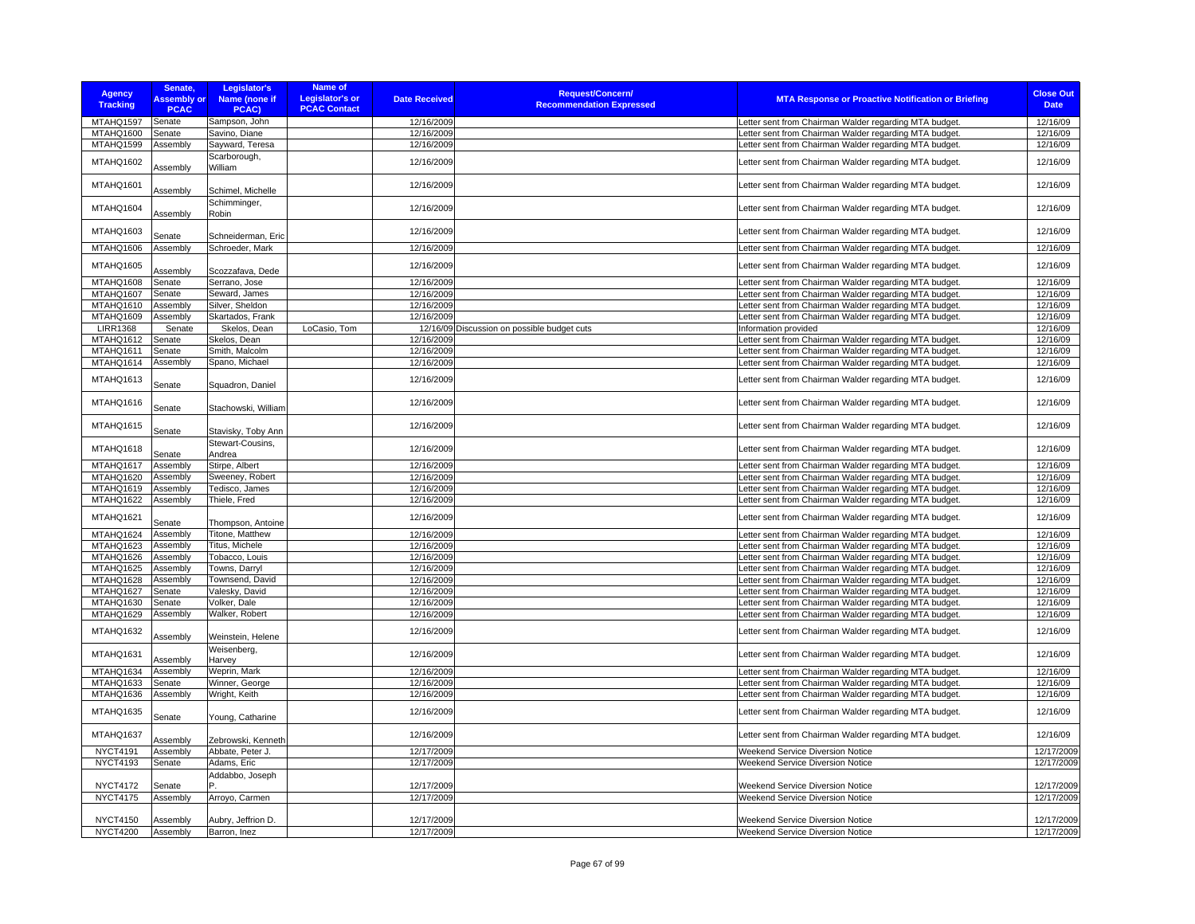| <b>Agency</b><br><b>Tracking</b> | Senate,<br><b>Assembly or</b><br><b>PCAC</b> | Legislator's<br>Name (none if<br>PCAC) | Name of<br><b>Legislator's or</b><br><b>PCAC Contact</b> | <b>Date Received</b> | <b>Request/Concern/</b><br><b>Recommendation Expressed</b> | <b>MTA Response or Proactive Notification or Briefing</b> | <b>Close Out</b><br><b>Date</b> |
|----------------------------------|----------------------------------------------|----------------------------------------|----------------------------------------------------------|----------------------|------------------------------------------------------------|-----------------------------------------------------------|---------------------------------|
| MTAHQ1597                        | Senate                                       | Sampson, John                          |                                                          | 12/16/2009           |                                                            | Letter sent from Chairman Walder regarding MTA budget.    | 12/16/09                        |
| MTAHQ1600                        | Senate                                       | Savino, Diane                          |                                                          | 12/16/2009           |                                                            | Letter sent from Chairman Walder regarding MTA budget     | 12/16/09                        |
| MTAHQ1599                        | Assembly                                     | Sayward, Teresa                        |                                                          | 12/16/2009           |                                                            | Letter sent from Chairman Walder regarding MTA budget.    | 12/16/09                        |
|                                  |                                              |                                        |                                                          |                      |                                                            |                                                           |                                 |
| MTAHQ1602                        | Assembly                                     | Scarborough,<br>William                |                                                          | 12/16/2009           |                                                            | Letter sent from Chairman Walder regarding MTA budget.    | 12/16/09                        |
| MTAHQ1601                        | Assembly                                     | Schimel, Michelle                      |                                                          | 12/16/2009           |                                                            | Letter sent from Chairman Walder regarding MTA budget.    | 12/16/09                        |
| MTAHQ1604                        | Assembly                                     | Schimminger,<br>Robin                  |                                                          | 12/16/2009           |                                                            | Letter sent from Chairman Walder regarding MTA budget.    | 12/16/09                        |
| MTAHQ1603                        | Senate                                       | Schneiderman, Eric                     |                                                          | 12/16/2009           |                                                            | Letter sent from Chairman Walder regarding MTA budget.    | 12/16/09                        |
| MTAHQ1606                        | Assembly                                     | Schroeder, Mark                        |                                                          | 12/16/2009           |                                                            | Letter sent from Chairman Walder regarding MTA budget.    | 12/16/09                        |
| MTAHQ1605                        | Assembly                                     | Scozzafava, Dede                       |                                                          | 12/16/2009           |                                                            | Letter sent from Chairman Walder regarding MTA budget.    | 12/16/09                        |
| MTAHQ1608                        | Senate                                       | Serrano, Jose                          |                                                          | 12/16/2009           |                                                            | etter sent from Chairman Walder regarding MTA budget.     | 12/16/09                        |
| MTAHQ1607                        | Senate                                       | Seward, James                          |                                                          | 12/16/2009           |                                                            | Letter sent from Chairman Walder regarding MTA budget.    | 12/16/09                        |
| MTAHQ1610                        | Assembly                                     | Silver, Sheldon                        |                                                          | 12/16/2009           |                                                            | Letter sent from Chairman Walder regarding MTA budget.    | 12/16/09                        |
| MTAHQ1609                        | Assembly                                     | Skartados, Frank                       |                                                          | 12/16/2009           |                                                            | Letter sent from Chairman Walder regarding MTA budget.    | 12/16/09                        |
| <b>LIRR1368</b>                  | Senate                                       | Skelos, Dean                           | LoCasio, Tom                                             |                      | 12/16/09 Discussion on possible budget cuts                | Information provided                                      | 12/16/09                        |
| MTAHQ1612                        | Senate                                       | Skelos, Dean                           |                                                          | 12/16/2009           |                                                            | Letter sent from Chairman Walder regarding MTA budget.    | 12/16/09                        |
| MTAHQ1611                        | Senate                                       | Smith, Malcolm                         |                                                          | 12/16/2009           |                                                            | Letter sent from Chairman Walder regarding MTA budget.    | 12/16/09                        |
| MTAHQ1614                        | Assembly                                     | Spano, Michael                         |                                                          | 12/16/2009           |                                                            | Letter sent from Chairman Walder regarding MTA budget.    | 12/16/09                        |
| MTAHQ1613                        | Senate                                       | Squadron, Daniel                       |                                                          | 12/16/2009           |                                                            | Letter sent from Chairman Walder regarding MTA budget.    | 12/16/09                        |
| MTAHQ1616                        | Senate                                       | Stachowski, William                    |                                                          | 12/16/2009           |                                                            | Letter sent from Chairman Walder regarding MTA budget.    | 12/16/09                        |
| MTAHQ1615                        | Senate                                       | Stavisky, Toby Ann                     |                                                          | 12/16/2009           |                                                            | Letter sent from Chairman Walder regarding MTA budget.    | 12/16/09                        |
| MTAHQ1618                        | Senate                                       | Stewart-Cousins,<br>Andrea             |                                                          | 12/16/2009           |                                                            | Letter sent from Chairman Walder regarding MTA budget.    | 12/16/09                        |
| MTAHQ1617                        | Assembly                                     | Stirpe, Albert                         |                                                          | 12/16/2009           |                                                            | Letter sent from Chairman Walder regarding MTA budget.    | 12/16/09                        |
| MTAHQ1620                        | Assembly                                     | Sweeney, Robert                        |                                                          | 12/16/2009           |                                                            | Letter sent from Chairman Walder regarding MTA budget.    | 12/16/09                        |
| MTAHQ1619                        | Assembly                                     | Tedisco, James                         |                                                          | 12/16/2009           |                                                            | Letter sent from Chairman Walder regarding MTA budget.    | 12/16/09                        |
| MTAHQ1622                        | Assembly                                     | Thiele, Fred                           |                                                          | 12/16/2009           |                                                            | Letter sent from Chairman Walder regarding MTA budget.    | 12/16/09                        |
| MTAHQ1621                        | Senate                                       | Thompson, Antoine                      |                                                          | 12/16/2009           |                                                            | Letter sent from Chairman Walder regarding MTA budget.    | 12/16/09                        |
| MTAHQ1624                        | Assembly                                     | Titone, Matthew                        |                                                          | 12/16/2009           |                                                            | Letter sent from Chairman Walder regarding MTA budget.    | 12/16/09                        |
| MTAHQ1623                        | Assembly                                     | Titus, Michele                         |                                                          | 12/16/2009           |                                                            | etter sent from Chairman Walder regarding MTA budget      | 12/16/09                        |
| MTAHQ1626                        | Assembly                                     | Tobacco, Louis                         |                                                          | 12/16/2009           |                                                            | Letter sent from Chairman Walder regarding MTA budget.    | 12/16/09                        |
| MTAHQ1625                        | Assembly                                     | Towns, Darryl                          |                                                          | 12/16/2009           |                                                            | Letter sent from Chairman Walder regarding MTA budget.    | 12/16/09                        |
| MTAHQ1628                        | Assembly                                     | Townsend, David                        |                                                          | 12/16/2009           |                                                            | Letter sent from Chairman Walder regarding MTA budget.    | 12/16/09                        |
| MTAHQ1627                        | Senate                                       | Valesky, David                         |                                                          | 12/16/2009           |                                                            | Letter sent from Chairman Walder regarding MTA budget.    | 12/16/09                        |
| MTAHQ1630                        | Senate                                       | Volker, Dale                           |                                                          | 12/16/2009           |                                                            | Letter sent from Chairman Walder regarding MTA budget.    | 12/16/09                        |
| MTAHQ1629                        | Assembly                                     | Walker, Robert                         |                                                          | 12/16/2009           |                                                            | Letter sent from Chairman Walder regarding MTA budget     | 12/16/09                        |
| MTAHQ1632                        | Assembly                                     | Weinstein, Helene                      |                                                          | 12/16/2009           |                                                            | Letter sent from Chairman Walder regarding MTA budget.    | 12/16/09                        |
| MTAHQ1631                        | Assembly                                     | Weisenberg,<br>Harvey                  |                                                          | 12/16/2009           |                                                            | Letter sent from Chairman Walder regarding MTA budget.    | 12/16/09                        |
| MTAHQ1634                        | Assembly                                     | Weprin, Mark                           |                                                          | 12/16/2009           |                                                            | Letter sent from Chairman Walder regarding MTA budget.    | 12/16/09                        |
| MTAHQ1633                        | Senate                                       | Winner, George                         |                                                          | 12/16/2009           |                                                            | Letter sent from Chairman Walder regarding MTA budget.    | 12/16/09                        |
| MTAHQ1636                        | Assembly                                     | Wright, Keith                          |                                                          | 12/16/2009           |                                                            | Letter sent from Chairman Walder regarding MTA budget.    | 12/16/09                        |
| MTAHQ1635                        | Senate                                       | Young, Catharine                       |                                                          | 12/16/2009           |                                                            | Letter sent from Chairman Walder regarding MTA budget.    | 12/16/09                        |
| MTAHQ1637                        | Assembly                                     | Zebrowski, Kenneth                     |                                                          | 12/16/2009           |                                                            | Letter sent from Chairman Walder regarding MTA budget.    | 12/16/09                        |
| <b>NYCT4191</b>                  | Assembly                                     | Abbate, Peter J.                       |                                                          | 12/17/2009           |                                                            | Weekend Service Diversion Notice                          | 12/17/2009                      |
| <b>NYCT4193</b>                  | Senate                                       | Adams, Eric                            |                                                          | 12/17/2009           |                                                            | Weekend Service Diversion Notice                          | 12/17/2009                      |
|                                  |                                              | Addabbo, Joseph                        |                                                          |                      |                                                            |                                                           |                                 |
| <b>NYCT4172</b>                  | Senate                                       |                                        |                                                          | 12/17/2009           |                                                            | Weekend Service Diversion Notice                          | 12/17/2009                      |
| <b>NYCT4175</b>                  | Assembly                                     | Arroyo, Carmen                         |                                                          | 12/17/2009           |                                                            | <b>Weekend Service Diversion Notice</b>                   | 12/17/2009                      |
| <b>NYCT4150</b>                  | Assembly                                     | Aubry, Jeffrion D.                     |                                                          | 12/17/2009           |                                                            | Weekend Service Diversion Notice                          | 12/17/2009                      |
| <b>NYCT4200</b>                  | Assembly                                     | Barron, Inez                           |                                                          | 12/17/2009           |                                                            | Weekend Service Diversion Notice                          | 12/17/2009                      |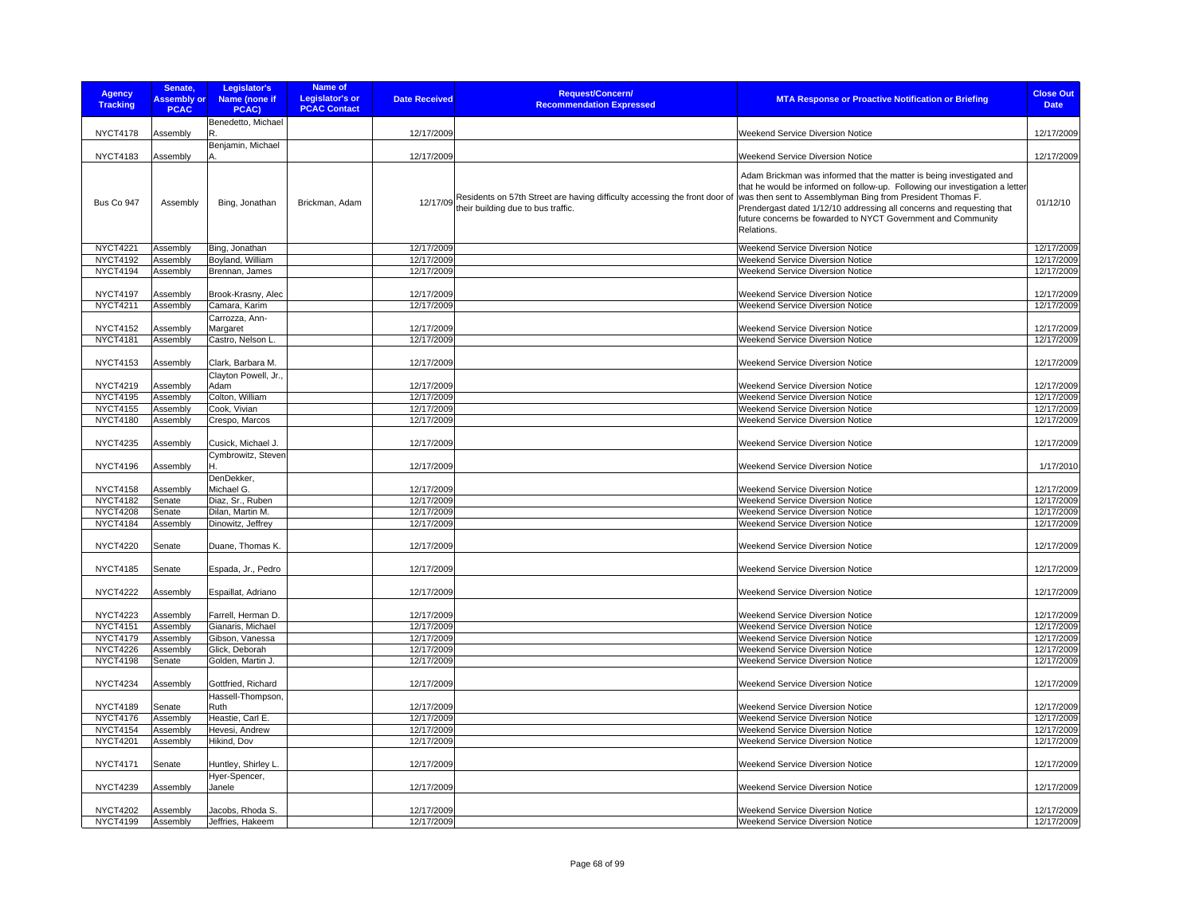| <b>Agency</b><br><b>Tracking</b> | Senate,<br><b>Assembly or</b><br><b>PCAC</b> | Legislator's<br>Name (none if<br>PCAC)   | <b>Name of</b><br><b>Legislator's or</b><br><b>PCAC Contact</b> | <b>Date Received</b> | <b>Request/Concern/</b><br><b>Recommendation Expressed</b>                                                       | <b>MTA Response or Proactive Notification or Briefing</b>                                                                                                                                                                                                                                                                                                                 | <b>Close Out</b><br><b>Date</b> |
|----------------------------------|----------------------------------------------|------------------------------------------|-----------------------------------------------------------------|----------------------|------------------------------------------------------------------------------------------------------------------|---------------------------------------------------------------------------------------------------------------------------------------------------------------------------------------------------------------------------------------------------------------------------------------------------------------------------------------------------------------------------|---------------------------------|
|                                  |                                              | Benedetto, Michael                       |                                                                 |                      |                                                                                                                  |                                                                                                                                                                                                                                                                                                                                                                           |                                 |
| <b>NYCT4178</b>                  | Assembly                                     |                                          |                                                                 | 12/17/2009           |                                                                                                                  | <b>Weekend Service Diversion Notice</b>                                                                                                                                                                                                                                                                                                                                   | 12/17/2009                      |
|                                  |                                              | Benjamin, Michael                        |                                                                 |                      |                                                                                                                  |                                                                                                                                                                                                                                                                                                                                                                           |                                 |
| <b>NYCT4183</b>                  | Assembly                                     |                                          |                                                                 | 12/17/2009           |                                                                                                                  | Weekend Service Diversion Notice                                                                                                                                                                                                                                                                                                                                          | 12/17/2009                      |
| Bus Co 947                       | Assembly                                     | Bing, Jonathan                           | Brickman, Adam                                                  | 12/17/09             | Residents on 57th Street are having difficulty accessing the front door of<br>their building due to bus traffic. | Adam Brickman was informed that the matter is being investigated and<br>that he would be informed on follow-up. Following our investigation a letter<br>was then sent to Assemblyman Bing from President Thomas F.<br>Prendergast dated 1/12/10 addressing all concerns and requesting that<br>future concerns be fowarded to NYCT Government and Community<br>Relations. | 01/12/10                        |
| <b>NYCT4221</b>                  | Assembly                                     | Bing, Jonathan                           |                                                                 | 12/17/2009           |                                                                                                                  | Weekend Service Diversion Notice                                                                                                                                                                                                                                                                                                                                          | 12/17/2009                      |
| <b>NYCT4192</b>                  | Assembly                                     | Boyland, William                         |                                                                 | 12/17/2009           |                                                                                                                  | <b>Weekend Service Diversion Notice</b>                                                                                                                                                                                                                                                                                                                                   | 12/17/2009                      |
| <b>NYCT4194</b>                  | Assembly                                     | Brennan, James                           |                                                                 | 12/17/2009           |                                                                                                                  | Weekend Service Diversion Notice                                                                                                                                                                                                                                                                                                                                          | 12/17/2009                      |
|                                  |                                              |                                          |                                                                 |                      |                                                                                                                  |                                                                                                                                                                                                                                                                                                                                                                           |                                 |
| <b>NYCT4197</b>                  | Assembly                                     | Brook-Krasny, Alec                       |                                                                 | 12/17/2009           |                                                                                                                  | Weekend Service Diversion Notice                                                                                                                                                                                                                                                                                                                                          | 12/17/2009                      |
| NYCT4211                         | Assembly                                     | Camara, Karim                            |                                                                 | 12/17/2009           |                                                                                                                  | Weekend Service Diversion Notice                                                                                                                                                                                                                                                                                                                                          | 12/17/2009                      |
| <b>NYCT4152</b>                  | Assembly                                     | Carrozza, Ann-                           |                                                                 | 12/17/2009           |                                                                                                                  | Weekend Service Diversion Notice                                                                                                                                                                                                                                                                                                                                          | 12/17/2009                      |
| <b>NYCT4181</b>                  | Assembly                                     | Margaret<br>Castro, Nelson L.            |                                                                 | 12/17/2009           |                                                                                                                  | <b>Weekend Service Diversion Notice</b>                                                                                                                                                                                                                                                                                                                                   | 12/17/2009                      |
|                                  |                                              |                                          |                                                                 |                      |                                                                                                                  |                                                                                                                                                                                                                                                                                                                                                                           |                                 |
| <b>NYCT4153</b>                  | Assembly                                     | Clark, Barbara M.                        |                                                                 | 12/17/2009           |                                                                                                                  | <b>Weekend Service Diversion Notice</b>                                                                                                                                                                                                                                                                                                                                   | 12/17/2009                      |
| <b>NYCT4219</b>                  |                                              | Clayton Powell, Jr.,<br>Adam             |                                                                 | 12/17/2009           |                                                                                                                  | Weekend Service Diversion Notice                                                                                                                                                                                                                                                                                                                                          | 12/17/2009                      |
| <b>NYCT4195</b>                  | Assembly<br>Assembly                         | Colton, William                          |                                                                 | 12/17/2009           |                                                                                                                  | Weekend Service Diversion Notice                                                                                                                                                                                                                                                                                                                                          | 12/17/2009                      |
| <b>NYCT4155</b>                  | Assembly                                     | Cook, Vivian                             |                                                                 | 12/17/2009           |                                                                                                                  | Weekend Service Diversion Notice                                                                                                                                                                                                                                                                                                                                          | 12/17/2009                      |
| <b>NYCT4180</b>                  | Assembly                                     | Crespo, Marcos                           |                                                                 | 12/17/2009           |                                                                                                                  | Weekend Service Diversion Notice                                                                                                                                                                                                                                                                                                                                          | 12/17/2009                      |
|                                  |                                              |                                          |                                                                 |                      |                                                                                                                  |                                                                                                                                                                                                                                                                                                                                                                           |                                 |
| <b>NYCT4235</b>                  | Assembly                                     | Cusick, Michael J.<br>Cymbrowitz, Steven |                                                                 | 12/17/2009           |                                                                                                                  | <b>Weekend Service Diversion Notice</b>                                                                                                                                                                                                                                                                                                                                   | 12/17/2009                      |
| <b>NYCT4196</b>                  | Assembly                                     |                                          |                                                                 | 12/17/2009           |                                                                                                                  | Weekend Service Diversion Notice                                                                                                                                                                                                                                                                                                                                          | 1/17/2010                       |
|                                  |                                              | DenDekker,                               |                                                                 |                      |                                                                                                                  |                                                                                                                                                                                                                                                                                                                                                                           |                                 |
| <b>NYCT4158</b>                  | Assembly                                     | Michael G.                               |                                                                 | 12/17/2009           |                                                                                                                  | Weekend Service Diversion Notice                                                                                                                                                                                                                                                                                                                                          | 12/17/2009                      |
| <b>NYCT4182</b>                  | Senate                                       | Diaz, Sr., Ruben                         |                                                                 | 12/17/2009           |                                                                                                                  | Weekend Service Diversion Notice                                                                                                                                                                                                                                                                                                                                          | 12/17/2009                      |
| <b>NYCT4208</b>                  | Senate                                       | Dilan. Martin M.                         |                                                                 | 12/17/2009           |                                                                                                                  | Weekend Service Diversion Notice                                                                                                                                                                                                                                                                                                                                          | 12/17/2009                      |
| <b>NYCT4184</b>                  | Assembly                                     | Dinowitz, Jeffrey                        |                                                                 | 12/17/2009           |                                                                                                                  | Weekend Service Diversion Notice                                                                                                                                                                                                                                                                                                                                          | 12/17/2009                      |
| <b>NYCT4220</b>                  | Senate                                       | Duane, Thomas K.                         |                                                                 | 12/17/2009           |                                                                                                                  | Weekend Service Diversion Notice                                                                                                                                                                                                                                                                                                                                          | 12/17/2009                      |
| <b>NYCT4185</b>                  | Senate                                       |                                          |                                                                 | 12/17/2009           |                                                                                                                  | <b>Weekend Service Diversion Notice</b>                                                                                                                                                                                                                                                                                                                                   |                                 |
|                                  |                                              | Espada, Jr., Pedro                       |                                                                 |                      |                                                                                                                  |                                                                                                                                                                                                                                                                                                                                                                           | 12/17/2009                      |
| <b>NYCT4222</b>                  | Assembly                                     | Espaillat, Adriano                       |                                                                 | 12/17/2009           |                                                                                                                  | <b>Weekend Service Diversion Notice</b>                                                                                                                                                                                                                                                                                                                                   | 12/17/2009                      |
| <b>NYCT4223</b>                  | Assembly                                     | Farrell, Herman D.                       |                                                                 | 12/17/2009           |                                                                                                                  | Weekend Service Diversion Notice                                                                                                                                                                                                                                                                                                                                          | 12/17/2009                      |
| <b>NYCT4151</b>                  | Assembly                                     | Gianaris, Michael                        |                                                                 | 12/17/2009           |                                                                                                                  | Weekend Service Diversion Notice                                                                                                                                                                                                                                                                                                                                          | 12/17/2009                      |
| <b>NYCT4179</b>                  | Assembly                                     | Gibson, Vanessa                          |                                                                 | 12/17/2009           |                                                                                                                  | Weekend Service Diversion Notice                                                                                                                                                                                                                                                                                                                                          | 12/17/2009                      |
| <b>NYCT4226</b>                  | Assembly                                     | Glick, Deborah                           |                                                                 | 12/17/2009           |                                                                                                                  | Weekend Service Diversion Notice                                                                                                                                                                                                                                                                                                                                          | 12/17/2009                      |
| <b>NYCT4198</b>                  | Senate                                       | Golden, Martin J.                        |                                                                 | 12/17/2009           |                                                                                                                  | Weekend Service Diversion Notice                                                                                                                                                                                                                                                                                                                                          | 12/17/2009                      |
| <b>NYCT4234</b>                  | Assembly                                     | Gottfried, Richard                       |                                                                 | 12/17/2009           |                                                                                                                  | Weekend Service Diversion Notice                                                                                                                                                                                                                                                                                                                                          | 12/17/2009                      |
|                                  |                                              | Hassell-Thompson,                        |                                                                 |                      |                                                                                                                  |                                                                                                                                                                                                                                                                                                                                                                           |                                 |
| <b>NYCT4189</b>                  | Senate                                       | Ruth                                     |                                                                 | 12/17/2009           |                                                                                                                  | Weekend Service Diversion Notice                                                                                                                                                                                                                                                                                                                                          | 12/17/2009                      |
| <b>NYCT4176</b>                  | Assembly                                     | Heastie, Carl E.                         |                                                                 | 12/17/2009           |                                                                                                                  | Weekend Service Diversion Notice                                                                                                                                                                                                                                                                                                                                          | 12/17/2009                      |
| <b>NYCT4154</b>                  | Assembly                                     | Hevesi, Andrew                           |                                                                 | 12/17/2009           |                                                                                                                  | Weekend Service Diversion Notice                                                                                                                                                                                                                                                                                                                                          | 12/17/2009                      |
| <b>NYCT4201</b>                  | Assembly                                     | Hikind, Dov                              |                                                                 | 12/17/2009           |                                                                                                                  | Weekend Service Diversion Notice                                                                                                                                                                                                                                                                                                                                          | 12/17/2009                      |
| <b>NYCT4171</b>                  | Senate                                       | Huntley, Shirley L.                      |                                                                 | 12/17/2009           |                                                                                                                  | Weekend Service Diversion Notice                                                                                                                                                                                                                                                                                                                                          | 12/17/2009                      |
|                                  |                                              | Hyer-Spencer,                            |                                                                 |                      |                                                                                                                  |                                                                                                                                                                                                                                                                                                                                                                           |                                 |
| <b>NYCT4239</b>                  | Assembly                                     | Janele                                   |                                                                 | 12/17/2009           |                                                                                                                  | Weekend Service Diversion Notice                                                                                                                                                                                                                                                                                                                                          | 12/17/2009                      |
| <b>NYCT4202</b>                  | Assembly                                     | Jacobs, Rhoda S.                         |                                                                 | 12/17/2009           |                                                                                                                  | Weekend Service Diversion Notice                                                                                                                                                                                                                                                                                                                                          | 12/17/2009                      |
| <b>NYCT4199</b>                  | Assembly                                     | Jeffries, Hakeem                         |                                                                 | 12/17/2009           |                                                                                                                  | <b>Weekend Service Diversion Notice</b>                                                                                                                                                                                                                                                                                                                                   | 12/17/2009                      |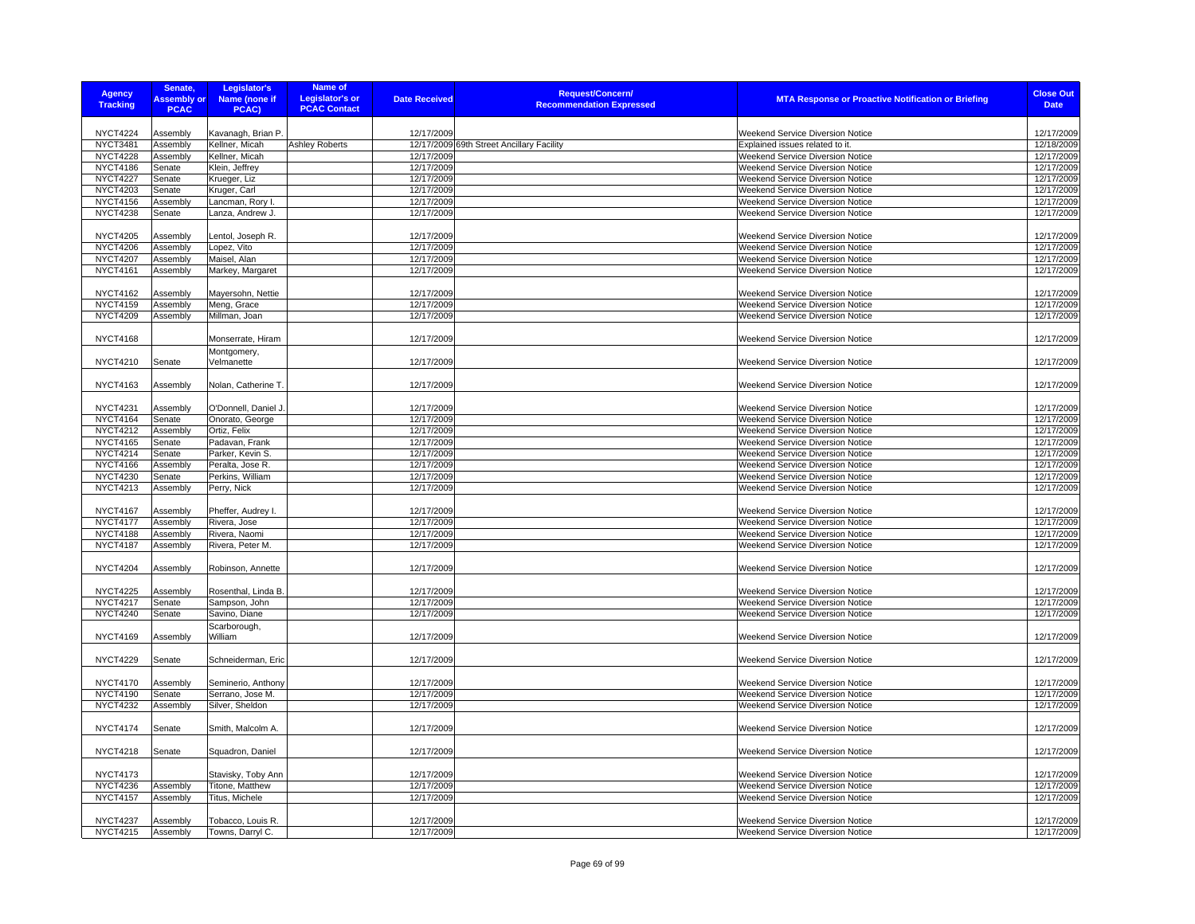| <b>Agency</b><br><b>Tracking</b>   | Senate,<br><b>Assembly or</b><br><b>PCAC</b> | Legislator's<br>Name (none if<br>PCAC) | Name of<br><b>Legislator's or</b><br><b>PCAC Contact</b> | <b>Date Received</b>     | <b>Request/Concern/</b><br><b>Recommendation Expressed</b> | <b>MTA Response or Proactive Notification or Briefing</b>                   | <b>Close Out</b><br><b>Date</b> |
|------------------------------------|----------------------------------------------|----------------------------------------|----------------------------------------------------------|--------------------------|------------------------------------------------------------|-----------------------------------------------------------------------------|---------------------------------|
|                                    |                                              |                                        |                                                          |                          |                                                            |                                                                             |                                 |
| <b>NYCT4224</b>                    | Assembly                                     | Kavanagh, Brian P                      |                                                          | 12/17/2009               |                                                            | Weekend Service Diversion Notice                                            | 12/17/2009                      |
| NYCT3481                           | Assembly                                     | Kellner, Micah                         | <b>Ashley Roberts</b>                                    |                          | 12/17/2009 69th Street Ancillary Facility                  | Explained issues related to it.                                             | 12/18/2009                      |
| <b>NYCT4228</b>                    | Assembly                                     | Kellner, Micah                         |                                                          | 12/17/2009               |                                                            | Weekend Service Diversion Notice                                            | 12/17/2009                      |
| <b>NYCT4186</b>                    | Senate                                       | Klein, Jeffrey                         |                                                          | 12/17/2009               |                                                            | Weekend Service Diversion Notice                                            | 12/17/2009                      |
| <b>NYCT4227</b>                    | Senate                                       | Krueger, Liz                           |                                                          | 12/17/2009               |                                                            | Weekend Service Diversion Notice                                            | 12/17/2009                      |
| <b>NYCT4203</b>                    | Senate                                       | Kruger, Carl                           |                                                          | 12/17/2009<br>12/17/2009 |                                                            | Weekend Service Diversion Notice                                            | 12/17/2009<br>12/17/2009        |
| <b>NYCT4156</b><br><b>NYCT4238</b> | Assembly<br>Senate                           | Lancman, Rory I.<br>Lanza, Andrew J.   |                                                          | 12/17/2009               |                                                            | Weekend Service Diversion Notice<br><b>Weekend Service Diversion Notice</b> | 12/17/2009                      |
|                                    |                                              |                                        |                                                          |                          |                                                            |                                                                             |                                 |
| <b>NYCT4205</b>                    | Assembly                                     | Lentol, Joseph R.                      |                                                          | 12/17/2009               |                                                            | Weekend Service Diversion Notice                                            | 12/17/2009                      |
| <b>NYCT4206</b>                    | Assembly                                     | Lopez, Vito                            |                                                          | 12/17/2009               |                                                            | Weekend Service Diversion Notice                                            | 12/17/2009                      |
| <b>NYCT4207</b>                    | Assembly                                     | Maisel, Alan                           |                                                          | 12/17/2009               |                                                            | Weekend Service Diversion Notice                                            | 12/17/2009                      |
| <b>NYCT4161</b>                    | Assembly                                     | Markey, Margaret                       |                                                          | 12/17/2009               |                                                            | Weekend Service Diversion Notice                                            | 12/17/2009                      |
|                                    |                                              |                                        |                                                          |                          |                                                            |                                                                             |                                 |
| <b>NYCT4162</b>                    | Assembly                                     | Mayersohn, Nettie                      |                                                          | 12/17/2009               |                                                            | Weekend Service Diversion Notice                                            | 12/17/2009                      |
| <b>NYCT4159</b>                    | Assembly                                     | Meng, Grace                            |                                                          | 12/17/2009               |                                                            | Weekend Service Diversion Notice                                            | 12/17/2009                      |
| <b>NYCT4209</b>                    | Assembly                                     | Millman, Joan                          |                                                          | 12/17/2009               |                                                            | Weekend Service Diversion Notice                                            | 12/17/2009                      |
|                                    |                                              |                                        |                                                          |                          |                                                            |                                                                             |                                 |
| <b>NYCT4168</b>                    |                                              | Monserrate, Hiram                      |                                                          | 12/17/2009               |                                                            | <b>Weekend Service Diversion Notice</b>                                     | 12/17/2009                      |
|                                    |                                              | Montgomery,                            |                                                          |                          |                                                            |                                                                             |                                 |
| <b>NYCT4210</b>                    | Senate                                       | Velmanette                             |                                                          | 12/17/2009               |                                                            | Weekend Service Diversion Notice                                            | 12/17/2009                      |
|                                    |                                              |                                        |                                                          |                          |                                                            |                                                                             |                                 |
| <b>NYCT4163</b>                    | Assembly                                     | Nolan, Catherine T.                    |                                                          | 12/17/2009               |                                                            | <b>Weekend Service Diversion Notice</b>                                     | 12/17/2009                      |
|                                    |                                              |                                        |                                                          |                          |                                                            |                                                                             |                                 |
| <b>NYCT4231</b>                    | Assembly                                     | O'Donnell, Daniel J                    |                                                          | 12/17/2009               |                                                            | Weekend Service Diversion Notice                                            | 12/17/2009                      |
| <b>NYCT4164</b>                    | Senate                                       | Onorato, George                        |                                                          | 12/17/2009               |                                                            | Weekend Service Diversion Notice                                            | 12/17/2009                      |
| <b>NYCT4212</b>                    | Assembly                                     | Ortiz, Felix                           |                                                          | 12/17/2009               |                                                            | Weekend Service Diversion Notice                                            | 12/17/2009                      |
| <b>NYCT4165</b>                    | Senate                                       | Padavan, Frank                         |                                                          | 12/17/2009               |                                                            | Weekend Service Diversion Notice                                            | 12/17/2009                      |
| <b>NYCT4214</b>                    | Senate                                       | Parker, Kevin S.                       |                                                          | 12/17/2009               |                                                            | Weekend Service Diversion Notice                                            | 12/17/2009                      |
| <b>NYCT4166</b>                    | Assembly                                     | Peralta, Jose R.                       |                                                          | 12/17/2009               |                                                            | Weekend Service Diversion Notice                                            | 12/17/2009                      |
| <b>NYCT4230</b>                    | Senate                                       | Perkins, William                       |                                                          | 12/17/2009               |                                                            | Weekend Service Diversion Notice                                            | 12/17/2009                      |
| <b>NYCT4213</b>                    | Assembly                                     | Perry, Nick                            |                                                          | 12/17/2009               |                                                            | Weekend Service Diversion Notice                                            | 12/17/2009                      |
|                                    |                                              |                                        |                                                          |                          |                                                            |                                                                             |                                 |
| <b>NYCT4167</b>                    | Assembly                                     | Pheffer, Audrey I.                     |                                                          | 12/17/2009               |                                                            | Weekend Service Diversion Notice                                            | 12/17/2009                      |
| <b>NYCT4177</b>                    | Assembly                                     | Rivera, Jose                           |                                                          | 12/17/2009               |                                                            | Weekend Service Diversion Notice                                            | 12/17/2009                      |
| <b>NYCT4188</b>                    | Assembly                                     | Rivera, Naomi                          |                                                          | 12/17/2009               |                                                            | Weekend Service Diversion Notice                                            | 12/17/2009                      |
| <b>NYCT4187</b>                    | Assembly                                     | Rivera, Peter M.                       |                                                          | 12/17/2009               |                                                            | Weekend Service Diversion Notice                                            | 12/17/2009                      |
|                                    |                                              |                                        |                                                          |                          |                                                            |                                                                             |                                 |
| <b>NYCT4204</b>                    | Assembly                                     | Robinson, Annette                      |                                                          | 12/17/2009               |                                                            | Weekend Service Diversion Notice                                            | 12/17/2009                      |
|                                    |                                              |                                        |                                                          |                          |                                                            |                                                                             |                                 |
| <b>NYCT4225</b>                    | Assembly                                     | Rosenthal, Linda B.                    |                                                          | 12/17/2009               |                                                            | Weekend Service Diversion Notice                                            | 12/17/2009                      |
| <b>NYCT4217</b>                    | Senate                                       | Sampson, John                          |                                                          | 12/17/2009               |                                                            | Weekend Service Diversion Notice                                            | 12/17/2009                      |
| <b>NYCT4240</b>                    | Senate                                       | Savino, Diane                          |                                                          | 12/17/2009               |                                                            | Weekend Service Diversion Notice                                            | 12/17/2009                      |
|                                    |                                              | Scarborough,                           |                                                          |                          |                                                            |                                                                             |                                 |
| <b>NYCT4169</b>                    | Assembly                                     | William                                |                                                          | 12/17/2009               |                                                            | Weekend Service Diversion Notice                                            | 12/17/2009                      |
|                                    |                                              |                                        |                                                          |                          |                                                            |                                                                             |                                 |
| <b>NYCT4229</b>                    | Senate                                       | Schneiderman, Eric                     |                                                          | 12/17/2009               |                                                            | <b>Weekend Service Diversion Notice</b>                                     | 12/17/2009                      |
|                                    |                                              |                                        |                                                          |                          |                                                            |                                                                             |                                 |
| <b>NYCT4170</b>                    | Assembly                                     | Seminerio, Anthony                     |                                                          | 12/17/2009               |                                                            | Weekend Service Diversion Notice                                            | 12/17/2009                      |
| <b>NYCT4190</b>                    | Senate                                       | Serrano, Jose M.                       |                                                          | 12/17/2009               |                                                            | Weekend Service Diversion Notice                                            | 12/17/2009                      |
| <b>NYCT4232</b>                    | Assembly                                     | Silver, Sheldon                        |                                                          | 12/17/2009               |                                                            | Weekend Service Diversion Notice                                            | 12/17/2009                      |
|                                    |                                              |                                        |                                                          |                          |                                                            |                                                                             |                                 |
| <b>NYCT4174</b>                    | Senate                                       | Smith, Malcolm A.                      |                                                          | 12/17/2009               |                                                            | Weekend Service Diversion Notice                                            | 12/17/2009                      |
|                                    |                                              |                                        |                                                          |                          |                                                            |                                                                             |                                 |
| <b>NYCT4218</b>                    | Senate                                       | Squadron, Daniel                       |                                                          | 12/17/2009               |                                                            | Weekend Service Diversion Notice                                            | 12/17/2009                      |
|                                    |                                              |                                        |                                                          |                          |                                                            |                                                                             |                                 |
| <b>NYCT4173</b>                    |                                              | Stavisky, Toby Ann                     |                                                          | 12/17/2009               |                                                            | Weekend Service Diversion Notice                                            | 12/17/2009                      |
| <b>NYCT4236</b>                    | Assembly                                     | Titone, Matthew                        |                                                          | 12/17/2009               |                                                            | Weekend Service Diversion Notice                                            | 12/17/2009                      |
| <b>NYCT4157</b>                    | Assembly                                     | Titus, Michele                         |                                                          | 12/17/2009               |                                                            | Weekend Service Diversion Notice                                            | 12/17/2009                      |
|                                    |                                              |                                        |                                                          |                          |                                                            |                                                                             |                                 |
| <b>NYCT4237</b>                    | Assembly                                     | Tobacco, Louis R.                      |                                                          | 12/17/2009               |                                                            | Weekend Service Diversion Notice                                            | 12/17/2009                      |
| <b>NYCT4215</b>                    | Assembly                                     | Towns, Darryl C.                       |                                                          | 12/17/2009               |                                                            | Weekend Service Diversion Notice                                            | 12/17/2009                      |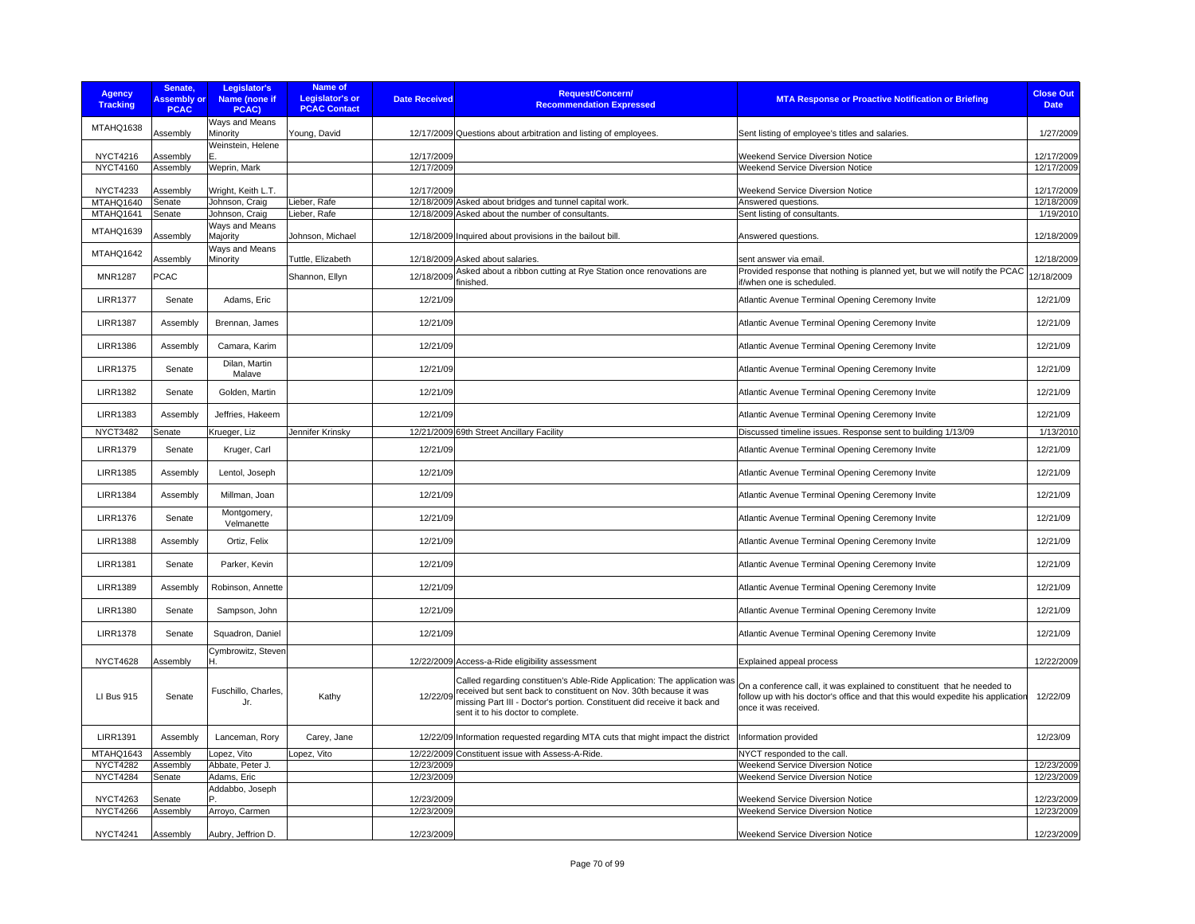| Agency<br><b>Tracking</b>    | Senate,<br><b>Assembly or</b><br><b>PCAC</b> | Legislator's<br>Name (none if<br>PCAC) | <b>Name of</b><br><b>Legislator's or</b><br><b>PCAC Contact</b> | <b>Date Received</b> | Request/Concern/<br><b>Recommendation Expressed</b>                                                                                                                                                                                                                      | <b>MTA Response or Proactive Notification or Briefing</b>                                                                                                                           | <b>Close Out</b><br><b>Date</b> |
|------------------------------|----------------------------------------------|----------------------------------------|-----------------------------------------------------------------|----------------------|--------------------------------------------------------------------------------------------------------------------------------------------------------------------------------------------------------------------------------------------------------------------------|-------------------------------------------------------------------------------------------------------------------------------------------------------------------------------------|---------------------------------|
| MTAHQ1638                    | Assembly                                     | Ways and Means<br>Minority             | Young, David                                                    |                      | 12/17/2009 Questions about arbitration and listing of employees.                                                                                                                                                                                                         | Sent listing of employee's titles and salaries.                                                                                                                                     | 1/27/2009                       |
| <b>NYCT4216</b>              | Assembly                                     | Weinstein, Helene                      |                                                                 | 12/17/2009           |                                                                                                                                                                                                                                                                          | <b>Weekend Service Diversion Notice</b>                                                                                                                                             | 12/17/2009                      |
| <b>NYCT4160</b>              | Assembly                                     | Weprin, Mark                           |                                                                 | 12/17/2009           |                                                                                                                                                                                                                                                                          | Weekend Service Diversion Notice                                                                                                                                                    | 12/17/2009                      |
| <b>NYCT4233</b><br>MTAHQ1640 | Assembly<br>Senate                           | Wright, Keith L.T.<br>Johnson, Craig   | Lieber, Rafe                                                    | 12/17/2009           | 12/18/2009 Asked about bridges and tunnel capital work.                                                                                                                                                                                                                  | <b>Weekend Service Diversion Notice</b><br>Answered questions.                                                                                                                      | 12/17/2009<br>12/18/2009        |
| MTAHQ1641                    | Senate                                       | Johnson, Craig                         | Lieber, Rafe                                                    |                      | 12/18/2009 Asked about the number of consultants.                                                                                                                                                                                                                        | Sent listing of consultants.                                                                                                                                                        | 1/19/2010                       |
| MTAHQ1639                    | Assembly                                     | Ways and Means<br>Majority             | Johnson, Michael                                                |                      | 12/18/2009 Inquired about provisions in the bailout bill.                                                                                                                                                                                                                | Answered questions.                                                                                                                                                                 | 12/18/2009                      |
| MTAHQ1642                    | Assembly                                     | Ways and Means<br>Minority             | Tuttle, Elizabeth                                               |                      | 12/18/2009 Asked about salaries.                                                                                                                                                                                                                                         | sent answer via email                                                                                                                                                               | 12/18/2009                      |
| <b>MNR1287</b>               | <b>PCAC</b>                                  |                                        | Shannon, Ellyn                                                  | 12/18/2009           | Asked about a ribbon cutting at Rye Station once renovations are<br>finished.                                                                                                                                                                                            | Provided response that nothing is planned yet, but we will notify the PCAC<br>if/when one is scheduled.                                                                             | 12/18/2009                      |
| <b>LIRR1377</b>              | Senate                                       | Adams, Eric                            |                                                                 | 12/21/09             |                                                                                                                                                                                                                                                                          | Atlantic Avenue Terminal Opening Ceremony Invite                                                                                                                                    | 12/21/09                        |
| <b>LIRR1387</b>              | Assembly                                     | Brennan, James                         |                                                                 | 12/21/09             |                                                                                                                                                                                                                                                                          | Atlantic Avenue Terminal Opening Ceremony Invite                                                                                                                                    | 12/21/09                        |
| <b>LIRR1386</b>              | Assembly                                     | Camara, Karim                          |                                                                 | 12/21/09             |                                                                                                                                                                                                                                                                          | Atlantic Avenue Terminal Opening Ceremony Invite                                                                                                                                    | 12/21/09                        |
| <b>LIRR1375</b>              | Senate                                       | Dilan, Martin<br>Malave                |                                                                 | 12/21/09             |                                                                                                                                                                                                                                                                          | Atlantic Avenue Terminal Opening Ceremony Invite                                                                                                                                    | 12/21/09                        |
| <b>LIRR1382</b>              | Senate                                       | Golden, Martin                         |                                                                 | 12/21/09             |                                                                                                                                                                                                                                                                          | Atlantic Avenue Terminal Opening Ceremony Invite                                                                                                                                    | 12/21/09                        |
| <b>LIRR1383</b>              | Assembly                                     | Jeffries, Hakeem                       |                                                                 | 12/21/09             |                                                                                                                                                                                                                                                                          | Atlantic Avenue Terminal Opening Ceremony Invite                                                                                                                                    | 12/21/09                        |
| <b>NYCT3482</b>              | Senate                                       | Krueger, Liz                           | Jennifer Krinsky                                                |                      | 12/21/2009 69th Street Ancillary Facility                                                                                                                                                                                                                                | Discussed timeline issues. Response sent to building 1/13/09                                                                                                                        | 1/13/2010                       |
| <b>LIRR1379</b>              | Senate                                       | Kruger, Carl                           |                                                                 | 12/21/09             |                                                                                                                                                                                                                                                                          | Atlantic Avenue Terminal Opening Ceremony Invite                                                                                                                                    | 12/21/09                        |
| <b>LIRR1385</b>              | Assembly                                     | Lentol, Joseph                         |                                                                 | 12/21/09             |                                                                                                                                                                                                                                                                          | Atlantic Avenue Terminal Opening Ceremony Invite                                                                                                                                    | 12/21/09                        |
| <b>LIRR1384</b>              | Assembly                                     | Millman, Joan                          |                                                                 | 12/21/09             |                                                                                                                                                                                                                                                                          | Atlantic Avenue Terminal Opening Ceremony Invite                                                                                                                                    | 12/21/09                        |
| <b>LIRR1376</b>              | Senate                                       | Montgomery,<br>Velmanette              |                                                                 | 12/21/09             |                                                                                                                                                                                                                                                                          | Atlantic Avenue Terminal Opening Ceremony Invite                                                                                                                                    | 12/21/09                        |
| <b>LIRR1388</b>              | Assembly                                     | Ortiz, Felix                           |                                                                 | 12/21/09             |                                                                                                                                                                                                                                                                          | Atlantic Avenue Terminal Opening Ceremony Invite                                                                                                                                    | 12/21/09                        |
| <b>LIRR1381</b>              | Senate                                       | Parker, Kevin                          |                                                                 | 12/21/09             |                                                                                                                                                                                                                                                                          | Atlantic Avenue Terminal Opening Ceremony Invite                                                                                                                                    | 12/21/09                        |
| <b>LIRR1389</b>              | Assembly                                     | Robinson, Annette                      |                                                                 | 12/21/09             |                                                                                                                                                                                                                                                                          | Atlantic Avenue Terminal Opening Ceremony Invite                                                                                                                                    | 12/21/09                        |
| <b>LIRR1380</b>              | Senate                                       | Sampson, John                          |                                                                 | 12/21/09             |                                                                                                                                                                                                                                                                          | Atlantic Avenue Terminal Opening Ceremony Invite                                                                                                                                    | 12/21/09                        |
| <b>LIRR1378</b>              | Senate                                       | Squadron, Daniel                       |                                                                 | 12/21/09             |                                                                                                                                                                                                                                                                          | Atlantic Avenue Terminal Opening Ceremony Invite                                                                                                                                    | 12/21/09                        |
| <b>NYCT4628</b>              | Assembly                                     | Cymbrowitz, Steven<br>Η.               |                                                                 |                      | 12/22/2009 Access-a-Ride eligibility assessment                                                                                                                                                                                                                          | Explained appeal process                                                                                                                                                            | 12/22/2009                      |
| <b>LI Bus 915</b>            | Senate                                       | Fuschillo, Charles,<br>Jr.             | Kathy                                                           |                      | Called regarding constituen's Able-Ride Application: The application was<br>12/22/09 received but sent back to constituent on Nov. 30th because it was<br>missing Part III - Doctor's portion. Constituent did receive it back and<br>sent it to his doctor to complete. | On a conference call, it was explained to constituent that he needed to<br>follow up with his doctor's office and that this would expedite his application<br>once it was received. | 12/22/09                        |
| <b>LIRR1391</b>              | Assembly                                     | Lanceman, Rory                         | Carey, Jane                                                     |                      | 12/22/09 Information requested regarding MTA cuts that might impact the district                                                                                                                                                                                         | Information provided                                                                                                                                                                | 12/23/09                        |
| MTAHQ1643                    | Assembly                                     | Lopez, Vito                            | Lopez, Vito                                                     |                      | 12/22/2009 Constituent issue with Assess-A-Ride.                                                                                                                                                                                                                         | NYCT responded to the call                                                                                                                                                          |                                 |
| <b>NYCT4282</b>              | Assembly                                     | Abbate, Peter J.                       |                                                                 | 12/23/2009           |                                                                                                                                                                                                                                                                          | Weekend Service Diversion Notice                                                                                                                                                    | 12/23/2009                      |
| <b>NYCT4284</b>              | Senate                                       | Adams, Eric<br>Addabbo, Joseph         |                                                                 | 12/23/2009           |                                                                                                                                                                                                                                                                          | Weekend Service Diversion Notice                                                                                                                                                    | 12/23/2009                      |
| <b>NYCT4263</b>              | Senate                                       |                                        |                                                                 | 12/23/2009           |                                                                                                                                                                                                                                                                          | <b>Weekend Service Diversion Notice</b>                                                                                                                                             | 12/23/2009                      |
| <b>NYCT4266</b>              | Assembly                                     | Arroyo, Carmen                         |                                                                 | 12/23/2009           |                                                                                                                                                                                                                                                                          | Weekend Service Diversion Notice                                                                                                                                                    | 12/23/2009                      |
| <b>NYCT4241</b>              | Assembly                                     | Aubry, Jeffrion D.                     |                                                                 | 12/23/2009           |                                                                                                                                                                                                                                                                          | Weekend Service Diversion Notice                                                                                                                                                    | 12/23/2009                      |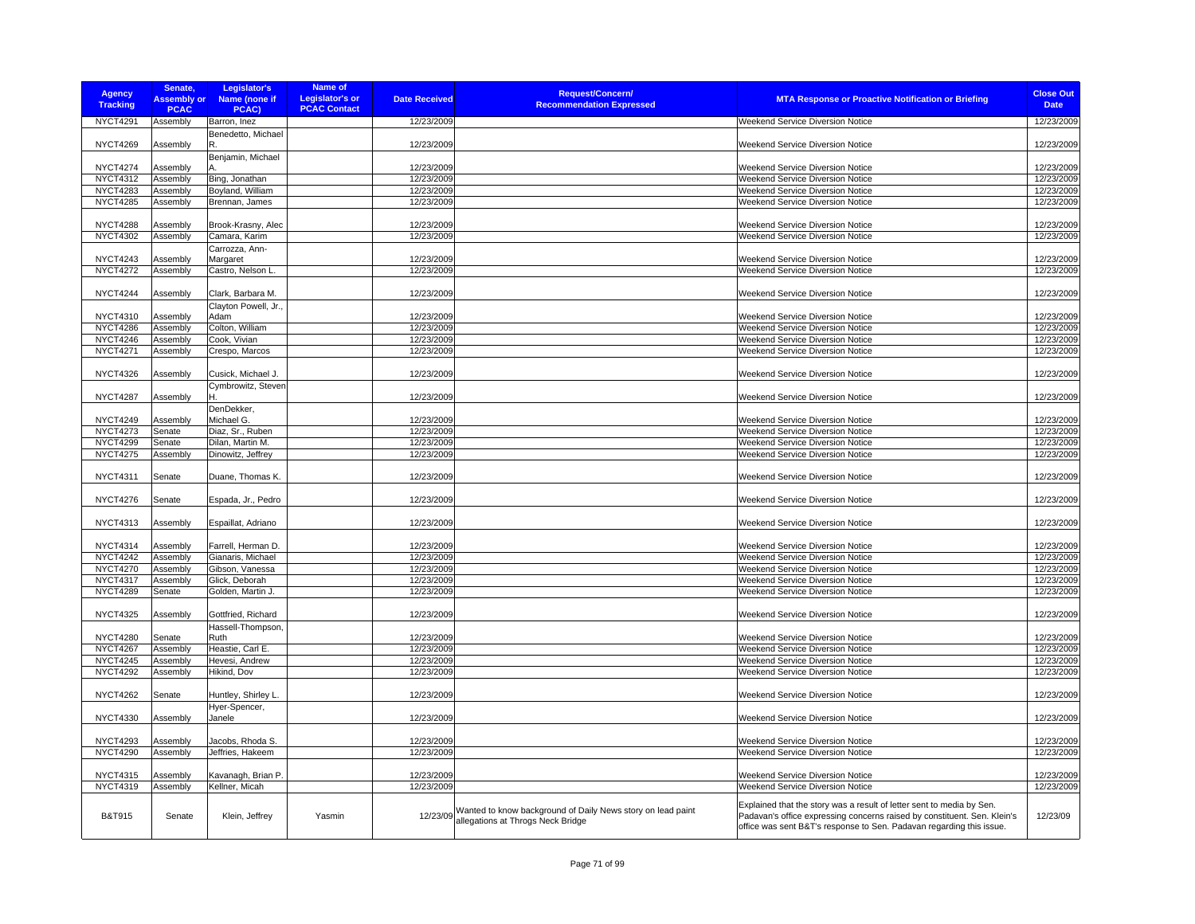| <b>Agency</b><br><b>Tracking</b> | Senate,<br><b>Assembly or</b> | Legislator's<br>Name (none if | Name of<br>Legislator's or | <b>Date Received</b> | <b>Request/Concern/</b><br><b>Recommendation Expressed</b>  | <b>MTA Response or Proactive Notification or Briefing</b>                | <b>Close Out</b><br><b>Date</b> |
|----------------------------------|-------------------------------|-------------------------------|----------------------------|----------------------|-------------------------------------------------------------|--------------------------------------------------------------------------|---------------------------------|
|                                  | <b>PCAC</b>                   | PCAC)                         | <b>PCAC Contact</b>        |                      |                                                             |                                                                          |                                 |
| <b>NYCT4291</b>                  | Assembly                      | Barron, Inez                  |                            | 12/23/2009           |                                                             | Weekend Service Diversion Notice                                         | 12/23/2009                      |
|                                  |                               | Benedetto, Michael            |                            |                      |                                                             |                                                                          |                                 |
| <b>NYCT4269</b>                  | Assembly                      |                               |                            | 12/23/2009           |                                                             | <b>Weekend Service Diversion Notice</b>                                  | 12/23/2009                      |
|                                  |                               | Benjamin, Michael             |                            |                      |                                                             |                                                                          |                                 |
| <b>NYCT4274</b>                  | Assembly                      |                               |                            | 12/23/2009           |                                                             | Weekend Service Diversion Notice                                         | 12/23/2009                      |
| <b>NYCT4312</b>                  | Assembly                      | Bing, Jonathan                |                            | 12/23/2009           |                                                             | Weekend Service Diversion Notice                                         | 12/23/2009                      |
| <b>NYCT4283</b>                  | Assembly                      | Boyland, William              |                            | 12/23/2009           |                                                             | Weekend Service Diversion Notice                                         | 12/23/2009                      |
| <b>NYCT4285</b>                  | Assembly                      | Brennan, James                |                            | 12/23/2009           |                                                             | Weekend Service Diversion Notice                                         | 12/23/2009                      |
|                                  |                               |                               |                            |                      |                                                             |                                                                          |                                 |
| <b>NYCT4288</b>                  | Assembly                      | Brook-Krasny, Alec            |                            | 12/23/2009           |                                                             | <b>Weekend Service Diversion Notice</b>                                  | 12/23/2009                      |
| <b>NYCT4302</b>                  | Assembly                      | Camara, Karim                 |                            | 12/23/2009           |                                                             | Weekend Service Diversion Notice                                         | 12/23/2009                      |
|                                  |                               | Carrozza, Ann-                |                            |                      |                                                             |                                                                          |                                 |
| <b>NYCT4243</b>                  | Assembly                      | Margaret                      |                            | 12/23/2009           |                                                             | Weekend Service Diversion Notice                                         | 12/23/2009                      |
| <b>NYCT4272</b>                  | Assembly                      | Castro, Nelson L.             |                            | 12/23/2009           |                                                             | Weekend Service Diversion Notice                                         | 12/23/2009                      |
|                                  |                               |                               |                            |                      |                                                             |                                                                          |                                 |
| <b>NYCT4244</b>                  | Assembly                      | Clark, Barbara M.             |                            | 12/23/2009           |                                                             | Weekend Service Diversion Notice                                         | 12/23/2009                      |
|                                  |                               | Clayton Powell, Jr.           |                            |                      |                                                             |                                                                          |                                 |
| <b>NYCT4310</b>                  | Assembly                      | Adam                          |                            | 12/23/2009           |                                                             | Weekend Service Diversion Notice                                         | 12/23/2009                      |
| <b>NYCT4286</b>                  | Assembly                      | Colton, William               |                            | 12/23/2009           |                                                             | Weekend Service Diversion Notice                                         | 12/23/2009                      |
| <b>NYCT4246</b>                  | Assembly                      | Cook, Vivian                  |                            | 12/23/2009           |                                                             | Weekend Service Diversion Notice                                         | 12/23/2009                      |
| <b>NYCT4271</b>                  | Assembly                      | Crespo, Marcos                |                            | 12/23/2009           |                                                             | Weekend Service Diversion Notice                                         | 12/23/2009                      |
|                                  |                               |                               |                            |                      |                                                             |                                                                          |                                 |
| <b>NYCT4326</b>                  | Assembly                      | Cusick, Michael J.            |                            | 12/23/2009           |                                                             | Weekend Service Diversion Notice                                         | 12/23/2009                      |
|                                  |                               | Cymbrowitz, Steven            |                            |                      |                                                             |                                                                          |                                 |
| <b>NYCT4287</b>                  | Assembly                      |                               |                            | 12/23/2009           |                                                             | <b>Weekend Service Diversion Notice</b>                                  | 12/23/2009                      |
|                                  |                               | DenDekker,                    |                            |                      |                                                             |                                                                          |                                 |
| <b>NYCT4249</b>                  | Assembly                      | Michael G.                    |                            | 12/23/2009           |                                                             | Weekend Service Diversion Notice                                         | 12/23/2009                      |
| <b>NYCT4273</b>                  | Senate                        | Diaz, Sr., Ruben              |                            | 12/23/2009           |                                                             | Weekend Service Diversion Notice                                         | 12/23/2009                      |
| <b>NYCT4299</b>                  | Senate                        | Dilan, Martin M.              |                            | 12/23/2009           |                                                             | Weekend Service Diversion Notice                                         | 12/23/2009                      |
| <b>NYCT4275</b>                  | Assembly                      | Dinowitz, Jeffrey             |                            | 12/23/2009           |                                                             | Weekend Service Diversion Notice                                         | 12/23/2009                      |
|                                  |                               |                               |                            |                      |                                                             |                                                                          |                                 |
| <b>NYCT4311</b>                  | Senate                        | Duane, Thomas K.              |                            | 12/23/2009           |                                                             | Weekend Service Diversion Notice                                         | 12/23/2009                      |
|                                  |                               |                               |                            |                      |                                                             |                                                                          |                                 |
| <b>NYCT4276</b>                  | Senate                        | Espada, Jr., Pedro            |                            | 12/23/2009           |                                                             | Weekend Service Diversion Notice                                         | 12/23/2009                      |
|                                  |                               |                               |                            |                      |                                                             |                                                                          |                                 |
| <b>NYCT4313</b>                  | Assembly                      | Espaillat, Adriano            |                            | 12/23/2009           |                                                             | Weekend Service Diversion Notice                                         | 12/23/2009                      |
|                                  |                               |                               |                            |                      |                                                             |                                                                          |                                 |
| <b>NYCT4314</b>                  | Assembly                      | Farrell, Herman D.            |                            | 12/23/2009           |                                                             | Weekend Service Diversion Notice                                         | 12/23/2009                      |
| <b>NYCT4242</b>                  | Assembly                      | Gianaris, Michael             |                            | 12/23/2009           |                                                             | Weekend Service Diversion Notice                                         | 12/23/2009                      |
| <b>NYCT4270</b>                  | Assembly                      | Gibson, Vanessa               |                            | 12/23/2009           |                                                             | Weekend Service Diversion Notice                                         | 12/23/2009                      |
| <b>NYCT4317</b>                  | Assembly                      | Glick, Deborah                |                            | 12/23/2009           |                                                             | Weekend Service Diversion Notice                                         | 12/23/2009                      |
| <b>NYCT4289</b>                  | Senate                        | Golden, Martin J.             |                            | 12/23/2009           |                                                             | Weekend Service Diversion Notice                                         | 12/23/2009                      |
|                                  |                               |                               |                            |                      |                                                             |                                                                          |                                 |
| <b>NYCT4325</b>                  | Assembly                      | Gottfried, Richard            |                            | 12/23/2009           |                                                             | Weekend Service Diversion Notice                                         | 12/23/2009                      |
|                                  |                               | Hassell-Thompson,             |                            |                      |                                                             |                                                                          |                                 |
| <b>NYCT4280</b>                  | Senate                        | Ruth                          |                            | 12/23/2009           |                                                             | <b>Weekend Service Diversion Notice</b>                                  | 12/23/2009                      |
| <b>NYCT4267</b>                  | Assembly                      | Heastie, Carl E.              |                            | 12/23/2009           |                                                             | Weekend Service Diversion Notice                                         | 12/23/2009                      |
| <b>NYCT4245</b>                  | Assembly                      | Hevesi, Andrew                |                            | 12/23/2009           |                                                             | Weekend Service Diversion Notice                                         | 12/23/2009                      |
| <b>NYCT4292</b>                  | Assembly                      | Hikind, Dov                   |                            | 12/23/2009           |                                                             | Weekend Service Diversion Notice                                         | 12/23/2009                      |
|                                  |                               |                               |                            |                      |                                                             |                                                                          |                                 |
| <b>NYCT4262</b>                  | Senate                        | Huntley, Shirley L.           |                            | 12/23/2009           |                                                             | Weekend Service Diversion Notice                                         | 12/23/2009                      |
|                                  |                               | Hyer-Spencer,                 |                            |                      |                                                             |                                                                          |                                 |
| <b>NYCT4330</b>                  | Assembly                      | Janele                        |                            | 12/23/2009           |                                                             | Weekend Service Diversion Notice                                         | 12/23/2009                      |
|                                  |                               |                               |                            |                      |                                                             |                                                                          |                                 |
| <b>NYCT4293</b>                  | Assembly                      | Jacobs, Rhoda S.              |                            | 12/23/2009           |                                                             | Weekend Service Diversion Notice                                         | 12/23/2009                      |
| <b>NYCT4290</b>                  | Assembly                      | Jeffries, Hakeem              |                            | 12/23/2009           |                                                             | Weekend Service Diversion Notice                                         | 12/23/2009                      |
|                                  |                               |                               |                            |                      |                                                             |                                                                          |                                 |
| <b>NYCT4315</b>                  | Assembly                      | Kavanagh, Brian P.            |                            | 12/23/2009           |                                                             | Weekend Service Diversion Notice                                         | 12/23/2009                      |
| <b>NYCT4319</b>                  | Assembly                      | Kellner, Micah                |                            | 12/23/2009           |                                                             | Weekend Service Diversion Notice                                         | 12/23/2009                      |
|                                  |                               |                               |                            |                      |                                                             |                                                                          |                                 |
|                                  |                               |                               |                            |                      | Wanted to know background of Daily News story on lead paint | Explained that the story was a result of letter sent to media by Sen.    |                                 |
| <b>B&amp;T915</b>                | Senate                        | Klein, Jeffrey                | Yasmin                     | 12/23/09             | allegations at Throgs Neck Bridge                           | Padavan's office expressing concerns raised by constituent. Sen. Klein's | 12/23/09                        |
|                                  |                               |                               |                            |                      |                                                             | office was sent B&T's response to Sen. Padavan regarding this issue.     |                                 |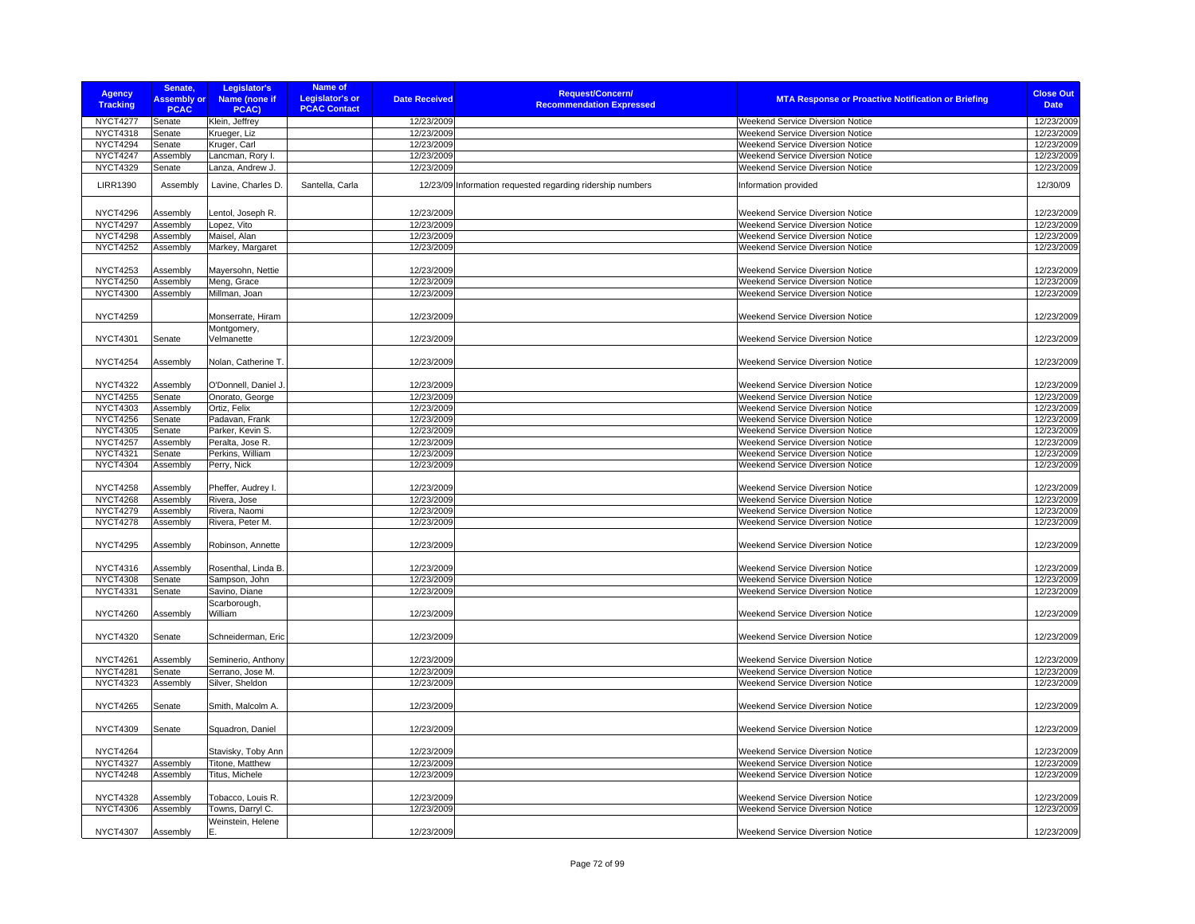| <b>Agency</b><br><b>Tracking</b>   | Senate,<br><b>Assembly or</b><br><b>PCAC</b> | Legislator's<br>Name (none if<br>PCAC) | <b>Name of</b><br><b>Legislator's or</b><br><b>PCAC Contact</b> | <b>Date Received</b>     | <b>Request/Concern/</b><br><b>Recommendation Expressed</b> | <b>MTA Response or Proactive Notification or Briefing</b> | <b>Close Out</b><br><b>Date</b> |
|------------------------------------|----------------------------------------------|----------------------------------------|-----------------------------------------------------------------|--------------------------|------------------------------------------------------------|-----------------------------------------------------------|---------------------------------|
| <b>NYCT4277</b>                    | Senate                                       | Klein, Jeffrey                         |                                                                 | 12/23/2009               |                                                            | Weekend Service Diversion Notice                          | 12/23/2009                      |
| <b>NYCT4318</b>                    | Senate                                       | Krueger, Liz                           |                                                                 | 12/23/2009               |                                                            | Weekend Service Diversion Notice                          | 12/23/2009                      |
| <b>NYCT4294</b>                    | Senate                                       | Kruger, Carl                           |                                                                 | 12/23/2009               |                                                            | Weekend Service Diversion Notice                          | 12/23/2009                      |
| <b>NYCT4247</b>                    | Assembly                                     | Lancman, Rory I.                       |                                                                 | 12/23/2009               |                                                            | Weekend Service Diversion Notice                          | 12/23/2009                      |
| <b>NYCT4329</b>                    | Senate                                       | Lanza, Andrew J.                       |                                                                 | 12/23/2009               |                                                            | <b>Weekend Service Diversion Notice</b>                   | 12/23/2009                      |
| <b>LIRR1390</b>                    | Assembly                                     | Lavine, Charles D.                     | Santella, Carla                                                 |                          | 12/23/09 Information requested regarding ridership numbers | Information provided                                      | 12/30/09                        |
| <b>NYCT4296</b>                    | Assembly                                     | Lentol, Joseph R.                      |                                                                 | 12/23/2009               |                                                            | <b>Weekend Service Diversion Notice</b>                   | 12/23/2009                      |
| <b>NYCT4297</b>                    | Assembly                                     | Lopez, Vito                            |                                                                 | 12/23/2009               |                                                            | <b>Weekend Service Diversion Notice</b>                   | 12/23/2009                      |
| <b>NYCT4298</b>                    | Assembly                                     | Maisel, Alan                           |                                                                 | 12/23/2009               |                                                            | Weekend Service Diversion Notice                          | 12/23/2009                      |
| <b>NYCT4252</b>                    | Assembly                                     | Markey, Margaret                       |                                                                 | 12/23/2009               |                                                            | Weekend Service Diversion Notice                          | 12/23/2009                      |
|                                    |                                              |                                        |                                                                 |                          |                                                            |                                                           |                                 |
| <b>NYCT4253</b>                    | Assembly                                     | Mayersohn, Nettie                      |                                                                 | 12/23/2009               |                                                            | Weekend Service Diversion Notice                          | 12/23/2009                      |
| <b>NYCT4250</b>                    | Assembly                                     | Meng, Grace                            |                                                                 | 12/23/2009               |                                                            | Weekend Service Diversion Notice                          | 12/23/2009                      |
| <b>NYCT4300</b>                    | Assembly                                     | Millman, Joan                          |                                                                 | 12/23/2009               |                                                            | Weekend Service Diversion Notice                          | 12/23/2009                      |
| <b>NYCT4259</b>                    |                                              | Monserrate, Hiram                      |                                                                 | 12/23/2009               |                                                            | <b>Weekend Service Diversion Notice</b>                   | 12/23/2009                      |
| <b>NYCT4301</b>                    |                                              | Montgomery,<br>Velmanette              |                                                                 | 12/23/2009               |                                                            | Weekend Service Diversion Notice                          | 12/23/2009                      |
|                                    | Senate                                       |                                        |                                                                 |                          |                                                            |                                                           |                                 |
| <b>NYCT4254</b>                    | Assembly                                     | Nolan, Catherine T.                    |                                                                 | 12/23/2009               |                                                            | Weekend Service Diversion Notice                          | 12/23/2009                      |
| <b>NYCT4322</b>                    | Assembly                                     | O'Donnell, Daniel J.                   |                                                                 | 12/23/2009               |                                                            | <b>Weekend Service Diversion Notice</b>                   | 12/23/2009                      |
| <b>NYCT4255</b>                    | Senate                                       | Onorato, George                        |                                                                 | 12/23/2009               |                                                            | Weekend Service Diversion Notice                          | 12/23/2009                      |
| <b>NYCT4303</b>                    | Assembly                                     | Ortiz, Felix                           |                                                                 | 12/23/2009               |                                                            | Weekend Service Diversion Notice                          | 12/23/2009                      |
| <b>NYCT4256</b>                    | Senate                                       | Padavan, Frank                         |                                                                 | 12/23/2009               |                                                            | Weekend Service Diversion Notice                          | 12/23/2009                      |
| <b>NYCT4305</b>                    | Senate                                       | Parker, Kevin S.                       |                                                                 | 12/23/2009               |                                                            | Weekend Service Diversion Notice                          | 12/23/2009                      |
| <b>NYCT4257</b>                    | Assembly                                     | Peralta, Jose R.                       |                                                                 | 12/23/2009               |                                                            | Weekend Service Diversion Notice                          | 12/23/2009                      |
| <b>NYCT4321</b>                    | Senate                                       | Perkins, William                       |                                                                 | 12/23/2009               |                                                            | Weekend Service Diversion Notice                          | 12/23/2009                      |
| <b>NYCT4304</b>                    | Assembly                                     | Perry, Nick                            |                                                                 | 12/23/2009               |                                                            | Weekend Service Diversion Notice                          | 12/23/2009                      |
| <b>NYCT4258</b>                    | Assembly                                     | Pheffer, Audrey I.                     |                                                                 | 12/23/2009               |                                                            | <b>Weekend Service Diversion Notice</b>                   | 12/23/2009                      |
| <b>NYCT4268</b>                    | Assembly                                     | Rivera, Jose                           |                                                                 | 12/23/2009               |                                                            | Weekend Service Diversion Notice                          | 12/23/2009                      |
| <b>NYCT4279</b>                    | Assembly                                     | Rivera, Naomi                          |                                                                 | 12/23/2009               |                                                            | Weekend Service Diversion Notice                          | 12/23/2009                      |
| <b>NYCT4278</b>                    | Assembly                                     | Rivera, Peter M.                       |                                                                 | 12/23/2009               |                                                            | Weekend Service Diversion Notice                          | 12/23/2009                      |
| <b>NYCT4295</b>                    | Assembly                                     | Robinson, Annette                      |                                                                 | 12/23/2009               |                                                            | <b>Weekend Service Diversion Notice</b>                   | 12/23/2009                      |
| <b>NYCT4316</b>                    | Assembly                                     | Rosenthal, Linda B.                    |                                                                 | 12/23/2009               |                                                            | Weekend Service Diversion Notice                          | 12/23/2009                      |
| <b>NYCT4308</b>                    | Senate                                       | Sampson, John                          |                                                                 | 12/23/2009               |                                                            | Weekend Service Diversion Notice                          | 12/23/2009                      |
| <b>NYCT4331</b>                    | Senate                                       | Savino, Diane                          |                                                                 | 12/23/2009               |                                                            | Weekend Service Diversion Notice                          | 12/23/2009                      |
|                                    |                                              | Scarborough,                           |                                                                 |                          |                                                            |                                                           |                                 |
| <b>NYCT4260</b>                    | Assembly                                     | William                                |                                                                 | 12/23/2009               |                                                            | Weekend Service Diversion Notice                          | 12/23/2009                      |
| <b>NYCT4320</b>                    | Senate                                       | Schneiderman, Eric                     |                                                                 | 12/23/2009               |                                                            | <b>Weekend Service Diversion Notice</b>                   | 12/23/2009                      |
| <b>NYCT4261</b>                    | Assembly                                     | Seminerio, Anthony                     |                                                                 | 12/23/2009               |                                                            | Weekend Service Diversion Notice                          | 12/23/2009                      |
| <b>NYCT4281</b>                    | Senate                                       | Serrano, Jose M.                       |                                                                 | 12/23/2009               |                                                            | Weekend Service Diversion Notice                          | 12/23/2009                      |
| <b>NYCT4323</b>                    | Assembly                                     | Silver, Sheldon                        |                                                                 | 12/23/2009               |                                                            | Weekend Service Diversion Notice                          | 12/23/2009                      |
| <b>NYCT4265</b>                    | Senate                                       | Smith, Malcolm A.                      |                                                                 | 12/23/2009               |                                                            | <b>Weekend Service Diversion Notice</b>                   | 12/23/2009                      |
| <b>NYCT4309</b>                    | Senate                                       | Squadron, Daniel                       |                                                                 | 12/23/2009               |                                                            | <b>Weekend Service Diversion Notice</b>                   | 12/23/2009                      |
|                                    |                                              |                                        |                                                                 |                          |                                                            |                                                           |                                 |
| <b>NYCT4264</b><br><b>NYCT4327</b> |                                              | Stavisky, Toby Ann                     |                                                                 | 12/23/2009<br>12/23/2009 |                                                            | <b>Weekend Service Diversion Notice</b>                   | 12/23/2009                      |
|                                    | Assembly                                     | Titone, Matthew                        |                                                                 |                          |                                                            | Weekend Service Diversion Notice                          | 12/23/2009                      |
| <b>NYCT4248</b>                    | Assembly                                     | Titus, Michele                         |                                                                 | 12/23/2009               |                                                            | Weekend Service Diversion Notice                          | 12/23/2009                      |
| <b>NYCT4328</b>                    | Assembly                                     | Tobacco, Louis R.                      |                                                                 | 12/23/2009               |                                                            | <b>Neekend Service Diversion Notice</b>                   | 12/23/2009                      |
| <b>NYCT4306</b>                    | Assembly                                     | Towns, Darryl C.                       |                                                                 | 12/23/2009               |                                                            | Weekend Service Diversion Notice                          | 12/23/2009                      |
|                                    |                                              | Weinstein, Helene                      |                                                                 |                          |                                                            |                                                           |                                 |
| <b>NYCT4307</b>                    | Assembly                                     | IE.                                    |                                                                 | 12/23/2009               |                                                            | Weekend Service Diversion Notice                          | 12/23/2009                      |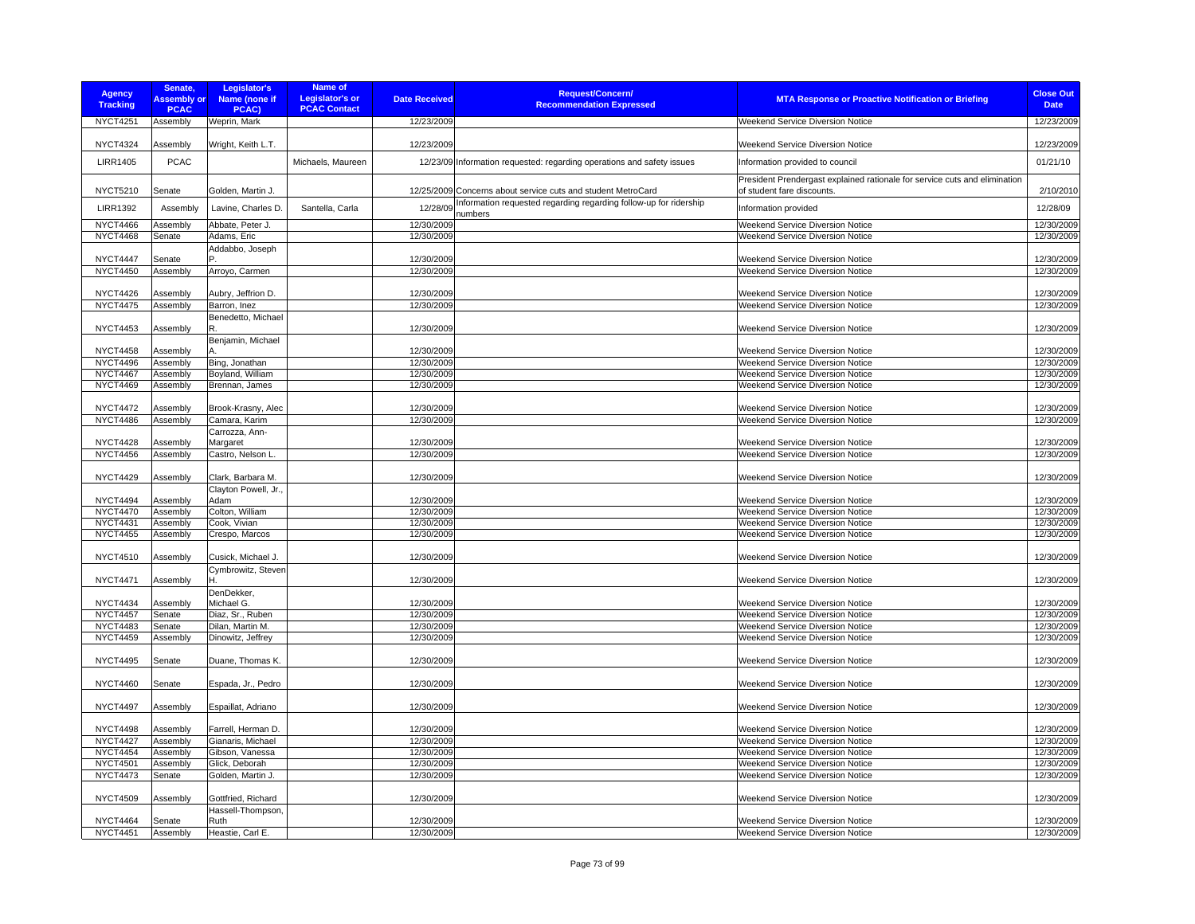| <b>Agency</b><br><b>Tracking</b>   | Senate,<br><b>Assembly or</b><br><b>PCAC</b> | Legislator's<br>Name (none if<br>PCAC)   | Name of<br>Legislator's or<br><b>PCAC Contact</b> | <b>Date Received</b>     | <b>Request/Concern/</b><br><b>Recommendation Expressed</b>                   | <b>MTA Response or Proactive Notification or Briefing</b>                                                | <b>Close Out</b><br><b>Date</b> |
|------------------------------------|----------------------------------------------|------------------------------------------|---------------------------------------------------|--------------------------|------------------------------------------------------------------------------|----------------------------------------------------------------------------------------------------------|---------------------------------|
| <b>NYCT4251</b>                    | Assembly                                     | Weprin, Mark                             |                                                   | 12/23/2009               |                                                                              | Weekend Service Diversion Notice                                                                         | 12/23/2009                      |
| <b>NYCT4324</b>                    | Assembly                                     | Wright, Keith L.T.                       |                                                   | 12/23/2009               |                                                                              | Weekend Service Diversion Notice                                                                         | 12/23/2009                      |
| <b>LIRR1405</b>                    | <b>PCAC</b>                                  |                                          | Michaels, Maureen                                 |                          | 12/23/09 Information requested: regarding operations and safety issues       | Information provided to council                                                                          | 01/21/10                        |
| <b>NYCT5210</b>                    | Senate                                       | Golden, Martin J.                        |                                                   |                          | 12/25/2009 Concerns about service cuts and student MetroCard                 | President Prendergast explained rationale for service cuts and elimination<br>of student fare discounts. | 2/10/2010                       |
| <b>LIRR1392</b>                    | Assembly                                     | Lavine, Charles D.                       | Santella, Carla                                   | 12/28/09                 | Information requested regarding regarding follow-up for ridership<br>numbers | Information provided                                                                                     | 12/28/09                        |
| <b>NYCT4466</b>                    | Assembly                                     | Abbate, Peter J.                         |                                                   | 12/30/2009               |                                                                              | Weekend Service Diversion Notice                                                                         | 12/30/2009                      |
| <b>NYCT4468</b>                    | Senate                                       | Adams, Eric                              |                                                   | 12/30/2009               |                                                                              | Weekend Service Diversion Notice                                                                         | 12/30/2009                      |
|                                    |                                              | Addabbo, Joseph                          |                                                   |                          |                                                                              |                                                                                                          |                                 |
| NYCT4447                           | Senate                                       |                                          |                                                   | 12/30/2009               |                                                                              | Weekend Service Diversion Notice                                                                         | 12/30/2009                      |
| <b>NYCT4450</b>                    | Assembly                                     | Arroyo, Carmen                           |                                                   | 12/30/2009               |                                                                              | Weekend Service Diversion Notice                                                                         | 12/30/2009                      |
|                                    |                                              |                                          |                                                   |                          |                                                                              |                                                                                                          |                                 |
| <b>NYCT4426</b>                    | Assembly                                     | Aubry, Jeffrion D.                       |                                                   | 12/30/2009               |                                                                              | <b>Weekend Service Diversion Notice</b>                                                                  | 12/30/2009                      |
| <b>NYCT4475</b>                    | Assembly                                     | Barron, Inez                             |                                                   | 12/30/2009               |                                                                              | Weekend Service Diversion Notice                                                                         | 12/30/2009                      |
| <b>NYCT4453</b>                    | Assembly                                     | Benedetto, Michael<br>R                  |                                                   | 12/30/2009               |                                                                              | Weekend Service Diversion Notice                                                                         | 12/30/2009                      |
|                                    |                                              | Benjamin, Michael                        |                                                   |                          |                                                                              |                                                                                                          |                                 |
| <b>NYCT4458</b>                    | Assembly                                     |                                          |                                                   | 12/30/2009               |                                                                              | Weekend Service Diversion Notice                                                                         | 12/30/2009                      |
| <b>NYCT4496</b>                    | Assembly                                     | Bing, Jonathan                           |                                                   | 12/30/2009               |                                                                              | Weekend Service Diversion Notice                                                                         | 12/30/2009                      |
| <b>NYCT4467</b>                    | Assembly                                     | Boyland, William                         |                                                   | 12/30/2009               |                                                                              | Weekend Service Diversion Notice                                                                         | 12/30/2009                      |
| <b>NYCT4469</b>                    | Assembly                                     | Brennan, James                           |                                                   | 12/30/2009               |                                                                              | Weekend Service Diversion Notice                                                                         | 12/30/2009                      |
|                                    |                                              |                                          |                                                   |                          |                                                                              |                                                                                                          |                                 |
| <b>NYCT4472</b>                    | Assembly                                     | Brook-Krasny, Alec                       |                                                   | 12/30/2009               |                                                                              | Weekend Service Diversion Notice                                                                         | 12/30/2009                      |
| <b>NYCT4486</b>                    | Assembly                                     | Camara, Karim                            |                                                   | 12/30/2009               |                                                                              | Weekend Service Diversion Notice                                                                         | 12/30/2009                      |
|                                    |                                              | Carrozza, Ann-                           |                                                   |                          |                                                                              |                                                                                                          |                                 |
| <b>NYCT4428</b><br><b>NYCT4456</b> | Assembly                                     | Margaret<br>Castro, Nelson L.            |                                                   | 12/30/2009<br>12/30/2009 |                                                                              | Weekend Service Diversion Notice<br><b>Weekend Service Diversion Notice</b>                              | 12/30/2009<br>12/30/2009        |
|                                    | Assembly                                     |                                          |                                                   |                          |                                                                              |                                                                                                          |                                 |
| <b>NYCT4429</b>                    | Assembly                                     | Clark, Barbara M.                        |                                                   | 12/30/2009               |                                                                              | <b>Weekend Service Diversion Notice</b>                                                                  | 12/30/2009                      |
| <b>NYCT4494</b>                    | Assembly                                     | Clayton Powell, Jr.,<br>Adam             |                                                   | 12/30/2009               |                                                                              | Weekend Service Diversion Notice                                                                         | 12/30/2009                      |
| <b>NYCT4470</b>                    | Assembly                                     | Colton, William                          |                                                   | 12/30/2009               |                                                                              | Weekend Service Diversion Notice                                                                         | 12/30/2009                      |
| <b>NYCT4431</b>                    | Assembly                                     | Cook, Vivian                             |                                                   | 12/30/2009               |                                                                              | Weekend Service Diversion Notice                                                                         | 12/30/2009                      |
| <b>NYCT4455</b>                    | Assembly                                     | Crespo, Marcos                           |                                                   | 12/30/2009               |                                                                              | Weekend Service Diversion Notice                                                                         | 12/30/2009                      |
|                                    |                                              |                                          |                                                   |                          |                                                                              |                                                                                                          |                                 |
| NYCT4510                           | Assembly                                     | Cusick, Michael J.<br>Cymbrowitz, Steven |                                                   | 12/30/2009               |                                                                              | Weekend Service Diversion Notice                                                                         | 12/30/2009                      |
| <b>NYCT4471</b>                    | Assembly                                     | н                                        |                                                   | 12/30/2009               |                                                                              | Weekend Service Diversion Notice                                                                         | 12/30/2009                      |
|                                    |                                              | DenDekker,                               |                                                   |                          |                                                                              |                                                                                                          |                                 |
| <b>NYCT4434</b>                    | Assembly                                     | Michael G.                               |                                                   | 12/30/2009               |                                                                              | Weekend Service Diversion Notice                                                                         | 12/30/2009                      |
| <b>NYCT4457</b>                    | Senate                                       | Diaz, Sr., Ruben                         |                                                   | 12/30/2009               |                                                                              | Weekend Service Diversion Notice                                                                         | 12/30/2009                      |
| <b>NYCT4483</b>                    | Senate                                       | Dilan, Martin M.                         |                                                   | 12/30/2009               |                                                                              | Weekend Service Diversion Notice                                                                         | 12/30/2009                      |
| <b>NYCT4459</b>                    | Assembly                                     | Dinowitz, Jeffrey                        |                                                   | 12/30/2009               |                                                                              | Weekend Service Diversion Notice                                                                         | 12/30/2009                      |
| <b>NYCT4495</b>                    | Senate                                       | Duane, Thomas K.                         |                                                   | 12/30/2009               |                                                                              | Weekend Service Diversion Notice                                                                         | 12/30/2009                      |
| <b>NYCT4460</b>                    | Senate                                       | Espada, Jr., Pedro                       |                                                   | 12/30/2009               |                                                                              | Weekend Service Diversion Notice                                                                         | 12/30/2009                      |
| <b>NYCT4497</b>                    | Assembly                                     | Espaillat, Adriano                       |                                                   | 12/30/2009               |                                                                              | Weekend Service Diversion Notice                                                                         | 12/30/2009                      |
| <b>NYCT4498</b>                    |                                              |                                          |                                                   |                          |                                                                              |                                                                                                          | 12/30/2009                      |
| <b>NYCT4427</b>                    | Assembly<br>Assembly                         | Farrell, Herman D.<br>Gianaris, Michael  |                                                   | 12/30/2009<br>12/30/2009 |                                                                              | Weekend Service Diversion Notice<br><b>Weekend Service Diversion Notice</b>                              | 12/30/2009                      |
| <b>NYCT4454</b>                    | Assembly                                     | Gibson, Vanessa                          |                                                   | 12/30/2009               |                                                                              | <b>Weekend Service Diversion Notice</b>                                                                  | 12/30/2009                      |
| <b>NYCT4501</b>                    | Assembly                                     | Glick, Deborah                           |                                                   | 12/30/2009               |                                                                              | Weekend Service Diversion Notice                                                                         | 12/30/2009                      |
| <b>NYCT4473</b>                    | Senate                                       | Golden, Martin J.                        |                                                   | 12/30/2009               |                                                                              | Weekend Service Diversion Notice                                                                         | 12/30/2009                      |
|                                    |                                              |                                          |                                                   |                          |                                                                              |                                                                                                          |                                 |
| <b>NYCT4509</b>                    | Assembly                                     | Gottfried, Richard<br>Hassell-Thompson,  |                                                   | 12/30/2009               |                                                                              | Weekend Service Diversion Notice                                                                         | 12/30/2009                      |
| <b>NYCT4464</b>                    | Senate                                       | Ruth                                     |                                                   | 12/30/2009               |                                                                              | Weekend Service Diversion Notice                                                                         | 12/30/2009                      |
| <b>NYCT4451</b>                    | Assembly                                     | Heastie, Carl E.                         |                                                   | 12/30/2009               |                                                                              | <b>Weekend Service Diversion Notice</b>                                                                  | 12/30/2009                      |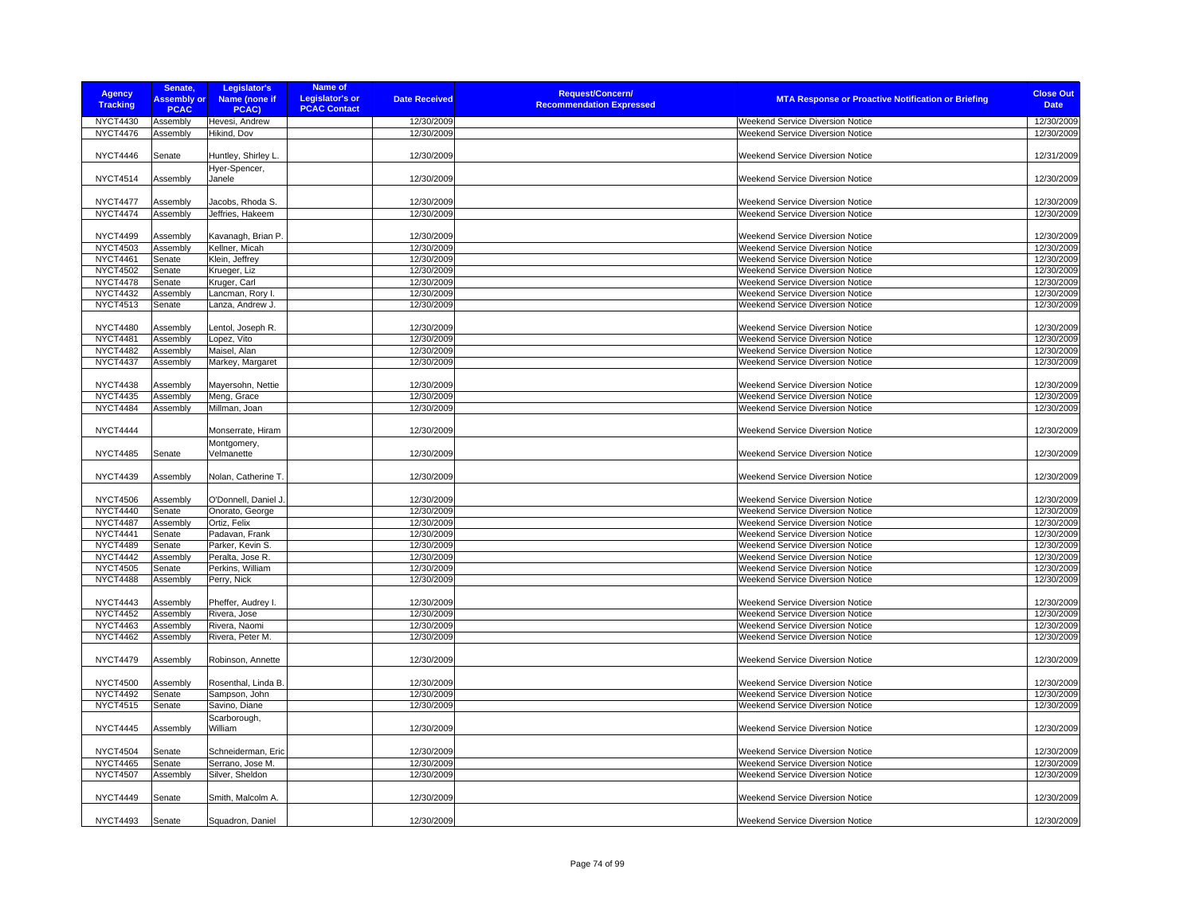| <b>Agency</b><br><b>Tracking</b>   | Senate,<br><b>Assembly or</b><br><b>PCAC</b> | Legislator's<br>Name (none if<br>PCAC)  | Name of<br><b>Legislator's or</b><br><b>PCAC Contact</b> | <b>Date Received</b>     | <b>Request/Concern/</b><br><b>MTA Response or Proactive Notification or Briefing</b><br><b>Recommendation Expressed</b> | <b>Close Out</b><br><b>Date</b> |
|------------------------------------|----------------------------------------------|-----------------------------------------|----------------------------------------------------------|--------------------------|-------------------------------------------------------------------------------------------------------------------------|---------------------------------|
| <b>NYCT4430</b>                    | Assembly                                     | Hevesi, Andrew                          |                                                          | 12/30/2009               | Weekend Service Diversion Notice                                                                                        | 12/30/2009                      |
| <b>NYCT4476</b>                    | Assembly                                     | Hikind, Dov                             |                                                          | 12/30/2009               | <b>Weekend Service Diversion Notice</b>                                                                                 | 12/30/2009                      |
| <b>NYCT4446</b>                    | Senate                                       | Huntley, Shirley L.                     |                                                          | 12/30/2009               | <b>Weekend Service Diversion Notice</b>                                                                                 | 12/31/2009                      |
|                                    |                                              | Hyer-Spencer,                           |                                                          |                          |                                                                                                                         |                                 |
| <b>NYCT4514</b>                    | Assembly                                     | Janele                                  |                                                          | 12/30/2009               | Weekend Service Diversion Notice                                                                                        | 12/30/2009                      |
|                                    |                                              |                                         |                                                          |                          |                                                                                                                         |                                 |
| <b>NYCT4477</b>                    | Assembly                                     | Jacobs, Rhoda S.                        |                                                          | 12/30/2009               | Weekend Service Diversion Notice                                                                                        | 12/30/2009                      |
| <b>NYCT4474</b>                    | Assembly                                     | Jeffries, Hakeem                        |                                                          | 12/30/2009               | Weekend Service Diversion Notice                                                                                        | 12/30/2009                      |
|                                    |                                              |                                         |                                                          |                          |                                                                                                                         |                                 |
| <b>NYCT4499</b>                    | Assembly                                     | Kavanagh, Brian P                       |                                                          | 12/30/2009               | Weekend Service Diversion Notice                                                                                        | 12/30/2009                      |
| <b>NYCT4503</b>                    | Assembly                                     | Kellner, Micah                          |                                                          | 12/30/2009               | Weekend Service Diversion Notice                                                                                        | 12/30/2009                      |
| <b>NYCT4461</b>                    | Senate                                       | Klein, Jeffrey                          |                                                          | 12/30/2009<br>12/30/2009 | Weekend Service Diversion Notice<br>Weekend Service Diversion Notice                                                    | 12/30/2009<br>12/30/2009        |
| <b>NYCT4502</b><br><b>NYCT4478</b> | Senate<br>Senate                             | Krueger, Liz<br>Kruger, Carl            |                                                          | 12/30/2009               | <b>Weekend Service Diversion Notice</b>                                                                                 | 12/30/2009                      |
| <b>NYCT4432</b>                    | Assembly                                     | Lancman, Rory I.                        |                                                          | 12/30/2009               | Weekend Service Diversion Notice                                                                                        | 12/30/2009                      |
| <b>NYCT4513</b>                    | Senate                                       | Lanza, Andrew J.                        |                                                          | 12/30/2009               | Weekend Service Diversion Notice                                                                                        | 12/30/2009                      |
|                                    |                                              |                                         |                                                          |                          |                                                                                                                         |                                 |
| <b>NYCT4480</b>                    | Assembly                                     | Lentol, Joseph R.                       |                                                          | 12/30/2009               | Weekend Service Diversion Notice                                                                                        | 12/30/2009                      |
| <b>NYCT4481</b>                    | Assembly                                     | Lopez, Vito                             |                                                          | 12/30/2009               | <b>Weekend Service Diversion Notice</b>                                                                                 | 12/30/2009                      |
| <b>NYCT4482</b>                    | Assembly                                     | Maisel, Alan                            |                                                          | 12/30/2009               | <b>Weekend Service Diversion Notice</b>                                                                                 | 12/30/2009                      |
| <b>NYCT4437</b>                    | Assembly                                     | Markey, Margaret                        |                                                          | 12/30/2009               | Weekend Service Diversion Notice                                                                                        | 12/30/2009                      |
|                                    |                                              |                                         |                                                          |                          |                                                                                                                         |                                 |
| <b>NYCT4438</b>                    | Assembly                                     | Mayersohn, Nettie                       |                                                          | 12/30/2009               | Weekend Service Diversion Notice                                                                                        | 12/30/2009                      |
| <b>NYCT4435</b>                    | Assembly                                     | Meng, Grace                             |                                                          | 12/30/2009               | Weekend Service Diversion Notice                                                                                        | 12/30/2009                      |
| <b>NYCT4484</b>                    | Assembly                                     | Millman, Joan                           |                                                          | 12/30/2009               | Weekend Service Diversion Notice                                                                                        | 12/30/2009                      |
| <b>NYCT4444</b>                    |                                              | Monserrate, Hiram                       |                                                          | 12/30/2009               | Weekend Service Diversion Notice                                                                                        | 12/30/2009                      |
|                                    |                                              | Montgomery,                             |                                                          |                          |                                                                                                                         |                                 |
| <b>NYCT4485</b>                    | Senate                                       | Velmanette                              |                                                          | 12/30/2009               | <b>Weekend Service Diversion Notice</b>                                                                                 | 12/30/2009                      |
|                                    |                                              |                                         |                                                          |                          |                                                                                                                         |                                 |
| <b>NYCT4439</b>                    | Assembly                                     | Nolan, Catherine T.                     |                                                          | 12/30/2009               | Weekend Service Diversion Notice                                                                                        | 12/30/2009                      |
|                                    |                                              |                                         |                                                          |                          |                                                                                                                         |                                 |
| <b>NYCT4506</b><br><b>NYCT4440</b> | Assembly<br>Senate                           | O'Donnell, Daniel J.<br>Onorato, George |                                                          | 12/30/2009<br>12/30/2009 | Weekend Service Diversion Notice<br><b>Weekend Service Diversion Notice</b>                                             | 12/30/2009<br>12/30/2009        |
| <b>NYCT4487</b>                    | Assembly                                     | Ortiz, Felix                            |                                                          | 12/30/2009               | Weekend Service Diversion Notice                                                                                        | 12/30/2009                      |
| <b>NYCT4441</b>                    | Senate                                       | Padavan, Frank                          |                                                          | 12/30/2009               | Weekend Service Diversion Notice                                                                                        | 12/30/2009                      |
| <b>NYCT4489</b>                    | Senate                                       | Parker, Kevin S.                        |                                                          | 12/30/2009               | Weekend Service Diversion Notice                                                                                        | 12/30/2009                      |
| <b>NYCT4442</b>                    | Assembly                                     | Peralta, Jose R.                        |                                                          | 12/30/2009               | Weekend Service Diversion Notice                                                                                        | 12/30/2009                      |
| <b>NYCT4505</b>                    | Senate                                       | Perkins, William                        |                                                          | 12/30/2009               | <b>Weekend Service Diversion Notice</b>                                                                                 | 12/30/2009                      |
| <b>NYCT4488</b>                    | Assembly                                     | Perry, Nick                             |                                                          | 12/30/2009               | Weekend Service Diversion Notice                                                                                        | 12/30/2009                      |
|                                    |                                              |                                         |                                                          |                          |                                                                                                                         |                                 |
| <b>NYCT4443</b>                    | Assembly                                     | Pheffer, Audrey I.                      |                                                          | 12/30/2009               | <b>Weekend Service Diversion Notice</b>                                                                                 | 12/30/2009                      |
| <b>NYCT4452</b>                    | Assembly                                     | Rivera, Jose                            |                                                          | 12/30/2009               | Weekend Service Diversion Notice                                                                                        | 12/30/2009                      |
| <b>NYCT4463</b>                    | Assembly                                     | Rivera, Naomi                           |                                                          | 12/30/2009               | Weekend Service Diversion Notice                                                                                        | 12/30/2009                      |
| <b>NYCT4462</b>                    | Assembly                                     | Rivera, Peter M.                        |                                                          | 12/30/2009               | <b>Weekend Service Diversion Notice</b>                                                                                 | 12/30/2009                      |
| <b>NYCT4479</b>                    | Assembly                                     | Robinson, Annette                       |                                                          | 12/30/2009               | <b>Weekend Service Diversion Notice</b>                                                                                 | 12/30/2009                      |
|                                    |                                              |                                         |                                                          |                          |                                                                                                                         |                                 |
| <b>NYCT4500</b>                    | Assembly                                     | Rosenthal, Linda B.                     |                                                          | 12/30/2009               | Weekend Service Diversion Notice                                                                                        | 12/30/2009                      |
| <b>NYCT4492</b>                    | Senate                                       | Sampson, John                           |                                                          | 12/30/2009               | Weekend Service Diversion Notice                                                                                        | 12/30/2009                      |
| <b>NYCT4515</b>                    | Senate                                       | Savino, Diane                           |                                                          | 12/30/2009               | Weekend Service Diversion Notice                                                                                        | 12/30/2009                      |
|                                    |                                              | Scarborough,                            |                                                          |                          |                                                                                                                         |                                 |
| <b>NYCT4445</b>                    | Assembly                                     | William                                 |                                                          | 12/30/2009               | Weekend Service Diversion Notice                                                                                        | 12/30/2009                      |
|                                    |                                              |                                         |                                                          |                          |                                                                                                                         |                                 |
| <b>NYCT4504</b>                    | Senate                                       | Schneiderman, Eric                      |                                                          | 12/30/2009               | Weekend Service Diversion Notice                                                                                        | 12/30/2009                      |
| <b>NYCT4465</b>                    | Senate                                       | Serrano, Jose M.                        |                                                          | 12/30/2009               | Weekend Service Diversion Notice                                                                                        | 12/30/2009                      |
| <b>NYCT4507</b>                    | Assembly                                     | Silver, Sheldon                         |                                                          | 12/30/2009               | Weekend Service Diversion Notice                                                                                        | 12/30/2009                      |
| <b>NYCT4449</b>                    | Senate                                       | Smith, Malcolm A.                       |                                                          | 12/30/2009               | <b>Weekend Service Diversion Notice</b>                                                                                 | 12/30/2009                      |
|                                    |                                              |                                         |                                                          |                          |                                                                                                                         |                                 |
| <b>NYCT4493</b>                    | Senate                                       | Squadron, Daniel                        |                                                          | 12/30/2009               | <b>Weekend Service Diversion Notice</b>                                                                                 | 12/30/2009                      |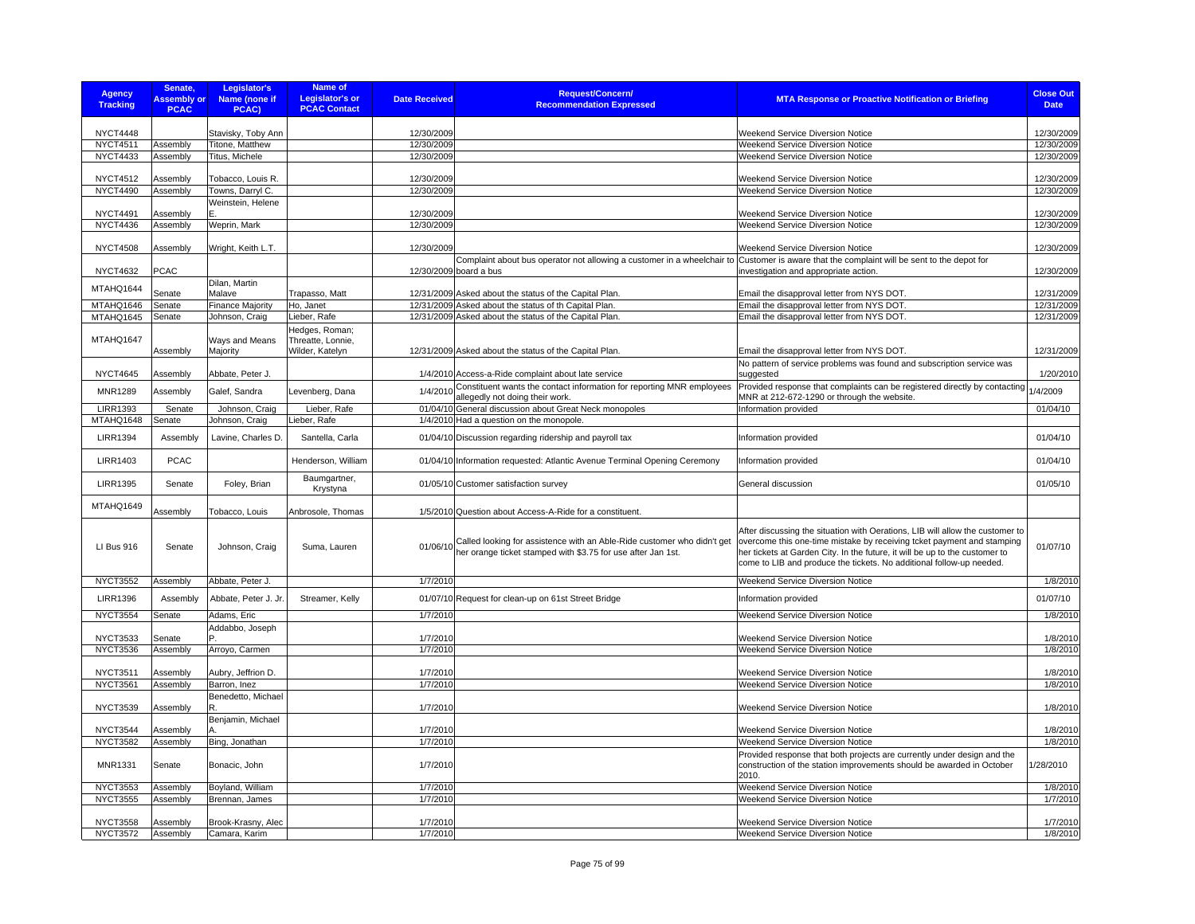| <b>Agency</b><br><b>Tracking</b>   | Senate,<br><b>Assembly or</b><br><b>PCAC</b> | Legislator's<br>Name (none if<br>PCAC) | Name of<br><b>Legislator's or</b><br><b>PCAC Contact</b> | <b>Date Received</b>     | Request/Concern/<br><b>Recommendation Expressed</b>                                                                                     | <b>MTA Response or Proactive Notification or Briefing</b>                                                                                                                                                                                                                                                      | <b>Close Out</b><br><b>Date</b> |
|------------------------------------|----------------------------------------------|----------------------------------------|----------------------------------------------------------|--------------------------|-----------------------------------------------------------------------------------------------------------------------------------------|----------------------------------------------------------------------------------------------------------------------------------------------------------------------------------------------------------------------------------------------------------------------------------------------------------------|---------------------------------|
|                                    |                                              |                                        |                                                          |                          |                                                                                                                                         |                                                                                                                                                                                                                                                                                                                |                                 |
| <b>NYCT4448</b><br><b>NYCT4511</b> | Assembly                                     | Stavisky, Toby Ann<br>Titone, Matthew  |                                                          | 12/30/2009<br>12/30/2009 |                                                                                                                                         | <b>Weekend Service Diversion Notice</b><br>Weekend Service Diversion Notice                                                                                                                                                                                                                                    | 12/30/2009<br>12/30/2009        |
| <b>NYCT4433</b>                    | Assembly                                     | Titus, Michele                         |                                                          | 12/30/2009               |                                                                                                                                         | <b>Weekend Service Diversion Notice</b>                                                                                                                                                                                                                                                                        | 12/30/2009                      |
|                                    |                                              |                                        |                                                          |                          |                                                                                                                                         |                                                                                                                                                                                                                                                                                                                |                                 |
| <b>NYCT4512</b>                    | Assembly                                     | Tobacco, Louis R.                      |                                                          | 12/30/2009               |                                                                                                                                         | Weekend Service Diversion Notice                                                                                                                                                                                                                                                                               | 12/30/2009                      |
| <b>NYCT4490</b>                    | Assembly                                     | Towns, Darryl C.                       |                                                          | 12/30/2009               |                                                                                                                                         | Weekend Service Diversion Notice                                                                                                                                                                                                                                                                               | 12/30/2009                      |
| <b>NYCT4491</b>                    | Assembly                                     | Weinstein, Helene                      |                                                          | 12/30/2009               |                                                                                                                                         | <b>Weekend Service Diversion Notice</b>                                                                                                                                                                                                                                                                        | 12/30/2009                      |
| <b>NYCT4436</b>                    | Assembly                                     | Weprin, Mark                           |                                                          | 12/30/2009               |                                                                                                                                         | <b>Weekend Service Diversion Notice</b>                                                                                                                                                                                                                                                                        | 12/30/2009                      |
|                                    |                                              |                                        |                                                          |                          |                                                                                                                                         |                                                                                                                                                                                                                                                                                                                |                                 |
| <b>NYCT4508</b>                    | Assembly                                     | Wright, Keith L.T.                     |                                                          | 12/30/2009               |                                                                                                                                         | <b>Weekend Service Diversion Notice</b>                                                                                                                                                                                                                                                                        | 12/30/2009                      |
| <b>NYCT4632</b>                    | <b>PCAC</b>                                  |                                        |                                                          |                          | Complaint about bus operator not allowing a customer in a wheelchair to<br>12/30/2009 board a bus                                       | Customer is aware that the complaint will be sent to the depot for<br>investigation and appropriate action.                                                                                                                                                                                                    | 12/30/2009                      |
| MTAHQ1644                          |                                              | Dilan, Martin                          |                                                          |                          |                                                                                                                                         |                                                                                                                                                                                                                                                                                                                |                                 |
| MTAHQ1646                          | Senate<br>Senate                             | Malave<br><b>Finance Majority</b>      | Trapasso, Matt<br>Ho, Janet                              |                          | 12/31/2009 Asked about the status of the Capital Plan.<br>12/31/2009 Asked about the status of th Capital Plan.                         | Email the disapproval letter from NYS DOT.<br>Email the disapproval letter from NYS DOT                                                                                                                                                                                                                        | 12/31/2009<br>12/31/2009        |
| MTAHQ1645                          | Senate                                       | Johnson, Craig                         | Lieber, Rafe                                             |                          | 12/31/2009 Asked about the status of the Capital Plan.                                                                                  | Email the disapproval letter from NYS DOT.                                                                                                                                                                                                                                                                     | 12/31/2009                      |
|                                    |                                              |                                        | Hedges, Roman;                                           |                          |                                                                                                                                         |                                                                                                                                                                                                                                                                                                                |                                 |
| MTAHQ1647                          |                                              | Ways and Means                         | Threatte, Lonnie,                                        |                          |                                                                                                                                         |                                                                                                                                                                                                                                                                                                                |                                 |
|                                    | Assembly                                     | Majority                               | Wilder, Katelyn                                          |                          | 12/31/2009 Asked about the status of the Capital Plan.                                                                                  | Email the disapproval letter from NYS DOT                                                                                                                                                                                                                                                                      | 12/31/2009                      |
| <b>NYCT4645</b>                    | Assembly                                     | Abbate, Peter J.                       |                                                          |                          | 1/4/2010 Access-a-Ride complaint about late service                                                                                     | No pattern of service problems was found and subscription service was<br>suggested                                                                                                                                                                                                                             | 1/20/2010                       |
|                                    |                                              |                                        |                                                          |                          | Constituent wants the contact information for reporting MNR employees                                                                   | Provided response that complaints can be registered directly by contacting                                                                                                                                                                                                                                     |                                 |
| <b>MNR1289</b>                     | Assembly                                     | Galef, Sandra                          | Levenberg, Dana                                          | 1/4/2010                 | allegedly not doing their work.                                                                                                         | MNR at 212-672-1290 or through the website.                                                                                                                                                                                                                                                                    | 1/4/2009                        |
| <b>LIRR1393</b>                    | Senate                                       | Johnson, Craig                         | Lieber, Rafe                                             |                          | 01/04/10 General discussion about Great Neck monopoles                                                                                  | Information provided                                                                                                                                                                                                                                                                                           | 01/04/10                        |
| MTAHQ1648                          | Senate                                       | Johnson, Craig                         | Lieber, Rafe                                             |                          | 1/4/2010 Had a question on the monopole.                                                                                                |                                                                                                                                                                                                                                                                                                                |                                 |
| <b>LIRR1394</b>                    | Assembly                                     | Lavine, Charles D.                     | Santella, Carla                                          |                          | 01/04/10 Discussion regarding ridership and payroll tax                                                                                 | Information provided                                                                                                                                                                                                                                                                                           | 01/04/10                        |
| <b>LIRR1403</b>                    | <b>PCAC</b>                                  |                                        | Henderson, William                                       |                          | 01/04/10 Information requested: Atlantic Avenue Terminal Opening Ceremony                                                               | Information provided                                                                                                                                                                                                                                                                                           | 01/04/10                        |
| <b>LIRR1395</b>                    | Senate                                       | Foley, Brian                           | Baumgartner,<br>Krystyna                                 |                          | 01/05/10 Customer satisfaction survey                                                                                                   | General discussion                                                                                                                                                                                                                                                                                             | 01/05/10                        |
| MTAHQ1649                          | Assembly                                     | Tobacco, Louis                         | Anbrosole, Thomas                                        |                          | 1/5/2010 Question about Access-A-Ride for a constituent.                                                                                |                                                                                                                                                                                                                                                                                                                |                                 |
| <b>LI Bus 916</b>                  | Senate                                       | Johnson, Craig                         | Suma, Lauren                                             | 01/06/10                 | Called looking for assistence with an Able-Ride customer who didn't get<br>her orange ticket stamped with \$3.75 for use after Jan 1st. | After discussing the situation with Oerations, LIB will allow the customer to<br>overcome this one-time mistake by receiving tcket payment and stamping<br>her tickets at Garden City. In the future, it will be up to the customer to<br>come to LIB and produce the tickets. No additional follow-up needed. | 01/07/10                        |
| <b>NYCT3552</b>                    | Assembly                                     | Abbate, Peter J.                       |                                                          | 1/7/2010                 |                                                                                                                                         | Weekend Service Diversion Notice                                                                                                                                                                                                                                                                               | 1/8/2010                        |
| <b>LIRR1396</b>                    | Assembly                                     | Abbate, Peter J. Jr                    | Streamer, Kelly                                          |                          | 01/07/10 Request for clean-up on 61st Street Bridge                                                                                     | Information provided                                                                                                                                                                                                                                                                                           | 01/07/10                        |
| <b>NYCT3554</b>                    | Senate                                       | Adams, Eric                            |                                                          | 1/7/2010                 |                                                                                                                                         | Weekend Service Diversion Notice                                                                                                                                                                                                                                                                               | 1/8/2010                        |
|                                    |                                              | Addabbo, Joseph                        |                                                          |                          |                                                                                                                                         | <b>Weekend Service Diversion Notice</b>                                                                                                                                                                                                                                                                        |                                 |
| <b>NYCT3533</b><br><b>NYCT3536</b> | Senate<br>Assembly                           | Arroyo, Carmen                         |                                                          | 1/7/2010<br>1/7/2010     |                                                                                                                                         | <b>Weekend Service Diversion Notice</b>                                                                                                                                                                                                                                                                        | 1/8/2010<br>1/8/2010            |
|                                    |                                              |                                        |                                                          |                          |                                                                                                                                         |                                                                                                                                                                                                                                                                                                                |                                 |
| <b>NYCT3511</b>                    | Assembly                                     | Aubry, Jeffrion D.                     |                                                          | 1/7/2010                 |                                                                                                                                         | <b>Weekend Service Diversion Notice</b>                                                                                                                                                                                                                                                                        | 1/8/2010                        |
| <b>NYCT3561</b>                    | Assembly                                     | Barron, Inez                           |                                                          | 1/7/2010                 |                                                                                                                                         | Weekend Service Diversion Notice                                                                                                                                                                                                                                                                               | 1/8/2010                        |
| <b>NYCT3539</b>                    | Assembly                                     | Benedetto, Michael<br>R.               |                                                          | 1/7/2010                 |                                                                                                                                         | <b>Weekend Service Diversion Notice</b>                                                                                                                                                                                                                                                                        | 1/8/2010                        |
|                                    |                                              | Benjamin, Michael                      |                                                          |                          |                                                                                                                                         |                                                                                                                                                                                                                                                                                                                |                                 |
| NYCT3544<br><b>NYCT3582</b>        | Assembly<br>Assembly                         | Bing, Jonathan                         |                                                          | 1/7/2010<br>1/7/2010     |                                                                                                                                         | <b>Weekend Service Diversion Notice</b><br>Weekend Service Diversion Notice                                                                                                                                                                                                                                    | 1/8/2010<br>1/8/2010            |
| <b>MNR1331</b>                     | Senate                                       | Bonacic, John                          |                                                          | 1/7/2010                 |                                                                                                                                         | Provided response that both projects are currently under design and the<br>construction of the station improvements should be awarded in October                                                                                                                                                               | 1/28/2010                       |
|                                    |                                              |                                        |                                                          |                          |                                                                                                                                         | 2010.                                                                                                                                                                                                                                                                                                          |                                 |
| <b>NYCT3553</b>                    | Assembly                                     | Boyland, William                       |                                                          | 1/7/2010                 |                                                                                                                                         | Weekend Service Diversion Notice                                                                                                                                                                                                                                                                               | 1/8/2010                        |
| <b>NYCT3555</b>                    | Assembly                                     | Brennan, James                         |                                                          | 1/7/2010                 |                                                                                                                                         | Weekend Service Diversion Notice                                                                                                                                                                                                                                                                               | 1/7/2010                        |
| <b>NYCT3558</b>                    | Assembly                                     | Brook-Krasny, Alec                     |                                                          | 1/7/2010                 |                                                                                                                                         | <b>Weekend Service Diversion Notice</b>                                                                                                                                                                                                                                                                        | 1/7/2010                        |
| <b>NYCT3572</b>                    | Assembly                                     | Camara, Karim                          |                                                          | 1/7/2010                 |                                                                                                                                         | Weekend Service Diversion Notice                                                                                                                                                                                                                                                                               | 1/8/2010                        |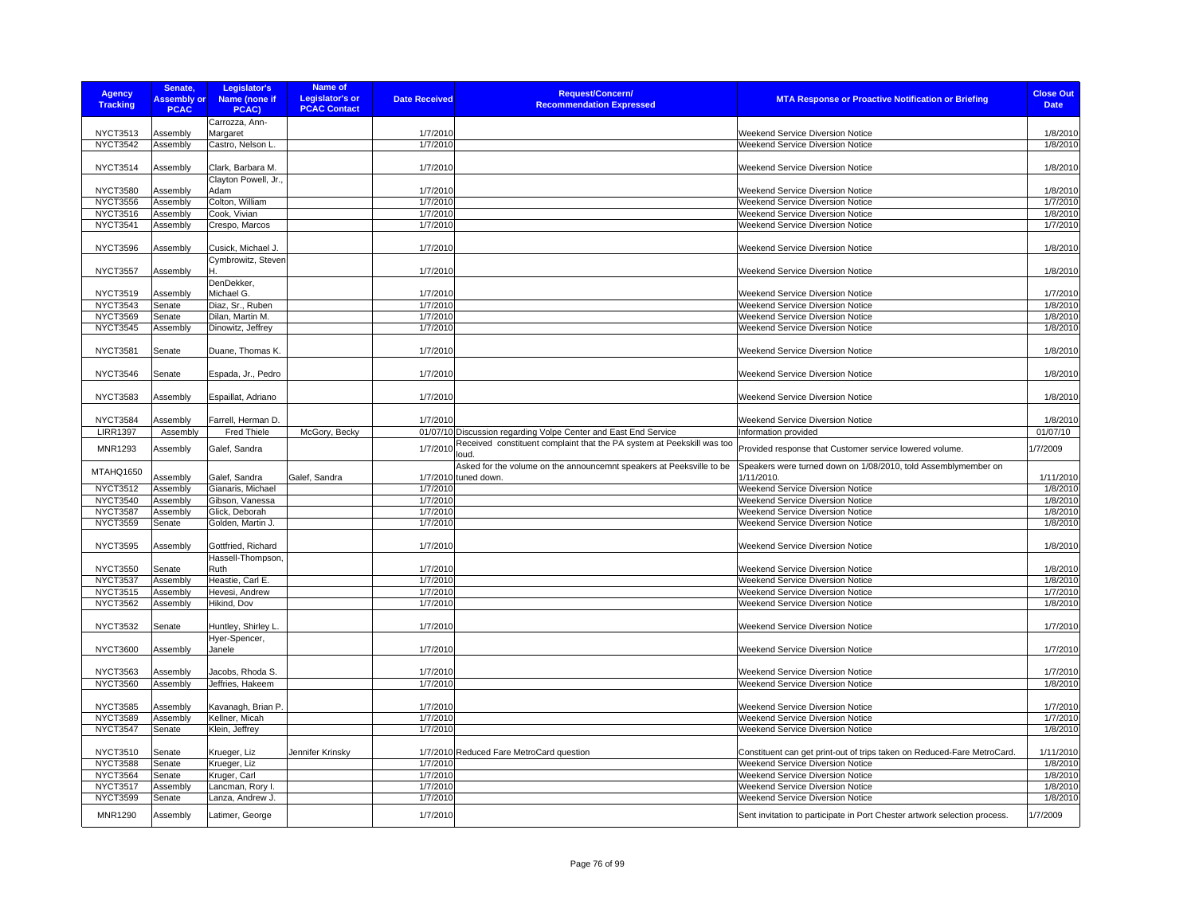| <b>Agency</b><br><b>Tracking</b>   | Senate,<br><b>Assembly or</b><br><b>PCAC</b> | Legislator's<br>Name (none if<br>PCAC)   | <b>Name of</b><br><b>Legislator's or</b><br><b>PCAC Contact</b> | <b>Date Received</b> | <b>Request/Concern/</b><br><b>Recommendation Expressed</b>                                   | <b>MTA Response or Proactive Notification or Briefing</b>                    | <b>Close Out</b><br><b>Date</b> |
|------------------------------------|----------------------------------------------|------------------------------------------|-----------------------------------------------------------------|----------------------|----------------------------------------------------------------------------------------------|------------------------------------------------------------------------------|---------------------------------|
|                                    |                                              | Carrozza, Ann-                           |                                                                 |                      |                                                                                              |                                                                              |                                 |
| <b>NYCT3513</b>                    | Assembly                                     | Margaret                                 |                                                                 | 1/7/2010             |                                                                                              | <b>Weekend Service Diversion Notice</b>                                      | 1/8/2010                        |
| <b>NYCT3542</b>                    | Assembly                                     | Castro, Nelson L.                        |                                                                 | 1/7/2010             |                                                                                              | <b>Weekend Service Diversion Notice</b>                                      | 1/8/2010                        |
| <b>NYCT3514</b>                    | Assembly                                     | Clark, Barbara M.                        |                                                                 | 1/7/2010             |                                                                                              | Weekend Service Diversion Notice                                             | 1/8/2010                        |
| <b>NYCT3580</b>                    | Assembly                                     | Clayton Powell, Jr.,<br>Adam             |                                                                 | 1/7/2010             |                                                                                              | <b>Weekend Service Diversion Notice</b>                                      | 1/8/2010                        |
| <b>NYCT3556</b>                    | Assembly                                     | Colton, William                          |                                                                 | 1/7/2010             |                                                                                              | <b>Weekend Service Diversion Notice</b>                                      | 1/7/2010                        |
| NYCT3516                           | Assembly                                     | Cook, Vivian                             |                                                                 | 1/7/2010             |                                                                                              | Weekend Service Diversion Notice                                             | 1/8/2010                        |
| <b>NYCT3541</b>                    | Assembly                                     | Crespo, Marcos                           |                                                                 | 1/7/2010             |                                                                                              | Weekend Service Diversion Notice                                             | 1/7/2010                        |
|                                    |                                              |                                          |                                                                 |                      |                                                                                              |                                                                              |                                 |
| <b>NYCT3596</b>                    | Assembly                                     | Cusick, Michael J.<br>Cymbrowitz, Steven |                                                                 | 1/7/2010             |                                                                                              | Weekend Service Diversion Notice                                             | 1/8/2010                        |
| <b>NYCT3557</b>                    | Assembly                                     |                                          |                                                                 | 1/7/2010             |                                                                                              | <b>Weekend Service Diversion Notice</b>                                      | 1/8/2010                        |
|                                    |                                              | DenDekker,                               |                                                                 |                      |                                                                                              |                                                                              |                                 |
| <b>NYCT3519</b>                    | Assembly                                     | Michael G.                               |                                                                 | 1/7/2010             |                                                                                              | Weekend Service Diversion Notice                                             | 1/7/2010                        |
| <b>NYCT3543</b>                    | Senate                                       | Diaz, Sr., Ruben                         |                                                                 | 1/7/2010             |                                                                                              | Weekend Service Diversion Notice                                             | 1/8/2010                        |
| <b>NYCT3569</b>                    | Senate                                       | Dilan, Martin M.                         |                                                                 | 1/7/2010             |                                                                                              | Weekend Service Diversion Notice                                             | 1/8/2010                        |
| <b>NYCT3545</b>                    | Assembly                                     | Dinowitz, Jeffrey                        |                                                                 | 1/7/2010             |                                                                                              | Weekend Service Diversion Notice                                             | 1/8/2010                        |
| <b>NYCT3581</b>                    | Senate                                       | Duane, Thomas K.                         |                                                                 | 1/7/2010             |                                                                                              | Weekend Service Diversion Notice                                             | 1/8/2010                        |
| <b>NYCT3546</b>                    | Senate                                       | Espada, Jr., Pedro                       |                                                                 | 1/7/2010             |                                                                                              | Weekend Service Diversion Notice                                             | 1/8/2010                        |
|                                    |                                              |                                          |                                                                 |                      |                                                                                              |                                                                              |                                 |
| <b>NYCT3583</b>                    | Assembly                                     | Espaillat, Adriano                       |                                                                 | 1/7/2010             |                                                                                              | <b>Weekend Service Diversion Notice</b>                                      | 1/8/2010                        |
| <b>NYCT3584</b>                    | Assembly                                     | Farrell, Herman D.                       |                                                                 | 1/7/2010             |                                                                                              | Weekend Service Diversion Notice                                             | 1/8/2010                        |
| <b>LIRR1397</b>                    | Assembly                                     | Fred Thiele                              | McGory, Becky                                                   |                      | 01/07/10 Discussion regarding Volpe Center and East End Service                              | Information provided                                                         | 01/07/10                        |
| <b>MNR1293</b>                     | Assembly                                     | Galef, Sandra                            |                                                                 | 1/7/2010             | Received constituent complaint that the PA system at Peekskill was too<br>loud.              | Provided response that Customer service lowered volume.                      | 1/7/2009                        |
| MTAHQ1650                          | Assembly                                     | Galef, Sandra                            | Galef, Sandra                                                   |                      | Asked for the volume on the announcemnt speakers at Peeksville to be<br>1/7/2010 tuned down. | Speakers were turned down on 1/08/2010, told Assemblymember on<br>1/11/2010. | 1/11/2010                       |
| <b>NYCT3512</b>                    | Assembly                                     | Gianaris, Michael                        |                                                                 | 1/7/2010             |                                                                                              | Weekend Service Diversion Notice                                             | 1/8/2010                        |
| <b>NYCT3540</b>                    | Assembly                                     | Gibson, Vanessa                          |                                                                 | 1/7/2010             |                                                                                              | <b>Weekend Service Diversion Notice</b>                                      | 1/8/2010                        |
| <b>NYCT3587</b>                    | Assembly                                     | Glick, Deborah                           |                                                                 | 1/7/2010             |                                                                                              | Weekend Service Diversion Notice                                             | 1/8/2010                        |
| <b>NYCT3559</b>                    | Senate                                       | Golden, Martin J.                        |                                                                 | 1/7/2010             |                                                                                              | Weekend Service Diversion Notice                                             | 1/8/2010                        |
| <b>NYCT3595</b>                    | Assembly                                     | Gottfried, Richard                       |                                                                 | 1/7/2010             |                                                                                              | Weekend Service Diversion Notice                                             | 1/8/2010                        |
|                                    |                                              | Hassell-Thompson,                        |                                                                 |                      |                                                                                              |                                                                              |                                 |
| <b>NYCT3550</b>                    | Senate                                       | Ruth                                     |                                                                 | 1/7/2010             |                                                                                              | Weekend Service Diversion Notice                                             | 1/8/2010                        |
| <b>NYCT3537</b>                    | Assembly                                     | Heastie, Carl E.                         |                                                                 | 1/7/2010             |                                                                                              | Weekend Service Diversion Notice                                             | 1/8/2010                        |
| <b>NYCT3515</b><br><b>NYCT3562</b> | Assembly                                     | Hevesi, Andrew<br>Hikind, Dov            |                                                                 | 1/7/2010             |                                                                                              | Weekend Service Diversion Notice                                             | 1/7/2010<br>1/8/2010            |
|                                    | Assembly                                     |                                          |                                                                 | 1/7/2010             |                                                                                              | Weekend Service Diversion Notice                                             |                                 |
| <b>NYCT3532</b>                    | Senate                                       | Huntley, Shirley L.<br>Hyer-Spencer,     |                                                                 | 1/7/2010             |                                                                                              | Weekend Service Diversion Notice                                             | 1/7/2010                        |
| <b>NYCT3600</b>                    | Assembly                                     | Janele                                   |                                                                 | 1/7/2010             |                                                                                              | <b>Weekend Service Diversion Notice</b>                                      | 1/7/2010                        |
| <b>NYCT3563</b>                    | Assembly                                     | Jacobs, Rhoda S.                         |                                                                 | 1/7/2010             |                                                                                              | <b>Weekend Service Diversion Notice</b>                                      | 1/7/2010                        |
| <b>NYCT3560</b>                    | Assembly                                     | Jeffries, Hakeem                         |                                                                 | 1/7/2010             |                                                                                              | Weekend Service Diversion Notice                                             | 1/8/2010                        |
|                                    |                                              |                                          |                                                                 |                      |                                                                                              |                                                                              |                                 |
| <b>NYCT3585</b>                    | Assembly                                     | Kavanagh, Brian P.                       |                                                                 | 1/7/2010             |                                                                                              | <b>Weekend Service Diversion Notice</b>                                      | 1/7/2010                        |
| <b>NYCT3589</b><br><b>NYCT3547</b> | Assembly                                     | Kellner, Micah                           |                                                                 | 1/7/2010             |                                                                                              | Weekend Service Diversion Notice                                             | 1/7/2010<br>1/8/2010            |
|                                    | Senate                                       | Klein, Jeffrey                           |                                                                 | 1/7/2010             |                                                                                              | <b>Weekend Service Diversion Notice</b>                                      |                                 |
| NYCT3510                           | Senate                                       | Krueger, Liz                             | Jennifer Krinsky                                                |                      | 1/7/2010 Reduced Fare MetroCard question                                                     | Constituent can get print-out of trips taken on Reduced-Fare MetroCard.      | 1/11/2010                       |
| <b>NYCT3588</b>                    | Senate                                       | Krueger, Liz                             |                                                                 | 1/7/2010             |                                                                                              | Weekend Service Diversion Notice                                             | 1/8/2010                        |
| <b>NYCT3564</b>                    | Senate                                       | Kruger, Carl                             |                                                                 | 1/7/2010             |                                                                                              | Weekend Service Diversion Notice                                             | 1/8/2010                        |
| <b>NYCT3517</b>                    | Assembly                                     | Lancman, Rory I.                         |                                                                 | 1/7/2010             |                                                                                              | <b>Weekend Service Diversion Notice</b>                                      | 1/8/2010                        |
| <b>NYCT3599</b>                    | Senate                                       | Lanza, Andrew J.                         |                                                                 | 1/7/2010             |                                                                                              | Weekend Service Diversion Notice                                             | 1/8/2010                        |
| MNR1290                            | Assembly                                     | Latimer, George                          |                                                                 | 1/7/2010             |                                                                                              | Sent invitation to participate in Port Chester artwork selection process.    | 1/7/2009                        |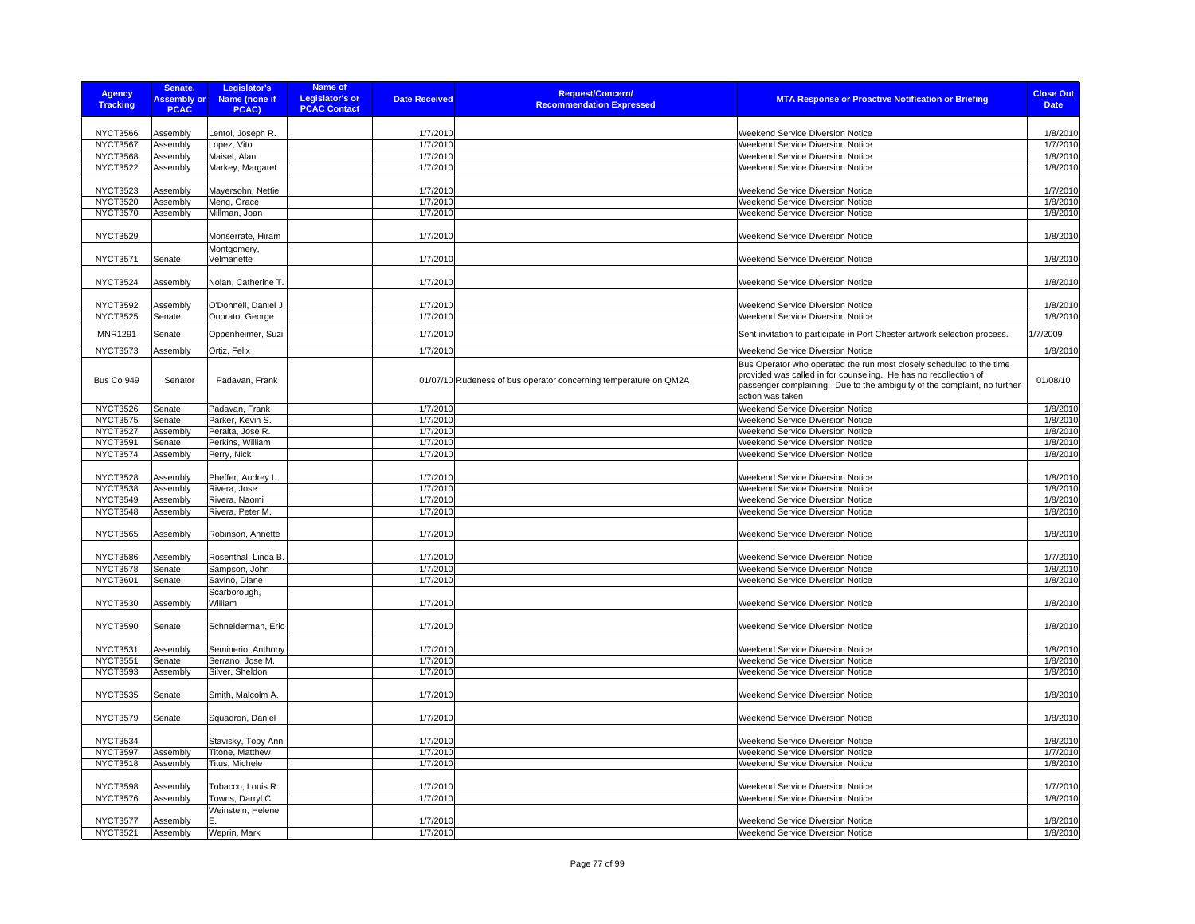| <b>Agency</b><br><b>Tracking</b>   | Senate,<br><b>Assembly or</b><br><b>PCAC</b> | Legislator's<br>Name (none if<br>PCAC) | <b>Name of</b><br><b>Legislator's or</b><br><b>PCAC Contact</b> | <b>Date Received</b> | <b>Request/Concern/</b><br><b>Recommendation Expressed</b>       | <b>MTA Response or Proactive Notification or Briefing</b>                                                                                                        | <b>Close Out</b><br><b>Date</b> |
|------------------------------------|----------------------------------------------|----------------------------------------|-----------------------------------------------------------------|----------------------|------------------------------------------------------------------|------------------------------------------------------------------------------------------------------------------------------------------------------------------|---------------------------------|
|                                    |                                              |                                        |                                                                 |                      |                                                                  |                                                                                                                                                                  |                                 |
| <b>NYCT3566</b>                    | Assembly                                     | Lentol, Joseph R.                      |                                                                 | 1/7/2010             |                                                                  | <b>Weekend Service Diversion Notice</b>                                                                                                                          | 1/8/2010                        |
| <b>NYCT3567</b>                    | Assembly                                     | Lopez, Vito                            |                                                                 | 1/7/2010             |                                                                  | Weekend Service Diversion Notice                                                                                                                                 | 1/7/2010                        |
| <b>NYCT3568</b>                    | Assembly                                     | Maisel, Alan                           |                                                                 | 1/7/2010             |                                                                  | Weekend Service Diversion Notice                                                                                                                                 | 1/8/2010                        |
| <b>NYCT3522</b>                    | Assembly                                     | Markey, Margaret                       |                                                                 | 1/7/2010             |                                                                  | Weekend Service Diversion Notice                                                                                                                                 | 1/8/2010                        |
| <b>NYCT3523</b>                    | Assembly                                     | Mayersohn, Nettie                      |                                                                 | 1/7/2010             |                                                                  | Weekend Service Diversion Notice                                                                                                                                 | 1/7/2010                        |
| <b>NYCT3520</b>                    | Assembly                                     | Meng, Grace                            |                                                                 | 1/7/2010             |                                                                  | <b>Weekend Service Diversion Notice</b>                                                                                                                          | 1/8/2010                        |
| <b>NYCT3570</b>                    | Assembly                                     | Millman, Joan                          |                                                                 | 1/7/2010             |                                                                  | Weekend Service Diversion Notice                                                                                                                                 | 1/8/2010                        |
|                                    |                                              |                                        |                                                                 |                      |                                                                  |                                                                                                                                                                  |                                 |
| <b>NYCT3529</b>                    |                                              | Monserrate, Hiram                      |                                                                 | 1/7/2010             |                                                                  | <b>Weekend Service Diversion Notice</b>                                                                                                                          | 1/8/2010                        |
|                                    |                                              | Montgomery,                            |                                                                 |                      |                                                                  |                                                                                                                                                                  |                                 |
| <b>NYCT3571</b>                    | Senate                                       | Velmanette                             |                                                                 | 1/7/2010             |                                                                  | Weekend Service Diversion Notice                                                                                                                                 | 1/8/2010                        |
|                                    |                                              |                                        |                                                                 |                      |                                                                  |                                                                                                                                                                  | 1/8/2010                        |
| <b>NYCT3524</b>                    | Assembly                                     | Nolan, Catherine T.                    |                                                                 | 1/7/2010             |                                                                  | Weekend Service Diversion Notice                                                                                                                                 |                                 |
| <b>NYCT3592</b>                    | Assembly                                     | O'Donnell, Daniel J.                   |                                                                 | 1/7/2010             |                                                                  | Weekend Service Diversion Notice                                                                                                                                 | 1/8/2010                        |
| <b>NYCT3525</b>                    | Senate                                       | Onorato, George                        |                                                                 | 1/7/2010             |                                                                  | Weekend Service Diversion Notice                                                                                                                                 | 1/8/2010                        |
| <b>MNR1291</b>                     | Senate                                       | Oppenheimer, Suzi                      |                                                                 | 1/7/2010             |                                                                  |                                                                                                                                                                  | 1/7/2009                        |
|                                    |                                              |                                        |                                                                 |                      |                                                                  | Sent invitation to participate in Port Chester artwork selection process.                                                                                        |                                 |
| <b>NYCT3573</b>                    | Assembly                                     | Ortiz, Felix                           |                                                                 | 1/7/2010             |                                                                  | Weekend Service Diversion Notice                                                                                                                                 | 1/8/2010                        |
|                                    |                                              |                                        |                                                                 |                      |                                                                  | Bus Operator who operated the run most closely scheduled to the time                                                                                             |                                 |
| Bus Co 949                         | Senator                                      | Padavan, Frank                         |                                                                 |                      | 01/07/10 Rudeness of bus operator concerning temperature on QM2A | provided was called in for counseling. He has no recollection of<br>passenger complaining. Due to the ambiguity of the complaint, no further<br>action was taken | 01/08/10                        |
| <b>NYCT3526</b>                    | Senate                                       | Padavan, Frank                         |                                                                 | 1/7/2010             |                                                                  | Weekend Service Diversion Notice                                                                                                                                 | 1/8/2010                        |
| <b>NYCT3575</b>                    | Senate                                       | Parker, Kevin S.                       |                                                                 | 1/7/2010             |                                                                  | Weekend Service Diversion Notice                                                                                                                                 | 1/8/2010                        |
| <b>NYCT3527</b>                    | Assembly                                     | Peralta, Jose R.                       |                                                                 | 1/7/2010             |                                                                  | Weekend Service Diversion Notice                                                                                                                                 | 1/8/2010                        |
| <b>NYCT3591</b>                    | Senate                                       | Perkins, William                       |                                                                 | 1/7/2010             |                                                                  | Weekend Service Diversion Notice                                                                                                                                 | 1/8/2010                        |
| <b>NYCT3574</b>                    | Assembly                                     | Perry, Nick                            |                                                                 | 1/7/2010             |                                                                  | Weekend Service Diversion Notice                                                                                                                                 | 1/8/2010                        |
|                                    |                                              |                                        |                                                                 |                      |                                                                  |                                                                                                                                                                  |                                 |
| <b>NYCT3528</b><br><b>NYCT3538</b> | Assembly<br>Assembly                         | Pheffer, Audrey I.<br>Rivera, Jose     |                                                                 | 1/7/2010<br>1/7/2010 |                                                                  | Weekend Service Diversion Notice<br>Weekend Service Diversion Notice                                                                                             | 1/8/2010<br>1/8/2010            |
| <b>NYCT3549</b>                    | Assembly                                     | Rivera, Naomi                          |                                                                 | 1/7/2010             |                                                                  | Weekend Service Diversion Notice                                                                                                                                 | 1/8/2010                        |
| <b>NYCT3548</b>                    | Assembly                                     | Rivera, Peter M.                       |                                                                 | 1/7/2010             |                                                                  | Weekend Service Diversion Notice                                                                                                                                 | 1/8/2010                        |
|                                    |                                              |                                        |                                                                 |                      |                                                                  |                                                                                                                                                                  |                                 |
| <b>NYCT3565</b>                    | Assembly                                     | Robinson, Annette                      |                                                                 | 1/7/2010             |                                                                  | Weekend Service Diversion Notice                                                                                                                                 | 1/8/2010                        |
|                                    |                                              |                                        |                                                                 |                      |                                                                  |                                                                                                                                                                  |                                 |
| <b>NYCT3586</b>                    | Assembly                                     | Rosenthal, Linda B.                    |                                                                 | 1/7/2010             |                                                                  | <b>Weekend Service Diversion Notice</b>                                                                                                                          | 1/7/2010                        |
| <b>NYCT3578</b>                    | Senate                                       | Sampson, John                          |                                                                 | 1/7/2010             |                                                                  | Weekend Service Diversion Notice                                                                                                                                 | 1/8/2010                        |
| <b>NYCT3601</b>                    | Senate                                       | Savino, Diane                          |                                                                 | 1/7/2010             |                                                                  | Weekend Service Diversion Notice                                                                                                                                 | 1/8/2010                        |
| <b>NYCT3530</b>                    |                                              | Scarborough,<br>William                |                                                                 |                      |                                                                  | Weekend Service Diversion Notice                                                                                                                                 |                                 |
|                                    | Assembly                                     |                                        |                                                                 | 1/7/2010             |                                                                  |                                                                                                                                                                  | 1/8/2010                        |
| <b>NYCT3590</b>                    | Senate                                       | Schneiderman, Eric                     |                                                                 | 1/7/2010             |                                                                  | Weekend Service Diversion Notice                                                                                                                                 | 1/8/2010                        |
|                                    |                                              |                                        |                                                                 |                      |                                                                  |                                                                                                                                                                  |                                 |
| <b>NYCT3531</b>                    | Assembly                                     | Seminerio, Anthony                     |                                                                 | 1/7/2010             |                                                                  | <b>Weekend Service Diversion Notice</b>                                                                                                                          | 1/8/2010                        |
| <b>NYCT3551</b>                    | Senate                                       | Serrano, Jose M.                       |                                                                 | 1/7/2010             |                                                                  | Weekend Service Diversion Notice                                                                                                                                 | 1/8/2010                        |
| <b>NYCT3593</b>                    | Assembly                                     | Silver, Sheldon                        |                                                                 | 1/7/2010             |                                                                  | Weekend Service Diversion Notice                                                                                                                                 | 1/8/2010                        |
|                                    |                                              |                                        |                                                                 |                      |                                                                  |                                                                                                                                                                  |                                 |
| <b>NYCT3535</b>                    | Senate                                       | Smith, Malcolm A.                      |                                                                 | 1/7/2010             |                                                                  | Weekend Service Diversion Notice                                                                                                                                 | 1/8/2010                        |
|                                    |                                              |                                        |                                                                 |                      |                                                                  |                                                                                                                                                                  |                                 |
| <b>NYCT3579</b>                    | Senate                                       | Squadron, Daniel                       |                                                                 | 1/7/2010             |                                                                  | Weekend Service Diversion Notice                                                                                                                                 | 1/8/2010                        |
| <b>NYCT3534</b>                    |                                              | Stavisky, Toby Ann                     |                                                                 | 1/7/2010             |                                                                  | Weekend Service Diversion Notice                                                                                                                                 | 1/8/2010                        |
| <b>NYCT3597</b>                    | Assembly                                     | Titone, Matthew                        |                                                                 | 1/7/2010             |                                                                  | Weekend Service Diversion Notice                                                                                                                                 | 1/7/2010                        |
| <b>NYCT3518</b>                    | Assembly                                     | Titus, Michele                         |                                                                 | 1/7/2010             |                                                                  | Weekend Service Diversion Notice                                                                                                                                 | 1/8/2010                        |
|                                    |                                              |                                        |                                                                 |                      |                                                                  |                                                                                                                                                                  |                                 |
| <b>NYCT3598</b>                    | Assembly                                     | Tobacco, Louis R.                      |                                                                 | 1/7/2010             |                                                                  | Weekend Service Diversion Notice                                                                                                                                 | 1/7/2010                        |
| <b>NYCT3576</b>                    | Assembly                                     | Towns, Darryl C.                       |                                                                 | 1/7/2010             |                                                                  | Weekend Service Diversion Notice                                                                                                                                 | 1/8/2010                        |
|                                    |                                              | Weinstein, Helene                      |                                                                 |                      |                                                                  |                                                                                                                                                                  |                                 |
| <b>NYCT3577</b>                    | Assembly                                     |                                        |                                                                 | 1/7/2010             |                                                                  | <b>Weekend Service Diversion Notice</b>                                                                                                                          | 1/8/2010                        |
| <b>NYCT3521</b>                    | Assembly                                     | Weprin, Mark                           |                                                                 | 1/7/2010             |                                                                  | Weekend Service Diversion Notice                                                                                                                                 | 1/8/2010                        |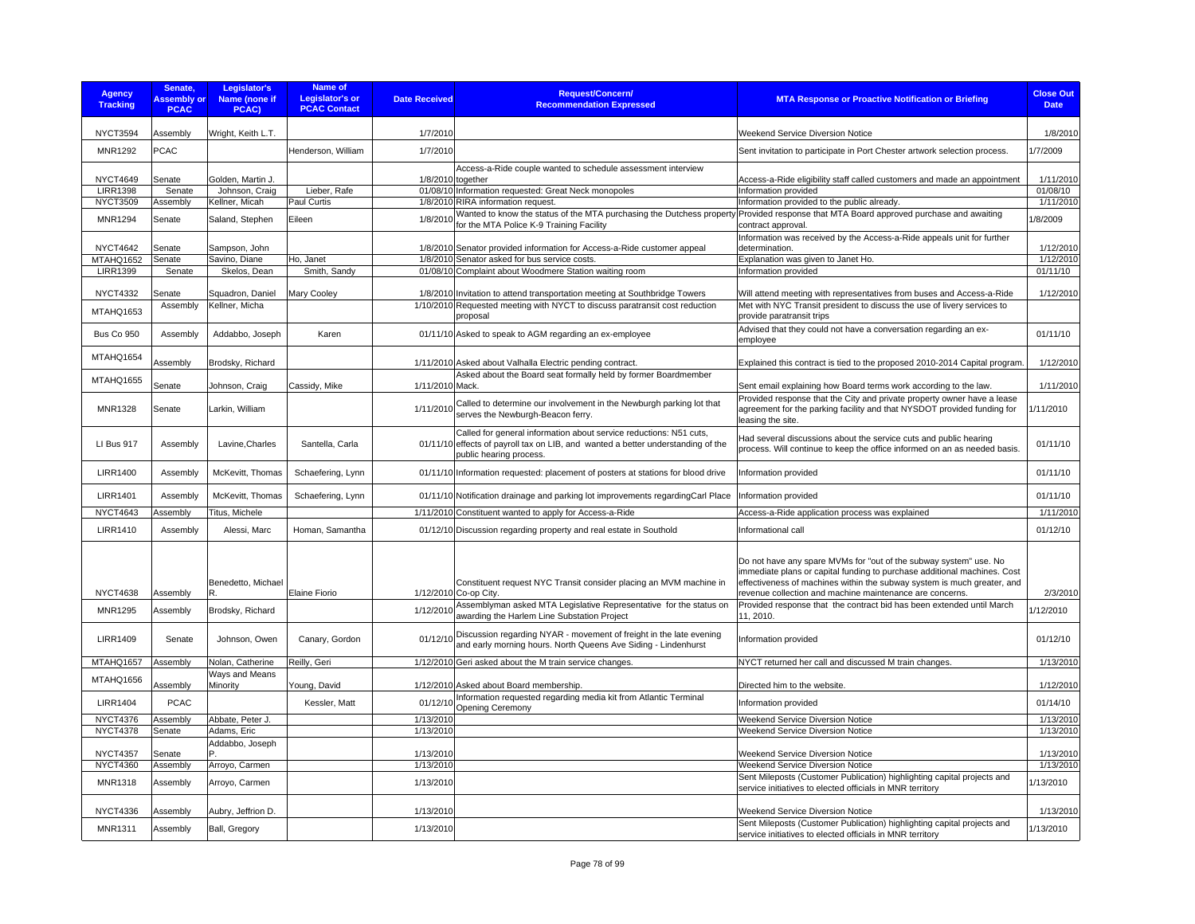| <b>Agency</b><br><b>Tracking</b> | Senate,<br><b>Assembly or</b><br><b>PCAC</b> | Legislator's<br>Name (none if<br>PCAC) | Name of<br><b>Legislator's or</b><br><b>PCAC Contact</b> | <b>Date Received</b> | <b>Request/Concern/</b><br><b>Recommendation Expressed</b>                                                                                                                        | <b>MTA Response or Proactive Notification or Briefing</b>                                                                                                                                                                                                                            | <b>Close Out</b><br><b>Date</b> |
|----------------------------------|----------------------------------------------|----------------------------------------|----------------------------------------------------------|----------------------|-----------------------------------------------------------------------------------------------------------------------------------------------------------------------------------|--------------------------------------------------------------------------------------------------------------------------------------------------------------------------------------------------------------------------------------------------------------------------------------|---------------------------------|
| NYCT3594                         | Assembly                                     | Wright, Keith L.T.                     |                                                          | 1/7/2010             |                                                                                                                                                                                   | <b>Weekend Service Diversion Notice</b>                                                                                                                                                                                                                                              | 1/8/2010                        |
| <b>MNR1292</b>                   | <b>PCAC</b>                                  |                                        | Henderson, William                                       | 1/7/2010             |                                                                                                                                                                                   | Sent invitation to participate in Port Chester artwork selection process.                                                                                                                                                                                                            | 1/7/2009                        |
| <b>NYCT4649</b>                  | Senate                                       | Golden, Martin J.                      |                                                          | 1/8/2010 together    | Access-a-Ride couple wanted to schedule assessment interview                                                                                                                      | Access-a-Ride eligibility staff called customers and made an appointment                                                                                                                                                                                                             | 1/11/2010                       |
| <b>LIRR1398</b>                  | Senate                                       | Johnson, Craig                         | Lieber, Rafe                                             |                      | 01/08/10 Information requested: Great Neck monopoles                                                                                                                              | Information provided                                                                                                                                                                                                                                                                 | 01/08/10                        |
| <b>NYCT3509</b>                  | Assembly                                     | Kellner, Micah                         | Paul Curtis                                              |                      | 1/8/2010 RIRA information request.                                                                                                                                                | Information provided to the public already.                                                                                                                                                                                                                                          | 1/11/2010                       |
| <b>MNR1294</b>                   | Senate                                       | Saland, Stephen                        | Eileen                                                   | 1/8/2010             | Wanted to know the status of the MTA purchasing the Dutchess property Provided response that MTA Board approved purchase and awaiting<br>for the MTA Police K-9 Training Facility | contract approval.                                                                                                                                                                                                                                                                   | 1/8/2009                        |
|                                  |                                              |                                        |                                                          |                      |                                                                                                                                                                                   | Information was received by the Access-a-Ride appeals unit for further                                                                                                                                                                                                               |                                 |
| <b>NYCT4642</b>                  | Senate                                       | Sampson, John                          |                                                          |                      | 1/8/2010 Senator provided information for Access-a-Ride customer appeal                                                                                                           | determination.                                                                                                                                                                                                                                                                       | 1/12/2010                       |
| MTAHQ1652                        | Senate                                       | Savino, Diane                          | Ho, Janet                                                |                      | 1/8/2010 Senator asked for bus service costs.                                                                                                                                     | Explanation was given to Janet Ho.                                                                                                                                                                                                                                                   | 1/12/2010                       |
| <b>LIRR1399</b>                  | Senate                                       | Skelos, Dean                           | Smith, Sandy                                             |                      | 01/08/10 Complaint about Woodmere Station waiting room                                                                                                                            | Information provided                                                                                                                                                                                                                                                                 | 01/11/10                        |
| <b>NYCT4332</b>                  |                                              |                                        |                                                          |                      |                                                                                                                                                                                   |                                                                                                                                                                                                                                                                                      |                                 |
|                                  | Senate                                       | Squadron, Daniel<br>Kellner, Micha     | <b>Mary Cooley</b>                                       |                      | 1/8/2010 Invitation to attend transportation meeting at Southbridge Towers                                                                                                        | Will attend meeting with representatives from buses and Access-a-Ride<br>Met with NYC Transit president to discuss the use of livery services to                                                                                                                                     | 1/12/2010                       |
| MTAHQ1653                        | Assembly                                     |                                        |                                                          |                      | 1/10/2010 Requested meeting with NYCT to discuss paratransit cost reduction<br>proposal                                                                                           | provide paratransit trips<br>Advised that they could not have a conversation regarding an ex-                                                                                                                                                                                        |                                 |
| <b>Bus Co 950</b>                | Assembly                                     | Addabbo, Joseph                        | Karen                                                    |                      | 01/11/10 Asked to speak to AGM regarding an ex-employee                                                                                                                           | employee                                                                                                                                                                                                                                                                             | 01/11/10                        |
| MTAHQ1654                        | Assembly                                     | Brodsky, Richard                       |                                                          |                      | 1/11/2010 Asked about Valhalla Electric pending contract.<br>Asked about the Board seat formally held by former Boardmember                                                       | Explained this contract is tied to the proposed 2010-2014 Capital program.                                                                                                                                                                                                           | 1/12/2010                       |
| MTAHQ1655                        | Senate                                       | Johnson, Craig                         | Cassidy, Mike                                            | 1/11/2010 Mack.      |                                                                                                                                                                                   | Sent email explaining how Board terms work according to the law.                                                                                                                                                                                                                     | 1/11/2010                       |
| <b>MNR1328</b>                   | Senate                                       | Larkin, William                        |                                                          | 1/11/2010            | Called to determine our involvement in the Newburgh parking lot that<br>serves the Newburgh-Beacon ferry.                                                                         | Provided response that the City and private property owner have a lease<br>agreement for the parking facility and that NYSDOT provided funding for<br>leasing the site.                                                                                                              | 1/11/2010                       |
| LI Bus 917                       | Assembly                                     | Lavine, Charles                        | Santella, Carla                                          |                      | Called for general information about service reductions: N51 cuts,<br>01/11/10 effects of payroll tax on LIB, and wanted a better understanding of the<br>public hearing process. | Had several discussions about the service cuts and public hearing<br>process. Will continue to keep the office informed on an as needed basis.                                                                                                                                       | 01/11/10                        |
| <b>LIRR1400</b>                  | Assembly                                     | McKevitt, Thomas                       | Schaefering, Lynn                                        |                      | 01/11/10 Information requested: placement of posters at stations for blood drive                                                                                                  | Information provided                                                                                                                                                                                                                                                                 | 01/11/10                        |
| <b>LIRR1401</b>                  | Assembly                                     | McKevitt, Thomas                       | Schaefering, Lynn                                        |                      | 01/11/10 Notification drainage and parking lot improvements regardingCarl Place                                                                                                   | Information provided                                                                                                                                                                                                                                                                 | 01/11/10                        |
| <b>NYCT4643</b>                  | Assembly                                     | Titus, Michele                         |                                                          |                      | 1/11/2010 Constituent wanted to apply for Access-a-Ride                                                                                                                           | Access-a-Ride application process was explained                                                                                                                                                                                                                                      | 1/11/2010                       |
| <b>LIRR1410</b>                  | Assembly                                     | Alessi, Marc                           | Homan, Samantha                                          |                      | 01/12/10 Discussion regarding property and real estate in Southold                                                                                                                | Informational call                                                                                                                                                                                                                                                                   | 01/12/10                        |
| <b>NYCT4638</b>                  | Assembly                                     | Benedetto, Michael<br>R.               | Elaine Fiorio                                            |                      | Constituent request NYC Transit consider placing an MVM machine in<br>1/12/2010 Co-op City.                                                                                       | Do not have any spare MVMs for "out of the subway system" use. No<br>immediate plans or capital funding to purchase additional machines. Cost<br>effectiveness of machines within the subway system is much greater, and<br>revenue collection and machine maintenance are concerns. | 2/3/2010                        |
| <b>MNR1295</b>                   | Assembly                                     | Brodsky, Richard                       |                                                          | 1/12/2010            | Assemblyman asked MTA Legislative Representative for the status on<br>awarding the Harlem Line Substation Project                                                                 | Provided response that the contract bid has been extended until March<br>11, 2010.                                                                                                                                                                                                   | 1/12/2010                       |
| <b>LIRR1409</b>                  | Senate                                       | Johnson, Owen                          | Canary, Gordon                                           | 01/12/10             | Discussion regarding NYAR - movement of freight in the late evening<br>and early morning hours. North Queens Ave Siding - Lindenhurst                                             | Information provided                                                                                                                                                                                                                                                                 | 01/12/10                        |
| MTAHQ1657                        | Assembly                                     | Nolan, Catherine                       | Reilly, Geri                                             |                      | 1/12/2010 Geri asked about the M train service changes.                                                                                                                           | NYCT returned her call and discussed M train changes                                                                                                                                                                                                                                 | 1/13/2010                       |
| MTAHQ1656                        | Assembly                                     | Ways and Means<br>Minority             | Young, David                                             |                      | 1/12/2010 Asked about Board membership.                                                                                                                                           | Directed him to the website.                                                                                                                                                                                                                                                         | 1/12/2010                       |
| <b>LIRR1404</b>                  | <b>PCAC</b>                                  |                                        | Kessler, Matt                                            | 01/12/10             | Information requested regarding media kit from Atlantic Terminal<br>Opening Ceremony                                                                                              | Information provided                                                                                                                                                                                                                                                                 | 01/14/10                        |
| <b>NYCT4376</b>                  | Assembly                                     | Abbate, Peter J.                       |                                                          | 1/13/2010            |                                                                                                                                                                                   | <b>Weekend Service Diversion Notice</b>                                                                                                                                                                                                                                              | 1/13/2010                       |
| <b>NYCT4378</b>                  | Senate                                       | Adams, Eric                            |                                                          | 1/13/2010            |                                                                                                                                                                                   | <b>Weekend Service Diversion Notice</b>                                                                                                                                                                                                                                              | 1/13/2010                       |
| <b>NYCT4357</b>                  | Senate                                       | Addabbo, Joseph                        |                                                          | 1/13/2010            |                                                                                                                                                                                   | <b>Weekend Service Diversion Notice</b>                                                                                                                                                                                                                                              | 1/13/2010                       |
| <b>NYCT4360</b>                  | Assembly                                     | Arroyo, Carmen                         |                                                          | 1/13/2010            |                                                                                                                                                                                   | Weekend Service Diversion Notice                                                                                                                                                                                                                                                     | 1/13/2010                       |
| <b>MNR1318</b>                   | Assembly                                     | Arroyo, Carmen                         |                                                          | 1/13/2010            |                                                                                                                                                                                   | Sent Mileposts (Customer Publication) highlighting capital projects and<br>service initiatives to elected officials in MNR territory                                                                                                                                                 | 1/13/2010                       |
| NYCT4336                         | Assembly                                     | Aubry, Jeffrion D.                     |                                                          | 1/13/2010            |                                                                                                                                                                                   | Weekend Service Diversion Notice                                                                                                                                                                                                                                                     | 1/13/2010                       |
| <b>MNR1311</b>                   | Assembly                                     | Ball, Gregory                          |                                                          | 1/13/2010            |                                                                                                                                                                                   | Sent Mileposts (Customer Publication) highlighting capital projects and<br>service initiatives to elected officials in MNR territory                                                                                                                                                 | 1/13/2010                       |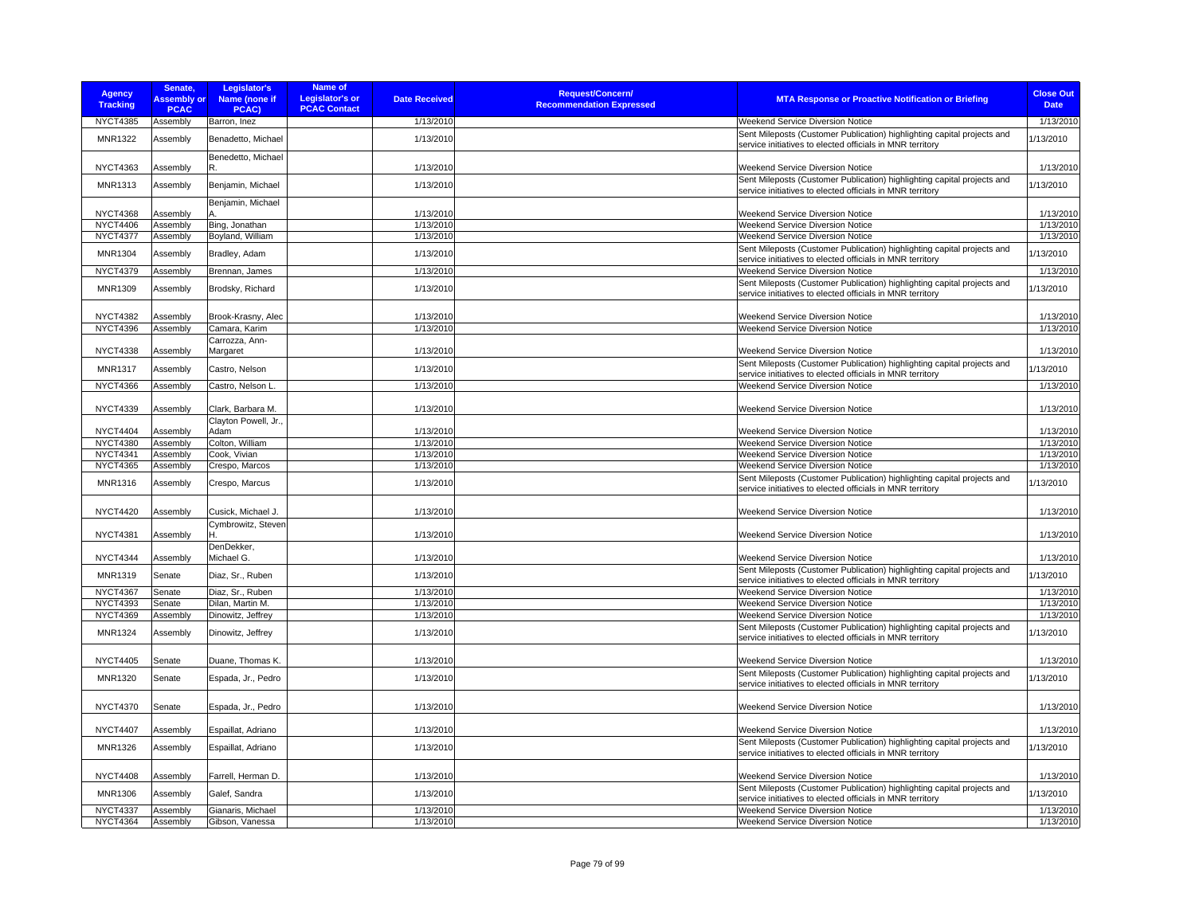| <b>Agency</b><br><b>Tracking</b>   | Senate,<br><b>Assembly or</b><br><b>PCAC</b> | Legislator's<br>Name (none if<br>PCAC) | <b>Name of</b><br><b>Legislator's or</b><br><b>PCAC Contact</b> | <b>Date Received</b>   | <b>Request/Concern/</b><br><b>Recommendation Expressed</b> | <b>MTA Response or Proactive Notification or Briefing</b>                                                                            | <b>Close Out</b><br><b>Date</b> |
|------------------------------------|----------------------------------------------|----------------------------------------|-----------------------------------------------------------------|------------------------|------------------------------------------------------------|--------------------------------------------------------------------------------------------------------------------------------------|---------------------------------|
| NYCT4385                           | Assembly                                     | Barron, Inez                           |                                                                 | 1/13/2010              |                                                            | Weekend Service Diversion Notice                                                                                                     | 1/13/2010                       |
| MNR1322                            | Assembly                                     | Benadetto, Michael                     |                                                                 | 1/13/2010              |                                                            | Sent Mileposts (Customer Publication) highlighting capital projects and<br>service initiatives to elected officials in MNR territory | 1/13/2010                       |
| <b>NYCT4363</b>                    | Assembly                                     | Benedetto, Michael<br>R.               |                                                                 | 1/13/2010              |                                                            | Weekend Service Diversion Notice                                                                                                     | 1/13/2010                       |
| <b>MNR1313</b>                     | Assembly                                     | Benjamin, Michael                      |                                                                 | 1/13/2010              |                                                            | Sent Mileposts (Customer Publication) highlighting capital projects and<br>service initiatives to elected officials in MNR territory | 1/13/2010                       |
|                                    |                                              | Benjamin, Michael                      |                                                                 |                        |                                                            |                                                                                                                                      |                                 |
| <b>NYCT4368</b>                    | Assembly                                     |                                        |                                                                 | 1/13/2010              |                                                            | <b>Weekend Service Diversion Notice</b>                                                                                              | 1/13/2010                       |
| <b>NYCT4406</b><br><b>NYCT4377</b> | Assembly                                     | Bing, Jonathan<br>Boyland, William     |                                                                 | 1/13/2010<br>1/13/2010 |                                                            | Weekend Service Diversion Notice<br>Weekend Service Diversion Notice                                                                 | 1/13/2010<br>1/13/2010          |
|                                    | Assembly                                     |                                        |                                                                 |                        |                                                            | Sent Mileposts (Customer Publication) highlighting capital projects and                                                              |                                 |
| <b>MNR1304</b><br><b>NYCT4379</b>  | Assembly                                     | Bradley, Adam                          |                                                                 | 1/13/2010<br>1/13/2010 |                                                            | service initiatives to elected officials in MNR territory<br>Weekend Service Diversion Notice                                        | 1/13/2010<br>1/13/2010          |
|                                    | Assembly                                     | Brennan, James                         |                                                                 |                        |                                                            |                                                                                                                                      |                                 |
| MNR1309                            | Assembly                                     | Brodsky, Richard                       |                                                                 | 1/13/2010              |                                                            | Sent Mileposts (Customer Publication) highlighting capital projects and<br>service initiatives to elected officials in MNR territory | 1/13/2010                       |
| <b>NYCT4382</b>                    | Assembly                                     | Brook-Krasny, Alec                     |                                                                 | 1/13/2010              |                                                            | Weekend Service Diversion Notice                                                                                                     | 1/13/2010                       |
| <b>NYCT4396</b>                    | Assembly                                     | Camara, Karim                          |                                                                 | 1/13/2010              |                                                            | Weekend Service Diversion Notice                                                                                                     | 1/13/2010                       |
| <b>NYCT4338</b>                    |                                              | Carrozza, Ann-<br>Margaret             |                                                                 | 1/13/2010              |                                                            | Weekend Service Diversion Notice                                                                                                     | 1/13/2010                       |
|                                    | Assembly                                     |                                        |                                                                 |                        |                                                            | Sent Mileposts (Customer Publication) highlighting capital projects and                                                              |                                 |
| <b>MNR1317</b>                     | Assembly                                     | Castro, Nelson                         |                                                                 | 1/13/2010              |                                                            | service initiatives to elected officials in MNR territory                                                                            | 1/13/2010                       |
| <b>NYCT4366</b>                    | Assembly                                     | Castro, Nelson L.                      |                                                                 | 1/13/2010              |                                                            | Weekend Service Diversion Notice                                                                                                     | 1/13/2010                       |
| <b>NYCT4339</b>                    | Assembly                                     | Clark, Barbara M.                      |                                                                 | 1/13/2010              |                                                            | Weekend Service Diversion Notice                                                                                                     | 1/13/2010                       |
|                                    |                                              | Clayton Powell, Jr                     |                                                                 |                        |                                                            |                                                                                                                                      |                                 |
| <b>NYCT4404</b><br><b>NYCT4380</b> | Assembly<br>Assembly                         | Adam<br>Colton, William                |                                                                 | 1/13/2010<br>1/13/2010 |                                                            | <b>Weekend Service Diversion Notice</b><br>Weekend Service Diversion Notice                                                          | 1/13/2010<br>1/13/2010          |
| <b>NYCT4341</b>                    | Assembly                                     | Cook, Vivian                           |                                                                 | 1/13/2010              |                                                            | Weekend Service Diversion Notice                                                                                                     | 1/13/2010                       |
| <b>NYCT4365</b>                    | Assembly                                     | Crespo, Marcos                         |                                                                 | 1/13/2010              |                                                            | Weekend Service Diversion Notice                                                                                                     | 1/13/2010                       |
| <b>MNR1316</b>                     | Assembly                                     | Crespo, Marcus                         |                                                                 | 1/13/2010              |                                                            | Sent Mileposts (Customer Publication) highlighting capital projects and<br>service initiatives to elected officials in MNR territory | 1/13/2010                       |
| <b>NYCT4420</b>                    | Assembly                                     | Cusick, Michael J.                     |                                                                 | 1/13/2010              |                                                            | <b>Weekend Service Diversion Notice</b>                                                                                              | 1/13/2010                       |
| <b>NYCT4381</b>                    | Assembly                                     | Cymbrowitz, Steven                     |                                                                 | 1/13/2010              |                                                            | <b>Weekend Service Diversion Notice</b>                                                                                              | 1/13/2010                       |
|                                    |                                              | DenDekker,                             |                                                                 |                        |                                                            |                                                                                                                                      |                                 |
| <b>NYCT4344</b>                    | Assembly                                     | Michael G.                             |                                                                 | 1/13/2010              |                                                            | Weekend Service Diversion Notice                                                                                                     | 1/13/2010                       |
| MNR1319                            | Senate                                       | Diaz, Sr., Ruben                       |                                                                 | 1/13/2010              |                                                            | Sent Mileposts (Customer Publication) highlighting capital projects and<br>service initiatives to elected officials in MNR territory | 1/13/2010                       |
| <b>NYCT4367</b>                    | Senate                                       | Diaz, Sr., Ruben                       |                                                                 | 1/13/2010              |                                                            | Weekend Service Diversion Notice                                                                                                     | 1/13/2010                       |
| <b>NYCT4393</b>                    | Senate                                       | Dilan, Martin M.                       |                                                                 | 1/13/2010              |                                                            | Weekend Service Diversion Notice                                                                                                     | 1/13/2010                       |
| <b>NYCT4369</b>                    | Assembly                                     | Dinowitz, Jeffrey                      |                                                                 | 1/13/2010              |                                                            | Weekend Service Diversion Notice                                                                                                     | 1/13/2010                       |
| <b>MNR1324</b>                     | Assembly                                     | Dinowitz, Jeffrey                      |                                                                 | 1/13/2010              |                                                            | Sent Mileposts (Customer Publication) highlighting capital projects and<br>service initiatives to elected officials in MNR territory | 1/13/2010                       |
| <b>NYCT4405</b>                    | Senate                                       | Duane, Thomas K.                       |                                                                 | 1/13/2010              |                                                            | Weekend Service Diversion Notice                                                                                                     | 1/13/2010                       |
| MNR1320                            | Senate                                       | Espada, Jr., Pedro                     |                                                                 | 1/13/2010              |                                                            | Sent Mileposts (Customer Publication) highlighting capital projects and<br>service initiatives to elected officials in MNR territory | 1/13/2010                       |
| <b>NYCT4370</b>                    | Senate                                       | Espada, Jr., Pedro                     |                                                                 | 1/13/2010              |                                                            | Weekend Service Diversion Notice                                                                                                     | 1/13/2010                       |
| <b>NYCT4407</b>                    | Assembly                                     | Espaillat, Adriano                     |                                                                 | 1/13/2010              |                                                            | Weekend Service Diversion Notice                                                                                                     | 1/13/2010                       |
| MNR1326                            | Assembly                                     | Espaillat, Adriano                     |                                                                 | 1/13/2010              |                                                            | Sent Mileposts (Customer Publication) highlighting capital projects and<br>service initiatives to elected officials in MNR territory | 1/13/2010                       |
| <b>NYCT4408</b>                    | Assembly                                     | Farrell, Herman D.                     |                                                                 | 1/13/2010              |                                                            | Weekend Service Diversion Notice                                                                                                     | 1/13/2010                       |
| <b>MNR1306</b>                     | Assembly                                     | Galef, Sandra                          |                                                                 | 1/13/2010              |                                                            | Sent Mileposts (Customer Publication) highlighting capital projects and<br>service initiatives to elected officials in MNR territory | 1/13/2010                       |
| <b>NYCT4337</b>                    | Assembly                                     | Gianaris, Michael                      |                                                                 | 1/13/2010              |                                                            | Weekend Service Diversion Notice                                                                                                     | 1/13/2010                       |
| <b>NYCT4364</b>                    | Assembly                                     | Gibson, Vanessa                        |                                                                 | 1/13/2010              |                                                            | Weekend Service Diversion Notice                                                                                                     | 1/13/2010                       |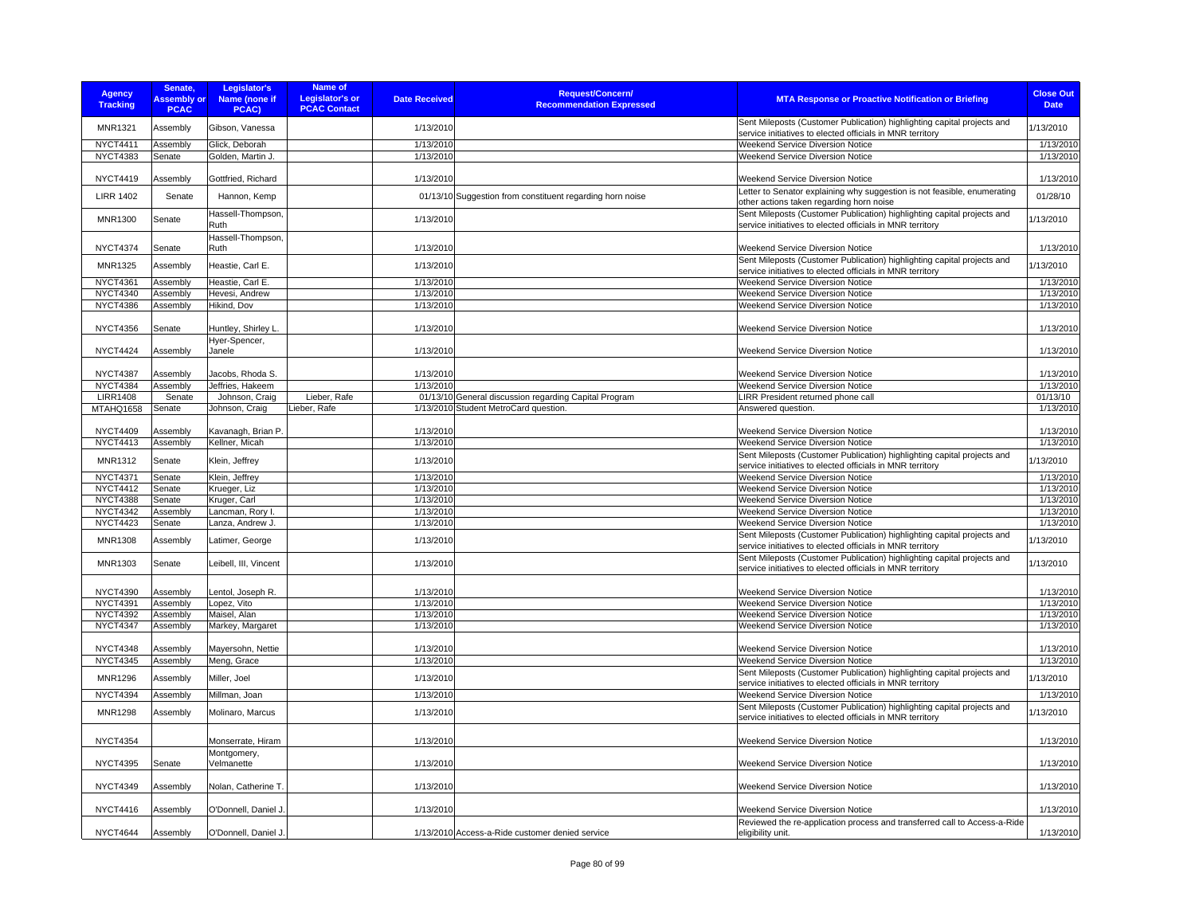| <b>Agency</b><br><b>Tracking</b> | Senate,<br><b>Assembly or</b><br><b>PCAC</b> | Legislator's<br>Name (none if<br>PCAC) | Name of<br>Legislator's or<br><b>PCAC Contact</b> | <b>Date Received</b> | <b>Request/Concern/</b><br><b>Recommendation Expressed</b> | <b>MTA Response or Proactive Notification or Briefing</b>                                                                            | <b>Close Out</b><br><b>Date</b> |
|----------------------------------|----------------------------------------------|----------------------------------------|---------------------------------------------------|----------------------|------------------------------------------------------------|--------------------------------------------------------------------------------------------------------------------------------------|---------------------------------|
| <b>MNR1321</b>                   | Assembly                                     | Gibson, Vanessa                        |                                                   | 1/13/2010            |                                                            | Sent Mileposts (Customer Publication) highlighting capital projects and<br>service initiatives to elected officials in MNR territory | 1/13/2010                       |
| <b>NYCT4411</b>                  | Assembly                                     | Glick, Deborah                         |                                                   | 1/13/2010            |                                                            | Weekend Service Diversion Notice                                                                                                     | 1/13/2010                       |
| <b>NYCT4383</b>                  | Senate                                       | Golden, Martin J.                      |                                                   | 1/13/2010            |                                                            | Weekend Service Diversion Notice                                                                                                     | 1/13/2010                       |
| <b>NYCT4419</b>                  | Assembly                                     | Gottfried, Richard                     |                                                   | 1/13/2010            |                                                            | Weekend Service Diversion Notice                                                                                                     | 1/13/2010                       |
|                                  |                                              |                                        |                                                   |                      |                                                            | Letter to Senator explaining why suggestion is not feasible, enumerating                                                             |                                 |
| <b>LIRR 1402</b>                 | Senate                                       | Hannon, Kemp                           |                                                   | 01/13/10             | Suggestion from constituent regarding horn noise           | other actions taken regarding horn noise                                                                                             | 01/28/10                        |
| <b>MNR1300</b>                   | Senate                                       | Hassell-Thompson,<br>Ruth              |                                                   | 1/13/2010            |                                                            | Sent Mileposts (Customer Publication) highlighting capital projects and<br>service initiatives to elected officials in MNR territory | 1/13/2010                       |
| <b>NYCT4374</b>                  | Senate                                       | Hassell-Thompson,<br>Ruth              |                                                   | 1/13/2010            |                                                            | Weekend Service Diversion Notice                                                                                                     | 1/13/2010                       |
| <b>MNR1325</b>                   | Assembly                                     | Heastie, Carl E.                       |                                                   | 1/13/2010            |                                                            | Sent Mileposts (Customer Publication) highlighting capital projects and<br>service initiatives to elected officials in MNR territory | 1/13/2010                       |
| <b>NYCT4361</b>                  | Assembly                                     | Heastie, Carl E.                       |                                                   | 1/13/2010            |                                                            | <b>Weekend Service Diversion Notice</b>                                                                                              | 1/13/2010                       |
| <b>NYCT4340</b>                  | Assembly                                     | Hevesi, Andrew                         |                                                   | 1/13/2010            |                                                            | <b>Weekend Service Diversion Notice</b>                                                                                              | 1/13/2010                       |
| <b>NYCT4386</b>                  | Assembly                                     | Hikind, Dov                            |                                                   | 1/13/2010            |                                                            | <b>Weekend Service Diversion Notice</b>                                                                                              | 1/13/2010                       |
| <b>NYCT4356</b>                  | Senate                                       | Huntley, Shirley L.                    |                                                   | 1/13/2010            |                                                            | Weekend Service Diversion Notice                                                                                                     | 1/13/2010                       |
| <b>NYCT4424</b>                  | Assembly                                     | Hyer-Spencer,<br>Janele                |                                                   | 1/13/2010            |                                                            | <b>Weekend Service Diversion Notice</b>                                                                                              | 1/13/2010                       |
|                                  |                                              |                                        |                                                   |                      |                                                            |                                                                                                                                      |                                 |
| <b>NYCT4387</b>                  | Assembly                                     | Jacobs, Rhoda S.                       |                                                   | 1/13/2010            |                                                            | Weekend Service Diversion Notice                                                                                                     | 1/13/2010                       |
| <b>NYCT4384</b>                  | Assembly                                     | Jeffries, Hakeem                       |                                                   | 1/13/2010            |                                                            | Weekend Service Diversion Notice                                                                                                     | 1/13/2010                       |
| <b>LIRR1408</b>                  | Senate                                       | Johnson, Craig                         | Lieber, Rafe                                      |                      | 01/13/10 General discussion regarding Capital Program      | LIRR President returned phone call                                                                                                   | 01/13/10                        |
| MTAHQ1658                        | Senate                                       | Johnson, Craig                         | Lieber, Rafe                                      |                      | 1/13/2010 Student MetroCard question.                      | Answered question.                                                                                                                   | 1/13/2010                       |
|                                  |                                              |                                        |                                                   |                      |                                                            |                                                                                                                                      |                                 |
| <b>NYCT4409</b>                  | Assembly                                     | Kavanagh, Brian P.                     |                                                   | 1/13/2010            |                                                            | Weekend Service Diversion Notice                                                                                                     | 1/13/2010                       |
| <b>NYCT4413</b>                  | Assembly                                     | Kellner, Micah                         |                                                   | 1/13/2010            |                                                            | Weekend Service Diversion Notice                                                                                                     | 1/13/2010                       |
| <b>MNR1312</b>                   | Senate                                       | Klein, Jeffrey                         |                                                   | 1/13/2010            |                                                            | Sent Mileposts (Customer Publication) highlighting capital projects and<br>service initiatives to elected officials in MNR territory | 1/13/2010                       |
| <b>NYCT4371</b>                  | Senate                                       | Klein, Jeffrey                         |                                                   | 1/13/2010            |                                                            | <b>Weekend Service Diversion Notice</b>                                                                                              | 1/13/2010                       |
| <b>NYCT4412</b>                  | Senate                                       | Krueger, Liz                           |                                                   | 1/13/2010            |                                                            | Weekend Service Diversion Notice                                                                                                     | 1/13/2010                       |
| <b>NYCT4388</b>                  | Senate                                       | Kruger, Carl                           |                                                   | 1/13/2010            |                                                            | <b>Weekend Service Diversion Notice</b>                                                                                              | 1/13/2010                       |
| <b>NYCT4342</b>                  | Assembly                                     | Lancman, Rory I.                       |                                                   | 1/13/2010            |                                                            | Weekend Service Diversion Notice                                                                                                     | 1/13/2010                       |
| <b>NYCT4423</b>                  | Senate                                       | Lanza, Andrew J.                       |                                                   | 1/13/2010            |                                                            | Weekend Service Diversion Notice                                                                                                     | 1/13/2010                       |
| <b>MNR1308</b>                   | Assembly                                     | Latimer, George                        |                                                   | 1/13/2010            |                                                            | Sent Mileposts (Customer Publication) highlighting capital projects and<br>service initiatives to elected officials in MNR territory | 1/13/2010                       |
| <b>MNR1303</b>                   | Senate                                       | Leibell, III, Vincent                  |                                                   | 1/13/2010            |                                                            | Sent Mileposts (Customer Publication) highlighting capital projects and<br>service initiatives to elected officials in MNR territory | 1/13/2010                       |
| <b>NYCT4390</b>                  | Assembly                                     | Lentol, Joseph R.                      |                                                   | 1/13/2010            |                                                            | <b>Weekend Service Diversion Notice</b>                                                                                              | 1/13/2010                       |
| <b>NYCT4391</b>                  | Assembly                                     | Lopez, Vito                            |                                                   | 1/13/2010            |                                                            | <b>Weekend Service Diversion Notice</b>                                                                                              | 1/13/2010                       |
| <b>NYCT4392</b>                  | Assembly                                     | Maisel, Alan                           |                                                   | 1/13/2010            |                                                            | Weekend Service Diversion Notice                                                                                                     | 1/13/2010                       |
| <b>NYCT4347</b>                  | Assembly                                     | Markey, Margaret                       |                                                   | 1/13/2010            |                                                            | Weekend Service Diversion Notice                                                                                                     | 1/13/2010                       |
| <b>NYCT4348</b>                  | Assembly                                     | Mayersohn, Nettie                      |                                                   | 1/13/2010            |                                                            | <b>Weekend Service Diversion Notice</b>                                                                                              | 1/13/2010                       |
| <b>NYCT4345</b>                  | Assembly                                     | Meng, Grace                            |                                                   | 1/13/2010            |                                                            | <b>Weekend Service Diversion Notice</b>                                                                                              | 1/13/2010                       |
| <b>MNR1296</b>                   | Assembly                                     | Miller, Joel                           |                                                   | 1/13/2010            |                                                            | Sent Mileposts (Customer Publication) highlighting capital projects and<br>service initiatives to elected officials in MNR territory | 1/13/2010                       |
| <b>NYCT4394</b>                  | Assembly                                     | Millman, Joan                          |                                                   | 1/13/2010            |                                                            | <b>Weekend Service Diversion Notice</b>                                                                                              | 1/13/2010                       |
| <b>MNR1298</b>                   | Assembly                                     | Molinaro, Marcus                       |                                                   | 1/13/2010            |                                                            | Sent Mileposts (Customer Publication) highlighting capital projects and<br>service initiatives to elected officials in MNR territory | 1/13/2010                       |
| <b>NYCT4354</b>                  |                                              | Monserrate, Hiram                      |                                                   | 1/13/2010            |                                                            | Weekend Service Diversion Notice                                                                                                     | 1/13/2010                       |
| <b>NYCT4395</b>                  | Senate                                       | Montgomery,<br>Velmanette              |                                                   | 1/13/2010            |                                                            | Weekend Service Diversion Notice                                                                                                     | 1/13/2010                       |
| <b>NYCT4349</b>                  | Assembly                                     | Nolan, Catherine T.                    |                                                   | 1/13/2010            |                                                            | Weekend Service Diversion Notice                                                                                                     | 1/13/2010                       |
| <b>NYCT4416</b>                  | Assembly                                     | O'Donnell, Daniel J.                   |                                                   | 1/13/2010            |                                                            | <b>Weekend Service Diversion Notice</b>                                                                                              | 1/13/2010                       |
|                                  |                                              |                                        |                                                   |                      |                                                            | Reviewed the re-application process and transferred call to Access-a-Ride                                                            |                                 |
| <b>NYCT4644</b>                  | Assembly                                     | O'Donnell, Daniel J.                   |                                                   |                      | 1/13/2010 Access-a-Ride customer denied service            | eligibility unit.                                                                                                                    | 1/13/2010                       |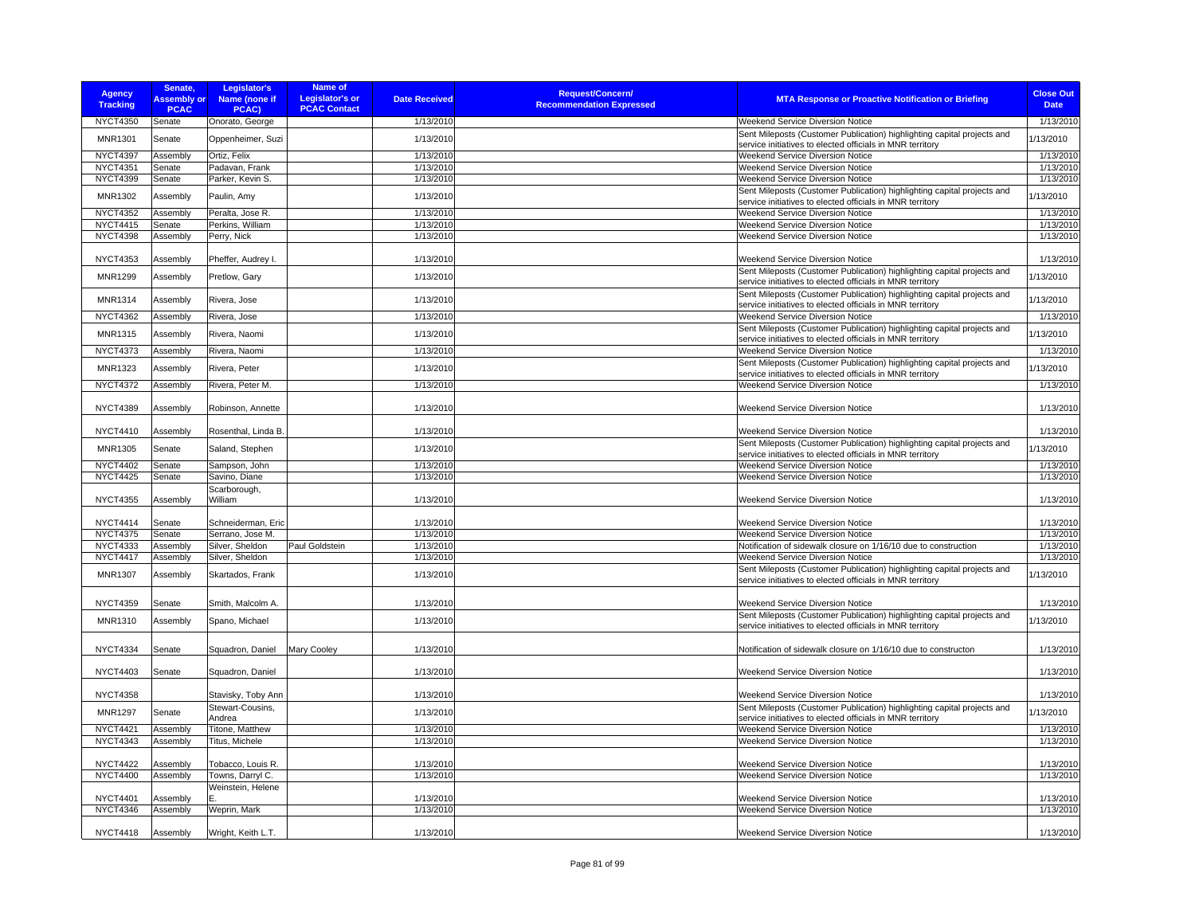| <b>Agency</b><br><b>Tracking</b> | Senate,<br><b>Assembly or</b><br><b>PCAC</b> | Legislator's<br>Name (none if<br>PCAC) | Name of<br><b>Legislator's or</b><br><b>PCAC Contact</b> | <b>Date Received</b> | <b>Request/Concern/</b><br><b>Recommendation Expressed</b> | <b>MTA Response or Proactive Notification or Briefing</b>                                                                            | <b>Close Out</b><br><b>Date</b> |
|----------------------------------|----------------------------------------------|----------------------------------------|----------------------------------------------------------|----------------------|------------------------------------------------------------|--------------------------------------------------------------------------------------------------------------------------------------|---------------------------------|
| <b>NYCT4350</b>                  | Senate                                       | Onorato, George                        |                                                          | 1/13/2010            |                                                            | Weekend Service Diversion Notice                                                                                                     | 1/13/2010                       |
| <b>MNR1301</b>                   | Senate                                       | Oppenheimer, Suzi                      |                                                          | 1/13/2010            |                                                            | Sent Mileposts (Customer Publication) highlighting capital projects and<br>service initiatives to elected officials in MNR territory | 1/13/2010                       |
| <b>NYCT4397</b>                  | Assembly                                     | Ortiz, Felix                           |                                                          | 1/13/2010            |                                                            | Weekend Service Diversion Notice                                                                                                     | 1/13/2010                       |
| <b>NYCT4351</b>                  | Senate                                       | Padavan, Frank                         |                                                          | 1/13/2010            |                                                            | <b>Weekend Service Diversion Notice</b>                                                                                              | 1/13/2010                       |
| <b>NYCT4399</b>                  | Senate                                       | Parker, Kevin S.                       |                                                          | 1/13/2010            |                                                            | <b>Weekend Service Diversion Notice</b>                                                                                              | 1/13/2010                       |
| MNR1302                          | Assembly                                     | Paulin, Amy                            |                                                          | 1/13/2010            |                                                            | Sent Mileposts (Customer Publication) highlighting capital projects and<br>service initiatives to elected officials in MNR territory | 1/13/2010                       |
| <b>NYCT4352</b>                  | Assembly                                     | Peralta, Jose R.                       |                                                          | 1/13/2010            |                                                            | <b>Weekend Service Diversion Notice</b>                                                                                              | 1/13/2010                       |
| <b>NYCT4415</b>                  | Senate                                       | Perkins, William                       |                                                          | 1/13/2010            |                                                            | <b>Weekend Service Diversion Notice</b>                                                                                              | 1/13/2010                       |
| <b>NYCT4398</b>                  | Assembly                                     | Perry, Nick                            |                                                          | 1/13/2010            |                                                            | <b>Weekend Service Diversion Notice</b>                                                                                              | 1/13/2010                       |
| <b>NYCT4353</b>                  | Assembly                                     | Pheffer, Audrey I.                     |                                                          | 1/13/2010            |                                                            | Weekend Service Diversion Notice                                                                                                     | 1/13/2010                       |
| <b>MNR1299</b>                   | Assembly                                     | Pretlow, Gary                          |                                                          | 1/13/2010            |                                                            | Sent Mileposts (Customer Publication) highlighting capital projects and<br>service initiatives to elected officials in MNR territory | 1/13/2010                       |
| MNR1314                          | Assembly                                     | Rivera, Jose                           |                                                          | 1/13/2010            |                                                            | Sent Mileposts (Customer Publication) highlighting capital projects and<br>service initiatives to elected officials in MNR territory | 1/13/2010                       |
| <b>NYCT4362</b>                  | Assembly                                     | Rivera, Jose                           |                                                          | 1/13/2010            |                                                            | Weekend Service Diversion Notice                                                                                                     | 1/13/2010                       |
| <b>MNR1315</b>                   | Assembly                                     | Rivera, Naomi                          |                                                          | 1/13/2010            |                                                            | Sent Mileposts (Customer Publication) highlighting capital projects and<br>service initiatives to elected officials in MNR territory | 1/13/2010                       |
| <b>NYCT4373</b>                  | Assembly                                     | Rivera, Naomi                          |                                                          | 1/13/2010            |                                                            | Weekend Service Diversion Notice                                                                                                     | 1/13/2010                       |
| <b>MNR1323</b>                   | Assembly                                     | Rivera, Peter                          |                                                          | 1/13/2010            |                                                            | Sent Mileposts (Customer Publication) highlighting capital projects and<br>service initiatives to elected officials in MNR territory | 1/13/2010                       |
| <b>NYCT4372</b>                  | Assembly                                     | Rivera, Peter M.                       |                                                          | 1/13/2010            |                                                            | Weekend Service Diversion Notice                                                                                                     | 1/13/2010                       |
| <b>NYCT4389</b>                  | Assembly                                     | Robinson, Annette                      |                                                          | 1/13/2010            |                                                            | <b>Weekend Service Diversion Notice</b>                                                                                              | 1/13/2010                       |
| <b>NYCT4410</b>                  | Assembly                                     | Rosenthal, Linda B.                    |                                                          | 1/13/2010            |                                                            | Weekend Service Diversion Notice                                                                                                     | 1/13/2010                       |
| MNR1305                          | Senate                                       | Saland, Stephen                        |                                                          | 1/13/2010            |                                                            | Sent Mileposts (Customer Publication) highlighting capital projects and<br>service initiatives to elected officials in MNR territory | 1/13/2010                       |
| <b>NYCT4402</b>                  | Senate                                       | Sampson, John                          |                                                          | 1/13/2010            |                                                            | <b>Weekend Service Diversion Notice</b>                                                                                              | 1/13/2010                       |
| <b>NYCT4425</b>                  | Senate                                       | Savino, Diane                          |                                                          | 1/13/2010            |                                                            | <b>Weekend Service Diversion Notice</b>                                                                                              | 1/13/2010                       |
| <b>NYCT4355</b>                  | Assembly                                     | Scarborough,<br>William                |                                                          | 1/13/2010            |                                                            | <b>Weekend Service Diversion Notice</b>                                                                                              | 1/13/2010                       |
| <b>NYCT4414</b>                  | Senate                                       | Schneiderman, Eric                     |                                                          | 1/13/2010            |                                                            | <b>Weekend Service Diversion Notice</b>                                                                                              | 1/13/2010                       |
| <b>NYCT4375</b>                  | Senate                                       | Serrano, Jose M.                       |                                                          | 1/13/2010            |                                                            | <b>Weekend Service Diversion Notice</b>                                                                                              | 1/13/2010                       |
| <b>NYCT4333</b>                  | Assembly                                     | Silver, Sheldon                        | Paul Goldstein                                           | 1/13/2010            |                                                            | Notification of sidewalk closure on 1/16/10 due to construction                                                                      | 1/13/2010                       |
| <b>NYCT4417</b>                  | Assembly                                     | Silver, Sheldon                        |                                                          | 1/13/2010            |                                                            | <b>Weekend Service Diversion Notice</b>                                                                                              | 1/13/2010                       |
| <b>MNR1307</b>                   | Assembly                                     | Skartados, Frank                       |                                                          | 1/13/2010            |                                                            | Sent Mileposts (Customer Publication) highlighting capital projects and<br>service initiatives to elected officials in MNR territory | 1/13/2010                       |
| <b>NYCT4359</b>                  | Senate                                       | Smith, Malcolm A.                      |                                                          | 1/13/2010            |                                                            | Weekend Service Diversion Notice                                                                                                     | 1/13/2010                       |
| <b>MNR1310</b>                   | Assembly                                     | Spano, Michael                         |                                                          | 1/13/2010            |                                                            | Sent Mileposts (Customer Publication) highlighting capital projects and                                                              | 1/13/2010                       |
|                                  |                                              |                                        |                                                          |                      |                                                            | service initiatives to elected officials in MNR territory                                                                            |                                 |
| <b>NYCT4334</b>                  | Senate                                       | Squadron, Daniel                       | Mary Cooley                                              | 1/13/2010            |                                                            | Notification of sidewalk closure on 1/16/10 due to constructon                                                                       | 1/13/2010                       |
| <b>NYCT4403</b>                  | Senate                                       | Squadron, Daniel                       |                                                          | 1/13/2010            |                                                            | Weekend Service Diversion Notice                                                                                                     | 1/13/2010                       |
| <b>NYCT4358</b>                  |                                              | Stavisky, Toby Ann                     |                                                          | 1/13/2010            |                                                            | Weekend Service Diversion Notice                                                                                                     | 1/13/2010                       |
| <b>MNR1297</b>                   | Senate                                       | Stewart-Cousins,<br>Andrea             |                                                          | 1/13/2010            |                                                            | Sent Mileposts (Customer Publication) highlighting capital projects and<br>service initiatives to elected officials in MNR territory | 1/13/2010                       |
| <b>NYCT4421</b>                  | Assembly                                     | Titone, Matthew                        |                                                          | 1/13/2010            |                                                            | <b>Weekend Service Diversion Notice</b>                                                                                              | 1/13/2010                       |
| <b>NYCT4343</b>                  | Assembly                                     | Titus, Michele                         |                                                          | 1/13/2010            |                                                            | <b>Weekend Service Diversion Notice</b>                                                                                              | 1/13/2010                       |
| <b>NYCT4422</b>                  | Assembly                                     | Tobacco, Louis R.                      |                                                          | 1/13/2010            |                                                            | <b>Weekend Service Diversion Notice</b>                                                                                              | 1/13/2010                       |
| <b>NYCT4400</b>                  | Assembly                                     | Towns, Darryl C.                       |                                                          | 1/13/2010            |                                                            | Weekend Service Diversion Notice                                                                                                     | 1/13/2010                       |
|                                  |                                              | Weinstein, Helene                      |                                                          |                      |                                                            |                                                                                                                                      |                                 |
| NYCT4401                         | Assembly                                     |                                        |                                                          | 1/13/2010            |                                                            | <b>Weekend Service Diversion Notice</b>                                                                                              | 1/13/2010                       |
| <b>NYCT4346</b>                  | Assembly                                     | Weprin, Mark                           |                                                          | 1/13/2010            |                                                            | <b>Weekend Service Diversion Notice</b>                                                                                              | 1/13/2010                       |
| <b>NYCT4418</b>                  | Assembly                                     | Wright, Keith L.T.                     |                                                          | 1/13/2010            |                                                            | <b>Weekend Service Diversion Notice</b>                                                                                              | 1/13/2010                       |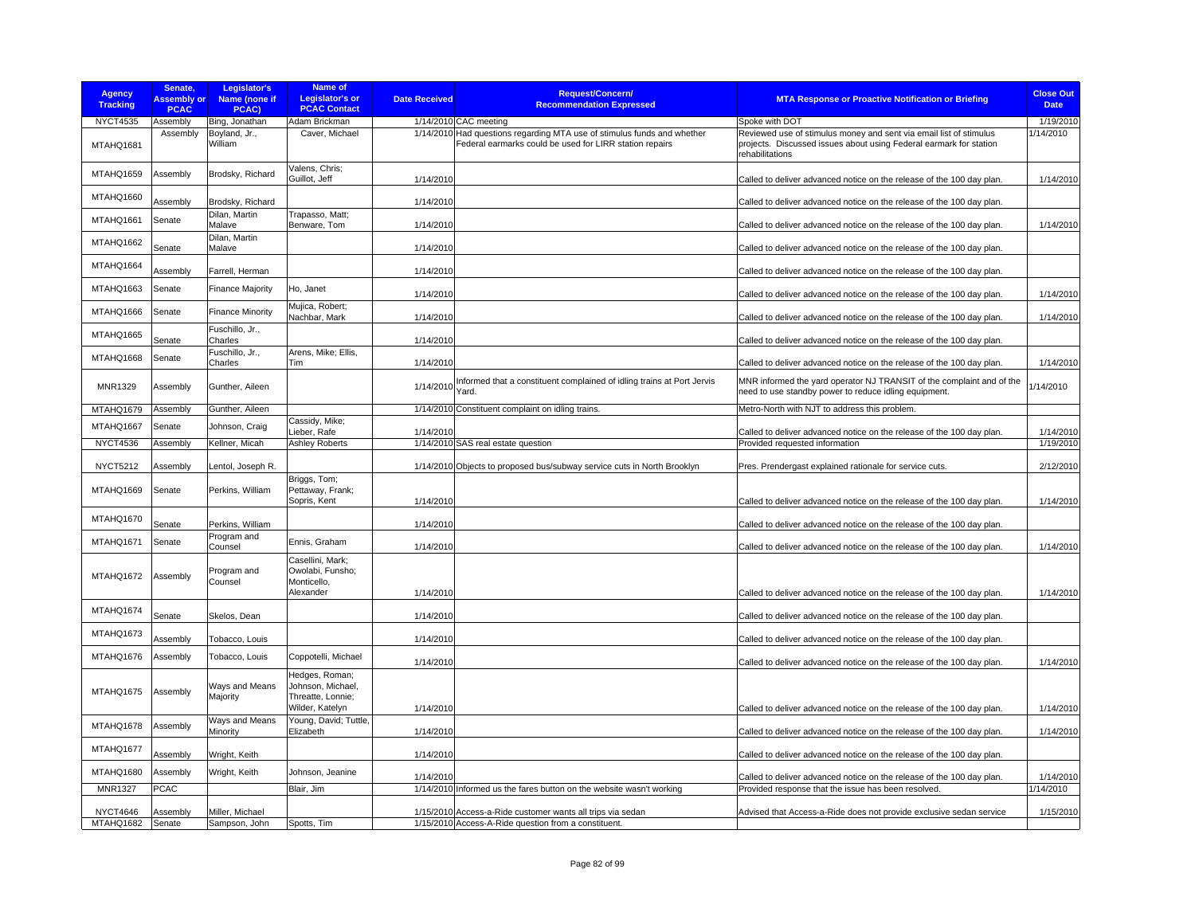| <b>Agency</b><br><b>Tracking</b> | Senate,<br><b>Assembly or</b><br><b>PCAC</b> | Legislator's<br>Name (none if<br>PCAC) | <b>Name of</b><br><b>Legislator's or</b><br><b>PCAC Contact</b>             | <b>Date Received</b>  | <b>Request/Concern/</b><br><b>Recommendation Expressed</b>                                                                         | <b>MTA Response or Proactive Notification or Briefing</b>                                                                                                   | <b>Close Out</b><br><b>Date</b> |
|----------------------------------|----------------------------------------------|----------------------------------------|-----------------------------------------------------------------------------|-----------------------|------------------------------------------------------------------------------------------------------------------------------------|-------------------------------------------------------------------------------------------------------------------------------------------------------------|---------------------------------|
| <b>NYCT4535</b>                  | Assembly                                     | Bing, Jonathan                         | Adam Brickman                                                               | 1/14/2010 CAC meeting |                                                                                                                                    | Spoke with DOT                                                                                                                                              | 1/19/2010                       |
| MTAHQ1681                        | Assembly                                     | Boyland, Jr.,<br>William               | Caver, Michael                                                              |                       | 1/14/2010 Had questions regarding MTA use of stimulus funds and whether<br>Federal earmarks could be used for LIRR station repairs | Reviewed use of stimulus money and sent via email list of stimulus<br>projects. Discussed issues about using Federal earmark for station<br>rehabilitations | 1/14/2010                       |
| MTAHQ1659                        | Assembly                                     | Brodsky, Richard                       | Valens, Chris;<br>Guillot, Jeff                                             | 1/14/2010             |                                                                                                                                    | Called to deliver advanced notice on the release of the 100 day plan.                                                                                       | 1/14/2010                       |
| MTAHQ1660                        | Assembly                                     | Brodsky, Richard                       |                                                                             | 1/14/2010             |                                                                                                                                    | Called to deliver advanced notice on the release of the 100 day plan.                                                                                       |                                 |
| MTAHQ1661                        | Senate                                       | Dilan, Martin<br>Malave                | Trapasso, Matt;<br>Benware, Tom                                             | 1/14/2010             |                                                                                                                                    | Called to deliver advanced notice on the release of the 100 day plan.                                                                                       | 1/14/2010                       |
| MTAHQ1662                        | Senate                                       | Dilan, Martin<br>Malave                |                                                                             | 1/14/2010             |                                                                                                                                    | Called to deliver advanced notice on the release of the 100 day plan.                                                                                       |                                 |
| MTAHQ1664                        | Assembly                                     | Farrell, Herman                        |                                                                             | 1/14/2010             |                                                                                                                                    | Called to deliver advanced notice on the release of the 100 day plan.                                                                                       |                                 |
| MTAHQ1663                        | Senate                                       | <b>Finance Majority</b>                | Ho, Janet                                                                   | 1/14/2010             |                                                                                                                                    | Called to deliver advanced notice on the release of the 100 day plan.                                                                                       | 1/14/2010                       |
| MTAHQ1666                        | Senate                                       | <b>Finance Minority</b>                | Mujica, Robert;<br>Nachbar, Mark                                            | 1/14/2010             |                                                                                                                                    | Called to deliver advanced notice on the release of the 100 day plan.                                                                                       | 1/14/2010                       |
| MTAHQ1665                        | Senate                                       | Fuschillo, Jr.,<br>Charles             |                                                                             | 1/14/2010             |                                                                                                                                    | Called to deliver advanced notice on the release of the 100 day plan.                                                                                       |                                 |
| MTAHQ1668                        | Senate                                       | Fuschillo, Jr.,<br>Charles             | Arens, Mike; Ellis,<br>Tim                                                  | 1/14/2010             |                                                                                                                                    | Called to deliver advanced notice on the release of the 100 day plan.                                                                                       | 1/14/2010                       |
| MNR1329                          | Assembly                                     | Gunther, Aileen                        |                                                                             | 1/14/2010<br>Yard.    | Informed that a constituent complained of idling trains at Port Jervis                                                             | MNR informed the yard operator NJ TRANSIT of the complaint and of the<br>need to use standby power to reduce idling equipment.                              | 1/14/2010                       |
| MTAHQ1679                        | Assembly                                     | Gunther, Aileen                        |                                                                             |                       | 1/14/2010 Constituent complaint on idling trains.                                                                                  | Metro-North with NJT to address this problem.                                                                                                               |                                 |
| MTAHQ1667                        | Senate                                       | Johnson, Craig                         | Cassidy, Mike;<br>Lieber, Rafe                                              | 1/14/2010             |                                                                                                                                    | Called to deliver advanced notice on the release of the 100 day plan.                                                                                       | 1/14/2010                       |
| <b>NYCT4536</b>                  | Assembly                                     | Kellner, Micah                         | <b>Ashley Roberts</b>                                                       |                       | 1/14/2010 SAS real estate question                                                                                                 | Provided requested information                                                                                                                              | 1/19/2010                       |
| <b>NYCT5212</b>                  | Assembly                                     | Lentol, Joseph R.                      |                                                                             |                       | 1/14/2010 Objects to proposed bus/subway service cuts in North Brooklyn                                                            | Pres. Prendergast explained rationale for service cuts.                                                                                                     | 2/12/2010                       |
| MTAHQ1669                        | Senate                                       | Perkins, William                       | Briggs, Tom;<br>Pettaway, Frank;<br>Sopris, Kent                            | 1/14/2010             |                                                                                                                                    | Called to deliver advanced notice on the release of the 100 day plan.                                                                                       | 1/14/2010                       |
| MTAHQ1670                        | Senate                                       | Perkins, William                       |                                                                             | 1/14/2010             |                                                                                                                                    | Called to deliver advanced notice on the release of the 100 day plan.                                                                                       |                                 |
| MTAHQ1671                        | Senate                                       | Program and<br>Counsel                 | Ennis, Graham                                                               | 1/14/2010             |                                                                                                                                    | Called to deliver advanced notice on the release of the 100 day plan.                                                                                       | 1/14/2010                       |
| MTAHQ1672                        | Assembly                                     | Program and<br>Counsel                 | Casellini, Mark:<br>Owolabi, Funsho;<br>Monticello,<br>Alexander            | 1/14/2010             |                                                                                                                                    | Called to deliver advanced notice on the release of the 100 day plan.                                                                                       | 1/14/2010                       |
| MTAHQ1674                        | Senate                                       | Skelos, Dean                           |                                                                             | 1/14/2010             |                                                                                                                                    | Called to deliver advanced notice on the release of the 100 day plan.                                                                                       |                                 |
| MTAHQ1673                        | Assembly                                     | Tobacco, Louis                         |                                                                             | 1/14/2010             |                                                                                                                                    | Called to deliver advanced notice on the release of the 100 day plan.                                                                                       |                                 |
| MTAHQ1676                        | Assembly                                     | Tobacco, Louis                         | Coppotelli, Michael                                                         | 1/14/2010             |                                                                                                                                    | Called to deliver advanced notice on the release of the 100 day plan.                                                                                       | 1/14/2010                       |
| MTAHQ1675                        | Assembly                                     | Ways and Means<br>Majority             | Hedges, Roman;<br>Johnson, Michael,<br>Threatte, Lonnie;<br>Wilder, Katelyn | 1/14/2010             |                                                                                                                                    | Called to deliver advanced notice on the release of the 100 day plan.                                                                                       | 1/14/2010                       |
| MTAHQ1678                        | Assembly                                     | Ways and Means<br>Minority             | Young, David; Tuttle,<br>Elizabeth                                          | 1/14/2010             |                                                                                                                                    | Called to deliver advanced notice on the release of the 100 day plan.                                                                                       | 1/14/2010                       |
| MTAHQ1677                        | Assembly                                     | Wright, Keith                          |                                                                             | 1/14/2010             |                                                                                                                                    | Called to deliver advanced notice on the release of the 100 day plan.                                                                                       |                                 |
| MTAHQ1680                        | Assembly                                     | Wright, Keith                          | Johnson, Jeanine                                                            | 1/14/2010             |                                                                                                                                    | Called to deliver advanced notice on the release of the 100 day plan.                                                                                       | 1/14/2010                       |
| MNR1327                          | PCAC                                         |                                        | Blair, Jim                                                                  |                       | 1/14/2010 Informed us the fares button on the website wasn't working                                                               | Provided response that the issue has been resolved                                                                                                          | 1/14/2010                       |
| <b>NYCT4646</b>                  | Assembly                                     | Miller, Michael                        |                                                                             |                       | 1/15/2010 Access-a-Ride customer wants all trips via sedan                                                                         | Advised that Access-a-Ride does not provide exclusive sedan service                                                                                         | 1/15/2010                       |
| MTAHQ1682                        | Senate                                       | Sampson, John                          | Spotts, Tim                                                                 |                       | 1/15/2010 Access-A-Ride question from a constituent.                                                                               |                                                                                                                                                             |                                 |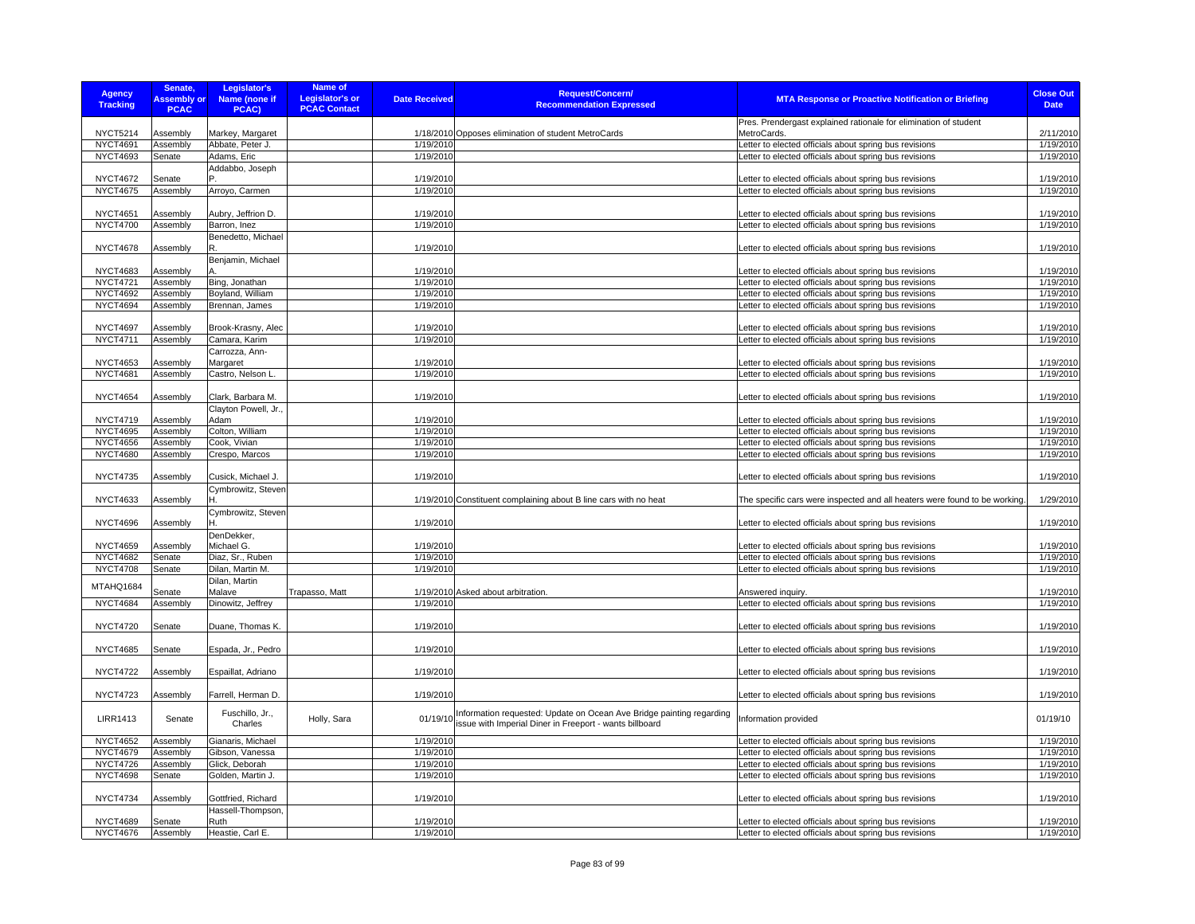| <b>Agency</b><br><b>Tracking</b>   | Senate,<br><b>Assembly or</b><br><b>PCAC</b> | Legislator's<br>Name (none if<br>PCAC) | Name of<br><b>Legislator's or</b><br><b>PCAC Contact</b> | <b>Date Received</b>   | Request/Concern/<br><b>Recommendation Expressed</b>                  | <b>MTA Response or Proactive Notification or Briefing</b>                                                        | <b>Close Out</b><br><b>Date</b> |
|------------------------------------|----------------------------------------------|----------------------------------------|----------------------------------------------------------|------------------------|----------------------------------------------------------------------|------------------------------------------------------------------------------------------------------------------|---------------------------------|
|                                    |                                              |                                        |                                                          |                        |                                                                      | Pres. Prendergast explained rationale for elimination of student                                                 | 2/11/2010                       |
| <b>NYCT5214</b><br><b>NYCT4691</b> | Assembly<br>Assembly                         | Markey, Margaret<br>Abbate, Peter J.   |                                                          | 1/19/2010              | 1/18/2010 Opposes elimination of student MetroCards                  | MetroCards.                                                                                                      |                                 |
| <b>NYCT4693</b>                    |                                              |                                        |                                                          | 1/19/2010              |                                                                      | Letter to elected officials about spring bus revisions                                                           | 1/19/2010<br>1/19/2010          |
|                                    | Senate                                       | Adams, Eric                            |                                                          |                        |                                                                      | Letter to elected officials about spring bus revisions                                                           |                                 |
| <b>NYCT4672</b>                    |                                              | Addabbo, Joseph                        |                                                          |                        |                                                                      |                                                                                                                  | 1/19/2010                       |
| <b>NYCT4675</b>                    | Senate<br>Assembly                           |                                        |                                                          | 1/19/2010<br>1/19/2010 |                                                                      | Letter to elected officials about spring bus revisions<br>Letter to elected officials about spring bus revisions | 1/19/2010                       |
|                                    |                                              | Arroyo, Carmen                         |                                                          |                        |                                                                      |                                                                                                                  |                                 |
| <b>NYCT4651</b>                    | Assembly                                     | Aubry, Jeffrion D.                     |                                                          | 1/19/2010              |                                                                      | Letter to elected officials about spring bus revisions                                                           | 1/19/2010                       |
| <b>NYCT4700</b>                    | Assembly                                     | Barron, Inez                           |                                                          | 1/19/2010              |                                                                      | Letter to elected officials about spring bus revisions                                                           | 1/19/2010                       |
|                                    |                                              | Benedetto, Michael                     |                                                          |                        |                                                                      |                                                                                                                  |                                 |
| <b>NYCT4678</b>                    | Assembly                                     | R.                                     |                                                          | 1/19/2010              |                                                                      | Letter to elected officials about spring bus revisions                                                           | 1/19/2010                       |
|                                    |                                              | Benjamin, Michael                      |                                                          |                        |                                                                      |                                                                                                                  |                                 |
| <b>NYCT4683</b>                    | Assembly                                     |                                        |                                                          | 1/19/2010              |                                                                      | Letter to elected officials about spring bus revisions                                                           | 1/19/2010                       |
| <b>NYCT4721</b>                    | Assembly                                     | Bing, Jonathan                         |                                                          | 1/19/2010              |                                                                      | Letter to elected officials about spring bus revisions                                                           | 1/19/2010                       |
| <b>NYCT4692</b>                    | Assembly                                     | Boyland, William                       |                                                          | 1/19/2010              |                                                                      | Letter to elected officials about spring bus revisions                                                           | 1/19/2010                       |
| <b>NYCT4694</b>                    | Assembly                                     | Brennan, James                         |                                                          | 1/19/2010              |                                                                      | Letter to elected officials about spring bus revisions                                                           | 1/19/2010                       |
|                                    |                                              |                                        |                                                          |                        |                                                                      |                                                                                                                  |                                 |
| <b>NYCT4697</b>                    | Assembly                                     | Brook-Krasny, Alec                     |                                                          | 1/19/2010              |                                                                      | Letter to elected officials about spring bus revisions                                                           | 1/19/2010                       |
| NYCT4711                           | Assembly                                     | Camara, Karim                          |                                                          | 1/19/2010              |                                                                      | Letter to elected officials about spring bus revisions                                                           | 1/19/2010                       |
|                                    |                                              | Carrozza, Ann-                         |                                                          |                        |                                                                      |                                                                                                                  |                                 |
| <b>NYCT4653</b>                    | Assembly                                     | Margaret                               |                                                          | 1/19/2010              |                                                                      | Letter to elected officials about spring bus revisions                                                           | 1/19/2010                       |
| <b>NYCT4681</b>                    | Assembly                                     | Castro, Nelson L.                      |                                                          | 1/19/2010              |                                                                      | Letter to elected officials about spring bus revisions                                                           | 1/19/2010                       |
|                                    |                                              |                                        |                                                          |                        |                                                                      |                                                                                                                  |                                 |
| <b>NYCT4654</b>                    | Assembly                                     | Clark, Barbara M.                      |                                                          | 1/19/2010              |                                                                      | Letter to elected officials about spring bus revisions                                                           | 1/19/2010                       |
|                                    |                                              | Clayton Powell, Jr.,                   |                                                          |                        |                                                                      |                                                                                                                  |                                 |
| <b>NYCT4719</b>                    | Assembly                                     | Adam                                   |                                                          | 1/19/2010              |                                                                      | Letter to elected officials about spring bus revisions                                                           | 1/19/2010                       |
| <b>NYCT4695</b>                    | Assembly                                     | Colton, William                        |                                                          | 1/19/2010              |                                                                      | Letter to elected officials about spring bus revisions                                                           | 1/19/2010                       |
| <b>NYCT4656</b>                    | Assembly                                     | Cook, Vivian                           |                                                          | 1/19/2010              |                                                                      | Letter to elected officials about spring bus revisions                                                           | 1/19/2010                       |
| <b>NYCT4680</b>                    | Assembly                                     | Crespo, Marcos                         |                                                          | 1/19/2010              |                                                                      | Letter to elected officials about spring bus revisions                                                           | 1/19/2010                       |
| <b>NYCT4735</b>                    | Assembly                                     | Cusick, Michael J.                     |                                                          | 1/19/2010              |                                                                      |                                                                                                                  | 1/19/2010                       |
|                                    |                                              | Cymbrowitz, Steven                     |                                                          |                        |                                                                      | Letter to elected officials about spring bus revisions                                                           |                                 |
| <b>NYCT4633</b>                    | Assembly                                     |                                        |                                                          |                        | 1/19/2010 Constituent complaining about B line cars with no heat     | The specific cars were inspected and all heaters were found to be working.                                       | 1/29/2010                       |
|                                    |                                              | Cymbrowitz, Steven                     |                                                          |                        |                                                                      |                                                                                                                  |                                 |
| <b>NYCT4696</b>                    | Assembly                                     |                                        |                                                          | 1/19/2010              |                                                                      | Letter to elected officials about spring bus revisions                                                           | 1/19/2010                       |
|                                    |                                              | DenDekker,                             |                                                          |                        |                                                                      |                                                                                                                  |                                 |
| <b>NYCT4659</b>                    | Assembly                                     | Michael G.                             |                                                          | 1/19/2010              |                                                                      | Letter to elected officials about spring bus revisions                                                           | 1/19/2010                       |
| <b>NYCT4682</b>                    | Senate                                       | Diaz, Sr., Ruben                       |                                                          | 1/19/2010              |                                                                      | Letter to elected officials about spring bus revisions                                                           | 1/19/2010                       |
| <b>NYCT4708</b>                    | Senate                                       | Dilan, Martin M.                       |                                                          | 1/19/2010              |                                                                      | Letter to elected officials about spring bus revisions                                                           | 1/19/2010                       |
| MTAHQ1684                          |                                              | Dilan, Martin                          |                                                          |                        |                                                                      |                                                                                                                  |                                 |
|                                    | Senate                                       | Malave                                 | Trapasso, Matt                                           |                        | 1/19/2010 Asked about arbitration                                    | Answered inquiry.                                                                                                | 1/19/2010                       |
| <b>NYCT4684</b>                    | Assembly                                     | Dinowitz, Jeffrey                      |                                                          | 1/19/2010              |                                                                      | Letter to elected officials about spring bus revisions                                                           | 1/19/2010                       |
|                                    |                                              |                                        |                                                          |                        |                                                                      |                                                                                                                  |                                 |
| <b>NYCT4720</b>                    | Senate                                       | Duane, Thomas K.                       |                                                          | 1/19/2010              |                                                                      | Letter to elected officials about spring bus revisions                                                           | 1/19/2010                       |
|                                    |                                              |                                        |                                                          |                        |                                                                      |                                                                                                                  |                                 |
| <b>NYCT4685</b>                    | Senate                                       | Espada, Jr., Pedro                     |                                                          | 1/19/2010              |                                                                      | Letter to elected officials about spring bus revisions                                                           | 1/19/2010                       |
|                                    |                                              |                                        |                                                          |                        |                                                                      |                                                                                                                  |                                 |
| <b>NYCT4722</b>                    | Assembly                                     | Espaillat, Adriano                     |                                                          | 1/19/2010              |                                                                      | Letter to elected officials about spring bus revisions                                                           | 1/19/2010                       |
| <b>NYCT4723</b>                    | Assembly                                     | Farrell, Herman D.                     |                                                          | 1/19/2010              |                                                                      | Letter to elected officials about spring bus revisions                                                           | 1/19/2010                       |
|                                    |                                              | Fuschillo, Jr.,                        |                                                          |                        | Information requested: Update on Ocean Ave Bridge painting regarding |                                                                                                                  |                                 |
| <b>LIRR1413</b>                    | Senate                                       | Charles                                | Holly, Sara                                              | 01/19/10               | issue with Imperial Diner in Freeport - wants billboard              | Information provided                                                                                             | 01/19/10                        |
|                                    |                                              |                                        |                                                          |                        |                                                                      |                                                                                                                  |                                 |
| <b>NYCT4652</b>                    | Assembly                                     | Gianaris, Michael                      |                                                          | 1/19/2010              |                                                                      | Letter to elected officials about spring bus revisions                                                           | 1/19/2010                       |
| <b>NYCT4679</b>                    | Assembly                                     | Gibson, Vanessa                        |                                                          | 1/19/2010              |                                                                      | Letter to elected officials about spring bus revisions                                                           | 1/19/2010                       |
| <b>NYCT4726</b>                    | Assembly                                     | Glick, Deborah                         |                                                          | 1/19/2010              |                                                                      | Letter to elected officials about spring bus revisions                                                           | 1/19/2010                       |
| <b>NYCT4698</b>                    | Senate                                       | Golden, Martin J.                      |                                                          | 1/19/2010              |                                                                      | Letter to elected officials about spring bus revisions                                                           | 1/19/2010                       |
|                                    |                                              |                                        |                                                          |                        |                                                                      |                                                                                                                  |                                 |
| <b>NYCT4734</b>                    | Assembly                                     | Gottfried, Richard                     |                                                          | 1/19/2010              |                                                                      | Letter to elected officials about spring bus revisions                                                           | 1/19/2010                       |
| <b>NYCT4689</b>                    | Senate                                       | Hassell-Thompson,<br>Ruth              |                                                          | 1/19/2010              |                                                                      | Letter to elected officials about spring bus revisions                                                           | 1/19/2010                       |
| <b>NYCT4676</b>                    | Assembly                                     | Heastie, Carl E.                       |                                                          | 1/19/2010              |                                                                      | Letter to elected officials about spring bus revisions                                                           | 1/19/2010                       |
|                                    |                                              |                                        |                                                          |                        |                                                                      |                                                                                                                  |                                 |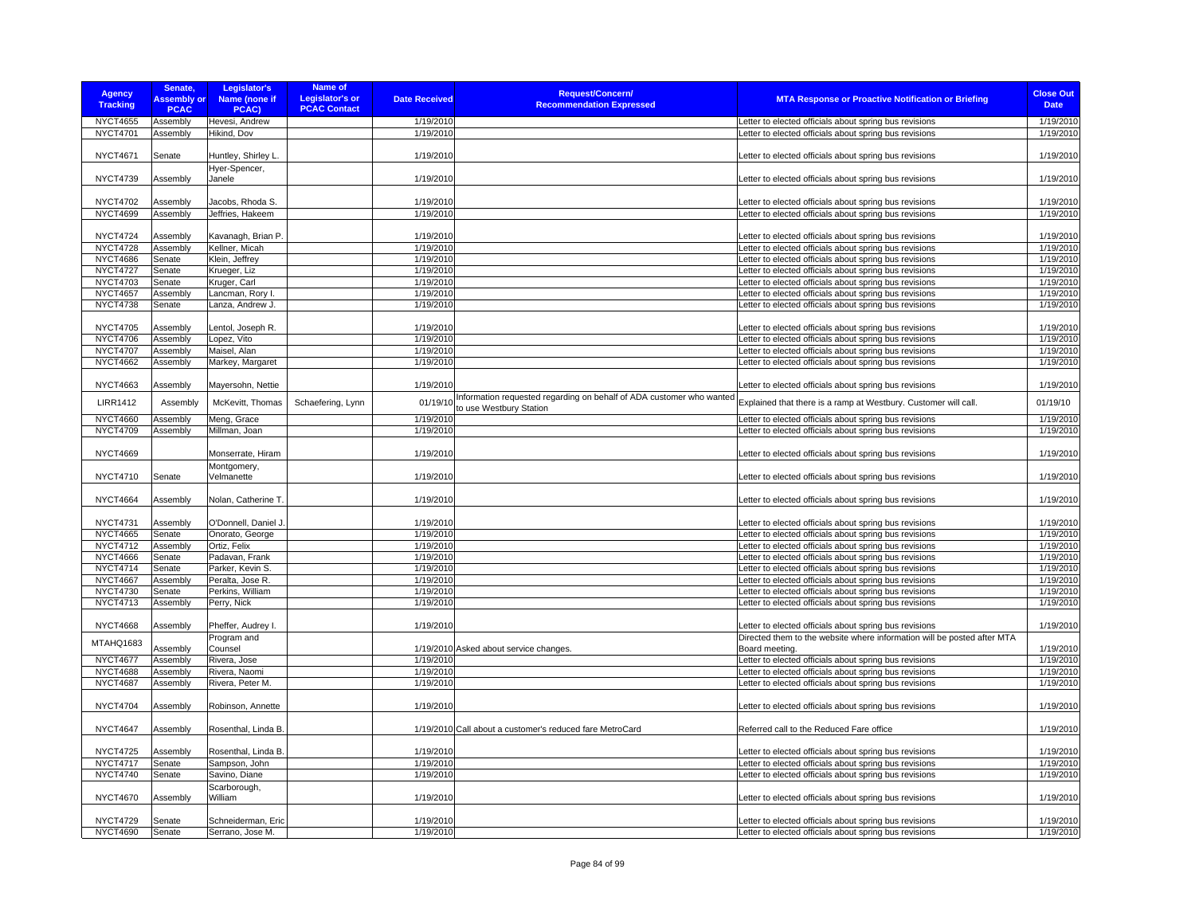| <b>Agency</b><br><b>Tracking</b> | Senate,<br><b>Assembly or</b><br><b>PCAC</b> | Legislator's<br>Name (none if<br>PCAC) | Name of<br>Legislator's or<br><b>PCAC Contact</b> | <b>Date Received</b> | <b>Request/Concern/</b><br><b>Recommendation Expressed</b>           | <b>MTA Response or Proactive Notification or Briefing</b>               | <b>Close Out</b><br><b>Date</b> |
|----------------------------------|----------------------------------------------|----------------------------------------|---------------------------------------------------|----------------------|----------------------------------------------------------------------|-------------------------------------------------------------------------|---------------------------------|
| <b>NYCT4655</b>                  | Assembly                                     | Hevesi, Andrew                         |                                                   | 1/19/2010            |                                                                      | Letter to elected officials about spring bus revisions                  | 1/19/2010                       |
| <b>NYCT4701</b>                  | Assembly                                     | Hikind, Dov                            |                                                   | 1/19/2010            |                                                                      | Letter to elected officials about spring bus revisions                  | 1/19/2010                       |
| <b>NYCT4671</b>                  |                                              |                                        |                                                   | 1/19/2010            |                                                                      |                                                                         | 1/19/2010                       |
|                                  | Senate                                       | Huntley, Shirley L.                    |                                                   |                      |                                                                      | Letter to elected officials about spring bus revisions                  |                                 |
| <b>NYCT4739</b>                  | Assembly                                     | Hyer-Spencer,<br>Janele                |                                                   | 1/19/2010            |                                                                      | Letter to elected officials about spring bus revisions                  | 1/19/2010                       |
|                                  |                                              |                                        |                                                   |                      |                                                                      |                                                                         |                                 |
| <b>NYCT4702</b>                  | Assembly                                     | Jacobs, Rhoda S.                       |                                                   | 1/19/2010            |                                                                      | Letter to elected officials about spring bus revisions                  | 1/19/2010                       |
| <b>NYCT4699</b>                  | Assembly                                     | Jeffries, Hakeem                       |                                                   | 1/19/2010            |                                                                      | Letter to elected officials about spring bus revisions                  | 1/19/2010                       |
|                                  |                                              |                                        |                                                   |                      |                                                                      |                                                                         |                                 |
| <b>NYCT4724</b>                  | Assembly                                     | Kavanagh, Brian P.                     |                                                   | 1/19/2010            |                                                                      | Letter to elected officials about spring bus revisions                  | 1/19/2010                       |
| <b>NYCT4728</b>                  | Assembly                                     | Kellner, Micah                         |                                                   | 1/19/2010            |                                                                      | Letter to elected officials about spring bus revisions                  | 1/19/2010                       |
| <b>NYCT4686</b>                  | Senate                                       | Klein, Jeffrey                         |                                                   | 1/19/2010            |                                                                      | Letter to elected officials about spring bus revisions                  | 1/19/2010                       |
| <b>NYCT4727</b>                  | Senate                                       | Krueger, Liz                           |                                                   | 1/19/2010            |                                                                      | Letter to elected officials about spring bus revisions                  | 1/19/2010                       |
| <b>NYCT4703</b>                  | Senate                                       | Kruger, Carl                           |                                                   | 1/19/2010            |                                                                      | Letter to elected officials about spring bus revisions                  | 1/19/2010                       |
| <b>NYCT4657</b>                  | Assembly                                     | Lancman, Rory I.                       |                                                   | 1/19/2010            |                                                                      | Letter to elected officials about spring bus revisions                  | 1/19/2010                       |
| <b>NYCT4738</b>                  | Senate                                       | Lanza, Andrew J.                       |                                                   | 1/19/2010            |                                                                      | Letter to elected officials about spring bus revisions                  | 1/19/2010                       |
|                                  |                                              |                                        |                                                   |                      |                                                                      |                                                                         |                                 |
| <b>NYCT4705</b>                  | Assembly                                     | Lentol, Joseph R.                      |                                                   | 1/19/2010            |                                                                      | Letter to elected officials about spring bus revisions                  | 1/19/2010                       |
| <b>NYCT4706</b>                  | Assembly                                     | Lopez, Vito                            |                                                   | 1/19/2010            |                                                                      | Letter to elected officials about spring bus revisions                  | 1/19/2010                       |
| <b>NYCT4707</b>                  | Assembly                                     | Maisel, Alan                           |                                                   | 1/19/2010            |                                                                      | Letter to elected officials about spring bus revisions                  | 1/19/2010                       |
| <b>NYCT4662</b>                  | Assembly                                     | Markey, Margaret                       |                                                   | 1/19/2010            |                                                                      | Letter to elected officials about spring bus revisions                  | 1/19/2010                       |
|                                  |                                              |                                        |                                                   |                      |                                                                      |                                                                         |                                 |
| <b>NYCT4663</b>                  | Assembly                                     | Mayersohn, Nettie                      |                                                   | 1/19/2010            |                                                                      | Letter to elected officials about spring bus revisions                  | 1/19/2010                       |
| <b>LIRR1412</b>                  | Assembly                                     | McKevitt, Thomas                       | Schaefering, Lynn                                 | 01/19/10             | Information requested regarding on behalf of ADA customer who wanted | Explained that there is a ramp at Westbury. Customer will call.         | 01/19/10                        |
|                                  |                                              |                                        |                                                   |                      | to use Westbury Station                                              |                                                                         |                                 |
| <b>NYCT4660</b>                  | Assembly                                     | Meng, Grace                            |                                                   | 1/19/2010            |                                                                      | Letter to elected officials about spring bus revisions                  | 1/19/2010                       |
| <b>NYCT4709</b>                  | Assembly                                     | Millman, Joan                          |                                                   | 1/19/2010            |                                                                      | Letter to elected officials about spring bus revisions                  | 1/19/2010                       |
| <b>NYCT4669</b>                  |                                              | Monserrate, Hiram                      |                                                   | 1/19/2010            |                                                                      | Letter to elected officials about spring bus revisions                  | 1/19/2010                       |
|                                  |                                              | Montgomery,                            |                                                   |                      |                                                                      |                                                                         |                                 |
| <b>NYCT4710</b>                  | Senate                                       | Velmanette                             |                                                   | 1/19/2010            |                                                                      | Letter to elected officials about spring bus revisions                  | 1/19/2010                       |
|                                  |                                              |                                        |                                                   |                      |                                                                      |                                                                         |                                 |
| <b>NYCT4664</b>                  | Assembly                                     | Nolan, Catherine T.                    |                                                   | 1/19/2010            |                                                                      | Letter to elected officials about spring bus revisions                  | 1/19/2010                       |
| <b>NYCT4731</b>                  | Assembly                                     | O'Donnell, Daniel J.                   |                                                   | 1/19/2010            |                                                                      | Letter to elected officials about spring bus revisions                  | 1/19/2010                       |
| <b>NYCT4665</b>                  | Senate                                       | Onorato, George                        |                                                   | 1/19/2010            |                                                                      | Letter to elected officials about spring bus revisions                  | 1/19/2010                       |
| <b>NYCT4712</b>                  | Assembly                                     | Ortiz, Felix                           |                                                   | 1/19/2010            |                                                                      | Letter to elected officials about spring bus revisions                  | 1/19/2010                       |
| <b>NYCT4666</b>                  | Senate                                       | Padavan, Frank                         |                                                   | 1/19/2010            |                                                                      | Letter to elected officials about spring bus revisions                  | 1/19/2010                       |
| <b>NYCT4714</b>                  | Senate                                       | Parker, Kevin S.                       |                                                   | 1/19/2010            |                                                                      | Letter to elected officials about spring bus revisions                  | 1/19/2010                       |
| <b>NYCT4667</b>                  | Assembly                                     | Peralta, Jose R.                       |                                                   | 1/19/2010            |                                                                      | Letter to elected officials about spring bus revisions                  | 1/19/2010                       |
| <b>NYCT4730</b>                  | Senate                                       | Perkins, William                       |                                                   | 1/19/2010            |                                                                      | Letter to elected officials about spring bus revisions                  | 1/19/2010                       |
| <b>NYCT4713</b>                  | Assembly                                     | Perry, Nick                            |                                                   | 1/19/2010            |                                                                      | Letter to elected officials about spring bus revisions                  | 1/19/2010                       |
|                                  |                                              |                                        |                                                   |                      |                                                                      |                                                                         |                                 |
| <b>NYCT4668</b>                  | Assembly                                     | Pheffer, Audrey I                      |                                                   | 1/19/2010            |                                                                      | Letter to elected officials about spring bus revisions                  | 1/19/2010                       |
|                                  |                                              | Program and                            |                                                   |                      |                                                                      | Directed them to the website where information will be posted after MTA |                                 |
| MTAHQ1683                        | Assembly                                     | Counsel                                |                                                   |                      | 1/19/2010 Asked about service changes.                               | Board meeting.                                                          | 1/19/2010                       |
| <b>NYCT4677</b>                  | Assembly                                     | Rivera, Jose                           |                                                   | 1/19/2010            |                                                                      | Letter to elected officials about spring bus revisions                  | 1/19/2010                       |
| <b>NYCT4688</b>                  | Assembly                                     | Rivera, Naomi                          |                                                   | 1/19/2010            |                                                                      | Letter to elected officials about spring bus revisions                  | 1/19/2010                       |
| <b>NYCT4687</b>                  | Assembly                                     | Rivera, Peter M.                       |                                                   | 1/19/2010            |                                                                      | Letter to elected officials about spring bus revisions                  | 1/19/2010                       |
|                                  |                                              |                                        |                                                   |                      |                                                                      |                                                                         |                                 |
| <b>NYCT4704</b>                  | Assembly                                     | Robinson, Annette                      |                                                   | 1/19/2010            |                                                                      | Letter to elected officials about spring bus revisions                  | 1/19/2010                       |
|                                  |                                              |                                        |                                                   |                      |                                                                      |                                                                         |                                 |
| <b>NYCT4647</b>                  | Assembly                                     | Rosenthal, Linda B                     |                                                   |                      | 1/19/2010 Call about a customer's reduced fare MetroCard             | Referred call to the Reduced Fare office                                | 1/19/2010                       |
| <b>NYCT4725</b>                  | Assembly                                     | Rosenthal, Linda B                     |                                                   | 1/19/2010            |                                                                      | Letter to elected officials about spring bus revisions                  | 1/19/2010                       |
| <b>NYCT4717</b>                  | Senate                                       | Sampson, John                          |                                                   | 1/19/2010            |                                                                      | Letter to elected officials about spring bus revisions                  | 1/19/2010                       |
| <b>NYCT4740</b>                  | Senate                                       | Savino, Diane                          |                                                   | 1/19/2010            |                                                                      | Letter to elected officials about spring bus revisions                  | 1/19/2010                       |
|                                  |                                              | Scarborough,                           |                                                   |                      |                                                                      |                                                                         |                                 |
| <b>NYCT4670</b>                  | Assembly                                     | William                                |                                                   | 1/19/2010            |                                                                      | Letter to elected officials about spring bus revisions                  | 1/19/2010                       |
|                                  |                                              |                                        |                                                   |                      |                                                                      |                                                                         |                                 |
| <b>NYCT4729</b>                  | Senate                                       | Schneiderman, Eric                     |                                                   | 1/19/2010            |                                                                      | Letter to elected officials about spring bus revisions                  | 1/19/2010                       |
| <b>NYCT4690</b>                  | Senate                                       | Serrano, Jose M.                       |                                                   | 1/19/2010            |                                                                      | Letter to elected officials about spring bus revisions                  | 1/19/2010                       |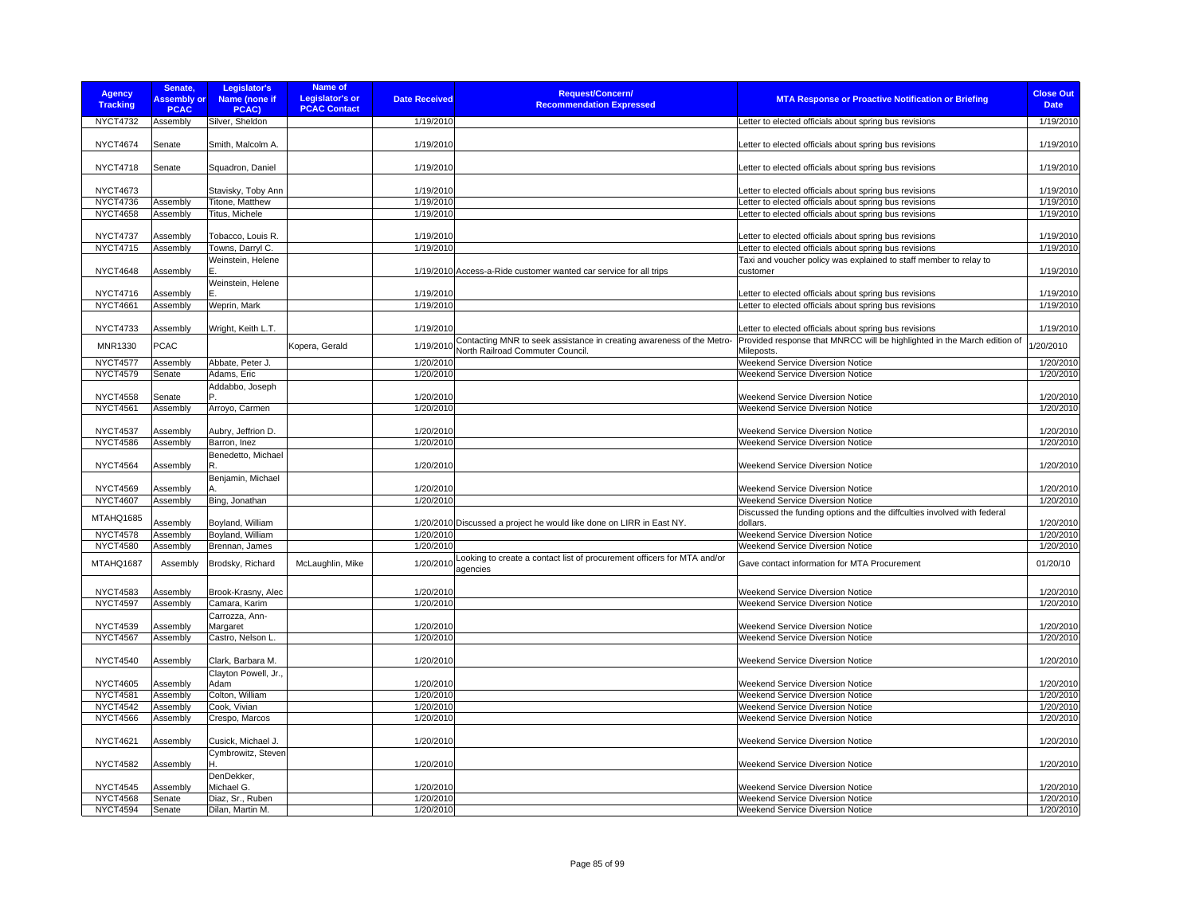| <b>Agency</b><br><b>Tracking</b>   | Senate,<br><b>Assembly or</b><br><b>PCAC</b> | Legislator's<br>Name (none if<br>PCAC) | Name of<br><b>Legislator's or</b><br><b>PCAC Contact</b> | <b>Date Received</b>   | Request/Concern/<br><b>Recommendation Expressed</b>                                 | <b>MTA Response or Proactive Notification or Briefing</b>                                                        | <b>Close Out</b><br><b>Date</b> |
|------------------------------------|----------------------------------------------|----------------------------------------|----------------------------------------------------------|------------------------|-------------------------------------------------------------------------------------|------------------------------------------------------------------------------------------------------------------|---------------------------------|
| <b>NYCT4732</b>                    | Assembly                                     | Silver, Sheldon                        |                                                          | 1/19/2010              |                                                                                     | Letter to elected officials about spring bus revisions                                                           | 1/19/2010                       |
| <b>NYCT4674</b>                    | Senate                                       | Smith, Malcolm A.                      |                                                          | 1/19/2010              |                                                                                     | etter to elected officials about spring bus revisions                                                            | 1/19/2010                       |
| <b>NYCT4718</b>                    | Senate                                       | Squadron, Daniel                       |                                                          | 1/19/2010              |                                                                                     | Letter to elected officials about spring bus revisions                                                           | 1/19/2010                       |
| <b>NYCT4673</b>                    |                                              | Stavisky, Toby Ann                     |                                                          | 1/19/2010              |                                                                                     | etter to elected officials about spring bus revisions                                                            | 1/19/2010                       |
| NYCT4736                           | Assembly                                     | Titone, Matthew                        |                                                          | 1/19/2010              |                                                                                     | Letter to elected officials about spring bus revisions                                                           | 1/19/2010                       |
| <b>NYCT4658</b>                    | Assembly                                     | Titus, Michele                         |                                                          | 1/19/2010              |                                                                                     | Letter to elected officials about spring bus revisions                                                           | 1/19/2010                       |
|                                    |                                              |                                        |                                                          |                        |                                                                                     |                                                                                                                  |                                 |
| <b>NYCT4737</b><br><b>NYCT4715</b> | Assembly<br>Assembly                         | Tobacco, Louis R.<br>Towns, Darryl C.  |                                                          | 1/19/2010<br>1/19/2010 |                                                                                     | Letter to elected officials about spring bus revisions<br>Letter to elected officials about spring bus revisions | 1/19/2010<br>1/19/2010          |
|                                    |                                              | Weinstein, Helene                      |                                                          |                        |                                                                                     | Taxi and voucher policy was explained to staff member to relay to                                                |                                 |
| <b>NYCT4648</b>                    | Assembly                                     | E                                      |                                                          |                        | 1/19/2010 Access-a-Ride customer wanted car service for all trips                   | customer                                                                                                         | 1/19/2010                       |
|                                    |                                              | Weinstein, Helene                      |                                                          |                        |                                                                                     |                                                                                                                  |                                 |
| <b>NYCT4716</b>                    | Assembly                                     | F.                                     |                                                          | 1/19/2010              |                                                                                     | Letter to elected officials about spring bus revisions                                                           | 1/19/2010                       |
| <b>NYCT4661</b>                    | Assembly                                     | Weprin, Mark                           |                                                          | 1/19/2010              |                                                                                     | Letter to elected officials about spring bus revisions                                                           | 1/19/2010                       |
| <b>NYCT4733</b>                    | Assembly                                     | Wright, Keith L.T.                     |                                                          | 1/19/2010              |                                                                                     | Letter to elected officials about spring bus revisions                                                           | 1/19/2010                       |
| MNR1330                            | <b>PCAC</b>                                  |                                        | Kopera, Gerald                                           | 1/19/2010              | Contacting MNR to seek assistance in creating awareness of the Metro-               | Provided response that MNRCC will be highlighted in the March edition of                                         | /20/2010                        |
|                                    |                                              |                                        |                                                          |                        | North Railroad Commuter Council.                                                    | Mileposts.                                                                                                       |                                 |
| <b>NYCT4577</b>                    | Assembly                                     | Abbate, Peter J.                       |                                                          | 1/20/2010              |                                                                                     | Weekend Service Diversion Notice                                                                                 | 1/20/2010                       |
| NYCT4579                           | Senate                                       | Adams, Eric                            |                                                          | 1/20/2010              |                                                                                     | Weekend Service Diversion Notice                                                                                 | 1/20/2010                       |
| <b>NYCT4558</b>                    | Senate                                       | Addabbo, Joseph                        |                                                          | 1/20/2010              |                                                                                     | Weekend Service Diversion Notice                                                                                 | 1/20/2010                       |
| <b>NYCT4561</b>                    | Assembly                                     | Arroyo, Carmen                         |                                                          | 1/20/2010              |                                                                                     | Weekend Service Diversion Notice                                                                                 | 1/20/2010                       |
|                                    |                                              |                                        |                                                          |                        |                                                                                     |                                                                                                                  |                                 |
| <b>NYCT4537</b>                    | Assembly                                     | Aubry, Jeffrion D.                     |                                                          | 1/20/2010              |                                                                                     | Weekend Service Diversion Notice                                                                                 | 1/20/2010                       |
| <b>NYCT4586</b>                    | Assembly                                     | Barron, Inez                           |                                                          | 1/20/2010              |                                                                                     | Weekend Service Diversion Notice                                                                                 | 1/20/2010                       |
| <b>NYCT4564</b>                    | Assembly                                     | Benedetto, Michael<br>R.               |                                                          | 1/20/2010              |                                                                                     | <b>Weekend Service Diversion Notice</b>                                                                          | 1/20/2010                       |
|                                    |                                              | Benjamin, Michael                      |                                                          |                        |                                                                                     |                                                                                                                  |                                 |
| <b>NYCT4569</b><br><b>NYCT4607</b> | Assembly<br>Assembly                         | Bing, Jonathan                         |                                                          | 1/20/2010<br>1/20/2010 |                                                                                     | <b>Weekend Service Diversion Notice</b><br>Weekend Service Diversion Notice                                      | 1/20/2010<br>1/20/2010          |
|                                    |                                              |                                        |                                                          |                        |                                                                                     | Discussed the funding options and the diffculties involved with federal                                          |                                 |
| MTAHQ1685                          | Assembly                                     | Boyland, William                       |                                                          |                        | 1/20/2010 Discussed a project he would like done on LIRR in East NY.                | dollars.                                                                                                         | 1/20/2010                       |
| <b>NYCT4578</b>                    | Assembly                                     | Boyland, William                       |                                                          | 1/20/2010              |                                                                                     | Weekend Service Diversion Notice                                                                                 | 1/20/2010                       |
| <b>NYCT4580</b>                    | Assembly                                     | Brennan, James                         |                                                          | 1/20/2010              |                                                                                     | Weekend Service Diversion Notice                                                                                 | 1/20/2010                       |
| MTAHQ1687                          | Assembly                                     | Brodsky, Richard                       | McLaughlin, Mike                                         | 1/20/2010              | Looking to create a contact list of procurement officers for MTA and/or<br>agencies | Gave contact information for MTA Procurement                                                                     | 01/20/10                        |
| <b>NYCT4583</b>                    | Assembly                                     | Brook-Krasny, Alec                     |                                                          | 1/20/2010              |                                                                                     | <b>Weekend Service Diversion Notice</b>                                                                          | 1/20/2010                       |
| <b>NYCT4597</b>                    | Assembly                                     | Camara, Karim                          |                                                          | 1/20/2010              |                                                                                     | <b>Weekend Service Diversion Notice</b>                                                                          | 1/20/2010                       |
|                                    |                                              | Carrozza, Ann-                         |                                                          |                        |                                                                                     |                                                                                                                  |                                 |
| <b>NYCT4539</b>                    | Assembly                                     | Margaret                               |                                                          | 1/20/2010              |                                                                                     | Weekend Service Diversion Notice                                                                                 | 1/20/2010                       |
| <b>NYCT4567</b>                    | Assembly                                     | Castro, Nelson L.                      |                                                          | 1/20/2010              |                                                                                     | Weekend Service Diversion Notice                                                                                 | 1/20/2010                       |
| <b>NYCT4540</b>                    | Assembly                                     | Clark, Barbara M                       |                                                          | 1/20/2010              |                                                                                     | <b>Weekend Service Diversion Notice</b>                                                                          | 1/20/2010                       |
| <b>NYCT4605</b>                    | Assembly                                     | Clayton Powell, Jr.,<br>Adam           |                                                          | 1/20/2010              |                                                                                     | Weekend Service Diversion Notice                                                                                 | 1/20/2010                       |
| NYCT4581                           | Assembly                                     | Colton, William                        |                                                          | 1/20/2010              |                                                                                     | <b>Weekend Service Diversion Notice</b>                                                                          | 1/20/2010                       |
| <b>NYCT4542</b>                    | Assembly                                     | Cook, Vivian                           |                                                          | 1/20/2010              |                                                                                     | Weekend Service Diversion Notice                                                                                 | 1/20/2010                       |
| <b>NYCT4566</b>                    | Assembly                                     | Crespo, Marcos                         |                                                          | 1/20/2010              |                                                                                     | Weekend Service Diversion Notice                                                                                 | 1/20/2010                       |
| <b>NYCT4621</b>                    | Assembly                                     | Cusick, Michael J.                     |                                                          | 1/20/2010              |                                                                                     | Weekend Service Diversion Notice                                                                                 | 1/20/2010                       |
|                                    |                                              | Cymbrowitz, Steven                     |                                                          |                        |                                                                                     |                                                                                                                  |                                 |
| <b>NYCT4582</b>                    | Assembly                                     | н                                      |                                                          | 1/20/2010              |                                                                                     | <b>Weekend Service Diversion Notice</b>                                                                          | 1/20/2010                       |
| NYCT4545                           | Assembly                                     | DenDekker,<br>Michael G.               |                                                          | 1/20/2010              |                                                                                     | <b>Weekend Service Diversion Notice</b>                                                                          | 1/20/2010                       |
| <b>NYCT4568</b>                    | Senate                                       | Diaz, Sr., Ruben                       |                                                          | 1/20/2010              |                                                                                     | <b>Weekend Service Diversion Notice</b>                                                                          | 1/20/2010                       |
| <b>NYCT4594</b>                    | Senate                                       | Dilan, Martin M.                       |                                                          | 1/20/2010              |                                                                                     | Weekend Service Diversion Notice                                                                                 | 1/20/2010                       |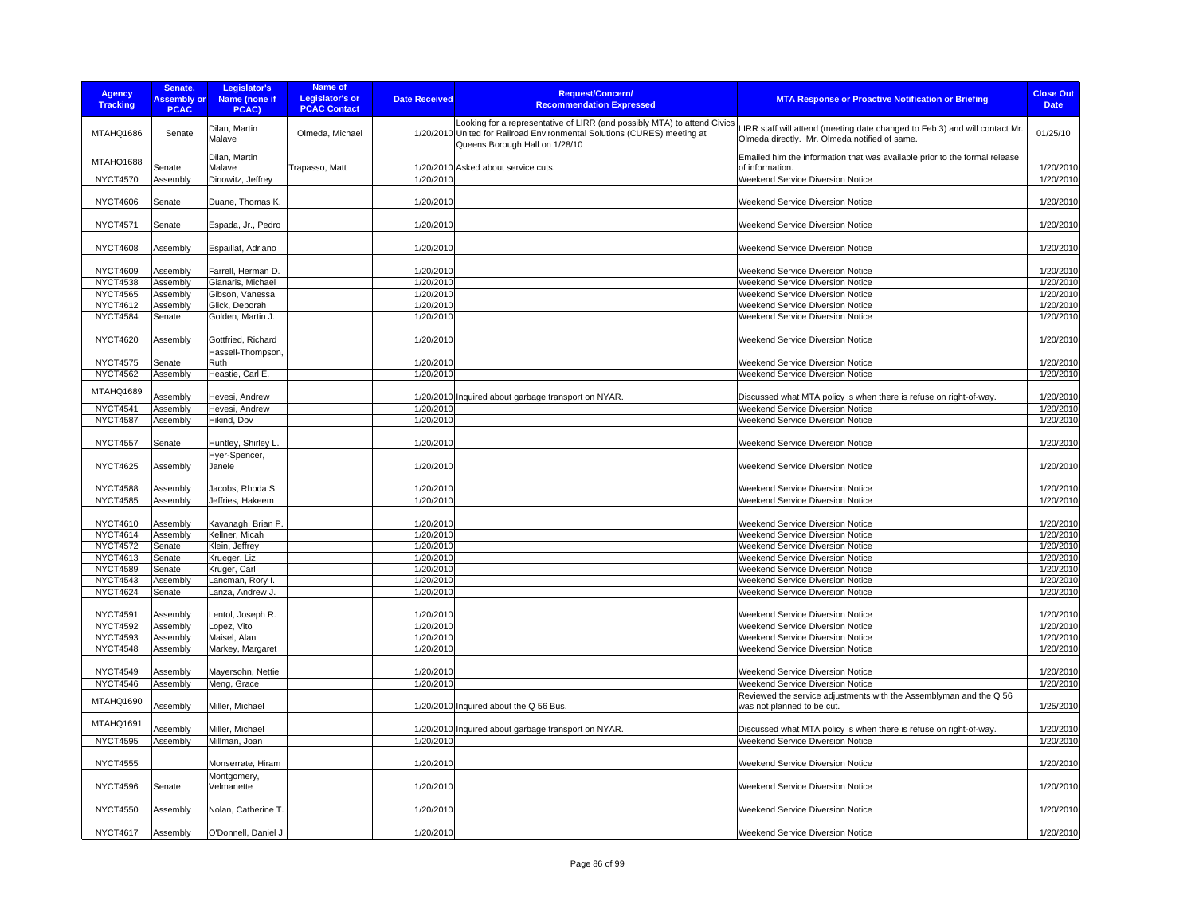| <b>Agency</b><br><b>Tracking</b> | Senate,<br><b>Assembly or</b><br><b>PCAC</b> | Legislator's<br>Name (none if<br>PCAC) | <b>Name of</b><br><b>Legislator's or</b><br><b>PCAC Contact</b> | <b>Date Received</b> | <b>Request/Concern/</b><br><b>Recommendation Expressed</b>                                                                                                                             | <b>MTA Response or Proactive Notification or Briefing</b>                                                                    | <b>Close Out</b><br><b>Date</b> |
|----------------------------------|----------------------------------------------|----------------------------------------|-----------------------------------------------------------------|----------------------|----------------------------------------------------------------------------------------------------------------------------------------------------------------------------------------|------------------------------------------------------------------------------------------------------------------------------|---------------------------------|
| MTAHQ1686                        | Senate                                       | Dilan, Martin<br>Malave                | Olmeda, Michael                                                 |                      | Looking for a representative of LIRR (and possibly MTA) to attend Civics<br>1/20/2010 United for Railroad Environmental Solutions (CURES) meeting at<br>Queens Borough Hall on 1/28/10 | LIRR staff will attend (meeting date changed to Feb 3) and will contact Mr.<br>Olmeda directly. Mr. Olmeda notified of same. | 01/25/10                        |
| MTAHQ1688                        | Senate                                       | Dilan, Martin<br>Malave                | Trapasso, Matt                                                  |                      | 1/20/2010 Asked about service cuts.                                                                                                                                                    | Emailed him the information that was available prior to the formal release<br>of information.                                | 1/20/2010                       |
| <b>NYCT4570</b>                  | Assembly                                     | Dinowitz, Jeffrey                      |                                                                 | 1/20/2010            |                                                                                                                                                                                        | Weekend Service Diversion Notice                                                                                             | 1/20/2010                       |
|                                  |                                              |                                        |                                                                 |                      |                                                                                                                                                                                        |                                                                                                                              |                                 |
| <b>NYCT4606</b>                  | Senate                                       | Duane, Thomas K.                       |                                                                 | 1/20/2010            |                                                                                                                                                                                        | <b>Weekend Service Diversion Notice</b>                                                                                      | 1/20/2010                       |
| <b>NYCT4571</b>                  | Senate                                       | Espada, Jr., Pedro                     |                                                                 | 1/20/2010            |                                                                                                                                                                                        | Weekend Service Diversion Notice                                                                                             | 1/20/2010                       |
| <b>NYCT4608</b>                  | Assembly                                     | Espaillat, Adriano                     |                                                                 | 1/20/2010            |                                                                                                                                                                                        | Weekend Service Diversion Notice                                                                                             | 1/20/2010                       |
| <b>NYCT4609</b>                  | Assembly                                     | Farrell, Herman D.                     |                                                                 | 1/20/2010            |                                                                                                                                                                                        | Weekend Service Diversion Notice                                                                                             | 1/20/2010                       |
| <b>NYCT4538</b>                  | Assembly                                     | Gianaris, Michael                      |                                                                 | 1/20/2010            |                                                                                                                                                                                        | Weekend Service Diversion Notice                                                                                             | 1/20/2010                       |
| <b>NYCT4565</b>                  | Assembly                                     | Gibson, Vanessa                        |                                                                 | 1/20/2010            |                                                                                                                                                                                        | Weekend Service Diversion Notice                                                                                             | 1/20/2010                       |
| <b>NYCT4612</b>                  | Assembly                                     | Glick, Deborah                         |                                                                 | 1/20/2010            |                                                                                                                                                                                        | Weekend Service Diversion Notice                                                                                             | 1/20/2010                       |
| <b>NYCT4584</b>                  | Senate                                       | Golden, Martin J.                      |                                                                 | 1/20/2010            |                                                                                                                                                                                        | Weekend Service Diversion Notice                                                                                             | 1/20/2010                       |
|                                  |                                              |                                        |                                                                 |                      |                                                                                                                                                                                        |                                                                                                                              |                                 |
| <b>NYCT4620</b>                  | Assembly                                     | Gottfried, Richard<br>Hassell-Thompson |                                                                 | 1/20/2010            |                                                                                                                                                                                        | Weekend Service Diversion Notice                                                                                             | 1/20/2010                       |
| <b>NYCT4575</b>                  | Senate                                       | Ruth                                   |                                                                 | 1/20/2010            |                                                                                                                                                                                        | Weekend Service Diversion Notice                                                                                             | 1/20/2010                       |
| <b>NYCT4562</b>                  | Assembly                                     | Heastie, Carl E.                       |                                                                 | 1/20/2010            |                                                                                                                                                                                        | Weekend Service Diversion Notice                                                                                             | 1/20/2010                       |
| MTAHQ1689                        | Assembly                                     | Hevesi, Andrew                         |                                                                 |                      | 1/20/2010 Inquired about garbage transport on NYAR                                                                                                                                     | Discussed what MTA policy is when there is refuse on right-of-way.                                                           | 1/20/2010                       |
| <b>NYCT4541</b>                  | Assembly                                     | Hevesi, Andrew                         |                                                                 | 1/20/2010            |                                                                                                                                                                                        | Weekend Service Diversion Notice                                                                                             | 1/20/2010                       |
| <b>NYCT4587</b>                  | Assembly                                     | Hikind, Dov                            |                                                                 | 1/20/2010            |                                                                                                                                                                                        | Weekend Service Diversion Notice                                                                                             | 1/20/2010                       |
|                                  |                                              |                                        |                                                                 |                      |                                                                                                                                                                                        |                                                                                                                              |                                 |
| <b>NYCT4557</b>                  | Senate                                       | Huntley, Shirley L                     |                                                                 | 1/20/2010            |                                                                                                                                                                                        | Weekend Service Diversion Notice                                                                                             | 1/20/2010                       |
| <b>NYCT4625</b>                  | Assembly                                     | Hyer-Spencer,<br>Janele                |                                                                 | 1/20/2010            |                                                                                                                                                                                        | <b>Weekend Service Diversion Notice</b>                                                                                      | 1/20/2010                       |
| <b>NYCT4588</b>                  | Assembly                                     | Jacobs, Rhoda S.                       |                                                                 | 1/20/2010            |                                                                                                                                                                                        | Weekend Service Diversion Notice                                                                                             | 1/20/2010                       |
| <b>NYCT4585</b>                  | Assembly                                     | Jeffries, Hakeem                       |                                                                 | 1/20/2010            |                                                                                                                                                                                        | <b>Weekend Service Diversion Notice</b>                                                                                      | 1/20/2010                       |
| NYCT4610                         | Assembly                                     | Kavanagh, Brian P.                     |                                                                 | 1/20/2010            |                                                                                                                                                                                        | Weekend Service Diversion Notice                                                                                             | 1/20/2010                       |
| <b>NYCT4614</b>                  | Assembly                                     | Kellner, Micah                         |                                                                 | 1/20/2010            |                                                                                                                                                                                        | Weekend Service Diversion Notice                                                                                             | 1/20/2010                       |
| <b>NYCT4572</b>                  | Senate                                       | Klein, Jeffrey                         |                                                                 | 1/20/2010            |                                                                                                                                                                                        | Weekend Service Diversion Notice                                                                                             | 1/20/2010                       |
| <b>NYCT4613</b>                  | Senate                                       | Krueger, Liz                           |                                                                 | 1/20/2010            |                                                                                                                                                                                        | Weekend Service Diversion Notice                                                                                             | 1/20/2010                       |
| <b>NYCT4589</b>                  |                                              |                                        |                                                                 | 1/20/2010            |                                                                                                                                                                                        | <b>Weekend Service Diversion Notice</b>                                                                                      | 1/20/2010                       |
| <b>NYCT4543</b>                  | Senate                                       | Kruger, Carl                           |                                                                 |                      |                                                                                                                                                                                        |                                                                                                                              | 1/20/2010                       |
|                                  | Assembly                                     | Lancman, Rory I.                       |                                                                 | 1/20/2010            |                                                                                                                                                                                        | Weekend Service Diversion Notice                                                                                             |                                 |
| <b>NYCT4624</b>                  | Senate                                       | Lanza, Andrew J.                       |                                                                 | 1/20/2010            |                                                                                                                                                                                        | Weekend Service Diversion Notice                                                                                             | 1/20/2010                       |
| <b>NYCT4591</b>                  | Assembly                                     | Lentol, Joseph R.                      |                                                                 | 1/20/2010            |                                                                                                                                                                                        | Weekend Service Diversion Notice                                                                                             | 1/20/2010                       |
| <b>NYCT4592</b>                  | Assembly                                     | _opez, Vito                            |                                                                 | 1/20/2010            |                                                                                                                                                                                        | Weekend Service Diversion Notice                                                                                             | 1/20/2010                       |
| <b>NYCT4593</b>                  | Assembly                                     | Maisel, Alan                           |                                                                 | 1/20/2010            |                                                                                                                                                                                        | Weekend Service Diversion Notice                                                                                             | 1/20/2010                       |
| <b>NYCT4548</b>                  | Assembly                                     | Markey, Margaret                       |                                                                 | 1/20/2010            |                                                                                                                                                                                        | Weekend Service Diversion Notice                                                                                             | 1/20/2010                       |
|                                  |                                              |                                        |                                                                 |                      |                                                                                                                                                                                        |                                                                                                                              |                                 |
| <b>NYCT4549</b>                  | Assembly                                     | Mayersohn, Nettie                      |                                                                 | 1/20/2010            |                                                                                                                                                                                        | Weekend Service Diversion Notice                                                                                             | 1/20/2010                       |
| <b>NYCT4546</b>                  | Assembly                                     | Meng, Grace                            |                                                                 | 1/20/2010            |                                                                                                                                                                                        | Weekend Service Diversion Notice                                                                                             | 1/20/2010                       |
| MTAHQ1690                        | Assembly                                     | Miller, Michael                        |                                                                 |                      | 1/20/2010 Inquired about the Q 56 Bus.                                                                                                                                                 | Reviewed the service adjustments with the Assemblyman and the Q 56<br>was not planned to be cut.                             | 1/25/2010                       |
| MTAHQ1691                        | Assembly                                     | Miller, Michael                        |                                                                 |                      | 1/20/2010 Inquired about garbage transport on NYAR                                                                                                                                     | Discussed what MTA policy is when there is refuse on right-of-way.                                                           | 1/20/2010                       |
| <b>NYCT4595</b>                  | Assembly                                     | Millman, Joan                          |                                                                 | 1/20/2010            |                                                                                                                                                                                        | Weekend Service Diversion Notice                                                                                             | 1/20/2010                       |
|                                  |                                              |                                        |                                                                 |                      |                                                                                                                                                                                        |                                                                                                                              |                                 |
| <b>NYCT4555</b>                  |                                              | Monserrate, Hiram                      |                                                                 | 1/20/2010            |                                                                                                                                                                                        | <b>Weekend Service Diversion Notice</b>                                                                                      | 1/20/2010                       |
| <b>NYCT4596</b>                  | Senate                                       | Montgomery,<br>Velmanette              |                                                                 | 1/20/2010            |                                                                                                                                                                                        | Weekend Service Diversion Notice                                                                                             | 1/20/2010                       |
| <b>NYCT4550</b>                  | Assembly                                     | Nolan, Catherine T.                    |                                                                 | 1/20/2010            |                                                                                                                                                                                        | Weekend Service Diversion Notice                                                                                             | 1/20/2010                       |
|                                  |                                              |                                        |                                                                 |                      |                                                                                                                                                                                        |                                                                                                                              |                                 |
| <b>NYCT4617</b>                  | Assembly                                     | O'Donnell, Daniel J                    |                                                                 | 1/20/2010            |                                                                                                                                                                                        | Weekend Service Diversion Notice                                                                                             | 1/20/2010                       |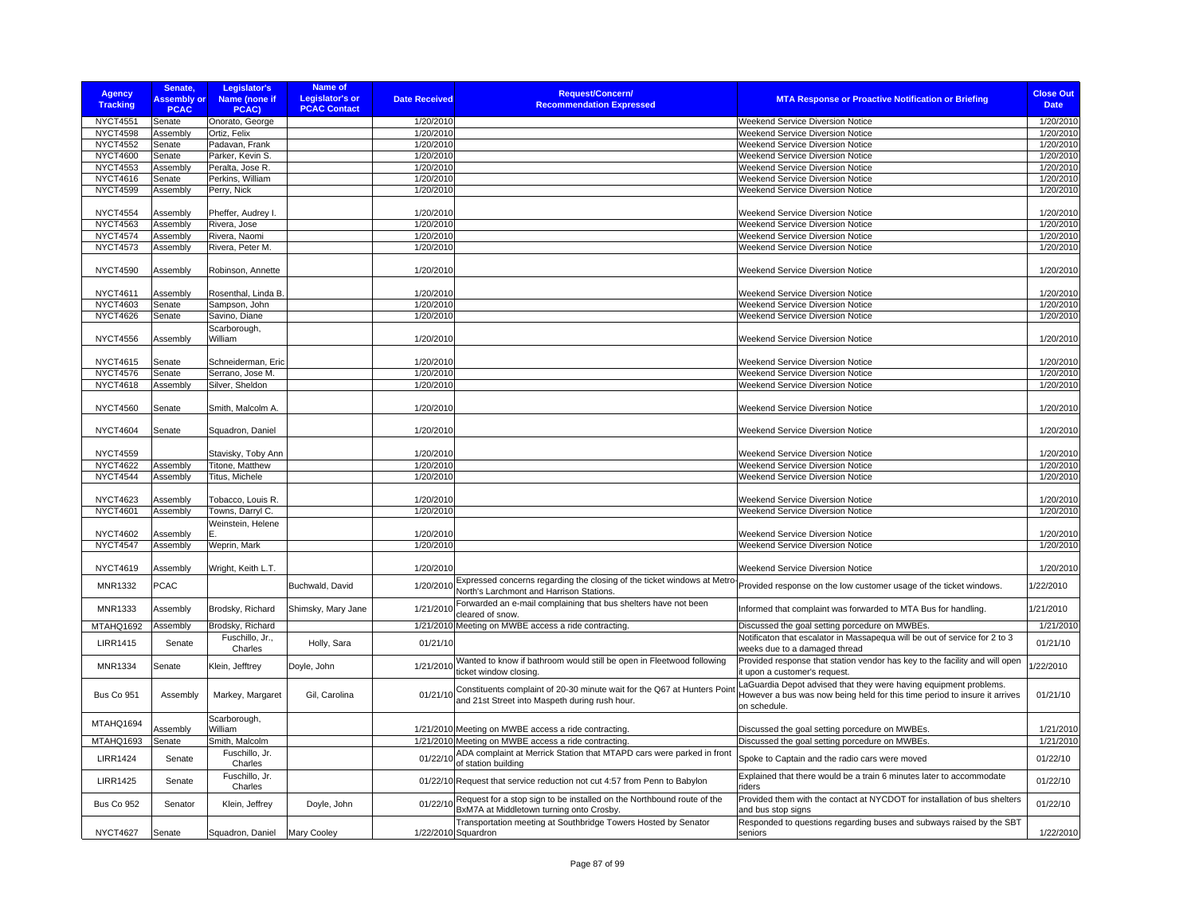| <b>Agency</b><br><b>Tracking</b>   | Senate,<br><b>Assembly or</b><br><b>PCAC</b> | Legislator's<br>Name (none if<br>PCAC) | Name of<br>Legislator's or<br><b>PCAC Contact</b> | <b>Date Received</b>   | <b>Request/Concern/</b><br><b>Recommendation Expressed</b>                                                                 | <b>MTA Response or Proactive Notification or Briefing</b>                                                                                                       | <b>Close Out</b><br><b>Date</b> |
|------------------------------------|----------------------------------------------|----------------------------------------|---------------------------------------------------|------------------------|----------------------------------------------------------------------------------------------------------------------------|-----------------------------------------------------------------------------------------------------------------------------------------------------------------|---------------------------------|
| <b>NYCT4551</b>                    | Senate                                       | Onorato, George                        |                                                   | 1/20/2010              |                                                                                                                            | Weekend Service Diversion Notice                                                                                                                                | 1/20/2010                       |
| <b>NYCT4598</b>                    | Assembly                                     | Ortiz, Felix                           |                                                   | 1/20/2010              |                                                                                                                            | Weekend Service Diversion Notice                                                                                                                                | 1/20/2010                       |
| <b>NYCT4552</b>                    | Senate                                       | Padavan, Frank                         |                                                   | 1/20/2010              |                                                                                                                            | <b>Weekend Service Diversion Notice</b>                                                                                                                         | 1/20/2010                       |
| <b>NYCT4600</b>                    | Senate                                       | Parker, Kevin S.                       |                                                   | 1/20/2010              |                                                                                                                            | Weekend Service Diversion Notice                                                                                                                                | 1/20/2010                       |
| <b>NYCT4553</b>                    | Assembly                                     | Peralta, Jose R.                       |                                                   | 1/20/2010              |                                                                                                                            | <b>Weekend Service Diversion Notice</b>                                                                                                                         | 1/20/2010                       |
| <b>NYCT4616</b>                    | Senate                                       | Perkins, William                       |                                                   | 1/20/2010              |                                                                                                                            | Weekend Service Diversion Notice                                                                                                                                | 1/20/2010                       |
| <b>NYCT4599</b>                    | Assembly                                     | Perry, Nick                            |                                                   | 1/20/2010              |                                                                                                                            | Weekend Service Diversion Notice                                                                                                                                | 1/20/2010                       |
|                                    |                                              |                                        |                                                   |                        |                                                                                                                            |                                                                                                                                                                 |                                 |
| <b>NYCT4554</b>                    | Assembly                                     | Pheffer, Audrey I.                     |                                                   | 1/20/2010              |                                                                                                                            | Weekend Service Diversion Notice                                                                                                                                | 1/20/2010                       |
| <b>NYCT4563</b>                    | Assembly                                     | Rivera, Jose                           |                                                   | 1/20/2010              |                                                                                                                            | <b>Weekend Service Diversion Notice</b>                                                                                                                         | 1/20/2010                       |
| <b>NYCT4574</b>                    | Assembly                                     | Rivera, Naomi                          |                                                   | 1/20/2010              |                                                                                                                            | Weekend Service Diversion Notice                                                                                                                                | 1/20/2010                       |
| <b>NYCT4573</b>                    | Assembly                                     | Rivera, Peter M.                       |                                                   | 1/20/2010              |                                                                                                                            | Weekend Service Diversion Notice                                                                                                                                | 1/20/2010                       |
| <b>NYCT4590</b>                    | Assembly                                     | Robinson, Annette                      |                                                   | 1/20/2010              |                                                                                                                            | <b>Weekend Service Diversion Notice</b>                                                                                                                         | 1/20/2010                       |
| <b>NYCT4611</b>                    | Assembly                                     | Rosenthal, Linda B.                    |                                                   | 1/20/2010              |                                                                                                                            | <b>Weekend Service Diversion Notice</b>                                                                                                                         | 1/20/2010                       |
| <b>NYCT4603</b>                    | Senate                                       | Sampson, John                          |                                                   | 1/20/2010              |                                                                                                                            | <b>Weekend Service Diversion Notice</b>                                                                                                                         | 1/20/2010                       |
| <b>NYCT4626</b>                    | Senate                                       | Savino, Diane                          |                                                   | 1/20/2010              |                                                                                                                            | <b>Weekend Service Diversion Notice</b>                                                                                                                         | 1/20/2010                       |
|                                    |                                              | Scarborough,                           |                                                   |                        |                                                                                                                            |                                                                                                                                                                 |                                 |
| <b>NYCT4556</b>                    | Assembly                                     | William                                |                                                   | 1/20/2010              |                                                                                                                            | Weekend Service Diversion Notice                                                                                                                                | 1/20/2010                       |
| <b>NYCT4615</b>                    | Senate                                       | Schneiderman, Eric                     |                                                   | 1/20/2010              |                                                                                                                            | Weekend Service Diversion Notice                                                                                                                                | 1/20/2010                       |
| <b>NYCT4576</b>                    | Senate                                       | Serrano, Jose M.                       |                                                   | 1/20/2010              |                                                                                                                            | <b>Weekend Service Diversion Notice</b>                                                                                                                         | 1/20/2010                       |
| <b>NYCT4618</b>                    | Assembly                                     | Silver, Sheldon                        |                                                   | 1/20/2010              |                                                                                                                            | Weekend Service Diversion Notice                                                                                                                                | 1/20/2010                       |
| <b>NYCT4560</b>                    | Senate                                       | Smith, Malcolm A.                      |                                                   | 1/20/2010              |                                                                                                                            | <b>Weekend Service Diversion Notice</b>                                                                                                                         | 1/20/2010                       |
| <b>NYCT4604</b>                    | Senate                                       | Squadron, Daniel                       |                                                   | 1/20/2010              |                                                                                                                            | Weekend Service Diversion Notice                                                                                                                                | 1/20/2010                       |
| <b>NYCT4559</b>                    |                                              | Stavisky, Toby Ann                     |                                                   | 1/20/2010              |                                                                                                                            | Weekend Service Diversion Notice                                                                                                                                | 1/20/2010                       |
| <b>NYCT4622</b><br><b>NYCT4544</b> | Assembly<br>Assembly                         | Titone, Matthew<br>Titus, Michele      |                                                   | 1/20/2010<br>1/20/2010 |                                                                                                                            | <b>Weekend Service Diversion Notice</b><br>Weekend Service Diversion Notice                                                                                     | 1/20/2010<br>1/20/2010          |
|                                    |                                              |                                        |                                                   |                        |                                                                                                                            |                                                                                                                                                                 |                                 |
| <b>NYCT4623</b>                    | Assembly                                     | Tobacco, Louis R.                      |                                                   | 1/20/2010              |                                                                                                                            | Weekend Service Diversion Notice                                                                                                                                | 1/20/2010                       |
| <b>NYCT4601</b>                    | Assembly                                     | Towns, Darryl C.                       |                                                   | 1/20/2010              |                                                                                                                            | Weekend Service Diversion Notice                                                                                                                                | 1/20/2010                       |
| <b>NYCT4602</b>                    | Assembly                                     | Weinstein, Helene<br>E                 |                                                   | 1/20/2010              |                                                                                                                            | Weekend Service Diversion Notice                                                                                                                                | 1/20/2010                       |
| <b>NYCT4547</b>                    | Assembly                                     | Weprin, Mark                           |                                                   | 1/20/2010              |                                                                                                                            | Weekend Service Diversion Notice                                                                                                                                | 1/20/2010                       |
| <b>NYCT4619</b>                    | Assembly                                     | Wright, Keith L.T.                     |                                                   | 1/20/2010              |                                                                                                                            | Weekend Service Diversion Notice                                                                                                                                | 1/20/2010                       |
|                                    |                                              |                                        |                                                   |                        | Expressed concerns regarding the closing of the ticket windows at Metro-                                                   |                                                                                                                                                                 |                                 |
| MNR1332                            | <b>PCAC</b>                                  |                                        | Buchwald, David                                   | 1/20/2010              | North's Larchmont and Harrison Stations.<br>Forwarded an e-mail complaining that bus shelters have not been                | Provided response on the low customer usage of the ticket windows.                                                                                              | 1/22/2010                       |
| <b>MNR1333</b>                     | Assembly                                     | Brodsky, Richard                       | Shimsky, Mary Jane                                | 1/21/2010              | cleared of snow.                                                                                                           | Informed that complaint was forwarded to MTA Bus for handling.                                                                                                  | 1/21/2010                       |
| MTAHQ1692                          | Assembly                                     | Brodsky, Richard                       |                                                   |                        | 1/21/2010 Meeting on MWBE access a ride contracting.                                                                       | Discussed the goal setting porcedure on MWBEs.                                                                                                                  | 1/21/2010                       |
| <b>LIRR1415</b>                    | Senate                                       | Fuschillo, Jr.,<br>Charles             | Holly, Sara                                       | 01/21/10               |                                                                                                                            | Notificaton that escalator in Massapequa will be out of service for 2 to 3<br>weeks due to a damaged thread                                                     | 01/21/10                        |
| MNR1334                            | Senate                                       | Klein, Jefftrey                        | Doyle, John                                       | 1/21/2010              | Wanted to know if bathroom would still be open in Fleetwood following<br>ticket window closing.                            | Provided response that station vendor has key to the facility and will open<br>it upon a customer's request.                                                    | 1/22/2010                       |
| <b>Bus Co 951</b>                  | Assembly                                     | Markey, Margaret                       | Gil, Carolina                                     | 01/21/10               | Constituents complaint of 20-30 minute wait for the Q67 at Hunters Point<br>and 21st Street into Maspeth during rush hour. | LaGuardia Depot advised that they were having equipment problems.<br>However a bus was now being held for this time period to insure it arrives<br>on schedule. | 01/21/10                        |
| MTAHQ1694                          | Assembly                                     | Scarborough,<br>William                |                                                   |                        | 1/21/2010 Meeting on MWBE access a ride contracting.                                                                       | Discussed the goal setting porcedure on MWBEs.                                                                                                                  | 1/21/2010                       |
| MTAHQ1693                          | Senate                                       | Smith, Malcolm                         |                                                   |                        | 1/21/2010 Meeting on MWBE access a ride contracting.                                                                       | Discussed the goal setting porcedure on MWBEs.                                                                                                                  | 1/21/2010                       |
| <b>LIRR1424</b>                    | Senate                                       | Fuschillo, Jr.<br>Charles              |                                                   |                        | 01/22/10 ADA complaint at Merrick Station that MTAPD cars were parked in front<br>of station building                      | Spoke to Captain and the radio cars were moved                                                                                                                  | 01/22/10                        |
| <b>LIRR1425</b>                    | Senate                                       | Fuschillo, Jr.<br>Charles              |                                                   |                        | 01/22/10 Request that service reduction not cut 4:57 from Penn to Babylon                                                  | Explained that there would be a train 6 minutes later to accommodate<br>riders                                                                                  | 01/22/10                        |
| <b>Bus Co 952</b>                  | Senator                                      | Klein, Jeffrey                         | Doyle, John                                       | 01/22/10               | Request for a stop sign to be installed on the Northbound route of the<br>BxM7A at Middletown turning onto Crosby.         | Provided them with the contact at NYCDOT for installation of bus shelters<br>and bus stop signs                                                                 | 01/22/10                        |
|                                    |                                              |                                        |                                                   |                        | Transportation meeting at Southbridge Towers Hosted by Senator                                                             | Responded to questions regarding buses and subways raised by the SBT                                                                                            |                                 |
| <b>NYCT4627</b>                    | Senate                                       | Squadron, Daniel                       | <b>Mary Cooley</b>                                |                        | 1/22/2010 Squardron                                                                                                        | seniors                                                                                                                                                         | 1/22/2010                       |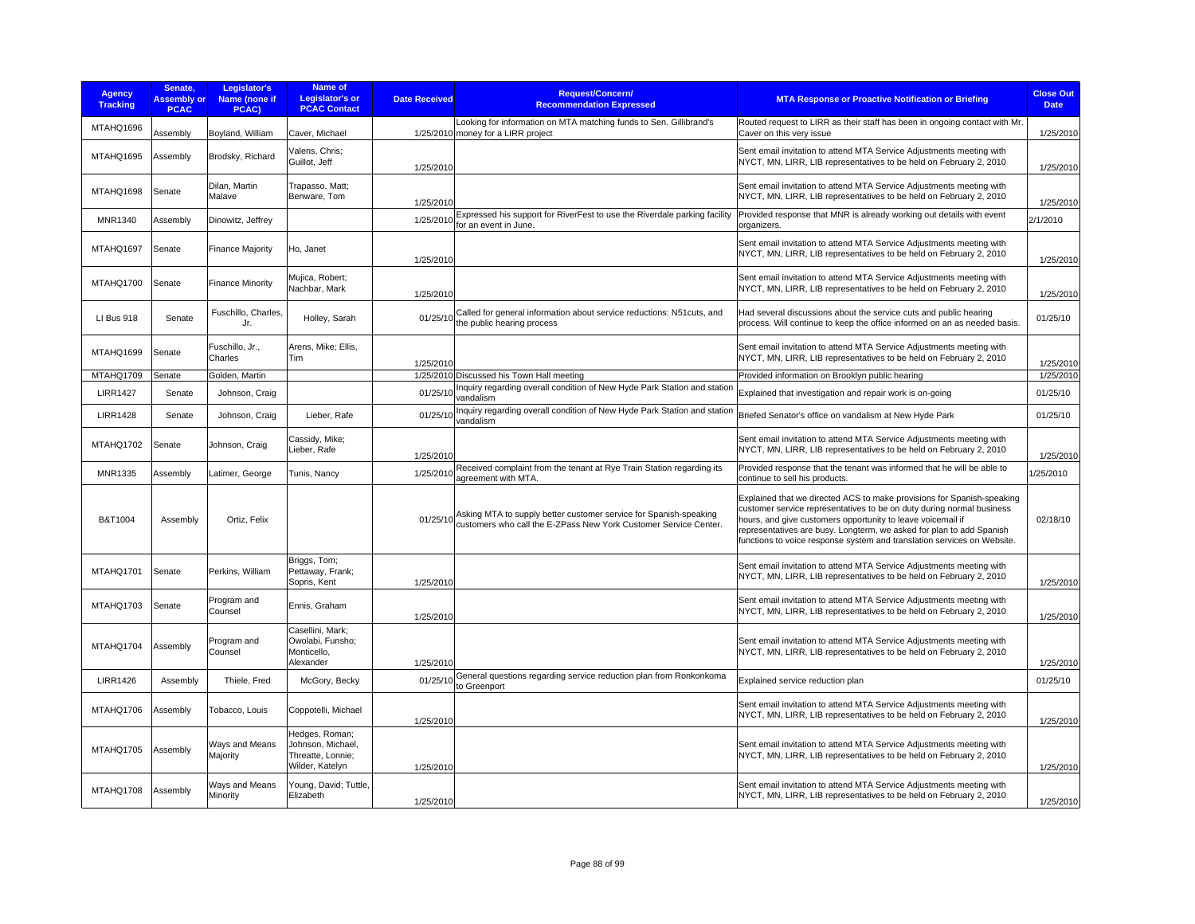| <b>Agency</b><br><b>Tracking</b> | Senate.<br><b>Assembly or</b><br><b>PCAC</b> | Legislator's<br>Name (none if<br>PCAC) | Name of<br>Legislator's or<br><b>PCAC Contact</b>                           | Request/Concern/<br><b>Date Received</b><br><b>Recommendation Expressed</b>                                                                       | <b>MTA Response or Proactive Notification or Briefing</b>                                                                                                                                                                                                                                                                                                         | <b>Close Out</b><br><b>Date</b> |
|----------------------------------|----------------------------------------------|----------------------------------------|-----------------------------------------------------------------------------|---------------------------------------------------------------------------------------------------------------------------------------------------|-------------------------------------------------------------------------------------------------------------------------------------------------------------------------------------------------------------------------------------------------------------------------------------------------------------------------------------------------------------------|---------------------------------|
| MTAHQ1696                        | Assembly                                     | Boyland, William                       | Caver, Michael                                                              | Looking for information on MTA matching funds to Sen. Gillibrand's<br>1/25/2010 money for a LIRR project                                          | Routed request to LIRR as their staff has been in ongoing contact with Mr.<br>Caver on this very issue                                                                                                                                                                                                                                                            | 1/25/2010                       |
| MTAHQ1695                        | Assembly                                     | Brodsky, Richard                       | Valens, Chris;<br>Guillot, Jeff                                             | 1/25/2010                                                                                                                                         | Sent email invitation to attend MTA Service Adjustments meeting with<br>NYCT, MN, LIRR, LIB representatives to be held on February 2, 2010                                                                                                                                                                                                                        | 1/25/2010                       |
| MTAHQ1698                        | Senate                                       | Dilan, Martin<br>Malave                | Trapasso, Matt;<br>Benware, Tom                                             | 1/25/2010                                                                                                                                         | Sent email invitation to attend MTA Service Adjustments meeting with<br>NYCT, MN, LIRR, LIB representatives to be held on February 2, 2010                                                                                                                                                                                                                        | 1/25/2010                       |
| <b>MNR1340</b>                   | Assembly                                     | Dinowitz, Jeffrey                      |                                                                             | Expressed his support for RiverFest to use the Riverdale parking facility<br>1/25/2010<br>for an event in June.                                   | Provided response that MNR is already working out details with event<br>organizers.                                                                                                                                                                                                                                                                               | 2/1/2010                        |
| MTAHQ1697                        | Senate                                       | <b>Finance Majority</b>                | Ho, Janet                                                                   | 1/25/2010                                                                                                                                         | Sent email invitation to attend MTA Service Adjustments meeting with<br>NYCT, MN, LIRR, LIB representatives to be held on February 2, 2010                                                                                                                                                                                                                        | 1/25/2010                       |
| MTAHQ1700                        | Senate                                       | <b>Finance Minority</b>                | Mujica, Robert;<br>Nachbar, Mark                                            | 1/25/2010                                                                                                                                         | Sent email invitation to attend MTA Service Adjustments meeting with<br>NYCT, MN, LIRR, LIB representatives to be held on February 2, 2010                                                                                                                                                                                                                        | 1/25/2010                       |
| LI Bus 918                       | Senate                                       | Fuschillo, Charles,<br>Jr.             | Holley, Sarah                                                               | Called for general information about service reductions: N51cuts, and<br>01/25/10<br>the public hearing process                                   | Had several discussions about the service cuts and public hearing<br>process. Will continue to keep the office informed on an as needed basis.                                                                                                                                                                                                                    | 01/25/10                        |
| MTAHQ1699                        | Senate                                       | Fuschillo, Jr.,<br>Charles             | Arens, Mike; Ellis,<br>Tim                                                  | 1/25/2010                                                                                                                                         | Sent email invitation to attend MTA Service Adjustments meeting with<br>NYCT, MN, LIRR, LIB representatives to be held on February 2, 2010                                                                                                                                                                                                                        | 1/25/2010                       |
| MTAHQ1709                        | Senate                                       | Golden, Martin                         |                                                                             | 1/25/2010 Discussed his Town Hall meeting                                                                                                         | Provided information on Brooklyn public hearing                                                                                                                                                                                                                                                                                                                   | 1/25/2010                       |
| <b>LIRR1427</b>                  | Senate                                       | Johnson, Craig                         |                                                                             | Inquiry regarding overall condition of New Hyde Park Station and station<br>01/25/10<br>vandalism                                                 | Explained that investigation and repair work is on-going                                                                                                                                                                                                                                                                                                          | 01/25/10                        |
| <b>LIRR1428</b>                  | Senate                                       | Johnson, Craig                         | Lieber, Rafe                                                                | Inquiry regarding overall condition of New Hyde Park Station and station<br>01/25/10<br>vandalism                                                 | Briefed Senator's office on vandalism at New Hyde Park                                                                                                                                                                                                                                                                                                            | 01/25/10                        |
| MTAHQ1702                        | Senate                                       | Johnson, Craig                         | Cassidy, Mike;<br>Lieber, Rafe                                              | 1/25/2010                                                                                                                                         | Sent email invitation to attend MTA Service Adjustments meeting with<br>NYCT, MN, LIRR, LIB representatives to be held on February 2, 2010                                                                                                                                                                                                                        | 1/25/2010                       |
| MNR1335                          | Assembly                                     | Latimer, George                        | Tunis, Nancy                                                                | Received complaint from the tenant at Rye Train Station regarding its<br>1/25/2010<br>agreement with MTA.                                         | Provided response that the tenant was informed that he will be able to<br>continue to sell his products.                                                                                                                                                                                                                                                          | 1/25/2010                       |
| B&T1004                          | Assembly                                     | Ortiz, Felix                           |                                                                             | Asking MTA to supply better customer service for Spanish-speaking<br>01/25/10<br>customers who call the E-ZPass New York Customer Service Center. | Explained that we directed ACS to make provisions for Spanish-speaking<br>customer service representatives to be on duty during normal business<br>hours, and give customers opportunity to leave voicemail if<br>representatives are busy. Longterm, we asked for plan to add Spanish<br>functions to voice response system and translation services on Website. | 02/18/10                        |
| MTAHQ1701                        | Senate                                       | Perkins, William                       | Briggs, Tom;<br>Pettaway, Frank;<br>Sopris, Kent                            | 1/25/2010                                                                                                                                         | Sent email invitation to attend MTA Service Adjustments meeting with<br>NYCT, MN, LIRR, LIB representatives to be held on February 2, 2010                                                                                                                                                                                                                        | 1/25/2010                       |
| MTAHQ1703                        | Senate                                       | Program and<br>Counsel                 | Ennis, Graham                                                               | 1/25/2010                                                                                                                                         | Sent email invitation to attend MTA Service Adjustments meeting with<br>NYCT, MN, LIRR, LIB representatives to be held on February 2, 2010                                                                                                                                                                                                                        | 1/25/2010                       |
| MTAHQ1704                        | Assembly                                     | Program and<br>Counsel                 | Casellini, Mark;<br>Owolabi, Funsho;<br>Monticello,<br>Alexander            | 1/25/2010                                                                                                                                         | Sent email invitation to attend MTA Service Adjustments meeting with<br>NYCT, MN, LIRR, LIB representatives to be held on February 2, 2010                                                                                                                                                                                                                        | 1/25/2010                       |
| <b>LIRR1426</b>                  | Assembly                                     | Thiele, Fred                           | McGory, Becky                                                               | General questions regarding service reduction plan from Ronkonkoma<br>01/25/10<br>to Greenport                                                    | Explained service reduction plan                                                                                                                                                                                                                                                                                                                                  | 01/25/10                        |
| MTAHQ1706                        | Assembly                                     | Tobacco, Louis                         | Coppotelli, Michael                                                         | 1/25/2010                                                                                                                                         | Sent email invitation to attend MTA Service Adjustments meeting with<br>NYCT, MN, LIRR, LIB representatives to be held on February 2, 2010                                                                                                                                                                                                                        | 1/25/2010                       |
| MTAHQ1705                        | Assembly                                     | Ways and Means<br>Majority             | Hedges, Roman;<br>Johnson, Michael,<br>Threatte, Lonnie;<br>Wilder, Katelyn | 1/25/2010                                                                                                                                         | Sent email invitation to attend MTA Service Adjustments meeting with<br>NYCT, MN, LIRR, LIB representatives to be held on February 2, 2010                                                                                                                                                                                                                        | 1/25/2010                       |
| MTAHQ1708                        | Assembly                                     | Ways and Means<br>Minority             | Young, David; Tuttle,<br>Elizabeth                                          | 1/25/2010                                                                                                                                         | Sent email invitation to attend MTA Service Adjustments meeting with<br>NYCT, MN, LIRR, LIB representatives to be held on February 2, 2010                                                                                                                                                                                                                        | 1/25/2010                       |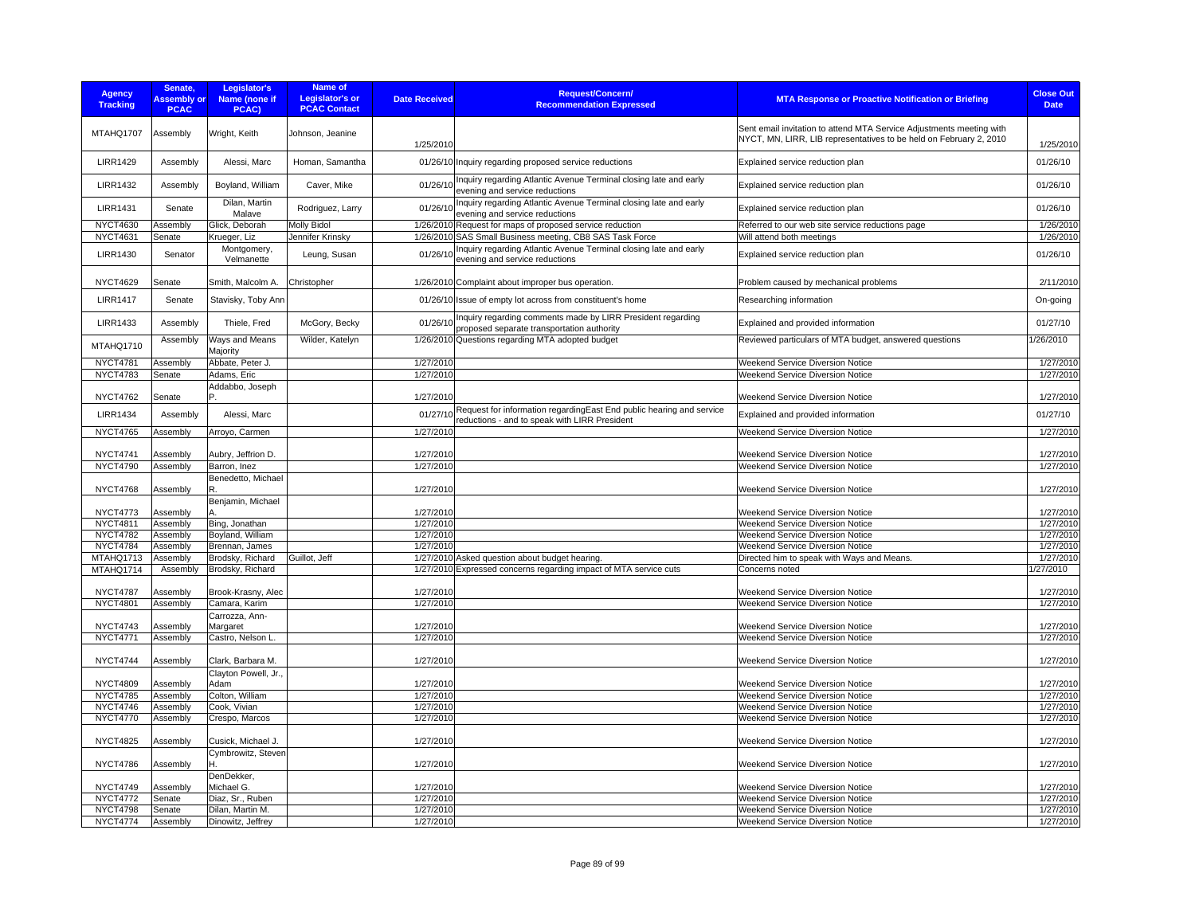| <b>Agency</b><br><b>Tracking</b> | Senate.<br><b>Assembly or</b><br><b>PCAC</b> | Legislator's<br><b>Name (none if</b><br>PCAC) | Name of<br><b>Legislator's or</b><br><b>PCAC Contact</b> | <b>Date Received</b> | <b>Request/Concern/</b><br><b>Recommendation Expressed</b>                                                   | MTA Response or Proactive Notification or Briefing                                                                                         | <b>Close Out</b><br><b>Date</b> |
|----------------------------------|----------------------------------------------|-----------------------------------------------|----------------------------------------------------------|----------------------|--------------------------------------------------------------------------------------------------------------|--------------------------------------------------------------------------------------------------------------------------------------------|---------------------------------|
| MTAHQ1707                        | Assembly                                     | Wright, Keith                                 | Johnson, Jeanine                                         | 1/25/2010            |                                                                                                              | Sent email invitation to attend MTA Service Adjustments meeting with<br>NYCT, MN, LIRR, LIB representatives to be held on February 2, 2010 | 1/25/2010                       |
| <b>LIRR1429</b>                  | Assembly                                     | Alessi, Marc                                  | Homan, Samantha                                          |                      | 01/26/10 Inquiry regarding proposed service reductions                                                       | Explained service reduction plan                                                                                                           | 01/26/10                        |
| <b>LIRR1432</b>                  | Assembly                                     | Boyland, William                              | Caver, Mike                                              |                      | 01/26/10 Inquiry regarding Atlantic Avenue Terminal closing late and early<br>evening and service reductions | Explained service reduction plan                                                                                                           | 01/26/10                        |
| <b>LIRR1431</b>                  | Senate                                       | Dilan, Martin<br>Malave                       | Rodriguez, Larry                                         | 01/26/10             | Inquiry regarding Atlantic Avenue Terminal closing late and early<br>evening and service reductions          | Explained service reduction plan                                                                                                           | 01/26/10                        |
| <b>NYCT4630</b>                  | Assembly                                     | Glick, Deborah                                | <b>Molly Bidol</b>                                       |                      | 1/26/2010 Request for maps of proposed service reduction                                                     | Referred to our web site service reductions page                                                                                           | 1/26/2010                       |
| <b>NYCT4631</b>                  | Senate                                       | Krueger, Liz                                  | Jennifer Krinsky                                         |                      | 1/26/2010 SAS Small Business meeting, CB8 SAS Task Force                                                     | Will attend both meetings                                                                                                                  | 1/26/2010                       |
| <b>LIRR1430</b>                  | Senator                                      | Montgomery,<br>Velmanette                     | Leung, Susan                                             |                      | 01/26/10 Inquiry regarding Atlantic Avenue Terminal closing late and early<br>evening and service reductions | Explained service reduction plan                                                                                                           | 01/26/10                        |
| <b>NYCT4629</b>                  | Senate                                       | Smith, Malcolm A.                             | Christopher                                              |                      | 1/26/2010 Complaint about improper bus operation.                                                            | Problem caused by mechanical problems                                                                                                      | 2/11/2010                       |
| <b>LIRR1417</b>                  | Senate                                       | Stavisky, Toby Ann                            |                                                          |                      | 01/26/10 Issue of empty lot across from constituent's home                                                   | Researching information                                                                                                                    | On-going                        |
| <b>LIRR1433</b>                  | Assembly                                     | Thiele, Fred                                  | McGory, Becky                                            | 01/26/10             | Inquiry regarding comments made by LIRR President regarding<br>proposed separate transportation authority    | Explained and provided information                                                                                                         | 01/27/10                        |
| MTAHQ1710                        | Assembly                                     | Ways and Means<br>Majority                    | Wilder, Katelyn                                          |                      | 1/26/2010 Questions regarding MTA adopted budget                                                             | Reviewed particulars of MTA budget, answered questions                                                                                     | 1/26/2010                       |
| <b>NYCT4781</b>                  | Assembly                                     | Abbate, Peter J.                              |                                                          | 1/27/2010            |                                                                                                              | Weekend Service Diversion Notice                                                                                                           | 1/27/2010                       |
| <b>NYCT4783</b>                  | Senate                                       | Adams, Eric                                   |                                                          | 1/27/2010            |                                                                                                              | Weekend Service Diversion Notice                                                                                                           | 1/27/2010                       |
|                                  |                                              | Addabbo, Joseph                               |                                                          |                      |                                                                                                              |                                                                                                                                            |                                 |
| <b>NYCT4762</b>                  | Senate                                       | P                                             |                                                          | 1/27/2010            | 01/27/10 Request for information regarding East End public hearing and service                               | Weekend Service Diversion Notice                                                                                                           | 1/27/2010                       |
| <b>LIRR1434</b>                  | Assembly                                     | Alessi, Marc                                  |                                                          |                      | reductions - and to speak with LIRR President                                                                | Explained and provided information                                                                                                         | 01/27/10                        |
| <b>NYCT4765</b>                  | Assembly                                     | Arroyo, Carmen                                |                                                          | 1/27/2010            |                                                                                                              | Weekend Service Diversion Notice                                                                                                           | 1/27/2010                       |
| <b>NYCT4741</b>                  | Assembly                                     | Aubry, Jeffrion D.                            |                                                          | 1/27/2010            |                                                                                                              | Weekend Service Diversion Notice                                                                                                           | 1/27/2010                       |
| <b>NYCT4790</b>                  | Assembly                                     | Barron, Inez                                  |                                                          | 1/27/2010            |                                                                                                              | Weekend Service Diversion Notice                                                                                                           | 1/27/2010                       |
| <b>NYCT4768</b>                  | Assembly                                     | Benedetto, Michael<br>R.                      |                                                          | 1/27/2010            |                                                                                                              | Weekend Service Diversion Notice                                                                                                           | 1/27/2010                       |
| <b>NYCT4773</b>                  | Assembly                                     | Benjamin, Michael                             |                                                          | 1/27/2010            |                                                                                                              | Weekend Service Diversion Notice                                                                                                           | 1/27/2010                       |
| NYCT4811                         | Assembly                                     | Bing, Jonathan                                |                                                          | 1/27/2010            |                                                                                                              | Weekend Service Diversion Notice                                                                                                           | 1/27/2010                       |
| <b>NYCT4782</b>                  | Assembly                                     | Boyland, William                              |                                                          | 1/27/2010            |                                                                                                              | Weekend Service Diversion Notice                                                                                                           | 1/27/2010                       |
| <b>NYCT4784</b>                  | Assembly                                     | Brennan, James                                |                                                          | 1/27/2010            |                                                                                                              | Weekend Service Diversion Notice                                                                                                           | 1/27/2010                       |
| MTAHQ1713                        | Assembly                                     | Brodsky, Richard                              | Guillot, Jeff                                            |                      | 1/27/2010 Asked question about budget hearing.                                                               | Directed him to speak with Ways and Means.                                                                                                 | 1/27/2010                       |
| MTAHQ1714                        | Assembly                                     | Brodsky, Richard                              |                                                          |                      | 1/27/2010 Expressed concerns regarding impact of MTA service cuts                                            | Concerns noted                                                                                                                             | 1/27/2010                       |
| <b>NYCT4787</b>                  | Assembly                                     | Brook-Krasny, Alec                            |                                                          | 1/27/2010            |                                                                                                              | <b>Weekend Service Diversion Notice</b>                                                                                                    | 1/27/2010                       |
| <b>NYCT4801</b>                  | Assembly                                     | Camara, Karim                                 |                                                          | 1/27/2010            |                                                                                                              | Weekend Service Diversion Notice                                                                                                           | 1/27/2010                       |
|                                  |                                              | Carrozza, Ann-                                |                                                          |                      |                                                                                                              |                                                                                                                                            |                                 |
| <b>NYCT4743</b>                  | Assembly                                     | Margaret                                      |                                                          | 1/27/2010            |                                                                                                              | Weekend Service Diversion Notice                                                                                                           | 1/27/2010                       |
| <b>NYCT4771</b>                  | Assembly                                     | Castro, Nelson L                              |                                                          | 1/27/2010            |                                                                                                              | Weekend Service Diversion Notice                                                                                                           | 1/27/2010                       |
| <b>NYCT4744</b>                  | Assembly                                     | Clark, Barbara M.                             |                                                          | 1/27/2010            |                                                                                                              | Weekend Service Diversion Notice                                                                                                           | 1/27/2010                       |
| <b>NYCT4809</b>                  | Assembly                                     | Clayton Powell, Jr.,<br>Adam                  |                                                          | 1/27/2010            |                                                                                                              | Weekend Service Diversion Notice                                                                                                           | 1/27/2010                       |
| <b>NYCT4785</b>                  | Assembly                                     | Colton, William                               |                                                          | 1/27/2010            |                                                                                                              | Weekend Service Diversion Notice                                                                                                           | 1/27/2010                       |
| <b>NYCT4746</b>                  | Assembly                                     | Cook, Vivian                                  |                                                          | 1/27/2010            |                                                                                                              | Weekend Service Diversion Notice                                                                                                           | 1/27/2010                       |
| <b>NYCT4770</b>                  | Assembly                                     | Crespo, Marcos                                |                                                          | 1/27/2010            |                                                                                                              | Weekend Service Diversion Notice                                                                                                           | 1/27/2010                       |
| <b>NYCT4825</b>                  | Assembly                                     | Cusick, Michael J                             |                                                          | 1/27/2010            |                                                                                                              | Weekend Service Diversion Notice                                                                                                           | 1/27/2010                       |
| <b>NYCT4786</b>                  | Assembly                                     | Cymbrowitz, Steven<br>н                       |                                                          | 1/27/2010            |                                                                                                              | Weekend Service Diversion Notice                                                                                                           | 1/27/2010                       |
| <b>NYCT4749</b>                  | Assembly                                     | DenDekker,<br>Michael G.                      |                                                          | 1/27/2010            |                                                                                                              | Weekend Service Diversion Notice                                                                                                           | 1/27/2010                       |
| <b>NYCT4772</b>                  | Senate                                       | Diaz, Sr., Ruben                              |                                                          | 1/27/2010            |                                                                                                              | Weekend Service Diversion Notice                                                                                                           | 1/27/2010                       |
| <b>NYCT4798</b>                  | Senate                                       | Dilan, Martin M.                              |                                                          | 1/27/2010            |                                                                                                              | Weekend Service Diversion Notice                                                                                                           | 1/27/2010                       |
| <b>NYCT4774</b>                  | Assembly                                     | Dinowitz, Jeffrey                             |                                                          | 1/27/2010            |                                                                                                              | Weekend Service Diversion Notice                                                                                                           | 1/27/2010                       |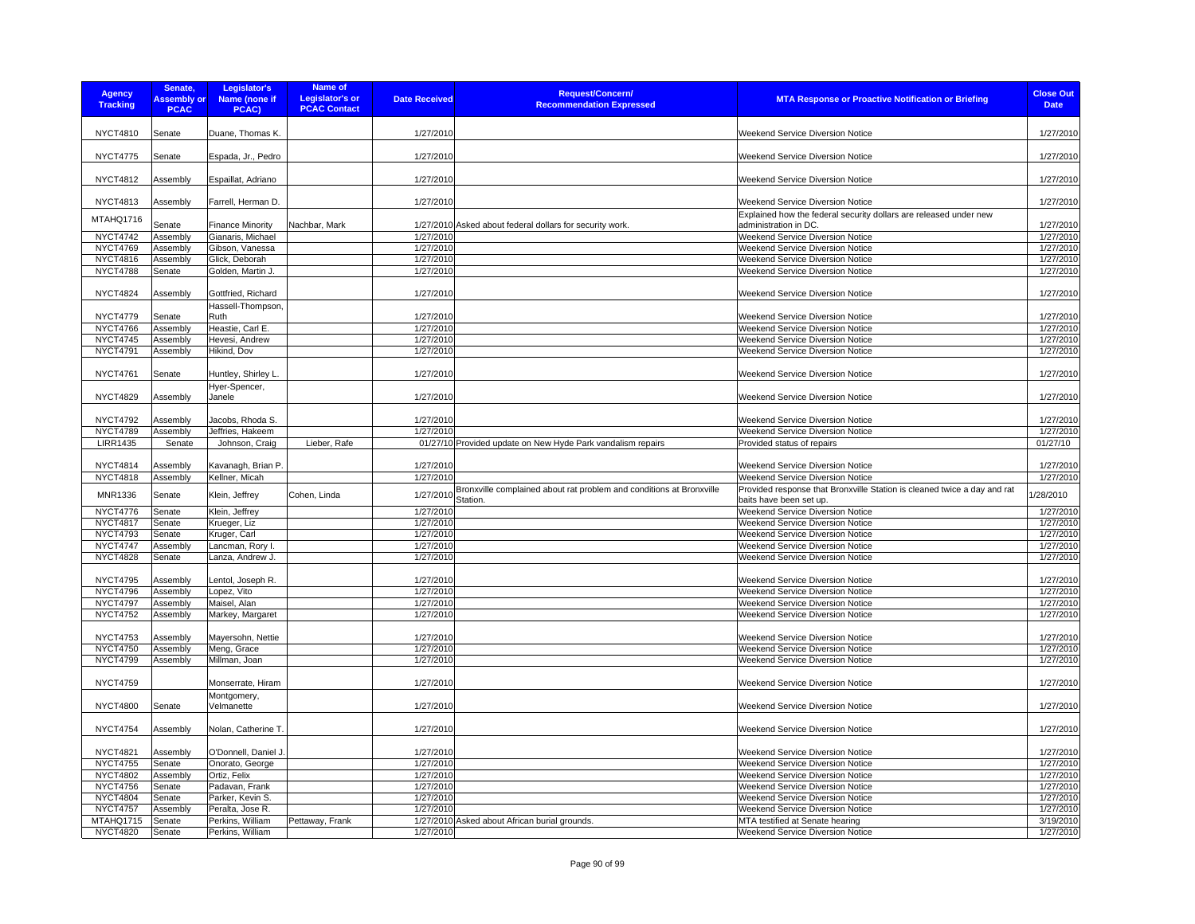| <b>Agency</b><br><b>Tracking</b> | Senate,<br><b>Assembly or</b><br><b>PCAC</b> | Legislator's<br>Name (none if<br>PCAC)       | <b>Name of</b><br><b>Legislator's or</b><br><b>PCAC Contact</b> | <b>Date Received</b>   | <b>Request/Concern/</b><br><b>Recommendation Expressed</b>                                 | <b>MTA Response or Proactive Notification or Briefing</b>                                                                      | <b>Close Out</b><br><b>Date</b> |
|----------------------------------|----------------------------------------------|----------------------------------------------|-----------------------------------------------------------------|------------------------|--------------------------------------------------------------------------------------------|--------------------------------------------------------------------------------------------------------------------------------|---------------------------------|
| <b>NYCT4810</b>                  | Senate                                       | Duane, Thomas K.                             |                                                                 | 1/27/2010              |                                                                                            | <b>Weekend Service Diversion Notice</b>                                                                                        | 1/27/2010                       |
| <b>NYCT4775</b>                  | Senate                                       | Espada, Jr., Pedro                           |                                                                 | 1/27/2010              |                                                                                            | <b>Weekend Service Diversion Notice</b>                                                                                        | 1/27/2010                       |
| <b>NYCT4812</b>                  | Assembly                                     | Espaillat, Adriano                           |                                                                 | 1/27/2010              |                                                                                            | Weekend Service Diversion Notice                                                                                               | 1/27/2010                       |
| <b>NYCT4813</b>                  | Assembly                                     | Farrell, Herman D.                           |                                                                 | 1/27/2010              |                                                                                            | <b>Weekend Service Diversion Notice</b>                                                                                        | 1/27/2010                       |
| MTAHQ1716<br><b>NYCT4742</b>     | Senate<br>Assembly                           | <b>Finance Minority</b><br>Gianaris, Michael | Nachbar, Mark                                                   | 1/27/2010              | 1/27/2010 Asked about federal dollars for security work.                                   | Explained how the federal security dollars are released under new<br>administration in DC.<br>Weekend Service Diversion Notice | 1/27/2010<br>1/27/2010          |
| <b>NYCT4769</b>                  | Assembly                                     | Gibson, Vanessa                              |                                                                 | 1/27/2010              |                                                                                            | Weekend Service Diversion Notice                                                                                               | 1/27/2010                       |
| <b>NYCT4816</b>                  | Assembly                                     | Glick, Deborah                               |                                                                 | 1/27/2010              |                                                                                            | Weekend Service Diversion Notice                                                                                               | 1/27/2010                       |
| <b>NYCT4788</b>                  | Senate                                       | Golden, Martin J.                            |                                                                 | 1/27/2010              |                                                                                            | <b>Weekend Service Diversion Notice</b>                                                                                        | 1/27/2010                       |
|                                  |                                              |                                              |                                                                 |                        |                                                                                            |                                                                                                                                |                                 |
| <b>NYCT4824</b>                  | Assembly                                     | Gottfried, Richard<br>Hassell-Thompson,      |                                                                 | 1/27/2010              |                                                                                            | <b>Weekend Service Diversion Notice</b>                                                                                        | 1/27/2010                       |
| <b>NYCT4779</b>                  | Senate                                       | Ruth                                         |                                                                 | 1/27/2010              |                                                                                            | <b>Weekend Service Diversion Notice</b>                                                                                        | 1/27/2010                       |
| <b>NYCT4766</b>                  | Assembly                                     | Heastie, Carl E.                             |                                                                 | 1/27/2010              |                                                                                            | <b>Weekend Service Diversion Notice</b>                                                                                        | 1/27/2010                       |
| <b>NYCT4745</b>                  | Assembly                                     | Hevesi, Andrew                               |                                                                 | 1/27/2010              |                                                                                            | <b>Weekend Service Diversion Notice</b>                                                                                        | 1/27/2010                       |
| <b>NYCT4791</b>                  | Assembly                                     | Hikind, Dov                                  |                                                                 | 1/27/2010              |                                                                                            | Weekend Service Diversion Notice                                                                                               | 1/27/2010                       |
|                                  |                                              |                                              |                                                                 |                        |                                                                                            |                                                                                                                                |                                 |
| <b>NYCT4761</b>                  | Senate                                       | Huntley, Shirley L                           |                                                                 | 1/27/2010              |                                                                                            | <b>Weekend Service Diversion Notice</b>                                                                                        | 1/27/2010                       |
| <b>NYCT4829</b>                  | Assembly                                     | Hyer-Spencer,<br>Janele                      |                                                                 | 1/27/2010              |                                                                                            | <b>Weekend Service Diversion Notice</b>                                                                                        | 1/27/2010                       |
| <b>NYCT4792</b>                  | Assembly                                     | Jacobs, Rhoda S.                             |                                                                 | 1/27/2010              |                                                                                            | <b>Weekend Service Diversion Notice</b>                                                                                        | 1/27/2010                       |
| <b>NYCT4789</b>                  | Assembly                                     | Jeffries, Hakeem                             |                                                                 | 1/27/2010              |                                                                                            | Weekend Service Diversion Notice                                                                                               | 1/27/2010                       |
| <b>LIRR1435</b>                  | Senate                                       | Johnson, Craig                               | Lieber, Rafe                                                    |                        | 01/27/10 Provided update on New Hyde Park vandalism repairs                                | Provided status of repairs                                                                                                     | 01/27/10                        |
|                                  |                                              |                                              |                                                                 |                        |                                                                                            |                                                                                                                                |                                 |
| <b>NYCT4814</b>                  | Assembly                                     | Kavanagh, Brian P                            |                                                                 | 1/27/2010              |                                                                                            | <b>Weekend Service Diversion Notice</b>                                                                                        | 1/27/2010                       |
| <b>NYCT4818</b>                  | Assembly                                     | Kellner, Micah                               |                                                                 | 1/27/2010              |                                                                                            | Weekend Service Diversion Notice                                                                                               | 1/27/2010                       |
| MNR1336                          | Senate                                       | Klein, Jeffrey                               | Cohen, Linda                                                    |                        | 1/27/2010 Bronxville complained about rat problem and conditions at Bronxville<br>Station. | Provided response that Bronxville Station is cleaned twice a day and rat<br>baits have been set up.                            | /28/2010                        |
| <b>NYCT4776</b>                  | Senate                                       | Klein, Jeffrey                               |                                                                 | 1/27/2010              |                                                                                            | Weekend Service Diversion Notice                                                                                               | $\frac{1}{27/2010}$             |
| <b>NYCT4817</b>                  | Senate                                       | Krueger, Liz                                 |                                                                 | 1/27/2010              |                                                                                            | Weekend Service Diversion Notice                                                                                               | 1/27/2010                       |
| <b>NYCT4793</b>                  | Senate                                       | Kruger, Carl                                 |                                                                 | 1/27/2010              |                                                                                            | Weekend Service Diversion Notice                                                                                               | 1/27/2010                       |
| <b>NYCT4747</b>                  | Assembly                                     | Lancman, Rory I.                             |                                                                 | 1/27/2010              |                                                                                            | <b>Weekend Service Diversion Notice</b>                                                                                        | 1/27/2010                       |
| <b>NYCT4828</b>                  | Senate                                       | Lanza, Andrew J.                             |                                                                 | 1/27/2010              |                                                                                            | Weekend Service Diversion Notice                                                                                               | 1/27/2010                       |
| <b>NYCT4795</b>                  | Assembly                                     | Lentol, Joseph R.                            |                                                                 | 1/27/2010              |                                                                                            | Weekend Service Diversion Notice                                                                                               | 1/27/2010                       |
| <b>NYCT4796</b>                  | Assembly                                     | Lopez, Vito                                  |                                                                 | 1/27/2010              |                                                                                            | Weekend Service Diversion Notice                                                                                               | 1/27/2010                       |
| <b>NYCT4797</b>                  |                                              | Maisel, Alan                                 |                                                                 | 1/27/2010              |                                                                                            |                                                                                                                                | 1/27/2010                       |
| <b>NYCT4752</b>                  | Assembly<br>Assembly                         | Markey, Margaret                             |                                                                 | 1/27/2010              |                                                                                            | Weekend Service Diversion Notice<br>Weekend Service Diversion Notice                                                           | 1/27/2010                       |
| <b>NYCT4753</b>                  | Assembly                                     | Mayersohn, Nettie                            |                                                                 | 1/27/2010              |                                                                                            | <b>Weekend Service Diversion Notice</b>                                                                                        | 1/27/2010                       |
| <b>NYCT4750</b>                  | Assembly                                     | Meng, Grace                                  |                                                                 | 1/27/2010              |                                                                                            | Weekend Service Diversion Notice                                                                                               | 1/27/2010                       |
| <b>NYCT4799</b>                  | Assembly                                     | Millman, Joan                                |                                                                 | 1/27/2010              |                                                                                            | Weekend Service Diversion Notice                                                                                               | 1/27/2010                       |
| <b>NYCT4759</b>                  |                                              | Monserrate, Hiram                            |                                                                 | 1/27/2010              |                                                                                            | <b>Weekend Service Diversion Notice</b>                                                                                        | 1/27/2010                       |
| <b>NYCT4800</b>                  | Senate                                       | Montgomery,<br>Velmanette                    |                                                                 | 1/27/2010              |                                                                                            | Weekend Service Diversion Notice                                                                                               | 1/27/2010                       |
| <b>NYCT4754</b>                  |                                              | Nolan, Catherine T.                          |                                                                 | 1/27/2010              |                                                                                            | Weekend Service Diversion Notice                                                                                               | 1/27/2010                       |
| <b>NYCT4821</b>                  | Assembly                                     |                                              |                                                                 |                        |                                                                                            |                                                                                                                                |                                 |
| <b>NYCT4755</b>                  | Assembly                                     | O'Donnell, Daniel J.                         |                                                                 | 1/27/2010              |                                                                                            | <b>Weekend Service Diversion Notice</b>                                                                                        | 1/27/2010                       |
|                                  | Senate                                       | Onorato, George                              |                                                                 | 1/27/2010              |                                                                                            | Weekend Service Diversion Notice                                                                                               | 1/27/2010                       |
| <b>NYCT4802</b>                  | Assembly                                     | Ortiz, Felix                                 |                                                                 | 1/27/2010              |                                                                                            | Weekend Service Diversion Notice                                                                                               | 1/27/2010                       |
| <b>NYCT4756</b>                  | Senate                                       | Padavan, Frank                               |                                                                 | 1/27/2010              |                                                                                            | Weekend Service Diversion Notice                                                                                               | 1/27/2010                       |
|                                  |                                              |                                              |                                                                 |                        |                                                                                            |                                                                                                                                |                                 |
| <b>NYCT4804</b>                  | Senate<br>Assembly                           | Parker, Kevin S.<br>Peralta, Jose R.         |                                                                 | 1/27/2010<br>1/27/2010 |                                                                                            | Weekend Service Diversion Notice                                                                                               | 1/27/2010                       |
| <b>NYCT4757</b><br>MTAHQ1715     | Senate                                       | Perkins, William                             | Pettaway, Frank                                                 |                        | 1/27/2010 Asked about African burial grounds.                                              | <b>Weekend Service Diversion Notice</b><br>MTA testified at Senate hearing                                                     | 1/27/2010<br>3/19/2010          |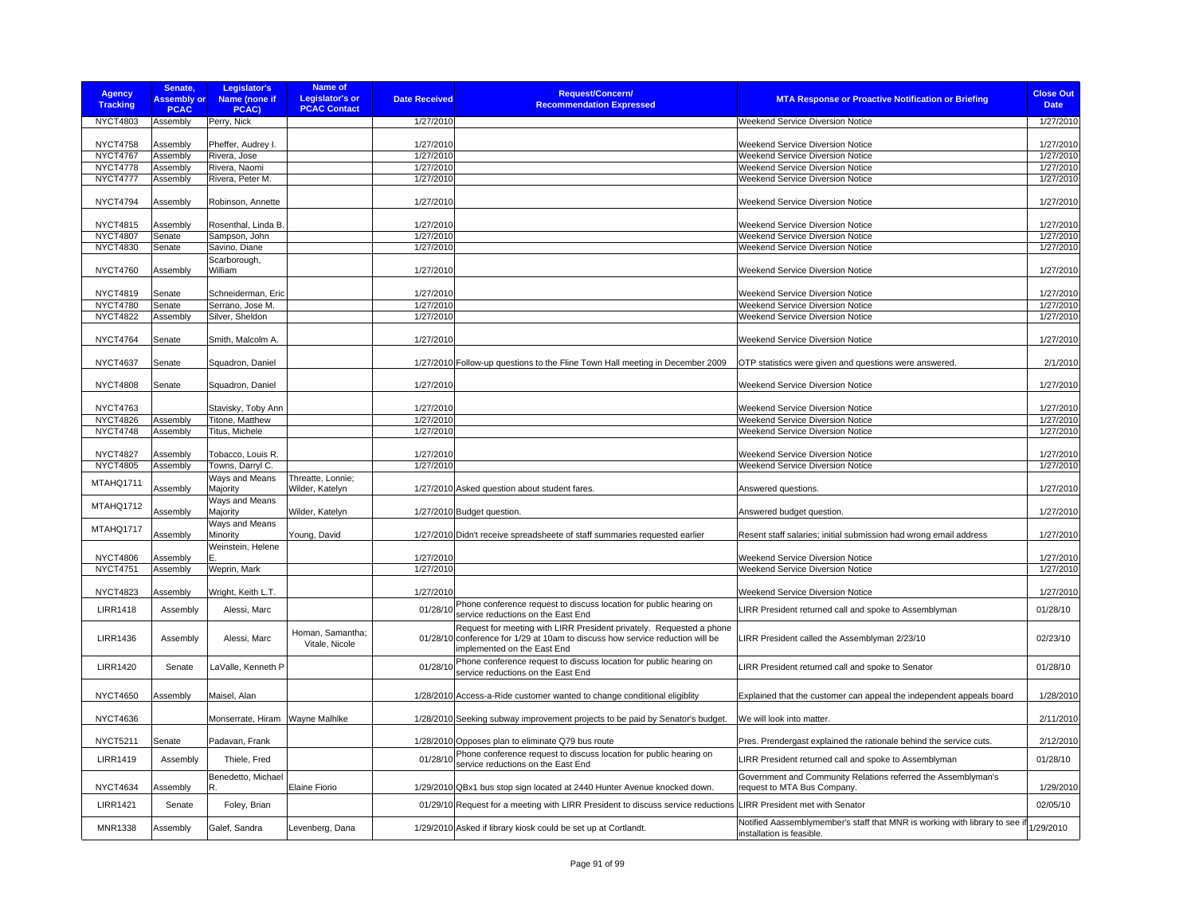| <b>Agency</b><br><b>Tracking</b>   | Senate,<br><b>Assembly or</b><br><b>PCAC</b> | Legislator's<br>Name (none if<br>PCAC) | Name of<br><b>Legislator's or</b><br><b>PCAC Contact</b> | <b>Date Received</b>   | <b>Request/Concern/</b><br><b>Recommendation Expressed</b>                                                                                                                  | <b>MTA Response or Proactive Notification or Briefing</b>                                                | <b>Close Out</b><br><b>Date</b> |
|------------------------------------|----------------------------------------------|----------------------------------------|----------------------------------------------------------|------------------------|-----------------------------------------------------------------------------------------------------------------------------------------------------------------------------|----------------------------------------------------------------------------------------------------------|---------------------------------|
| NYCT4803                           | Assembly                                     | Perry, Nick                            |                                                          | 1/27/2010              |                                                                                                                                                                             | <b>Weekend Service Diversion Notice</b>                                                                  | 1/27/2010                       |
| <b>NYCT4758</b>                    | Assembly                                     | Pheffer, Audrey I.                     |                                                          | 1/27/2010              |                                                                                                                                                                             | Weekend Service Diversion Notice                                                                         | 1/27/2010                       |
| <b>NYCT4767</b>                    | Assembly                                     | Rivera, Jose                           |                                                          | 1/27/2010              |                                                                                                                                                                             | Weekend Service Diversion Notice                                                                         | 1/27/2010                       |
| <b>NYCT4778</b>                    | Assembly                                     | Rivera, Naomi                          |                                                          | 1/27/2010              |                                                                                                                                                                             | <b>Weekend Service Diversion Notice</b>                                                                  | 1/27/2010                       |
| <b>NYCT4777</b>                    | Assembly                                     | Rivera, Peter M.                       |                                                          | 1/27/2010              |                                                                                                                                                                             | Weekend Service Diversion Notice                                                                         | 1/27/2010                       |
| <b>NYCT4794</b>                    | Assembly                                     | Robinson, Annette                      |                                                          | 1/27/2010              |                                                                                                                                                                             | Weekend Service Diversion Notice                                                                         | 1/27/2010                       |
| <b>NYCT4815</b>                    | Assembly                                     | Rosenthal, Linda B.                    |                                                          | 1/27/2010              |                                                                                                                                                                             | Weekend Service Diversion Notice                                                                         | 1/27/2010                       |
| <b>NYCT4807</b>                    | Senate                                       | Sampson, John                          |                                                          | 1/27/2010              |                                                                                                                                                                             | Weekend Service Diversion Notice                                                                         | 1/27/2010                       |
| <b>NYCT4830</b>                    | Senate                                       | Savino, Diane                          |                                                          | 1/27/2010              |                                                                                                                                                                             | Weekend Service Diversion Notice                                                                         | 1/27/2010                       |
| <b>NYCT4760</b>                    | Assembly                                     | Scarborough,<br>William                |                                                          | 1/27/2010              |                                                                                                                                                                             | <b>Weekend Service Diversion Notice</b>                                                                  | 1/27/2010                       |
|                                    |                                              |                                        |                                                          |                        |                                                                                                                                                                             |                                                                                                          |                                 |
| <b>NYCT4819</b>                    | Senate                                       | Schneiderman, Eric                     |                                                          | 1/27/2010              |                                                                                                                                                                             | Weekend Service Diversion Notice                                                                         | 1/27/2010                       |
| <b>NYCT4780</b><br><b>NYCT4822</b> | Senate<br>Assembly                           | Serrano, Jose M.<br>Silver, Sheldon    |                                                          | 1/27/2010<br>1/27/2010 |                                                                                                                                                                             | <b>Weekend Service Diversion Notice</b><br>Weekend Service Diversion Notice                              | 1/27/2010<br>1/27/2010          |
|                                    |                                              |                                        |                                                          |                        |                                                                                                                                                                             |                                                                                                          |                                 |
| <b>NYCT4764</b>                    | Senate                                       | Smith, Malcolm A.                      |                                                          | 1/27/2010              |                                                                                                                                                                             | Weekend Service Diversion Notice                                                                         | 1/27/2010                       |
| <b>NYCT4637</b>                    | Senate                                       | Squadron, Daniel                       |                                                          |                        | 1/27/2010 Follow-up questions to the Fline Town Hall meeting in December 2009                                                                                               | OTP statistics were given and questions were answered.                                                   | 2/1/2010                        |
| <b>NYCT4808</b>                    | Senate                                       | Squadron, Daniel                       |                                                          | 1/27/2010              |                                                                                                                                                                             | <b>Weekend Service Diversion Notice</b>                                                                  | 1/27/2010                       |
| <b>NYCT4763</b>                    |                                              | Stavisky, Toby Ann                     |                                                          | 1/27/2010              |                                                                                                                                                                             | Weekend Service Diversion Notice                                                                         | 1/27/2010                       |
| <b>NYCT4826</b>                    | Assembly                                     | Titone, Matthew                        |                                                          | 1/27/2010              |                                                                                                                                                                             | <b>Weekend Service Diversion Notice</b>                                                                  | 1/27/2010                       |
| <b>NYCT4748</b>                    | Assembly                                     | Titus, Michele                         |                                                          | 1/27/2010              |                                                                                                                                                                             | Weekend Service Diversion Notice                                                                         | 1/27/2010                       |
|                                    |                                              |                                        |                                                          |                        |                                                                                                                                                                             |                                                                                                          |                                 |
| <b>NYCT4827</b>                    | Assembly                                     | Tobacco, Louis R.                      |                                                          | 1/27/2010              |                                                                                                                                                                             | Weekend Service Diversion Notice                                                                         | 1/27/2010                       |
| <b>NYCT4805</b>                    | Assembly                                     | Towns, Darryl C.                       |                                                          | 1/27/2010              |                                                                                                                                                                             | Weekend Service Diversion Notice                                                                         | 1/27/2010                       |
| MTAHQ1711                          | Assembly                                     | Ways and Means<br>Majority             | Threatte, Lonnie;<br>Wilder, Katelyn                     |                        | 1/27/2010 Asked question about student fares                                                                                                                                | Answered questions.                                                                                      | 1/27/2010                       |
| MTAHQ1712                          | Assembly                                     | Ways and Means<br>Majority             | Wilder, Katelyn                                          |                        | 1/27/2010 Budget question.                                                                                                                                                  | Answered budget question                                                                                 | 1/27/2010                       |
| MTAHQ1717                          | Assembly                                     | Ways and Means<br>Minority             | Young, David                                             |                        | 1/27/2010 Didn't receive spreadsheete of staff summaries requested earlier                                                                                                  | Resent staff salaries; initial submission had wrong email address                                        | 1/27/2010                       |
| <b>NYCT4806</b>                    | Assembly                                     | Weinstein, Helene                      |                                                          | 1/27/2010              |                                                                                                                                                                             | Weekend Service Diversion Notice                                                                         | 1/27/2010                       |
| <b>NYCT4751</b>                    | Assembly                                     | Weprin, Mark                           |                                                          | 1/27/2010              |                                                                                                                                                                             | <b>Weekend Service Diversion Notice</b>                                                                  | 1/27/2010                       |
|                                    |                                              |                                        |                                                          |                        |                                                                                                                                                                             |                                                                                                          |                                 |
| <b>NYCT4823</b>                    | Assembly                                     | Wright, Keith L.T.                     |                                                          | 1/27/2010              |                                                                                                                                                                             | <b>Weekend Service Diversion Notice</b>                                                                  | 1/27/2010                       |
| <b>LIRR1418</b>                    | Assembly                                     | Alessi, Marc                           |                                                          | 01/28/10               | Phone conference request to discuss location for public hearing on<br>service reductions on the East End                                                                    | IRR President returned call and spoke to Assemblyman                                                     | 01/28/10                        |
| <b>LIRR1436</b>                    | Assembly                                     | Alessi, Marc                           | Homan, Samantha:<br>Vitale, Nicole                       | 01/28/10               | Request for meeting with LIRR President privately. Requested a phone<br>conference for 1/29 at 10am to discuss how service reduction will be<br>implemented on the East End | LIRR President called the Assemblyman 2/23/10                                                            | 02/23/10                        |
| <b>LIRR1420</b>                    | Senate                                       | LaValle, Kenneth P                     |                                                          | 01/28/10               | Phone conference request to discuss location for public hearing on<br>service reductions on the East End                                                                    | LIRR President returned call and spoke to Senator                                                        | 01/28/10                        |
| <b>NYCT4650</b>                    | Assembly                                     | Maisel, Alan                           |                                                          |                        | 1/28/2010 Access-a-Ride customer wanted to change conditional eligiblity                                                                                                    | Explained that the customer can appeal the independent appeals board                                     | 1/28/2010                       |
| <b>NYCT4636</b>                    |                                              | Monserrate, Hiram                      | Wayne Malhlke                                            |                        | 1/28/2010 Seeking subway improvement projects to be paid by Senator's budget.                                                                                               | We will look into matter.                                                                                | 2/11/2010                       |
| NYCT5211                           | Senate                                       | Padavan, Frank                         |                                                          |                        | 1/28/2010 Opposes plan to eliminate Q79 bus route                                                                                                                           | Pres. Prendergast explained the rationale behind the service cuts.                                       | 2/12/2010                       |
| <b>LIRR1419</b>                    | Assembly                                     | Thiele, Fred                           |                                                          | 01/28/10               | Phone conference request to discuss location for public hearing on<br>service reductions on the East End                                                                    | LIRR President returned call and spoke to Assemblyman                                                    | 01/28/10                        |
| <b>NYCT4634</b>                    | Assembly                                     | Benedetto, Michael<br>R                | Elaine Fiorio                                            |                        | 1/29/2010 QBx1 bus stop sign located at 2440 Hunter Avenue knocked down.                                                                                                    | Government and Community Relations referred the Assemblyman's<br>request to MTA Bus Company.             | 1/29/2010                       |
| <b>LIRR1421</b>                    | Senate                                       | Foley, Brian                           |                                                          | 01/29/10               | Request for a meeting with LIRR President to discuss service reductions                                                                                                     | <b>LIRR President met with Senator</b>                                                                   | 02/05/10                        |
| MNR1338                            | Assembly                                     | Galef, Sandra                          | Levenberg, Dana                                          |                        | 1/29/2010 Asked if library kiosk could be set up at Cortlandt.                                                                                                              | Notified Aassemblymember's staff that MNR is working with library to see if<br>installation is feasible. | 1/29/2010                       |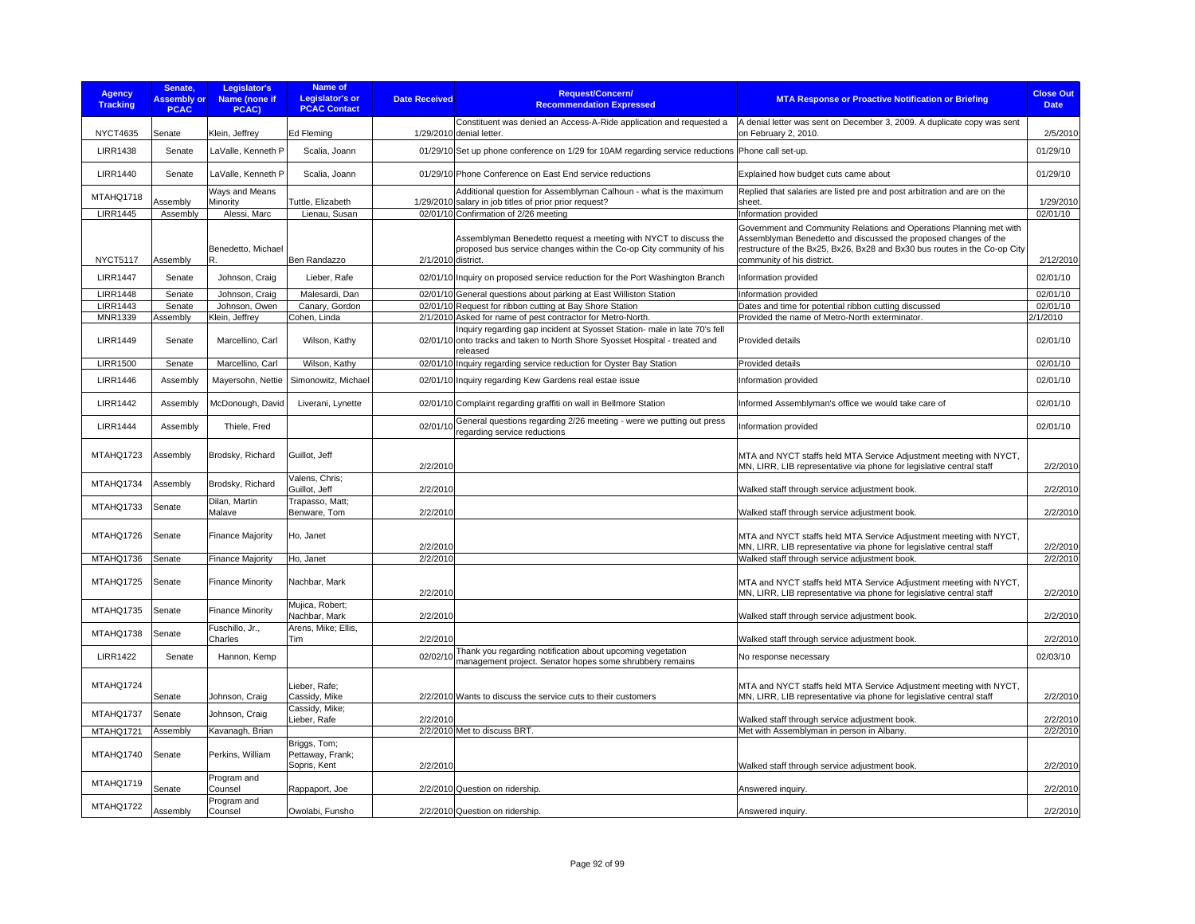| <b>Agency</b><br><b>Tracking</b> | Senate.<br><b>Assembly or</b><br><b>PCAC</b> | Legislator's<br>Name (none if<br>PCAC) | Name of<br><b>Legislator's or</b><br><b>PCAC Contact</b> | <b>Date Received</b> | <b>Request/Concern/</b><br><b>Recommendation Expressed</b>                                                                                                            | <b>MTA Response or Proactive Notification or Briefing</b>                                                                                                                                                                                         | <b>Close Out</b><br><b>Date</b> |
|----------------------------------|----------------------------------------------|----------------------------------------|----------------------------------------------------------|----------------------|-----------------------------------------------------------------------------------------------------------------------------------------------------------------------|---------------------------------------------------------------------------------------------------------------------------------------------------------------------------------------------------------------------------------------------------|---------------------------------|
| <b>NYCT4635</b>                  | Senate                                       | Klein, Jeffrey                         | Ed Fleming                                               |                      | Constituent was denied an Access-A-Ride application and requested a<br>1/29/2010 denial letter.                                                                       | A denial letter was sent on December 3, 2009. A duplicate copy was sent<br>on February 2, 2010.                                                                                                                                                   | 2/5/2010                        |
| <b>LIRR1438</b>                  | Senate                                       | LaValle, Kenneth P                     | Scalia, Joann                                            |                      | 01/29/10 Set up phone conference on 1/29 for 10AM regarding service reductions Phone call set-up.                                                                     |                                                                                                                                                                                                                                                   | 01/29/10                        |
| <b>LIRR1440</b>                  | Senate                                       | LaValle, Kenneth P                     | Scalia, Joann                                            |                      | 01/29/10 Phone Conference on East End service reductions                                                                                                              | Explained how budget cuts came about                                                                                                                                                                                                              | 01/29/10                        |
| MTAHQ1718                        | <b>Assembly</b>                              | Ways and Means<br>Minority             | Tuttle, Elizabeth                                        |                      | Additional question for Assemblyman Calhoun - what is the maximum<br>1/29/2010 salary in job titles of prior prior request?                                           | Replied that salaries are listed pre and post arbitration and are on the<br>sheet.                                                                                                                                                                | 1/29/2010                       |
| <b>LIRR1445</b>                  | Assembly                                     | Alessi, Marc                           | Lienau, Susan                                            |                      | 02/01/10 Confirmation of 2/26 meeting                                                                                                                                 | Information provided                                                                                                                                                                                                                              | 02/01/10                        |
| <b>NYCT5117</b>                  | Assembly                                     | Benedetto, Michael<br>R.               | Ben Randazzo                                             | 2/1/2010 district.   | Assemblyman Benedetto request a meeting with NYCT to discuss the<br>proposed bus service changes within the Co-op City community of his                               | Government and Community Relations and Operations Planning met with<br>Assemblyman Benedetto and discussed the proposed changes of the<br>restructure of the Bx25, Bx26, Bx28 and Bx30 bus routes in the Co-op City<br>community of his district. | 2/12/2010                       |
| <b>LIRR1447</b>                  | Senate                                       | Johnson, Craig                         | Lieber, Rafe                                             |                      | 02/01/10 Inquiry on proposed service reduction for the Port Washington Branch                                                                                         | Information provided                                                                                                                                                                                                                              | 02/01/10                        |
| <b>LIRR1448</b>                  | Senate                                       | Johnson, Craig                         | Malesardi, Dan                                           |                      | 02/01/10 General questions about parking at East Williston Station                                                                                                    | Information provided                                                                                                                                                                                                                              | 02/01/10                        |
| <b>LIRR1443</b>                  | Senate                                       | Johnson, Owen                          | Canary, Gordon                                           |                      | 02/01/10 Request for ribbon cutting at Bay Shore Station                                                                                                              | Dates and time for potential ribbon cutting discussed                                                                                                                                                                                             | 02/01/10                        |
| MNR1339                          | Assembly                                     | Klein, Jeffrey                         | Cohen, Linda                                             |                      | 2/1/2010 Asked for name of pest contractor for Metro-North.                                                                                                           | Provided the name of Metro-North exterminator.                                                                                                                                                                                                    | 2/1/2010                        |
| <b>LIRR1449</b>                  | Senate                                       | Marcellino, Carl                       | Wilson, Kathy                                            |                      | Inquiry regarding gap incident at Syosset Station- male in late 70's fell<br>02/01/10 onto tracks and taken to North Shore Syosset Hospital - treated and<br>released | <b>Provided details</b>                                                                                                                                                                                                                           | 02/01/10                        |
| <b>LIRR1500</b>                  | Senate                                       | Marcellino, Carl                       | Wilson, Kathy                                            |                      | 02/01/10 Inquiry regarding service reduction for Oyster Bay Station                                                                                                   | Provided details                                                                                                                                                                                                                                  | 02/01/10                        |
| <b>LIRR1446</b>                  | Assembly                                     | Mayersohn, Nettie                      | Simonowitz, Michael                                      |                      | 02/01/10 Inquiry regarding Kew Gardens real estae issue                                                                                                               | Information provided                                                                                                                                                                                                                              | 02/01/10                        |
| <b>LIRR1442</b>                  | Assembly                                     | McDonough, David                       | Liverani, Lynette                                        |                      | 02/01/10 Complaint regarding graffiti on wall in Bellmore Station                                                                                                     | Informed Assemblyman's office we would take care of                                                                                                                                                                                               | 02/01/10                        |
| <b>LIRR1444</b>                  | Assembly                                     | Thiele, Fred                           |                                                          | 02/01/10             | General questions regarding 2/26 meeting - were we putting out press<br>regarding service reductions                                                                  | Information provided                                                                                                                                                                                                                              | 02/01/10                        |
| MTAHQ1723                        | Assembly                                     | Brodsky, Richard                       | Guillot, Jeff                                            | 2/2/2010             |                                                                                                                                                                       | MTA and NYCT staffs held MTA Service Adjustment meeting with NYCT,<br>MN, LIRR, LIB representative via phone for legislative central staff                                                                                                        | 2/2/2010                        |
| MTAHQ1734                        | Assembly                                     | Brodsky, Richard                       | Valens, Chris;<br>Guillot, Jeff                          | 2/2/2010             |                                                                                                                                                                       | Walked staff through service adjustment book.                                                                                                                                                                                                     | 2/2/2010                        |
| MTAHQ1733                        | Senate                                       | Dilan, Martin<br>Malave                | Trapasso, Matt;<br>Benware, Tom                          | 2/2/2010             |                                                                                                                                                                       | Walked staff through service adjustment book.                                                                                                                                                                                                     | 2/2/2010                        |
| MTAHQ1726                        | Senate                                       | <b>Finance Majority</b>                | Ho, Janet                                                | 2/2/2010             |                                                                                                                                                                       | MTA and NYCT staffs held MTA Service Adjustment meeting with NYCT,<br>MN, LIRR, LIB representative via phone for legislative central staff                                                                                                        | 2/2/2010                        |
| MTAHQ1736                        | Senate                                       | <b>Finance Majority</b>                | Ho, Janet                                                | 2/2/2010             |                                                                                                                                                                       | Walked staff through service adjustment book.                                                                                                                                                                                                     | 2/2/2010                        |
| MTAHQ1725                        | Senate                                       | <b>Finance Minority</b>                | Nachbar, Mark                                            | 2/2/2010             |                                                                                                                                                                       | MTA and NYCT staffs held MTA Service Adjustment meeting with NYCT,<br>MN, LIRR, LIB representative via phone for legislative central staff                                                                                                        | 2/2/2010                        |
| MTAHQ1735                        | Senate                                       | <b>Finance Minority</b>                | Mujica, Robert;<br>Nachbar, Mark                         | 2/2/2010             |                                                                                                                                                                       | Walked staff through service adjustment book.                                                                                                                                                                                                     | 2/2/2010                        |
| MTAHQ1738                        | Senate                                       | Fuschillo, Jr.,<br>Charles             | Arens, Mike; Ellis,<br>Tim                               | 2/2/2010             |                                                                                                                                                                       | Walked staff through service adjustment book.                                                                                                                                                                                                     | 2/2/2010                        |
| <b>LIRR1422</b>                  | Senate                                       | Hannon, Kemp                           |                                                          | 02/02/10             | Thank you regarding notification about upcoming vegetation<br>management project. Senator hopes some shrubbery remains                                                | No response necessary                                                                                                                                                                                                                             | 02/03/10                        |
| MTAHQ1724                        | Senate                                       | Johnson, Craig                         | Lieber, Rafe;<br>Cassidy, Mike                           |                      | 2/2/2010 Wants to discuss the service cuts to their customers                                                                                                         | MTA and NYCT staffs held MTA Service Adjustment meeting with NYCT,<br>MN, LIRR, LIB representative via phone for legislative central staff                                                                                                        | 2/2/2010                        |
| MTAHQ1737                        | Senate                                       | Johnson, Craig                         | Cassidy, Mike;<br>Lieber, Rafe                           | 2/2/2010             |                                                                                                                                                                       | Walked staff through service adjustment book.                                                                                                                                                                                                     | 2/2/2010                        |
| MTAHQ1721                        | Assembly                                     | Kavanagh, Brian                        |                                                          |                      | 2/2/2010 Met to discuss BRT.                                                                                                                                          | Met with Assemblyman in person in Albany.                                                                                                                                                                                                         | 2/2/2010                        |
| MTAHQ1740                        | Senate                                       | Perkins, William                       | Briggs, Tom;<br>Pettaway, Frank;<br>Sopris, Kent         | 2/2/2010             |                                                                                                                                                                       | Walked staff through service adjustment book.                                                                                                                                                                                                     | 2/2/2010                        |
| MTAHQ1719                        | Senate                                       | Program and<br>Counsel                 | Rappaport, Joe                                           |                      | 2/2/2010 Question on ridership                                                                                                                                        | Answered inquiry.                                                                                                                                                                                                                                 | 2/2/2010                        |
| MTAHQ1722                        | Assembly                                     | Program and<br>Counsel                 | Owolabi, Funsho                                          |                      | 2/2/2010 Question on ridership.                                                                                                                                       | Answered inquiry.                                                                                                                                                                                                                                 | 2/2/2010                        |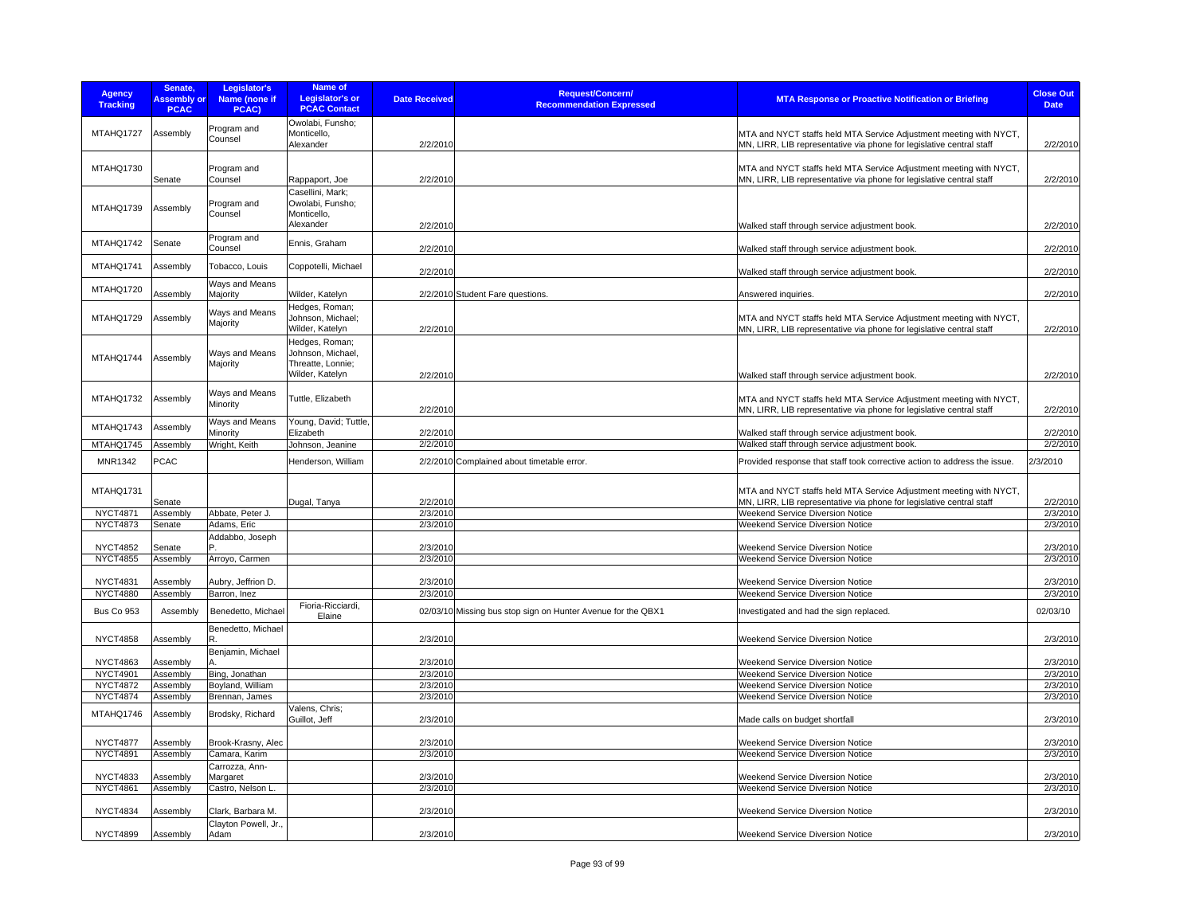| <b>Agency</b><br><b>Tracking</b> | Senate,<br><b>Assembly or</b><br><b>PCAC</b> | Legislator's<br><b>Name (none if</b><br>PCAC) | Name of<br><b>Legislator's or</b><br><b>PCAC Contact</b>         | <b>Date Received</b> | <b>Request/Concern/</b><br><b>Recommendation Expressed</b>   | <b>MTA Response or Proactive Notification or Briefing</b>                                                                                                                                   | <b>Close Out</b><br><b>Date</b> |
|----------------------------------|----------------------------------------------|-----------------------------------------------|------------------------------------------------------------------|----------------------|--------------------------------------------------------------|---------------------------------------------------------------------------------------------------------------------------------------------------------------------------------------------|---------------------------------|
| MTAHQ1727                        | Assembly                                     | Program and<br>Counsel                        | Owolabi, Funsho;<br>Monticello,<br>Alexander                     | 2/2/2010             |                                                              | MTA and NYCT staffs held MTA Service Adjustment meeting with NYCT,<br>MN, LIRR, LIB representative via phone for legislative central staff                                                  | 2/2/2010                        |
| MTAHQ1730                        | Senate                                       | Program and<br>Counsel                        | Rappaport, Joe                                                   | 2/2/2010             |                                                              | MTA and NYCT staffs held MTA Service Adjustment meeting with NYCT,<br>MN, LIRR, LIB representative via phone for legislative central staff                                                  | 2/2/2010                        |
| MTAHQ1739                        | Assembly                                     | Program and<br>Counsel                        | Casellini, Mark:<br>Owolabi, Funsho;<br>Monticello,<br>Alexander | 2/2/2010             |                                                              | Walked staff through service adjustment book.                                                                                                                                               | 2/2/2010                        |
| MTAHQ1742                        | Senate                                       | Program and<br>Counsel                        | Ennis, Graham                                                    | 2/2/2010             |                                                              | Walked staff through service adjustment book.                                                                                                                                               | 2/2/2010                        |
| MTAHQ1741                        | Assembly                                     | Tobacco, Louis                                | Coppotelli, Michael                                              | 2/2/2010             |                                                              | Walked staff through service adjustment book.                                                                                                                                               | 2/2/2010                        |
| MTAHQ1720                        | Assembly                                     | Ways and Means<br>Majority                    | Wilder, Katelyn                                                  |                      | 2/2/2010 Student Fare questions.                             | Answered inquiries.                                                                                                                                                                         | 2/2/2010                        |
| MTAHQ1729                        | Assembly                                     | Ways and Means<br>Majority                    | Hedges, Roman;<br>Johnson, Michael;<br>Wilder, Katelyn           | 2/2/2010             |                                                              | MTA and NYCT staffs held MTA Service Adjustment meeting with NYCT,<br>MN, LIRR, LIB representative via phone for legislative central staff                                                  | 2/2/2010                        |
| MTAHQ1744                        | Assembly                                     | Ways and Means<br>Majority                    | Hedges, Roman;<br>Johnson, Michael,<br>Threatte, Lonnie;         |                      |                                                              |                                                                                                                                                                                             |                                 |
| MTAHQ1732                        | Assembly                                     | Ways and Means<br>Minority                    | Wilder, Katelyn<br>Tuttle, Elizabeth                             | 2/2/2010<br>2/2/2010 |                                                              | Walked staff through service adjustment book.<br>MTA and NYCT staffs held MTA Service Adjustment meeting with NYCT,<br>MN, LIRR, LIB representative via phone for legislative central staff | 2/2/2010<br>2/2/2010            |
| MTAHQ1743                        | Assembly                                     | Ways and Means<br>Minority                    | Young, David; Tuttle,<br>Elizabeth                               | 2/2/2010             |                                                              | Walked staff through service adjustment book.                                                                                                                                               | 2/2/2010                        |
| MTAHQ1745                        | Assembly                                     | Wright, Keith                                 | Johnson, Jeanine                                                 | 2/2/2010             |                                                              | Walked staff through service adjustment book.                                                                                                                                               | 2/2/2010                        |
| MNR1342                          | <b>PCAC</b>                                  |                                               | Henderson, William                                               |                      | 2/2/2010 Complained about timetable error.                   | Provided response that staff took corrective action to address the issue.                                                                                                                   | 2/3/2010                        |
| MTAHQ1731                        | Senate                                       |                                               | Dugal, Tanya                                                     | 2/2/2010             |                                                              | MTA and NYCT staffs held MTA Service Adjustment meeting with NYCT,<br>MN, LIRR, LIB representative via phone for legislative central staff                                                  | 2/2/2010                        |
| <b>NYCT4871</b>                  | Assembly                                     | Abbate, Peter J.                              |                                                                  | 2/3/2010             |                                                              | Weekend Service Diversion Notice                                                                                                                                                            | 2/3/2010                        |
| <b>NYCT4873</b>                  | Senate                                       | Adams, Eric                                   |                                                                  | 2/3/2010             |                                                              | Weekend Service Diversion Notice                                                                                                                                                            | 2/3/2010                        |
|                                  |                                              | Addabbo, Joseph                               |                                                                  |                      |                                                              |                                                                                                                                                                                             |                                 |
| <b>NYCT4852</b>                  | Senate                                       |                                               |                                                                  | 2/3/2010             |                                                              | <b>Weekend Service Diversion Notice</b>                                                                                                                                                     | 2/3/2010                        |
| <b>NYCT4855</b>                  | Assembly                                     | Arroyo, Carmen                                |                                                                  | 2/3/2010             |                                                              | <b>Weekend Service Diversion Notice</b>                                                                                                                                                     | 2/3/2010                        |
|                                  |                                              |                                               |                                                                  |                      |                                                              |                                                                                                                                                                                             |                                 |
| <b>NYCT4831</b>                  | Assembly                                     | Aubry, Jeffrion D.                            |                                                                  | 2/3/2010             |                                                              | Weekend Service Diversion Notice                                                                                                                                                            | 2/3/2010                        |
| <b>NYCT4880</b>                  | Assembly                                     | Barron, Inez                                  |                                                                  | 2/3/2010             |                                                              | <b>Weekend Service Diversion Notice</b>                                                                                                                                                     | 2/3/2010                        |
| Bus Co 953                       | Assembly                                     | Benedetto, Michael                            | Fioria-Ricciardi,<br>Elaine                                      |                      | 02/03/10 Missing bus stop sign on Hunter Avenue for the QBX1 | Investigated and had the sign replaced.                                                                                                                                                     | 02/03/10                        |
| <b>NYCT4858</b>                  | Assembly                                     | Benedetto, Michael<br>Benjamin, Michael       |                                                                  | 2/3/2010             |                                                              | <b>Weekend Service Diversion Notice</b>                                                                                                                                                     | 2/3/2010                        |
| <b>NYCT4863</b>                  | Assembly                                     |                                               |                                                                  | 2/3/2010             |                                                              | Weekend Service Diversion Notice                                                                                                                                                            | 2/3/2010                        |
| <b>NYCT4901</b>                  | Assembly                                     | Bing, Jonathan                                |                                                                  | 2/3/2010             |                                                              | <b>Weekend Service Diversion Notice</b>                                                                                                                                                     | 2/3/2010                        |
| <b>NYCT4872</b>                  | Assembly                                     | Boyland, William                              |                                                                  | 2/3/2010             |                                                              | Weekend Service Diversion Notice                                                                                                                                                            | 2/3/2010                        |
| <b>NYCT4874</b>                  | Assembly                                     | Brennan, James                                |                                                                  | 2/3/2010             |                                                              | Weekend Service Diversion Notice                                                                                                                                                            | 2/3/2010                        |
| MTAHQ1746                        | Assembly                                     | Brodsky, Richard                              | Valens, Chris;<br>Guillot, Jeff                                  | 2/3/2010             |                                                              | Made calls on budget shortfall                                                                                                                                                              | 2/3/2010                        |
| <b>NYCT4877</b>                  | Assembly                                     | Brook-Krasny, Alec                            |                                                                  | 2/3/2010             |                                                              | <b>Weekend Service Diversion Notice</b>                                                                                                                                                     | 2/3/2010                        |
| <b>NYCT4891</b>                  | Assembly                                     | Camara, Karim                                 |                                                                  | 2/3/2010             |                                                              | Weekend Service Diversion Notice                                                                                                                                                            | 2/3/2010                        |
| <b>NYCT4833</b>                  | Assembly                                     | Carrozza, Ann-<br>Margaret                    |                                                                  | 2/3/2010             |                                                              | Weekend Service Diversion Notice                                                                                                                                                            | 2/3/2010                        |
| <b>NYCT4861</b>                  | Assembly                                     | Castro, Nelson L.                             |                                                                  | 2/3/2010             |                                                              | Weekend Service Diversion Notice                                                                                                                                                            | 2/3/2010                        |
| <b>NYCT4834</b>                  | Assembly                                     | Clark, Barbara M.                             |                                                                  | 2/3/2010             |                                                              | <b>Weekend Service Diversion Notice</b>                                                                                                                                                     | 2/3/2010                        |
| <b>NYCT4899</b>                  | Assembly                                     | Clayton Powell, Jr.<br>Adam                   |                                                                  | 2/3/2010             |                                                              | Weekend Service Diversion Notice                                                                                                                                                            | 2/3/2010                        |
|                                  |                                              |                                               |                                                                  |                      |                                                              |                                                                                                                                                                                             |                                 |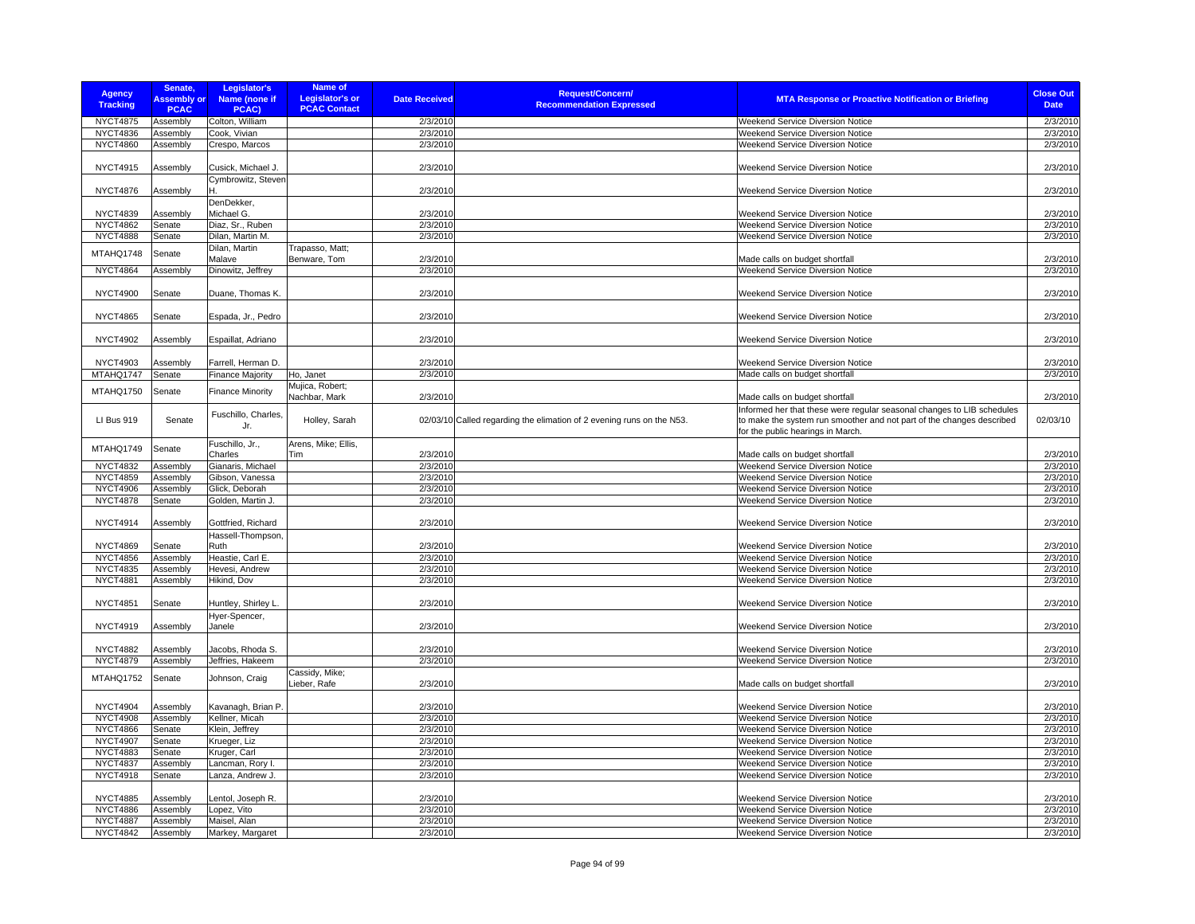| <b>Agency</b><br><b>Tracking</b> | Senate,<br><b>Assembly or</b><br><b>PCAC</b> | Legislator's<br>Name (none if<br>PCAC) | <b>Name of</b><br>Legislator's or<br><b>PCAC Contact</b> | <b>Date Received</b> | <b>Request/Concern/</b><br><b>Recommendation Expressed</b>            | <b>MTA Response or Proactive Notification or Briefing</b>                                                  | <b>Close Out</b><br><b>Date</b> |
|----------------------------------|----------------------------------------------|----------------------------------------|----------------------------------------------------------|----------------------|-----------------------------------------------------------------------|------------------------------------------------------------------------------------------------------------|---------------------------------|
| <b>NYCT4875</b>                  | Assembly                                     | Colton, William                        |                                                          | 2/3/2010             |                                                                       | Weekend Service Diversion Notice                                                                           | 2/3/2010                        |
| <b>NYCT4836</b>                  | Assembly                                     | Cook, Vivian                           |                                                          | 2/3/2010             |                                                                       | Weekend Service Diversion Notice                                                                           | 2/3/2010                        |
| <b>NYCT4860</b>                  | Assembly                                     | Crespo, Marcos                         |                                                          | 2/3/2010             |                                                                       | Weekend Service Diversion Notice                                                                           | 2/3/2010                        |
|                                  |                                              |                                        |                                                          |                      |                                                                       |                                                                                                            |                                 |
| <b>NYCT4915</b>                  | Assembly                                     | Cusick, Michael J.                     |                                                          | 2/3/2010             |                                                                       | Weekend Service Diversion Notice                                                                           | 2/3/2010                        |
| <b>NYCT4876</b>                  | Assembly                                     | Cymbrowitz, Steven                     |                                                          | 2/3/2010             |                                                                       | <b>Weekend Service Diversion Notice</b>                                                                    | 2/3/2010                        |
|                                  |                                              | DenDekker,                             |                                                          |                      |                                                                       |                                                                                                            |                                 |
| <b>NYCT4839</b>                  | Assembly                                     | Michael G.                             |                                                          | 2/3/2010             |                                                                       | <b>Weekend Service Diversion Notice</b>                                                                    | 2/3/2010                        |
| <b>NYCT4862</b>                  | Senate                                       | Diaz, Sr., Ruben                       |                                                          | 2/3/2010             |                                                                       | Weekend Service Diversion Notice                                                                           | 2/3/2010                        |
| <b>NYCT4888</b>                  | Senate                                       | Dilan, Martin M.                       |                                                          | 2/3/2010             |                                                                       | Weekend Service Diversion Notice                                                                           | 2/3/2010                        |
| MTAHQ1748                        | Senate                                       | Dilan, Martin                          | Trapasso, Matt;                                          |                      |                                                                       |                                                                                                            |                                 |
|                                  |                                              | Malave                                 | Benware, Tom                                             | 2/3/2010<br>2/3/2010 |                                                                       | Made calls on budget shortfall                                                                             | 2/3/2010                        |
| <b>NYCT4864</b>                  | Assembly                                     | Dinowitz, Jeffrey                      |                                                          |                      |                                                                       | Weekend Service Diversion Notice                                                                           | 2/3/2010                        |
| <b>NYCT4900</b>                  | Senate                                       | Duane, Thomas K.                       |                                                          | 2/3/2010             |                                                                       | <b>Weekend Service Diversion Notice</b>                                                                    | 2/3/2010                        |
|                                  |                                              |                                        |                                                          |                      |                                                                       |                                                                                                            |                                 |
| <b>NYCT4865</b>                  | Senate                                       | Espada, Jr., Pedro                     |                                                          | 2/3/2010             |                                                                       | <b>Weekend Service Diversion Notice</b>                                                                    | 2/3/2010                        |
| <b>NYCT4902</b>                  | Assembly                                     | Espaillat, Adriano                     |                                                          | 2/3/2010             |                                                                       | Weekend Service Diversion Notice                                                                           | 2/3/2010                        |
| <b>NYCT4903</b>                  | Assembly                                     | Farrell, Herman D.                     |                                                          | 2/3/2010             |                                                                       | Weekend Service Diversion Notice                                                                           | 2/3/2010                        |
| MTAHQ1747                        | Senate                                       | <b>Finance Majority</b>                | Ho, Janet                                                | 2/3/2010             |                                                                       | Made calls on budget shortfall                                                                             | 2/3/2010                        |
|                                  |                                              |                                        | Mujica, Robert;                                          |                      |                                                                       |                                                                                                            |                                 |
| MTAHQ1750                        | Senate                                       | <b>Finance Minority</b>                | Nachbar, Mark                                            | 2/3/2010             |                                                                       | Made calls on budget shortfall                                                                             | 2/3/2010                        |
|                                  |                                              | Fuschillo, Charles.                    |                                                          |                      |                                                                       | Informed her that these were regular seasonal changes to LIB schedules                                     |                                 |
| LI Bus 919                       | Senate                                       | Jr.                                    | Holley, Sarah                                            |                      | 02/03/10 Called regarding the elimation of 2 evening runs on the N53. | to make the system run smoother and not part of the changes described<br>for the public hearings in March. | 02/03/10                        |
|                                  |                                              | Fuschillo, Jr.,                        | Arens, Mike; Ellis,                                      |                      |                                                                       |                                                                                                            |                                 |
| MTAHQ1749                        | Senate                                       | Charles                                | Tim                                                      | 2/3/2010             |                                                                       | Made calls on budget shortfall                                                                             | 2/3/2010                        |
| <b>NYCT4832</b>                  | Assembly                                     | Gianaris, Michael                      |                                                          | 2/3/2010             |                                                                       | Weekend Service Diversion Notice                                                                           | 2/3/2010                        |
| <b>NYCT4859</b>                  | Assembly                                     | Gibson, Vanessa                        |                                                          | 2/3/2010             |                                                                       | Weekend Service Diversion Notice                                                                           | 2/3/2010                        |
| <b>NYCT4906</b>                  | Assembly                                     | Glick, Deborah                         |                                                          | 2/3/2010             |                                                                       | Weekend Service Diversion Notice                                                                           | 2/3/2010                        |
| <b>NYCT4878</b>                  | Senate                                       | Golden, Martin J.                      |                                                          | 2/3/2010             |                                                                       | Weekend Service Diversion Notice                                                                           | 2/3/2010                        |
|                                  |                                              |                                        |                                                          |                      |                                                                       |                                                                                                            |                                 |
| <b>NYCT4914</b>                  | Assembly                                     | Gottfried, Richard                     |                                                          | 2/3/2010             |                                                                       | Weekend Service Diversion Notice                                                                           | 2/3/2010                        |
| <b>NYCT4869</b>                  | Senate                                       | Hassell-Thompson,<br>Ruth              |                                                          | 2/3/2010             |                                                                       | <b>Weekend Service Diversion Notice</b>                                                                    | 2/3/2010                        |
| <b>NYCT4856</b>                  | Assembly                                     | Heastie, Carl E.                       |                                                          | 2/3/2010             |                                                                       | Weekend Service Diversion Notice                                                                           | 2/3/2010                        |
|                                  |                                              |                                        |                                                          |                      |                                                                       |                                                                                                            |                                 |
| <b>NYCT4835</b>                  | Assembly                                     | Hevesi, Andrew                         |                                                          | 2/3/2010             |                                                                       | Weekend Service Diversion Notice                                                                           | 2/3/2010<br>2/3/2010            |
| <b>NYCT4881</b>                  | Assembly                                     | Hikind, Dov                            |                                                          | 2/3/2010             |                                                                       | Weekend Service Diversion Notice                                                                           |                                 |
| <b>NYCT4851</b>                  | Senate                                       | Huntley, Shirley L.                    |                                                          | 2/3/2010             |                                                                       | Weekend Service Diversion Notice                                                                           | 2/3/2010                        |
|                                  |                                              | Hyer-Spencer,                          |                                                          |                      |                                                                       |                                                                                                            |                                 |
| <b>NYCT4919</b>                  | Assembly                                     | Janele                                 |                                                          | 2/3/2010             |                                                                       | Weekend Service Diversion Notice                                                                           | 2/3/2010                        |
| <b>NYCT4882</b>                  | Assembly                                     | Jacobs, Rhoda S.                       |                                                          | 2/3/2010             |                                                                       | Weekend Service Diversion Notice                                                                           | 2/3/2010                        |
| <b>NYCT4879</b>                  | Assembly                                     | Jeffries, Hakeem                       |                                                          | 2/3/2010             |                                                                       | Weekend Service Diversion Notice                                                                           | 2/3/2010                        |
| MTAHQ1752                        | Senate                                       | Johnson, Craig                         | Cassidy, Mike;<br>Lieber, Rafe                           | 2/3/2010             |                                                                       | Made calls on budget shortfall                                                                             | 2/3/2010                        |
|                                  |                                              |                                        |                                                          |                      |                                                                       |                                                                                                            |                                 |
| <b>NYCT4904</b>                  | Assembly                                     | Kavanagh, Brian P                      |                                                          | 2/3/2010             |                                                                       | Weekend Service Diversion Notice                                                                           | 2/3/2010                        |
| <b>NYCT4908</b>                  | Assembly                                     | Kellner, Micah                         |                                                          | 2/3/2010             |                                                                       | Weekend Service Diversion Notice                                                                           | 2/3/2010                        |
| <b>NYCT4866</b>                  | Senate                                       | Klein, Jeffrey                         |                                                          | 2/3/2010             |                                                                       | Weekend Service Diversion Notice                                                                           | 2/3/2010                        |
| <b>NYCT4907</b>                  | Senate                                       | Krueger, Liz                           |                                                          | 2/3/2010             |                                                                       | Weekend Service Diversion Notice                                                                           | 2/3/2010                        |
| <b>NYCT4883</b>                  | Senate                                       | Kruger, Carl                           |                                                          | 2/3/2010             |                                                                       | Weekend Service Diversion Notice                                                                           | 2/3/2010                        |
| <b>NYCT4837</b>                  | Assembly                                     | Lancman, Rory I.                       |                                                          | 2/3/2010             |                                                                       | Weekend Service Diversion Notice                                                                           | 2/3/2010                        |
| <b>NYCT4918</b>                  | Senate                                       | Lanza, Andrew J.                       |                                                          | 2/3/2010             |                                                                       | Weekend Service Diversion Notice                                                                           | 2/3/2010                        |
|                                  |                                              |                                        |                                                          |                      |                                                                       |                                                                                                            |                                 |
| <b>NYCT4885</b>                  | Assembly                                     | Lentol, Joseph R.                      |                                                          | 2/3/2010             |                                                                       | Weekend Service Diversion Notice                                                                           | 2/3/2010                        |
| <b>NYCT4886</b>                  | Assembly                                     | Lopez, Vito                            |                                                          | 2/3/2010             |                                                                       | Weekend Service Diversion Notice                                                                           | 2/3/2010                        |
| <b>NYCT4887</b>                  | Assembly                                     | Maisel, Alan                           |                                                          | 2/3/2010             |                                                                       | Weekend Service Diversion Notice                                                                           | 2/3/2010                        |
| <b>NYCT4842</b>                  | Assembly                                     | Markey, Margaret                       |                                                          | 2/3/2010             |                                                                       | <b>Weekend Service Diversion Notice</b>                                                                    | 2/3/2010                        |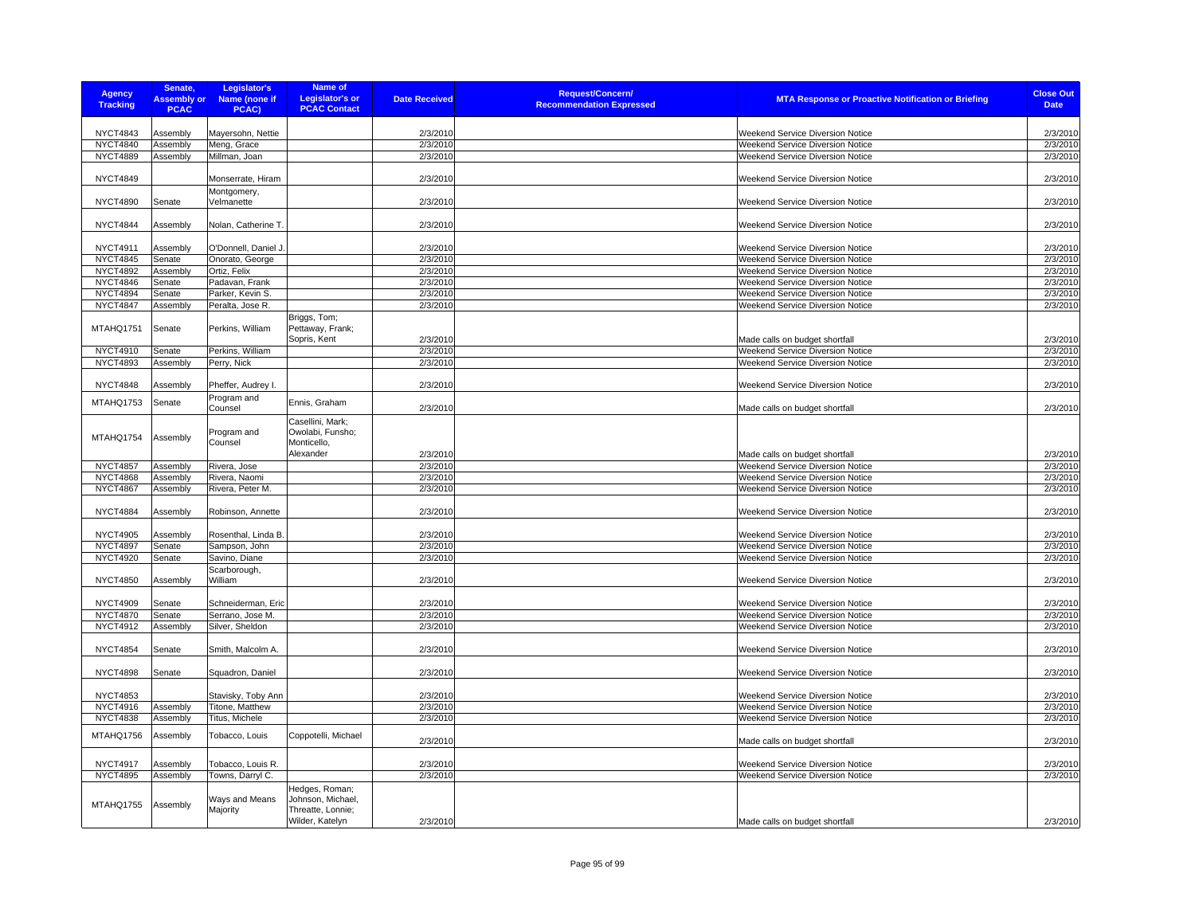| <b>Agency</b><br><b>Tracking</b>   | Senate,<br><b>Assembly or</b><br><b>PCAC</b> | Legislator's<br>Name (none if<br>PCAC) | Name of<br><b>Legislator's or</b><br><b>PCAC Contact</b>                    | <b>Date Received</b> | <b>Request/Concern/</b><br><b>MTA Response or Proactive Notification or Briefing</b><br><b>Recommendation Expressed</b> | <b>Close Out</b><br><b>Date</b> |
|------------------------------------|----------------------------------------------|----------------------------------------|-----------------------------------------------------------------------------|----------------------|-------------------------------------------------------------------------------------------------------------------------|---------------------------------|
|                                    |                                              |                                        |                                                                             |                      |                                                                                                                         |                                 |
| <b>NYCT4843</b>                    | Assembly                                     | Mayersohn, Nettie<br>Meng, Grace       |                                                                             | 2/3/2010             | Weekend Service Diversion Notice                                                                                        | 2/3/2010                        |
| <b>NYCT4840</b><br><b>NYCT4889</b> | Assembly<br>Assembly                         |                                        |                                                                             | 2/3/2010<br>2/3/2010 | Weekend Service Diversion Notice<br>Weekend Service Diversion Notice                                                    | 2/3/2010<br>2/3/2010            |
|                                    |                                              | Millman, Joan                          |                                                                             |                      |                                                                                                                         |                                 |
| <b>NYCT4849</b>                    |                                              | Monserrate, Hiram                      |                                                                             | 2/3/2010             | <b>Weekend Service Diversion Notice</b>                                                                                 | 2/3/2010                        |
|                                    |                                              | Montgomery,                            |                                                                             |                      |                                                                                                                         |                                 |
| <b>NYCT4890</b>                    | Senate                                       | Velmanette                             |                                                                             | 2/3/2010             | Weekend Service Diversion Notice                                                                                        | 2/3/2010                        |
| <b>NYCT4844</b>                    | Assembly                                     | Nolan, Catherine T.                    |                                                                             | 2/3/2010             | Weekend Service Diversion Notice                                                                                        | 2/3/2010                        |
| <b>NYCT4911</b>                    | Assembly                                     | O'Donnell, Daniel J.                   |                                                                             | 2/3/2010             | Weekend Service Diversion Notice                                                                                        | 2/3/2010                        |
| <b>NYCT4845</b>                    | Senate                                       | Onorato, George                        |                                                                             | 2/3/2010             | <b>Weekend Service Diversion Notice</b>                                                                                 | 2/3/2010                        |
| <b>NYCT4892</b>                    | Assembly                                     | Ortiz, Felix                           |                                                                             | 2/3/2010             | Weekend Service Diversion Notice                                                                                        | 2/3/2010                        |
| <b>NYCT4846</b>                    | Senate                                       | Padavan, Frank                         |                                                                             | 2/3/2010             | <b>Weekend Service Diversion Notice</b>                                                                                 | 2/3/2010                        |
| <b>NYCT4894</b>                    | Senate                                       | Parker, Kevin S.                       |                                                                             | 2/3/2010             | Weekend Service Diversion Notice                                                                                        | 2/3/2010                        |
| <b>NYCT4847</b>                    | Assembly                                     | Peralta, Jose R.                       |                                                                             | 2/3/2010             | Weekend Service Diversion Notice                                                                                        | 2/3/2010                        |
| MTAHQ1751                          | Senate                                       | Perkins, William                       | Briggs, Tom;<br>Pettaway, Frank;<br>Sopris, Kent                            |                      |                                                                                                                         |                                 |
| NYCT4910                           |                                              | Perkins, William                       |                                                                             | 2/3/2010<br>2/3/2010 | Made calls on budget shortfall<br>Weekend Service Diversion Notice                                                      | 2/3/2010<br>2/3/2010            |
| <b>NYCT4893</b>                    | Senate<br>Assembly                           | Perry, Nick                            |                                                                             | 2/3/2010             | <b>Weekend Service Diversion Notice</b>                                                                                 | 2/3/2010                        |
|                                    |                                              |                                        |                                                                             |                      |                                                                                                                         |                                 |
| <b>NYCT4848</b>                    | Assembly                                     | Pheffer, Audrey I.<br>Program and      |                                                                             | 2/3/2010             | Weekend Service Diversion Notice                                                                                        | 2/3/2010                        |
| MTAHQ1753                          | Senate                                       | Counsel                                | Ennis, Graham                                                               | 2/3/2010             | Made calls on budget shortfall                                                                                          | 2/3/2010                        |
| MTAHQ1754                          | Assembly                                     | Program and<br>Counsel                 | Casellini, Mark;<br>Owolabi, Funsho;<br>Monticello,                         |                      |                                                                                                                         |                                 |
|                                    |                                              |                                        | Alexander                                                                   | 2/3/2010             | Made calls on budget shortfall                                                                                          | 2/3/2010                        |
| <b>NYCT4857</b>                    | Assembly                                     | Rivera, Jose                           |                                                                             | 2/3/2010             | Weekend Service Diversion Notice                                                                                        | 2/3/2010                        |
| <b>NYCT4868</b>                    | Assembly                                     | Rivera, Naomi                          |                                                                             | 2/3/2010             | Weekend Service Diversion Notice                                                                                        | 2/3/2010                        |
| <b>NYCT4867</b><br><b>NYCT4884</b> | Assembly<br>Assembly                         | Rivera, Peter M.<br>Robinson, Annette  |                                                                             | 2/3/2010<br>2/3/2010 | Weekend Service Diversion Notice<br><b>Weekend Service Diversion Notice</b>                                             | 2/3/2010<br>2/3/2010            |
| <b>NYCT4905</b>                    |                                              |                                        |                                                                             |                      |                                                                                                                         |                                 |
| <b>NYCT4897</b>                    | Assembly<br>Senate                           | Rosenthal, Linda B.<br>Sampson, John   |                                                                             | 2/3/2010<br>2/3/2010 | Weekend Service Diversion Notice<br>Weekend Service Diversion Notice                                                    | 2/3/2010<br>2/3/2010            |
| <b>NYCT4920</b>                    | Senate                                       | Savino, Diane                          |                                                                             | 2/3/2010             | Weekend Service Diversion Notice                                                                                        | 2/3/2010                        |
|                                    |                                              | Scarborough,                           |                                                                             |                      |                                                                                                                         |                                 |
| <b>NYCT4850</b>                    | Assembly                                     | William                                |                                                                             | 2/3/2010             | <b>Weekend Service Diversion Notice</b>                                                                                 | 2/3/2010                        |
| <b>NYCT4909</b>                    | Senate                                       | Schneiderman, Eric                     |                                                                             | 2/3/2010             | Weekend Service Diversion Notice                                                                                        | 2/3/2010                        |
| <b>NYCT4870</b>                    | Senate                                       | Serrano, Jose M.                       |                                                                             | 2/3/2010             | Weekend Service Diversion Notice                                                                                        | 2/3/2010                        |
| <b>NYCT4912</b>                    | Assembly                                     | Silver, Sheldon                        |                                                                             | 2/3/2010             | Weekend Service Diversion Notice                                                                                        | 2/3/2010                        |
| <b>NYCT4854</b>                    | Senate                                       | Smith, Malcolm A.                      |                                                                             | 2/3/2010             | <b>Weekend Service Diversion Notice</b>                                                                                 | 2/3/2010                        |
| <b>NYCT4898</b>                    | Senate                                       | Squadron, Daniel                       |                                                                             | 2/3/2010             | Weekend Service Diversion Notice                                                                                        | 2/3/2010                        |
| <b>NYCT4853</b>                    |                                              | Stavisky, Toby Ann                     |                                                                             | 2/3/2010             | Weekend Service Diversion Notice                                                                                        | 2/3/2010                        |
| <b>NYCT4916</b>                    | Assembly                                     | Titone, Matthew                        |                                                                             | 2/3/2010             | Weekend Service Diversion Notice                                                                                        | 2/3/2010                        |
| <b>NYCT4838</b>                    | Assembly                                     | Titus, Michele                         |                                                                             | 2/3/2010             | Weekend Service Diversion Notice                                                                                        | 2/3/2010                        |
| MTAHQ1756                          | Assembly                                     | Tobacco, Louis                         | Coppotelli, Michael                                                         | 2/3/2010             | Made calls on budget shortfall                                                                                          | 2/3/2010                        |
| <b>NYCT4917</b>                    | Assembly                                     | Tobacco, Louis R.                      |                                                                             | 2/3/2010             | Weekend Service Diversion Notice                                                                                        | 2/3/2010                        |
| <b>NYCT4895</b>                    | Assembly                                     | Towns, Darryl C.                       |                                                                             | 2/3/2010             | Weekend Service Diversion Notice                                                                                        | 2/3/2010                        |
| MTAHQ1755                          | Assembly                                     | Ways and Means<br>Majority             | Hedges, Roman;<br>Johnson, Michael,<br>Threatte, Lonnie;<br>Wilder, Katelyn | 2/3/2010             | Made calls on budget shortfall                                                                                          | 2/3/2010                        |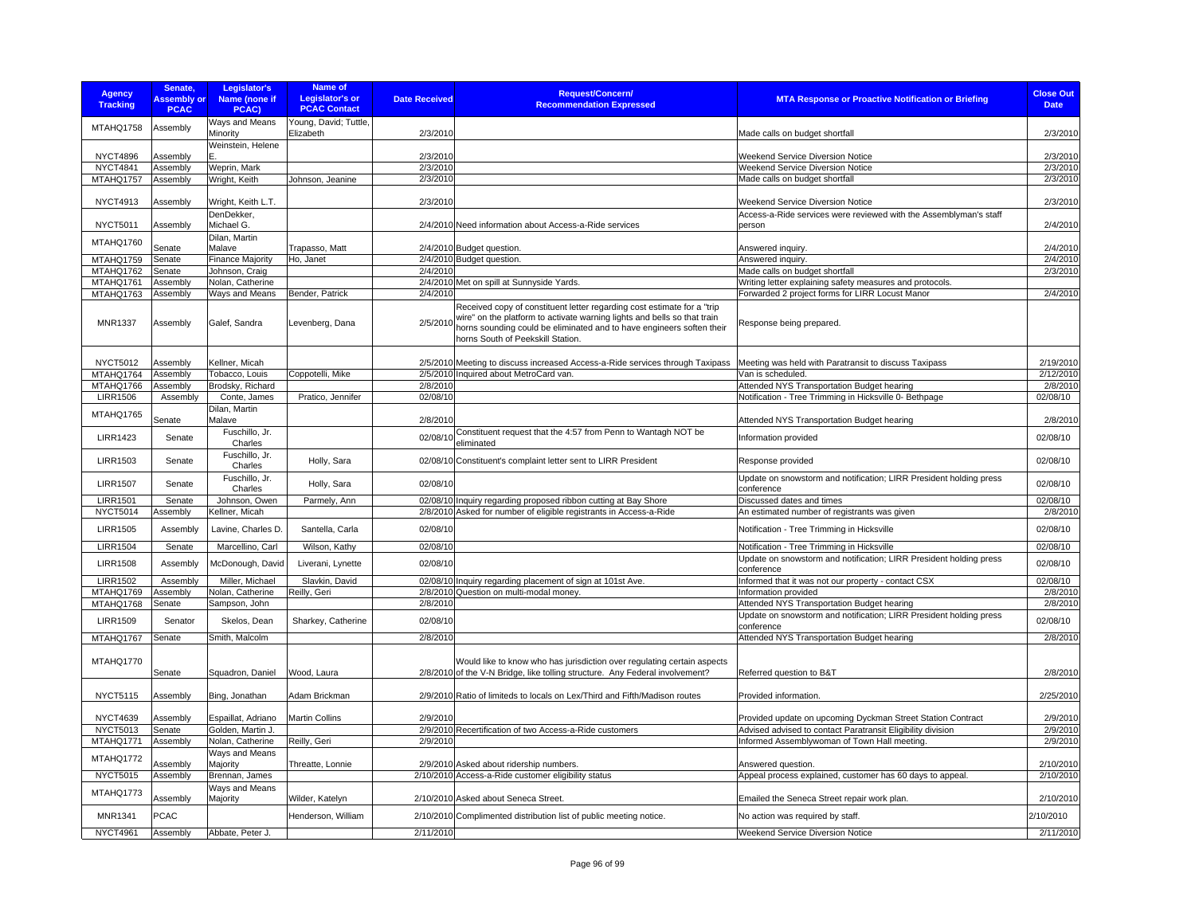| <b>Agency</b><br><b>Tracking</b> | Senate,<br><b>Assembly or</b><br><b>PCAC</b> | Legislator's<br>Name (none if<br>PCAC) | <b>Name of</b><br><b>Legislator's or</b><br><b>PCAC Contact</b> | <b>Date Received</b> | <b>Request/Concern/</b><br><b>Recommendation Expressed</b>                                                                                                                                                                                                                 | <b>MTA Response or Proactive Notification or Briefing</b>                        | <b>Close Out</b><br><b>Date</b> |
|----------------------------------|----------------------------------------------|----------------------------------------|-----------------------------------------------------------------|----------------------|----------------------------------------------------------------------------------------------------------------------------------------------------------------------------------------------------------------------------------------------------------------------------|----------------------------------------------------------------------------------|---------------------------------|
| MTAHQ1758                        | Assembly                                     | Ways and Means<br>Minority             | Young, David; Tuttle,<br>Elizabeth                              | 2/3/2010             |                                                                                                                                                                                                                                                                            | Made calls on budget shortfall                                                   | 2/3/2010                        |
| <b>NYCT4896</b>                  | Assembly                                     | Weinstein, Helene                      |                                                                 | 2/3/2010             |                                                                                                                                                                                                                                                                            | Weekend Service Diversion Notice                                                 | 2/3/2010                        |
| <b>NYCT4841</b>                  | Assembly                                     | Weprin, Mark                           |                                                                 | 2/3/2010             |                                                                                                                                                                                                                                                                            | Weekend Service Diversion Notice                                                 | 2/3/2010                        |
| MTAHQ1757                        | Assembly                                     | Wright, Keith                          | Johnson, Jeanine                                                | 2/3/2010             |                                                                                                                                                                                                                                                                            | Made calls on budget shortfall                                                   | 2/3/2010                        |
| <b>NYCT4913</b>                  | Assembly                                     | Wright, Keith L.T.                     |                                                                 | 2/3/2010             |                                                                                                                                                                                                                                                                            | Weekend Service Diversion Notice                                                 | 2/3/2010                        |
| <b>NYCT5011</b>                  | Assembly                                     | DenDekker.<br>Michael G.               |                                                                 |                      | 2/4/2010 Need information about Access-a-Ride services                                                                                                                                                                                                                     | Access-a-Ride services were reviewed with the Assemblyman's staff<br>person      | 2/4/2010                        |
| MTAHQ1760                        | Senate                                       | Dilan, Martin<br>Malave                | Trapasso, Matt                                                  |                      | 2/4/2010 Budget question.                                                                                                                                                                                                                                                  | Answered inquiry.                                                                | 2/4/2010                        |
| MTAHQ1759                        | Senate                                       | <b>Finance Majority</b>                | Ho, Janet                                                       |                      | 2/4/2010 Budget question.                                                                                                                                                                                                                                                  | Answered inquiry.                                                                | 2/4/2010                        |
| MTAHQ1762                        | Senate                                       | Johnson, Craig                         |                                                                 | 2/4/2010             |                                                                                                                                                                                                                                                                            | Made calls on budget shortfall                                                   | 2/3/2010                        |
| MTAHQ1761                        | Assembly                                     | Nolan, Catherine                       |                                                                 |                      | 2/4/2010 Met on spill at Sunnyside Yards.                                                                                                                                                                                                                                  | Writing letter explaining safety measures and protocols.                         |                                 |
| MTAHQ1763                        | Assembly                                     | Ways and Means                         | Bender, Patrick                                                 | 2/4/2010             |                                                                                                                                                                                                                                                                            | Forwarded 2 project forms for LIRR Locust Manor                                  | 2/4/2010                        |
| MNR1337                          | Assembly                                     | Galef, Sandra                          | Levenberg, Dana                                                 |                      | Received copy of constituent letter regarding cost estimate for a "trip<br>2/5/2010 wire" on the platform to activate warning lights and bells so that train<br>horns sounding could be eliminated and to have engineers soften their<br>horns South of Peekskill Station. | Response being prepared.                                                         |                                 |
| <b>NYCT5012</b>                  | Assembly                                     | Kellner, Micah                         |                                                                 |                      | 2/5/2010 Meeting to discuss increased Access-a-Ride services through Taxipass                                                                                                                                                                                              | Meeting was held with Paratransit to discuss Taxipass                            | 2/19/2010                       |
| MTAHQ1764                        | Assembly                                     | Tobacco, Louis                         | Coppotelli, Mike                                                |                      | 2/5/2010 Inquired about MetroCard van.                                                                                                                                                                                                                                     | Van is scheduled.                                                                | 2/12/2010                       |
| MTAHQ1766                        | Assembly                                     | Brodsky, Richard                       |                                                                 | 2/8/2010             |                                                                                                                                                                                                                                                                            | Attended NYS Transportation Budget hearing                                       | 2/8/2010                        |
| <b>LIRR1506</b>                  | Assembly                                     | Conte, James                           | Pratico, Jennifer                                               | 02/08/10             |                                                                                                                                                                                                                                                                            | Notification - Tree Trimming in Hicksville 0- Bethpage                           | 02/08/10                        |
| MTAHQ1765                        | Senate                                       | Dilan, Martin<br>Malave                |                                                                 | 2/8/2010             |                                                                                                                                                                                                                                                                            | Attended NYS Transportation Budget hearing                                       | 2/8/2010                        |
| <b>LIRR1423</b>                  | Senate                                       | Fuschillo, Jr.<br>Charles              |                                                                 |                      | 02/08/10 Constituent request that the 4:57 from Penn to Wantagh NOT be<br>eliminated                                                                                                                                                                                       | Information provided                                                             | 02/08/10                        |
| <b>LIRR1503</b>                  | Senate                                       | Fuschillo, Jr.<br>Charles              | Holly, Sara                                                     |                      | 02/08/10 Constituent's complaint letter sent to LIRR President                                                                                                                                                                                                             | Response provided                                                                | 02/08/10                        |
| <b>LIRR1507</b>                  | Senate                                       | Fuschillo, Jr.<br>Charles              | Holly, Sara                                                     | 02/08/10             |                                                                                                                                                                                                                                                                            | Update on snowstorm and notification; LIRR President holding press<br>conference | 02/08/10                        |
| <b>LIRR1501</b>                  | Senate                                       | Johnson, Owen                          | Parmely, Ann                                                    |                      | 02/08/10 Inquiry regarding proposed ribbon cutting at Bay Shore                                                                                                                                                                                                            | Discussed dates and times                                                        | 02/08/10                        |
| <b>NYCT5014</b>                  | Assembly                                     | Kellner, Micah                         |                                                                 |                      | 2/8/2010 Asked for number of eligible registrants in Access-a-Ride                                                                                                                                                                                                         | An estimated number of registrants was given                                     | 2/8/2010                        |
| <b>LIRR1505</b>                  | Assembly                                     | Lavine, Charles D.                     | Santella, Carla                                                 | 02/08/10             |                                                                                                                                                                                                                                                                            | Notification - Tree Trimming in Hicksville                                       | 02/08/10                        |
| <b>LIRR1504</b>                  | Senate                                       | Marcellino, Carl                       | Wilson, Kathy                                                   | 02/08/10             |                                                                                                                                                                                                                                                                            | Notification - Tree Trimming in Hicksville                                       | 02/08/10                        |
| <b>LIRR1508</b>                  | Assembly                                     | McDonough, David                       | Liverani, Lynette                                               | 02/08/10             |                                                                                                                                                                                                                                                                            | Update on snowstorm and notification; LIRR President holding press<br>conference | 02/08/10                        |
| <b>LIRR1502</b>                  | Assembly                                     | Miller, Michael                        | Slavkin, David                                                  |                      | 02/08/10 Inquiry regarding placement of sign at 101st Ave.                                                                                                                                                                                                                 | Informed that it was not our property - contact CSX                              | 02/08/10                        |
| MTAHQ1769                        | Assembly                                     | Nolan, Catherine                       | Reilly, Geri                                                    |                      | 2/8/2010 Question on multi-modal money.                                                                                                                                                                                                                                    | Information provided                                                             | 2/8/2010                        |
| MTAHQ1768                        | Senate                                       | Sampson, John                          |                                                                 | 2/8/2010             |                                                                                                                                                                                                                                                                            | Attended NYS Transportation Budget hearing                                       | 2/8/2010                        |
| <b>LIRR1509</b>                  | Senator                                      | Skelos, Dean                           | Sharkey, Catherine                                              | 02/08/10             |                                                                                                                                                                                                                                                                            | Update on snowstorm and notification; LIRR President holding press<br>conference | 02/08/10                        |
| MTAHQ1767                        | Senate                                       | Smith, Malcolm                         |                                                                 | 2/8/2010             |                                                                                                                                                                                                                                                                            | Attended NYS Transportation Budget hearing                                       | 2/8/2010                        |
| MTAHQ1770                        | Senate                                       | Squadron, Daniel                       | Wood, Laura                                                     |                      | Would like to know who has jurisdiction over regulating certain aspects<br>2/8/2010 of the V-N Bridge, like tolling structure. Any Federal involvement?                                                                                                                    | Referred question to B&T                                                         | 2/8/2010                        |
| <b>NYCT5115</b>                  | Assembly                                     | Bing, Jonathan                         | Adam Brickman                                                   |                      | 2/9/2010 Ratio of limiteds to locals on Lex/Third and Fifth/Madison routes                                                                                                                                                                                                 | Provided information.                                                            | 2/25/2010                       |
|                                  |                                              |                                        |                                                                 |                      |                                                                                                                                                                                                                                                                            |                                                                                  |                                 |
| <b>NYCT4639</b>                  | Assembly                                     | Espaillat, Adriano                     | <b>Martin Collins</b>                                           | 2/9/2010             |                                                                                                                                                                                                                                                                            | Provided update on upcoming Dyckman Street Station Contract                      | 2/9/2010                        |
| <b>NYCT5013</b>                  | Senate                                       | Golden, Martin J.                      |                                                                 |                      | 2/9/2010 Recertification of two Access-a-Ride customers                                                                                                                                                                                                                    | Advised advised to contact Paratransit Eligibility division                      | 2/9/2010                        |
| MTAHQ1771                        | Assembly                                     | Nolan, Catherine                       | Reilly, Geri                                                    | 2/9/2010             |                                                                                                                                                                                                                                                                            | Informed Assemblywoman of Town Hall meeting.                                     | 2/9/2010                        |
| MTAHQ1772                        | Assembly                                     | Ways and Means<br>Majority             | Threatte, Lonnie                                                |                      | 2/9/2010 Asked about ridership numbers.                                                                                                                                                                                                                                    | Answered question.                                                               | 2/10/2010                       |
| <b>NYCT5015</b>                  | Assembly                                     | Brennan, James                         |                                                                 |                      | 2/10/2010 Access-a-Ride customer eligibility status                                                                                                                                                                                                                        | Appeal process explained, customer has 60 days to appeal.                        | 2/10/2010                       |
|                                  |                                              | Ways and Means                         |                                                                 |                      |                                                                                                                                                                                                                                                                            |                                                                                  |                                 |
| MTAHQ1773                        | Assembly                                     | Majority                               | Wilder, Katelyn                                                 |                      | 2/10/2010 Asked about Seneca Street.                                                                                                                                                                                                                                       | Emailed the Seneca Street repair work plan.                                      | 2/10/2010                       |
| MNR1341                          | PCAC                                         |                                        | Henderson, William                                              |                      | 2/10/2010 Complimented distribution list of public meeting notice.                                                                                                                                                                                                         | No action was required by staff.                                                 | 2/10/2010                       |
| <b>NYCT4961</b>                  | Assembly                                     | Abbate, Peter J.                       |                                                                 | 2/11/2010            |                                                                                                                                                                                                                                                                            | Weekend Service Diversion Notice                                                 | 2/11/2010                       |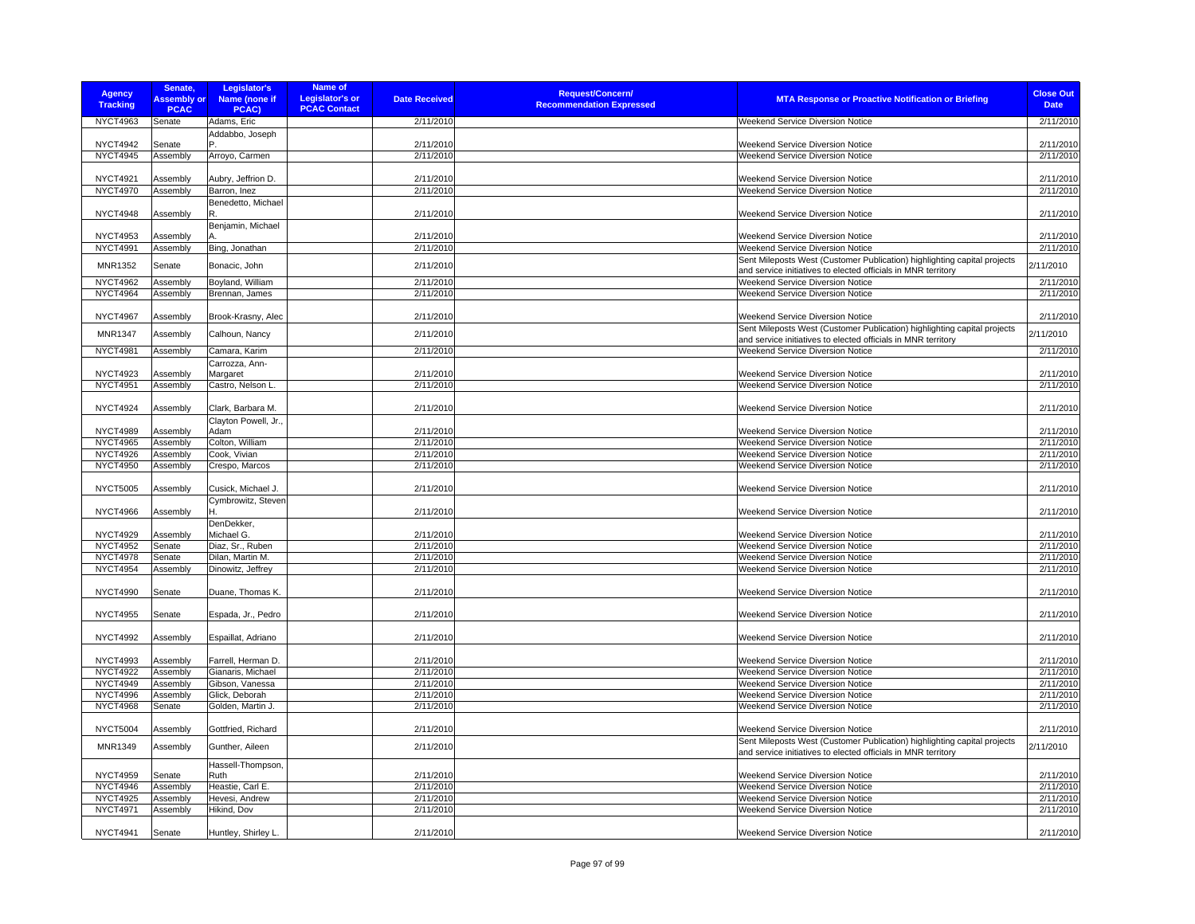| <b>Agency</b><br><b>Tracking</b>   | Senate,<br><b>Assembly or</b><br><b>PCAC</b> | Legislator's<br>Name (none if<br>PCAC) | Name of<br><b>Legislator's or</b><br><b>Date Received</b><br><b>PCAC Contact</b> | Request/Concern/<br><b>MTA Response or Proactive Notification or Briefing</b><br><b>Recommendation Expressed</b> | <b>Close Out</b><br><b>Date</b> |
|------------------------------------|----------------------------------------------|----------------------------------------|----------------------------------------------------------------------------------|------------------------------------------------------------------------------------------------------------------|---------------------------------|
| <b>NYCT4963</b>                    | Senate                                       | Adams, Eric                            | 2/11/2010                                                                        | Weekend Service Diversion Notice                                                                                 | 2/11/2010                       |
|                                    |                                              | Addabbo, Joseph                        |                                                                                  |                                                                                                                  |                                 |
| <b>NYCT4942</b>                    | Senate                                       |                                        | 2/11/2010                                                                        | Weekend Service Diversion Notice                                                                                 | 2/11/2010                       |
| <b>NYCT4945</b>                    | Assembly                                     | Arroyo, Carmen                         | 2/11/2010                                                                        | Weekend Service Diversion Notice                                                                                 | 2/11/2010                       |
|                                    |                                              |                                        |                                                                                  |                                                                                                                  |                                 |
| <b>NYCT4921</b>                    | Assembly                                     | Aubry, Jeffrion D.                     | 2/11/2010                                                                        | Weekend Service Diversion Notice                                                                                 | 2/11/2010                       |
| <b>NYCT4970</b>                    | Assembly                                     | Barron, Inez                           | 2/11/2010                                                                        | Weekend Service Diversion Notice                                                                                 | 2/11/2010                       |
|                                    |                                              | Benedetto, Michael                     |                                                                                  |                                                                                                                  |                                 |
| <b>NYCT4948</b>                    | Assembly                                     | R                                      | 2/11/2010                                                                        | Weekend Service Diversion Notice                                                                                 | 2/11/2010                       |
|                                    |                                              | Benjamin, Michael                      |                                                                                  |                                                                                                                  | 2/11/2010                       |
| NYCT4953<br><b>NYCT4991</b>        | Assembly<br>Assembly                         | Bing, Jonathan                         | 2/11/2010<br>2/11/2010                                                           | Weekend Service Diversion Notice<br>Weekend Service Diversion Notice                                             | 2/11/2010                       |
|                                    |                                              |                                        |                                                                                  | Sent Mileposts West (Customer Publication) highlighting capital projects                                         |                                 |
| <b>MNR1352</b>                     | Senate                                       | Bonacic, John                          | 2/11/2010                                                                        | and service initiatives to elected officials in MNR territory                                                    | 2/11/2010                       |
| <b>NYCT4962</b>                    | Assembly                                     | Boyland, William                       | 2/11/2010                                                                        | Weekend Service Diversion Notice                                                                                 | 2/11/2010                       |
| <b>NYCT4964</b>                    | Assembly                                     | Brennan, James                         | 2/11/2010                                                                        | Weekend Service Diversion Notice                                                                                 | 2/11/2010                       |
|                                    |                                              |                                        |                                                                                  |                                                                                                                  |                                 |
| <b>NYCT4967</b>                    | Assembly                                     | Brook-Krasny, Alec                     | 2/11/2010                                                                        | Weekend Service Diversion Notice                                                                                 | 2/11/2010                       |
| <b>MNR1347</b>                     | Assembly                                     | Calhoun, Nancy                         | 2/11/2010                                                                        | Sent Mileposts West (Customer Publication) highlighting capital projects                                         | 2/11/2010                       |
|                                    |                                              |                                        |                                                                                  | and service initiatives to elected officials in MNR territory                                                    |                                 |
| <b>NYCT4981</b>                    | Assembly                                     | Camara, Karim                          | 2/11/2010                                                                        | Weekend Service Diversion Notice                                                                                 | 2/11/2010                       |
|                                    |                                              | Carrozza, Ann-                         |                                                                                  |                                                                                                                  |                                 |
| NYCT4923                           | Assembly                                     | Margaret                               | 2/11/2010                                                                        | Weekend Service Diversion Notice                                                                                 | 2/11/2010                       |
| <b>NYCT4951</b>                    | Assembly                                     | Castro, Nelson L.                      | 2/11/2010                                                                        | <b>Weekend Service Diversion Notice</b>                                                                          | 2/11/2010                       |
|                                    |                                              |                                        |                                                                                  |                                                                                                                  |                                 |
| <b>NYCT4924</b>                    | Assembly                                     | Clark, Barbara M                       | 2/11/2010                                                                        | <b>Weekend Service Diversion Notice</b>                                                                          | 2/11/2010                       |
|                                    |                                              | Clayton Powell, Jr.,                   |                                                                                  |                                                                                                                  |                                 |
| <b>NYCT4989</b><br><b>NYCT4965</b> | Assembly<br>Assembly                         | Adam<br>Colton, William                | 2/11/2010<br>2/11/2010                                                           | Weekend Service Diversion Notice<br>Weekend Service Diversion Notice                                             | 2/11/2010<br>2/11/2010          |
| <b>NYCT4926</b>                    | Assembly                                     | Cook, Vivian                           | 2/11/2010                                                                        | Weekend Service Diversion Notice                                                                                 | 2/11/2010                       |
| <b>NYCT4950</b>                    | Assembly                                     | Crespo, Marcos                         | 2/11/2010                                                                        | Weekend Service Diversion Notice                                                                                 | 2/11/2010                       |
|                                    |                                              |                                        |                                                                                  |                                                                                                                  |                                 |
| <b>NYCT5005</b>                    | Assembly                                     | Cusick, Michael J.                     | 2/11/2010                                                                        | <b>Weekend Service Diversion Notice</b>                                                                          | 2/11/2010                       |
|                                    |                                              | Cymbrowitz, Steven                     |                                                                                  |                                                                                                                  |                                 |
| <b>NYCT4966</b>                    | Assembly                                     | Н.                                     | 2/11/2010                                                                        | Weekend Service Diversion Notice                                                                                 | 2/11/2010                       |
|                                    |                                              | DenDekker,                             |                                                                                  |                                                                                                                  |                                 |
| <b>NYCT4929</b>                    | Assembly                                     | Michael G.                             | 2/11/2010                                                                        | Weekend Service Diversion Notice                                                                                 | 2/11/2010                       |
| <b>NYCT4952</b>                    | Senate                                       | Diaz, Sr., Ruben                       | 2/11/2010                                                                        | Weekend Service Diversion Notice                                                                                 | 2/11/2010                       |
| <b>NYCT4978</b>                    | Senate                                       | Dilan, Martin M.                       | 2/11/2010                                                                        | Weekend Service Diversion Notice                                                                                 | 2/11/2010                       |
| <b>NYCT4954</b>                    | Assembly                                     | Dinowitz, Jeffrey                      | 2/11/2010                                                                        | <b>Weekend Service Diversion Notice</b>                                                                          | 2/11/2010                       |
|                                    |                                              |                                        |                                                                                  |                                                                                                                  |                                 |
| <b>NYCT4990</b>                    | Senate                                       | Duane, Thomas K.                       | 2/11/2010                                                                        | <b>Weekend Service Diversion Notice</b>                                                                          | 2/11/2010                       |
| <b>NYCT4955</b>                    | Senate                                       | Espada, Jr., Pedro                     | 2/11/2010                                                                        | <b>Weekend Service Diversion Notice</b>                                                                          | 2/11/2010                       |
|                                    |                                              |                                        |                                                                                  |                                                                                                                  |                                 |
| <b>NYCT4992</b>                    | Assembly                                     | Espaillat, Adriano                     | 2/11/2010                                                                        | <b>Weekend Service Diversion Notice</b>                                                                          | 2/11/2010                       |
|                                    |                                              |                                        |                                                                                  |                                                                                                                  |                                 |
| <b>NYCT4993</b>                    | Assembly                                     | Farrell, Herman D.                     | 2/11/2010                                                                        | Weekend Service Diversion Notice                                                                                 | 2/11/2010                       |
| <b>NYCT4922</b>                    | Assembly                                     | Gianaris, Michael                      | 2/11/2010                                                                        | <b>Weekend Service Diversion Notice</b>                                                                          | 2/11/2010                       |
| <b>NYCT4949</b>                    | Assembly                                     | Gibson, Vanessa                        | 2/11/2010                                                                        | Weekend Service Diversion Notice                                                                                 | 2/11/2010                       |
| <b>NYCT4996</b>                    | Assembly                                     | Glick, Deborah                         | 2/11/2010                                                                        | Weekend Service Diversion Notice                                                                                 | 2/11/2010                       |
| <b>NYCT4968</b>                    | Senate                                       | Golden, Martin J.                      | 2/11/2010                                                                        | Weekend Service Diversion Notice                                                                                 | 2/11/2010                       |
|                                    |                                              |                                        |                                                                                  |                                                                                                                  |                                 |
| <b>NYCT5004</b>                    | Assembly                                     | Gottfried, Richard                     | 2/11/2010                                                                        | Weekend Service Diversion Notice                                                                                 | 2/11/2010                       |
| <b>MNR1349</b>                     | Assembly                                     | Gunther, Aileen                        | 2/11/2010                                                                        | Sent Mileposts West (Customer Publication) highlighting capital projects                                         | 2/11/2010                       |
|                                    |                                              |                                        |                                                                                  | and service initiatives to elected officials in MNR territory                                                    |                                 |
|                                    |                                              | Hassell-Thompson,                      |                                                                                  |                                                                                                                  |                                 |
| <b>NYCT4959</b>                    | Senate                                       | Ruth                                   | 2/11/2010                                                                        | Weekend Service Diversion Notice                                                                                 | 2/11/2010                       |
| <b>NYCT4946</b>                    | Assembly                                     | Heastie, Carl E.                       | 2/11/2010                                                                        | Weekend Service Diversion Notice                                                                                 | 2/11/2010                       |
| <b>NYCT4925</b>                    | Assembly                                     | Hevesi, Andrew                         | 2/11/2010                                                                        | <b>Weekend Service Diversion Notice</b>                                                                          | 2/11/2010                       |
| NYCT4971                           | Assembly                                     | Hikind, Dov                            | 2/11/2010                                                                        | <b>Weekend Service Diversion Notice</b>                                                                          | 2/11/2010                       |
|                                    |                                              |                                        |                                                                                  |                                                                                                                  |                                 |
| <b>NYCT4941</b>                    | Senate                                       | Huntley, Shirley L.                    | 2/11/2010                                                                        | Weekend Service Diversion Notice                                                                                 | 2/11/2010                       |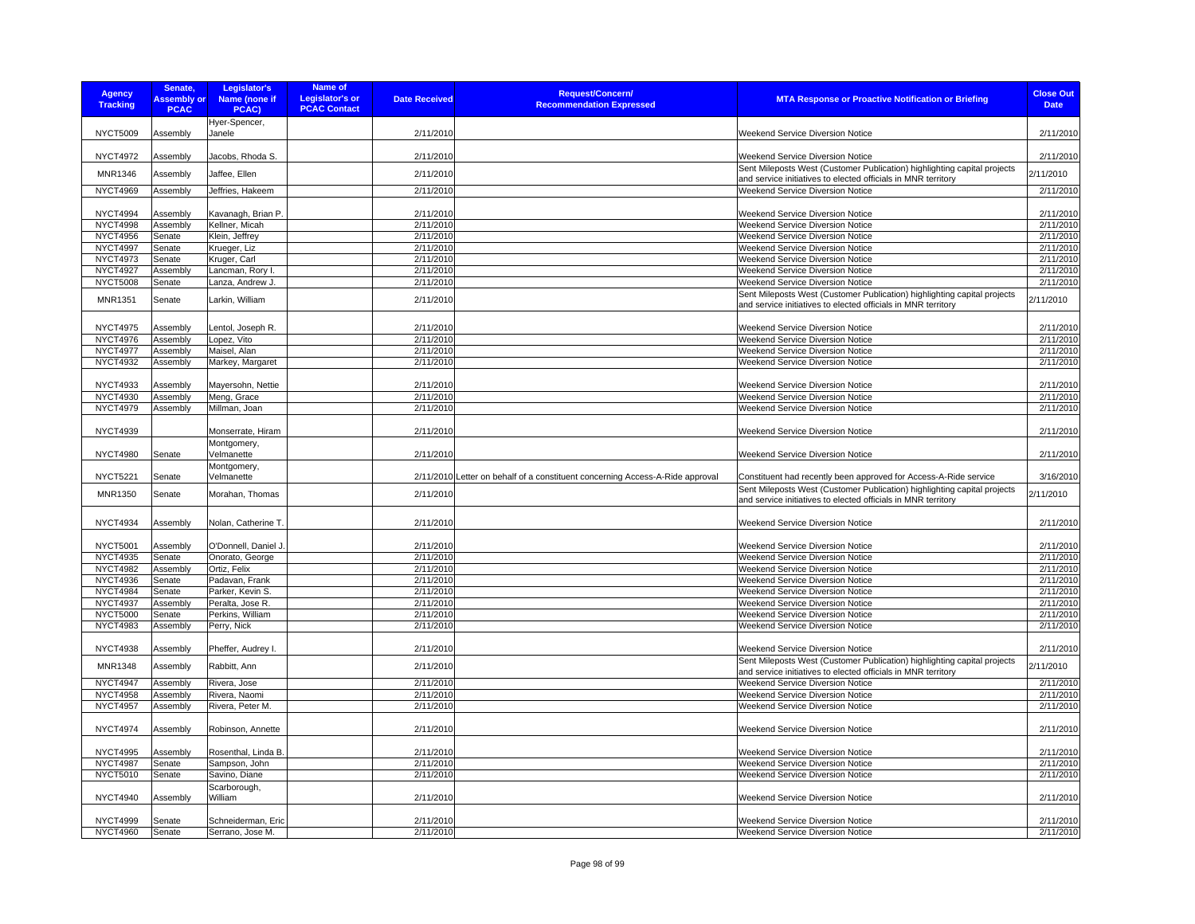| <b>Agency</b><br><b>Tracking</b> | Senate,<br><b>Assembly or</b><br><b>PCAC</b> | Legislator's<br>Name (none if<br>PCAC) | <b>Name of</b><br><b>Legislator's or</b><br><b>PCAC Contact</b> | <b>Date Received</b> | <b>Request/Concern/</b><br><b>Recommendation Expressed</b>                    | <b>MTA Response or Proactive Notification or Briefing</b>                                                                                 | <b>Close Out</b><br><b>Date</b> |
|----------------------------------|----------------------------------------------|----------------------------------------|-----------------------------------------------------------------|----------------------|-------------------------------------------------------------------------------|-------------------------------------------------------------------------------------------------------------------------------------------|---------------------------------|
| <b>NYCT5009</b>                  | Assembly                                     | Hyer-Spencer,<br>Janele                |                                                                 | 2/11/2010            |                                                                               | Weekend Service Diversion Notice                                                                                                          | 2/11/2010                       |
| <b>NYCT4972</b>                  | Assembly                                     | Jacobs, Rhoda S.                       |                                                                 | 2/11/2010            |                                                                               | Weekend Service Diversion Notice                                                                                                          | 2/11/2010                       |
| MNR1346                          | Assembly                                     | Jaffee, Ellen                          |                                                                 | 2/11/2010            |                                                                               | Sent Mileposts West (Customer Publication) highlighting capital projects<br>and service initiatives to elected officials in MNR territory | 2/11/2010                       |
| <b>NYCT4969</b>                  | Assembly                                     | Jeffries, Hakeem                       |                                                                 | 2/11/2010            |                                                                               | Weekend Service Diversion Notice                                                                                                          | 2/11/2010                       |
| <b>NYCT4994</b>                  | Assembly                                     | Kavanagh, Brian P                      |                                                                 | 2/11/2010            |                                                                               | <b>Weekend Service Diversion Notice</b>                                                                                                   | 2/11/2010                       |
| <b>NYCT4998</b>                  | Assembly                                     | Kellner, Micah                         |                                                                 | 2/11/2010            |                                                                               | Weekend Service Diversion Notice                                                                                                          | 2/11/2010                       |
| <b>NYCT4956</b>                  | Senate                                       | Klein, Jeffrey                         |                                                                 | 2/11/2010            |                                                                               | Weekend Service Diversion Notice                                                                                                          | 2/11/2010                       |
| <b>NYCT4997</b>                  | Senate                                       | Krueger, Liz                           |                                                                 | 2/11/2010            |                                                                               | Weekend Service Diversion Notice                                                                                                          | 2/11/2010                       |
| <b>NYCT4973</b>                  | Senate                                       | Kruger, Carl                           |                                                                 | 2/11/2010            |                                                                               | Weekend Service Diversion Notice                                                                                                          | 2/11/2010                       |
| <b>NYCT4927</b>                  | Assembly                                     | Lancman, Rory I.                       |                                                                 | 2/11/2010            |                                                                               | <b>Weekend Service Diversion Notice</b>                                                                                                   | 2/11/2010                       |
| <b>NYCT5008</b>                  | Senate                                       | Lanza, Andrew J.                       |                                                                 | 2/11/2010            |                                                                               | Weekend Service Diversion Notice                                                                                                          | 2/11/2010                       |
| MNR1351                          | Senate                                       | Larkin, William                        |                                                                 | 2/11/2010            |                                                                               | Sent Mileposts West (Customer Publication) highlighting capital projects<br>and service initiatives to elected officials in MNR territory | 2/11/2010                       |
| <b>NYCT4975</b>                  | Assembly                                     | Lentol, Joseph R.                      |                                                                 | 2/11/2010            |                                                                               | Weekend Service Diversion Notice                                                                                                          | 2/11/2010                       |
| <b>NYCT4976</b>                  | Assembly                                     | Lopez, Vito                            |                                                                 | 2/11/2010            |                                                                               | Weekend Service Diversion Notice                                                                                                          | 2/11/2010                       |
| <b>NYCT4977</b>                  | Assembly                                     | Maisel, Alan                           |                                                                 | 2/11/2010            |                                                                               | Weekend Service Diversion Notice                                                                                                          | 2/11/2010                       |
| <b>NYCT4932</b>                  | Assembly                                     | Markey, Margaret                       |                                                                 | 2/11/2010            |                                                                               | Weekend Service Diversion Notice                                                                                                          | 2/11/2010                       |
| <b>NYCT4933</b>                  | Assembly                                     | Mayersohn, Nettie                      |                                                                 | 2/11/2010            |                                                                               | Weekend Service Diversion Notice                                                                                                          | 2/11/2010                       |
| <b>NYCT4930</b>                  | Assembly                                     | Meng, Grace                            |                                                                 | 2/11/2010            |                                                                               | Weekend Service Diversion Notice                                                                                                          | 2/11/2010                       |
| <b>NYCT4979</b>                  | Assembly                                     | Millman, Joan                          |                                                                 | 2/11/2010            |                                                                               | Weekend Service Diversion Notice                                                                                                          | 2/11/2010                       |
| <b>NYCT4939</b>                  |                                              | Monserrate, Hiram                      |                                                                 | 2/11/2010            |                                                                               | Weekend Service Diversion Notice                                                                                                          | 2/11/2010                       |
| <b>NYCT4980</b>                  | Senate                                       | Montgomery,<br>Velmanette              |                                                                 | 2/11/2010            |                                                                               | Weekend Service Diversion Notice                                                                                                          | 2/11/2010                       |
| <b>NYCT5221</b>                  | Senate                                       | Montgomery,<br>Velmanette              |                                                                 |                      | 2/11/2010 Letter on behalf of a constituent concerning Access-A-Ride approval | Constituent had recently been approved for Access-A-Ride service                                                                          | 3/16/2010                       |
| MNR1350                          | Senate                                       | Morahan, Thomas                        |                                                                 | 2/11/2010            |                                                                               | Sent Mileposts West (Customer Publication) highlighting capital projects<br>and service initiatives to elected officials in MNR territory | 2/11/2010                       |
| <b>NYCT4934</b>                  | Assembly                                     | Nolan, Catherine T.                    |                                                                 | 2/11/2010            |                                                                               | <b>Weekend Service Diversion Notice</b>                                                                                                   | 2/11/2010                       |
| <b>NYCT5001</b>                  | Assembly                                     | O'Donnell, Daniel J.                   |                                                                 | 2/11/2010            |                                                                               | <b>Weekend Service Diversion Notice</b>                                                                                                   | 2/11/2010                       |
| <b>NYCT4935</b>                  | Senate                                       | Onorato, George                        |                                                                 | 2/11/2010            |                                                                               | Weekend Service Diversion Notice                                                                                                          | 2/11/2010                       |
| <b>NYCT4982</b>                  | Assembly                                     | Ortiz, Felix                           |                                                                 | 2/11/2010            |                                                                               | Weekend Service Diversion Notice                                                                                                          | 2/11/2010                       |
| <b>NYCT4936</b>                  | Senate                                       | Padavan, Frank                         |                                                                 | 2/11/2010            |                                                                               | Weekend Service Diversion Notice                                                                                                          | 2/11/2010                       |
| <b>NYCT4984</b>                  | Senate                                       | Parker, Kevin S.                       |                                                                 | 2/11/2010            |                                                                               | Weekend Service Diversion Notice                                                                                                          | 2/11/2010                       |
| <b>NYCT4937</b>                  | Assembly                                     | Peralta, Jose R.                       |                                                                 | 2/11/2010            |                                                                               | Weekend Service Diversion Notice                                                                                                          | 2/11/2010                       |
| <b>NYCT5000</b>                  | Senate                                       | Perkins, William                       |                                                                 | 2/11/2010            |                                                                               | <b>Weekend Service Diversion Notice</b>                                                                                                   | 2/11/2010                       |
| <b>NYCT4983</b>                  | Assembly                                     | Perry, Nick                            |                                                                 | 2/11/2010            |                                                                               | Weekend Service Diversion Notice                                                                                                          | 2/11/2010                       |
| <b>NYCT4938</b>                  | Assembly                                     | Pheffer, Audrey I                      |                                                                 | 2/11/2010            |                                                                               | Weekend Service Diversion Notice                                                                                                          | 2/11/2010                       |
| <b>MNR1348</b>                   | Assembly                                     | Rabbitt, Ann                           |                                                                 | 2/11/2010            |                                                                               | Sent Mileposts West (Customer Publication) highlighting capital projects<br>and service initiatives to elected officials in MNR territory | 2/11/2010                       |
| NYCT4947                         | Assembly                                     | Rivera, Jose                           |                                                                 | 2/11/2010            |                                                                               | Weekend Service Diversion Notice                                                                                                          | 2/11/2010                       |
| <b>NYCT4958</b>                  | Assembly                                     | Rivera, Naomi                          |                                                                 | 2/11/2010            |                                                                               | Weekend Service Diversion Notice                                                                                                          | 2/11/2010                       |
| <b>NYCT4957</b>                  | Assembly                                     | Rivera, Peter M.                       |                                                                 | 2/11/2010            |                                                                               | Weekend Service Diversion Notice                                                                                                          | 2/11/2010                       |
| <b>NYCT4974</b>                  | Assembly                                     | Robinson, Annette                      |                                                                 | 2/11/2010            |                                                                               | <b>Weekend Service Diversion Notice</b>                                                                                                   | 2/11/2010                       |
|                                  |                                              |                                        |                                                                 |                      |                                                                               |                                                                                                                                           |                                 |
| <b>NYCT4995</b>                  | Assembly                                     | Rosenthal, Linda B                     |                                                                 | 2/11/2010            |                                                                               | Weekend Service Diversion Notice                                                                                                          | 2/11/2010                       |
| <b>NYCT4987</b>                  | Senate                                       | Sampson, John                          |                                                                 | 2/11/2010            |                                                                               | Weekend Service Diversion Notice                                                                                                          | 2/11/2010                       |
| <b>NYCT5010</b>                  | Senate                                       | Savino, Diane                          |                                                                 | 2/11/2010            |                                                                               | Weekend Service Diversion Notice                                                                                                          | 2/11/2010                       |
| <b>NYCT4940</b>                  | Assembly                                     | Scarborough,<br>William                |                                                                 | 2/11/2010            |                                                                               | Weekend Service Diversion Notice                                                                                                          | 2/11/2010                       |
| <b>NYCT4999</b>                  | Senate                                       | Schneiderman, Eric                     |                                                                 | 2/11/2010            |                                                                               | Weekend Service Diversion Notice                                                                                                          | 2/11/2010                       |
| <b>NYCT4960</b>                  | Senate                                       | Serrano, Jose M.                       |                                                                 | 2/11/2010            |                                                                               | <b>Weekend Service Diversion Notice</b>                                                                                                   | 2/11/2010                       |
|                                  |                                              |                                        |                                                                 |                      |                                                                               |                                                                                                                                           |                                 |